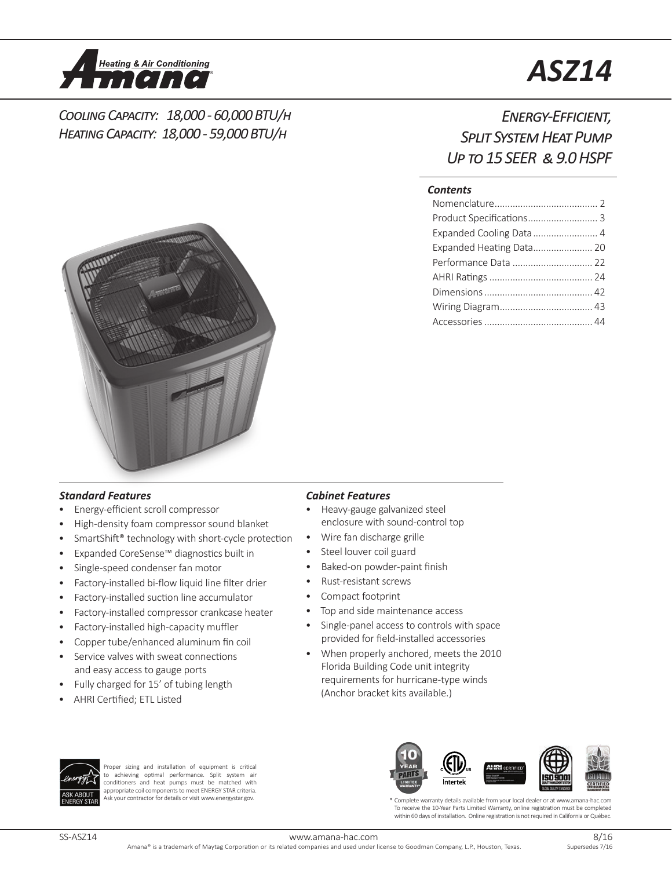

# *ASZ14*

# *Cooling Capacity: 18,000 - 60,000 BTU/h Heating Capacity: 18,000 - 59,000 BTU/h*

# *Energy-Efficient, Split System Heat Pump Up to 15 SEER & 9.0 HSPF*

#### *Contents*

| Product Specifications 3 |  |
|--------------------------|--|
| Expanded Cooling Data  4 |  |
| Expanded Heating Data 20 |  |
| Performance Data  22     |  |
|                          |  |
|                          |  |
|                          |  |
|                          |  |
|                          |  |



### *Standard Features*

- Energy-efficient scroll compressor
- High-density foam compressor sound blanket
- SmartShift<sup>®</sup> technology with short-cycle protection
- Expanded CoreSense™ diagnostics built in
- Single-speed condenser fan motor
- Factory-installed bi-flow liquid line filter drier
- Factory-installed suction line accumulator
- Factory-installed compressor crankcase heater
- Factory-installed high-capacity muffler
- Copper tube/enhanced aluminum fin coil
- Service valves with sweat connections and easy access to gauge ports
- Fully charged for 15' of tubing length
- AHRI Certified; ETL Listed

### *Cabinet Features*

- Heavy-gauge galvanized steel enclosure with sound-control top
- Wire fan discharge grille
- Steel louver coil guard
- Baked-on powder-paint finish
- Rust-resistant screws
- Compact footprint
- Top and side maintenance access
- Single-panel access to controls with space provided for field-installed accessories
- When properly anchored, meets the 2010 Florida Building Code unit integrity requirements for hurricane-type winds (Anchor bracket kits available.)



Proper sizing and installation of equipment is critical to achieving optimal performance. Split system air conditioners and heat pumps must be matched with appropriate coil components to meet ENERGY STAR criteria. Ask your contractor for details or visit www.energystar.gov.



Complete warranty details available from your local dealer or at www.amana-hac.com To receive the 10-Year Parts Limited Warranty, online registration must be completed within 60 days of installation. Online registration is not required in California or Québec.

SS-ASZ14 www.amana-hac.com 8/16 Amana® is a trademark of Maytag Corporation or its related companies and used under license to Goodman Company, L.P., Houston, Texas. Supersedes 7/16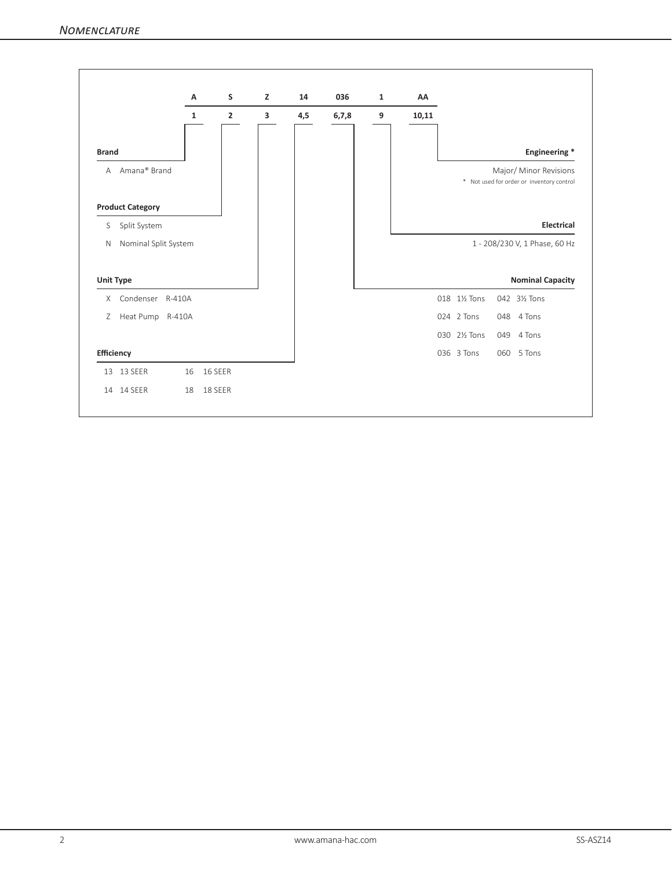|                                      | Α            | S              | z | 14  | 036   | $\mathbf{1}$ | AA    |               |                                                                     |
|--------------------------------------|--------------|----------------|---|-----|-------|--------------|-------|---------------|---------------------------------------------------------------------|
|                                      | $\mathbf{1}$ | $\overline{2}$ | 3 | 4,5 | 6,7,8 | 9            | 10,11 |               |                                                                     |
| <b>Brand</b>                         |              |                |   |     |       |              |       |               | Engineering*                                                        |
| Amana® Brand<br>$\overline{A}$       |              |                |   |     |       |              |       |               | Major/ Minor Revisions<br>* Not used for order or inventory control |
| <b>Product Category</b>              |              |                |   |     |       |              |       |               |                                                                     |
| Split System<br>S                    |              |                |   |     |       |              |       |               | <b>Electrical</b>                                                   |
| Nominal Split System<br>$\mathsf{N}$ |              |                |   |     |       |              |       |               | 1 - 208/230 V, 1 Phase, 60 Hz                                       |
| <b>Unit Type</b>                     |              |                |   |     |       |              |       |               | <b>Nominal Capacity</b>                                             |
| Condenser R-410A<br>X                |              |                |   |     |       |              |       | 018 11/2 Tons | 042 31/2 Tons                                                       |
| Heat Pump R-410A<br>Ζ                |              |                |   |     |       |              |       | 024 2 Tons    | 048 4 Tons                                                          |
|                                      |              |                |   |     |       |              |       | 030 21/2 Tons | 049 4 Tons                                                          |
| <b>Efficiency</b>                    |              |                |   |     |       |              |       | 036 3 Tons    | 060 5 Tons                                                          |
| 13 SEER<br>13                        | 16           | 16 SEER        |   |     |       |              |       |               |                                                                     |
| 14 14 SEER                           | 18           | 18 SEER        |   |     |       |              |       |               |                                                                     |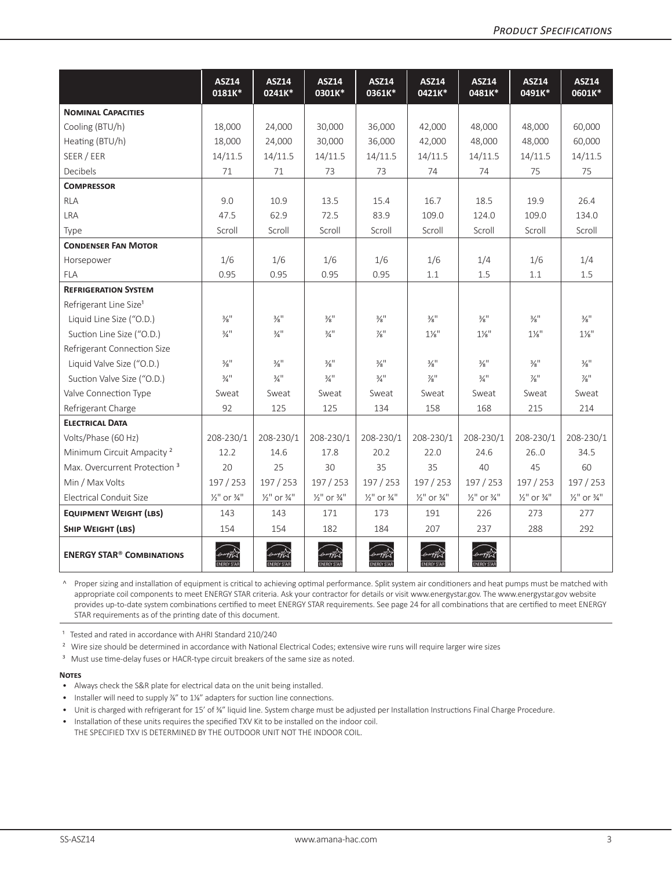|                                             | <b>ASZ14</b><br>0181K*             | <b>ASZ14</b><br>0241K*             | <b>ASZ14</b><br>0301K*             | <b>ASZ14</b><br>0361K*             | <b>ASZ14</b><br>0421K*             | <b>ASZ14</b><br>0481K*             | <b>ASZ14</b><br>0491K*             | <b>ASZ14</b><br>0601K*             |
|---------------------------------------------|------------------------------------|------------------------------------|------------------------------------|------------------------------------|------------------------------------|------------------------------------|------------------------------------|------------------------------------|
| <b>NOMINAL CAPACITIES</b>                   |                                    |                                    |                                    |                                    |                                    |                                    |                                    |                                    |
| Cooling (BTU/h)                             | 18,000                             | 24,000                             | 30,000                             | 36,000                             | 42,000                             | 48,000                             | 48,000                             | 60,000                             |
| Heating (BTU/h)                             | 18,000                             | 24,000                             | 30,000                             | 36,000                             | 42,000                             | 48,000                             | 48,000                             | 60,000                             |
| SEER / EER                                  | 14/11.5                            | 14/11.5                            | 14/11.5                            | 14/11.5                            | 14/11.5                            | 14/11.5                            | 14/11.5                            | 14/11.5                            |
| <b>Decibels</b>                             | 71                                 | 71                                 | 73                                 | 73                                 | 74                                 | 74                                 | 75                                 | 75                                 |
| <b>COMPRESSOR</b>                           |                                    |                                    |                                    |                                    |                                    |                                    |                                    |                                    |
| <b>RLA</b>                                  | 9.0                                | 10.9                               | 13.5                               | 15.4                               | 16.7                               | 18.5                               | 19.9                               | 26.4                               |
| LRA                                         | 47.5                               | 62.9                               | 72.5                               | 83.9                               | 109.0                              | 124.0                              | 109.0                              | 134.0                              |
| Type                                        | Scroll                             | Scroll                             | Scroll                             | Scroll                             | Scroll                             | Scroll                             | Scroll                             | Scroll                             |
| <b>CONDENSER FAN MOTOR</b>                  |                                    |                                    |                                    |                                    |                                    |                                    |                                    |                                    |
| Horsepower                                  | 1/6                                | 1/6                                | 1/6                                | 1/6                                | 1/6                                | 1/4                                | 1/6                                | 1/4                                |
| <b>FLA</b>                                  | 0.95                               | 0.95                               | 0.95                               | 0.95                               | 1.1                                | 1.5                                | 1.1                                | 1.5                                |
| <b>REFRIGERATION SYSTEM</b>                 |                                    |                                    |                                    |                                    |                                    |                                    |                                    |                                    |
| Refrigerant Line Size <sup>1</sup>          |                                    |                                    |                                    |                                    |                                    |                                    |                                    |                                    |
| Liquid Line Size ("O.D.)                    | $\frac{3}{8}$ <sup>11</sup>        | $\frac{3}{8}$ <sup>11</sup>        | $\frac{3}{8}$ <sup>11</sup>        | $\frac{3}{8}$ <sup>11</sup>        | $\frac{3}{8}$ <sup>11</sup>        | $\frac{3}{8}$ <sup>11</sup>        | $\frac{3}{8}$ <sup>11</sup>        | $\frac{3}{8}$ <sup>11</sup>        |
| Suction Line Size ("O.D.)                   | $\frac{3}{4}$ <sup>11</sup>        | $\frac{3}{4}$ <sup>11</sup>        | $\frac{3}{4}$ <sup>11</sup>        | $\frac{7}{8}$ "                    | $1\frac{1}{8}$                     | $1\frac{1}{8}$ "                   | $1\frac{1}{8}$ "                   | $1\frac{1}{8}$ "                   |
| Refrigerant Connection Size                 |                                    |                                    |                                    |                                    |                                    |                                    |                                    |                                    |
| Liquid Valve Size ("O.D.)                   | $\frac{3}{8}$ <sup>11</sup>        | $\frac{3}{8}$ <sup>11</sup>        | $\frac{3}{8}$ <sup>11</sup>        | $\frac{3}{8}$ <sup>11</sup>        | $\frac{3}{8}$ <sup>11</sup>        | $\frac{3}{8}$ <sup>11</sup>        | $\frac{3}{8}$ <sup>11</sup>        | $\frac{3}{8}$ <sup>11</sup>        |
| Suction Valve Size ("O.D.)                  | $\frac{3}{4}$ <sup>11</sup>        | $\frac{3}{4}$ <sup>11</sup>        | $\frac{3}{4}$ <sup>11</sup>        | $\frac{3}{4}$ <sup>11</sup>        | $\frac{7}{8}$ "                    | $\frac{3}{4}$ <sup>11</sup>        | $\frac{7}{8}$                      | $\frac{7}{8}$ "                    |
| Valve Connection Type                       | Sweat                              | Sweat                              | Sweat                              | Sweat                              | Sweat                              | Sweat                              | Sweat                              | Sweat                              |
| Refrigerant Charge                          | 92                                 | 125                                | 125                                | 134                                | 158                                | 168                                | 215                                | 214                                |
| <b>ELECTRICAL DATA</b>                      |                                    |                                    |                                    |                                    |                                    |                                    |                                    |                                    |
| Volts/Phase (60 Hz)                         | 208-230/1                          | 208-230/1                          | 208-230/1                          | 208-230/1                          | 208-230/1                          | 208-230/1                          | 208-230/1                          | 208-230/1                          |
| Minimum Circuit Ampacity <sup>2</sup>       | 12.2                               | 14.6                               | 17.8                               | 20.2                               | 22.0                               | 24.6                               | 26.0                               | 34.5                               |
| Max. Overcurrent Protection <sup>3</sup>    | 20                                 | 25                                 | 30                                 | 35                                 | 35                                 | 40                                 | 45                                 | 60                                 |
| Min / Max Volts                             | 197 / 253                          | 197 / 253                          | 197 / 253                          | 197 / 253                          | 197 / 253                          | 197 / 253                          | 197 / 253                          | 197 / 253                          |
| <b>Electrical Conduit Size</b>              | $\frac{1}{2}$ " or $\frac{3}{4}$ " | $\frac{1}{2}$ " or $\frac{3}{4}$ " | $\frac{1}{2}$ " or $\frac{3}{4}$ " | $\frac{1}{2}$ " or $\frac{3}{4}$ " | $\frac{1}{2}$ " or $\frac{3}{4}$ " | $\frac{1}{2}$ " or $\frac{3}{4}$ " | $\frac{1}{2}$ " or $\frac{3}{4}$ " | $\frac{1}{2}$ " or $\frac{3}{4}$ " |
| <b>EQUIPMENT WEIGHT (LBS)</b>               | 143                                | 143                                | 171                                | 173                                | 191                                | 226                                | 273                                | 277                                |
| <b>SHIP WEIGHT (LBS)</b>                    | 154                                | 154                                | 182                                | 184                                | 207                                | 237                                | 288                                | 292                                |
| <b>ENERGY STAR<sup>®</sup> COMBINATIONS</b> |                                    |                                    |                                    |                                    |                                    |                                    |                                    |                                    |

^ Proper sizing and installation of equipment is critical to achieving optimal performance. Split system air conditioners and heat pumps must be matched with appropriate coil components to meet ENERGY STAR criteria. Ask your contractor for details or visit www.energystar.gov. The www.energystar.gov website provides up-to-date system combinations certified to meet ENERGY STAR requirements. See page 24 for all combinations that are certified to meet ENERGY STAR requirements as of the printing date of this document.

<sup>1</sup> Tested and rated in accordance with AHRI Standard 210/240

<sup>2</sup> Wire size should be determined in accordance with National Electrical Codes; extensive wire runs will require larger wire sizes

<sup>3</sup> Must use time-delay fuses or HACR-type circuit breakers of the same size as noted.

#### **Notes**

- Always check the S&R plate for electrical data on the unit being installed.
- Installer will need to supply %" to 1%" adapters for suction line connections.
- Unit is charged with refrigerant for 15' of ¾" liquid line. System charge must be adjusted per Installation Instructions Final Charge Procedure.
- Installation of these units requires the specified TXV Kit to be installed on the indoor coil. THE SPECIFIED TXV IS DETERMINED BY THE OUTDOOR UNIT NOT THE INDOOR COIL.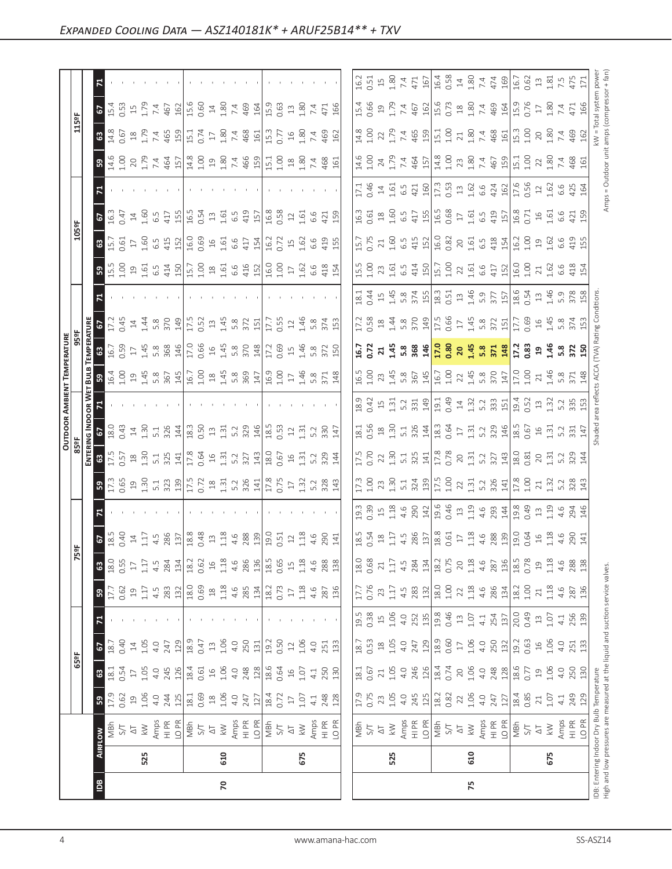|                |     |                                                                               |             |                 |                 |             |                |                  |                                         |                                                                                                                                                                                                                                                                                                                     |                                                                                                                                                                                                                                                                                                             |                                                                                                                                                                                                                                                                                                                     |                                                     | <b>OUTDOOR AMBIENT TEMPERATURE</b>                                                                                                                                                                                                                                                                                    |                                                                                                                                                                                                                                                                                                                                     |                                                                                                                                                                                                                                                                                                                                                                             |                                                                                                                                                                                                                                   |                   |                                                                                                                                               |                                                           |                                                                                                                                        |                                                                |                                                                                                                |                                                                                                                                                                                                 |
|----------------|-----|-------------------------------------------------------------------------------|-------------|-----------------|-----------------|-------------|----------------|------------------|-----------------------------------------|---------------------------------------------------------------------------------------------------------------------------------------------------------------------------------------------------------------------------------------------------------------------------------------------------------------------|-------------------------------------------------------------------------------------------------------------------------------------------------------------------------------------------------------------------------------------------------------------------------------------------------------------|---------------------------------------------------------------------------------------------------------------------------------------------------------------------------------------------------------------------------------------------------------------------------------------------------------------------|-----------------------------------------------------|-----------------------------------------------------------------------------------------------------------------------------------------------------------------------------------------------------------------------------------------------------------------------------------------------------------------------|-------------------------------------------------------------------------------------------------------------------------------------------------------------------------------------------------------------------------------------------------------------------------------------------------------------------------------------|-----------------------------------------------------------------------------------------------------------------------------------------------------------------------------------------------------------------------------------------------------------------------------------------------------------------------------------------------------------------------------|-----------------------------------------------------------------------------------------------------------------------------------------------------------------------------------------------------------------------------------|-------------------|-----------------------------------------------------------------------------------------------------------------------------------------------|-----------------------------------------------------------|----------------------------------------------------------------------------------------------------------------------------------------|----------------------------------------------------------------|----------------------------------------------------------------------------------------------------------------|-------------------------------------------------------------------------------------------------------------------------------------------------------------------------------------------------|
|                |     |                                                                               |             | 65°F            |                 |             |                |                  | 5ºF                                     |                                                                                                                                                                                                                                                                                                                     | 85°F                                                                                                                                                                                                                                                                                                        |                                                                                                                                                                                                                                                                                                                     |                                                     |                                                                                                                                                                                                                                                                                                                       |                                                                                                                                                                                                                                                                                                                                     |                                                                                                                                                                                                                                                                                                                                                                             |                                                                                                                                                                                                                                   |                   | 105°F                                                                                                                                         |                                                           |                                                                                                                                        | 115°F                                                          |                                                                                                                |                                                                                                                                                                                                 |
|                |     |                                                                               |             |                 |                 |             |                |                  |                                         |                                                                                                                                                                                                                                                                                                                     | ENTEI                                                                                                                                                                                                                                                                                                       | <b>VG INDOOR W</b>                                                                                                                                                                                                                                                                                                  |                                                     |                                                                                                                                                                                                                                                                                                                       |                                                                                                                                                                                                                                                                                                                                     |                                                                                                                                                                                                                                                                                                                                                                             |                                                                                                                                                                                                                                   |                   |                                                                                                                                               |                                                           |                                                                                                                                        |                                                                |                                                                                                                |                                                                                                                                                                                                 |
| $\overline{a}$ |     | <b>AIRFLOW</b>                                                                | ${\tt S}$   | $\mathbbmss{3}$ | 2               | 71          | ${\tt S}$      | ශී               | <b>6</b> 18.5 4.5 4.5 286               |                                                                                                                                                                                                                                                                                                                     |                                                                                                                                                                                                                                                                                                             | $rac{67}{180}$                                                                                                                                                                                                                                                                                                      |                                                     |                                                                                                                                                                                                                                                                                                                       |                                                                                                                                                                                                                                                                                                                                     |                                                                                                                                                                                                                                                                                                                                                                             |                                                                                                                                                                                                                                   |                   | 8.761                                                                                                                                         | $\frac{5}{2}$                                             |                                                                                                                                        | 63<br>14.8<br>0.67                                             | $\frac{67}{154}$                                                                                               |                                                                                                                                                                                                 |
|                |     | MBh                                                                           | 17.9        | 18.1            | 18.7            |             | 17.7           | 18.0             |                                         |                                                                                                                                                                                                                                                                                                                     |                                                                                                                                                                                                                                                                                                             |                                                                                                                                                                                                                                                                                                                     |                                                     |                                                                                                                                                                                                                                                                                                                       |                                                                                                                                                                                                                                                                                                                                     | $17.2$<br>0.45                                                                                                                                                                                                                                                                                                                                                              |                                                                                                                                                                                                                                   |                   |                                                                                                                                               | $16.3$<br>0.47                                            |                                                                                                                                        |                                                                |                                                                                                                |                                                                                                                                                                                                 |
|                |     | 5/1                                                                           | 0.62        | 0.54            | 0.40            |             | 0.62           | 0.55             |                                         |                                                                                                                                                                                                                                                                                                                     |                                                                                                                                                                                                                                                                                                             |                                                                                                                                                                                                                                                                                                                     |                                                     |                                                                                                                                                                                                                                                                                                                       |                                                                                                                                                                                                                                                                                                                                     |                                                                                                                                                                                                                                                                                                                                                                             |                                                                                                                                                                                                                                   |                   |                                                                                                                                               |                                                           |                                                                                                                                        |                                                                |                                                                                                                |                                                                                                                                                                                                 |
|                |     | $\overline{\circ}$                                                            | $\Xi$       | $\Box$          | $\overline{1}4$ |             | $\overline{c}$ | $\Box$           |                                         |                                                                                                                                                                                                                                                                                                                     |                                                                                                                                                                                                                                                                                                             |                                                                                                                                                                                                                                                                                                                     |                                                     |                                                                                                                                                                                                                                                                                                                       |                                                                                                                                                                                                                                                                                                                                     |                                                                                                                                                                                                                                                                                                                                                                             |                                                                                                                                                                                                                                   |                   | $\Gamma$                                                                                                                                      | $14_{00}$                                                 |                                                                                                                                        | 1.79                                                           | 1.79                                                                                                           |                                                                                                                                                                                                 |
|                | 525 | $\gtrapprox$                                                                  | 1.06        | 1.05            | 1.05            |             | 1.17           | $1.17\,$         |                                         |                                                                                                                                                                                                                                                                                                                     |                                                                                                                                                                                                                                                                                                             |                                                                                                                                                                                                                                                                                                                     |                                                     |                                                                                                                                                                                                                                                                                                                       |                                                                                                                                                                                                                                                                                                                                     |                                                                                                                                                                                                                                                                                                                                                                             |                                                                                                                                                                                                                                   |                   |                                                                                                                                               |                                                           |                                                                                                                                        |                                                                |                                                                                                                |                                                                                                                                                                                                 |
|                |     | Amps<br>HI PR                                                                 | 4.0         | 4.0             | 4.0             |             | 4.5            | 4.5              |                                         |                                                                                                                                                                                                                                                                                                                     |                                                                                                                                                                                                                                                                                                             |                                                                                                                                                                                                                                                                                                                     |                                                     |                                                                                                                                                                                                                                                                                                                       |                                                                                                                                                                                                                                                                                                                                     |                                                                                                                                                                                                                                                                                                                                                                             |                                                                                                                                                                                                                                   |                   |                                                                                                                                               | $6.\overline{5}$                                          |                                                                                                                                        |                                                                | 7.4<br>467                                                                                                     |                                                                                                                                                                                                 |
|                |     |                                                                               | 244         | 245             | 247             |             | 283            | 284              |                                         | $\frac{1}{2}$ $\frac{1}{2}$ $\frac{1}{6}$ $\frac{1}{6}$ $\frac{1}{6}$ $\frac{1}{6}$ $\frac{1}{6}$ $\frac{1}{6}$ $\frac{1}{6}$ $\frac{1}{6}$ $\frac{1}{6}$ $\frac{1}{6}$ $\frac{1}{6}$ $\frac{1}{6}$ $\frac{1}{6}$ $\frac{1}{6}$ $\frac{1}{6}$ $\frac{1}{6}$ $\frac{1}{6}$ $\frac{1}{6}$ $\frac{1}{6}$ $\frac{1}{6}$ | $3\frac{1}{2}$ $5\frac{3}{2}$ $3\frac{3}{2}$ $3\frac{1}{2}$ $3\frac{1}{2}$ $3\frac{3}{2}$ $3\frac{1}{2}$ $3\frac{3}{2}$ $3\frac{1}{2}$ $3\frac{1}{2}$ $3\frac{1}{2}$ $3\frac{1}{2}$ $3\frac{1}{2}$ $3\frac{1}{2}$ $3\frac{1}{2}$ $3\frac{1}{2}$ $3\frac{1}{2}$ $3\frac{1}{2}$ $3\frac{1}{2}$ $3\frac{1}{2}$ | $\frac{1}{4}$ $\frac{1}{6}$ $\frac{1}{6}$ $\frac{1}{6}$ $\frac{1}{6}$ $\frac{1}{6}$ $\frac{1}{6}$ $\frac{1}{6}$ $\frac{1}{6}$ $\frac{1}{6}$ $\frac{1}{6}$ $\frac{1}{6}$ $\frac{1}{6}$ $\frac{1}{6}$ $\frac{1}{6}$ $\frac{1}{6}$ $\frac{1}{6}$ $\frac{1}{6}$ $\frac{1}{6}$ $\frac{1}{6}$ $\frac{1}{6}$ $\frac{1}{6}$ |                                                     |                                                                                                                                                                                                                                                                                                                       | $\begin{array}{cccc}\n16.7 & 9 & 12 \\ 16.9 & 12 & 14 \\ 17.9 & 15 & 16 \\ 18.9 & 19 & 16 \\ 19.1 & 19 & 16 \\ 10.1 & 19 & 16 \\ 11 & 10 & 16 \\ 12 & 10 & 16 \\ 13 & 10 & 16 \\ 14 & 15 & 16 \\ 16 & 16 & 16 \\ 17 & 18 & 16 \\ 18 & 19 & 16 \\ 19 & 19 & 16 \\ 11 & 10 & 16 \\ 11 & 10 & 16 \\ 12 & 10 & 16 & 16 \\ 13 & 10 & 16$ | 14488721527                                                                                                                                                                                                                                                                                                                                                                 |                                                                                                                                                                                                                                   |                   | $1.60$<br>$6.5$<br>$4.5$<br>$15$                                                                                                              | 417                                                       |                                                                                                                                        | $7.465$<br>459<br>1507<br>57                                   |                                                                                                                |                                                                                                                                                                                                 |
|                |     | LO <sub>PR</sub>                                                              | 125         | 126             | 129             |             | 132            | 134              |                                         |                                                                                                                                                                                                                                                                                                                     |                                                                                                                                                                                                                                                                                                             |                                                                                                                                                                                                                                                                                                                     |                                                     |                                                                                                                                                                                                                                                                                                                       |                                                                                                                                                                                                                                                                                                                                     |                                                                                                                                                                                                                                                                                                                                                                             |                                                                                                                                                                                                                                   |                   |                                                                                                                                               | 155                                                       |                                                                                                                                        |                                                                |                                                                                                                |                                                                                                                                                                                                 |
|                |     | $\frac{1}{9}$ SVL                                                             | 18.1        | 18.4            | 18.9            |             | 18.0           | 18.2             | $\frac{137}{18.8}$                      |                                                                                                                                                                                                                                                                                                                     |                                                                                                                                                                                                                                                                                                             |                                                                                                                                                                                                                                                                                                                     |                                                     |                                                                                                                                                                                                                                                                                                                       |                                                                                                                                                                                                                                                                                                                                     |                                                                                                                                                                                                                                                                                                                                                                             |                                                                                                                                                                                                                                   |                   | 16.0<br>0.69                                                                                                                                  | 16.5<br>0.54<br>11 51                                     |                                                                                                                                        |                                                                | $\frac{162}{156}$ $\frac{6}{15}$ $\frac{4}{15}$ $\frac{8}{15}$                                                 |                                                                                                                                                                                                 |
|                |     |                                                                               | 0.69        | 0.61            | 0.47            |             | 0.69           | 0.62             |                                         |                                                                                                                                                                                                                                                                                                                     |                                                                                                                                                                                                                                                                                                             |                                                                                                                                                                                                                                                                                                                     |                                                     |                                                                                                                                                                                                                                                                                                                       |                                                                                                                                                                                                                                                                                                                                     |                                                                                                                                                                                                                                                                                                                                                                             |                                                                                                                                                                                                                                   |                   |                                                                                                                                               |                                                           |                                                                                                                                        |                                                                |                                                                                                                |                                                                                                                                                                                                 |
|                |     | $\overline{\triangle}$                                                        | $18$        | 16              | $\Xi$           |             | $\frac{8}{10}$ | $\frac{16}{1}$   | $13$                                    |                                                                                                                                                                                                                                                                                                                     |                                                                                                                                                                                                                                                                                                             |                                                                                                                                                                                                                                                                                                                     |                                                     |                                                                                                                                                                                                                                                                                                                       |                                                                                                                                                                                                                                                                                                                                     |                                                                                                                                                                                                                                                                                                                                                                             |                                                                                                                                                                                                                                   |                   | $\begin{array}{c} 16 \\ 1.61 \end{array}$                                                                                                     |                                                           |                                                                                                                                        |                                                                |                                                                                                                |                                                                                                                                                                                                 |
| 20             | 610 | $\gtrapprox$                                                                  | 1.06        | 1.06            | 1.06            |             | 1.18           | $1.18$           | 1.18                                    |                                                                                                                                                                                                                                                                                                                     |                                                                                                                                                                                                                                                                                                             |                                                                                                                                                                                                                                                                                                                     |                                                     |                                                                                                                                                                                                                                                                                                                       |                                                                                                                                                                                                                                                                                                                                     |                                                                                                                                                                                                                                                                                                                                                                             |                                                                                                                                                                                                                                   |                   |                                                                                                                                               |                                                           |                                                                                                                                        |                                                                |                                                                                                                |                                                                                                                                                                                                 |
|                |     | Amps                                                                          | 4.0         | 4.0             | 4.0             |             | 4.6            | 4.6              |                                         |                                                                                                                                                                                                                                                                                                                     |                                                                                                                                                                                                                                                                                                             |                                                                                                                                                                                                                                                                                                                     |                                                     |                                                                                                                                                                                                                                                                                                                       |                                                                                                                                                                                                                                                                                                                                     |                                                                                                                                                                                                                                                                                                                                                                             |                                                                                                                                                                                                                                   |                   | 6.6                                                                                                                                           | 6.5                                                       |                                                                                                                                        |                                                                |                                                                                                                |                                                                                                                                                                                                 |
|                |     | HI PR                                                                         | 247         | 248             | 250             |             | 285            | 286              | $4.6$<br>288<br>289<br>19.0<br>13<br>12 |                                                                                                                                                                                                                                                                                                                     |                                                                                                                                                                                                                                                                                                             |                                                                                                                                                                                                                                                                                                                     |                                                     |                                                                                                                                                                                                                                                                                                                       |                                                                                                                                                                                                                                                                                                                                     | $1.45$<br>$5.8$<br>$372$<br>$15$                                                                                                                                                                                                                                                                                                                                            |                                                                                                                                                                                                                                   |                   | 417<br>154                                                                                                                                    | 419                                                       |                                                                                                                                        | $\frac{28}{7} \times \frac{48}{4} = \frac{15}{15}$             | 7.4<br>469<br>164                                                                                              |                                                                                                                                                                                                 |
|                |     | LO <sub>PR</sub>                                                              | 127         | 128             | 131             |             | 134            | 136              |                                         |                                                                                                                                                                                                                                                                                                                     |                                                                                                                                                                                                                                                                                                             |                                                                                                                                                                                                                                                                                                                     |                                                     |                                                                                                                                                                                                                                                                                                                       |                                                                                                                                                                                                                                                                                                                                     |                                                                                                                                                                                                                                                                                                                                                                             |                                                                                                                                                                                                                                   |                   |                                                                                                                                               | 157                                                       |                                                                                                                                        |                                                                |                                                                                                                |                                                                                                                                                                                                 |
|                |     |                                                                               | 18.4        | 18.6            | 19.2            |             | 18.2           | 18.5             |                                         |                                                                                                                                                                                                                                                                                                                     |                                                                                                                                                                                                                                                                                                             |                                                                                                                                                                                                                                                                                                                     |                                                     |                                                                                                                                                                                                                                                                                                                       |                                                                                                                                                                                                                                                                                                                                     |                                                                                                                                                                                                                                                                                                                                                                             |                                                                                                                                                                                                                                   |                   | 16.2                                                                                                                                          | 16.8                                                      | $\frac{1}{15}$ $\frac{1}{15}$ $\frac{8}{15}$ $\frac{8}{15}$ $\frac{4}{15}$ $\frac{8}{15}$ $\frac{8}{15}$ $\frac{1}{15}$ $\frac{8}{15}$ |                                                                | 15.9                                                                                                           |                                                                                                                                                                                                 |
|                |     | NBh<br>S/T                                                                    | 0.72        | 0.64            | 0.50            |             | 0.73           | 0.65             |                                         |                                                                                                                                                                                                                                                                                                                     |                                                                                                                                                                                                                                                                                                             |                                                                                                                                                                                                                                                                                                                     |                                                     |                                                                                                                                                                                                                                                                                                                       |                                                                                                                                                                                                                                                                                                                                     |                                                                                                                                                                                                                                                                                                                                                                             |                                                                                                                                                                                                                                   |                   | 0.72                                                                                                                                          | 0.58                                                      |                                                                                                                                        |                                                                |                                                                                                                |                                                                                                                                                                                                 |
|                |     | $\overline{\triangle}$                                                        | $\Box$      | $\exists$       | $12$            |             | $\Box$         | $\overline{15}$  |                                         |                                                                                                                                                                                                                                                                                                                     |                                                                                                                                                                                                                                                                                                             |                                                                                                                                                                                                                                                                                                                     |                                                     |                                                                                                                                                                                                                                                                                                                       |                                                                                                                                                                                                                                                                                                                                     |                                                                                                                                                                                                                                                                                                                                                                             |                                                                                                                                                                                                                                   |                   |                                                                                                                                               |                                                           |                                                                                                                                        |                                                                | $0.63$<br>13                                                                                                   |                                                                                                                                                                                                 |
|                | 675 | $\geq$                                                                        | 1.07        | 1.07            | 1.06            |             | 1.18           | 1.18             | 1.18                                    |                                                                                                                                                                                                                                                                                                                     |                                                                                                                                                                                                                                                                                                             |                                                                                                                                                                                                                                                                                                                     |                                                     |                                                                                                                                                                                                                                                                                                                       | $17.2$<br>0.69 m 46 m 57<br>1.46 m 57<br>150                                                                                                                                                                                                                                                                                        | $17.7$<br>$0.52$<br>$1.46$<br>$0.8$<br>$7.4$<br>$3.53$                                                                                                                                                                                                                                                                                                                      |                                                                                                                                                                                                                                   |                   | <b>H</b> G G Q H H                                                                                                                            | $\begin{array}{c}\n 1.61 \\  \hline\n 1.61\n \end{array}$ |                                                                                                                                        | 1.80                                                           | 1.80                                                                                                           |                                                                                                                                                                                                 |
|                |     | Amps                                                                          | 4.1         | 4.1             | 4.0             |             | 4.6            | 4.6              |                                         |                                                                                                                                                                                                                                                                                                                     |                                                                                                                                                                                                                                                                                                             |                                                                                                                                                                                                                                                                                                                     |                                                     |                                                                                                                                                                                                                                                                                                                       |                                                                                                                                                                                                                                                                                                                                     |                                                                                                                                                                                                                                                                                                                                                                             |                                                                                                                                                                                                                                   |                   |                                                                                                                                               | 6.6                                                       |                                                                                                                                        |                                                                | 7.4                                                                                                            |                                                                                                                                                                                                 |
|                |     | HI PR                                                                         | 248         | 250             | 251             |             | 287            | 288              | $4.6$<br>290                            |                                                                                                                                                                                                                                                                                                                     |                                                                                                                                                                                                                                                                                                             |                                                                                                                                                                                                                                                                                                                     |                                                     |                                                                                                                                                                                                                                                                                                                       |                                                                                                                                                                                                                                                                                                                                     |                                                                                                                                                                                                                                                                                                                                                                             |                                                                                                                                                                                                                                   |                   |                                                                                                                                               | 421                                                       |                                                                                                                                        | 7.4<br>469<br>162                                              | 471                                                                                                            |                                                                                                                                                                                                 |
|                |     | LO <sub>PR</sub>                                                              | 128         | 130             | 133             |             | 136            | 138              | 141                                     |                                                                                                                                                                                                                                                                                                                     |                                                                                                                                                                                                                                                                                                             |                                                                                                                                                                                                                                                                                                                     |                                                     |                                                                                                                                                                                                                                                                                                                       |                                                                                                                                                                                                                                                                                                                                     |                                                                                                                                                                                                                                                                                                                                                                             |                                                                                                                                                                                                                                   |                   |                                                                                                                                               | 159                                                       |                                                                                                                                        |                                                                | 166                                                                                                            |                                                                                                                                                                                                 |
|                |     |                                                                               |             |                 |                 |             |                |                  |                                         |                                                                                                                                                                                                                                                                                                                     |                                                                                                                                                                                                                                                                                                             |                                                                                                                                                                                                                                                                                                                     |                                                     |                                                                                                                                                                                                                                                                                                                       |                                                                                                                                                                                                                                                                                                                                     |                                                                                                                                                                                                                                                                                                                                                                             |                                                                                                                                                                                                                                   |                   |                                                                                                                                               |                                                           |                                                                                                                                        |                                                                |                                                                                                                |                                                                                                                                                                                                 |
|                |     |                                                                               | 17.9        | 18.1            | 18.7            | 19.5        | 17.7           | 18.0             |                                         | 17.3                                                                                                                                                                                                                                                                                                                | 17.5                                                                                                                                                                                                                                                                                                        |                                                                                                                                                                                                                                                                                                                     |                                                     |                                                                                                                                                                                                                                                                                                                       | L6.7                                                                                                                                                                                                                                                                                                                                |                                                                                                                                                                                                                                                                                                                                                                             | 18.1                                                                                                                                                                                                                              | 15.5              | 15.7                                                                                                                                          |                                                           |                                                                                                                                        |                                                                | 15.4                                                                                                           |                                                                                                                                                                                                 |
|                |     | Hg<br>S/T                                                                     | 0.75        | 0.67            | 0.53            | 0.38        | 0.76           | 0.68             |                                         |                                                                                                                                                                                                                                                                                                                     | 0.70                                                                                                                                                                                                                                                                                                        |                                                                                                                                                                                                                                                                                                                     |                                                     | $16.5$<br>$1.00$                                                                                                                                                                                                                                                                                                      | 3.72                                                                                                                                                                                                                                                                                                                                |                                                                                                                                                                                                                                                                                                                                                                             |                                                                                                                                                                                                                                   | $\frac{100}{100}$ | 0.75                                                                                                                                          |                                                           |                                                                                                                                        |                                                                |                                                                                                                |                                                                                                                                                                                                 |
|                |     | $\overline{\triangleright}$                                                   | 23          | 21              | $\frac{8}{10}$  | $15$        | 23             | 21               |                                         |                                                                                                                                                                                                                                                                                                                     | 22                                                                                                                                                                                                                                                                                                          |                                                                                                                                                                                                                                                                                                                     |                                                     | 23                                                                                                                                                                                                                                                                                                                    |                                                                                                                                                                                                                                                                                                                                     |                                                                                                                                                                                                                                                                                                                                                                             |                                                                                                                                                                                                                                   |                   | $21\,$                                                                                                                                        |                                                           |                                                                                                                                        |                                                                |                                                                                                                | $16.2$<br>0.51 $\frac{1}{2}$ $\frac{1}{2}$ $\frac{1}{2}$ $\frac{1}{4}$ $\frac{1}{4}$                                                                                                            |
|                | 525 | $\gtrapprox$                                                                  | 1.05        | 1.05            | 1.05            | 1.06        | 1.17           | $1.17\,$         |                                         |                                                                                                                                                                                                                                                                                                                     |                                                                                                                                                                                                                                                                                                             |                                                                                                                                                                                                                                                                                                                     |                                                     |                                                                                                                                                                                                                                                                                                                       |                                                                                                                                                                                                                                                                                                                                     |                                                                                                                                                                                                                                                                                                                                                                             |                                                                                                                                                                                                                                   |                   |                                                                                                                                               |                                                           |                                                                                                                                        |                                                                |                                                                                                                |                                                                                                                                                                                                 |
|                |     | Amps                                                                          | 4.0         | 4.0             | 4.0             | 4.0         | 4.5            | $4.\overline{5}$ |                                         |                                                                                                                                                                                                                                                                                                                     |                                                                                                                                                                                                                                                                                                             |                                                                                                                                                                                                                                                                                                                     |                                                     |                                                                                                                                                                                                                                                                                                                       |                                                                                                                                                                                                                                                                                                                                     |                                                                                                                                                                                                                                                                                                                                                                             |                                                                                                                                                                                                                                   |                   |                                                                                                                                               |                                                           |                                                                                                                                        |                                                                |                                                                                                                |                                                                                                                                                                                                 |
|                |     | $\frac{\alpha}{\pi}$                                                          | 245         | 246             | 247             | 252         | 283            | 284              |                                         |                                                                                                                                                                                                                                                                                                                     |                                                                                                                                                                                                                                                                                                             |                                                                                                                                                                                                                                                                                                                     |                                                     |                                                                                                                                                                                                                                                                                                                       |                                                                                                                                                                                                                                                                                                                                     |                                                                                                                                                                                                                                                                                                                                                                             |                                                                                                                                                                                                                                   |                   |                                                                                                                                               |                                                           |                                                                                                                                        |                                                                |                                                                                                                |                                                                                                                                                                                                 |
|                |     | LO <sub>PR</sub>                                                              | 125         | 126             | 129             | 135         | 132            | 134              |                                         |                                                                                                                                                                                                                                                                                                                     |                                                                                                                                                                                                                                                                                                             |                                                                                                                                                                                                                                                                                                                     |                                                     |                                                                                                                                                                                                                                                                                                                       |                                                                                                                                                                                                                                                                                                                                     |                                                                                                                                                                                                                                                                                                                                                                             |                                                                                                                                                                                                                                   |                   |                                                                                                                                               |                                                           | $14.0$<br>$1.7$<br>$1.7$<br>$7.4$<br>$5$<br>$1.7$<br>$7.4$<br>$5$                                                                      |                                                                |                                                                                                                |                                                                                                                                                                                                 |
|                |     | MBh                                                                           | 18.2        | 18.4            | 18.9            | 19.8        | 18.0           | 18.2             |                                         |                                                                                                                                                                                                                                                                                                                     |                                                                                                                                                                                                                                                                                                             |                                                                                                                                                                                                                                                                                                                     |                                                     |                                                                                                                                                                                                                                                                                                                       |                                                                                                                                                                                                                                                                                                                                     |                                                                                                                                                                                                                                                                                                                                                                             |                                                                                                                                                                                                                                   |                   |                                                                                                                                               |                                                           |                                                                                                                                        |                                                                |                                                                                                                |                                                                                                                                                                                                 |
|                |     | 5 <sub>1</sub>                                                                | 0.82        | 0.74            | 0.60            | 0.46        | 1.00           | 0.75             |                                         |                                                                                                                                                                                                                                                                                                                     |                                                                                                                                                                                                                                                                                                             |                                                                                                                                                                                                                                                                                                                     |                                                     |                                                                                                                                                                                                                                                                                                                       |                                                                                                                                                                                                                                                                                                                                     |                                                                                                                                                                                                                                                                                                                                                                             |                                                                                                                                                                                                                                   |                   |                                                                                                                                               |                                                           |                                                                                                                                        |                                                                |                                                                                                                |                                                                                                                                                                                                 |
|                |     | $\overline{\Delta}$                                                           | 22          | $20$            | $\overline{17}$ | $13\,$      | 22             | 20               |                                         |                                                                                                                                                                                                                                                                                                                     |                                                                                                                                                                                                                                                                                                             |                                                                                                                                                                                                                                                                                                                     |                                                     |                                                                                                                                                                                                                                                                                                                       |                                                                                                                                                                                                                                                                                                                                     |                                                                                                                                                                                                                                                                                                                                                                             |                                                                                                                                                                                                                                   |                   |                                                                                                                                               |                                                           |                                                                                                                                        |                                                                |                                                                                                                |                                                                                                                                                                                                 |
| 75             | 610 | $\lesssim$                                                                    | 1.06        | 1.06            | 1.06            | 1.07        | 1.18           | $1.18\,$         |                                         |                                                                                                                                                                                                                                                                                                                     |                                                                                                                                                                                                                                                                                                             |                                                                                                                                                                                                                                                                                                                     |                                                     |                                                                                                                                                                                                                                                                                                                       |                                                                                                                                                                                                                                                                                                                                     |                                                                                                                                                                                                                                                                                                                                                                             |                                                                                                                                                                                                                                   |                   |                                                                                                                                               |                                                           |                                                                                                                                        |                                                                |                                                                                                                |                                                                                                                                                                                                 |
|                |     | Amps<br>HI PR                                                                 | 4.0         | 4.0             | 4.0             | $4.1\,$     | 4.6            | 4.6              |                                         |                                                                                                                                                                                                                                                                                                                     |                                                                                                                                                                                                                                                                                                             |                                                                                                                                                                                                                                                                                                                     |                                                     |                                                                                                                                                                                                                                                                                                                       |                                                                                                                                                                                                                                                                                                                                     |                                                                                                                                                                                                                                                                                                                                                                             |                                                                                                                                                                                                                                   |                   |                                                                                                                                               |                                                           |                                                                                                                                        |                                                                |                                                                                                                |                                                                                                                                                                                                 |
|                |     | LO <sub>PR</sub>                                                              | 247         | 248<br>128      | 250<br>132      | 254         | 286<br>134     | 287<br>136       |                                         |                                                                                                                                                                                                                                                                                                                     |                                                                                                                                                                                                                                                                                                             |                                                                                                                                                                                                                                                                                                                     |                                                     |                                                                                                                                                                                                                                                                                                                       |                                                                                                                                                                                                                                                                                                                                     |                                                                                                                                                                                                                                                                                                                                                                             |                                                                                                                                                                                                                                   |                   | $\frac{16}{16}$ $\frac{6}{4}$ $\frac{15}{26}$ $\frac{16}{26}$ $\frac{26}{26}$ $\frac{16}{26}$ $\frac{16}{46}$ $\frac{36}{46}$ $\frac{36}{46}$ |                                                           |                                                                                                                                        |                                                                |                                                                                                                |                                                                                                                                                                                                 |
|                |     |                                                                               | 18.4<br>127 | 18.6            | 19.2            | 20.0<br>137 | 18.2           | 18.5             |                                         | $\frac{1}{12}$ to the state of the state of the state of the state of the state of the state of the state of the state of the state of the state of the state of the state of the state of the state of the state of the state of                                                                                   | $\frac{13}{13}$ $\frac{13}{13}$ $\frac{12}{12}$ $\frac{18}{12}$ $\frac{18}{12}$ $\frac{18}{12}$ $\frac{13}{12}$ $\frac{13}{12}$ $\frac{13}{12}$ $\frac{13}{12}$ $\frac{13}{12}$ $\frac{13}{12}$ $\frac{13}{12}$ $\frac{13}{12}$ $\frac{13}{12}$ $\frac{13}{12}$ $\frac{13}{12}$ $\frac{13}{12}$ $\frac{1$   |                                                                                                                                                                                                                                                                                                                     | g g g m m c x x a q m g g a m c x x x a n q a c a m | $1.58$ $\frac{1}{2}$ $\frac{1}{2}$ $\frac{1}{2}$ $\frac{1}{2}$ $\frac{1}{2}$ $\frac{1}{2}$ $\frac{1}{2}$ $\frac{1}{2}$ $\frac{1}{2}$ $\frac{1}{2}$ $\frac{1}{2}$ $\frac{1}{2}$ $\frac{1}{2}$ $\frac{1}{2}$ $\frac{1}{2}$ $\frac{1}{2}$ $\frac{1}{2}$ $\frac{1}{2}$ $\frac{1}{2}$ $\frac{1}{2}$ $\frac{1}{2}$ $\frac{$ |                                                                                                                                                                                                                                                                                                                                     | $\begin{array}{c} 12.88 & \text{cm} & 3.88 & \text{cm} \\ 23.8 & \text{cm} & 3.88 & \text{cm} \\ 24.8 & \text{cm} & 2.88 & \text{cm} \\ 25.8 & \text{cm} & 2.88 & \text{cm} \\ 25.8 & \text{cm} & 2.88 & \text{cm} \\ 25.8 & \text{cm} & 2.88 & \text{cm} \\ 25.8 & \text{cm} & 2.88 & \text{cm} \\ 25.8 & \text{cm} & 2.88 & \text{cm} \\ 25.8 & \text{cm} & 2.88 & \text$ | $\frac{4}{3}$ the set of the set of the set of the set of the set of the set of the set of the set of the set of the set of the set of the set of the set of the set of the set of the set of the set of the set of the set of th |                   |                                                                                                                                               |                                                           |                                                                                                                                        |                                                                | 0.69 m 7 4 5 2 2 3 3 4 5 6 7 7 7 4 5 6 7 7 8 9 7 7 7 8 9 7 7 8 9 7 7 7 8 9 7 7 7 8 9 7 7 7 8 9 7 7 7 8 9 7 7 7 | $\frac{16}{16}$ $\frac{16}{16}$ $\frac{16}{16}$ $\frac{16}{16}$ $\frac{16}{16}$ $\frac{16}{16}$ $\frac{16}{16}$ $\frac{16}{16}$ $\frac{16}{16}$ $\frac{16}{16}$ $\frac{16}{16}$ $\frac{16}{16}$ |
|                |     | T/S<br>NBh                                                                    | 0.85        | 0.77            | 0.63            | 0.49        | $1.00$         | 0.78             |                                         |                                                                                                                                                                                                                                                                                                                     |                                                                                                                                                                                                                                                                                                             |                                                                                                                                                                                                                                                                                                                     |                                                     |                                                                                                                                                                                                                                                                                                                       |                                                                                                                                                                                                                                                                                                                                     |                                                                                                                                                                                                                                                                                                                                                                             |                                                                                                                                                                                                                                   |                   |                                                                                                                                               |                                                           |                                                                                                                                        |                                                                |                                                                                                                |                                                                                                                                                                                                 |
|                |     | $\overline{\triangleright}$                                                   | 21          | $\frac{9}{1}$   | $\frac{16}{1}$  | $13$        | $21\,$         | 19               |                                         |                                                                                                                                                                                                                                                                                                                     |                                                                                                                                                                                                                                                                                                             |                                                                                                                                                                                                                                                                                                                     |                                                     |                                                                                                                                                                                                                                                                                                                       |                                                                                                                                                                                                                                                                                                                                     |                                                                                                                                                                                                                                                                                                                                                                             |                                                                                                                                                                                                                                   |                   |                                                                                                                                               |                                                           |                                                                                                                                        |                                                                |                                                                                                                |                                                                                                                                                                                                 |
|                | 675 | $\lesssim$                                                                    | 1.07        | 1.06            | 1.06            | $1.07$      | 1.18           | $1.18$           |                                         |                                                                                                                                                                                                                                                                                                                     |                                                                                                                                                                                                                                                                                                             |                                                                                                                                                                                                                                                                                                                     |                                                     |                                                                                                                                                                                                                                                                                                                       |                                                                                                                                                                                                                                                                                                                                     |                                                                                                                                                                                                                                                                                                                                                                             |                                                                                                                                                                                                                                   |                   |                                                                                                                                               |                                                           |                                                                                                                                        |                                                                |                                                                                                                |                                                                                                                                                                                                 |
|                |     | Amps                                                                          | 4.1         | 4.0             | 4.0             | 4.1         | 4.6            | 4.6              |                                         |                                                                                                                                                                                                                                                                                                                     |                                                                                                                                                                                                                                                                                                             |                                                                                                                                                                                                                                                                                                                     |                                                     |                                                                                                                                                                                                                                                                                                                       |                                                                                                                                                                                                                                                                                                                                     |                                                                                                                                                                                                                                                                                                                                                                             |                                                                                                                                                                                                                                   |                   | $\frac{12}{19}$ $\frac{2}{19}$ $\frac{5}{19}$ $\frac{2}{19}$ $\frac{6}{19}$ $\frac{6}{19}$ $\frac{4}{19}$                                     |                                                           |                                                                                                                                        |                                                                |                                                                                                                |                                                                                                                                                                                                 |
|                |     | $\frac{P}{T}$                                                                 | 249         | 250             | 251             | 256         | 287            | 288              |                                         |                                                                                                                                                                                                                                                                                                                     |                                                                                                                                                                                                                                                                                                             | 5.2<br>331                                                                                                                                                                                                                                                                                                          |                                                     |                                                                                                                                                                                                                                                                                                                       |                                                                                                                                                                                                                                                                                                                                     |                                                                                                                                                                                                                                                                                                                                                                             |                                                                                                                                                                                                                                   |                   |                                                                                                                                               |                                                           | 7.4<br>468<br>161                                                                                                                      |                                                                | 7.4<br>471<br>166                                                                                              |                                                                                                                                                                                                 |
|                |     | LO <sub>PR</sub>                                                              | 129         | 130             | 133             | 139         | 136            | 138              |                                         |                                                                                                                                                                                                                                                                                                                     |                                                                                                                                                                                                                                                                                                             | 147                                                                                                                                                                                                                                                                                                                 |                                                     |                                                                                                                                                                                                                                                                                                                       |                                                                                                                                                                                                                                                                                                                                     |                                                                                                                                                                                                                                                                                                                                                                             |                                                                                                                                                                                                                                   |                   |                                                                                                                                               |                                                           |                                                                                                                                        | 7.4<br>469<br>162                                              |                                                                                                                | 171                                                                                                                                                                                             |
|                |     | IDB: Entering Indoor Dry Bulb Temperature                                     |             |                 |                 |             |                |                  |                                         |                                                                                                                                                                                                                                                                                                                     |                                                                                                                                                                                                                                                                                                             | Shaded                                                                                                                                                                                                                                                                                                              | ea reflects ACCA                                    |                                                                                                                                                                                                                                                                                                                       |                                                                                                                                                                                                                                                                                                                                     | (TVA) Rating Conditions                                                                                                                                                                                                                                                                                                                                                     |                                                                                                                                                                                                                                   |                   |                                                                                                                                               |                                                           |                                                                                                                                        | <w =="" syster<="" th="" total=""><th>n powe</th><th></th></w> | n powe                                                                                                         |                                                                                                                                                                                                 |
|                |     | High and low pressures are measured at the liquid and suction service valves. |             |                 |                 |             |                |                  |                                         |                                                                                                                                                                                                                                                                                                                     |                                                                                                                                                                                                                                                                                                             |                                                                                                                                                                                                                                                                                                                     |                                                     |                                                                                                                                                                                                                                                                                                                       |                                                                                                                                                                                                                                                                                                                                     |                                                                                                                                                                                                                                                                                                                                                                             |                                                                                                                                                                                                                                   |                   |                                                                                                                                               |                                                           |                                                                                                                                        |                                                                |                                                                                                                |                                                                                                                                                                                                 |

4 www.amana-hac.com SS-ASZ14 SS-ASZ14 www.amana-hac.com 5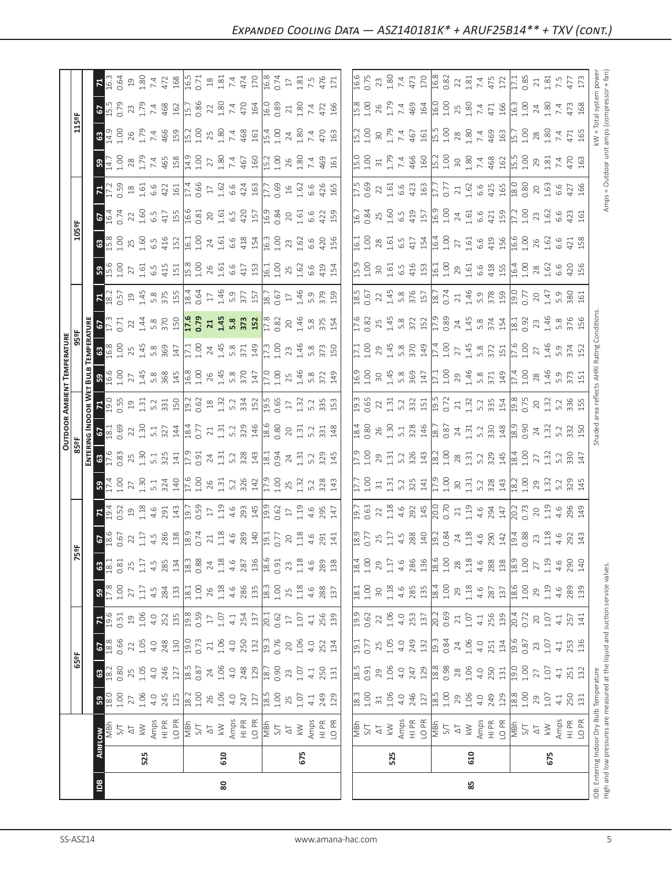| 85                                                                                                                                                                                                                                                                                                                                                                                                                                                                                                                                                                                                                                                                                                                                                                                                                                      |
|-----------------------------------------------------------------------------------------------------------------------------------------------------------------------------------------------------------------------------------------------------------------------------------------------------------------------------------------------------------------------------------------------------------------------------------------------------------------------------------------------------------------------------------------------------------------------------------------------------------------------------------------------------------------------------------------------------------------------------------------------------------------------------------------------------------------------------------------|
|                                                                                                                                                                                                                                                                                                                                                                                                                                                                                                                                                                                                                                                                                                                                                                                                                                         |
|                                                                                                                                                                                                                                                                                                                                                                                                                                                                                                                                                                                                                                                                                                                                                                                                                                         |
| IDB: Entering Indoor Dry Bulb Temperature<br>High and low pressures are measured at the li<br>610<br>675                                                                                                                                                                                                                                                                                                                                                                                                                                                                                                                                                                                                                                                                                                                                |
| $\begin{array}{rcl}\n\overline{AB} & \overline{AB} & \overline{BC} \\ \overline{AB} & \overline{AB} & \overline{BC} & \overline{BC} \\ \overline{AB} & \overline{AB} & \overline{BC} & \overline{BC} \\ \overline{AB} & \overline{BC} & \overline{BC} & \overline{BC} \\ \overline{AB} & \overline{BC} & \overline{BC} & \overline{BC} \\ \overline{BC} & \overline{BC} & \overline{BC} & \overline{BC} \\ \overline{BC} & \overline{BC} & \overline{BC} & \overline{BC} \\ \overline{BC} & \overline{BC} & \overline{BC} & \$<br>$\begin{array}{l} \hline \text{MBr} \\ \text{S/T} \\ \text{A} \rightarrow \text{S} \\ \text{A} \rightarrow \text{S} \\ \text{A} \rightarrow \text{S} \\ \text{A} \rightarrow \text{S} \\ \text{A} \rightarrow \text{S} \\ \text{A} \rightarrow \text{S} \\ \text{A} \rightarrow \text{S} \end{array}$ |
| $\begin{array}{c} 1.00 \\ 29 \\ 1.07 \\ 4.1 \\ 250 \\ 131 \end{array}$<br>$\frac{15}{20}$<br>$1.06$<br>$4.0$<br>$249$<br>$18.8$<br>29                                                                                                                                                                                                                                                                                                                                                                                                                                                                                                                                                                                                                                                                                                   |
| $\begin{array}{ l l } \hline 18.5 \\ \hline 0.91 \\ 2.9 \\ \hline 1.06 \\ 4.0 \\ 7.4 \\ \hline \end{array}$<br>$\begin{array}{c} 1.00 \\ 2.7 \\ 1.07 \\ 4.1 \\ 2.51 \\ 132 \\ \end{array}$<br>$1.06$<br>$4.0$<br>$250$<br>$19.0$<br>$19.0$                                                                                                                                                                                                                                                                                                                                                                                                                                                                                                                                                                                              |
| $\begin{bmatrix} 1 & 1 & 1 & 1 & 1 \\ 1 & 1 & 1 & 1 & 1 \\ 1 & 1 & 1 & 1 & 1 \\ 1 & 1 & 1 & 1 & 1 \\ 1 & 1 & 1 & 1 & 1 \\ 1 & 1 & 1 & 1 & 1 \\ 1 & 1 & 1 & 1 & 1 \\ 1 & 1 & 1 & 1 & 1 \\ 1 & 1 & 1 & 1 & 1 \\ 1 & 1 & 1 & 1 & 1 \\ 1 & 1 & 1 & 1 & 1 \\ 1 & 1 & 1 & 1 & 1 \\ 1 & 1 & 1 & 1 & 1 \\ 1 & 1 & 1 & 1 & 1 \\ 1 & $                                                                                                                                                                                                                                                                                                                                                                                                                                                                                                            |
|                                                                                                                                                                                                                                                                                                                                                                                                                                                                                                                                                                                                                                                                                                                                                                                                                                         |
| $\begin{array}{ l l }\hline 11.00 & 0.01 & 0.01 & 0.01 & 0.01 & 0.01 & 0.01 & 0.01 & 0.01 & 0.01 & 0.01 & 0.01 & 0.01 & 0.01 & 0.01 & 0.01 & 0.01 & 0.01 & 0.01 & 0.01 & 0.01 & 0.01 & 0.01 & 0.01 & 0.01 & 0.01 & 0.01 & 0.01 & 0.01 & 0.01 & 0.01 & 0.01 & 0.01 & 0.01 & 0$<br>$\begin{array}{c} 1.00 \\ 2.9 \\ 1.19 \\ 4.6 \\ 8.9 \\ 1.39 \end{array}$<br>$1.18$<br>$4.6$<br>$2.87$<br>$1.18$<br>$1.6$                                                                                                                                                                                                                                                                                                                                                                                                                               |
| $\frac{28}{4.6}$ $\frac{88}{130}$<br>$\begin{array}{c} 1.00 \\ 2.7 \\ 1.19 \\ 4.6 \\ 2.90 \\ 140 \\ \end{array}$<br>$\frac{136}{18.6}$<br>28                                                                                                                                                                                                                                                                                                                                                                                                                                                                                                                                                                                                                                                                                            |
| 0.075 5 5 5 5 6 7 6 7 6 7 7 8 7 7 7 8 7 7 7 7 8 7 7 7 8 7 7 7 8 7 7 7 8 7 7 7 8 7 7 7 8 7 7 7 8 7 7 7 8 7 7 7                                                                                                                                                                                                                                                                                                                                                                                                                                                                                                                                                                                                                                                                                                                           |
|                                                                                                                                                                                                                                                                                                                                                                                                                                                                                                                                                                                                                                                                                                                                                                                                                                         |
| -<br> 2002   2012   2013   2014   2014   2014   2024   2024   2024   2024   2024   2024   2024   2024   2024   2024                                                                                                                                                                                                                                                                                                                                                                                                                                                                                                                                                                                                                                                                                                                     |
| <br> 2000 12000 12000 12000 12000 12000 12000 12000 12000 12000 12000 12000 12000 12000 12000 12000 12000 12000 12<br> 2000 12000 12000 12000 12000 12000 12000 12000 12000 12000 12000 12000 12000 12000 12000 12000 12000 12000 1                                                                                                                                                                                                                                                                                                                                                                                                                                                                                                                                                                                                     |
|                                                                                                                                                                                                                                                                                                                                                                                                                                                                                                                                                                                                                                                                                                                                                                                                                                         |
|                                                                                                                                                                                                                                                                                                                                                                                                                                                                                                                                                                                                                                                                                                                                                                                                                                         |
| $\frac{17.18}{17.00}$ $\frac{29.48}{17.00}$ $\frac{37.48}{17.00}$ $\frac{37.48}{17.00}$ $\frac{37.48}{17.00}$<br>$1.45$ $5.8$ $7.51$ $1.50$ $1.51$ $1.50$ $1.51$ $1.52$ $1.52$ $1.52$ $1.52$ $1.52$                                                                                                                                                                                                                                                                                                                                                                                                                                                                                                                                                                                                                                     |
| $\begin{array}{l} \Gamma \circ \circ \\ \Gamma \circ \circ \\ \Gamma \circ \circ \\ \Gamma \circ \circ \\ \Gamma \circ \circ \\ \Gamma \circ \circ \\ \Gamma \circ \circ \\ \Gamma \circ \circ \\ \Gamma \circ \circ \\ \Gamma \circ \circ \\ \Gamma \circ \circ \\ \Gamma \circ \circ \\ \Gamma \circ \circ \\ \Gamma \circ \circ \\ \Gamma \circ \circ \\ \Gamma \circ \circ \\ \Gamma \circ \circ \\ \Gamma \circ \circ \\ \Gamma \circ \circ \\ \Gamma \circ \circ \\ \Gamma \circ \circ \\ \Gamma \circ \circ \\ \Gamma \circ \circ \\ \Gamma \circ \circ \\ \Gamma \circ \circ \\ \Gamma \circ \circ \\ \Gamma \circ \circ \\ \Gamma \circ \circ \\ \Gamma \circ \circ \\ \Gamma \circ \circ \\ \Gamma \$                                                                                                                         |
|                                                                                                                                                                                                                                                                                                                                                                                                                                                                                                                                                                                                                                                                                                                                                                                                                                         |
| $16.1$<br>$1.00$<br>$1.61$<br>$1.62$<br>$1.64$<br>$1.64$<br>$1.64$<br>$1.00$<br>$2.8$<br>$1.62$<br>$4.50$<br>$4.56$                                                                                                                                                                                                                                                                                                                                                                                                                                                                                                                                                                                                                                                                                                                     |
| $\frac{1}{16}$<br>$\frac{28}{16}$<br>$\frac{3}{16}$<br>$\frac{5}{16}$<br>$\frac{1}{16}$<br>$\frac{1}{16}$<br>$\frac{1}{16}$<br>$\frac{1}{16}$<br>$\begin{array}{c c} 1.61 & 0.9 & 0.00 & 0.00 & 0.00 & 0.00 & 0.00 & 0.00 & 0.00 & 0.00 & 0.00 & 0.00 & 0.00 & 0.00 & 0.00 & 0.00 & 0.00 & 0.00 & 0.00 & 0.00 & 0.00 & 0.00 & 0.00 & 0.00 & 0.00 & 0.00 & 0.00 & 0.00 & 0.00 & 0.00 & 0.00 & 0.00 & 0.00 & 0.00 & 0.00 & 0$<br>27                                                                                                                                                                                                                                                                                                                                                                                                       |
|                                                                                                                                                                                                                                                                                                                                                                                                                                                                                                                                                                                                                                                                                                                                                                                                                                         |
| $\frac{17.5}{17.50}$<br>$\frac{27.5}{1.61}$<br>$\frac{69.3}{64.21}$<br>$\frac{69.3}{17.7}$<br>$\frac{17.7}{17.7}$<br>$\begin{array}{c c} 1.62 & 0.80 & 0.80 \\ 0.6 & 0.70 & 0.80 & 0.80 \\ 0.80 & 0.80 & 0.60 & 0.70 \\ 0.80 & 0.80 & 0.60 & 0.70 \\ 0.80 & 0.80 & 0.70 & 0.70 \\ 0.80 & 0.80 & 0.70 & 0.70 \\ 0.80 & 0.80 & 0.70 & 0.70 \\ 0.80 & 0.80 & 0.70 & 0.70 \\ 0.80 & 0.80 & 0.70 & 0.70 \\ 0$                                                                                                                                                                                                                                                                                                                                                                                                                                |
|                                                                                                                                                                                                                                                                                                                                                                                                                                                                                                                                                                                                                                                                                                                                                                                                                                         |
| $7.4$<br>471<br>165                                                                                                                                                                                                                                                                                                                                                                                                                                                                                                                                                                                                                                                                                                                                                                                                                     |
| $\begin{array}{l} \boxed{15} \\ 1 \text{ } \boxed{2} \\ 1 \text{ } \boxed{3} \\ 2 \text{ } \boxed{4} \\ 3 \text{ } \boxed{5} \\ 4 \text{ } \boxed{4} \\ 5 \text{ } \boxed{6} \\ 6 \text{ } \boxed{2} \\ 7 \text{ } \boxed{2} \\ 8 \text{ } \boxed{2} \\ 9 \text{ } \boxed{2} \\ 1 \text{ } \boxed{2} \\ 1 \text{ } \boxed{2} \\ 1 \text{ } \boxed{3} \\ 1 \text{ } \boxed{4} \\ 1 \text{ } \boxed{2} \\ 1 \text{ } \boxed{2} \\ 1 \text{ } \boxed{4} \\ 1$                                                                                                                                                                                                                                                                                                                                                                              |
|                                                                                                                                                                                                                                                                                                                                                                                                                                                                                                                                                                                                                                                                                                                                                                                                                                         |
| 7.5<br>477<br>173                                                                                                                                                                                                                                                                                                                                                                                                                                                                                                                                                                                                                                                                                                                                                                                                                       |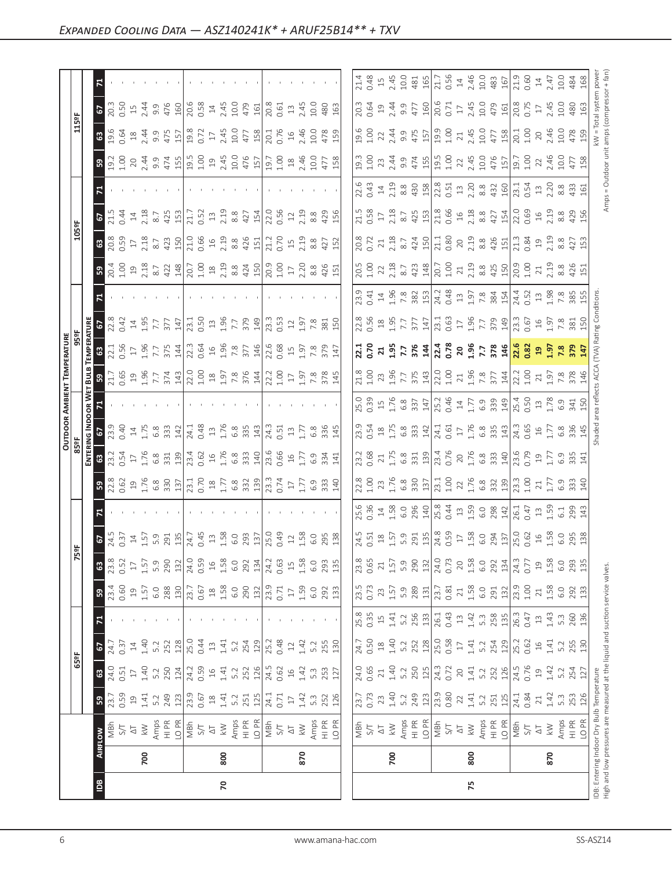|                |     |                                                                                                                            |            |                 |                |                                           |                    |                 |                                                                                                                                                                                                                                                                                                                                                                                              |                                                                                                                                                                                                                                                                                                                                                           |                                                                                                                                                                                                                                                                                                                                                       |                                                                                                                                                                                                                                                                                                                                                                                                                  | <b>OUTDOOR AMBIENT TEMPERATURI</b>                                                                                                                                                                                                                                                                                                                                          |                                                                                                                                                                                                                                                                                                             |                                                                                                                                                                                                                                                                                                                         |                                                                                                                                                                                                                                                                                                                              |                                                                                                                                                                                                                                                                                                                     |                   |                                                                                                                                                                                                                                                                                                                                                                                                   |                                                                                                                                                                                                                                   |                                                                                                                                                             |                                                                                                                                                                                                                                                                                             |      |
|----------------|-----|----------------------------------------------------------------------------------------------------------------------------|------------|-----------------|----------------|-------------------------------------------|--------------------|-----------------|----------------------------------------------------------------------------------------------------------------------------------------------------------------------------------------------------------------------------------------------------------------------------------------------------------------------------------------------------------------------------------------------|-----------------------------------------------------------------------------------------------------------------------------------------------------------------------------------------------------------------------------------------------------------------------------------------------------------------------------------------------------------|-------------------------------------------------------------------------------------------------------------------------------------------------------------------------------------------------------------------------------------------------------------------------------------------------------------------------------------------------------|------------------------------------------------------------------------------------------------------------------------------------------------------------------------------------------------------------------------------------------------------------------------------------------------------------------------------------------------------------------------------------------------------------------|-----------------------------------------------------------------------------------------------------------------------------------------------------------------------------------------------------------------------------------------------------------------------------------------------------------------------------------------------------------------------------|-------------------------------------------------------------------------------------------------------------------------------------------------------------------------------------------------------------------------------------------------------------------------------------------------------------|-------------------------------------------------------------------------------------------------------------------------------------------------------------------------------------------------------------------------------------------------------------------------------------------------------------------------|------------------------------------------------------------------------------------------------------------------------------------------------------------------------------------------------------------------------------------------------------------------------------------------------------------------------------|---------------------------------------------------------------------------------------------------------------------------------------------------------------------------------------------------------------------------------------------------------------------------------------------------------------------|-------------------|---------------------------------------------------------------------------------------------------------------------------------------------------------------------------------------------------------------------------------------------------------------------------------------------------------------------------------------------------------------------------------------------------|-----------------------------------------------------------------------------------------------------------------------------------------------------------------------------------------------------------------------------------|-------------------------------------------------------------------------------------------------------------------------------------------------------------|---------------------------------------------------------------------------------------------------------------------------------------------------------------------------------------------------------------------------------------------------------------------------------------------|------|
|                |     |                                                                                                                            |            | 65°F            |                |                                           |                    |                 | 5°F                                                                                                                                                                                                                                                                                                                                                                                          |                                                                                                                                                                                                                                                                                                                                                           |                                                                                                                                                                                                                                                                                                                                                       |                                                                                                                                                                                                                                                                                                                                                                                                                  |                                                                                                                                                                                                                                                                                                                                                                             |                                                                                                                                                                                                                                                                                                             |                                                                                                                                                                                                                                                                                                                         |                                                                                                                                                                                                                                                                                                                              |                                                                                                                                                                                                                                                                                                                     | 105°F             |                                                                                                                                                                                                                                                                                                                                                                                                   |                                                                                                                                                                                                                                   | 115°F                                                                                                                                                       |                                                                                                                                                                                                                                                                                             |      |
|                |     |                                                                                                                            |            |                 |                |                                           |                    |                 |                                                                                                                                                                                                                                                                                                                                                                                              |                                                                                                                                                                                                                                                                                                                                                           |                                                                                                                                                                                                                                                                                                                                                       |                                                                                                                                                                                                                                                                                                                                                                                                                  |                                                                                                                                                                                                                                                                                                                                                                             |                                                                                                                                                                                                                                                                                                             |                                                                                                                                                                                                                                                                                                                         |                                                                                                                                                                                                                                                                                                                              |                                                                                                                                                                                                                                                                                                                     |                   |                                                                                                                                                                                                                                                                                                                                                                                                   |                                                                                                                                                                                                                                   |                                                                                                                                                             |                                                                                                                                                                                                                                                                                             |      |
| $\overline{a}$ |     | AIRFLOW                                                                                                                    | ${\tt S}$  | $\mathbbmss{3}$ | 2              | $\mathbf{z}$                              | ${\tt S}$          | $\mathbbmss{3}$ |                                                                                                                                                                                                                                                                                                                                                                                              |                                                                                                                                                                                                                                                                                                                                                           |                                                                                                                                                                                                                                                                                                                                                       |                                                                                                                                                                                                                                                                                                                                                                                                                  |                                                                                                                                                                                                                                                                                                                                                                             |                                                                                                                                                                                                                                                                                                             |                                                                                                                                                                                                                                                                                                                         |                                                                                                                                                                                                                                                                                                                              |                                                                                                                                                                                                                                                                                                                     |                   | $rac{67}{21.5}$                                                                                                                                                                                                                                                                                                                                                                                   |                                                                                                                                                                                                                                   |                                                                                                                                                             | $S_{0.50}$                                                                                                                                                                                                                                                                                  |      |
|                |     | MBh                                                                                                                        | 23.7       | 24.0            | 24.7           |                                           | 23.4               | 23.8            |                                                                                                                                                                                                                                                                                                                                                                                              |                                                                                                                                                                                                                                                                                                                                                           |                                                                                                                                                                                                                                                                                                                                                       |                                                                                                                                                                                                                                                                                                                                                                                                                  |                                                                                                                                                                                                                                                                                                                                                                             |                                                                                                                                                                                                                                                                                                             | 22.8                                                                                                                                                                                                                                                                                                                    |                                                                                                                                                                                                                                                                                                                              |                                                                                                                                                                                                                                                                                                                     |                   |                                                                                                                                                                                                                                                                                                                                                                                                   |                                                                                                                                                                                                                                   |                                                                                                                                                             |                                                                                                                                                                                                                                                                                             |      |
|                |     | 5/7                                                                                                                        | 0.59       | 0.51            | 0.37           |                                           | 0.60               | 0.52            |                                                                                                                                                                                                                                                                                                                                                                                              |                                                                                                                                                                                                                                                                                                                                                           |                                                                                                                                                                                                                                                                                                                                                       |                                                                                                                                                                                                                                                                                                                                                                                                                  |                                                                                                                                                                                                                                                                                                                                                                             |                                                                                                                                                                                                                                                                                                             |                                                                                                                                                                                                                                                                                                                         |                                                                                                                                                                                                                                                                                                                              |                                                                                                                                                                                                                                                                                                                     |                   |                                                                                                                                                                                                                                                                                                                                                                                                   |                                                                                                                                                                                                                                   |                                                                                                                                                             |                                                                                                                                                                                                                                                                                             |      |
|                |     | $\overline{\circ}$                                                                                                         | $\Xi$      | $\Box$          | 14             |                                           | 1.57               | $\Box$          |                                                                                                                                                                                                                                                                                                                                                                                              |                                                                                                                                                                                                                                                                                                                                                           |                                                                                                                                                                                                                                                                                                                                                       |                                                                                                                                                                                                                                                                                                                                                                                                                  |                                                                                                                                                                                                                                                                                                                                                                             |                                                                                                                                                                                                                                                                                                             |                                                                                                                                                                                                                                                                                                                         |                                                                                                                                                                                                                                                                                                                              |                                                                                                                                                                                                                                                                                                                     |                   | $\frac{14}{2.18}$                                                                                                                                                                                                                                                                                                                                                                                 |                                                                                                                                                                                                                                   | $\frac{63}{96}$ $\frac{6}{94}$ $\frac{8}{44}$                                                                                                               | $15$<br>$2.44$                                                                                                                                                                                                                                                                              |      |
|                | 700 | $\lesssim$                                                                                                                 | 1.41       | 1.40            | 1.40           |                                           |                    | 1.57            |                                                                                                                                                                                                                                                                                                                                                                                              |                                                                                                                                                                                                                                                                                                                                                           |                                                                                                                                                                                                                                                                                                                                                       |                                                                                                                                                                                                                                                                                                                                                                                                                  |                                                                                                                                                                                                                                                                                                                                                                             |                                                                                                                                                                                                                                                                                                             |                                                                                                                                                                                                                                                                                                                         |                                                                                                                                                                                                                                                                                                                              |                                                                                                                                                                                                                                                                                                                     |                   |                                                                                                                                                                                                                                                                                                                                                                                                   |                                                                                                                                                                                                                                   |                                                                                                                                                             |                                                                                                                                                                                                                                                                                             |      |
|                |     | Amps<br>HI PR                                                                                                              | 5.2        | 5.2             | 5.2            |                                           | 6.0                | 5.9             |                                                                                                                                                                                                                                                                                                                                                                                              |                                                                                                                                                                                                                                                                                                                                                           |                                                                                                                                                                                                                                                                                                                                                       |                                                                                                                                                                                                                                                                                                                                                                                                                  |                                                                                                                                                                                                                                                                                                                                                                             |                                                                                                                                                                                                                                                                                                             |                                                                                                                                                                                                                                                                                                                         |                                                                                                                                                                                                                                                                                                                              |                                                                                                                                                                                                                                                                                                                     |                   | 8.7                                                                                                                                                                                                                                                                                                                                                                                               |                                                                                                                                                                                                                                   |                                                                                                                                                             |                                                                                                                                                                                                                                                                                             |      |
|                |     |                                                                                                                            | 249        | 250             | 252            |                                           | 288                | 290             | $\frac{1}{6} \frac{1}{2} \frac{1}{2} \frac{1}{2} \frac{1}{2} \frac{1}{2} \frac{1}{2} \frac{1}{2} \frac{1}{2} \frac{1}{2} \frac{1}{2} \frac{1}{2} \frac{1}{2} \frac{1}{2} \frac{1}{2} \frac{1}{2} \frac{1}{2} \frac{1}{2} \frac{1}{2} \frac{1}{2} \frac{1}{2} \frac{1}{2} \frac{1}{2} \frac{1}{2} \frac{1}{2} \frac{1}{2} \frac{1}{2} \frac{1}{2} \frac{1}{2} \frac{1}{2} \frac{1}{2} \frac{$ | $3\frac{8}{2}$ $\frac{8}{2}$ $\frac{6}{5}$ $\frac{6}{2}$ $\frac{8}{5}$ $\frac{8}{3}$ $\frac{8}{2}$ $\frac{1}{2}$ $\frac{1}{6}$ $\frac{1}{6}$ $\frac{8}{2}$ $\frac{8}{2}$ $\frac{8}{2}$ $\frac{8}{2}$ $\frac{8}{2}$ $\frac{8}{2}$ $\frac{8}{2}$ $\frac{8}{2}$ $\frac{8}{2}$ $\frac{8}{2}$ $\frac{8}{2}$ $\frac{8}{2}$ $\frac{8}{2}$ $\frac{8}{2}$ $\frac{$ | $3\frac{3}{2}$ $\frac{3}{2}$ $\frac{5}{2}$ $\frac{6}{2}$ $\frac{8}{2}$ $\frac{3}{2}$ $\frac{3}{2}$ $\frac{13}{2}$ $\frac{3}{2}$ $\frac{6}{2}$ $\frac{6}{2}$ $\frac{8}{2}$ $\frac{3}{2}$ $\frac{13}{2}$ $\frac{3}{2}$ $\frac{3}{2}$ $\frac{13}{2}$ $\frac{3}{2}$ $\frac{3}{2}$ $\frac{4}{2}$ $\frac{13}{2}$ $\frac{3}{2}$ $\frac{4}{2}$ $\frac{13}{2}$ | $S$ 3 3 4 5 6 8 7 6 7 7 8 9 7 7 8 9 7 7 8 9 7 7 8 9 7 7 8 9 7 7 8 9 7 7 8 9 7 7 8 9 7 7 8 9 7 7 8 9 7 7 8 9 7 7 8 9 7 7 8 9 7 7 8 9 7 7 8 9 7 7 8 9 7 7 8 9 7 7 8 9 7 7 8 9 7 7 8 9 7 7 8 9 7 7 7 8 9 7 7 7 8 9 7 7 7 8 9 7 7                                                                                                                                                                                    | $B$ $\overline{C}$ $\overline{C}$ $\overline{D}$ $\overline{D}$ $\overline{D}$ $\overline{D}$ $\overline{D}$ $\overline{D}$ $\overline{D}$ $\overline{D}$ $\overline{D}$ $\overline{D}$ $\overline{D}$ $\overline{D}$ $\overline{D}$ $\overline{D}$ $\overline{D}$ $\overline{D}$ $\overline{D}$ $\overline{D}$ $\overline{D}$ $\overline{D}$ $\overline{D}$ $\overline{D}$ | $3\frac{1}{2}$ $2\frac{1}{2}$ $5\frac{1}{2}$ $5\frac{1}{2}$ $7\frac{1}{2}$ $8\frac{1}{2}$ $1\frac{1}{2}$ $1\frac{1}{2}$ $1\frac{1}{2}$ $1\frac{1}{2}$ $1\frac{1}{2}$ $1\frac{1}{2}$ $1\frac{1}{2}$ $1\frac{1}{2}$ $1\frac{1}{2}$ $1\frac{1}{2}$ $1\frac{1}{2}$ $1\frac{1}{2}$ $1\frac{1}{2}$ $1\frac{1}{2}$ | $\begin{array}{c} 1 \  \  \, 1 \  \  \, 1 \  \  \, 2 \  \  \, 2 \  \  \, 2 \  \  \, 2 \  \  \, 2 \  \  \, 2 \  \  \, 2 \  \  \, 2 \  \  \, 2 \  \  \, 2 \  \  \, 2 \  \  \, 2 \  \  \, 2 \  \  \, 2 \  \  \, 2 \  \  \, 2 \  \  \, 2 \  \  \, 2 \  \  \, 2 \  \  \, 2 \  \  \, 2 \  \  \, 2 \  \  \, 2 \  \  \, 2 \  \$ |                                                                                                                                                                                                                                                                                                                              | $\frac{1}{2}$ $\frac{1}{2}$ $\frac{1}{2}$ $\frac{1}{2}$ $\frac{1}{2}$ $\frac{1}{2}$ $\frac{1}{2}$ $\frac{1}{2}$ $\frac{1}{2}$ $\frac{1}{2}$ $\frac{1}{2}$ $\frac{1}{2}$ $\frac{1}{2}$ $\frac{1}{2}$ $\frac{1}{2}$ $\frac{1}{2}$ $\frac{1}{2}$ $\frac{1}{2}$ $\frac{1}{2}$ $\frac{1}{2}$ $\frac{1}{2}$ $\frac{1}{2}$ |                   | 425                                                                                                                                                                                                                                                                                                                                                                                               |                                                                                                                                                                                                                                   | $\frac{955}{42}$<br>$\frac{55}{42}$<br>$\frac{225}{42}$<br>$\frac{255}{42}$<br>$\frac{255}{42}$<br>$\frac{255}{42}$<br>$\frac{255}{42}$<br>$\frac{255}{42}$ | $\begin{array}{c} 9.987 \\ 9.760 \\ 10.600 \\ 10.600 \\ 10.600 \\ 10.600 \\ 10.600 \\ 10.600 \\ 10.600 \\ 10.600 \\ 10.600 \\ 10.600 \\ 10.600 \\ 10.600 \\ 10.600 \\ 10.600 \\ 10.600 \\ 10.600 \\ 10.600 \\ 10.600 \\ 10.600 \\ 10.600 \\ 10.600 \\ 10.600 \\ 10.600 \\ 10.600 \\ 10.600$ |      |
|                |     | LO PR                                                                                                                      | 123        | 124             | 128            |                                           | 130                | 132             |                                                                                                                                                                                                                                                                                                                                                                                              |                                                                                                                                                                                                                                                                                                                                                           |                                                                                                                                                                                                                                                                                                                                                       |                                                                                                                                                                                                                                                                                                                                                                                                                  |                                                                                                                                                                                                                                                                                                                                                                             |                                                                                                                                                                                                                                                                                                             |                                                                                                                                                                                                                                                                                                                         |                                                                                                                                                                                                                                                                                                                              |                                                                                                                                                                                                                                                                                                                     |                   | 153                                                                                                                                                                                                                                                                                                                                                                                               |                                                                                                                                                                                                                                   |                                                                                                                                                             |                                                                                                                                                                                                                                                                                             |      |
|                |     | $\frac{1}{48M}$                                                                                                            | 23.9       | 24.2            | 25.0           |                                           | 23.7               | 24.0            |                                                                                                                                                                                                                                                                                                                                                                                              |                                                                                                                                                                                                                                                                                                                                                           |                                                                                                                                                                                                                                                                                                                                                       |                                                                                                                                                                                                                                                                                                                                                                                                                  |                                                                                                                                                                                                                                                                                                                                                                             |                                                                                                                                                                                                                                                                                                             |                                                                                                                                                                                                                                                                                                                         |                                                                                                                                                                                                                                                                                                                              |                                                                                                                                                                                                                                                                                                                     |                   | 21.7<br>0.52<br>13                                                                                                                                                                                                                                                                                                                                                                                |                                                                                                                                                                                                                                   |                                                                                                                                                             |                                                                                                                                                                                                                                                                                             |      |
|                |     |                                                                                                                            | 0.67       | 0.59            | 0.44           |                                           | 0.67               | 0.59            |                                                                                                                                                                                                                                                                                                                                                                                              |                                                                                                                                                                                                                                                                                                                                                           |                                                                                                                                                                                                                                                                                                                                                       |                                                                                                                                                                                                                                                                                                                                                                                                                  |                                                                                                                                                                                                                                                                                                                                                                             |                                                                                                                                                                                                                                                                                                             |                                                                                                                                                                                                                                                                                                                         |                                                                                                                                                                                                                                                                                                                              |                                                                                                                                                                                                                                                                                                                     |                   |                                                                                                                                                                                                                                                                                                                                                                                                   |                                                                                                                                                                                                                                   |                                                                                                                                                             |                                                                                                                                                                                                                                                                                             |      |
|                |     | $\overline{\triangle}$                                                                                                     | $^{28}$    | $16$            | $13$           |                                           | $\frac{8}{18}$     | $\frac{16}{1}$  |                                                                                                                                                                                                                                                                                                                                                                                              |                                                                                                                                                                                                                                                                                                                                                           |                                                                                                                                                                                                                                                                                                                                                       |                                                                                                                                                                                                                                                                                                                                                                                                                  |                                                                                                                                                                                                                                                                                                                                                                             |                                                                                                                                                                                                                                                                                                             |                                                                                                                                                                                                                                                                                                                         |                                                                                                                                                                                                                                                                                                                              |                                                                                                                                                                                                                                                                                                                     |                   |                                                                                                                                                                                                                                                                                                                                                                                                   |                                                                                                                                                                                                                                   |                                                                                                                                                             |                                                                                                                                                                                                                                                                                             |      |
| 20             | 800 | $\gtrapprox$                                                                                                               | 1.41       | 1.41            | 1.41           |                                           | 1.58               | 1.58            |                                                                                                                                                                                                                                                                                                                                                                                              |                                                                                                                                                                                                                                                                                                                                                           |                                                                                                                                                                                                                                                                                                                                                       |                                                                                                                                                                                                                                                                                                                                                                                                                  |                                                                                                                                                                                                                                                                                                                                                                             |                                                                                                                                                                                                                                                                                                             |                                                                                                                                                                                                                                                                                                                         |                                                                                                                                                                                                                                                                                                                              |                                                                                                                                                                                                                                                                                                                     |                   |                                                                                                                                                                                                                                                                                                                                                                                                   |                                                                                                                                                                                                                                   |                                                                                                                                                             |                                                                                                                                                                                                                                                                                             |      |
|                |     | Amps                                                                                                                       | 5.2        | 5.2             | 5.2            |                                           | 6.0                | 6.0             |                                                                                                                                                                                                                                                                                                                                                                                              |                                                                                                                                                                                                                                                                                                                                                           |                                                                                                                                                                                                                                                                                                                                                       |                                                                                                                                                                                                                                                                                                                                                                                                                  |                                                                                                                                                                                                                                                                                                                                                                             |                                                                                                                                                                                                                                                                                                             |                                                                                                                                                                                                                                                                                                                         |                                                                                                                                                                                                                                                                                                                              |                                                                                                                                                                                                                                                                                                                     |                   |                                                                                                                                                                                                                                                                                                                                                                                                   |                                                                                                                                                                                                                                   |                                                                                                                                                             |                                                                                                                                                                                                                                                                                             |      |
|                |     | $\frac{PR}{T}$                                                                                                             | 251<br>125 | 252             | 254            |                                           | 290                | 292             |                                                                                                                                                                                                                                                                                                                                                                                              |                                                                                                                                                                                                                                                                                                                                                           |                                                                                                                                                                                                                                                                                                                                                       |                                                                                                                                                                                                                                                                                                                                                                                                                  |                                                                                                                                                                                                                                                                                                                                                                             |                                                                                                                                                                                                                                                                                                             |                                                                                                                                                                                                                                                                                                                         |                                                                                                                                                                                                                                                                                                                              |                                                                                                                                                                                                                                                                                                                     |                   | $2.38$ $8.3$ $15/2$<br>$8.3$ $15/2$<br>$15/2$<br>$15/2$<br>$15/2$                                                                                                                                                                                                                                                                                                                                 |                                                                                                                                                                                                                                   |                                                                                                                                                             |                                                                                                                                                                                                                                                                                             |      |
|                |     | LO <sub>PR</sub>                                                                                                           |            | 126             | 129            |                                           | 132                | 134             |                                                                                                                                                                                                                                                                                                                                                                                              |                                                                                                                                                                                                                                                                                                                                                           |                                                                                                                                                                                                                                                                                                                                                       |                                                                                                                                                                                                                                                                                                                                                                                                                  |                                                                                                                                                                                                                                                                                                                                                                             |                                                                                                                                                                                                                                                                                                             |                                                                                                                                                                                                                                                                                                                         |                                                                                                                                                                                                                                                                                                                              |                                                                                                                                                                                                                                                                                                                     |                   |                                                                                                                                                                                                                                                                                                                                                                                                   |                                                                                                                                                                                                                                   |                                                                                                                                                             |                                                                                                                                                                                                                                                                                             |      |
|                |     | NBh                                                                                                                        | 24.1       | 24.5            | 25.2           |                                           |                    | 24.2            |                                                                                                                                                                                                                                                                                                                                                                                              |                                                                                                                                                                                                                                                                                                                                                           |                                                                                                                                                                                                                                                                                                                                                       |                                                                                                                                                                                                                                                                                                                                                                                                                  |                                                                                                                                                                                                                                                                                                                                                                             |                                                                                                                                                                                                                                                                                                             |                                                                                                                                                                                                                                                                                                                         |                                                                                                                                                                                                                                                                                                                              |                                                                                                                                                                                                                                                                                                                     |                   |                                                                                                                                                                                                                                                                                                                                                                                                   |                                                                                                                                                                                                                                   |                                                                                                                                                             |                                                                                                                                                                                                                                                                                             |      |
|                |     | $5/1$                                                                                                                      | 0.71       | 0.62            | 0.48           |                                           | 23.9<br>0.71       | 0.63            |                                                                                                                                                                                                                                                                                                                                                                                              |                                                                                                                                                                                                                                                                                                                                                           |                                                                                                                                                                                                                                                                                                                                                       |                                                                                                                                                                                                                                                                                                                                                                                                                  |                                                                                                                                                                                                                                                                                                                                                                             |                                                                                                                                                                                                                                                                                                             |                                                                                                                                                                                                                                                                                                                         |                                                                                                                                                                                                                                                                                                                              |                                                                                                                                                                                                                                                                                                                     |                   |                                                                                                                                                                                                                                                                                                                                                                                                   |                                                                                                                                                                                                                                   |                                                                                                                                                             |                                                                                                                                                                                                                                                                                             |      |
|                |     | $\overline{\Delta}$                                                                                                        | $\Box$     | $\frac{1}{2}$   | $12$           |                                           | $\Box$             | 15              |                                                                                                                                                                                                                                                                                                                                                                                              |                                                                                                                                                                                                                                                                                                                                                           |                                                                                                                                                                                                                                                                                                                                                       |                                                                                                                                                                                                                                                                                                                                                                                                                  |                                                                                                                                                                                                                                                                                                                                                                             |                                                                                                                                                                                                                                                                                                             |                                                                                                                                                                                                                                                                                                                         |                                                                                                                                                                                                                                                                                                                              |                                                                                                                                                                                                                                                                                                                     |                   |                                                                                                                                                                                                                                                                                                                                                                                                   |                                                                                                                                                                                                                                   |                                                                                                                                                             |                                                                                                                                                                                                                                                                                             |      |
|                | 870 | $\leq$                                                                                                                     | 1.42       | 1.42            | 1.42           |                                           | 1.59               | 1.58            |                                                                                                                                                                                                                                                                                                                                                                                              |                                                                                                                                                                                                                                                                                                                                                           |                                                                                                                                                                                                                                                                                                                                                       |                                                                                                                                                                                                                                                                                                                                                                                                                  |                                                                                                                                                                                                                                                                                                                                                                             |                                                                                                                                                                                                                                                                                                             |                                                                                                                                                                                                                                                                                                                         |                                                                                                                                                                                                                                                                                                                              |                                                                                                                                                                                                                                                                                                                     | $15$<br>$2.19$    | 2.19                                                                                                                                                                                                                                                                                                                                                                                              |                                                                                                                                                                                                                                   |                                                                                                                                                             |                                                                                                                                                                                                                                                                                             |      |
|                |     | Amps                                                                                                                       | 5.3        | 5.3             | 5.2            |                                           | 6.0                | 6.0             |                                                                                                                                                                                                                                                                                                                                                                                              |                                                                                                                                                                                                                                                                                                                                                           |                                                                                                                                                                                                                                                                                                                                                       |                                                                                                                                                                                                                                                                                                                                                                                                                  |                                                                                                                                                                                                                                                                                                                                                                             |                                                                                                                                                                                                                                                                                                             |                                                                                                                                                                                                                                                                                                                         |                                                                                                                                                                                                                                                                                                                              |                                                                                                                                                                                                                                                                                                                     |                   |                                                                                                                                                                                                                                                                                                                                                                                                   |                                                                                                                                                                                                                                   |                                                                                                                                                             |                                                                                                                                                                                                                                                                                             |      |
|                |     | $\frac{R}{L}$                                                                                                              | 252        | 253             | 255            |                                           | 292                | 293             |                                                                                                                                                                                                                                                                                                                                                                                              |                                                                                                                                                                                                                                                                                                                                                           |                                                                                                                                                                                                                                                                                                                                                       |                                                                                                                                                                                                                                                                                                                                                                                                                  |                                                                                                                                                                                                                                                                                                                                                                             |                                                                                                                                                                                                                                                                                                             |                                                                                                                                                                                                                                                                                                                         |                                                                                                                                                                                                                                                                                                                              |                                                                                                                                                                                                                                                                                                                     |                   |                                                                                                                                                                                                                                                                                                                                                                                                   |                                                                                                                                                                                                                                   |                                                                                                                                                             |                                                                                                                                                                                                                                                                                             |      |
|                |     | LO PR                                                                                                                      | 126        | 127             | 130            |                                           | 133                | 135             |                                                                                                                                                                                                                                                                                                                                                                                              |                                                                                                                                                                                                                                                                                                                                                           |                                                                                                                                                                                                                                                                                                                                                       |                                                                                                                                                                                                                                                                                                                                                                                                                  |                                                                                                                                                                                                                                                                                                                                                                             |                                                                                                                                                                                                                                                                                                             |                                                                                                                                                                                                                                                                                                                         |                                                                                                                                                                                                                                                                                                                              |                                                                                                                                                                                                                                                                                                                     | 8.8<br>427<br>152 | 8.8<br>429<br>156                                                                                                                                                                                                                                                                                                                                                                                 |                                                                                                                                                                                                                                   | $16$ $0.08$ $0.08$ $0.08$ $0.08$                                                                                                                            |                                                                                                                                                                                                                                                                                             |      |
|                |     |                                                                                                                            |            |                 |                |                                           |                    |                 |                                                                                                                                                                                                                                                                                                                                                                                              |                                                                                                                                                                                                                                                                                                                                                           |                                                                                                                                                                                                                                                                                                                                                       |                                                                                                                                                                                                                                                                                                                                                                                                                  |                                                                                                                                                                                                                                                                                                                                                                             |                                                                                                                                                                                                                                                                                                             |                                                                                                                                                                                                                                                                                                                         |                                                                                                                                                                                                                                                                                                                              |                                                                                                                                                                                                                                                                                                                     |                   |                                                                                                                                                                                                                                                                                                                                                                                                   |                                                                                                                                                                                                                                   |                                                                                                                                                             |                                                                                                                                                                                                                                                                                             |      |
|                |     |                                                                                                                            | 23.7       | 24.0            | 24.7           | 25.8                                      | 23.5               | 23.8            |                                                                                                                                                                                                                                                                                                                                                                                              |                                                                                                                                                                                                                                                                                                                                                           |                                                                                                                                                                                                                                                                                                                                                       |                                                                                                                                                                                                                                                                                                                                                                                                                  |                                                                                                                                                                                                                                                                                                                                                                             |                                                                                                                                                                                                                                                                                                             |                                                                                                                                                                                                                                                                                                                         |                                                                                                                                                                                                                                                                                                                              |                                                                                                                                                                                                                                                                                                                     |                   |                                                                                                                                                                                                                                                                                                                                                                                                   |                                                                                                                                                                                                                                   |                                                                                                                                                             |                                                                                                                                                                                                                                                                                             |      |
|                |     | NBh<br>S/T                                                                                                                 | 0.73       | 0.65            | 0.50           | 0.35                                      | 0.73               | 0.65            |                                                                                                                                                                                                                                                                                                                                                                                              |                                                                                                                                                                                                                                                                                                                                                           |                                                                                                                                                                                                                                                                                                                                                       |                                                                                                                                                                                                                                                                                                                                                                                                                  |                                                                                                                                                                                                                                                                                                                                                                             |                                                                                                                                                                                                                                                                                                             |                                                                                                                                                                                                                                                                                                                         |                                                                                                                                                                                                                                                                                                                              |                                                                                                                                                                                                                                                                                                                     |                   |                                                                                                                                                                                                                                                                                                                                                                                                   |                                                                                                                                                                                                                                   |                                                                                                                                                             |                                                                                                                                                                                                                                                                                             |      |
|                |     | $\overline{\circ}$                                                                                                         | 23         | 21              | $\frac{8}{18}$ | $15$                                      | 23                 | 21              |                                                                                                                                                                                                                                                                                                                                                                                              |                                                                                                                                                                                                                                                                                                                                                           |                                                                                                                                                                                                                                                                                                                                                       |                                                                                                                                                                                                                                                                                                                                                                                                                  |                                                                                                                                                                                                                                                                                                                                                                             |                                                                                                                                                                                                                                                                                                             |                                                                                                                                                                                                                                                                                                                         |                                                                                                                                                                                                                                                                                                                              |                                                                                                                                                                                                                                                                                                                     |                   |                                                                                                                                                                                                                                                                                                                                                                                                   |                                                                                                                                                                                                                                   |                                                                                                                                                             |                                                                                                                                                                                                                                                                                             |      |
|                | 700 | $\gtrapprox$                                                                                                               | 1.40       | 1.40            | 1.40           | 1.41                                      | 1.57               | $1.57$          |                                                                                                                                                                                                                                                                                                                                                                                              |                                                                                                                                                                                                                                                                                                                                                           |                                                                                                                                                                                                                                                                                                                                                       |                                                                                                                                                                                                                                                                                                                                                                                                                  |                                                                                                                                                                                                                                                                                                                                                                             |                                                                                                                                                                                                                                                                                                             |                                                                                                                                                                                                                                                                                                                         |                                                                                                                                                                                                                                                                                                                              |                                                                                                                                                                                                                                                                                                                     |                   |                                                                                                                                                                                                                                                                                                                                                                                                   |                                                                                                                                                                                                                                   |                                                                                                                                                             |                                                                                                                                                                                                                                                                                             |      |
|                |     |                                                                                                                            | 5.2        | 5.2             | 5.2            | 5.2                                       | 5.9                | 5.9             |                                                                                                                                                                                                                                                                                                                                                                                              |                                                                                                                                                                                                                                                                                                                                                           |                                                                                                                                                                                                                                                                                                                                                       |                                                                                                                                                                                                                                                                                                                                                                                                                  |                                                                                                                                                                                                                                                                                                                                                                             |                                                                                                                                                                                                                                                                                                             |                                                                                                                                                                                                                                                                                                                         |                                                                                                                                                                                                                                                                                                                              |                                                                                                                                                                                                                                                                                                                     |                   |                                                                                                                                                                                                                                                                                                                                                                                                   |                                                                                                                                                                                                                                   |                                                                                                                                                             |                                                                                                                                                                                                                                                                                             |      |
|                |     | Amps<br>HI PR                                                                                                              | 249        | 250             | 252            | 256                                       | 289                | 290             |                                                                                                                                                                                                                                                                                                                                                                                              |                                                                                                                                                                                                                                                                                                                                                           |                                                                                                                                                                                                                                                                                                                                                       |                                                                                                                                                                                                                                                                                                                                                                                                                  |                                                                                                                                                                                                                                                                                                                                                                             |                                                                                                                                                                                                                                                                                                             |                                                                                                                                                                                                                                                                                                                         |                                                                                                                                                                                                                                                                                                                              |                                                                                                                                                                                                                                                                                                                     |                   |                                                                                                                                                                                                                                                                                                                                                                                                   |                                                                                                                                                                                                                                   |                                                                                                                                                             |                                                                                                                                                                                                                                                                                             |      |
|                |     | LO <sub>PR</sub>                                                                                                           | 123        | 125             | 128            | 133                                       | 131                | 132             |                                                                                                                                                                                                                                                                                                                                                                                              |                                                                                                                                                                                                                                                                                                                                                           |                                                                                                                                                                                                                                                                                                                                                       |                                                                                                                                                                                                                                                                                                                                                                                                                  |                                                                                                                                                                                                                                                                                                                                                                             |                                                                                                                                                                                                                                                                                                             |                                                                                                                                                                                                                                                                                                                         |                                                                                                                                                                                                                                                                                                                              |                                                                                                                                                                                                                                                                                                                     |                   |                                                                                                                                                                                                                                                                                                                                                                                                   |                                                                                                                                                                                                                                   |                                                                                                                                                             |                                                                                                                                                                                                                                                                                             |      |
|                |     | MBh                                                                                                                        | 23.9       | 24.3            | 25.0           | 26.1                                      | 23.7               | 24.0<br>0.73    |                                                                                                                                                                                                                                                                                                                                                                                              |                                                                                                                                                                                                                                                                                                                                                           |                                                                                                                                                                                                                                                                                                                                                       |                                                                                                                                                                                                                                                                                                                                                                                                                  |                                                                                                                                                                                                                                                                                                                                                                             |                                                                                                                                                                                                                                                                                                             |                                                                                                                                                                                                                                                                                                                         |                                                                                                                                                                                                                                                                                                                              |                                                                                                                                                                                                                                                                                                                     |                   |                                                                                                                                                                                                                                                                                                                                                                                                   |                                                                                                                                                                                                                                   |                                                                                                                                                             |                                                                                                                                                                                                                                                                                             |      |
|                |     | 5/7                                                                                                                        | 0.80       | 0.72            | 0.58           | 0.43                                      | 0.81               |                 |                                                                                                                                                                                                                                                                                                                                                                                              |                                                                                                                                                                                                                                                                                                                                                           |                                                                                                                                                                                                                                                                                                                                                       |                                                                                                                                                                                                                                                                                                                                                                                                                  |                                                                                                                                                                                                                                                                                                                                                                             |                                                                                                                                                                                                                                                                                                             |                                                                                                                                                                                                                                                                                                                         |                                                                                                                                                                                                                                                                                                                              |                                                                                                                                                                                                                                                                                                                     |                   |                                                                                                                                                                                                                                                                                                                                                                                                   |                                                                                                                                                                                                                                   |                                                                                                                                                             |                                                                                                                                                                                                                                                                                             |      |
|                |     | $\overline{\Delta}$                                                                                                        | 22         | $20$            | $\Box$         | $\ensuremath{\mathop{\mathbb{Z}}}\xspace$ | $21\,$             | 20              |                                                                                                                                                                                                                                                                                                                                                                                              |                                                                                                                                                                                                                                                                                                                                                           |                                                                                                                                                                                                                                                                                                                                                       |                                                                                                                                                                                                                                                                                                                                                                                                                  |                                                                                                                                                                                                                                                                                                                                                                             |                                                                                                                                                                                                                                                                                                             |                                                                                                                                                                                                                                                                                                                         |                                                                                                                                                                                                                                                                                                                              |                                                                                                                                                                                                                                                                                                                     |                   |                                                                                                                                                                                                                                                                                                                                                                                                   |                                                                                                                                                                                                                                   |                                                                                                                                                             |                                                                                                                                                                                                                                                                                             |      |
| 75             | 800 | $\lesssim$                                                                                                                 | 1.41       | $1.41\,$        | $1.41\,$       | 1.42                                      | 1.58<br>6.0<br>291 | 1.58            |                                                                                                                                                                                                                                                                                                                                                                                              |                                                                                                                                                                                                                                                                                                                                                           |                                                                                                                                                                                                                                                                                                                                                       |                                                                                                                                                                                                                                                                                                                                                                                                                  |                                                                                                                                                                                                                                                                                                                                                                             |                                                                                                                                                                                                                                                                                                             |                                                                                                                                                                                                                                                                                                                         |                                                                                                                                                                                                                                                                                                                              |                                                                                                                                                                                                                                                                                                                     |                   |                                                                                                                                                                                                                                                                                                                                                                                                   |                                                                                                                                                                                                                                   |                                                                                                                                                             |                                                                                                                                                                                                                                                                                             |      |
|                |     | Amps<br>HI PR                                                                                                              | 5.2        | 5.2             | 5.2            | 5.3                                       |                    | 6.0             |                                                                                                                                                                                                                                                                                                                                                                                              |                                                                                                                                                                                                                                                                                                                                                           |                                                                                                                                                                                                                                                                                                                                                       |                                                                                                                                                                                                                                                                                                                                                                                                                  |                                                                                                                                                                                                                                                                                                                                                                             |                                                                                                                                                                                                                                                                                                             |                                                                                                                                                                                                                                                                                                                         |                                                                                                                                                                                                                                                                                                                              |                                                                                                                                                                                                                                                                                                                     |                   |                                                                                                                                                                                                                                                                                                                                                                                                   |                                                                                                                                                                                                                                   |                                                                                                                                                             |                                                                                                                                                                                                                                                                                             |      |
|                |     |                                                                                                                            | 251        | 252             | 254            | 258                                       |                    | 292             |                                                                                                                                                                                                                                                                                                                                                                                              |                                                                                                                                                                                                                                                                                                                                                           |                                                                                                                                                                                                                                                                                                                                                       | $\begin{array}{ccc}\n 3.5 & \text{S} & \text{S} & \text{S} & \text{S} \\  2.5 & \text{S} & \text{S} & \text{S} & \text{S} \\  3.5 & \text{S} & \text{S} & \text{S} & \text{S} \\  4.5 & \text{S} & \text{S} & \text{S} & \text{S} \\  5.5 & \text{S} & \text{S} & \text{S} & \text{S} \\  6.5 & \text{S} & \text{S} & \text{S} & \text{S} \\  7.5 & \text{S} & \text{S} & \text{S} & \text{S} \\  8.5 & \text{S$ |                                                                                                                                                                                                                                                                                                                                                                             |                                                                                                                                                                                                                                                                                                             |                                                                                                                                                                                                                                                                                                                         |                                                                                                                                                                                                                                                                                                                              |                                                                                                                                                                                                                                                                                                                     |                   |                                                                                                                                                                                                                                                                                                                                                                                                   |                                                                                                                                                                                                                                   |                                                                                                                                                             |                                                                                                                                                                                                                                                                                             |      |
|                |     | LO PR                                                                                                                      | 125        | 126             | 129            | 135                                       | 132                | 134             |                                                                                                                                                                                                                                                                                                                                                                                              |                                                                                                                                                                                                                                                                                                                                                           |                                                                                                                                                                                                                                                                                                                                                       |                                                                                                                                                                                                                                                                                                                                                                                                                  |                                                                                                                                                                                                                                                                                                                                                                             |                                                                                                                                                                                                                                                                                                             |                                                                                                                                                                                                                                                                                                                         |                                                                                                                                                                                                                                                                                                                              |                                                                                                                                                                                                                                                                                                                     |                   |                                                                                                                                                                                                                                                                                                                                                                                                   |                                                                                                                                                                                                                                   |                                                                                                                                                             |                                                                                                                                                                                                                                                                                             |      |
|                |     | $-25$<br>S/T                                                                                                               | 24.1       | 24.5            | 25.2           | 26.3                                      | 23.9<br>1.00       | 24.3            |                                                                                                                                                                                                                                                                                                                                                                                              |                                                                                                                                                                                                                                                                                                                                                           |                                                                                                                                                                                                                                                                                                                                                       |                                                                                                                                                                                                                                                                                                                                                                                                                  |                                                                                                                                                                                                                                                                                                                                                                             |                                                                                                                                                                                                                                                                                                             |                                                                                                                                                                                                                                                                                                                         |                                                                                                                                                                                                                                                                                                                              |                                                                                                                                                                                                                                                                                                                     |                   |                                                                                                                                                                                                                                                                                                                                                                                                   |                                                                                                                                                                                                                                   |                                                                                                                                                             |                                                                                                                                                                                                                                                                                             |      |
|                |     |                                                                                                                            | 0.84       | 0.76            | 0.62           | 0.47                                      |                    | 0.77            |                                                                                                                                                                                                                                                                                                                                                                                              |                                                                                                                                                                                                                                                                                                                                                           |                                                                                                                                                                                                                                                                                                                                                       |                                                                                                                                                                                                                                                                                                                                                                                                                  |                                                                                                                                                                                                                                                                                                                                                                             |                                                                                                                                                                                                                                                                                                             |                                                                                                                                                                                                                                                                                                                         |                                                                                                                                                                                                                                                                                                                              |                                                                                                                                                                                                                                                                                                                     |                   |                                                                                                                                                                                                                                                                                                                                                                                                   |                                                                                                                                                                                                                                   |                                                                                                                                                             |                                                                                                                                                                                                                                                                                             |      |
|                |     | $\overline{\triangleright}$                                                                                                | 21         | 19              | $\frac{16}{1}$ | $\Xi$                                     | $\geq$             | $\overline{c}$  |                                                                                                                                                                                                                                                                                                                                                                                              |                                                                                                                                                                                                                                                                                                                                                           |                                                                                                                                                                                                                                                                                                                                                       |                                                                                                                                                                                                                                                                                                                                                                                                                  |                                                                                                                                                                                                                                                                                                                                                                             |                                                                                                                                                                                                                                                                                                             |                                                                                                                                                                                                                                                                                                                         |                                                                                                                                                                                                                                                                                                                              |                                                                                                                                                                                                                                                                                                                     |                   |                                                                                                                                                                                                                                                                                                                                                                                                   |                                                                                                                                                                                                                                   |                                                                                                                                                             |                                                                                                                                                                                                                                                                                             |      |
|                | 870 | $\lesssim$                                                                                                                 | 1.42       | 1.42            | 1.41           | 1.43                                      | 1.58               | 1.58            |                                                                                                                                                                                                                                                                                                                                                                                              |                                                                                                                                                                                                                                                                                                                                                           |                                                                                                                                                                                                                                                                                                                                                       |                                                                                                                                                                                                                                                                                                                                                                                                                  |                                                                                                                                                                                                                                                                                                                                                                             |                                                                                                                                                                                                                                                                                                             |                                                                                                                                                                                                                                                                                                                         |                                                                                                                                                                                                                                                                                                                              |                                                                                                                                                                                                                                                                                                                     |                   |                                                                                                                                                                                                                                                                                                                                                                                                   |                                                                                                                                                                                                                                   |                                                                                                                                                             |                                                                                                                                                                                                                                                                                             |      |
|                |     | Amps                                                                                                                       | 5.3        | 5.2             | 5.2            | $5.\overline{3}$                          | 6.0                | 6.0             |                                                                                                                                                                                                                                                                                                                                                                                              |                                                                                                                                                                                                                                                                                                                                                           |                                                                                                                                                                                                                                                                                                                                                       |                                                                                                                                                                                                                                                                                                                                                                                                                  |                                                                                                                                                                                                                                                                                                                                                                             |                                                                                                                                                                                                                                                                                                             |                                                                                                                                                                                                                                                                                                                         |                                                                                                                                                                                                                                                                                                                              |                                                                                                                                                                                                                                                                                                                     |                   |                                                                                                                                                                                                                                                                                                                                                                                                   |                                                                                                                                                                                                                                   |                                                                                                                                                             |                                                                                                                                                                                                                                                                                             |      |
|                |     | HI PR                                                                                                                      | 253        | 254             | 255            | 260                                       | 292                | 293             |                                                                                                                                                                                                                                                                                                                                                                                              |                                                                                                                                                                                                                                                                                                                                                           | $\begin{array}{c} 23.88 \\ 0.68 \\ 1.75 \\ 2.89 \\ 3.75 \\ 4.75 \\ 5.89 \\ 6.87 \\ 7.89 \\ 7.89 \\ 7.89 \\ 7.89 \\ 7.89 \\ 7.89 \\ 7.89 \\ 7.89 \\ 7.89 \\ 7.89 \\ 7.89 \\ 7.89 \\ 7.89 \\ 7.89 \\ 7.89 \\ 7.89 \\ 7.89 \\ 7.89 \\ 7.89 \\ 7.89 \\ 7.89 \\ 7.89 \\ 7.89 \\ 7.89 \\ 7.89 \\ 7.89 \\ 7.89 \\ 7$                                         |                                                                                                                                                                                                                                                                                                                                                                                                                  | $21.3$ $23.4$ $25.4$ $26.4$ $27.4$ $27.4$ $28.4$ $29.4$ $29.4$ $29.4$ $29.4$ $29.4$ $29.4$ $29.4$ $29.4$ $29.4$ $29.4$ $29.4$ $29.4$ $29.4$ $29.4$ $29.4$ $29.4$ $29.4$ $29.4$ $29.4$ $29.4$ $29.4$ $29.4$ $29.4$ $29.4$ $29.$                                                                                                                                              |                                                                                                                                                                                                                                                                                                             | $23.56$ $25.57$ $27.57$ $27.57$ $27.57$ $27.57$ $27.57$ $27.57$ $27.57$ $27.57$ $27.57$ $27.57$ $27.57$ $27.57$ $27.57$ $27.57$ $27.57$ $27.57$ $27.57$ $27.57$ $27.57$ $27.57$ $27.57$ $27.57$ $27.57$ $27.57$ $27.57$ $27.5$                                                                                          | $\begin{array}{cccccccccc} 23.5 & 7 & 2 & 8 & 8 & 8 & 12 \\ 1 & 1 & 1 & 1 & 1 & 1 & 1 \\ 2 & 3 & 2 & 3 & 1 & 1 & 1 \\ 3 & 4 & 5 & 5 & 1 & 1 & 1 \\ 4 & 5 & 6 & 1 & 1 & 1 & 1 \\ 5 & 6 & 1 & 1 & 1 & 1 & 1 \\ 6 & 1 & 1 & 1 & 1 & 1 & 1 \\ 7 & 1 & 1 & 1 & 1 & 1 & 1 \\ 8 & 1 & 1 & 1 & 1 & 1 & 1 \\ 9 & 1 & 1 & 1 & 1 & 1 &$ |                                                                                                                                                                                                                                                                                                                     |                   | $\begin{array}{c} 1.98 \text{ C} & \text{C} & \text{C} \\ 1.99 \text{ C} & \text{C} & \text{C} \\ 1.99 \text{ C} & \text{C} & \text{C} \\ 1.99 \text{ C} & \text{C} & \text{C} \\ 1.99 \text{ C} & \text{C} & \text{C} \\ 1.99 \text{ C} & \text{C} & \text{C} \\ 1.99 \text{ C} & \text{C} & \text{C} \\ 1.99 \text{ C} & \text{C} & \text{C} \\ 1.99 \text{ C} & \text{C} & \text{C} \\ 1.99 \$ | $\frac{16}{21}$ and the set of the set of the set of the set of the set of the set of the set of the set of the set of the set of the set of the set of the set of the set of the set of the set of the set of the set of the set |                                                                                                                                                             | $20.69$ and a signal school of the second second second second second second second second second second second second second second second second second second second second second second second second second second seco                                                               |      |
|                |     | LO <sub>PR</sub>                                                                                                           | 126        | 127             | 130            | 136                                       | 133                | 135             |                                                                                                                                                                                                                                                                                                                                                                                              |                                                                                                                                                                                                                                                                                                                                                           |                                                                                                                                                                                                                                                                                                                                                       | 145                                                                                                                                                                                                                                                                                                                                                                                                              |                                                                                                                                                                                                                                                                                                                                                                             |                                                                                                                                                                                                                                                                                                             |                                                                                                                                                                                                                                                                                                                         |                                                                                                                                                                                                                                                                                                                              |                                                                                                                                                                                                                                                                                                                     |                   |                                                                                                                                                                                                                                                                                                                                                                                                   |                                                                                                                                                                                                                                   |                                                                                                                                                             |                                                                                                                                                                                                                                                                                             |      |
|                |     | High and low pressures are measured at the liquid and suction service valves.<br>IDB: Entering Indoor Dry Bulb Temperature |            |                 |                |                                           |                    |                 |                                                                                                                                                                                                                                                                                                                                                                                              |                                                                                                                                                                                                                                                                                                                                                           |                                                                                                                                                                                                                                                                                                                                                       | haded                                                                                                                                                                                                                                                                                                                                                                                                            | cts ACCA                                                                                                                                                                                                                                                                                                                                                                    |                                                                                                                                                                                                                                                                                                             | TVA) Rating Condi                                                                                                                                                                                                                                                                                                       | tions                                                                                                                                                                                                                                                                                                                        |                                                                                                                                                                                                                                                                                                                     |                   |                                                                                                                                                                                                                                                                                                                                                                                                   |                                                                                                                                                                                                                                   | :W = Total syster                                                                                                                                           |                                                                                                                                                                                                                                                                                             | powe |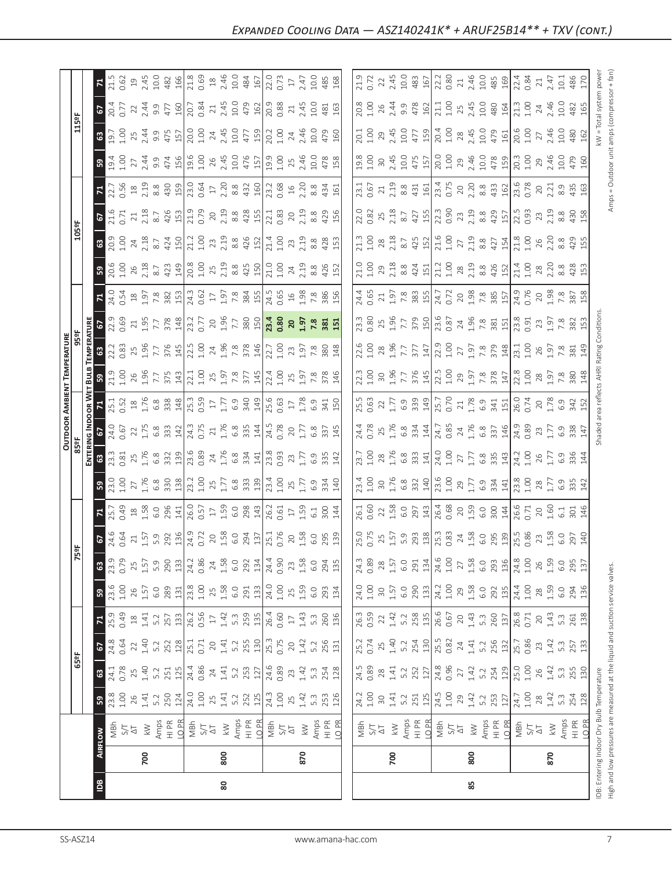|                |     |                                                                                                                                                                                                                                                                                                                                                                                      |                                                                                                                |                   |                                                                                                                                                                                                                                                                       |                                                                                                                                       |                                                                                                                                                                                                                                                                                                                                                                                           |                                                                                                                                                                                                                                                                                                     |                    |                |                                                                                                                                                                                                                                                                                                                     |                                                                                                                                                                                                                                                                                                                      |                    |                                                                                                                                                                                                                                                                                                                     | <b>OUTDOOR AMBIENT TEMPERATURE</b>                                                                                                                                                                                                                                                                     |                                                                                                                                                                                                                                                                                                                                                                                                                                       |                                                                                                                                                                                                                                                                                                     |                                                                                                                                                                                                                                                                                                                     |                                                                                                                                                                                                                                                                                                                     |                                                                                                                                                                                                                                                                                                               |                                                                                                                                                                                                                                                                                                     |                                                                                                                                                                                                                                                                                                                                                           |                                                                                                                                                                                                                                                                                                        |                            |                                                                                                                                                                                                                                |                                                                                                                                                                                                                                                                                                                                                                        |
|----------------|-----|--------------------------------------------------------------------------------------------------------------------------------------------------------------------------------------------------------------------------------------------------------------------------------------------------------------------------------------------------------------------------------------|----------------------------------------------------------------------------------------------------------------|-------------------|-----------------------------------------------------------------------------------------------------------------------------------------------------------------------------------------------------------------------------------------------------------------------|---------------------------------------------------------------------------------------------------------------------------------------|-------------------------------------------------------------------------------------------------------------------------------------------------------------------------------------------------------------------------------------------------------------------------------------------------------------------------------------------------------------------------------------------|-----------------------------------------------------------------------------------------------------------------------------------------------------------------------------------------------------------------------------------------------------------------------------------------------------|--------------------|----------------|---------------------------------------------------------------------------------------------------------------------------------------------------------------------------------------------------------------------------------------------------------------------------------------------------------------------|----------------------------------------------------------------------------------------------------------------------------------------------------------------------------------------------------------------------------------------------------------------------------------------------------------------------|--------------------|---------------------------------------------------------------------------------------------------------------------------------------------------------------------------------------------------------------------------------------------------------------------------------------------------------------------|--------------------------------------------------------------------------------------------------------------------------------------------------------------------------------------------------------------------------------------------------------------------------------------------------------|---------------------------------------------------------------------------------------------------------------------------------------------------------------------------------------------------------------------------------------------------------------------------------------------------------------------------------------------------------------------------------------------------------------------------------------|-----------------------------------------------------------------------------------------------------------------------------------------------------------------------------------------------------------------------------------------------------------------------------------------------------|---------------------------------------------------------------------------------------------------------------------------------------------------------------------------------------------------------------------------------------------------------------------------------------------------------------------|---------------------------------------------------------------------------------------------------------------------------------------------------------------------------------------------------------------------------------------------------------------------------------------------------------------------|---------------------------------------------------------------------------------------------------------------------------------------------------------------------------------------------------------------------------------------------------------------------------------------------------------------|-----------------------------------------------------------------------------------------------------------------------------------------------------------------------------------------------------------------------------------------------------------------------------------------------------|-----------------------------------------------------------------------------------------------------------------------------------------------------------------------------------------------------------------------------------------------------------------------------------------------------------------------------------------------------------|--------------------------------------------------------------------------------------------------------------------------------------------------------------------------------------------------------------------------------------------------------------------------------------------------------|----------------------------|--------------------------------------------------------------------------------------------------------------------------------------------------------------------------------------------------------------------------------|------------------------------------------------------------------------------------------------------------------------------------------------------------------------------------------------------------------------------------------------------------------------------------------------------------------------------------------------------------------------|
|                |     |                                                                                                                                                                                                                                                                                                                                                                                      |                                                                                                                | 65°F              |                                                                                                                                                                                                                                                                       |                                                                                                                                       |                                                                                                                                                                                                                                                                                                                                                                                           |                                                                                                                                                                                                                                                                                                     | 585                |                |                                                                                                                                                                                                                                                                                                                     |                                                                                                                                                                                                                                                                                                                      |                    |                                                                                                                                                                                                                                                                                                                     |                                                                                                                                                                                                                                                                                                        |                                                                                                                                                                                                                                                                                                                                                                                                                                       |                                                                                                                                                                                                                                                                                                     |                                                                                                                                                                                                                                                                                                                     |                                                                                                                                                                                                                                                                                                                     | 105°F                                                                                                                                                                                                                                                                                                         |                                                                                                                                                                                                                                                                                                     |                                                                                                                                                                                                                                                                                                                                                           |                                                                                                                                                                                                                                                                                                        | 115°F                      |                                                                                                                                                                                                                                |                                                                                                                                                                                                                                                                                                                                                                        |
|                |     |                                                                                                                                                                                                                                                                                                                                                                                      |                                                                                                                |                   |                                                                                                                                                                                                                                                                       |                                                                                                                                       |                                                                                                                                                                                                                                                                                                                                                                                           |                                                                                                                                                                                                                                                                                                     |                    |                |                                                                                                                                                                                                                                                                                                                     | ENTERI                                                                                                                                                                                                                                                                                                               | <b>IG INDOOR W</b> |                                                                                                                                                                                                                                                                                                                     |                                                                                                                                                                                                                                                                                                        |                                                                                                                                                                                                                                                                                                                                                                                                                                       |                                                                                                                                                                                                                                                                                                     |                                                                                                                                                                                                                                                                                                                     |                                                                                                                                                                                                                                                                                                                     |                                                                                                                                                                                                                                                                                                               |                                                                                                                                                                                                                                                                                                     |                                                                                                                                                                                                                                                                                                                                                           |                                                                                                                                                                                                                                                                                                        |                            |                                                                                                                                                                                                                                |                                                                                                                                                                                                                                                                                                                                                                        |
| $\overline{5}$ |     | <b>AIRFLOW</b>                                                                                                                                                                                                                                                                                                                                                                       | 59                                                                                                             |                   | 67<br>24.8<br>0.64                                                                                                                                                                                                                                                    |                                                                                                                                       | <b>B</b><br>23.6<br>1.00                                                                                                                                                                                                                                                                                                                                                                  | $\mathbf{G}$                                                                                                                                                                                                                                                                                        |                    |                | $\frac{3}{2}$ $\frac{3}{2}$ $\frac{3}{2}$ $\frac{5}{2}$ $\frac{6}{2}$ $\frac{8}{2}$ $\frac{3}{2}$ $\frac{3}{2}$ $\frac{1}{2}$ $\frac{3}{2}$ $\frac{3}{2}$ $\frac{3}{2}$ $\frac{3}{2}$ $\frac{3}{2}$ $\frac{3}{2}$ $\frac{3}{2}$ $\frac{3}{2}$ $\frac{3}{2}$ $\frac{3}{2}$ $\frac{3}{2}$ $\frac{3}{2}$ $\frac{3}{2}$ | $3\frac{3}{2}$ $\frac{3}{2}$ $\frac{3}{2}$ $\frac{4}{2}$ $\frac{5}{2}$ $\frac{3}{2}$ $\frac{3}{2}$ $\frac{4}{2}$ $\frac{5}{2}$ $\frac{3}{2}$ $\frac{4}{2}$ $\frac{5}{2}$ $\frac{3}{2}$ $\frac{4}{2}$ $\frac{5}{2}$ $\frac{3}{2}$ $\frac{3}{2}$ $\frac{3}{2}$ $\frac{5}{2}$ $\frac{3}{2}$ $\frac{3}{2}$ $\frac{1}{2}$ |                    |                                                                                                                                                                                                                                                                                                                     |                                                                                                                                                                                                                                                                                                        |                                                                                                                                                                                                                                                                                                                                                                                                                                       | $52.39$ $35.72$ $37.72$ $37.72$ $37.72$ $37.72$ $37.72$ $37.72$ $37.72$ $37.72$ $37.72$ $37.72$ $37.72$ $37.72$ $37.72$ $37.72$ $37.72$ $37.72$ $37.72$ $37.72$ $37.72$ $37.72$ $37.72$ $37.72$ $37.72$ $37.72$ $37.72$ $37.7$                                                                      |                                                                                                                                                                                                                                                                                                                     |                                                                                                                                                                                                                                                                                                                     |                                                                                                                                                                                                                                                                                                               |                                                                                                                                                                                                                                                                                                     |                                                                                                                                                                                                                                                                                                                                                           |                                                                                                                                                                                                                                                                                                        |                            |                                                                                                                                                                                                                                | $\mathbf{z}$                                                                                                                                                                                                                                                                                                                                                           |
|                |     | $\begin{array}{c} \mathbb{R}^2 \uparrow \mathbb{R} \\ \mathbb{R}^2 \uparrow \mathbb{R} \\ \mathbb{R}^2 \uparrow \mathbb{R} \end{array}$                                                                                                                                                                                                                                              |                                                                                                                | $8\frac{11}{24}$  |                                                                                                                                                                                                                                                                       | $\frac{1}{25.9}$                                                                                                                      |                                                                                                                                                                                                                                                                                                                                                                                           | 23.9<br>0.79                                                                                                                                                                                                                                                                                        | 67<br>24.6<br>0.64 |                |                                                                                                                                                                                                                                                                                                                     |                                                                                                                                                                                                                                                                                                                      |                    | $\frac{1}{2}$ $\frac{1}{2}$ $\frac{1}{2}$ $\frac{1}{2}$ $\frac{1}{2}$ $\frac{1}{2}$ $\frac{1}{2}$ $\frac{1}{2}$ $\frac{1}{2}$ $\frac{1}{2}$ $\frac{1}{2}$ $\frac{1}{2}$ $\frac{1}{2}$ $\frac{1}{2}$ $\frac{1}{2}$ $\frac{1}{2}$ $\frac{1}{2}$ $\frac{1}{2}$ $\frac{1}{2}$ $\frac{1}{2}$ $\frac{1}{2}$ $\frac{1}{2}$ | $3.238$<br>$3.328$<br>$3.577$<br>$3.411$<br>$3.57$<br>$3.57$<br>$3.57$<br>$3.57$<br>$3.57$<br>$3.57$<br>$3.57$<br>$3.57$                                                                                                                                                                               | $3\frac{1}{2}$ $\frac{1}{2}$ $\frac{3}{2}$ $\frac{3}{2}$ $\frac{4}{2}$ $\frac{5}{2}$ $\frac{4}{2}$ $\frac{5}{2}$ $\frac{8}{2}$ $\frac{8}{2}$ $\frac{8}{2}$ $\frac{1}{2}$ $\frac{1}{2}$ $\frac{1}{2}$ $\frac{1}{2}$ $\frac{1}{2}$ $\frac{1}{2}$ $\frac{1}{2}$ $\frac{1}{2}$ $\frac{1}{2}$ $\frac{1}{2}$ $\frac{1}{2}$                                                                                                                  |                                                                                                                                                                                                                                                                                                     | $\frac{1}{2}$ $\frac{1}{2}$ $\frac{3}{2}$ $\frac{3}{2}$ $\frac{3}{2}$ $\frac{3}{2}$ $\frac{3}{2}$ $\frac{3}{2}$ $\frac{3}{2}$ $\frac{3}{2}$ $\frac{3}{2}$ $\frac{3}{2}$ $\frac{3}{2}$ $\frac{3}{2}$ $\frac{3}{2}$ $\frac{3}{2}$ $\frac{3}{2}$ $\frac{3}{2}$ $\frac{3}{2}$ $\frac{3}{2}$ $\frac{3}{2}$ $\frac{3}{2}$ | $\frac{1}{2}$ $\frac{1}{2}$ $\frac{1}{2}$ $\frac{1}{2}$ $\frac{1}{2}$ $\frac{1}{2}$ $\frac{1}{2}$ $\frac{1}{2}$ $\frac{1}{2}$ $\frac{1}{2}$ $\frac{1}{2}$ $\frac{1}{2}$ $\frac{1}{2}$ $\frac{1}{2}$ $\frac{1}{2}$ $\frac{1}{2}$ $\frac{1}{2}$ $\frac{1}{2}$ $\frac{1}{2}$ $\frac{1}{2}$ $\frac{1}{2}$ $\frac{1}{2}$ |                                                                                                                                                                                                                                                                                                               | $rac{67}{21.6}$                                                                                                                                                                                                                                                                                     | $\frac{1}{2} \sum_{n=1}^{2} \sum_{n=1}^{2} \sum_{n=1}^{2} \sum_{n=1}^{2} \sum_{n=1}^{2} \sum_{n=1}^{2} \sum_{n=1}^{2} \sum_{n=1}^{2} \sum_{n=1}^{2} \sum_{n=1}^{2} \sum_{n=1}^{2} \sum_{n=1}^{2} \sum_{n=1}^{2} \sum_{n=1}^{2} \sum_{n=1}^{2} \sum_{n=1}^{2} \sum_{n=1}^{2} \sum_{n=1}^{2} \sum_{n=1}^{2} \sum_{n=1}^{2} \sum_{n=1}^{2} \sum_{$           | <b>8</b> $\frac{3}{4}$ 5 $\frac{5}{4}$ 5 $\frac{4}{9}$ 5 $\frac{4}{5}$ 6 $\frac{10}{9}$ 5 $\frac{6}{9}$ 6 $\frac{4}{9}$ 5 $\frac{5}{9}$ 6 $\frac{10}{9}$ 5 6 $\frac{4}{9}$ 6 $\frac{5}{9}$ 8 $\frac{4}{9}$ 5 6 $\frac{5}{9}$ 8 $\frac{4}{9}$ 5 6 $\frac{5}{9}$ 8 $\frac{4}{9}$ 5 6 $\frac{5}{9}$ 8 8 8 |                            | $5.877$ $2.777$ $3.877$ $3.777$ $3.777$ $3.777$ $3.777$ $3.777$ $3.777$ $3.777$ $3.777$ $3.777$ $3.777$ $3.777$ $3.777$ $3.777$ $3.777$ $3.777$ $3.777$ $3.777$ $3.777$ $3.777$ $3.777$ $3.777$ $3.777$ $3.777$ $3.777$ $3.77$ | $\begin{array}{c}\n1.66 \\ 1.67 \\ 1.68 \\ 1.69 \\ 1.61 \\ 1.62 \\ 1.63 \\ 1.64 \\ 1.65 \\ 1.66 \\ 1.67 \\ 1.68 \\ 1.69 \\ 1.61 \\ 1.61 \\ 1.62 \\ 1.63 \\ 1.64 \\ 1.65 \\ 1.67 \\ 1.68 \\ 1.69 \\ 1.61 \\ 1.61 \\ 1.62 \\ 1.63 \\ 1.64 \\ 1.65 \\ 1.67 \\ 1.68 \\ 1.69 \\ 1.61 \\ 1.61 \\ 1.62 \\ 1.63 \\ 1.64 \\ 1.65 \\ 1.67 \\ 1.68 \\ 1.69 \\ 1.61 \\ 1.61 \\ 1.$ |
|                |     |                                                                                                                                                                                                                                                                                                                                                                                      |                                                                                                                |                   |                                                                                                                                                                                                                                                                       |                                                                                                                                       |                                                                                                                                                                                                                                                                                                                                                                                           |                                                                                                                                                                                                                                                                                                     |                    |                |                                                                                                                                                                                                                                                                                                                     |                                                                                                                                                                                                                                                                                                                      |                    |                                                                                                                                                                                                                                                                                                                     |                                                                                                                                                                                                                                                                                                        |                                                                                                                                                                                                                                                                                                                                                                                                                                       |                                                                                                                                                                                                                                                                                                     |                                                                                                                                                                                                                                                                                                                     |                                                                                                                                                                                                                                                                                                                     |                                                                                                                                                                                                                                                                                                               |                                                                                                                                                                                                                                                                                                     |                                                                                                                                                                                                                                                                                                                                                           |                                                                                                                                                                                                                                                                                                        |                            |                                                                                                                                                                                                                                |                                                                                                                                                                                                                                                                                                                                                                        |
|                |     |                                                                                                                                                                                                                                                                                                                                                                                      |                                                                                                                |                   |                                                                                                                                                                                                                                                                       |                                                                                                                                       |                                                                                                                                                                                                                                                                                                                                                                                           |                                                                                                                                                                                                                                                                                                     |                    |                |                                                                                                                                                                                                                                                                                                                     |                                                                                                                                                                                                                                                                                                                      |                    |                                                                                                                                                                                                                                                                                                                     |                                                                                                                                                                                                                                                                                                        |                                                                                                                                                                                                                                                                                                                                                                                                                                       |                                                                                                                                                                                                                                                                                                     |                                                                                                                                                                                                                                                                                                                     |                                                                                                                                                                                                                                                                                                                     |                                                                                                                                                                                                                                                                                                               |                                                                                                                                                                                                                                                                                                     |                                                                                                                                                                                                                                                                                                                                                           |                                                                                                                                                                                                                                                                                                        |                            |                                                                                                                                                                                                                                |                                                                                                                                                                                                                                                                                                                                                                        |
|                | 700 |                                                                                                                                                                                                                                                                                                                                                                                      |                                                                                                                |                   |                                                                                                                                                                                                                                                                       |                                                                                                                                       |                                                                                                                                                                                                                                                                                                                                                                                           |                                                                                                                                                                                                                                                                                                     |                    |                |                                                                                                                                                                                                                                                                                                                     |                                                                                                                                                                                                                                                                                                                      |                    |                                                                                                                                                                                                                                                                                                                     |                                                                                                                                                                                                                                                                                                        |                                                                                                                                                                                                                                                                                                                                                                                                                                       |                                                                                                                                                                                                                                                                                                     |                                                                                                                                                                                                                                                                                                                     |                                                                                                                                                                                                                                                                                                                     |                                                                                                                                                                                                                                                                                                               |                                                                                                                                                                                                                                                                                                     |                                                                                                                                                                                                                                                                                                                                                           |                                                                                                                                                                                                                                                                                                        |                            |                                                                                                                                                                                                                                |                                                                                                                                                                                                                                                                                                                                                                        |
|                |     |                                                                                                                                                                                                                                                                                                                                                                                      |                                                                                                                |                   |                                                                                                                                                                                                                                                                       |                                                                                                                                       |                                                                                                                                                                                                                                                                                                                                                                                           |                                                                                                                                                                                                                                                                                                     |                    |                |                                                                                                                                                                                                                                                                                                                     |                                                                                                                                                                                                                                                                                                                      |                    |                                                                                                                                                                                                                                                                                                                     |                                                                                                                                                                                                                                                                                                        |                                                                                                                                                                                                                                                                                                                                                                                                                                       |                                                                                                                                                                                                                                                                                                     |                                                                                                                                                                                                                                                                                                                     |                                                                                                                                                                                                                                                                                                                     |                                                                                                                                                                                                                                                                                                               |                                                                                                                                                                                                                                                                                                     |                                                                                                                                                                                                                                                                                                                                                           |                                                                                                                                                                                                                                                                                                        |                            |                                                                                                                                                                                                                                |                                                                                                                                                                                                                                                                                                                                                                        |
|                |     | Amps<br>HI PR<br>LO PR                                                                                                                                                                                                                                                                                                                                                               |                                                                                                                |                   | $\begin{array}{c} 23.75 & 23.75 & 24.75 & 25.75 & 25.75 & 25.75 & 25.75 & 25.75 & 25.75 & 25.75 & 25.75 & 25.75 & 25.75 & 25.75 & 25.75 & 25.75 & 25.75 & 25.75 & 25.75 & 25.75 & 25.75 & 25.75 & 25.75 & 25.75 & 25.75 & 25.75 & 25.75 & 25.75 & 25.75 & 25.75 & 25$ | $\begin{array}{c} 28 \\ 141 \\ 5 \cdot 2 \\ 25 \end{array}$ $\begin{array}{c} 25 \\ 131 \\ 26 \cdot 2 \\ 0 \cdot 5 \\ 17 \end{array}$ | $26$<br>1.57<br>6.0<br>289<br>131<br>23.0<br>1.0<br>25                                                                                                                                                                                                                                                                                                                                    | $\begin{array}{c} 7.53 \\ 1.153 \\ 1.380 \\ 1.411 \\ 1.500 \\ 1.500 \\ 1.500 \\ 1.500 \\ 1.500 \\ 1.500 \\ 1.500 \\ 1.500 \\ 1.500 \\ 1.500 \\ 1.500 \\ 1.500 \\ 1.500 \\ 1.500 \\ 1.500 \\ 1.500 \\ 1.500 \\ 1.500 \\ 1.500 \\ 1.500 \\ 1.500 \\ 1.500 \\ 1.500 \\ 1.500 \\ 1.500 \\ 1.500 \\ 1.5$ |                    |                |                                                                                                                                                                                                                                                                                                                     |                                                                                                                                                                                                                                                                                                                      |                    |                                                                                                                                                                                                                                                                                                                     |                                                                                                                                                                                                                                                                                                        |                                                                                                                                                                                                                                                                                                                                                                                                                                       |                                                                                                                                                                                                                                                                                                     |                                                                                                                                                                                                                                                                                                                     |                                                                                                                                                                                                                                                                                                                     |                                                                                                                                                                                                                                                                                                               | $\begin{array}{c} 11.51 & 0.000 & 0.000 & 0.000 & 0.000 & 0.000 & 0.000 & 0.000 & 0.000 & 0.000 & 0.000 & 0.000 & 0.000 & 0.000 & 0.000 & 0.000 & 0.000 & 0.000 & 0.000 & 0.000 & 0.000 & 0.000 & 0.000 & 0.000 & 0.000 & 0.000 & 0.000 & 0.000 & 0.000 & 0.000 & 0.$                               |                                                                                                                                                                                                                                                                                                                                                           |                                                                                                                                                                                                                                                                                                        |                            |                                                                                                                                                                                                                                |                                                                                                                                                                                                                                                                                                                                                                        |
|                |     |                                                                                                                                                                                                                                                                                                                                                                                      |                                                                                                                |                   |                                                                                                                                                                                                                                                                       |                                                                                                                                       |                                                                                                                                                                                                                                                                                                                                                                                           |                                                                                                                                                                                                                                                                                                     |                    |                |                                                                                                                                                                                                                                                                                                                     |                                                                                                                                                                                                                                                                                                                      |                    |                                                                                                                                                                                                                                                                                                                     |                                                                                                                                                                                                                                                                                                        |                                                                                                                                                                                                                                                                                                                                                                                                                                       |                                                                                                                                                                                                                                                                                                     |                                                                                                                                                                                                                                                                                                                     |                                                                                                                                                                                                                                                                                                                     |                                                                                                                                                                                                                                                                                                               |                                                                                                                                                                                                                                                                                                     |                                                                                                                                                                                                                                                                                                                                                           |                                                                                                                                                                                                                                                                                                        |                            |                                                                                                                                                                                                                                |                                                                                                                                                                                                                                                                                                                                                                        |
|                |     |                                                                                                                                                                                                                                                                                                                                                                                      |                                                                                                                |                   |                                                                                                                                                                                                                                                                       |                                                                                                                                       |                                                                                                                                                                                                                                                                                                                                                                                           |                                                                                                                                                                                                                                                                                                     |                    |                |                                                                                                                                                                                                                                                                                                                     |                                                                                                                                                                                                                                                                                                                      |                    |                                                                                                                                                                                                                                                                                                                     |                                                                                                                                                                                                                                                                                                        |                                                                                                                                                                                                                                                                                                                                                                                                                                       |                                                                                                                                                                                                                                                                                                     |                                                                                                                                                                                                                                                                                                                     |                                                                                                                                                                                                                                                                                                                     |                                                                                                                                                                                                                                                                                                               |                                                                                                                                                                                                                                                                                                     |                                                                                                                                                                                                                                                                                                                                                           |                                                                                                                                                                                                                                                                                                        |                            |                                                                                                                                                                                                                                |                                                                                                                                                                                                                                                                                                                                                                        |
|                |     |                                                                                                                                                                                                                                                                                                                                                                                      |                                                                                                                |                   |                                                                                                                                                                                                                                                                       |                                                                                                                                       |                                                                                                                                                                                                                                                                                                                                                                                           |                                                                                                                                                                                                                                                                                                     |                    |                |                                                                                                                                                                                                                                                                                                                     |                                                                                                                                                                                                                                                                                                                      |                    |                                                                                                                                                                                                                                                                                                                     |                                                                                                                                                                                                                                                                                                        |                                                                                                                                                                                                                                                                                                                                                                                                                                       |                                                                                                                                                                                                                                                                                                     |                                                                                                                                                                                                                                                                                                                     |                                                                                                                                                                                                                                                                                                                     |                                                                                                                                                                                                                                                                                                               |                                                                                                                                                                                                                                                                                                     |                                                                                                                                                                                                                                                                                                                                                           |                                                                                                                                                                                                                                                                                                        |                            |                                                                                                                                                                                                                                |                                                                                                                                                                                                                                                                                                                                                                        |
|                |     |                                                                                                                                                                                                                                                                                                                                                                                      |                                                                                                                |                   |                                                                                                                                                                                                                                                                       |                                                                                                                                       |                                                                                                                                                                                                                                                                                                                                                                                           |                                                                                                                                                                                                                                                                                                     |                    |                |                                                                                                                                                                                                                                                                                                                     |                                                                                                                                                                                                                                                                                                                      |                    |                                                                                                                                                                                                                                                                                                                     |                                                                                                                                                                                                                                                                                                        |                                                                                                                                                                                                                                                                                                                                                                                                                                       |                                                                                                                                                                                                                                                                                                     |                                                                                                                                                                                                                                                                                                                     |                                                                                                                                                                                                                                                                                                                     |                                                                                                                                                                                                                                                                                                               |                                                                                                                                                                                                                                                                                                     |                                                                                                                                                                                                                                                                                                                                                           |                                                                                                                                                                                                                                                                                                        |                            |                                                                                                                                                                                                                                |                                                                                                                                                                                                                                                                                                                                                                        |
| 80             | 800 |                                                                                                                                                                                                                                                                                                                                                                                      |                                                                                                                |                   |                                                                                                                                                                                                                                                                       |                                                                                                                                       |                                                                                                                                                                                                                                                                                                                                                                                           |                                                                                                                                                                                                                                                                                                     |                    |                |                                                                                                                                                                                                                                                                                                                     |                                                                                                                                                                                                                                                                                                                      |                    |                                                                                                                                                                                                                                                                                                                     |                                                                                                                                                                                                                                                                                                        |                                                                                                                                                                                                                                                                                                                                                                                                                                       |                                                                                                                                                                                                                                                                                                     |                                                                                                                                                                                                                                                                                                                     |                                                                                                                                                                                                                                                                                                                     |                                                                                                                                                                                                                                                                                                               |                                                                                                                                                                                                                                                                                                     |                                                                                                                                                                                                                                                                                                                                                           |                                                                                                                                                                                                                                                                                                        |                            |                                                                                                                                                                                                                                |                                                                                                                                                                                                                                                                                                                                                                        |
|                |     | MBh<br>S/T<br>Amps<br>Amps<br>H PR<br>D<br>D<br>B                                                                                                                                                                                                                                                                                                                                    |                                                                                                                |                   |                                                                                                                                                                                                                                                                       |                                                                                                                                       | $1.58$<br>6.0                                                                                                                                                                                                                                                                                                                                                                             |                                                                                                                                                                                                                                                                                                     |                    |                |                                                                                                                                                                                                                                                                                                                     |                                                                                                                                                                                                                                                                                                                      |                    |                                                                                                                                                                                                                                                                                                                     |                                                                                                                                                                                                                                                                                                        |                                                                                                                                                                                                                                                                                                                                                                                                                                       |                                                                                                                                                                                                                                                                                                     |                                                                                                                                                                                                                                                                                                                     |                                                                                                                                                                                                                                                                                                                     |                                                                                                                                                                                                                                                                                                               |                                                                                                                                                                                                                                                                                                     |                                                                                                                                                                                                                                                                                                                                                           |                                                                                                                                                                                                                                                                                                        |                            |                                                                                                                                                                                                                                |                                                                                                                                                                                                                                                                                                                                                                        |
|                |     |                                                                                                                                                                                                                                                                                                                                                                                      |                                                                                                                |                   |                                                                                                                                                                                                                                                                       |                                                                                                                                       |                                                                                                                                                                                                                                                                                                                                                                                           |                                                                                                                                                                                                                                                                                                     |                    |                |                                                                                                                                                                                                                                                                                                                     |                                                                                                                                                                                                                                                                                                                      |                    |                                                                                                                                                                                                                                                                                                                     |                                                                                                                                                                                                                                                                                                        |                                                                                                                                                                                                                                                                                                                                                                                                                                       |                                                                                                                                                                                                                                                                                                     |                                                                                                                                                                                                                                                                                                                     |                                                                                                                                                                                                                                                                                                                     |                                                                                                                                                                                                                                                                                                               |                                                                                                                                                                                                                                                                                                     |                                                                                                                                                                                                                                                                                                                                                           |                                                                                                                                                                                                                                                                                                        |                            |                                                                                                                                                                                                                                |                                                                                                                                                                                                                                                                                                                                                                        |
|                |     |                                                                                                                                                                                                                                                                                                                                                                                      |                                                                                                                |                   |                                                                                                                                                                                                                                                                       |                                                                                                                                       |                                                                                                                                                                                                                                                                                                                                                                                           |                                                                                                                                                                                                                                                                                                     |                    |                |                                                                                                                                                                                                                                                                                                                     |                                                                                                                                                                                                                                                                                                                      |                    |                                                                                                                                                                                                                                                                                                                     |                                                                                                                                                                                                                                                                                                        |                                                                                                                                                                                                                                                                                                                                                                                                                                       |                                                                                                                                                                                                                                                                                                     |                                                                                                                                                                                                                                                                                                                     |                                                                                                                                                                                                                                                                                                                     |                                                                                                                                                                                                                                                                                                               |                                                                                                                                                                                                                                                                                                     |                                                                                                                                                                                                                                                                                                                                                           |                                                                                                                                                                                                                                                                                                        |                            |                                                                                                                                                                                                                                |                                                                                                                                                                                                                                                                                                                                                                        |
|                |     |                                                                                                                                                                                                                                                                                                                                                                                      |                                                                                                                |                   |                                                                                                                                                                                                                                                                       | $1.42$<br>5.3<br>5.9<br>$1.36$<br>7.6<br>0.6<br>0                                                                                     | $\begin{array}{c} 291 \\ 130 \\ 24.0 \\ 1.00 \end{array}$                                                                                                                                                                                                                                                                                                                                 |                                                                                                                                                                                                                                                                                                     |                    |                |                                                                                                                                                                                                                                                                                                                     |                                                                                                                                                                                                                                                                                                                      |                    |                                                                                                                                                                                                                                                                                                                     |                                                                                                                                                                                                                                                                                                        |                                                                                                                                                                                                                                                                                                                                                                                                                                       |                                                                                                                                                                                                                                                                                                     |                                                                                                                                                                                                                                                                                                                     |                                                                                                                                                                                                                                                                                                                     |                                                                                                                                                                                                                                                                                                               |                                                                                                                                                                                                                                                                                                     |                                                                                                                                                                                                                                                                                                                                                           |                                                                                                                                                                                                                                                                                                        |                            |                                                                                                                                                                                                                                |                                                                                                                                                                                                                                                                                                                                                                        |
|                |     | $\frac{1}{2} \sum_{i=1}^{N}$                                                                                                                                                                                                                                                                                                                                                         |                                                                                                                |                   |                                                                                                                                                                                                                                                                       |                                                                                                                                       |                                                                                                                                                                                                                                                                                                                                                                                           |                                                                                                                                                                                                                                                                                                     |                    |                |                                                                                                                                                                                                                                                                                                                     |                                                                                                                                                                                                                                                                                                                      |                    |                                                                                                                                                                                                                                                                                                                     |                                                                                                                                                                                                                                                                                                        |                                                                                                                                                                                                                                                                                                                                                                                                                                       |                                                                                                                                                                                                                                                                                                     |                                                                                                                                                                                                                                                                                                                     |                                                                                                                                                                                                                                                                                                                     |                                                                                                                                                                                                                                                                                                               |                                                                                                                                                                                                                                                                                                     |                                                                                                                                                                                                                                                                                                                                                           |                                                                                                                                                                                                                                                                                                        |                            |                                                                                                                                                                                                                                |                                                                                                                                                                                                                                                                                                                                                                        |
|                |     |                                                                                                                                                                                                                                                                                                                                                                                      |                                                                                                                |                   |                                                                                                                                                                                                                                                                       |                                                                                                                                       |                                                                                                                                                                                                                                                                                                                                                                                           |                                                                                                                                                                                                                                                                                                     |                    |                |                                                                                                                                                                                                                                                                                                                     |                                                                                                                                                                                                                                                                                                                      |                    |                                                                                                                                                                                                                                                                                                                     |                                                                                                                                                                                                                                                                                                        |                                                                                                                                                                                                                                                                                                                                                                                                                                       |                                                                                                                                                                                                                                                                                                     |                                                                                                                                                                                                                                                                                                                     |                                                                                                                                                                                                                                                                                                                     |                                                                                                                                                                                                                                                                                                               |                                                                                                                                                                                                                                                                                                     |                                                                                                                                                                                                                                                                                                                                                           |                                                                                                                                                                                                                                                                                                        |                            |                                                                                                                                                                                                                                |                                                                                                                                                                                                                                                                                                                                                                        |
|                | 870 |                                                                                                                                                                                                                                                                                                                                                                                      |                                                                                                                | $23$<br>$1.42$    | $20$<br>1.42                                                                                                                                                                                                                                                          |                                                                                                                                       | 25<br>1.59                                                                                                                                                                                                                                                                                                                                                                                |                                                                                                                                                                                                                                                                                                     |                    |                |                                                                                                                                                                                                                                                                                                                     |                                                                                                                                                                                                                                                                                                                      |                    |                                                                                                                                                                                                                                                                                                                     |                                                                                                                                                                                                                                                                                                        |                                                                                                                                                                                                                                                                                                                                                                                                                                       |                                                                                                                                                                                                                                                                                                     |                                                                                                                                                                                                                                                                                                                     |                                                                                                                                                                                                                                                                                                                     |                                                                                                                                                                                                                                                                                                               |                                                                                                                                                                                                                                                                                                     |                                                                                                                                                                                                                                                                                                                                                           |                                                                                                                                                                                                                                                                                                        |                            |                                                                                                                                                                                                                                |                                                                                                                                                                                                                                                                                                                                                                        |
|                |     |                                                                                                                                                                                                                                                                                                                                                                                      |                                                                                                                |                   |                                                                                                                                                                                                                                                                       | $17\frac{3}{143}$                                                                                                                     | 6.0                                                                                                                                                                                                                                                                                                                                                                                       | $23$<br>$1.58$<br>$6.0$                                                                                                                                                                                                                                                                             |                    |                |                                                                                                                                                                                                                                                                                                                     |                                                                                                                                                                                                                                                                                                                      |                    |                                                                                                                                                                                                                                                                                                                     |                                                                                                                                                                                                                                                                                                        |                                                                                                                                                                                                                                                                                                                                                                                                                                       |                                                                                                                                                                                                                                                                                                     |                                                                                                                                                                                                                                                                                                                     |                                                                                                                                                                                                                                                                                                                     |                                                                                                                                                                                                                                                                                                               |                                                                                                                                                                                                                                                                                                     |                                                                                                                                                                                                                                                                                                                                                           |                                                                                                                                                                                                                                                                                                        |                            |                                                                                                                                                                                                                                |                                                                                                                                                                                                                                                                                                                                                                        |
|                |     | $\begin{array}{c}\n\hline\n\text{K} \\ \hline\n\text{A} \\ \text{H} \\ \text{H} \\ \text{H} \\ \text{H}\n\end{array}$                                                                                                                                                                                                                                                                | 5.3<br>253<br>126                                                                                              | 5.3<br>254<br>128 | $3.36$<br>$2.56$                                                                                                                                                                                                                                                      |                                                                                                                                       |                                                                                                                                                                                                                                                                                                                                                                                           |                                                                                                                                                                                                                                                                                                     |                    | 300            |                                                                                                                                                                                                                                                                                                                     |                                                                                                                                                                                                                                                                                                                      |                    |                                                                                                                                                                                                                                                                                                                     |                                                                                                                                                                                                                                                                                                        |                                                                                                                                                                                                                                                                                                                                                                                                                                       |                                                                                                                                                                                                                                                                                                     |                                                                                                                                                                                                                                                                                                                     | 8.8<br>426<br>152                                                                                                                                                                                                                                                                                                   |                                                                                                                                                                                                                                                                                                               |                                                                                                                                                                                                                                                                                                     |                                                                                                                                                                                                                                                                                                                                                           |                                                                                                                                                                                                                                                                                                        |                            |                                                                                                                                                                                                                                |                                                                                                                                                                                                                                                                                                                                                                        |
|                |     |                                                                                                                                                                                                                                                                                                                                                                                      |                                                                                                                |                   |                                                                                                                                                                                                                                                                       | 260<br>136                                                                                                                            | 293<br>134                                                                                                                                                                                                                                                                                                                                                                                | 294<br>135                                                                                                                                                                                                                                                                                          |                    |                |                                                                                                                                                                                                                                                                                                                     |                                                                                                                                                                                                                                                                                                                      |                    |                                                                                                                                                                                                                                                                                                                     |                                                                                                                                                                                                                                                                                                        |                                                                                                                                                                                                                                                                                                                                                                                                                                       |                                                                                                                                                                                                                                                                                                     |                                                                                                                                                                                                                                                                                                                     |                                                                                                                                                                                                                                                                                                                     |                                                                                                                                                                                                                                                                                                               |                                                                                                                                                                                                                                                                                                     |                                                                                                                                                                                                                                                                                                                                                           |                                                                                                                                                                                                                                                                                                        |                            |                                                                                                                                                                                                                                |                                                                                                                                                                                                                                                                                                                                                                        |
|                |     |                                                                                                                                                                                                                                                                                                                                                                                      |                                                                                                                |                   |                                                                                                                                                                                                                                                                       |                                                                                                                                       |                                                                                                                                                                                                                                                                                                                                                                                           |                                                                                                                                                                                                                                                                                                     |                    | 144            |                                                                                                                                                                                                                                                                                                                     |                                                                                                                                                                                                                                                                                                                      |                    |                                                                                                                                                                                                                                                                                                                     |                                                                                                                                                                                                                                                                                                        |                                                                                                                                                                                                                                                                                                                                                                                                                                       |                                                                                                                                                                                                                                                                                                     |                                                                                                                                                                                                                                                                                                                     |                                                                                                                                                                                                                                                                                                                     |                                                                                                                                                                                                                                                                                                               |                                                                                                                                                                                                                                                                                                     |                                                                                                                                                                                                                                                                                                                                                           |                                                                                                                                                                                                                                                                                                        | 160                        |                                                                                                                                                                                                                                |                                                                                                                                                                                                                                                                                                                                                                        |
|                |     |                                                                                                                                                                                                                                                                                                                                                                                      |                                                                                                                |                   |                                                                                                                                                                                                                                                                       |                                                                                                                                       |                                                                                                                                                                                                                                                                                                                                                                                           |                                                                                                                                                                                                                                                                                                     |                    |                |                                                                                                                                                                                                                                                                                                                     |                                                                                                                                                                                                                                                                                                                      |                    |                                                                                                                                                                                                                                                                                                                     |                                                                                                                                                                                                                                                                                                        |                                                                                                                                                                                                                                                                                                                                                                                                                                       |                                                                                                                                                                                                                                                                                                     |                                                                                                                                                                                                                                                                                                                     |                                                                                                                                                                                                                                                                                                                     |                                                                                                                                                                                                                                                                                                               |                                                                                                                                                                                                                                                                                                     |                                                                                                                                                                                                                                                                                                                                                           |                                                                                                                                                                                                                                                                                                        |                            |                                                                                                                                                                                                                                |                                                                                                                                                                                                                                                                                                                                                                        |
|                |     |                                                                                                                                                                                                                                                                                                                                                                                      |                                                                                                                |                   | 25.2<br>0.74                                                                                                                                                                                                                                                          |                                                                                                                                       | 24.0<br>1.00                                                                                                                                                                                                                                                                                                                                                                              |                                                                                                                                                                                                                                                                                                     |                    |                |                                                                                                                                                                                                                                                                                                                     |                                                                                                                                                                                                                                                                                                                      |                    |                                                                                                                                                                                                                                                                                                                     |                                                                                                                                                                                                                                                                                                        |                                                                                                                                                                                                                                                                                                                                                                                                                                       |                                                                                                                                                                                                                                                                                                     |                                                                                                                                                                                                                                                                                                                     |                                                                                                                                                                                                                                                                                                                     |                                                                                                                                                                                                                                                                                                               |                                                                                                                                                                                                                                                                                                     |                                                                                                                                                                                                                                                                                                                                                           |                                                                                                                                                                                                                                                                                                        |                            |                                                                                                                                                                                                                                |                                                                                                                                                                                                                                                                                                                                                                        |
|                |     |                                                                                                                                                                                                                                                                                                                                                                                      |                                                                                                                |                   |                                                                                                                                                                                                                                                                       |                                                                                                                                       |                                                                                                                                                                                                                                                                                                                                                                                           |                                                                                                                                                                                                                                                                                                     |                    |                |                                                                                                                                                                                                                                                                                                                     |                                                                                                                                                                                                                                                                                                                      |                    |                                                                                                                                                                                                                                                                                                                     |                                                                                                                                                                                                                                                                                                        |                                                                                                                                                                                                                                                                                                                                                                                                                                       |                                                                                                                                                                                                                                                                                                     |                                                                                                                                                                                                                                                                                                                     |                                                                                                                                                                                                                                                                                                                     |                                                                                                                                                                                                                                                                                                               |                                                                                                                                                                                                                                                                                                     |                                                                                                                                                                                                                                                                                                                                                           |                                                                                                                                                                                                                                                                                                        |                            |                                                                                                                                                                                                                                |                                                                                                                                                                                                                                                                                                                                                                        |
|                |     |                                                                                                                                                                                                                                                                                                                                                                                      |                                                                                                                |                   |                                                                                                                                                                                                                                                                       |                                                                                                                                       |                                                                                                                                                                                                                                                                                                                                                                                           |                                                                                                                                                                                                                                                                                                     |                    |                |                                                                                                                                                                                                                                                                                                                     |                                                                                                                                                                                                                                                                                                                      |                    |                                                                                                                                                                                                                                                                                                                     |                                                                                                                                                                                                                                                                                                        |                                                                                                                                                                                                                                                                                                                                                                                                                                       |                                                                                                                                                                                                                                                                                                     |                                                                                                                                                                                                                                                                                                                     |                                                                                                                                                                                                                                                                                                                     |                                                                                                                                                                                                                                                                                                               |                                                                                                                                                                                                                                                                                                     |                                                                                                                                                                                                                                                                                                                                                           |                                                                                                                                                                                                                                                                                                        |                            |                                                                                                                                                                                                                                |                                                                                                                                                                                                                                                                                                                                                                        |
|                | 700 |                                                                                                                                                                                                                                                                                                                                                                                      |                                                                                                                |                   |                                                                                                                                                                                                                                                                       |                                                                                                                                       |                                                                                                                                                                                                                                                                                                                                                                                           |                                                                                                                                                                                                                                                                                                     |                    |                |                                                                                                                                                                                                                                                                                                                     |                                                                                                                                                                                                                                                                                                                      |                    |                                                                                                                                                                                                                                                                                                                     |                                                                                                                                                                                                                                                                                                        |                                                                                                                                                                                                                                                                                                                                                                                                                                       |                                                                                                                                                                                                                                                                                                     |                                                                                                                                                                                                                                                                                                                     |                                                                                                                                                                                                                                                                                                                     |                                                                                                                                                                                                                                                                                                               |                                                                                                                                                                                                                                                                                                     |                                                                                                                                                                                                                                                                                                                                                           |                                                                                                                                                                                                                                                                                                        |                            |                                                                                                                                                                                                                                |                                                                                                                                                                                                                                                                                                                                                                        |
|                |     |                                                                                                                                                                                                                                                                                                                                                                                      |                                                                                                                |                   |                                                                                                                                                                                                                                                                       |                                                                                                                                       |                                                                                                                                                                                                                                                                                                                                                                                           |                                                                                                                                                                                                                                                                                                     |                    |                |                                                                                                                                                                                                                                                                                                                     |                                                                                                                                                                                                                                                                                                                      |                    |                                                                                                                                                                                                                                                                                                                     |                                                                                                                                                                                                                                                                                                        |                                                                                                                                                                                                                                                                                                                                                                                                                                       |                                                                                                                                                                                                                                                                                                     |                                                                                                                                                                                                                                                                                                                     |                                                                                                                                                                                                                                                                                                                     |                                                                                                                                                                                                                                                                                                               |                                                                                                                                                                                                                                                                                                     |                                                                                                                                                                                                                                                                                                                                                           |                                                                                                                                                                                                                                                                                                        |                            |                                                                                                                                                                                                                                |                                                                                                                                                                                                                                                                                                                                                                        |
|                |     |                                                                                                                                                                                                                                                                                                                                                                                      |                                                                                                                |                   |                                                                                                                                                                                                                                                                       |                                                                                                                                       |                                                                                                                                                                                                                                                                                                                                                                                           |                                                                                                                                                                                                                                                                                                     |                    |                |                                                                                                                                                                                                                                                                                                                     |                                                                                                                                                                                                                                                                                                                      |                    |                                                                                                                                                                                                                                                                                                                     |                                                                                                                                                                                                                                                                                                        |                                                                                                                                                                                                                                                                                                                                                                                                                                       |                                                                                                                                                                                                                                                                                                     |                                                                                                                                                                                                                                                                                                                     |                                                                                                                                                                                                                                                                                                                     |                                                                                                                                                                                                                                                                                                               |                                                                                                                                                                                                                                                                                                     |                                                                                                                                                                                                                                                                                                                                                           |                                                                                                                                                                                                                                                                                                        |                            |                                                                                                                                                                                                                                |                                                                                                                                                                                                                                                                                                                                                                        |
|                |     |                                                                                                                                                                                                                                                                                                                                                                                      |                                                                                                                |                   |                                                                                                                                                                                                                                                                       |                                                                                                                                       |                                                                                                                                                                                                                                                                                                                                                                                           |                                                                                                                                                                                                                                                                                                     |                    |                |                                                                                                                                                                                                                                                                                                                     |                                                                                                                                                                                                                                                                                                                      |                    |                                                                                                                                                                                                                                                                                                                     |                                                                                                                                                                                                                                                                                                        |                                                                                                                                                                                                                                                                                                                                                                                                                                       |                                                                                                                                                                                                                                                                                                     |                                                                                                                                                                                                                                                                                                                     |                                                                                                                                                                                                                                                                                                                     |                                                                                                                                                                                                                                                                                                               |                                                                                                                                                                                                                                                                                                     |                                                                                                                                                                                                                                                                                                                                                           |                                                                                                                                                                                                                                                                                                        |                            |                                                                                                                                                                                                                                |                                                                                                                                                                                                                                                                                                                                                                        |
|                |     |                                                                                                                                                                                                                                                                                                                                                                                      |                                                                                                                |                   |                                                                                                                                                                                                                                                                       |                                                                                                                                       |                                                                                                                                                                                                                                                                                                                                                                                           |                                                                                                                                                                                                                                                                                                     |                    |                |                                                                                                                                                                                                                                                                                                                     |                                                                                                                                                                                                                                                                                                                      |                    |                                                                                                                                                                                                                                                                                                                     |                                                                                                                                                                                                                                                                                                        |                                                                                                                                                                                                                                                                                                                                                                                                                                       |                                                                                                                                                                                                                                                                                                     |                                                                                                                                                                                                                                                                                                                     |                                                                                                                                                                                                                                                                                                                     |                                                                                                                                                                                                                                                                                                               |                                                                                                                                                                                                                                                                                                     |                                                                                                                                                                                                                                                                                                                                                           |                                                                                                                                                                                                                                                                                                        |                            |                                                                                                                                                                                                                                |                                                                                                                                                                                                                                                                                                                                                                        |
|                |     |                                                                                                                                                                                                                                                                                                                                                                                      |                                                                                                                |                   |                                                                                                                                                                                                                                                                       |                                                                                                                                       |                                                                                                                                                                                                                                                                                                                                                                                           |                                                                                                                                                                                                                                                                                                     |                    |                |                                                                                                                                                                                                                                                                                                                     |                                                                                                                                                                                                                                                                                                                      |                    |                                                                                                                                                                                                                                                                                                                     |                                                                                                                                                                                                                                                                                                        |                                                                                                                                                                                                                                                                                                                                                                                                                                       |                                                                                                                                                                                                                                                                                                     |                                                                                                                                                                                                                                                                                                                     |                                                                                                                                                                                                                                                                                                                     |                                                                                                                                                                                                                                                                                                               |                                                                                                                                                                                                                                                                                                     |                                                                                                                                                                                                                                                                                                                                                           |                                                                                                                                                                                                                                                                                                        |                            |                                                                                                                                                                                                                                |                                                                                                                                                                                                                                                                                                                                                                        |
|                |     |                                                                                                                                                                                                                                                                                                                                                                                      |                                                                                                                |                   |                                                                                                                                                                                                                                                                       |                                                                                                                                       |                                                                                                                                                                                                                                                                                                                                                                                           |                                                                                                                                                                                                                                                                                                     |                    |                |                                                                                                                                                                                                                                                                                                                     |                                                                                                                                                                                                                                                                                                                      |                    |                                                                                                                                                                                                                                                                                                                     |                                                                                                                                                                                                                                                                                                        |                                                                                                                                                                                                                                                                                                                                                                                                                                       |                                                                                                                                                                                                                                                                                                     |                                                                                                                                                                                                                                                                                                                     |                                                                                                                                                                                                                                                                                                                     |                                                                                                                                                                                                                                                                                                               |                                                                                                                                                                                                                                                                                                     |                                                                                                                                                                                                                                                                                                                                                           |                                                                                                                                                                                                                                                                                                        |                            |                                                                                                                                                                                                                                |                                                                                                                                                                                                                                                                                                                                                                        |
| 85             | 800 |                                                                                                                                                                                                                                                                                                                                                                                      |                                                                                                                |                   |                                                                                                                                                                                                                                                                       |                                                                                                                                       |                                                                                                                                                                                                                                                                                                                                                                                           |                                                                                                                                                                                                                                                                                                     |                    |                |                                                                                                                                                                                                                                                                                                                     |                                                                                                                                                                                                                                                                                                                      |                    |                                                                                                                                                                                                                                                                                                                     |                                                                                                                                                                                                                                                                                                        |                                                                                                                                                                                                                                                                                                                                                                                                                                       |                                                                                                                                                                                                                                                                                                     |                                                                                                                                                                                                                                                                                                                     |                                                                                                                                                                                                                                                                                                                     |                                                                                                                                                                                                                                                                                                               |                                                                                                                                                                                                                                                                                                     |                                                                                                                                                                                                                                                                                                                                                           |                                                                                                                                                                                                                                                                                                        |                            |                                                                                                                                                                                                                                |                                                                                                                                                                                                                                                                                                                                                                        |
|                |     |                                                                                                                                                                                                                                                                                                                                                                                      |                                                                                                                |                   |                                                                                                                                                                                                                                                                       |                                                                                                                                       |                                                                                                                                                                                                                                                                                                                                                                                           |                                                                                                                                                                                                                                                                                                     |                    |                |                                                                                                                                                                                                                                                                                                                     |                                                                                                                                                                                                                                                                                                                      |                    |                                                                                                                                                                                                                                                                                                                     |                                                                                                                                                                                                                                                                                                        |                                                                                                                                                                                                                                                                                                                                                                                                                                       |                                                                                                                                                                                                                                                                                                     |                                                                                                                                                                                                                                                                                                                     |                                                                                                                                                                                                                                                                                                                     |                                                                                                                                                                                                                                                                                                               |                                                                                                                                                                                                                                                                                                     |                                                                                                                                                                                                                                                                                                                                                           |                                                                                                                                                                                                                                                                                                        |                            |                                                                                                                                                                                                                                |                                                                                                                                                                                                                                                                                                                                                                        |
|                |     | $\begin{array}{l} \text{MBh}\\ \text{S/T} \\ \text{A} \end{array} \begin{array}{l} \text{NBh}\\ \text{M} \end{array} \begin{array}{l} \text{NBM}\\ \text{M} \end{array} \begin{array}{l} \text{NBM}\\ \text{M} \end{array} \begin{array}{l} \text{NBM}\\ \text{M} \end{array} \begin{array}{l} \text{NBM}\\ \text{M} \end{array} \begin{array}{l} \text{NBM}\\ \text{M} \end{array}$ |                                                                                                                |                   |                                                                                                                                                                                                                                                                       |                                                                                                                                       |                                                                                                                                                                                                                                                                                                                                                                                           |                                                                                                                                                                                                                                                                                                     |                    |                |                                                                                                                                                                                                                                                                                                                     |                                                                                                                                                                                                                                                                                                                      |                    |                                                                                                                                                                                                                                                                                                                     |                                                                                                                                                                                                                                                                                                        |                                                                                                                                                                                                                                                                                                                                                                                                                                       |                                                                                                                                                                                                                                                                                                     |                                                                                                                                                                                                                                                                                                                     |                                                                                                                                                                                                                                                                                                                     |                                                                                                                                                                                                                                                                                                               |                                                                                                                                                                                                                                                                                                     |                                                                                                                                                                                                                                                                                                                                                           |                                                                                                                                                                                                                                                                                                        |                            |                                                                                                                                                                                                                                |                                                                                                                                                                                                                                                                                                                                                                        |
|                |     |                                                                                                                                                                                                                                                                                                                                                                                      |                                                                                                                |                   |                                                                                                                                                                                                                                                                       |                                                                                                                                       |                                                                                                                                                                                                                                                                                                                                                                                           |                                                                                                                                                                                                                                                                                                     |                    |                |                                                                                                                                                                                                                                                                                                                     |                                                                                                                                                                                                                                                                                                                      |                    |                                                                                                                                                                                                                                                                                                                     |                                                                                                                                                                                                                                                                                                        |                                                                                                                                                                                                                                                                                                                                                                                                                                       |                                                                                                                                                                                                                                                                                                     |                                                                                                                                                                                                                                                                                                                     |                                                                                                                                                                                                                                                                                                                     |                                                                                                                                                                                                                                                                                                               |                                                                                                                                                                                                                                                                                                     |                                                                                                                                                                                                                                                                                                                                                           |                                                                                                                                                                                                                                                                                                        |                            |                                                                                                                                                                                                                                |                                                                                                                                                                                                                                                                                                                                                                        |
|                |     |                                                                                                                                                                                                                                                                                                                                                                                      | 32 0 0 1 0 2 2 3 2 3 4 5 6 7 7 8 9 8 7 7 8 9 7 7 8 9 8 7 7 8 9 8 7 7 8 9 8 7 7 8 9 8 7 7 8 9 8 7 7 8 9 8 7 7 8 |                   |                                                                                                                                                                                                                                                                       | 26.3<br>0.5 21 21 21 38 30 30 50 50 70 71 30 50 71 50 71 50 71 50 71 50 71 50 71 50 71 50 71 50 71 50 71 50 71 50 71 5                | $\begin{array}{c c c c c c c c c} \text{S.} & \text{S.} & \text{S.} & \text{S.} & \text{S.} \\ \text{S.} & \text{S.} & \text{S.} & \text{S.} & \text{S.} \\ \text{S.} & \text{S.} & \text{S.} & \text{S.} & \text{S.} \\ \text{S.} & \text{S.} & \text{S.} & \text{S.} & \text{S.} \\ \text{S.} & \text{S.} & \text{S.} & \text{S.} & \text{S.} \\ \text{S.} & \text{S.} & \text{S.} & \$ |                                                                                                                                                                                                                                                                                                     |                    |                |                                                                                                                                                                                                                                                                                                                     | $\begin{array}{l} 23.75 \\ 21.98 \\ 23.84 \\ 24.85 \\ 25.87 \\ 26.83 \\ 27.14 \\ 28.14 \\ 29.14 \\ 21.14 \\ 23.14 \\ 24.14 \\ 25.14 \\ 26.14 \\ 27.14 \\ 28.14 \\ 29.14 \\ 21.25 \\ 29.14 \\ 21.25 \\ 20.15 \\ 21.25 \\ 22.15 \\ 23.15 \\ 24.15 \\ 25.15 \\ 26.15 \\ 27.15 \\ 28.15 \\ 29.15 \\ 21$                  |                    |                                                                                                                                                                                                                                                                                                                     | $\frac{23}{2130}$ $\frac{23}{210}$ $\frac{25}{21}$ $\frac{25}{21}$ $\frac{25}{21}$ $\frac{25}{21}$ $\frac{25}{21}$ $\frac{25}{21}$ $\frac{25}{21}$ $\frac{25}{21}$ $\frac{25}{21}$ $\frac{25}{21}$ $\frac{25}{21}$ $\frac{25}{21}$ $\frac{25}{21}$ $\frac{25}{21}$ $\frac{25}{21}$ $\frac{25}{21}$ $\$ | $\frac{16}{21} \times \frac{16}{21} \times \frac{17}{21} \times \frac{17}{21} \times \frac{17}{21} \times \frac{17}{21} \times \frac{17}{21} \times \frac{17}{21} \times \frac{17}{21} \times \frac{17}{21} \times \frac{17}{21} \times \frac{17}{21} \times \frac{17}{21} \times \frac{17}{21} \times \frac{17}{21} \times \frac{17}{21} \times \frac{17}{21} \times \frac{17}{21} \times \frac{17}{21} \times \frac{17}{21} \times$ | $\begin{array}{l} 23.86 \\ 23.87 \\ 24.98 \\ 25.12 \\ 26.87 \\ 27.89 \\ 28.91 \\ 29.83 \\ 20.87 \\ 27.88 \\ 29.83 \\ 20.83 \\ 21.83 \\ 23.83 \\ 24.97 \\ 25.88 \\ 27.88 \\ 28.89 \\ 29.83 \\ 23.83 \\ 23.83 \\ 24.83 \\ 25.88 \\ 27.88 \\ 28.89 \\ 29.89 \\ 23.89 \\ 23.89 \\ 24.89 \\ 25.89 \\ 26$ | $2.6$ $2.7$ $3.8$ $3.8$ $3.1$ $3.2$ $3.2$ $3.8$ $3.1$ $3.2$ $3.2$ $3.2$ $3.2$ $3.2$ $3.2$ $3.2$ $3.2$ $3.2$ $3.2$ $3.2$ $3.2$ $3.2$ $3.2$ $3.2$ $3.2$ $3.2$ $3.2$ $3.2$ $3.2$ $3.2$ $3.2$ $3.2$ $3.2$ $3.2$ $3.2$ $3.2$ $3.2$                                                                                       | $\begin{array}{l} 21.68 \\ 21.69 \\ 23.81 \\ 24.83 \\ 25.84 \\ 26.84 \\ 27.1 \\ 28.84 \\ 29.84 \\ 21.1 \\ 22.84 \\ 23.84 \\ 24.84 \\ 25.84 \\ 27.84 \\ 28.84 \\ 29.84 \\ 21.84 \\ 23.84 \\ 24.84 \\ 25.84 \\ 26.84 \\ 27.84 \\ 28.84 \\ 29.84 \\ 23.84 \\ 24.84 \\ 25.84 \\ 27.84 \\ 28.84 \\ 29.8$                 | $\begin{array}{l} 1.35 \\ 1.56 \\ 1.67 \\ 1.68 \\ 1.77 \\ 1.87 \\ 1.78 \\ 1.79 \\ 1.79 \\ 1.71 \\ 1.71 \\ 1.71 \\ 1.72 \\ 1.73 \\ 1.73 \\ 1.74 \\ 1.75 \\ 1.77 \\ 1.77 \\ 1.77 \\ 1.77 \\ 1.77 \\ 1.77 \\ 1.77 \\ 1.77 \\ 1.77 \\ 1.77 \\ 1.77 \\ 1.77 \\ 1.77 \\ 1.77 \\ 1.77 \\ 1.77 \\ 1.77 \\ 1.77 \\ 1.$ | $\begin{array}{l} 23.85 \\ 23.87 \\ 24.87 \\ 25.87 \\ 26.87 \\ 27.87 \\ 28.87 \\ 29.87 \\ 21.87 \\ 23.87 \\ 24.87 \\ 25.87 \\ 26.87 \\ 27.87 \\ 28.87 \\ 29.87 \\ 29.87 \\ 23.87 \\ 24.87 \\ 25.87 \\ 27.87 \\ 28.87 \\ 29.87 \\ 29.87 \\ 29.87 \\ 29.87 \\ 29.87 \\ 29.87 \\ 29.87 \\ 29.87 \\ 29$ | $\begin{array}{l} 7.15 \\ 7.6 \\ 8.7 \end{array} \begin{array}{l} 7.7 \\ 7.8 \\ 7.8 \\ 8.7 \end{array} \begin{array}{l} 7.7 \\ 7.8 \\ 7.8 \\ 1.4 \end{array} \begin{array}{l} 7.7 \\ 7.8 \\ 7.8 \end{array} \begin{array}{l} 7.7 \\ 7.8 \\ 7.8 \end{array} \begin{array}{l} 7.7 \\ 7.8 \\ 7.8 \end{array} \begin{array}{l} 7.7 \\ 7.8 \\ 7.8 \end{array}$ |                                                                                                                                                                                                                                                                                                        |                            | $20.5$ $8.4$ $9.8$ $1.1$ $1.5$ $1.6$ $1.5$ $1.6$ $1.6$ $1.6$ $1.6$ $1.6$ $1.6$ $1.6$ $1.6$ $1.6$ $1.6$ $1.6$ $1.6$ $1.6$ $1.6$ $1.6$ $1.6$ $1.6$ $1.6$ $1.6$ $1.6$ $1.6$ $1.6$ $1.6$ $1.6$ $1.6$ $1.6$ $1.6$ $1.6$ $1.6$ $1.6$ |                                                                                                                                                                                                                                                                                                                                                                        |
|                |     | 고성<br>지                                                                                                                                                                                                                                                                                                                                                                              |                                                                                                                |                   |                                                                                                                                                                                                                                                                       |                                                                                                                                       |                                                                                                                                                                                                                                                                                                                                                                                           |                                                                                                                                                                                                                                                                                                     |                    |                |                                                                                                                                                                                                                                                                                                                     |                                                                                                                                                                                                                                                                                                                      |                    |                                                                                                                                                                                                                                                                                                                     |                                                                                                                                                                                                                                                                                                        |                                                                                                                                                                                                                                                                                                                                                                                                                                       |                                                                                                                                                                                                                                                                                                     |                                                                                                                                                                                                                                                                                                                     |                                                                                                                                                                                                                                                                                                                     |                                                                                                                                                                                                                                                                                                               |                                                                                                                                                                                                                                                                                                     |                                                                                                                                                                                                                                                                                                                                                           |                                                                                                                                                                                                                                                                                                        |                            |                                                                                                                                                                                                                                |                                                                                                                                                                                                                                                                                                                                                                        |
|                |     |                                                                                                                                                                                                                                                                                                                                                                                      |                                                                                                                |                   |                                                                                                                                                                                                                                                                       | $20\,$                                                                                                                                |                                                                                                                                                                                                                                                                                                                                                                                           |                                                                                                                                                                                                                                                                                                     |                    |                |                                                                                                                                                                                                                                                                                                                     |                                                                                                                                                                                                                                                                                                                      |                    |                                                                                                                                                                                                                                                                                                                     |                                                                                                                                                                                                                                                                                                        |                                                                                                                                                                                                                                                                                                                                                                                                                                       |                                                                                                                                                                                                                                                                                                     |                                                                                                                                                                                                                                                                                                                     |                                                                                                                                                                                                                                                                                                                     |                                                                                                                                                                                                                                                                                                               |                                                                                                                                                                                                                                                                                                     |                                                                                                                                                                                                                                                                                                                                                           |                                                                                                                                                                                                                                                                                                        |                            |                                                                                                                                                                                                                                |                                                                                                                                                                                                                                                                                                                                                                        |
|                | 870 | $\lesssim$                                                                                                                                                                                                                                                                                                                                                                           |                                                                                                                | 1.42              | 23<br>1.42<br>5.3                                                                                                                                                                                                                                                     | $1.43$<br>5.3                                                                                                                         | 1.59                                                                                                                                                                                                                                                                                                                                                                                      | $1.59$<br>6.0                                                                                                                                                                                                                                                                                       |                    |                |                                                                                                                                                                                                                                                                                                                     | 1.77                                                                                                                                                                                                                                                                                                                 |                    |                                                                                                                                                                                                                                                                                                                     |                                                                                                                                                                                                                                                                                                        |                                                                                                                                                                                                                                                                                                                                                                                                                                       |                                                                                                                                                                                                                                                                                                     |                                                                                                                                                                                                                                                                                                                     |                                                                                                                                                                                                                                                                                                                     |                                                                                                                                                                                                                                                                                                               |                                                                                                                                                                                                                                                                                                     |                                                                                                                                                                                                                                                                                                                                                           |                                                                                                                                                                                                                                                                                                        |                            |                                                                                                                                                                                                                                |                                                                                                                                                                                                                                                                                                                                                                        |
|                |     |                                                                                                                                                                                                                                                                                                                                                                                      |                                                                                                                | 5.3               |                                                                                                                                                                                                                                                                       |                                                                                                                                       | 6.0                                                                                                                                                                                                                                                                                                                                                                                       |                                                                                                                                                                                                                                                                                                     |                    | 6.1            |                                                                                                                                                                                                                                                                                                                     |                                                                                                                                                                                                                                                                                                                      |                    |                                                                                                                                                                                                                                                                                                                     |                                                                                                                                                                                                                                                                                                        |                                                                                                                                                                                                                                                                                                                                                                                                                                       |                                                                                                                                                                                                                                                                                                     |                                                                                                                                                                                                                                                                                                                     |                                                                                                                                                                                                                                                                                                                     |                                                                                                                                                                                                                                                                                                               |                                                                                                                                                                                                                                                                                                     |                                                                                                                                                                                                                                                                                                                                                           |                                                                                                                                                                                                                                                                                                        |                            |                                                                                                                                                                                                                                |                                                                                                                                                                                                                                                                                                                                                                        |
|                |     | Amps<br>HIPR<br>LO PR                                                                                                                                                                                                                                                                                                                                                                |                                                                                                                | 255<br>130        | 257<br>133                                                                                                                                                                                                                                                            | 261<br>138                                                                                                                            | 294<br>136                                                                                                                                                                                                                                                                                                                                                                                | 295<br>137                                                                                                                                                                                                                                                                                          | 297<br>140         | $301$<br>$146$ |                                                                                                                                                                                                                                                                                                                     | 336<br>144                                                                                                                                                                                                                                                                                                           | 338                |                                                                                                                                                                                                                                                                                                                     |                                                                                                                                                                                                                                                                                                        |                                                                                                                                                                                                                                                                                                                                                                                                                                       | 382<br>153                                                                                                                                                                                                                                                                                          |                                                                                                                                                                                                                                                                                                                     | 428<br>153                                                                                                                                                                                                                                                                                                          |                                                                                                                                                                                                                                                                                                               |                                                                                                                                                                                                                                                                                                     |                                                                                                                                                                                                                                                                                                                                                           |                                                                                                                                                                                                                                                                                                        | 2.46<br>10.0<br>480<br>162 |                                                                                                                                                                                                                                |                                                                                                                                                                                                                                                                                                                                                                        |
|                |     |                                                                                                                                                                                                                                                                                                                                                                                      |                                                                                                                |                   |                                                                                                                                                                                                                                                                       |                                                                                                                                       |                                                                                                                                                                                                                                                                                                                                                                                           |                                                                                                                                                                                                                                                                                                     |                    |                |                                                                                                                                                                                                                                                                                                                     |                                                                                                                                                                                                                                                                                                                      | 14 <sub>1</sub>    |                                                                                                                                                                                                                                                                                                                     |                                                                                                                                                                                                                                                                                                        |                                                                                                                                                                                                                                                                                                                                                                                                                                       |                                                                                                                                                                                                                                                                                                     |                                                                                                                                                                                                                                                                                                                     |                                                                                                                                                                                                                                                                                                                     |                                                                                                                                                                                                                                                                                                               |                                                                                                                                                                                                                                                                                                     |                                                                                                                                                                                                                                                                                                                                                           |                                                                                                                                                                                                                                                                                                        |                            |                                                                                                                                                                                                                                |                                                                                                                                                                                                                                                                                                                                                                        |
|                |     | IDB: Entering Indoor Dry Bulb Temperature                                                                                                                                                                                                                                                                                                                                            |                                                                                                                |                   |                                                                                                                                                                                                                                                                       |                                                                                                                                       |                                                                                                                                                                                                                                                                                                                                                                                           |                                                                                                                                                                                                                                                                                                     |                    |                |                                                                                                                                                                                                                                                                                                                     |                                                                                                                                                                                                                                                                                                                      | shaded             |                                                                                                                                                                                                                                                                                                                     | ects AHRI                                                                                                                                                                                                                                                                                              |                                                                                                                                                                                                                                                                                                                                                                                                                                       | Condition                                                                                                                                                                                                                                                                                           |                                                                                                                                                                                                                                                                                                                     |                                                                                                                                                                                                                                                                                                                     |                                                                                                                                                                                                                                                                                                               |                                                                                                                                                                                                                                                                                                     |                                                                                                                                                                                                                                                                                                                                                           |                                                                                                                                                                                                                                                                                                        | $(W = Total$               | syster                                                                                                                                                                                                                         | power                                                                                                                                                                                                                                                                                                                                                                  |
|                |     | High and low pressures are measured at the liquid and suction service valves.                                                                                                                                                                                                                                                                                                        |                                                                                                                |                   |                                                                                                                                                                                                                                                                       |                                                                                                                                       |                                                                                                                                                                                                                                                                                                                                                                                           |                                                                                                                                                                                                                                                                                                     |                    |                |                                                                                                                                                                                                                                                                                                                     |                                                                                                                                                                                                                                                                                                                      |                    |                                                                                                                                                                                                                                                                                                                     |                                                                                                                                                                                                                                                                                                        |                                                                                                                                                                                                                                                                                                                                                                                                                                       |                                                                                                                                                                                                                                                                                                     |                                                                                                                                                                                                                                                                                                                     |                                                                                                                                                                                                                                                                                                                     |                                                                                                                                                                                                                                                                                                               |                                                                                                                                                                                                                                                                                                     |                                                                                                                                                                                                                                                                                                                                                           | = Outdoor unit amps (compresso                                                                                                                                                                                                                                                                         |                            |                                                                                                                                                                                                                                | $+ fan$                                                                                                                                                                                                                                                                                                                                                                |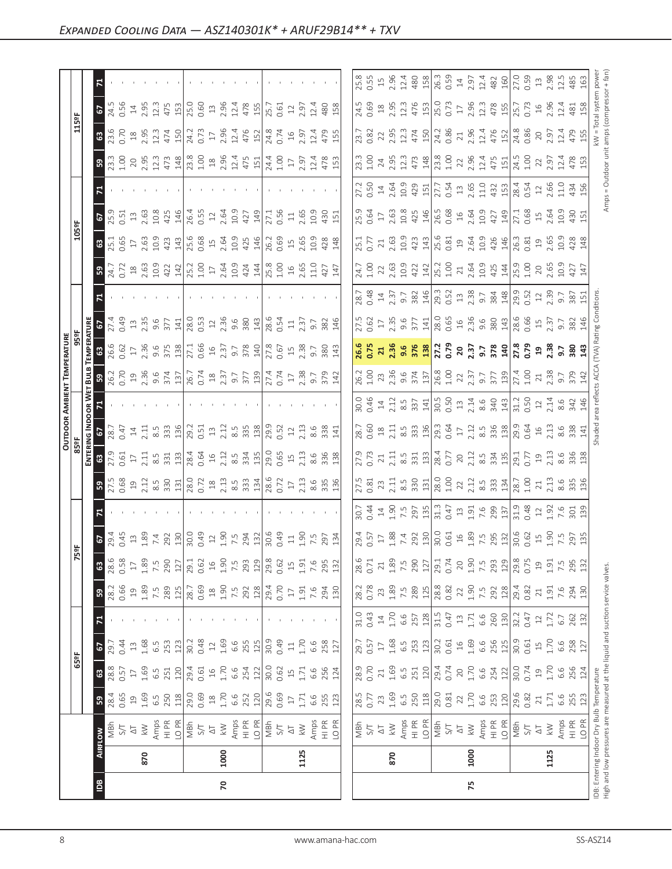|                |      |                                                                                                                            |                 |                 |                |                                                      |                 |                 |                                                                                                                                                                                                                                                                                                             |                                                                                                                                                                                                                                                                                                                      |                                                                                                                                                                                                                                                                                                                                                                                      | <b>OUTDOOR AMBIENT TEMPERATURI</b>                                                                                                                                                                                                                                                                          |                                                                                                                                                                                                                                                                                                             |                                                                                                                                                                                                                                |                                                                                                    |                                                                                                                                                                                                                                                                                                           |                                                                    |                                                                                                                                                                                                                                                                                                                                  |                                                                                                                                                                                                                                                                                                              |                                                                                                                                                                                                      |                                                                                                                                                                                                                                                                                                                     |                                                                                                                                                                                                                                                                                                                                                                                                                          |                                                                                                                                                                                                                                                                                       |                                                                                                                       |  |
|----------------|------|----------------------------------------------------------------------------------------------------------------------------|-----------------|-----------------|----------------|------------------------------------------------------|-----------------|-----------------|-------------------------------------------------------------------------------------------------------------------------------------------------------------------------------------------------------------------------------------------------------------------------------------------------------------|----------------------------------------------------------------------------------------------------------------------------------------------------------------------------------------------------------------------------------------------------------------------------------------------------------------------|--------------------------------------------------------------------------------------------------------------------------------------------------------------------------------------------------------------------------------------------------------------------------------------------------------------------------------------------------------------------------------------|-------------------------------------------------------------------------------------------------------------------------------------------------------------------------------------------------------------------------------------------------------------------------------------------------------------|-------------------------------------------------------------------------------------------------------------------------------------------------------------------------------------------------------------------------------------------------------------------------------------------------------------|--------------------------------------------------------------------------------------------------------------------------------------------------------------------------------------------------------------------------------|----------------------------------------------------------------------------------------------------|-----------------------------------------------------------------------------------------------------------------------------------------------------------------------------------------------------------------------------------------------------------------------------------------------------------|--------------------------------------------------------------------|----------------------------------------------------------------------------------------------------------------------------------------------------------------------------------------------------------------------------------------------------------------------------------------------------------------------------------|--------------------------------------------------------------------------------------------------------------------------------------------------------------------------------------------------------------------------------------------------------------------------------------------------------------|------------------------------------------------------------------------------------------------------------------------------------------------------------------------------------------------------|---------------------------------------------------------------------------------------------------------------------------------------------------------------------------------------------------------------------------------------------------------------------------------------------------------------------|--------------------------------------------------------------------------------------------------------------------------------------------------------------------------------------------------------------------------------------------------------------------------------------------------------------------------------------------------------------------------------------------------------------------------|---------------------------------------------------------------------------------------------------------------------------------------------------------------------------------------------------------------------------------------------------------------------------------------|-----------------------------------------------------------------------------------------------------------------------|--|
|                |      |                                                                                                                            |                 | 65°F            |                |                                                      |                 |                 | 5ºF                                                                                                                                                                                                                                                                                                         |                                                                                                                                                                                                                                                                                                                      |                                                                                                                                                                                                                                                                                                                                                                                      |                                                                                                                                                                                                                                                                                                             |                                                                                                                                                                                                                                                                                                             |                                                                                                                                                                                                                                |                                                                                                    |                                                                                                                                                                                                                                                                                                           |                                                                    |                                                                                                                                                                                                                                                                                                                                  | 105°F                                                                                                                                                                                                                                                                                                        |                                                                                                                                                                                                      |                                                                                                                                                                                                                                                                                                                     |                                                                                                                                                                                                                                                                                                                                                                                                                          | 115°F                                                                                                                                                                                                                                                                                 |                                                                                                                       |  |
|                |      |                                                                                                                            |                 |                 |                |                                                      |                 |                 |                                                                                                                                                                                                                                                                                                             |                                                                                                                                                                                                                                                                                                                      |                                                                                                                                                                                                                                                                                                                                                                                      |                                                                                                                                                                                                                                                                                                             |                                                                                                                                                                                                                                                                                                             |                                                                                                                                                                                                                                |                                                                                                    |                                                                                                                                                                                                                                                                                                           |                                                                    |                                                                                                                                                                                                                                                                                                                                  |                                                                                                                                                                                                                                                                                                              |                                                                                                                                                                                                      |                                                                                                                                                                                                                                                                                                                     |                                                                                                                                                                                                                                                                                                                                                                                                                          |                                                                                                                                                                                                                                                                                       |                                                                                                                       |  |
| $\overline{5}$ |      | AIRFLOW                                                                                                                    | ${\tt S}$       | $\mathbbmss{3}$ | 2              | 71                                                   | ${\tt S}$       | $\mathbbmss{3}$ |                                                                                                                                                                                                                                                                                                             |                                                                                                                                                                                                                                                                                                                      |                                                                                                                                                                                                                                                                                                                                                                                      |                                                                                                                                                                                                                                                                                                             |                                                                                                                                                                                                                                                                                                             |                                                                                                                                                                                                                                |                                                                                                    |                                                                                                                                                                                                                                                                                                           |                                                                    |                                                                                                                                                                                                                                                                                                                                  | $\frac{35}{25}$ $\frac{1}{25}$ $\frac{1}{25}$ $\frac{3}{25}$ $\frac{3}{25}$ $\frac{3}{25}$ $\frac{3}{25}$ $\frac{3}{25}$ $\frac{3}{25}$ $\frac{3}{25}$ $\frac{3}{25}$ $\frac{3}{25}$ $\frac{3}{25}$ $\frac{3}{25}$ $\frac{3}{25}$ $\frac{3}{25}$ $\frac{3}{25}$ $\frac{3}{25}$ $\frac{3}{25}$ $\frac{3}{25}$ |                                                                                                                                                                                                      |                                                                                                                                                                                                                                                                                                                     |                                                                                                                                                                                                                                                                                                                                                                                                                          | <b>67</b><br>24.5<br>0.56<br>8.58                                                                                                                                                                                                                                                     |                                                                                                                       |  |
|                |      | MBh                                                                                                                        | 28.4            | 28.8            | 29.7           |                                                      | 28.2            | 28.6            |                                                                                                                                                                                                                                                                                                             |                                                                                                                                                                                                                                                                                                                      |                                                                                                                                                                                                                                                                                                                                                                                      |                                                                                                                                                                                                                                                                                                             |                                                                                                                                                                                                                                                                                                             |                                                                                                                                                                                                                                |                                                                                                    |                                                                                                                                                                                                                                                                                                           |                                                                    |                                                                                                                                                                                                                                                                                                                                  |                                                                                                                                                                                                                                                                                                              |                                                                                                                                                                                                      |                                                                                                                                                                                                                                                                                                                     |                                                                                                                                                                                                                                                                                                                                                                                                                          |                                                                                                                                                                                                                                                                                       |                                                                                                                       |  |
|                |      | 5/1                                                                                                                        | 0.65            | 0.57            | 0.44           |                                                      | 0.66            | 0.58            |                                                                                                                                                                                                                                                                                                             |                                                                                                                                                                                                                                                                                                                      |                                                                                                                                                                                                                                                                                                                                                                                      |                                                                                                                                                                                                                                                                                                             |                                                                                                                                                                                                                                                                                                             |                                                                                                                                                                                                                                |                                                                                                    |                                                                                                                                                                                                                                                                                                           |                                                                    |                                                                                                                                                                                                                                                                                                                                  |                                                                                                                                                                                                                                                                                                              |                                                                                                                                                                                                      |                                                                                                                                                                                                                                                                                                                     |                                                                                                                                                                                                                                                                                                                                                                                                                          |                                                                                                                                                                                                                                                                                       |                                                                                                                       |  |
|                |      | $\overline{\Delta}$                                                                                                        | $\overline{19}$ | $\Box$          | $13$           |                                                      | $\overline{19}$ | $\Box$          |                                                                                                                                                                                                                                                                                                             |                                                                                                                                                                                                                                                                                                                      |                                                                                                                                                                                                                                                                                                                                                                                      |                                                                                                                                                                                                                                                                                                             |                                                                                                                                                                                                                                                                                                             |                                                                                                                                                                                                                                |                                                                                                    |                                                                                                                                                                                                                                                                                                           |                                                                    |                                                                                                                                                                                                                                                                                                                                  |                                                                                                                                                                                                                                                                                                              |                                                                                                                                                                                                      |                                                                                                                                                                                                                                                                                                                     |                                                                                                                                                                                                                                                                                                                                                                                                                          |                                                                                                                                                                                                                                                                                       |                                                                                                                       |  |
|                | 870  | $\gtrapprox$                                                                                                               | 1.69            | 1.69            | 1.68           |                                                      | 1.89            | 1.89            |                                                                                                                                                                                                                                                                                                             |                                                                                                                                                                                                                                                                                                                      |                                                                                                                                                                                                                                                                                                                                                                                      |                                                                                                                                                                                                                                                                                                             |                                                                                                                                                                                                                                                                                                             |                                                                                                                                                                                                                                |                                                                                                    |                                                                                                                                                                                                                                                                                                           |                                                                    |                                                                                                                                                                                                                                                                                                                                  |                                                                                                                                                                                                                                                                                                              |                                                                                                                                                                                                      |                                                                                                                                                                                                                                                                                                                     |                                                                                                                                                                                                                                                                                                                                                                                                                          |                                                                                                                                                                                                                                                                                       |                                                                                                                       |  |
|                |      |                                                                                                                            | 6.5             | 6.5             | 6.5            |                                                      | 7.5             | 7.5             |                                                                                                                                                                                                                                                                                                             |                                                                                                                                                                                                                                                                                                                      |                                                                                                                                                                                                                                                                                                                                                                                      |                                                                                                                                                                                                                                                                                                             |                                                                                                                                                                                                                                                                                                             |                                                                                                                                                                                                                                |                                                                                                    |                                                                                                                                                                                                                                                                                                           |                                                                    |                                                                                                                                                                                                                                                                                                                                  |                                                                                                                                                                                                                                                                                                              |                                                                                                                                                                                                      |                                                                                                                                                                                                                                                                                                                     |                                                                                                                                                                                                                                                                                                                                                                                                                          | $14$<br>$2.95$<br>$12.3$<br>$475$                                                                                                                                                                                                                                                     |                                                                                                                       |  |
|                |      | Amps<br>HI PR                                                                                                              | 250             | 251             | 253            |                                                      | 289             | 290             | $2\frac{3}{5}$ $2\frac{3}{5}$ $3\frac{3}{5}$ $4\frac{3}{5}$ $3\frac{3}{5}$ $3\frac{3}{5}$ $3\frac{3}{5}$ $2\frac{3}{5}$ $2\frac{3}{5}$ $3\frac{3}{5}$ $3\frac{3}{5}$ $3\frac{3}{5}$ $3\frac{3}{5}$ $3\frac{3}{5}$ $3\frac{3}{5}$ $3\frac{3}{5}$ $3\frac{3}{5}$ $3\frac{3}{5}$ $3\frac{3}{5}$ $3\frac{3}{5}$ | $3\frac{1}{2}$ $\frac{1}{2}$ $\frac{1}{3}$ $\frac{3}{3}$ $\frac{1}{3}$ $\frac{1}{3}$ $\frac{1}{6}$ $\frac{1}{2}$ $\frac{1}{2}$ $\frac{1}{3}$ $\frac{1}{3}$ $\frac{1}{3}$ $\frac{1}{3}$ $\frac{1}{2}$ $\frac{1}{3}$ $\frac{1}{3}$ $\frac{1}{3}$ $\frac{1}{2}$ $\frac{1}{3}$ $\frac{1}{3}$ $\frac{1}{3}$ $\frac{1}{3}$ | $3\overline{)}$ $\overline{)}$ $\overline{)}$ $\overline{)}$ $\overline{)}$ $\overline{)}$ $\overline{)}$ $\overline{)}$ $\overline{)}$ $\overline{)}$ $\overline{)}$ $\overline{)}$ $\overline{)}$ $\overline{)}$ $\overline{)}$ $\overline{)}$ $\overline{)}$ $\overline{)}$ $\overline{)}$ $\overline{)}$ $\overline{)}$ $\overline{)}$ $\overline{)}$ $\overline{)}$ $\overline$ | $\frac{1}{68}$ $\frac{1}{68}$ $\frac{1}{65}$ $\frac{1}{65}$ $\frac{1}{65}$ $\frac{1}{65}$ $\frac{1}{65}$ $\frac{1}{65}$ $\frac{1}{65}$ $\frac{1}{65}$ $\frac{1}{65}$ $\frac{1}{65}$ $\frac{1}{65}$ $\frac{1}{65}$ $\frac{1}{65}$ $\frac{1}{65}$ $\frac{1}{65}$ $\frac{1}{65}$ $\frac{1}{65}$ $\frac{1}{65}$ |                                                                                                                                                                                                                                                                                                             | $3.8\%$ $5.9\%$ $5.7\%$ $5.7\%$ $5.7\%$ $5.7\%$ $5.7\%$ $5.7\%$ $5.7\%$ $5.7\%$ $5.7\%$ $5.7\%$ $5.7\%$ $5.7\%$ $5.7\%$ $5.7\%$ $5.7\%$ $5.7\%$ $5.7\%$ $5.7\%$ $5.7\%$ $5.7\%$ $5.7\%$ $5.7\%$ $5.7\%$ $5.7\%$ $5.7\%$ $5.7\$ | 16.6<br>0.62 17.96.62 18.77.62 17.78 17.62 17.98 17.88 17.98 17.98 17.98 17.98 17.98 17.99 10.1992 | $5.73$ $3.9$ $3.9$ $5.71$ $8.9$ $3.9$ $3.9$ $5.8$ $1.9$ $1.9$ $1.9$ $1.9$ $1.9$ $1.9$ $1.9$ $1.9$ $1.9$ $1.9$ $1.9$ $1.9$ $1.9$ $1.9$ $1.9$ $1.9$ $1.9$ $1.9$ $1.9$ $1.9$ $1.9$ $1.9$ $1.9$ $1.9$ $1.9$ $1.9$ $1.9$ $1.9$ $1.9$                                                                           |                                                                    | $3\frac{1}{2}$ , $\frac{1}{2}$ , $\frac{1}{2}$ , $\frac{1}{2}$ , $\frac{1}{2}$ , $\frac{1}{2}$ , $\frac{1}{2}$ , $\frac{1}{2}$ , $\frac{1}{2}$ , $\frac{1}{2}$ , $\frac{1}{2}$ , $\frac{1}{2}$ , $\frac{1}{2}$ , $\frac{1}{2}$ , $\frac{1}{2}$ , $\frac{1}{2}$ , $\frac{1}{2}$ , $\frac{1}{2}$ , $\frac{1}{2}$ , $\frac{1}{2}$ , |                                                                                                                                                                                                                                                                                                              | $S$ <sub>3</sub><br>$S$ <sub>3</sub><br>$S$ <sub>3</sub><br>$S$ <sub>3</sub><br>$S$ <sub>3</sub><br>$S$ <sub>3</sub><br>$S$ <sub>3</sub><br>$S$ <sub>3</sub>                                         |                                                                                                                                                                                                                                                                                                                     | $\mathbb{R}$ $\stackrel{11}{\cancel{5}}$ $\stackrel{12}{\cancel{5}}$ $\stackrel{23}{\cancel{5}}$ $\stackrel{33}{\cancel{5}}$ $\stackrel{34}{\cancel{5}}$ $\stackrel{45}{\cancel{5}}$ $\stackrel{45}{\cancel{5}}$ $\stackrel{55}{\cancel{5}}$ $\stackrel{56}{\cancel{5}}$ $\stackrel{47}{\cancel{5}}$ $\stackrel{47}{\cancel{5}}$ $\stackrel{47}{\cancel{5}}$ $\stackrel{47}{\cancel{5}}$ $\stackrel{57}{\cancel{5}}$ $\$ |                                                                                                                                                                                                                                                                                       |                                                                                                                       |  |
|                |      | LO PR                                                                                                                      | 118             | 120             | 123            |                                                      | 125             | 127             |                                                                                                                                                                                                                                                                                                             |                                                                                                                                                                                                                                                                                                                      |                                                                                                                                                                                                                                                                                                                                                                                      |                                                                                                                                                                                                                                                                                                             |                                                                                                                                                                                                                                                                                                             |                                                                                                                                                                                                                                |                                                                                                    |                                                                                                                                                                                                                                                                                                           |                                                                    |                                                                                                                                                                                                                                                                                                                                  |                                                                                                                                                                                                                                                                                                              | 146                                                                                                                                                                                                  |                                                                                                                                                                                                                                                                                                                     |                                                                                                                                                                                                                                                                                                                                                                                                                          |                                                                                                                                                                                                                                                                                       |                                                                                                                       |  |
|                |      | NBh                                                                                                                        | 29.0            | 29.4            | 30.2           |                                                      | 28.7            | 29.1            |                                                                                                                                                                                                                                                                                                             |                                                                                                                                                                                                                                                                                                                      |                                                                                                                                                                                                                                                                                                                                                                                      |                                                                                                                                                                                                                                                                                                             |                                                                                                                                                                                                                                                                                                             |                                                                                                                                                                                                                                |                                                                                                    |                                                                                                                                                                                                                                                                                                           |                                                                    |                                                                                                                                                                                                                                                                                                                                  |                                                                                                                                                                                                                                                                                                              |                                                                                                                                                                                                      |                                                                                                                                                                                                                                                                                                                     |                                                                                                                                                                                                                                                                                                                                                                                                                          |                                                                                                                                                                                                                                                                                       |                                                                                                                       |  |
|                |      | 5 <sup>T</sup>                                                                                                             | 0.69            | 0.61            | 0.48           |                                                      | 0.69            | 0.62            |                                                                                                                                                                                                                                                                                                             |                                                                                                                                                                                                                                                                                                                      |                                                                                                                                                                                                                                                                                                                                                                                      |                                                                                                                                                                                                                                                                                                             |                                                                                                                                                                                                                                                                                                             |                                                                                                                                                                                                                                |                                                                                                    |                                                                                                                                                                                                                                                                                                           |                                                                    |                                                                                                                                                                                                                                                                                                                                  |                                                                                                                                                                                                                                                                                                              |                                                                                                                                                                                                      |                                                                                                                                                                                                                                                                                                                     |                                                                                                                                                                                                                                                                                                                                                                                                                          |                                                                                                                                                                                                                                                                                       |                                                                                                                       |  |
|                |      | $\overline{\triangle}$                                                                                                     | $^{28}$         | 16              | 12             |                                                      | $\frac{8}{18}$  | $\frac{16}{1}$  |                                                                                                                                                                                                                                                                                                             |                                                                                                                                                                                                                                                                                                                      |                                                                                                                                                                                                                                                                                                                                                                                      |                                                                                                                                                                                                                                                                                                             |                                                                                                                                                                                                                                                                                                             |                                                                                                                                                                                                                                |                                                                                                    |                                                                                                                                                                                                                                                                                                           |                                                                    |                                                                                                                                                                                                                                                                                                                                  |                                                                                                                                                                                                                                                                                                              |                                                                                                                                                                                                      |                                                                                                                                                                                                                                                                                                                     |                                                                                                                                                                                                                                                                                                                                                                                                                          |                                                                                                                                                                                                                                                                                       |                                                                                                                       |  |
| 20             | 1000 | $\gtrapprox$                                                                                                               | 1.70            | 1.70            | 1.69           |                                                      | 1.90            | 1.90            |                                                                                                                                                                                                                                                                                                             |                                                                                                                                                                                                                                                                                                                      |                                                                                                                                                                                                                                                                                                                                                                                      |                                                                                                                                                                                                                                                                                                             |                                                                                                                                                                                                                                                                                                             |                                                                                                                                                                                                                                |                                                                                                    |                                                                                                                                                                                                                                                                                                           |                                                                    |                                                                                                                                                                                                                                                                                                                                  |                                                                                                                                                                                                                                                                                                              |                                                                                                                                                                                                      |                                                                                                                                                                                                                                                                                                                     |                                                                                                                                                                                                                                                                                                                                                                                                                          |                                                                                                                                                                                                                                                                                       |                                                                                                                       |  |
|                |      | Amps                                                                                                                       | 6.6             | 6.6             | 6.6            |                                                      | 7.5             | 7.5             |                                                                                                                                                                                                                                                                                                             |                                                                                                                                                                                                                                                                                                                      |                                                                                                                                                                                                                                                                                                                                                                                      |                                                                                                                                                                                                                                                                                                             |                                                                                                                                                                                                                                                                                                             |                                                                                                                                                                                                                                |                                                                                                    |                                                                                                                                                                                                                                                                                                           |                                                                    |                                                                                                                                                                                                                                                                                                                                  |                                                                                                                                                                                                                                                                                                              | $26.4$<br>0.55<br>2.64<br>2.09                                                                                                                                                                       |                                                                                                                                                                                                                                                                                                                     |                                                                                                                                                                                                                                                                                                                                                                                                                          |                                                                                                                                                                                                                                                                                       |                                                                                                                       |  |
|                |      | $\frac{R}{I}$                                                                                                              | 252             | 254             | 255            |                                                      | 292             | 293             |                                                                                                                                                                                                                                                                                                             |                                                                                                                                                                                                                                                                                                                      |                                                                                                                                                                                                                                                                                                                                                                                      |                                                                                                                                                                                                                                                                                                             |                                                                                                                                                                                                                                                                                                             |                                                                                                                                                                                                                                |                                                                                                    |                                                                                                                                                                                                                                                                                                           |                                                                    |                                                                                                                                                                                                                                                                                                                                  | $\frac{11}{100}$ $\frac{12}{100}$ $\frac{12}{100}$ $\frac{12}{100}$ $\frac{12}{100}$ $\frac{12}{100}$ $\frac{12}{100}$ $\frac{12}{100}$ $\frac{12}{100}$ $\frac{12}{100}$ $\frac{12}{100}$                                                                                                                   | 427                                                                                                                                                                                                  |                                                                                                                                                                                                                                                                                                                     |                                                                                                                                                                                                                                                                                                                                                                                                                          | $\begin{array}{c} 151000 \\ 1510000 \\ 0.6001 \\ 0.75100 \\ 0.75100 \\ 0.75100 \\ 0.75100 \\ 0.75100 \\ 0.75100 \\ 0.75100 \\ 0.75100 \\ 0.75100 \\ 0.75100 \\ 0.75100 \\ 0.75100 \\ 0.75100 \\ 0.75100 \\ 0.75100 \\ 0.75100 \\ 0.75100 \\ 0.75100 \\ 0.75100 \\ 0.75100 \\ 0.75100$ |                                                                                                                       |  |
|                |      | LO PR                                                                                                                      | 120             | 122             | 125            |                                                      | 128             | 129             |                                                                                                                                                                                                                                                                                                             |                                                                                                                                                                                                                                                                                                                      |                                                                                                                                                                                                                                                                                                                                                                                      |                                                                                                                                                                                                                                                                                                             |                                                                                                                                                                                                                                                                                                             |                                                                                                                                                                                                                                |                                                                                                    |                                                                                                                                                                                                                                                                                                           |                                                                    |                                                                                                                                                                                                                                                                                                                                  |                                                                                                                                                                                                                                                                                                              |                                                                                                                                                                                                      |                                                                                                                                                                                                                                                                                                                     |                                                                                                                                                                                                                                                                                                                                                                                                                          |                                                                                                                                                                                                                                                                                       |                                                                                                                       |  |
|                |      | MBh                                                                                                                        | 29.6            | 30.0            | 30.9           |                                                      | 29.4            | 29.8            |                                                                                                                                                                                                                                                                                                             |                                                                                                                                                                                                                                                                                                                      |                                                                                                                                                                                                                                                                                                                                                                                      |                                                                                                                                                                                                                                                                                                             |                                                                                                                                                                                                                                                                                                             |                                                                                                                                                                                                                                |                                                                                                    |                                                                                                                                                                                                                                                                                                           |                                                                    |                                                                                                                                                                                                                                                                                                                                  |                                                                                                                                                                                                                                                                                                              |                                                                                                                                                                                                      |                                                                                                                                                                                                                                                                                                                     |                                                                                                                                                                                                                                                                                                                                                                                                                          |                                                                                                                                                                                                                                                                                       |                                                                                                                       |  |
|                |      | 5/1                                                                                                                        | 0.69            | 0.62            | 0.49           |                                                      | 0.70            | 0.62            |                                                                                                                                                                                                                                                                                                             |                                                                                                                                                                                                                                                                                                                      |                                                                                                                                                                                                                                                                                                                                                                                      |                                                                                                                                                                                                                                                                                                             |                                                                                                                                                                                                                                                                                                             |                                                                                                                                                                                                                                |                                                                                                    |                                                                                                                                                                                                                                                                                                           |                                                                    |                                                                                                                                                                                                                                                                                                                                  |                                                                                                                                                                                                                                                                                                              |                                                                                                                                                                                                      |                                                                                                                                                                                                                                                                                                                     |                                                                                                                                                                                                                                                                                                                                                                                                                          |                                                                                                                                                                                                                                                                                       |                                                                                                                       |  |
|                |      | $\overline{\triangle}$                                                                                                     | $\Box$          | $\overline{10}$ | $\Xi$          |                                                      | $17\,$          | $\frac{15}{1}$  |                                                                                                                                                                                                                                                                                                             |                                                                                                                                                                                                                                                                                                                      |                                                                                                                                                                                                                                                                                                                                                                                      |                                                                                                                                                                                                                                                                                                             |                                                                                                                                                                                                                                                                                                             |                                                                                                                                                                                                                                |                                                                                                    |                                                                                                                                                                                                                                                                                                           |                                                                    |                                                                                                                                                                                                                                                                                                                                  |                                                                                                                                                                                                                                                                                                              |                                                                                                                                                                                                      |                                                                                                                                                                                                                                                                                                                     |                                                                                                                                                                                                                                                                                                                                                                                                                          |                                                                                                                                                                                                                                                                                       |                                                                                                                       |  |
|                | 1125 | $\leq$                                                                                                                     | 1.71            | 1.71            | 1.70           |                                                      | 1.91            | 1.91            |                                                                                                                                                                                                                                                                                                             |                                                                                                                                                                                                                                                                                                                      |                                                                                                                                                                                                                                                                                                                                                                                      |                                                                                                                                                                                                                                                                                                             |                                                                                                                                                                                                                                                                                                             |                                                                                                                                                                                                                                |                                                                                                    |                                                                                                                                                                                                                                                                                                           |                                                                    |                                                                                                                                                                                                                                                                                                                                  |                                                                                                                                                                                                                                                                                                              | $27.16$<br>0.56<br>2.69<br>2.93<br>4.51                                                                                                                                                              |                                                                                                                                                                                                                                                                                                                     |                                                                                                                                                                                                                                                                                                                                                                                                                          |                                                                                                                                                                                                                                                                                       |                                                                                                                       |  |
|                |      | Amps                                                                                                                       | 6.6             | 6.6             | 6.6            |                                                      | 7.6             | 7.6             |                                                                                                                                                                                                                                                                                                             |                                                                                                                                                                                                                                                                                                                      |                                                                                                                                                                                                                                                                                                                                                                                      |                                                                                                                                                                                                                                                                                                             |                                                                                                                                                                                                                                                                                                             |                                                                                                                                                                                                                                |                                                                                                    |                                                                                                                                                                                                                                                                                                           |                                                                    |                                                                                                                                                                                                                                                                                                                                  |                                                                                                                                                                                                                                                                                                              |                                                                                                                                                                                                      |                                                                                                                                                                                                                                                                                                                     |                                                                                                                                                                                                                                                                                                                                                                                                                          |                                                                                                                                                                                                                                                                                       |                                                                                                                       |  |
|                |      | $\frac{PR}{T}$                                                                                                             | 255             | 256             | 258            |                                                      | 294             | 295             |                                                                                                                                                                                                                                                                                                             |                                                                                                                                                                                                                                                                                                                      |                                                                                                                                                                                                                                                                                                                                                                                      |                                                                                                                                                                                                                                                                                                             |                                                                                                                                                                                                                                                                                                             |                                                                                                                                                                                                                                |                                                                                                    |                                                                                                                                                                                                                                                                                                           |                                                                    |                                                                                                                                                                                                                                                                                                                                  |                                                                                                                                                                                                                                                                                                              |                                                                                                                                                                                                      |                                                                                                                                                                                                                                                                                                                     |                                                                                                                                                                                                                                                                                                                                                                                                                          |                                                                                                                                                                                                                                                                                       |                                                                                                                       |  |
|                |      | LO PR                                                                                                                      | 123             | 124             | 127            |                                                      | 130             | 132             |                                                                                                                                                                                                                                                                                                             |                                                                                                                                                                                                                                                                                                                      |                                                                                                                                                                                                                                                                                                                                                                                      |                                                                                                                                                                                                                                                                                                             |                                                                                                                                                                                                                                                                                                             |                                                                                                                                                                                                                                |                                                                                                    |                                                                                                                                                                                                                                                                                                           |                                                                    |                                                                                                                                                                                                                                                                                                                                  |                                                                                                                                                                                                                                                                                                              |                                                                                                                                                                                                      |                                                                                                                                                                                                                                                                                                                     |                                                                                                                                                                                                                                                                                                                                                                                                                          |                                                                                                                                                                                                                                                                                       |                                                                                                                       |  |
|                |      |                                                                                                                            |                 |                 |                |                                                      |                 |                 |                                                                                                                                                                                                                                                                                                             |                                                                                                                                                                                                                                                                                                                      |                                                                                                                                                                                                                                                                                                                                                                                      |                                                                                                                                                                                                                                                                                                             |                                                                                                                                                                                                                                                                                                             |                                                                                                                                                                                                                                |                                                                                                    |                                                                                                                                                                                                                                                                                                           |                                                                    |                                                                                                                                                                                                                                                                                                                                  |                                                                                                                                                                                                                                                                                                              |                                                                                                                                                                                                      |                                                                                                                                                                                                                                                                                                                     |                                                                                                                                                                                                                                                                                                                                                                                                                          |                                                                                                                                                                                                                                                                                       |                                                                                                                       |  |
|                |      |                                                                                                                            | 28.5            | 28.9            | 29.7           | 31.0                                                 | 28.2            | 28.6            |                                                                                                                                                                                                                                                                                                             |                                                                                                                                                                                                                                                                                                                      |                                                                                                                                                                                                                                                                                                                                                                                      |                                                                                                                                                                                                                                                                                                             |                                                                                                                                                                                                                                                                                                             |                                                                                                                                                                                                                                |                                                                                                    |                                                                                                                                                                                                                                                                                                           |                                                                    |                                                                                                                                                                                                                                                                                                                                  |                                                                                                                                                                                                                                                                                                              |                                                                                                                                                                                                      |                                                                                                                                                                                                                                                                                                                     |                                                                                                                                                                                                                                                                                                                                                                                                                          |                                                                                                                                                                                                                                                                                       |                                                                                                                       |  |
|                |      | NBh<br>S/T                                                                                                                 | 0.77            | 0.70            |                |                                                      | 0.78            | 0.71            |                                                                                                                                                                                                                                                                                                             |                                                                                                                                                                                                                                                                                                                      |                                                                                                                                                                                                                                                                                                                                                                                      |                                                                                                                                                                                                                                                                                                             |                                                                                                                                                                                                                                                                                                             |                                                                                                                                                                                                                                |                                                                                                    |                                                                                                                                                                                                                                                                                                           |                                                                    |                                                                                                                                                                                                                                                                                                                                  |                                                                                                                                                                                                                                                                                                              |                                                                                                                                                                                                      |                                                                                                                                                                                                                                                                                                                     |                                                                                                                                                                                                                                                                                                                                                                                                                          |                                                                                                                                                                                                                                                                                       |                                                                                                                       |  |
|                |      |                                                                                                                            |                 |                 | 0.57           | 0.43                                                 |                 |                 |                                                                                                                                                                                                                                                                                                             |                                                                                                                                                                                                                                                                                                                      |                                                                                                                                                                                                                                                                                                                                                                                      |                                                                                                                                                                                                                                                                                                             |                                                                                                                                                                                                                                                                                                             |                                                                                                                                                                                                                                |                                                                                                    |                                                                                                                                                                                                                                                                                                           |                                                                    |                                                                                                                                                                                                                                                                                                                                  |                                                                                                                                                                                                                                                                                                              |                                                                                                                                                                                                      |                                                                                                                                                                                                                                                                                                                     |                                                                                                                                                                                                                                                                                                                                                                                                                          |                                                                                                                                                                                                                                                                                       |                                                                                                                       |  |
|                |      | $\overline{\triangle}$                                                                                                     | 23              | 21              | $\Box$         | $\ensuremath{\mathop{\mathop{\mathbf{1}}}\nolimits}$ | 23              | 21              |                                                                                                                                                                                                                                                                                                             |                                                                                                                                                                                                                                                                                                                      |                                                                                                                                                                                                                                                                                                                                                                                      |                                                                                                                                                                                                                                                                                                             |                                                                                                                                                                                                                                                                                                             |                                                                                                                                                                                                                                |                                                                                                    |                                                                                                                                                                                                                                                                                                           |                                                                    |                                                                                                                                                                                                                                                                                                                                  |                                                                                                                                                                                                                                                                                                              |                                                                                                                                                                                                      |                                                                                                                                                                                                                                                                                                                     |                                                                                                                                                                                                                                                                                                                                                                                                                          |                                                                                                                                                                                                                                                                                       |                                                                                                                       |  |
|                | 870  | $\lesssim$                                                                                                                 | 1.69            | 1.69            | 1.68           | 1.70                                                 | 1.89            | 1.89            |                                                                                                                                                                                                                                                                                                             |                                                                                                                                                                                                                                                                                                                      |                                                                                                                                                                                                                                                                                                                                                                                      |                                                                                                                                                                                                                                                                                                             |                                                                                                                                                                                                                                                                                                             |                                                                                                                                                                                                                                |                                                                                                    |                                                                                                                                                                                                                                                                                                           |                                                                    |                                                                                                                                                                                                                                                                                                                                  |                                                                                                                                                                                                                                                                                                              |                                                                                                                                                                                                      |                                                                                                                                                                                                                                                                                                                     |                                                                                                                                                                                                                                                                                                                                                                                                                          |                                                                                                                                                                                                                                                                                       |                                                                                                                       |  |
|                |      | Amps                                                                                                                       | 6.5             | 6.5             | 6.5            | 6.6                                                  | 7.5             | 7.5             |                                                                                                                                                                                                                                                                                                             |                                                                                                                                                                                                                                                                                                                      |                                                                                                                                                                                                                                                                                                                                                                                      |                                                                                                                                                                                                                                                                                                             |                                                                                                                                                                                                                                                                                                             |                                                                                                                                                                                                                                |                                                                                                    |                                                                                                                                                                                                                                                                                                           |                                                                    |                                                                                                                                                                                                                                                                                                                                  |                                                                                                                                                                                                                                                                                                              |                                                                                                                                                                                                      |                                                                                                                                                                                                                                                                                                                     |                                                                                                                                                                                                                                                                                                                                                                                                                          |                                                                                                                                                                                                                                                                                       |                                                                                                                       |  |
|                |      | $H1$ PR                                                                                                                    | 250             | 251             | 253            | 257                                                  | 289             | 290             |                                                                                                                                                                                                                                                                                                             |                                                                                                                                                                                                                                                                                                                      |                                                                                                                                                                                                                                                                                                                                                                                      |                                                                                                                                                                                                                                                                                                             |                                                                                                                                                                                                                                                                                                             |                                                                                                                                                                                                                                |                                                                                                    |                                                                                                                                                                                                                                                                                                           |                                                                    |                                                                                                                                                                                                                                                                                                                                  |                                                                                                                                                                                                                                                                                                              |                                                                                                                                                                                                      |                                                                                                                                                                                                                                                                                                                     |                                                                                                                                                                                                                                                                                                                                                                                                                          |                                                                                                                                                                                                                                                                                       |                                                                                                                       |  |
|                |      | LO <sub>PR</sub>                                                                                                           | 118             | 120             | 123            | 128                                                  | 125             | 127             |                                                                                                                                                                                                                                                                                                             |                                                                                                                                                                                                                                                                                                                      |                                                                                                                                                                                                                                                                                                                                                                                      |                                                                                                                                                                                                                                                                                                             |                                                                                                                                                                                                                                                                                                             |                                                                                                                                                                                                                                |                                                                                                    |                                                                                                                                                                                                                                                                                                           |                                                                    |                                                                                                                                                                                                                                                                                                                                  |                                                                                                                                                                                                                                                                                                              |                                                                                                                                                                                                      |                                                                                                                                                                                                                                                                                                                     |                                                                                                                                                                                                                                                                                                                                                                                                                          |                                                                                                                                                                                                                                                                                       |                                                                                                                       |  |
|                |      | MBh                                                                                                                        | 29.0            | 29.4            | 30.2           | 31.5                                                 | 28.8            | 29.1            |                                                                                                                                                                                                                                                                                                             |                                                                                                                                                                                                                                                                                                                      |                                                                                                                                                                                                                                                                                                                                                                                      |                                                                                                                                                                                                                                                                                                             |                                                                                                                                                                                                                                                                                                             |                                                                                                                                                                                                                                |                                                                                                    |                                                                                                                                                                                                                                                                                                           |                                                                    |                                                                                                                                                                                                                                                                                                                                  |                                                                                                                                                                                                                                                                                                              |                                                                                                                                                                                                      |                                                                                                                                                                                                                                                                                                                     |                                                                                                                                                                                                                                                                                                                                                                                                                          |                                                                                                                                                                                                                                                                                       |                                                                                                                       |  |
|                |      | 5/7                                                                                                                        | 0.81            | 0.74            | 0.61           | 0.47                                                 | 0.82            | 0.74            |                                                                                                                                                                                                                                                                                                             |                                                                                                                                                                                                                                                                                                                      |                                                                                                                                                                                                                                                                                                                                                                                      |                                                                                                                                                                                                                                                                                                             |                                                                                                                                                                                                                                                                                                             |                                                                                                                                                                                                                                |                                                                                                    |                                                                                                                                                                                                                                                                                                           |                                                                    |                                                                                                                                                                                                                                                                                                                                  |                                                                                                                                                                                                                                                                                                              |                                                                                                                                                                                                      |                                                                                                                                                                                                                                                                                                                     |                                                                                                                                                                                                                                                                                                                                                                                                                          |                                                                                                                                                                                                                                                                                       |                                                                                                                       |  |
|                |      | $\overline{\triangle}$                                                                                                     | 22              | $20$            | $\frac{16}{1}$ | $\Xi$                                                | 22              | 20              |                                                                                                                                                                                                                                                                                                             |                                                                                                                                                                                                                                                                                                                      |                                                                                                                                                                                                                                                                                                                                                                                      |                                                                                                                                                                                                                                                                                                             |                                                                                                                                                                                                                                                                                                             |                                                                                                                                                                                                                                |                                                                                                    |                                                                                                                                                                                                                                                                                                           |                                                                    |                                                                                                                                                                                                                                                                                                                                  |                                                                                                                                                                                                                                                                                                              |                                                                                                                                                                                                      |                                                                                                                                                                                                                                                                                                                     |                                                                                                                                                                                                                                                                                                                                                                                                                          |                                                                                                                                                                                                                                                                                       |                                                                                                                       |  |
| 75             | 1000 | $\geqslant$                                                                                                                | 1.70            | $1.70$          | 1.69           | $1.71\,$                                             | 1.90            | 1.90            |                                                                                                                                                                                                                                                                                                             |                                                                                                                                                                                                                                                                                                                      |                                                                                                                                                                                                                                                                                                                                                                                      |                                                                                                                                                                                                                                                                                                             |                                                                                                                                                                                                                                                                                                             |                                                                                                                                                                                                                                |                                                                                                    |                                                                                                                                                                                                                                                                                                           |                                                                    |                                                                                                                                                                                                                                                                                                                                  |                                                                                                                                                                                                                                                                                                              |                                                                                                                                                                                                      |                                                                                                                                                                                                                                                                                                                     |                                                                                                                                                                                                                                                                                                                                                                                                                          |                                                                                                                                                                                                                                                                                       |                                                                                                                       |  |
|                |      | Amps                                                                                                                       | 6.6             | 6.6             | 6.6            | 6.6                                                  | 7.5<br>292      | 7.5             |                                                                                                                                                                                                                                                                                                             |                                                                                                                                                                                                                                                                                                                      |                                                                                                                                                                                                                                                                                                                                                                                      |                                                                                                                                                                                                                                                                                                             |                                                                                                                                                                                                                                                                                                             |                                                                                                                                                                                                                                |                                                                                                    |                                                                                                                                                                                                                                                                                                           |                                                                    |                                                                                                                                                                                                                                                                                                                                  |                                                                                                                                                                                                                                                                                                              |                                                                                                                                                                                                      |                                                                                                                                                                                                                                                                                                                     |                                                                                                                                                                                                                                                                                                                                                                                                                          |                                                                                                                                                                                                                                                                                       |                                                                                                                       |  |
|                |      | HI PR                                                                                                                      | 253             | 254             | 256            | 260                                                  |                 | 293             |                                                                                                                                                                                                                                                                                                             |                                                                                                                                                                                                                                                                                                                      |                                                                                                                                                                                                                                                                                                                                                                                      |                                                                                                                                                                                                                                                                                                             |                                                                                                                                                                                                                                                                                                             |                                                                                                                                                                                                                                |                                                                                                    |                                                                                                                                                                                                                                                                                                           |                                                                    |                                                                                                                                                                                                                                                                                                                                  |                                                                                                                                                                                                                                                                                                              |                                                                                                                                                                                                      |                                                                                                                                                                                                                                                                                                                     |                                                                                                                                                                                                                                                                                                                                                                                                                          |                                                                                                                                                                                                                                                                                       |                                                                                                                       |  |
|                |      | LO PR                                                                                                                      | 120             | 122             | 125            | 130                                                  | 128             | 129             |                                                                                                                                                                                                                                                                                                             |                                                                                                                                                                                                                                                                                                                      |                                                                                                                                                                                                                                                                                                                                                                                      |                                                                                                                                                                                                                                                                                                             |                                                                                                                                                                                                                                                                                                             |                                                                                                                                                                                                                                |                                                                                                    |                                                                                                                                                                                                                                                                                                           |                                                                    |                                                                                                                                                                                                                                                                                                                                  |                                                                                                                                                                                                                                                                                                              |                                                                                                                                                                                                      |                                                                                                                                                                                                                                                                                                                     | 2010 10:00 10:00 10:00 10:00 10:00 10:00 10:00 10:00 10:00 10:00 10:00 10:00 10:00 10:00 10:00 10:00 10:00 10:0                                                                                                                                                                                                                                                                                                          |                                                                                                                                                                                                                                                                                       |                                                                                                                       |  |
|                |      | NBh                                                                                                                        | 29.6            | 30.0            | 30.9           | 32.2                                                 | 29.4            | 29.8            |                                                                                                                                                                                                                                                                                                             |                                                                                                                                                                                                                                                                                                                      |                                                                                                                                                                                                                                                                                                                                                                                      |                                                                                                                                                                                                                                                                                                             |                                                                                                                                                                                                                                                                                                             |                                                                                                                                                                                                                                |                                                                                                    |                                                                                                                                                                                                                                                                                                           |                                                                    |                                                                                                                                                                                                                                                                                                                                  |                                                                                                                                                                                                                                                                                                              |                                                                                                                                                                                                      |                                                                                                                                                                                                                                                                                                                     |                                                                                                                                                                                                                                                                                                                                                                                                                          |                                                                                                                                                                                                                                                                                       |                                                                                                                       |  |
|                |      | $5/1$                                                                                                                      | 0.82            | 0.74            | 0.61           | 0.47                                                 | 0.82            | 0.75            |                                                                                                                                                                                                                                                                                                             |                                                                                                                                                                                                                                                                                                                      |                                                                                                                                                                                                                                                                                                                                                                                      |                                                                                                                                                                                                                                                                                                             |                                                                                                                                                                                                                                                                                                             |                                                                                                                                                                                                                                |                                                                                                    |                                                                                                                                                                                                                                                                                                           |                                                                    |                                                                                                                                                                                                                                                                                                                                  |                                                                                                                                                                                                                                                                                                              |                                                                                                                                                                                                      |                                                                                                                                                                                                                                                                                                                     |                                                                                                                                                                                                                                                                                                                                                                                                                          |                                                                                                                                                                                                                                                                                       |                                                                                                                       |  |
|                |      | $\Delta \mathbb{T}$                                                                                                        | 21              | $\overline{c}$  | $\overline{1}$ | $12$                                                 | $21\,$          | 19              |                                                                                                                                                                                                                                                                                                             |                                                                                                                                                                                                                                                                                                                      |                                                                                                                                                                                                                                                                                                                                                                                      |                                                                                                                                                                                                                                                                                                             |                                                                                                                                                                                                                                                                                                             |                                                                                                                                                                                                                                |                                                                                                    |                                                                                                                                                                                                                                                                                                           |                                                                    |                                                                                                                                                                                                                                                                                                                                  |                                                                                                                                                                                                                                                                                                              |                                                                                                                                                                                                      |                                                                                                                                                                                                                                                                                                                     |                                                                                                                                                                                                                                                                                                                                                                                                                          |                                                                                                                                                                                                                                                                                       |                                                                                                                       |  |
|                | 1125 | $\geq$                                                                                                                     | 1.71            | 1.70            | 1.70           | 1.72                                                 | 1.91            | $1.91\,$        |                                                                                                                                                                                                                                                                                                             |                                                                                                                                                                                                                                                                                                                      |                                                                                                                                                                                                                                                                                                                                                                                      |                                                                                                                                                                                                                                                                                                             |                                                                                                                                                                                                                                                                                                             |                                                                                                                                                                                                                                |                                                                                                    |                                                                                                                                                                                                                                                                                                           |                                                                    |                                                                                                                                                                                                                                                                                                                                  |                                                                                                                                                                                                                                                                                                              |                                                                                                                                                                                                      |                                                                                                                                                                                                                                                                                                                     |                                                                                                                                                                                                                                                                                                                                                                                                                          |                                                                                                                                                                                                                                                                                       |                                                                                                                       |  |
|                |      | Amps                                                                                                                       | 6.6             | 6.6             | 6.6            | 6.7                                                  | 7.6             | 7.5             |                                                                                                                                                                                                                                                                                                             |                                                                                                                                                                                                                                                                                                                      |                                                                                                                                                                                                                                                                                                                                                                                      |                                                                                                                                                                                                                                                                                                             |                                                                                                                                                                                                                                                                                                             |                                                                                                                                                                                                                                |                                                                                                    |                                                                                                                                                                                                                                                                                                           |                                                                    |                                                                                                                                                                                                                                                                                                                                  |                                                                                                                                                                                                                                                                                                              |                                                                                                                                                                                                      |                                                                                                                                                                                                                                                                                                                     |                                                                                                                                                                                                                                                                                                                                                                                                                          |                                                                                                                                                                                                                                                                                       |                                                                                                                       |  |
|                |      | $\frac{\beta}{\pi}$                                                                                                        | 255             | 256             | 258            | 262                                                  | 294             | 295             |                                                                                                                                                                                                                                                                                                             | $\frac{1}{2}$ 2 3 3 $\frac{1}{2}$ 3 $\frac{1}{2}$ 3 $\frac{1}{2}$ 3 $\frac{1}{2}$ 3 $\frac{1}{2}$ 3 $\frac{1}{2}$ 3 $\frac{1}{2}$ 3 $\frac{1}{2}$ 3 $\frac{1}{2}$ 3 $\frac{1}{2}$ 3 $\frac{1}{2}$ 3 $\frac{1}{2}$ 3 $\frac{1}{2}$ 3 $\frac{1}{2}$ 3 $\frac{1}{2}$ 4 $\frac{1}{2}$ 4 $\frac{1}{2}$ 4                  |                                                                                                                                                                                                                                                                                                                                                                                      |                                                                                                                                                                                                                                                                                                             | $\frac{5}{20}$ $\frac{3}{25}$ $\frac{4}{25}$ $\frac{1}{25}$ $\frac{1}{25}$ $\frac{1}{25}$ $\frac{1}{25}$ $\frac{1}{25}$ $\frac{1}{25}$ $\frac{1}{25}$ $\frac{1}{25}$ $\frac{1}{25}$ $\frac{1}{25}$ $\frac{1}{25}$ $\frac{1}{25}$ $\frac{1}{25}$ $\frac{1}{25}$ $\frac{1}{25}$ $\frac{1}{25}$ $\frac{1}{25}$ | $26.28$ $27.38$ $28.5$ $29.5$ $29.5$ $29.5$ $20.5$ $20.5$ $20.5$ $20.5$ $20.5$ $20.5$ $20.5$ $20.5$ $20.5$ $20.5$ $20.5$ $20.5$ $20.5$ $20.5$ $20.5$ $20.5$ $20.5$ $20.5$ $20.5$ $20.5$ $20.5$ $20.5$ $20.5$ $20.5$ $20.5$ $2$ |                                                                                                    | $\frac{15}{22}$ $\frac{12}{27}$ $\frac{12}{27}$ $\frac{12}{27}$ $\frac{12}{27}$ $\frac{12}{27}$ $\frac{12}{27}$ $\frac{12}{27}$ $\frac{12}{27}$ $\frac{12}{27}$ $\frac{12}{27}$ $\frac{12}{27}$ $\frac{12}{27}$ $\frac{12}{27}$ $\frac{12}{27}$ $\frac{12}{27}$ $\frac{12}{27}$ $\frac{12}{27}$ $\frac{1$ | $\begin{array}{l} 23.33 \\ 23.42 \\ 24.51 \\ 25.52 \\ \end{array}$ |                                                                                                                                                                                                                                                                                                                                  |                                                                                                                                                                                                                                                                                                              | 2010 12 2020 12 2020 12 2021 12 2021 12 2021 12 2021 12 2021 12 2021 12 2021 12 2021 12 2021 12 2021 12 2021 1<br>2021 12 20 20 21 22 22 23 24 25 26 27 27 28 29 20 21 22 23 24 25 26 27 28 29 20 21 | $\frac{2}{2}$ $\frac{2}{3}$ $\frac{3}{4}$ $\frac{3}{4}$ $\frac{3}{4}$ $\frac{3}{4}$ $\frac{3}{4}$ $\frac{1}{2}$ $\frac{1}{2}$ $\frac{3}{4}$ $\frac{3}{4}$ $\frac{3}{4}$ $\frac{3}{4}$ $\frac{3}{4}$ $\frac{3}{4}$ $\frac{3}{4}$ $\frac{3}{4}$ $\frac{3}{4}$ $\frac{3}{4}$ $\frac{3}{4}$ $\frac{3}{4}$ $\frac{3}{4}$ | 12.4<br>478<br>153                                                                                                                                                                                                                                                                                                                                                                                                       | $2.598$ 2 3 5 7 2 5 7 1 2 5 7 7 8 7 2 8 7 2 8 7 7 8 7 8 7 8 7 2 8 9 7 8 7 8 9 7 8 9 7 8 9 7 8 9 7 8 9 7 8 9 7 8 9 7 8 9 7 8 9 7 8 9 7 8 9 7 8 9 7 8 9 7 8 9 7 8 9 7 8 9 7 8 9 7 8 9 7 8 9 7 8 9 7 9 8 9 7 8 9 7 9 8 9 7 9 8 9                                                         | 8.8<br>8.5 = 8.7 = 8.8 = 8.9 = 8.7 = 8.8 = 8.9 = 8.9 = 8.9 = 8.9 = 8.9 = 8.9 = 8.9 = 8.9 = 8.9 = 8.9 = 8.9 = 8.9 = 8. |  |
|                |      | LO PR                                                                                                                      | 123             | 124             | 127            | 132                                                  | 130             | 132             |                                                                                                                                                                                                                                                                                                             |                                                                                                                                                                                                                                                                                                                      |                                                                                                                                                                                                                                                                                                                                                                                      |                                                                                                                                                                                                                                                                                                             |                                                                                                                                                                                                                                                                                                             |                                                                                                                                                                                                                                |                                                                                                    |                                                                                                                                                                                                                                                                                                           |                                                                    |                                                                                                                                                                                                                                                                                                                                  |                                                                                                                                                                                                                                                                                                              |                                                                                                                                                                                                      |                                                                                                                                                                                                                                                                                                                     |                                                                                                                                                                                                                                                                                                                                                                                                                          |                                                                                                                                                                                                                                                                                       |                                                                                                                       |  |
|                |      | High and low pressures are measured at the liquid and suction service valves.<br>IDB: Entering Indoor Dry Bulb Temperature |                 |                 |                |                                                      |                 |                 |                                                                                                                                                                                                                                                                                                             |                                                                                                                                                                                                                                                                                                                      |                                                                                                                                                                                                                                                                                                                                                                                      | shaded                                                                                                                                                                                                                                                                                                      |                                                                                                                                                                                                                                                                                                             | ts ACCA                                                                                                                                                                                                                        |                                                                                                    | ng Cond                                                                                                                                                                                                                                                                                                   | tions                                                              |                                                                                                                                                                                                                                                                                                                                  |                                                                                                                                                                                                                                                                                                              |                                                                                                                                                                                                      |                                                                                                                                                                                                                                                                                                                     |                                                                                                                                                                                                                                                                                                                                                                                                                          | :W = Total syster                                                                                                                                                                                                                                                                     | powe                                                                                                                  |  |

ertical community of the state of the www.amana-hac.com of the state of the SS-ASZ14 SS-ASZ14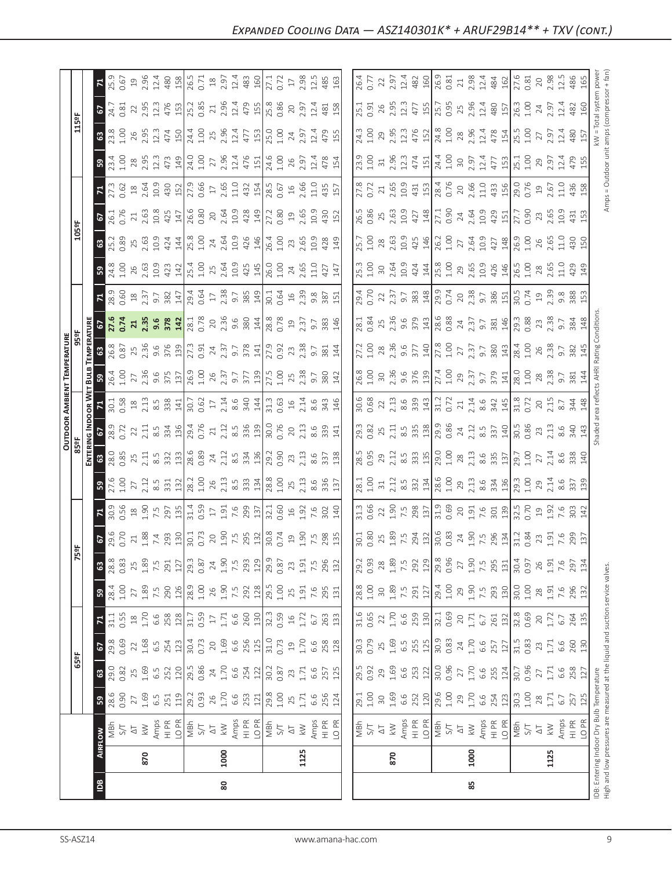|     |         |                                                                               |        |        |                   |                  |            |                 |                     |                                                                                                                                                                                                                                                                                                                        |                                                                                                                                                                                                                                                                                                                                                           |                           |                                                                                                                                                                                                                             |                                                                                                                                                                                                                                                                                                     | <b>OUTDOOR AMBIENT TEMPERATURE</b>                                                                                                                                                                                                                                                                          |                                                                                                                                                                                                                                                                                                                                                                                                                                                                                   |                                                                                                                                                                                                                                                                                                  |                                                                                                                                                                                                                                                                                                                     |                                                                                                                                                                                                                       |                                                                                                                                                                                                                                |                                                                                                                                                                                                                                                                                                               |               |                                                         |                                     |                                    |                                     |
|-----|---------|-------------------------------------------------------------------------------|--------|--------|-------------------|------------------|------------|-----------------|---------------------|------------------------------------------------------------------------------------------------------------------------------------------------------------------------------------------------------------------------------------------------------------------------------------------------------------------------|-----------------------------------------------------------------------------------------------------------------------------------------------------------------------------------------------------------------------------------------------------------------------------------------------------------------------------------------------------------|---------------------------|-----------------------------------------------------------------------------------------------------------------------------------------------------------------------------------------------------------------------------|-----------------------------------------------------------------------------------------------------------------------------------------------------------------------------------------------------------------------------------------------------------------------------------------------------|-------------------------------------------------------------------------------------------------------------------------------------------------------------------------------------------------------------------------------------------------------------------------------------------------------------|-----------------------------------------------------------------------------------------------------------------------------------------------------------------------------------------------------------------------------------------------------------------------------------------------------------------------------------------------------------------------------------------------------------------------------------------------------------------------------------|--------------------------------------------------------------------------------------------------------------------------------------------------------------------------------------------------------------------------------------------------------------------------------------------------|---------------------------------------------------------------------------------------------------------------------------------------------------------------------------------------------------------------------------------------------------------------------------------------------------------------------|-----------------------------------------------------------------------------------------------------------------------------------------------------------------------------------------------------------------------|--------------------------------------------------------------------------------------------------------------------------------------------------------------------------------------------------------------------------------|---------------------------------------------------------------------------------------------------------------------------------------------------------------------------------------------------------------------------------------------------------------------------------------------------------------|---------------|---------------------------------------------------------|-------------------------------------|------------------------------------|-------------------------------------|
|     |         |                                                                               |        | 65°F   |                   |                  |            | 5º              |                     |                                                                                                                                                                                                                                                                                                                        |                                                                                                                                                                                                                                                                                                                                                           | 85°F                      |                                                                                                                                                                                                                             |                                                                                                                                                                                                                                                                                                     |                                                                                                                                                                                                                                                                                                             |                                                                                                                                                                                                                                                                                                                                                                                                                                                                                   |                                                                                                                                                                                                                                                                                                  |                                                                                                                                                                                                                                                                                                                     |                                                                                                                                                                                                                       | 105°F                                                                                                                                                                                                                          |                                                                                                                                                                                                                                                                                                               |               |                                                         | 115°F                               |                                    |                                     |
|     |         |                                                                               |        |        |                   |                  |            |                 |                     |                                                                                                                                                                                                                                                                                                                        |                                                                                                                                                                                                                                                                                                                                                           | ENTERI                    | NG INDOOR WET                                                                                                                                                                                                               |                                                                                                                                                                                                                                                                                                     | Bulb <sup>'</sup>                                                                                                                                                                                                                                                                                           | <b>TEMPERATURE</b>                                                                                                                                                                                                                                                                                                                                                                                                                                                                |                                                                                                                                                                                                                                                                                                  |                                                                                                                                                                                                                                                                                                                     |                                                                                                                                                                                                                       |                                                                                                                                                                                                                                |                                                                                                                                                                                                                                                                                                               |               |                                                         |                                     |                                    |                                     |
| 8qi | AIRFLOW |                                                                               | 59     | 3      | 5                 | $\mathbf{z}$     | ${\tt S}$  | ශී              | 67<br>29.6          |                                                                                                                                                                                                                                                                                                                        |                                                                                                                                                                                                                                                                                                                                                           | <b>63</b><br>28.0<br>0.85 |                                                                                                                                                                                                                             |                                                                                                                                                                                                                                                                                                     |                                                                                                                                                                                                                                                                                                             |                                                                                                                                                                                                                                                                                                                                                                                                                                                                                   |                                                                                                                                                                                                                                                                                                  |                                                                                                                                                                                                                                                                                                                     | $3\frac{8}{24}$ $\frac{8}{10}$                                                                                                                                                                                        | $\frac{63}{25.2}$                                                                                                                                                                                                              | 67<br>26.1<br>0.76                                                                                                                                                                                                                                                                                            | $\mathbf{z}$  | ន                                                       |                                     | 67<br>24.7<br>0.81                 | $\frac{1}{25.9}$                    |
|     |         | NBh                                                                           | 28.6   | 29.0   | 29.8              | 31.1             | 28.4       | 28.8            |                     |                                                                                                                                                                                                                                                                                                                        |                                                                                                                                                                                                                                                                                                                                                           |                           |                                                                                                                                                                                                                             | $\frac{1}{30.1}$                                                                                                                                                                                                                                                                                    |                                                                                                                                                                                                                                                                                                             |                                                                                                                                                                                                                                                                                                                                                                                                                                                                                   | 27.6<br>0.74                                                                                                                                                                                                                                                                                     |                                                                                                                                                                                                                                                                                                                     |                                                                                                                                                                                                                       |                                                                                                                                                                                                                                |                                                                                                                                                                                                                                                                                                               |               | 23.4<br>1.00                                            |                                     |                                    |                                     |
|     |         | 5/7                                                                           | 0.90   | 0.82   | 0.69              | 0.55             | 1.00       | 0.83            |                     |                                                                                                                                                                                                                                                                                                                        |                                                                                                                                                                                                                                                                                                                                                           |                           |                                                                                                                                                                                                                             |                                                                                                                                                                                                                                                                                                     |                                                                                                                                                                                                                                                                                                             |                                                                                                                                                                                                                                                                                                                                                                                                                                                                                   |                                                                                                                                                                                                                                                                                                  |                                                                                                                                                                                                                                                                                                                     |                                                                                                                                                                                                                       |                                                                                                                                                                                                                                |                                                                                                                                                                                                                                                                                                               |               |                                                         |                                     |                                    |                                     |
|     |         | $\overline{\triangle}$                                                        | 27     | 25     | 22                | $^{28}$          | 27         | 25              |                     |                                                                                                                                                                                                                                                                                                                        |                                                                                                                                                                                                                                                                                                                                                           |                           |                                                                                                                                                                                                                             |                                                                                                                                                                                                                                                                                                     |                                                                                                                                                                                                                                                                                                             |                                                                                                                                                                                                                                                                                                                                                                                                                                                                                   |                                                                                                                                                                                                                                                                                                  |                                                                                                                                                                                                                                                                                                                     |                                                                                                                                                                                                                       |                                                                                                                                                                                                                                |                                                                                                                                                                                                                                                                                                               |               |                                                         | <b>63</b><br>23.8<br>2.95<br>2.95   | 22<br>2.95<br>12.3                 | $\overline{19}$                     |
|     | 870     | $\leqslant$                                                                   | 1.69   | 1.69   | 1.68              | 1.70             | 1.89       | 1.89            |                     |                                                                                                                                                                                                                                                                                                                        |                                                                                                                                                                                                                                                                                                                                                           |                           |                                                                                                                                                                                                                             |                                                                                                                                                                                                                                                                                                     |                                                                                                                                                                                                                                                                                                             |                                                                                                                                                                                                                                                                                                                                                                                                                                                                                   |                                                                                                                                                                                                                                                                                                  |                                                                                                                                                                                                                                                                                                                     |                                                                                                                                                                                                                       |                                                                                                                                                                                                                                |                                                                                                                                                                                                                                                                                                               |               |                                                         |                                     |                                    | 2.96                                |
|     |         | Amps<br>HI PR                                                                 | 6.5    | 6.5    | 6.5               | 6.6              | 7.5        | 7.5             |                     |                                                                                                                                                                                                                                                                                                                        |                                                                                                                                                                                                                                                                                                                                                           |                           |                                                                                                                                                                                                                             |                                                                                                                                                                                                                                                                                                     |                                                                                                                                                                                                                                                                                                             |                                                                                                                                                                                                                                                                                                                                                                                                                                                                                   |                                                                                                                                                                                                                                                                                                  |                                                                                                                                                                                                                                                                                                                     |                                                                                                                                                                                                                       |                                                                                                                                                                                                                                |                                                                                                                                                                                                                                                                                                               |               |                                                         | 12.3                                |                                    | 12.4                                |
|     |         |                                                                               | 251    | 252    | 254               | 258              | 290        | 291             |                     | $\begin{array}{c}\n 7.9366 \\  3.9560 \\  2.9371 \\  2.9371 \\  2.9371 \\  2.9371 \\  2.9371 \\  2.9371 \\  2.9371 \\  2.9371 \\  2.9371 \\  2.9371 \\  2.9371 \\  2.9371 \\  2.9371 \\  2.9371 \\  2.9371 \\  2.9371 \\  2.9371 \\  2.9371 \\  2.9371 \\  2.9371 \\  2.9371 \\  2.9371 \\  2.9371 \\  2.9371 \\  2.9$ | $3\frac{1}{2}$ $\frac{1}{2}$ $\frac{1}{2}$ $\frac{1}{2}$ $\frac{1}{2}$ $\frac{1}{2}$ $\frac{1}{2}$ $\frac{1}{2}$ $\frac{1}{2}$ $\frac{1}{2}$ $\frac{1}{2}$ $\frac{1}{2}$ $\frac{1}{2}$ $\frac{1}{2}$ $\frac{1}{2}$ $\frac{1}{2}$ $\frac{1}{2}$ $\frac{1}{2}$ $\frac{1}{2}$ $\frac{1}{2}$ $\frac{1}{2}$ $\frac{1}{2}$ $\frac{1}{2}$ $\frac{1}{2}$ $\frac{$ |                           | $5.8322$ $2.713$ $3.83$ $3.81$ $3.83$ $3.81$ $3.83$ $3.81$ $3.83$ $3.81$ $3.83$ $3.81$ $3.83$ $3.81$ $3.83$ $3.81$ $3.83$ $3.81$ $3.83$ $3.81$ $3.83$ $3.81$ $3.83$ $3.81$ $3.83$ $3.81$ $3.83$ $3.81$ $3.83$ $3.81$ $3.83$ |                                                                                                                                                                                                                                                                                                     | $\frac{1}{26}$ $\frac{1}{26}$ $\frac{1}{26}$ $\frac{1}{26}$ $\frac{1}{26}$ $\frac{1}{26}$ $\frac{1}{26}$ $\frac{1}{26}$ $\frac{1}{26}$ $\frac{1}{26}$ $\frac{1}{26}$ $\frac{1}{26}$ $\frac{1}{26}$ $\frac{1}{26}$ $\frac{1}{26}$ $\frac{1}{26}$ $\frac{1}{26}$ $\frac{1}{26}$ $\frac{1}{26}$ $\frac{1}{26}$ |                                                                                                                                                                                                                                                                                                                                                                                                                                                                                   |                                                                                                                                                                                                                                                                                                  | $\frac{1}{2}$ $\frac{1}{2}$ $\frac{3}{2}$ $\frac{3}{2}$ $\frac{6}{2}$ $\frac{5}{2}$ $\frac{7}{2}$ $\frac{7}{2}$ $\frac{7}{2}$ $\frac{7}{2}$ $\frac{7}{2}$ $\frac{7}{2}$ $\frac{7}{2}$ $\frac{7}{2}$ $\frac{7}{2}$ $\frac{7}{2}$ $\frac{7}{2}$ $\frac{7}{2}$ $\frac{7}{2}$ $\frac{7}{2}$ $\frac{7}{2}$ $\frac{7}{2}$ | $\begin{array}{c}\n 86.63 \\  26.63 \\  10.9\n \end{array}$                                                                                                                                                           |                                                                                                                                                                                                                                |                                                                                                                                                                                                                                                                                                               |               | $\begin{array}{c} 28 \\ 2.95 \\ 12.3 \\ 49 \end{array}$ | 474                                 | $476$<br>$152$<br>$15.3$<br>$0.85$ | 480                                 |
|     |         | LO PR                                                                         | 119    | 120    | 123               | 128              | 126        | 127             |                     |                                                                                                                                                                                                                                                                                                                        |                                                                                                                                                                                                                                                                                                                                                           |                           |                                                                                                                                                                                                                             |                                                                                                                                                                                                                                                                                                     |                                                                                                                                                                                                                                                                                                             |                                                                                                                                                                                                                                                                                                                                                                                                                                                                                   |                                                                                                                                                                                                                                                                                                  |                                                                                                                                                                                                                                                                                                                     |                                                                                                                                                                                                                       |                                                                                                                                                                                                                                |                                                                                                                                                                                                                                                                                                               |               |                                                         | 150                                 |                                    |                                     |
|     |         | $\frac{1}{2}$                                                                 | 29.2   | 29.5   | 30.4              | 31.7             | 28.9       | 29.3            |                     |                                                                                                                                                                                                                                                                                                                        |                                                                                                                                                                                                                                                                                                                                                           |                           |                                                                                                                                                                                                                             |                                                                                                                                                                                                                                                                                                     |                                                                                                                                                                                                                                                                                                             |                                                                                                                                                                                                                                                                                                                                                                                                                                                                                   |                                                                                                                                                                                                                                                                                                  |                                                                                                                                                                                                                                                                                                                     |                                                                                                                                                                                                                       |                                                                                                                                                                                                                                |                                                                                                                                                                                                                                                                                                               |               | 24.0<br>1.00<br>27<br>2.96                              | 24.4<br>1.00                        |                                    | $\frac{16.5}{0.71}$<br>0.71<br>2.97 |
|     |         |                                                                               | 0.93   | 0.86   | 0.73              | 0.59             | $1.00$     | 0.87            |                     |                                                                                                                                                                                                                                                                                                                        |                                                                                                                                                                                                                                                                                                                                                           |                           |                                                                                                                                                                                                                             |                                                                                                                                                                                                                                                                                                     |                                                                                                                                                                                                                                                                                                             |                                                                                                                                                                                                                                                                                                                                                                                                                                                                                   |                                                                                                                                                                                                                                                                                                  |                                                                                                                                                                                                                                                                                                                     |                                                                                                                                                                                                                       |                                                                                                                                                                                                                                |                                                                                                                                                                                                                                                                                                               |               |                                                         |                                     |                                    |                                     |
|     |         | $\overline{\triangle}$                                                        | 26     | 24     | 20                | $\Box$           | 26         | 24              |                     |                                                                                                                                                                                                                                                                                                                        |                                                                                                                                                                                                                                                                                                                                                           |                           |                                                                                                                                                                                                                             |                                                                                                                                                                                                                                                                                                     |                                                                                                                                                                                                                                                                                                             |                                                                                                                                                                                                                                                                                                                                                                                                                                                                                   |                                                                                                                                                                                                                                                                                                  |                                                                                                                                                                                                                                                                                                                     |                                                                                                                                                                                                                       |                                                                                                                                                                                                                                |                                                                                                                                                                                                                                                                                                               |               |                                                         | $2.5$<br>$2.96$                     | 2.96                               |                                     |
| 80  | 1000    | $\lesssim$                                                                    | 1.70   | 1.70   | 1.69              | 1.71             | 1.90       | 1.90            |                     |                                                                                                                                                                                                                                                                                                                        |                                                                                                                                                                                                                                                                                                                                                           |                           |                                                                                                                                                                                                                             |                                                                                                                                                                                                                                                                                                     |                                                                                                                                                                                                                                                                                                             |                                                                                                                                                                                                                                                                                                                                                                                                                                                                                   |                                                                                                                                                                                                                                                                                                  |                                                                                                                                                                                                                                                                                                                     |                                                                                                                                                                                                                       |                                                                                                                                                                                                                                |                                                                                                                                                                                                                                                                                                               |               |                                                         |                                     |                                    |                                     |
|     |         | Amps                                                                          | 6.6    | 6.6    | 6.6               | $6.\overline{6}$ | 7.5        | 7.5             |                     |                                                                                                                                                                                                                                                                                                                        |                                                                                                                                                                                                                                                                                                                                                           |                           |                                                                                                                                                                                                                             |                                                                                                                                                                                                                                                                                                     |                                                                                                                                                                                                                                                                                                             |                                                                                                                                                                                                                                                                                                                                                                                                                                                                                   |                                                                                                                                                                                                                                                                                                  |                                                                                                                                                                                                                                                                                                                     |                                                                                                                                                                                                                       |                                                                                                                                                                                                                                |                                                                                                                                                                                                                                                                                                               |               | $\frac{12.4}{476}$                                      | 12.4                                | 12.4                               | $\frac{12.4}{483}$                  |
|     |         | $\frac{R}{I}$                                                                 | 253    | 254    | 256               | 260              | 292        | 293             |                     |                                                                                                                                                                                                                                                                                                                        |                                                                                                                                                                                                                                                                                                                                                           |                           |                                                                                                                                                                                                                             |                                                                                                                                                                                                                                                                                                     |                                                                                                                                                                                                                                                                                                             |                                                                                                                                                                                                                                                                                                                                                                                                                                                                                   |                                                                                                                                                                                                                                                                                                  |                                                                                                                                                                                                                                                                                                                     |                                                                                                                                                                                                                       |                                                                                                                                                                                                                                |                                                                                                                                                                                                                                                                                                               |               |                                                         | 477                                 |                                    |                                     |
|     |         | LO PR                                                                         | 121    | 122    | 125               | 130              | 128        | 129             |                     |                                                                                                                                                                                                                                                                                                                        |                                                                                                                                                                                                                                                                                                                                                           |                           |                                                                                                                                                                                                                             |                                                                                                                                                                                                                                                                                                     |                                                                                                                                                                                                                                                                                                             |                                                                                                                                                                                                                                                                                                                                                                                                                                                                                   |                                                                                                                                                                                                                                                                                                  |                                                                                                                                                                                                                                                                                                                     |                                                                                                                                                                                                                       |                                                                                                                                                                                                                                |                                                                                                                                                                                                                                                                                                               |               |                                                         | 153                                 | 479                                |                                     |
|     |         | MBh                                                                           | 29.8   | 30.2   | 31.0              | 32.3             | 29.5       | 29.9            |                     |                                                                                                                                                                                                                                                                                                                        |                                                                                                                                                                                                                                                                                                                                                           |                           |                                                                                                                                                                                                                             |                                                                                                                                                                                                                                                                                                     |                                                                                                                                                                                                                                                                                                             |                                                                                                                                                                                                                                                                                                                                                                                                                                                                                   |                                                                                                                                                                                                                                                                                                  |                                                                                                                                                                                                                                                                                                                     |                                                                                                                                                                                                                       | $\frac{26}{4}$                                                                                                                                                                                                                 |                                                                                                                                                                                                                                                                                                               |               |                                                         | 25.0                                |                                    |                                     |
|     |         | S/T                                                                           | 1.00   | 0.87   | 0.73              | 0.59             | 1.00       | 0.87            |                     | $32.1$<br>0.60 $\pm$ 92 $\frac{1}{2}$ 7.60 $\pm$                                                                                                                                                                                                                                                                       |                                                                                                                                                                                                                                                                                                                                                           |                           |                                                                                                                                                                                                                             |                                                                                                                                                                                                                                                                                                     |                                                                                                                                                                                                                                                                                                             |                                                                                                                                                                                                                                                                                                                                                                                                                                                                                   |                                                                                                                                                                                                                                                                                                  |                                                                                                                                                                                                                                                                                                                     |                                                                                                                                                                                                                       |                                                                                                                                                                                                                                | $\frac{27.2}{0.80}$                                                                                                                                                                                                                                                                                           |               | 24.6<br>1.00<br>26<br>2.97                              | 001                                 | $\frac{8}{0.86}$                   | 27.1<br>0.72                        |
|     |         | $\overline{\Delta}$                                                           | 25     | 23     | $\overline{19}$   | $\frac{16}{1}$   | 25         | 23              |                     |                                                                                                                                                                                                                                                                                                                        |                                                                                                                                                                                                                                                                                                                                                           |                           |                                                                                                                                                                                                                             |                                                                                                                                                                                                                                                                                                     |                                                                                                                                                                                                                                                                                                             |                                                                                                                                                                                                                                                                                                                                                                                                                                                                                   |                                                                                                                                                                                                                                                                                                  |                                                                                                                                                                                                                                                                                                                     |                                                                                                                                                                                                                       |                                                                                                                                                                                                                                |                                                                                                                                                                                                                                                                                                               |               |                                                         |                                     | 20                                 | $\Gamma$                            |
|     | 1125    | $\lesssim$                                                                    | 1.71   | 1.71   | 1.70              | 1.72             | 1.91       | 1.91            | $29.588$<br>$7.888$ |                                                                                                                                                                                                                                                                                                                        |                                                                                                                                                                                                                                                                                                                                                           |                           |                                                                                                                                                                                                                             |                                                                                                                                                                                                                                                                                                     |                                                                                                                                                                                                                                                                                                             |                                                                                                                                                                                                                                                                                                                                                                                                                                                                                   | 2.37                                                                                                                                                                                                                                                                                             |                                                                                                                                                                                                                                                                                                                     | $24$ 65                                                                                                                                                                                                               | $23$<br>$2.65$                                                                                                                                                                                                                 | $\frac{9}{2.65}$                                                                                                                                                                                                                                                                                              |               |                                                         | 24<br>2.97                          | $-97$                              | 2.98                                |
|     |         |                                                                               |        |        |                   |                  |            |                 |                     |                                                                                                                                                                                                                                                                                                                        |                                                                                                                                                                                                                                                                                                                                                           |                           |                                                                                                                                                                                                                             |                                                                                                                                                                                                                                                                                                     |                                                                                                                                                                                                                                                                                                             |                                                                                                                                                                                                                                                                                                                                                                                                                                                                                   |                                                                                                                                                                                                                                                                                                  |                                                                                                                                                                                                                                                                                                                     |                                                                                                                                                                                                                       |                                                                                                                                                                                                                                |                                                                                                                                                                                                                                                                                                               |               |                                                         |                                     |                                    |                                     |
|     |         | Amps                                                                          | 6.6    | 6.6    | 6.6               | 6.7              | 7.6        | 7.5             |                     |                                                                                                                                                                                                                                                                                                                        | 8.6<br>336                                                                                                                                                                                                                                                                                                                                                | 8.6<br>337<br>138         | 8.5 23                                                                                                                                                                                                                      |                                                                                                                                                                                                                                                                                                     | 9.7<br>380                                                                                                                                                                                                                                                                                                  |                                                                                                                                                                                                                                                                                                                                                                                                                                                                                   | 9.7<br>383<br>146                                                                                                                                                                                                                                                                                |                                                                                                                                                                                                                                                                                                                     | 11C                                                                                                                                                                                                                   | 10.9<br>428<br>149                                                                                                                                                                                                             | 0.9                                                                                                                                                                                                                                                                                                           |               | 2.4                                                     | 12.4                                | 12.4                               | 12.5                                |
|     |         | $\frac{P}{T}$                                                                 | 256    | 257    | 258               | 263              | 295        | 296             |                     |                                                                                                                                                                                                                                                                                                                        |                                                                                                                                                                                                                                                                                                                                                           |                           |                                                                                                                                                                                                                             |                                                                                                                                                                                                                                                                                                     |                                                                                                                                                                                                                                                                                                             |                                                                                                                                                                                                                                                                                                                                                                                                                                                                                   |                                                                                                                                                                                                                                                                                                  |                                                                                                                                                                                                                                                                                                                     | 427                                                                                                                                                                                                                   |                                                                                                                                                                                                                                | $\begin{array}{c} 452 \\ 152 \end{array}$                                                                                                                                                                                                                                                                     |               | 478                                                     | 479                                 | 481                                | 485                                 |
|     |         | LO <sub>PR</sub>                                                              | 124    | 125    | 128               | 133              | 131        | 132             |                     | $\frac{1}{40}$                                                                                                                                                                                                                                                                                                         | 137                                                                                                                                                                                                                                                                                                                                                       |                           |                                                                                                                                                                                                                             |                                                                                                                                                                                                                                                                                                     | 142                                                                                                                                                                                                                                                                                                         |                                                                                                                                                                                                                                                                                                                                                                                                                                                                                   |                                                                                                                                                                                                                                                                                                  |                                                                                                                                                                                                                                                                                                                     | 147                                                                                                                                                                                                                   |                                                                                                                                                                                                                                |                                                                                                                                                                                                                                                                                                               |               | 154                                                     | 155                                 | 158                                | 163                                 |
|     |         |                                                                               |        |        |                   |                  |            |                 |                     |                                                                                                                                                                                                                                                                                                                        |                                                                                                                                                                                                                                                                                                                                                           |                           |                                                                                                                                                                                                                             |                                                                                                                                                                                                                                                                                                     |                                                                                                                                                                                                                                                                                                             |                                                                                                                                                                                                                                                                                                                                                                                                                                                                                   |                                                                                                                                                                                                                                                                                                  |                                                                                                                                                                                                                                                                                                                     |                                                                                                                                                                                                                       |                                                                                                                                                                                                                                |                                                                                                                                                                                                                                                                                                               |               |                                                         |                                     |                                    |                                     |
|     |         |                                                                               | 29.1   | 29.5   | $30.\overline{3}$ | 31.6             | 28.8       | 29.2            |                     | 31.3                                                                                                                                                                                                                                                                                                                   |                                                                                                                                                                                                                                                                                                                                                           | 28.5                      |                                                                                                                                                                                                                             |                                                                                                                                                                                                                                                                                                     |                                                                                                                                                                                                                                                                                                             | 27.2                                                                                                                                                                                                                                                                                                                                                                                                                                                                              |                                                                                                                                                                                                                                                                                                  |                                                                                                                                                                                                                                                                                                                     |                                                                                                                                                                                                                       |                                                                                                                                                                                                                                | 26.5                                                                                                                                                                                                                                                                                                          |               | 23.9                                                    |                                     |                                    | 26.4<br>0.77                        |
|     |         | 지<br>S/T                                                                      | 1.00   | 0.92   | 0.79              | 0.65             | 1.00       | 0.93            |                     |                                                                                                                                                                                                                                                                                                                        |                                                                                                                                                                                                                                                                                                                                                           | 0.95                      | 29.3<br>0.82                                                                                                                                                                                                                |                                                                                                                                                                                                                                                                                                     |                                                                                                                                                                                                                                                                                                             |                                                                                                                                                                                                                                                                                                                                                                                                                                                                                   |                                                                                                                                                                                                                                                                                                  |                                                                                                                                                                                                                                                                                                                     |                                                                                                                                                                                                                       |                                                                                                                                                                                                                                |                                                                                                                                                                                                                                                                                                               |               |                                                         |                                     | 25.1<br>0.91                       |                                     |
|     |         | $\overline{\Delta}$                                                           | $30\,$ | 29     | 25                | 22               | $30\,$     | $28$            |                     |                                                                                                                                                                                                                                                                                                                        | 28.1<br>1.00<br>31                                                                                                                                                                                                                                                                                                                                        |                           |                                                                                                                                                                                                                             |                                                                                                                                                                                                                                                                                                     |                                                                                                                                                                                                                                                                                                             |                                                                                                                                                                                                                                                                                                                                                                                                                                                                                   |                                                                                                                                                                                                                                                                                                  |                                                                                                                                                                                                                                                                                                                     |                                                                                                                                                                                                                       |                                                                                                                                                                                                                                |                                                                                                                                                                                                                                                                                                               |               | $1.00$<br>31 96<br>$12.3$                               |                                     |                                    | 2.97                                |
|     | 870     | $\gtrapprox$                                                                  | 1.69   | 1.69   | 1.69              | 1.70             | 1.89       | 1.89            |                     |                                                                                                                                                                                                                                                                                                                        |                                                                                                                                                                                                                                                                                                                                                           |                           |                                                                                                                                                                                                                             |                                                                                                                                                                                                                                                                                                     |                                                                                                                                                                                                                                                                                                             |                                                                                                                                                                                                                                                                                                                                                                                                                                                                                   |                                                                                                                                                                                                                                                                                                  |                                                                                                                                                                                                                                                                                                                     |                                                                                                                                                                                                                       |                                                                                                                                                                                                                                |                                                                                                                                                                                                                                                                                                               |               |                                                         |                                     |                                    |                                     |
|     |         | Amps                                                                          | 6.6    | 6.6    | $6.\overline{5}$  | 6.6              | 7.5        | 7.5             |                     |                                                                                                                                                                                                                                                                                                                        |                                                                                                                                                                                                                                                                                                                                                           |                           |                                                                                                                                                                                                                             |                                                                                                                                                                                                                                                                                                     |                                                                                                                                                                                                                                                                                                             |                                                                                                                                                                                                                                                                                                                                                                                                                                                                                   |                                                                                                                                                                                                                                                                                                  |                                                                                                                                                                                                                                                                                                                     |                                                                                                                                                                                                                       |                                                                                                                                                                                                                                |                                                                                                                                                                                                                                                                                                               |               |                                                         |                                     | $2.95$<br>$2.33$                   |                                     |
|     |         | HI PR                                                                         | 252    | 253    | 255               | 259              | 291        | 292             |                     |                                                                                                                                                                                                                                                                                                                        |                                                                                                                                                                                                                                                                                                                                                           |                           |                                                                                                                                                                                                                             |                                                                                                                                                                                                                                                                                                     |                                                                                                                                                                                                                                                                                                             |                                                                                                                                                                                                                                                                                                                                                                                                                                                                                   |                                                                                                                                                                                                                                                                                                  |                                                                                                                                                                                                                                                                                                                     |                                                                                                                                                                                                                       |                                                                                                                                                                                                                                |                                                                                                                                                                                                                                                                                                               |               |                                                         |                                     |                                    |                                     |
|     |         | LO PR                                                                         | 120    | 122    | 125               | 130              | 127        | 129             |                     |                                                                                                                                                                                                                                                                                                                        | $\begin{array}{c} 1.1 & 8.33 & 1.000 & 1.000 & 1.000 & 1.000 & 1.000 & 1.000 & 1.000 & 1.000 & 1.000 & 1.000 & 1.000 & 1.000 & 1.000 & 1.000 & 1.000 & 1.000 & 1.000 & 1.000 & 1.000 & 1.000 & 1.000 & 1.000 & 1.000 & 1.000 & 1.000 & 1.000 & 1.000 & 1.000 & 1.000$                                                                                     |                           | $\begin{array}{c}\n 2.7156 \\  2.7158 \\  2.858 \\  2.858 \\  2.938 \\  2.938 \\  2.938 \\  2.938 \\  2.938 \\  2.938 \\  2.938 \\  2.938 \\  2.13 \\  2.13\n \end{array}$                                                  | $\begin{array}{l} 9666 \\ 9680 \\ 11000 \\ 13000 \\ 14000 \\ 15000 \\ 16000 \\ 16000 \\ 17000 \\ 18000 \\ 19000 \\ 19000 \\ 19000 \\ 19000 \\ 19000 \\ 19000 \\ 19000 \\ 19000 \\ 19000 \\ 19000 \\ 19000 \\ 19000 \\ 19000 \\ 19000 \\ 19000 \\ 19000 \\ 19000 \\ 19000 \\ 19000 \\ 19000 \\ 1900$ |                                                                                                                                                                                                                                                                                                             | $\frac{1}{2} \times \frac{1}{2} \times \frac{1}{2} \times \frac{1}{2} \times \frac{1}{2} \times \frac{1}{2} \times \frac{1}{2} \times \frac{1}{2} \times \frac{1}{2} \times \frac{1}{2} \times \frac{1}{2} \times \frac{1}{2} \times \frac{1}{2} \times \frac{1}{2} \times \frac{1}{2} \times \frac{1}{2} \times \frac{1}{2} \times \frac{1}{2} \times \frac{1}{2} \times \frac{1}{2} \times \frac{1}{2} \times \frac{1}{2} \times \frac{1}{2} \times \frac{1}{2} \times \frac{1$ | $\begin{array}{cccccc}\n 28.1 & 36 & 47 & 57 & 57 & 57 & 57 & 57 & 57 & 57 & 58 & 54 & 56 & 57 & 58 & 57 & 57 & 57 & 57 & 58 & 57 & 57 & 58 & 57 & 57 & 58 & 57 & 57 & 57 & 58 & 57 & 57 & 57 & 58 & 57 & 57 & 57 & 57 & 57 & 58 & 57 & 57 & 58 & 58 & 58 & 59 & 59 & 59 & 59 & 59 & 59 & 59 & $ |                                                                                                                                                                                                                                                                                                                     | 2010 - 2010 - 2010 - 2010 - 2010 - 2010 - 2010 - 2010 - 2010 - 2010 - 2010 - 2010 - 2010 - 2010 - 20<br>2010 - 2010 - 2010 - 2010 - 2010 - 2010 - 2010 - 2010 - 2010 - 2010 - 2010 - 2010 - 2010 - 2010 - 2010 - 2010 | 2008 2010 2020 2020 2030 2031 2032 2033 2034 2035 2036 2037 2038 2039 2031 2032 2033 2034 2035 2036 2036 2037<br>2020 2031 2032 2033 2034 2035 2036 2037 2038 2039 2037 2038 2039 2031 2033 2034 2035 2036 2037 2038 2037 2038 | $\begin{array}{c} 0.86 \\ 0.87 \\ 0.99 \\ 0.90 \\ 0.91 \\ 0.92 \\ 0.93 \\ 0.94 \\ 0.95 \\ 0.97 \\ 0.90 \\ 0.91 \\ 0.90 \\ 0.91 \\ 0.90 \\ 0.91 \\ 0.90 \\ 0.90 \\ 0.91 \\ 0.90 \\ 0.90 \\ 0.91 \\ 0.90 \\ 0.90 \\ 0.91 \\ 0.90 \\ 0.90 \\ 0.90 \\ 0.90 \\ 0.90 \\ 0.90 \\ 0.90 \\ 0.90 \\ 0.90 \\ 0.90 \\ 0.$ |               | $474$<br>$151$<br>$24.3$<br>$30$<br>$30$<br>$2.97$      |                                     | $477$<br>$155$<br>$75.7$<br>$0.95$ |                                     |
|     |         |                                                                               | 29.6   | 30.0   | 30.9              | 32.1             | 29.4       | 29.8            |                     |                                                                                                                                                                                                                                                                                                                        |                                                                                                                                                                                                                                                                                                                                                           |                           |                                                                                                                                                                                                                             |                                                                                                                                                                                                                                                                                                     |                                                                                                                                                                                                                                                                                                             |                                                                                                                                                                                                                                                                                                                                                                                                                                                                                   |                                                                                                                                                                                                                                                                                                  |                                                                                                                                                                                                                                                                                                                     |                                                                                                                                                                                                                       |                                                                                                                                                                                                                                |                                                                                                                                                                                                                                                                                                               |               |                                                         |                                     |                                    |                                     |
|     |         | $\frac{1}{2}$                                                                 | $1.00$ | 0.96   | 0.83              | 0.69             | 1.00       | 0.96            |                     |                                                                                                                                                                                                                                                                                                                        |                                                                                                                                                                                                                                                                                                                                                           |                           |                                                                                                                                                                                                                             |                                                                                                                                                                                                                                                                                                     |                                                                                                                                                                                                                                                                                                             |                                                                                                                                                                                                                                                                                                                                                                                                                                                                                   |                                                                                                                                                                                                                                                                                                  |                                                                                                                                                                                                                                                                                                                     |                                                                                                                                                                                                                       |                                                                                                                                                                                                                                |                                                                                                                                                                                                                                                                                                               |               |                                                         |                                     |                                    |                                     |
|     |         | $\overline{\Delta}$                                                           | 29     | 27     | 24                | $20\,$           | 29         | $\overline{27}$ |                     |                                                                                                                                                                                                                                                                                                                        |                                                                                                                                                                                                                                                                                                                                                           |                           |                                                                                                                                                                                                                             |                                                                                                                                                                                                                                                                                                     |                                                                                                                                                                                                                                                                                                             |                                                                                                                                                                                                                                                                                                                                                                                                                                                                                   |                                                                                                                                                                                                                                                                                                  |                                                                                                                                                                                                                                                                                                                     |                                                                                                                                                                                                                       |                                                                                                                                                                                                                                |                                                                                                                                                                                                                                                                                                               |               |                                                         |                                     |                                    |                                     |
| 85  | 1000    | $\gtrapprox$                                                                  | 1.70   | $1.70$ | 1.70              | 1.71             | 1.90       | 1.90            |                     |                                                                                                                                                                                                                                                                                                                        |                                                                                                                                                                                                                                                                                                                                                           |                           |                                                                                                                                                                                                                             |                                                                                                                                                                                                                                                                                                     |                                                                                                                                                                                                                                                                                                             |                                                                                                                                                                                                                                                                                                                                                                                                                                                                                   |                                                                                                                                                                                                                                                                                                  |                                                                                                                                                                                                                                                                                                                     |                                                                                                                                                                                                                       |                                                                                                                                                                                                                                |                                                                                                                                                                                                                                                                                                               |               |                                                         |                                     | 25<br>2.96                         |                                     |
|     |         | Amps                                                                          | 6.6    | 6.6    | 6.6               | $6.7$            |            | 7.5             |                     |                                                                                                                                                                                                                                                                                                                        |                                                                                                                                                                                                                                                                                                                                                           |                           |                                                                                                                                                                                                                             |                                                                                                                                                                                                                                                                                                     |                                                                                                                                                                                                                                                                                                             |                                                                                                                                                                                                                                                                                                                                                                                                                                                                                   |                                                                                                                                                                                                                                                                                                  |                                                                                                                                                                                                                                                                                                                     |                                                                                                                                                                                                                       |                                                                                                                                                                                                                                |                                                                                                                                                                                                                                                                                                               |               |                                                         |                                     |                                    |                                     |
|     |         | $\frac{R}{I}$                                                                 | 254    | 255    | 257               | 261              | 7.5<br>293 | 295             |                     |                                                                                                                                                                                                                                                                                                                        |                                                                                                                                                                                                                                                                                                                                                           |                           |                                                                                                                                                                                                                             |                                                                                                                                                                                                                                                                                                     |                                                                                                                                                                                                                                                                                                             |                                                                                                                                                                                                                                                                                                                                                                                                                                                                                   |                                                                                                                                                                                                                                                                                                  |                                                                                                                                                                                                                                                                                                                     |                                                                                                                                                                                                                       |                                                                                                                                                                                                                                |                                                                                                                                                                                                                                                                                                               |               | $12.4$<br>477                                           |                                     |                                    |                                     |
|     |         | LO PR                                                                         | 123    | 124    | 127               | 132              | 130        | 131             |                     |                                                                                                                                                                                                                                                                                                                        |                                                                                                                                                                                                                                                                                                                                                           |                           |                                                                                                                                                                                                                             |                                                                                                                                                                                                                                                                                                     |                                                                                                                                                                                                                                                                                                             |                                                                                                                                                                                                                                                                                                                                                                                                                                                                                   |                                                                                                                                                                                                                                                                                                  |                                                                                                                                                                                                                                                                                                                     |                                                                                                                                                                                                                       |                                                                                                                                                                                                                                |                                                                                                                                                                                                                                                                                                               |               |                                                         |                                     | $\frac{13.4}{480}$                 |                                     |
|     |         | NBh                                                                           | 30.3   | 30.7   | 31.5              | 32.8             | 30.0       | 30.4            |                     |                                                                                                                                                                                                                                                                                                                        |                                                                                                                                                                                                                                                                                                                                                           | 29.7<br>1.00<br>27        |                                                                                                                                                                                                                             |                                                                                                                                                                                                                                                                                                     |                                                                                                                                                                                                                                                                                                             |                                                                                                                                                                                                                                                                                                                                                                                                                                                                                   |                                                                                                                                                                                                                                                                                                  |                                                                                                                                                                                                                                                                                                                     |                                                                                                                                                                                                                       |                                                                                                                                                                                                                                |                                                                                                                                                                                                                                                                                                               |               | $\frac{153}{25.1}$                                      | $13.4$<br>$478$<br>$15.5$<br>$1.00$ | 26.3<br>1.00                       |                                     |
|     |         | $5/1$                                                                         | 1.00   | 0.96   | 0.83              | 0.69             | 1.00       | 0.97            |                     |                                                                                                                                                                                                                                                                                                                        |                                                                                                                                                                                                                                                                                                                                                           |                           |                                                                                                                                                                                                                             |                                                                                                                                                                                                                                                                                                     |                                                                                                                                                                                                                                                                                                             |                                                                                                                                                                                                                                                                                                                                                                                                                                                                                   |                                                                                                                                                                                                                                                                                                  |                                                                                                                                                                                                                                                                                                                     |                                                                                                                                                                                                                       |                                                                                                                                                                                                                                |                                                                                                                                                                                                                                                                                                               |               |                                                         |                                     |                                    |                                     |
|     |         | $\overline{\Delta}$                                                           | $28$   | 27     | 23                | 20               | $28$       | 26              |                     |                                                                                                                                                                                                                                                                                                                        |                                                                                                                                                                                                                                                                                                                                                           |                           |                                                                                                                                                                                                                             |                                                                                                                                                                                                                                                                                                     |                                                                                                                                                                                                                                                                                                             |                                                                                                                                                                                                                                                                                                                                                                                                                                                                                   |                                                                                                                                                                                                                                                                                                  |                                                                                                                                                                                                                                                                                                                     |                                                                                                                                                                                                                       |                                                                                                                                                                                                                                |                                                                                                                                                                                                                                                                                                               |               | 29<br>2.97                                              | 27                                  | $24$<br>2.97                       |                                     |
|     | 1125    | $\lesssim$                                                                    | 1.71   | 1.71   | 1.71              | 1.72             | 1.91       | 1.91            |                     |                                                                                                                                                                                                                                                                                                                        |                                                                                                                                                                                                                                                                                                                                                           | 2.14                      |                                                                                                                                                                                                                             |                                                                                                                                                                                                                                                                                                     |                                                                                                                                                                                                                                                                                                             |                                                                                                                                                                                                                                                                                                                                                                                                                                                                                   | 23<br>2.38                                                                                                                                                                                                                                                                                       |                                                                                                                                                                                                                                                                                                                     |                                                                                                                                                                                                                       |                                                                                                                                                                                                                                | 23<br>2.65                                                                                                                                                                                                                                                                                                    |               |                                                         | $-97$                               |                                    | 27.6<br>0.81<br>20<br>2.98<br>12.5  |
|     |         | Amps                                                                          | 6.7    | 6.6    | 6.6               | 6.7              | 7.6        | 7.6             |                     |                                                                                                                                                                                                                                                                                                                        |                                                                                                                                                                                                                                                                                                                                                           |                           | 8.6                                                                                                                                                                                                                         | $8.7$<br>344                                                                                                                                                                                                                                                                                        |                                                                                                                                                                                                                                                                                                             | 9.7                                                                                                                                                                                                                                                                                                                                                                                                                                                                               | 9.7                                                                                                                                                                                                                                                                                              |                                                                                                                                                                                                                                                                                                                     |                                                                                                                                                                                                                       |                                                                                                                                                                                                                                | 0.9                                                                                                                                                                                                                                                                                                           |               | $\frac{1}{2}$                                           | 12.4                                | 12.4                               |                                     |
|     |         | $\frac{PR}{T}$                                                                | 257    | 258    | 260<br>130        | 264              | 296        | 297             |                     |                                                                                                                                                                                                                                                                                                                        | 8.5<br>337<br>139                                                                                                                                                                                                                                                                                                                                         | 8.5<br>33<br>14<br>14     | 340                                                                                                                                                                                                                         |                                                                                                                                                                                                                                                                                                     |                                                                                                                                                                                                                                                                                                             | 382                                                                                                                                                                                                                                                                                                                                                                                                                                                                               | 384                                                                                                                                                                                                                                                                                              | $23.58$ $25.23$ $27.58$ $28.49$ $29.75$ $29.75$ $29.75$ $29.75$ $29.75$ $29.75$ $29.75$ $29.75$ $29.75$ $29.75$ $29.75$ $29.75$ $29.75$ $29.75$ $29.75$ $29.75$ $29.75$ $29.75$ $29.75$ $29.75$ $29.75$ $29.75$ $29.75$ $29.7$                                                                                      | 429                                                                                                                                                                                                                   | 150                                                                                                                                                                                                                            | 431<br>153                                                                                                                                                                                                                                                                                                    | $11.0$<br>436 | 479<br>155                                              | 480<br>157                          | 482<br>160                         | 486                                 |
|     |         | LO PR                                                                         | 125    | 127    |                   | 135              | 132        | 134             | 137                 | 142                                                                                                                                                                                                                                                                                                                    |                                                                                                                                                                                                                                                                                                                                                           |                           |                                                                                                                                                                                                                             |                                                                                                                                                                                                                                                                                                     |                                                                                                                                                                                                                                                                                                             |                                                                                                                                                                                                                                                                                                                                                                                                                                                                                   |                                                                                                                                                                                                                                                                                                  |                                                                                                                                                                                                                                                                                                                     |                                                                                                                                                                                                                       |                                                                                                                                                                                                                                |                                                                                                                                                                                                                                                                                                               |               |                                                         |                                     |                                    | 165                                 |
|     |         | IDB: Entering Indoor Dry Bulb Temperature                                     |        |        |                   |                  |            |                 |                     |                                                                                                                                                                                                                                                                                                                        |                                                                                                                                                                                                                                                                                                                                                           |                           | haded                                                                                                                                                                                                                       |                                                                                                                                                                                                                                                                                                     |                                                                                                                                                                                                                                                                                                             |                                                                                                                                                                                                                                                                                                                                                                                                                                                                                   |                                                                                                                                                                                                                                                                                                  |                                                                                                                                                                                                                                                                                                                     |                                                                                                                                                                                                                       |                                                                                                                                                                                                                                |                                                                                                                                                                                                                                                                                                               |               |                                                         |                                     | lotal system                       | power                               |
|     |         | High and low pressures are measured at the liquid and suction service valves. |        |        |                   |                  |            |                 |                     |                                                                                                                                                                                                                                                                                                                        |                                                                                                                                                                                                                                                                                                                                                           |                           |                                                                                                                                                                                                                             |                                                                                                                                                                                                                                                                                                     |                                                                                                                                                                                                                                                                                                             |                                                                                                                                                                                                                                                                                                                                                                                                                                                                                   |                                                                                                                                                                                                                                                                                                  |                                                                                                                                                                                                                                                                                                                     |                                                                                                                                                                                                                       |                                                                                                                                                                                                                                |                                                                                                                                                                                                                                                                                                               |               | Amps = Outdoor unit amps (compressor + fan              |                                     |                                    |                                     |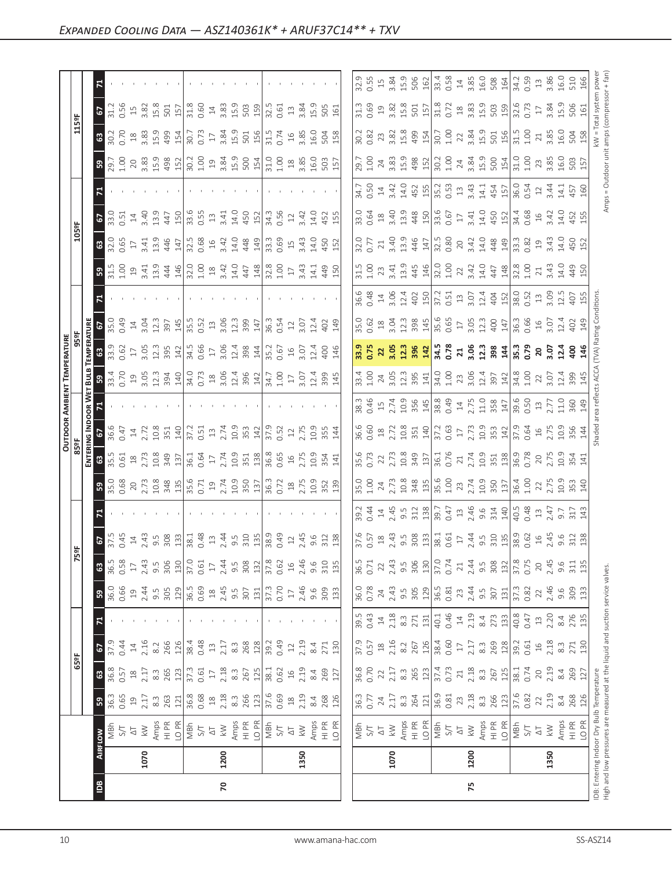|                |      |                                                                               |                                                                              |                  |                                                 |                                                      |                                                                             |                |                                                                                                                                                                                                                                                                                                           |                                                                                          |                    |                                                                                                                                                                                                                                                                                                                                                   | <b>OUTDOOR AMBIENT TEMPERATURE</b> |                                                                                                                 |                                                                                                                                                                                                                                                                                                                                    |                                                                                                                                                                                                                                                                                                                                                                                       |                                                                                                                                                                                                                                                                                                                                                                                                            |               |                    |                                                                                                                                                                                                                                                                                                                                                                                                            |                                         |                                                                                                                                                                                             |                               |                                                                                             |                                                                                                                                                                                                                                                                                                               |                                                                                                                                                                                                                                                                                           |
|----------------|------|-------------------------------------------------------------------------------|------------------------------------------------------------------------------|------------------|-------------------------------------------------|------------------------------------------------------|-----------------------------------------------------------------------------|----------------|-----------------------------------------------------------------------------------------------------------------------------------------------------------------------------------------------------------------------------------------------------------------------------------------------------------|------------------------------------------------------------------------------------------|--------------------|---------------------------------------------------------------------------------------------------------------------------------------------------------------------------------------------------------------------------------------------------------------------------------------------------------------------------------------------------|------------------------------------|-----------------------------------------------------------------------------------------------------------------|------------------------------------------------------------------------------------------------------------------------------------------------------------------------------------------------------------------------------------------------------------------------------------------------------------------------------------|---------------------------------------------------------------------------------------------------------------------------------------------------------------------------------------------------------------------------------------------------------------------------------------------------------------------------------------------------------------------------------------|------------------------------------------------------------------------------------------------------------------------------------------------------------------------------------------------------------------------------------------------------------------------------------------------------------------------------------------------------------------------------------------------------------|---------------|--------------------|------------------------------------------------------------------------------------------------------------------------------------------------------------------------------------------------------------------------------------------------------------------------------------------------------------------------------------------------------------------------------------------------------------|-----------------------------------------|---------------------------------------------------------------------------------------------------------------------------------------------------------------------------------------------|-------------------------------|---------------------------------------------------------------------------------------------|---------------------------------------------------------------------------------------------------------------------------------------------------------------------------------------------------------------------------------------------------------------------------------------------------------------|-------------------------------------------------------------------------------------------------------------------------------------------------------------------------------------------------------------------------------------------------------------------------------------------|
|                |      |                                                                               |                                                                              | 65°F             |                                                 |                                                      |                                                                             |                | <b>159F</b>                                                                                                                                                                                                                                                                                               |                                                                                          |                    | <b>S59F</b>                                                                                                                                                                                                                                                                                                                                       |                                    |                                                                                                                 |                                                                                                                                                                                                                                                                                                                                    |                                                                                                                                                                                                                                                                                                                                                                                       |                                                                                                                                                                                                                                                                                                                                                                                                            |               |                    | 105°F                                                                                                                                                                                                                                                                                                                                                                                                      |                                         |                                                                                                                                                                                             |                               | 115ºF                                                                                       |                                                                                                                                                                                                                                                                                                               |                                                                                                                                                                                                                                                                                           |
|                |      |                                                                               |                                                                              |                  |                                                 |                                                      |                                                                             |                |                                                                                                                                                                                                                                                                                                           |                                                                                          |                    | ENTERI                                                                                                                                                                                                                                                                                                                                            | anl 9N                             | OOR W                                                                                                           |                                                                                                                                                                                                                                                                                                                                    | <b>TEMPER</b>                                                                                                                                                                                                                                                                                                                                                                         |                                                                                                                                                                                                                                                                                                                                                                                                            |               |                    |                                                                                                                                                                                                                                                                                                                                                                                                            |                                         |                                                                                                                                                                                             |                               |                                                                                             |                                                                                                                                                                                                                                                                                                               |                                                                                                                                                                                                                                                                                           |
| $\overline{B}$ |      | <b>AIRFLOW</b>                                                                | <b>S</b>                                                                     | $\mathbbmss{3}$  | 2                                               |                                                      | ${\tt S}$                                                                   | 63             | <b>67</b><br>37.5<br>0.45                                                                                                                                                                                                                                                                                 |                                                                                          | ន $\vert$          | $\frac{63}{2}$                                                                                                                                                                                                                                                                                                                                    | $\overline{5}$                     |                                                                                                                 | $33.4$<br>$0.70$                                                                                                                                                                                                                                                                                                                   | $\mathbf{G}$                                                                                                                                                                                                                                                                                                                                                                          |                                                                                                                                                                                                                                                                                                                                                                                                            |               |                    | 82.561                                                                                                                                                                                                                                                                                                                                                                                                     | <b>6</b><br>33.0<br>0.51                |                                                                                                                                                                                             |                               | $\boldsymbol{\mathbb{S}}$                                                                   | $\mathcal{P}$                                                                                                                                                                                                                                                                                                 |                                                                                                                                                                                                                                                                                           |
|                |      | MBh                                                                           | 36.3                                                                         | 36.8             | 37.9                                            |                                                      | 36.0<br>0.66                                                                | 36.5           |                                                                                                                                                                                                                                                                                                           |                                                                                          | $\frac{5.0}{0.68}$ | $\frac{5.5}{0.61}$                                                                                                                                                                                                                                                                                                                                | 36.6                               |                                                                                                                 |                                                                                                                                                                                                                                                                                                                                    |                                                                                                                                                                                                                                                                                                                                                                                       |                                                                                                                                                                                                                                                                                                                                                                                                            |               |                    |                                                                                                                                                                                                                                                                                                                                                                                                            |                                         |                                                                                                                                                                                             |                               | $\frac{1}{30.70}$                                                                           | $31.2$<br>0.56                                                                                                                                                                                                                                                                                                |                                                                                                                                                                                                                                                                                           |
|                |      | 5/1                                                                           | 0.65                                                                         | 0.57             | 0.44                                            |                                                      |                                                                             | 0.58           |                                                                                                                                                                                                                                                                                                           |                                                                                          |                    |                                                                                                                                                                                                                                                                                                                                                   | 0.47                               |                                                                                                                 |                                                                                                                                                                                                                                                                                                                                    |                                                                                                                                                                                                                                                                                                                                                                                       |                                                                                                                                                                                                                                                                                                                                                                                                            |               |                    |                                                                                                                                                                                                                                                                                                                                                                                                            |                                         |                                                                                                                                                                                             |                               |                                                                                             |                                                                                                                                                                                                                                                                                                               |                                                                                                                                                                                                                                                                                           |
|                |      | $\overline{\Delta}$                                                           | $19$                                                                         | $^{26}$          | $14\,$                                          |                                                      | $\Xi$                                                                       | $\frac{1}{2}$  |                                                                                                                                                                                                                                                                                                           |                                                                                          |                    |                                                                                                                                                                                                                                                                                                                                                   | $14$<br>$2.72$                     |                                                                                                                 |                                                                                                                                                                                                                                                                                                                                    |                                                                                                                                                                                                                                                                                                                                                                                       | $35.0$<br>0.49<br>14<br>3.04                                                                                                                                                                                                                                                                                                                                                                               |               |                    |                                                                                                                                                                                                                                                                                                                                                                                                            | $14 \n3.40$                             |                                                                                                                                                                                             |                               |                                                                                             | $15$ 3.82                                                                                                                                                                                                                                                                                                     |                                                                                                                                                                                                                                                                                           |
|                | 1070 | $\lesssim$                                                                    | 2.17                                                                         | 2.17             | 2.16                                            |                                                      | 2.44                                                                        | 2.43           |                                                                                                                                                                                                                                                                                                           |                                                                                          |                    |                                                                                                                                                                                                                                                                                                                                                   |                                    |                                                                                                                 |                                                                                                                                                                                                                                                                                                                                    |                                                                                                                                                                                                                                                                                                                                                                                       |                                                                                                                                                                                                                                                                                                                                                                                                            |               |                    | 3.41                                                                                                                                                                                                                                                                                                                                                                                                       |                                         |                                                                                                                                                                                             |                               |                                                                                             |                                                                                                                                                                                                                                                                                                               |                                                                                                                                                                                                                                                                                           |
|                |      | Amps<br>HI PR                                                                 | $8.\overline{3}$                                                             | $8.\overline{3}$ | 8.2                                             |                                                      | 9.5<br>305                                                                  | 9.5            |                                                                                                                                                                                                                                                                                                           |                                                                                          |                    |                                                                                                                                                                                                                                                                                                                                                   | 10.8<br>351                        |                                                                                                                 |                                                                                                                                                                                                                                                                                                                                    | $\begin{array}{c} 3.9 \\ 3.62 \\ 1.5 \\ 3.63 \\ 1.39 \\ 2.5 \end{array}$                                                                                                                                                                                                                                                                                                              | 12.3                                                                                                                                                                                                                                                                                                                                                                                                       |               |                    | 13.9                                                                                                                                                                                                                                                                                                                                                                                                       | 13.9                                    |                                                                                                                                                                                             |                               |                                                                                             | 15.8                                                                                                                                                                                                                                                                                                          |                                                                                                                                                                                                                                                                                           |
|                |      |                                                                               | 263                                                                          | 265              | 266                                             |                                                      |                                                                             | 306            |                                                                                                                                                                                                                                                                                                           |                                                                                          |                    | $\begin{array}{c} 18 \\ 2.73 \\ 10.8 \\ 349 \\ \hline \end{array}$                                                                                                                                                                                                                                                                                |                                    |                                                                                                                 | $\begin{array}{c}\n 19.73 \\  10.73 \\  14.75 \\  15.75 \\  16.75 \\  17.75 \\  18.75 \\  19.75 \\  19.75 \\  19.75 \\  19.75 \\  19.75 \\  19.75 \\  19.75 \\  19.75 \\  19.75 \\  19.75 \\  19.75 \\  19.75 \\  19.75 \\  19.75 \\  19.75 \\  19.75 \\  19.75 \\  19.75 \\  19.75 \\  19.75 \\  19.75 \\  19.75 \\  19.75 \\  1$ |                                                                                                                                                                                                                                                                                                                                                                                       | 397                                                                                                                                                                                                                                                                                                                                                                                                        |               |                    | 446                                                                                                                                                                                                                                                                                                                                                                                                        | 447                                     |                                                                                                                                                                                             |                               | $\begin{array}{c}\n 28 \\  38 \\  159 \\  491 \\  80 \\  107 \\  30 \\  0.73\n \end{array}$ | 501                                                                                                                                                                                                                                                                                                           |                                                                                                                                                                                                                                                                                           |
|                |      | LO PR                                                                         | 121                                                                          | 123              | 126                                             |                                                      | 129                                                                         | 130            |                                                                                                                                                                                                                                                                                                           |                                                                                          |                    |                                                                                                                                                                                                                                                                                                                                                   | 140                                |                                                                                                                 |                                                                                                                                                                                                                                                                                                                                    | 142                                                                                                                                                                                                                                                                                                                                                                                   |                                                                                                                                                                                                                                                                                                                                                                                                            |               |                    | 147                                                                                                                                                                                                                                                                                                                                                                                                        | 150                                     |                                                                                                                                                                                             |                               |                                                                                             | 157                                                                                                                                                                                                                                                                                                           |                                                                                                                                                                                                                                                                                           |
|                |      | MBh                                                                           | 36.8                                                                         | 37.3             | 38.4                                            |                                                      | 36.5<br>0.69                                                                | 37.0           |                                                                                                                                                                                                                                                                                                           |                                                                                          |                    |                                                                                                                                                                                                                                                                                                                                                   | $\frac{37.2}{0.51}$                |                                                                                                                 |                                                                                                                                                                                                                                                                                                                                    | 34.5<br>0.66                                                                                                                                                                                                                                                                                                                                                                          | $\frac{145}{35.5}$                                                                                                                                                                                                                                                                                                                                                                                         |               |                    | $32.5$<br>0.68                                                                                                                                                                                                                                                                                                                                                                                             | 33.6<br>0.55<br>13                      |                                                                                                                                                                                             |                               |                                                                                             | 31.8<br>0.60                                                                                                                                                                                                                                                                                                  |                                                                                                                                                                                                                                                                                           |
|                |      | $5/1$                                                                         | 0.68                                                                         | 0.61             | 0.48                                            |                                                      |                                                                             | 0.61           |                                                                                                                                                                                                                                                                                                           |                                                                                          |                    |                                                                                                                                                                                                                                                                                                                                                   |                                    |                                                                                                                 |                                                                                                                                                                                                                                                                                                                                    |                                                                                                                                                                                                                                                                                                                                                                                       |                                                                                                                                                                                                                                                                                                                                                                                                            |               |                    |                                                                                                                                                                                                                                                                                                                                                                                                            |                                         |                                                                                                                                                                                             |                               |                                                                                             |                                                                                                                                                                                                                                                                                                               |                                                                                                                                                                                                                                                                                           |
|                |      | $\overline{\triangle}$                                                        | $\ensuremath{\mathop{\boxtimes}\limits^{\mathop{\mathop{\rm SO}}\nolimits}}$ | $\Box$           | $13$                                            |                                                      | $\ensuremath{\mathop{\boxtimes}\limits^{\mathop{\mathop{\rm s}}\nolimits}}$ | $\frac{1}{2}$  |                                                                                                                                                                                                                                                                                                           |                                                                                          |                    |                                                                                                                                                                                                                                                                                                                                                   |                                    |                                                                                                                 |                                                                                                                                                                                                                                                                                                                                    | $17\,$                                                                                                                                                                                                                                                                                                                                                                                |                                                                                                                                                                                                                                                                                                                                                                                                            |               |                    | $\frac{16}{1}$                                                                                                                                                                                                                                                                                                                                                                                             |                                         |                                                                                                                                                                                             |                               |                                                                                             |                                                                                                                                                                                                                                                                                                               |                                                                                                                                                                                                                                                                                           |
| 20             | 1200 | $\geqslant$                                                                   | 2.18                                                                         | 2.18             | 2.17                                            |                                                      |                                                                             | 2.44           |                                                                                                                                                                                                                                                                                                           |                                                                                          |                    |                                                                                                                                                                                                                                                                                                                                                   |                                    |                                                                                                                 |                                                                                                                                                                                                                                                                                                                                    | 3.06                                                                                                                                                                                                                                                                                                                                                                                  |                                                                                                                                                                                                                                                                                                                                                                                                            |               |                    | 3.42                                                                                                                                                                                                                                                                                                                                                                                                       | 3.41                                    |                                                                                                                                                                                             |                               |                                                                                             |                                                                                                                                                                                                                                                                                                               |                                                                                                                                                                                                                                                                                           |
|                |      | Amps                                                                          | $\frac{3}{8}$                                                                | $8.\overline{3}$ | $8.\overline{3}$                                |                                                      | $2.45$<br>9.5<br>307                                                        | 9.5            |                                                                                                                                                                                                                                                                                                           |                                                                                          |                    |                                                                                                                                                                                                                                                                                                                                                   |                                    |                                                                                                                 |                                                                                                                                                                                                                                                                                                                                    | 12.4                                                                                                                                                                                                                                                                                                                                                                                  | $\frac{13}{3.06}$                                                                                                                                                                                                                                                                                                                                                                                          |               |                    | 14.0                                                                                                                                                                                                                                                                                                                                                                                                       | 14.0                                    |                                                                                                                                                                                             |                               | $17$<br>3.84<br>15.9                                                                        |                                                                                                                                                                                                                                                                                                               |                                                                                                                                                                                                                                                                                           |
|                |      | $\frac{P}{I}$                                                                 | 266                                                                          | 267              | 268                                             |                                                      |                                                                             | 308            |                                                                                                                                                                                                                                                                                                           |                                                                                          |                    | $36.18 \times 10^{-10}$<br>0.054<br>0.12<br>0.12<br>0.12<br>0.12<br>0.14<br>0.14<br>0.14<br>0.14<br>0.14<br>0.14<br>0.14<br>0.14<br>0.15<br>0.17                                                                                                                                                                                                  | $2.74$<br>$10.9$<br>$353$<br>$142$ |                                                                                                                 |                                                                                                                                                                                                                                                                                                                                    | $\frac{398}{144}$                                                                                                                                                                                                                                                                                                                                                                     | 399<br>147                                                                                                                                                                                                                                                                                                                                                                                                 |               |                    | 448<br>149                                                                                                                                                                                                                                                                                                                                                                                                 | 450<br>152                              |                                                                                                                                                                                             |                               | 501                                                                                         | $14$ $3.83$ $15.9$ $15$                                                                                                                                                                                                                                                                                       |                                                                                                                                                                                                                                                                                           |
|                |      | LO <sub>PR</sub>                                                              | 123                                                                          | 125              | 128                                             |                                                      | 131                                                                         | 132            |                                                                                                                                                                                                                                                                                                           |                                                                                          |                    |                                                                                                                                                                                                                                                                                                                                                   |                                    |                                                                                                                 |                                                                                                                                                                                                                                                                                                                                    |                                                                                                                                                                                                                                                                                                                                                                                       |                                                                                                                                                                                                                                                                                                                                                                                                            |               |                    |                                                                                                                                                                                                                                                                                                                                                                                                            |                                         |                                                                                                                                                                                             |                               |                                                                                             |                                                                                                                                                                                                                                                                                                               |                                                                                                                                                                                                                                                                                           |
|                |      | MBh                                                                           | 37.6                                                                         | 38.1             | 39.2                                            |                                                      |                                                                             | 37.8           |                                                                                                                                                                                                                                                                                                           |                                                                                          |                    |                                                                                                                                                                                                                                                                                                                                                   |                                    |                                                                                                                 |                                                                                                                                                                                                                                                                                                                                    | 35.2                                                                                                                                                                                                                                                                                                                                                                                  | 36.3                                                                                                                                                                                                                                                                                                                                                                                                       |               |                    | $\frac{33}{3}$                                                                                                                                                                                                                                                                                                                                                                                             | 34.3                                    |                                                                                                                                                                                             |                               |                                                                                             |                                                                                                                                                                                                                                                                                                               |                                                                                                                                                                                                                                                                                           |
|                |      | $5/1$                                                                         | 0.69                                                                         | 0.62             | 0.49                                            |                                                      | 37.3<br>0.70                                                                | 0.62           |                                                                                                                                                                                                                                                                                                           |                                                                                          |                    |                                                                                                                                                                                                                                                                                                                                                   | $\frac{37.9}{0.52}$                |                                                                                                                 | 34.7<br>1.00                                                                                                                                                                                                                                                                                                                       | 0.67                                                                                                                                                                                                                                                                                                                                                                                  | 0.54                                                                                                                                                                                                                                                                                                                                                                                                       |               |                    | 0.69                                                                                                                                                                                                                                                                                                                                                                                                       | 0.56                                    |                                                                                                                                                                                             |                               | $31.5$<br>0.74                                                                              | $32.5$<br>0.61                                                                                                                                                                                                                                                                                                |                                                                                                                                                                                                                                                                                           |
|                |      | $\overline{\triangle}$                                                        | $\overset{\text{\tiny \textsf{SO}}}{\rightarrow}$                            | $\frac{16}{1}$   | $12$                                            |                                                      | $\Box$                                                                      | $16$           |                                                                                                                                                                                                                                                                                                           |                                                                                          |                    |                                                                                                                                                                                                                                                                                                                                                   |                                    |                                                                                                                 | $17\,$                                                                                                                                                                                                                                                                                                                             |                                                                                                                                                                                                                                                                                                                                                                                       | $12\,$                                                                                                                                                                                                                                                                                                                                                                                                     |               |                    |                                                                                                                                                                                                                                                                                                                                                                                                            | $\Xi$                                   |                                                                                                                                                                                             |                               |                                                                                             | $\Xi$                                                                                                                                                                                                                                                                                                         |                                                                                                                                                                                                                                                                                           |
|                | 1350 | $\geq$                                                                        | 2.19                                                                         | 2.19             | 2.19                                            |                                                      | 2.46                                                                        | 2.46           |                                                                                                                                                                                                                                                                                                           |                                                                                          |                    |                                                                                                                                                                                                                                                                                                                                                   | $\frac{12}{2.75}$                  |                                                                                                                 |                                                                                                                                                                                                                                                                                                                                    | $\frac{16}{3.07}$                                                                                                                                                                                                                                                                                                                                                                     | 3.07                                                                                                                                                                                                                                                                                                                                                                                                       |               |                    | $15$<br>3.43                                                                                                                                                                                                                                                                                                                                                                                               | 3.42                                    |                                                                                                                                                                                             |                               | $16,85$<br>$3,60$<br>$5,63$<br>$15,8$                                                       |                                                                                                                                                                                                                                                                                                               |                                                                                                                                                                                                                                                                                           |
|                |      | Amps                                                                          | 8.4                                                                          | 8.4              | 8.4                                             |                                                      | 9.6                                                                         | 9.6            |                                                                                                                                                                                                                                                                                                           |                                                                                          |                    |                                                                                                                                                                                                                                                                                                                                                   |                                    |                                                                                                                 |                                                                                                                                                                                                                                                                                                                                    | 12.4                                                                                                                                                                                                                                                                                                                                                                                  | 12.4                                                                                                                                                                                                                                                                                                                                                                                                       |               |                    | 14.0                                                                                                                                                                                                                                                                                                                                                                                                       | 14.0                                    |                                                                                                                                                                                             |                               |                                                                                             |                                                                                                                                                                                                                                                                                                               |                                                                                                                                                                                                                                                                                           |
|                |      | $\frac{P}{T}$                                                                 | 268                                                                          | 269              | 271                                             |                                                      | 309                                                                         | 310            | 9.6<br>3138<br>138                                                                                                                                                                                                                                                                                        |                                                                                          |                    |                                                                                                                                                                                                                                                                                                                                                   |                                    |                                                                                                                 | 3.07<br>12.4<br>145                                                                                                                                                                                                                                                                                                                | $rac{1}{4}$                                                                                                                                                                                                                                                                                                                                                                           | 402                                                                                                                                                                                                                                                                                                                                                                                                        |               |                    |                                                                                                                                                                                                                                                                                                                                                                                                            |                                         |                                                                                                                                                                                             |                               |                                                                                             | $3.84$<br>$1.505$<br>$161$                                                                                                                                                                                                                                                                                    |                                                                                                                                                                                                                                                                                           |
|                |      | LO <sub>PR</sub>                                                              | 126                                                                          | 127              | 130                                             |                                                      | 133                                                                         | 135            |                                                                                                                                                                                                                                                                                                           |                                                                                          |                    |                                                                                                                                                                                                                                                                                                                                                   | 355<br>144                         |                                                                                                                 |                                                                                                                                                                                                                                                                                                                                    | 146                                                                                                                                                                                                                                                                                                                                                                                   | 149                                                                                                                                                                                                                                                                                                                                                                                                        |               |                    | 450<br>152                                                                                                                                                                                                                                                                                                                                                                                                 | 452<br>155                              |                                                                                                                                                                                             |                               |                                                                                             |                                                                                                                                                                                                                                                                                                               |                                                                                                                                                                                                                                                                                           |
|                |      |                                                                               |                                                                              |                  |                                                 |                                                      |                                                                             |                |                                                                                                                                                                                                                                                                                                           |                                                                                          |                    |                                                                                                                                                                                                                                                                                                                                                   |                                    |                                                                                                                 |                                                                                                                                                                                                                                                                                                                                    |                                                                                                                                                                                                                                                                                                                                                                                       |                                                                                                                                                                                                                                                                                                                                                                                                            |               |                    |                                                                                                                                                                                                                                                                                                                                                                                                            |                                         |                                                                                                                                                                                             |                               |                                                                                             |                                                                                                                                                                                                                                                                                                               |                                                                                                                                                                                                                                                                                           |
|                |      |                                                                               | 36.3                                                                         | 36.8             | 37.9                                            |                                                      |                                                                             | 36.5           |                                                                                                                                                                                                                                                                                                           |                                                                                          | 35.0               | 35.6                                                                                                                                                                                                                                                                                                                                              | 36.6                               | 38.3                                                                                                            |                                                                                                                                                                                                                                                                                                                                    |                                                                                                                                                                                                                                                                                                                                                                                       |                                                                                                                                                                                                                                                                                                                                                                                                            |               |                    |                                                                                                                                                                                                                                                                                                                                                                                                            |                                         |                                                                                                                                                                                             |                               |                                                                                             |                                                                                                                                                                                                                                                                                                               |                                                                                                                                                                                                                                                                                           |
|                |      | NBh<br>S/T                                                                    | 0.77                                                                         | 0.70             | 0.57                                            | 39.5<br>0.43                                         | 36.0<br>0.78                                                                | 0.71           |                                                                                                                                                                                                                                                                                                           |                                                                                          | 1.00               | 0.73                                                                                                                                                                                                                                                                                                                                              | 0.60                               |                                                                                                                 | 1.00<br>33.4                                                                                                                                                                                                                                                                                                                       | 33.9<br>0.75                                                                                                                                                                                                                                                                                                                                                                          | 35.0<br>0.62                                                                                                                                                                                                                                                                                                                                                                                               |               |                    | 32.0<br>0.77                                                                                                                                                                                                                                                                                                                                                                                               |                                         |                                                                                                                                                                                             | 29.7<br>1.00                  |                                                                                             | 0.69<br>31.3                                                                                                                                                                                                                                                                                                  | 32.55<br>0.55                                                                                                                                                                                                                                                                             |
|                |      |                                                                               |                                                                              |                  |                                                 |                                                      |                                                                             |                |                                                                                                                                                                                                                                                                                                           |                                                                                          |                    |                                                                                                                                                                                                                                                                                                                                                   |                                    |                                                                                                                 |                                                                                                                                                                                                                                                                                                                                    |                                                                                                                                                                                                                                                                                                                                                                                       |                                                                                                                                                                                                                                                                                                                                                                                                            |               |                    |                                                                                                                                                                                                                                                                                                                                                                                                            |                                         |                                                                                                                                                                                             |                               |                                                                                             |                                                                                                                                                                                                                                                                                                               | $15$                                                                                                                                                                                                                                                                                      |
|                |      | $\overline{\Delta}$                                                           | $\overline{24}$                                                              | 22               | $\stackrel{\textstyle\circ}{\phantom{}_{\sim}}$ | $\ensuremath{\mathop{\mathop{\mathbf{1}}}\nolimits}$ | $24\,$                                                                      | $\overline{2}$ |                                                                                                                                                                                                                                                                                                           |                                                                                          |                    |                                                                                                                                                                                                                                                                                                                                                   |                                    |                                                                                                                 |                                                                                                                                                                                                                                                                                                                                    |                                                                                                                                                                                                                                                                                                                                                                                       |                                                                                                                                                                                                                                                                                                                                                                                                            |               |                    |                                                                                                                                                                                                                                                                                                                                                                                                            |                                         |                                                                                                                                                                                             |                               |                                                                                             |                                                                                                                                                                                                                                                                                                               |                                                                                                                                                                                                                                                                                           |
|                | 1070 | $\gtrapprox$                                                                  | 2.17                                                                         | 2.17             | 2.16                                            | $\begin{array}{c} 2.18 \\ 8.3 \end{array}$           | 2.43                                                                        | 2.43           |                                                                                                                                                                                                                                                                                                           |                                                                                          |                    |                                                                                                                                                                                                                                                                                                                                                   |                                    |                                                                                                                 |                                                                                                                                                                                                                                                                                                                                    |                                                                                                                                                                                                                                                                                                                                                                                       |                                                                                                                                                                                                                                                                                                                                                                                                            |               |                    |                                                                                                                                                                                                                                                                                                                                                                                                            |                                         |                                                                                                                                                                                             |                               |                                                                                             |                                                                                                                                                                                                                                                                                                               |                                                                                                                                                                                                                                                                                           |
|                |      | Amps                                                                          | $8.\overline{3}$                                                             | $8.\overline{3}$ | 8.2                                             |                                                      | 9.5<br>305                                                                  | 5.6            |                                                                                                                                                                                                                                                                                                           |                                                                                          |                    |                                                                                                                                                                                                                                                                                                                                                   |                                    |                                                                                                                 |                                                                                                                                                                                                                                                                                                                                    |                                                                                                                                                                                                                                                                                                                                                                                       |                                                                                                                                                                                                                                                                                                                                                                                                            |               |                    |                                                                                                                                                                                                                                                                                                                                                                                                            |                                         |                                                                                                                                                                                             |                               |                                                                                             |                                                                                                                                                                                                                                                                                                               |                                                                                                                                                                                                                                                                                           |
|                |      | HI PR                                                                         | 264                                                                          | 265              | 267                                             | 271                                                  |                                                                             | 306            |                                                                                                                                                                                                                                                                                                           |                                                                                          |                    |                                                                                                                                                                                                                                                                                                                                                   |                                    |                                                                                                                 |                                                                                                                                                                                                                                                                                                                                    |                                                                                                                                                                                                                                                                                                                                                                                       |                                                                                                                                                                                                                                                                                                                                                                                                            |               |                    |                                                                                                                                                                                                                                                                                                                                                                                                            |                                         |                                                                                                                                                                                             |                               |                                                                                             |                                                                                                                                                                                                                                                                                                               |                                                                                                                                                                                                                                                                                           |
|                |      | LO PR                                                                         | 121                                                                          | 123              | 126                                             | 131                                                  | 129                                                                         | 130            |                                                                                                                                                                                                                                                                                                           |                                                                                          |                    |                                                                                                                                                                                                                                                                                                                                                   |                                    |                                                                                                                 |                                                                                                                                                                                                                                                                                                                                    |                                                                                                                                                                                                                                                                                                                                                                                       |                                                                                                                                                                                                                                                                                                                                                                                                            |               |                    |                                                                                                                                                                                                                                                                                                                                                                                                            |                                         |                                                                                                                                                                                             |                               |                                                                                             |                                                                                                                                                                                                                                                                                                               |                                                                                                                                                                                                                                                                                           |
|                |      | MBh                                                                           | 36.9<br>0.81                                                                 | 37.4             | 38.4<br>0.60                                    | 40.1                                                 | 36.5<br>0.81                                                                | 37.0           |                                                                                                                                                                                                                                                                                                           |                                                                                          |                    |                                                                                                                                                                                                                                                                                                                                                   |                                    |                                                                                                                 |                                                                                                                                                                                                                                                                                                                                    |                                                                                                                                                                                                                                                                                                                                                                                       |                                                                                                                                                                                                                                                                                                                                                                                                            |               |                    |                                                                                                                                                                                                                                                                                                                                                                                                            |                                         |                                                                                                                                                                                             |                               |                                                                                             | $\begin{array}{c} 19 \\ 3.82 \\ 15.8 \\ 19.1 \\ 19.1 \\ 10.7 \\ 20.7 \\ 20.7 \\ 20.7 \\ 20.7 \\ 20.7 \\ 20.7 \\ 20.7 \\ 20.7 \\ 20.7 \\ 20.7 \\ 20.7 \\ 20.7 \\ 20.7 \\ 20.7 \\ 20.7 \\ 20.7 \\ 20.7 \\ 20.7 \\ 20.7 \\ 20.7 \\ 20.7 \\ 20.7 \\ 20.7 \\ 20.7 \\ 20.7 \\ 20.7 \\ 20.7 \\ 20.7 \\ 20.7 \\ 20.7$ |                                                                                                                                                                                                                                                                                           |
|                |      | $5/$                                                                          |                                                                              | 0.73             |                                                 | 0.46                                                 |                                                                             | 0.74           |                                                                                                                                                                                                                                                                                                           |                                                                                          |                    |                                                                                                                                                                                                                                                                                                                                                   |                                    |                                                                                                                 |                                                                                                                                                                                                                                                                                                                                    |                                                                                                                                                                                                                                                                                                                                                                                       |                                                                                                                                                                                                                                                                                                                                                                                                            |               |                    |                                                                                                                                                                                                                                                                                                                                                                                                            |                                         |                                                                                                                                                                                             |                               |                                                                                             |                                                                                                                                                                                                                                                                                                               |                                                                                                                                                                                                                                                                                           |
|                |      | $\overline{\mathbb{Q}}$                                                       | 23                                                                           | $21\,$           | $\Box$                                          | $\ensuremath{\Xi}$                                   | $23$                                                                        | 21             |                                                                                                                                                                                                                                                                                                           |                                                                                          |                    |                                                                                                                                                                                                                                                                                                                                                   |                                    |                                                                                                                 |                                                                                                                                                                                                                                                                                                                                    |                                                                                                                                                                                                                                                                                                                                                                                       |                                                                                                                                                                                                                                                                                                                                                                                                            |               |                    |                                                                                                                                                                                                                                                                                                                                                                                                            |                                         |                                                                                                                                                                                             |                               |                                                                                             |                                                                                                                                                                                                                                                                                                               |                                                                                                                                                                                                                                                                                           |
| 75             | 1200 | $\gtrapprox$                                                                  | $\begin{array}{c} 2.18 \\ 8.3 \end{array}$                                   | 2.18             | 2.17                                            | 2.19                                                 | 2.44<br>9.5<br>307                                                          | 2.44           |                                                                                                                                                                                                                                                                                                           |                                                                                          |                    |                                                                                                                                                                                                                                                                                                                                                   |                                    |                                                                                                                 |                                                                                                                                                                                                                                                                                                                                    |                                                                                                                                                                                                                                                                                                                                                                                       |                                                                                                                                                                                                                                                                                                                                                                                                            |               |                    |                                                                                                                                                                                                                                                                                                                                                                                                            |                                         |                                                                                                                                                                                             |                               |                                                                                             |                                                                                                                                                                                                                                                                                                               |                                                                                                                                                                                                                                                                                           |
|                |      | Amps<br>HI PR                                                                 |                                                                              | $8.\overline{3}$ | $\stackrel{\textstyle\circ}{\textstyle\circ}$   |                                                      |                                                                             | 9.5            |                                                                                                                                                                                                                                                                                                           |                                                                                          |                    |                                                                                                                                                                                                                                                                                                                                                   |                                    |                                                                                                                 |                                                                                                                                                                                                                                                                                                                                    |                                                                                                                                                                                                                                                                                                                                                                                       |                                                                                                                                                                                                                                                                                                                                                                                                            |               |                    |                                                                                                                                                                                                                                                                                                                                                                                                            |                                         |                                                                                                                                                                                             |                               |                                                                                             |                                                                                                                                                                                                                                                                                                               |                                                                                                                                                                                                                                                                                           |
|                |      |                                                                               | 266                                                                          | 267              | 269                                             | $\frac{3}{2}$ 73<br>133                              |                                                                             | 308            |                                                                                                                                                                                                                                                                                                           |                                                                                          |                    |                                                                                                                                                                                                                                                                                                                                                   |                                    | $0.46$ $0.74$ $0.74$ $0.84$ $0.84$ $0.74$ $0.84$ $0.84$ $0.74$ $0.74$ $0.74$ $0.74$ $0.74$ $0.74$ $0.74$ $0.74$ |                                                                                                                                                                                                                                                                                                                                    |                                                                                                                                                                                                                                                                                                                                                                                       |                                                                                                                                                                                                                                                                                                                                                                                                            |               |                    |                                                                                                                                                                                                                                                                                                                                                                                                            |                                         |                                                                                                                                                                                             |                               |                                                                                             |                                                                                                                                                                                                                                                                                                               | $\frac{33.5}{15.9}$ $\frac{6}{15.8}$ $\frac{1}{35.8}$ $\frac{33.5}{15.8}$ $\frac{33.5}{15.8}$ $\frac{33.5}{15.8}$ $\frac{33.5}{15.8}$ $\frac{33.5}{15.8}$ $\frac{33.5}{15.8}$ $\frac{33.5}{15.8}$ $\frac{33.5}{15.8}$ $\frac{33.5}{15.8}$ $\frac{33.5}{15.8}$ $\frac{33.5}{15.8}$ $\frac$ |
|                |      | LO PR                                                                         | 123                                                                          | 125              | 128                                             |                                                      | 131                                                                         | 132            | $\frac{15}{25}$ $\frac{15}{25}$ $\frac{25}{25}$ $\frac{15}{25}$ $\frac{15}{25}$ $\frac{15}{25}$ $\frac{15}{25}$ $\frac{15}{25}$ $\frac{15}{25}$ $\frac{15}{25}$ $\frac{15}{25}$ $\frac{15}{25}$ $\frac{15}{25}$ $\frac{15}{25}$ $\frac{15}{25}$ $\frac{15}{25}$ $\frac{15}{25}$ $\frac{15}{25}$ $\frac{1$ |                                                                                          |                    | $\begin{array}{c}\n 27.73 \\  27.73 \\  29.8 \\  21.7 \\  23.7 \\  24.7 \\  25.7 \\  26.7 \\  27.7 \\  28.7 \\  29.7 \\  29.7 \\  29.7 \\  29.7 \\  29.7 \\  29.7 \\  29.7 \\  29.7 \\  29.7 \\  29.7 \\  29.7 \\  29.7 \\  29.7 \\  29.7 \\  29.7 \\  29.7 \\  29.7 \\  29.7 \\  29.7 \\  29.7 \\  29.7 \\  29.7 \\  29.7 \\  29.7 \\  29.7 \\ $ |                                    |                                                                                                                 | $\frac{1}{2}$ $\frac{1}{2}$ $\frac{1}{2}$ $\frac{1}{2}$ $\frac{1}{2}$ $\frac{1}{2}$ $\frac{1}{2}$ $\frac{1}{2}$ $\frac{1}{2}$ $\frac{1}{2}$ $\frac{1}{2}$ $\frac{1}{2}$ $\frac{1}{2}$ $\frac{1}{2}$ $\frac{1}{2}$ $\frac{1}{2}$ $\frac{1}{2}$ $\frac{1}{2}$ $\frac{1}{2}$ $\frac{1}{2}$ $\frac{1}{2}$ $\frac{1}{2}$                | $\frac{1}{2} \sum_{n=0}^{\infty} \frac{1}{2} \sum_{n=0}^{\infty} \frac{1}{2} \sum_{n=0}^{\infty} \frac{1}{2} \sum_{n=0}^{\infty} \frac{1}{2} \sum_{n=0}^{\infty} \frac{1}{2} \sum_{n=0}^{\infty} \frac{1}{2} \sum_{n=0}^{\infty} \frac{1}{2} \sum_{n=0}^{\infty} \frac{1}{2} \sum_{n=0}^{\infty} \frac{1}{2} \sum_{n=0}^{\infty} \frac{1}{2} \sum_{n=0}^{\infty} \frac{1}{2} \sum_{n$ |                                                                                                                                                                                                                                                                                                                                                                                                            |               |                    | $\begin{array}{c}\n 1 & \frac{1}{2} & \frac{1}{2} & \frac{1}{2} & \frac{1}{2} & \frac{1}{2} \\  2 & \frac{1}{2} & \frac{1}{2} & \frac{1}{2} & \frac{1}{2} & \frac{1}{2} & \frac{1}{2} \\  3 & \frac{1}{2} & \frac{1}{2} & \frac{1}{2} & \frac{1}{2} & \frac{1}{2} & \frac{1}{2} \\  4 & \frac{1}{2} & \frac{1}{2} & \frac{1}{2} & \frac{1}{2} & \frac{1}{2} & \frac{1}{2} \\  5 & \frac{1}{2} & \frac{1}{$ |                                         | <u>थ 0 य थ उं ठ ल लीए 5 य थे ये ये थे थे उं दे छ।</u><br>ये 0 य थ उं ठ ल लीए 5 य थे ये ये ये थे थे थे थे थे थे थे थे थे थे अपने कार्य के थे थे थे थे थे थे थे थे थे थे<br>थे 0 ये थे 0 0 ली |                               |                                                                                             |                                                                                                                                                                                                                                                                                                               |                                                                                                                                                                                                                                                                                           |
|                |      | NBh<br>S/T                                                                    | 37.6<br>0.82                                                                 | 38.1<br>0.74     | 39.2<br>0.61                                    | 40.8<br>0.47                                         | 37.3<br>0.82                                                                | 37.8           |                                                                                                                                                                                                                                                                                                           |                                                                                          |                    |                                                                                                                                                                                                                                                                                                                                                   | 37.9<br>0.64                       | $39.6$<br>0.50<br>13<br>2.77                                                                                    |                                                                                                                                                                                                                                                                                                                                    |                                                                                                                                                                                                                                                                                                                                                                                       | $\begin{vmatrix} .3 & .6 & .6 \\ .6 & .6 & .6 \\ .6 & .6 & .6 \\ .6 & .6 & .6 \\ .6 & .6 & .6 \\ .6 & .6 & .6 \\ .6 & .6 & .6 \\ .6 & .6 & .6 \\ .6 & .6 & .6 \\ .6 & .6 & .6 \\ .6 & .6 & .6 \\ .6 & .6 & .6 \\ .6 & .6 & .6 \\ .6 & .6 & .6 & .6 \\ .6 & .6 & .6 & .6 \\ .6 & .6 & .6 & .6 \\ .6 & .6 & .6 & .6 & .6 \\ .6 & .6 & .6 & .6 & .6 \\ .6 & .6 & .6 & .6 & .6 \\ .6 & .6 & .6 & .6 & .6 \\ .$ |               |                    |                                                                                                                                                                                                                                                                                                                                                                                                            |                                         |                                                                                                                                                                                             |                               |                                                                                             |                                                                                                                                                                                                                                                                                                               | 34.2<br>0.59                                                                                                                                                                                                                                                                              |
|                |      |                                                                               |                                                                              |                  |                                                 |                                                      |                                                                             | 0.75           |                                                                                                                                                                                                                                                                                                           |                                                                                          |                    |                                                                                                                                                                                                                                                                                                                                                   |                                    |                                                                                                                 |                                                                                                                                                                                                                                                                                                                                    |                                                                                                                                                                                                                                                                                                                                                                                       |                                                                                                                                                                                                                                                                                                                                                                                                            |               |                    |                                                                                                                                                                                                                                                                                                                                                                                                            |                                         |                                                                                                                                                                                             |                               |                                                                                             |                                                                                                                                                                                                                                                                                                               |                                                                                                                                                                                                                                                                                           |
|                |      | $\overline{\mathcal{L}}$                                                      | $22\,$                                                                       | $20\,$           | $16$                                            | $\Xi$                                                | 22                                                                          | 20             |                                                                                                                                                                                                                                                                                                           |                                                                                          |                    | 2.75                                                                                                                                                                                                                                                                                                                                              | $16$<br>2.75                       |                                                                                                                 |                                                                                                                                                                                                                                                                                                                                    |                                                                                                                                                                                                                                                                                                                                                                                       |                                                                                                                                                                                                                                                                                                                                                                                                            |               |                    |                                                                                                                                                                                                                                                                                                                                                                                                            |                                         |                                                                                                                                                                                             | 23.85                         |                                                                                             |                                                                                                                                                                                                                                                                                                               |                                                                                                                                                                                                                                                                                           |
|                | 1350 | $\gtrapprox$                                                                  | 2.19                                                                         | 2.19             | 2.18                                            | 2.20                                                 | 2.46                                                                        | 2.45           |                                                                                                                                                                                                                                                                                                           |                                                                                          |                    |                                                                                                                                                                                                                                                                                                                                                   |                                    |                                                                                                                 |                                                                                                                                                                                                                                                                                                                                    |                                                                                                                                                                                                                                                                                                                                                                                       |                                                                                                                                                                                                                                                                                                                                                                                                            |               |                    |                                                                                                                                                                                                                                                                                                                                                                                                            |                                         |                                                                                                                                                                                             |                               |                                                                                             |                                                                                                                                                                                                                                                                                                               |                                                                                                                                                                                                                                                                                           |
|                |      | Amps                                                                          | $8.4\,$                                                                      | 8.4              | $8.\overline{3}$                                | 8.4                                                  | 9.6                                                                         | 9.6            |                                                                                                                                                                                                                                                                                                           | $\begin{bmatrix} 15 & 48 \\ 0 & 48 \\ 0 & 1 & 2 \\ 0 & 0 & 5 \\ 0 & 0 & 7 \end{bmatrix}$ |                    | 10.9                                                                                                                                                                                                                                                                                                                                              | 10.9<br>356                        |                                                                                                                 | $12.4$<br>399                                                                                                                                                                                                                                                                                                                      | $\frac{5}{4}$                                                                                                                                                                                                                                                                                                                                                                         | 12.4                                                                                                                                                                                                                                                                                                                                                                                                       |               |                    | 14.0                                                                                                                                                                                                                                                                                                                                                                                                       | 14.0                                    | 14.1                                                                                                                                                                                        |                               |                                                                                             |                                                                                                                                                                                                                                                                                                               |                                                                                                                                                                                                                                                                                           |
|                |      | $\frac{\alpha}{\pi}$                                                          | 268                                                                          | 269              | 271                                             | 276                                                  | 309                                                                         | 311            | 9.5 738                                                                                                                                                                                                                                                                                                   |                                                                                          |                    | 354<br>141                                                                                                                                                                                                                                                                                                                                        |                                    | $11.0$<br>360<br>$149$                                                                                          |                                                                                                                                                                                                                                                                                                                                    |                                                                                                                                                                                                                                                                                                                                                                                       | $\overline{5}$                                                                                                                                                                                                                                                                                                                                                                                             | $rac{15}{15}$ | 14.9<br>445<br>150 | $\begin{array}{c} 450 \\ 152 \end{array}$                                                                                                                                                                                                                                                                                                                                                                  | $\begin{array}{c} 45 \\ 15 \end{array}$ | 457<br>160                                                                                                                                                                                  | 16.0<br>503<br>157            | 21<br>3.85<br>504<br>504                                                                    | $\begin{array}{c}\n 17 \\  3.84 \\  15.06 \\  161\n \end{array}$                                                                                                                                                                                                                                              | $13.86$<br>$3.86$<br>$516$<br>$516$                                                                                                                                                                                                                                                       |
|                |      | LO PR                                                                         | 126                                                                          | 127              | 130                                             | 135                                                  | 133                                                                         | 135            |                                                                                                                                                                                                                                                                                                           | 143                                                                                      |                    |                                                                                                                                                                                                                                                                                                                                                   | 144                                |                                                                                                                 | 145                                                                                                                                                                                                                                                                                                                                |                                                                                                                                                                                                                                                                                                                                                                                       |                                                                                                                                                                                                                                                                                                                                                                                                            |               |                    |                                                                                                                                                                                                                                                                                                                                                                                                            |                                         |                                                                                                                                                                                             |                               |                                                                                             |                                                                                                                                                                                                                                                                                                               |                                                                                                                                                                                                                                                                                           |
|                |      | IDB: Entering Indoor Dry Bulb Temperature                                     |                                                                              |                  |                                                 |                                                      |                                                                             |                |                                                                                                                                                                                                                                                                                                           |                                                                                          |                    |                                                                                                                                                                                                                                                                                                                                                   |                                    | shaded area reflects ACCA                                                                                       |                                                                                                                                                                                                                                                                                                                                    | (TVA) Rating Conditions                                                                                                                                                                                                                                                                                                                                                               |                                                                                                                                                                                                                                                                                                                                                                                                            |               |                    |                                                                                                                                                                                                                                                                                                                                                                                                            |                                         |                                                                                                                                                                                             |                               | :/W = Total syste                                                                           |                                                                                                                                                                                                                                                                                                               | powe                                                                                                                                                                                                                                                                                      |
|                |      | High and low pressures are measured at the liquid and suction service valves. |                                                                              |                  |                                                 |                                                      |                                                                             |                |                                                                                                                                                                                                                                                                                                           |                                                                                          |                    |                                                                                                                                                                                                                                                                                                                                                   |                                    |                                                                                                                 |                                                                                                                                                                                                                                                                                                                                    |                                                                                                                                                                                                                                                                                                                                                                                       |                                                                                                                                                                                                                                                                                                                                                                                                            |               |                    |                                                                                                                                                                                                                                                                                                                                                                                                            |                                         |                                                                                                                                                                                             | Amps = Outdoor unit amps (com |                                                                                             |                                                                                                                                                                                                                                                                                                               |                                                                                                                                                                                                                                                                                           |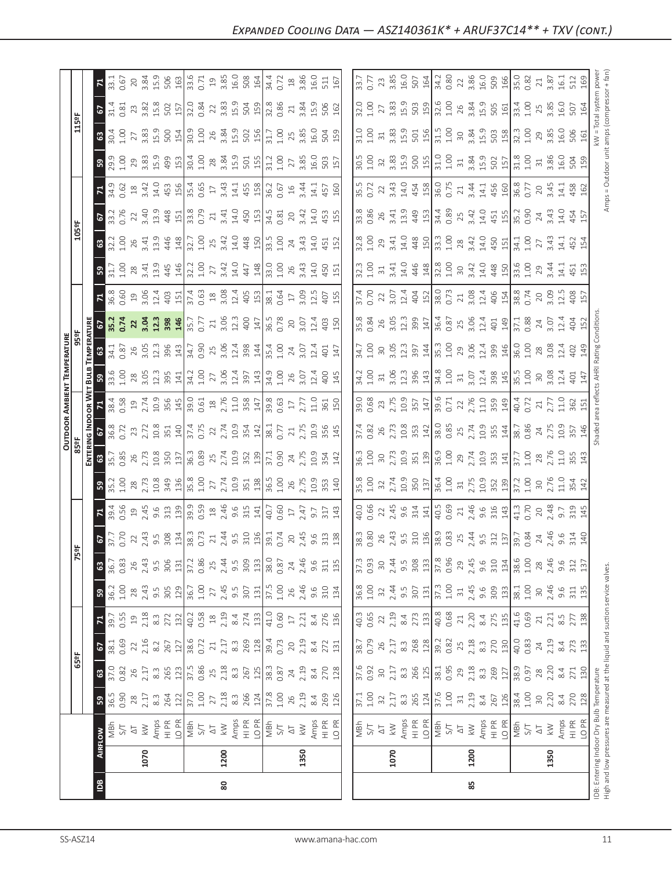|                |      |                                                                                                                            |                                            |                                  |                          |                                                                             |                             |                           |                                                                                                                                                                                                                                                                                                                                                                                                                                     |                            |                                                                                                                                                                                                                                                                                                                                                |                                                                                                                                                                                                                                                                                                                                                | <b>OUTDOOR AMBIENT TEMPERATURE</b>                                                                   |                                                                                              |                                                                                                                                                                                                                                                                         |                                                                                                                                                                                                                                                                                                                     |                                                                                                                                                                                                                                                                                                               |                                                                                                                                                                                                                                                                                                                     |                             |                                                                                                                                                     |                                                                                                                                                                                                                                                                                                                                                   |                |                                                                                                                                                                                                                                                                                |                                                                                                                                                                                                                                                                                                     |                                                                                                                |                                                                                             |
|----------------|------|----------------------------------------------------------------------------------------------------------------------------|--------------------------------------------|----------------------------------|--------------------------|-----------------------------------------------------------------------------|-----------------------------|---------------------------|-------------------------------------------------------------------------------------------------------------------------------------------------------------------------------------------------------------------------------------------------------------------------------------------------------------------------------------------------------------------------------------------------------------------------------------|----------------------------|------------------------------------------------------------------------------------------------------------------------------------------------------------------------------------------------------------------------------------------------------------------------------------------------------------------------------------------------|------------------------------------------------------------------------------------------------------------------------------------------------------------------------------------------------------------------------------------------------------------------------------------------------------------------------------------------------|------------------------------------------------------------------------------------------------------|----------------------------------------------------------------------------------------------|-------------------------------------------------------------------------------------------------------------------------------------------------------------------------------------------------------------------------------------------------------------------------|---------------------------------------------------------------------------------------------------------------------------------------------------------------------------------------------------------------------------------------------------------------------------------------------------------------------|---------------------------------------------------------------------------------------------------------------------------------------------------------------------------------------------------------------------------------------------------------------------------------------------------------------|---------------------------------------------------------------------------------------------------------------------------------------------------------------------------------------------------------------------------------------------------------------------------------------------------------------------|-----------------------------|-----------------------------------------------------------------------------------------------------------------------------------------------------|---------------------------------------------------------------------------------------------------------------------------------------------------------------------------------------------------------------------------------------------------------------------------------------------------------------------------------------------------|----------------|--------------------------------------------------------------------------------------------------------------------------------------------------------------------------------------------------------------------------------------------------------------------------------|-----------------------------------------------------------------------------------------------------------------------------------------------------------------------------------------------------------------------------------------------------------------------------------------------------|----------------------------------------------------------------------------------------------------------------|---------------------------------------------------------------------------------------------|
|                |      |                                                                                                                            |                                            | 65°F                             |                          |                                                                             |                             | 525                       |                                                                                                                                                                                                                                                                                                                                                                                                                                     |                            |                                                                                                                                                                                                                                                                                                                                                | 85°F                                                                                                                                                                                                                                                                                                                                           |                                                                                                      |                                                                                              |                                                                                                                                                                                                                                                                         |                                                                                                                                                                                                                                                                                                                     |                                                                                                                                                                                                                                                                                                               |                                                                                                                                                                                                                                                                                                                     |                             | 105°F                                                                                                                                               |                                                                                                                                                                                                                                                                                                                                                   |                |                                                                                                                                                                                                                                                                                | 115°F                                                                                                                                                                                                                                                                                               |                                                                                                                |                                                                                             |
|                |      |                                                                                                                            |                                            |                                  |                          |                                                                             |                             |                           |                                                                                                                                                                                                                                                                                                                                                                                                                                     |                            |                                                                                                                                                                                                                                                                                                                                                |                                                                                                                                                                                                                                                                                                                                                | ENTERING INDOOR WET BULB                                                                             |                                                                                              |                                                                                                                                                                                                                                                                         | <b>TEMPERATURE</b>                                                                                                                                                                                                                                                                                                  |                                                                                                                                                                                                                                                                                                               |                                                                                                                                                                                                                                                                                                                     |                             |                                                                                                                                                     |                                                                                                                                                                                                                                                                                                                                                   |                |                                                                                                                                                                                                                                                                                |                                                                                                                                                                                                                                                                                                     |                                                                                                                |                                                                                             |
| $\overline{5}$ |      | <b>AIRFLOW</b>                                                                                                             | ${\tt S}$                                  | $\mathbbmss{3}$                  | 5                        | $\mathbf{z}$                                                                | ${\tt S}$                   | $\boldsymbol{\mathsf{s}}$ |                                                                                                                                                                                                                                                                                                                                                                                                                                     | $\frac{1}{2}$              |                                                                                                                                                                                                                                                                                                                                                | $\mathbbmss{3}$                                                                                                                                                                                                                                                                                                                                | 5                                                                                                    |                                                                                              | ${\tt s}$                                                                                                                                                                                                                                                               | ${\tt G3}$                                                                                                                                                                                                                                                                                                          |                                                                                                                                                                                                                                                                                                               |                                                                                                                                                                                                                                                                                                                     | 59                          | $\boldsymbol{\mathsf{s}}$                                                                                                                           |                                                                                                                                                                                                                                                                                                                                                   |                | ၛၟ                                                                                                                                                                                                                                                                             | $\frac{3}{2}$                                                                                                                                                                                                                                                                                       | 2                                                                                                              |                                                                                             |
|                |      | Hg<br>S/T                                                                                                                  | 36.5<br>0.90                               | 37.0<br>0.82                     | 0.69<br>38.1             | 0.55<br>39.7                                                                | 1.00<br>36.2                | 0.83<br>36.7              | 275<br>275                                                                                                                                                                                                                                                                                                                                                                                                                          | 0.56                       | $35.2$<br>35.2                                                                                                                                                                                                                                                                                                                                 | 35.7<br>0.85                                                                                                                                                                                                                                                                                                                                   | 36.8<br>0.72                                                                                         | 38.4<br>0.58                                                                                 | $\frac{33.6}{1.00}$                                                                                                                                                                                                                                                     | 34.1<br>0.87                                                                                                                                                                                                                                                                                                        | 35.2<br>0.74                                                                                                                                                                                                                                                                                                  | $\frac{1}{2}$ $\frac{1}{8}$ $\frac{1}{8}$ $\frac{1}{8}$ $\frac{1}{8}$ $\frac{1}{8}$ $\frac{1}{8}$ $\frac{1}{8}$ $\frac{1}{8}$ $\frac{1}{8}$ $\frac{1}{8}$ $\frac{1}{8}$ $\frac{1}{8}$ $\frac{1}{8}$ $\frac{1}{8}$ $\frac{1}{8}$ $\frac{1}{8}$ $\frac{1}{8}$ $\frac{1}{8}$ $\frac{1}{8}$ $\frac{1}{8}$ $\frac{1}{8}$ | $31.7$<br>$1.00$            | 32.2<br>1.00                                                                                                                                        | <b>67</b><br>33.2<br>0.76                                                                                                                                                                                                                                                                                                                         | 34.9<br>0.62   | $\frac{9.9}{1.00}$                                                                                                                                                                                                                                                             | $30.4$<br>$1.00$                                                                                                                                                                                                                                                                                    | $31.4$<br>$0.81$                                                                                               | 33.1<br>0.67                                                                                |
|                |      | $\overline{\circ}$                                                                                                         |                                            | 26                               | $22\,$                   |                                                                             | $28$                        | 26                        |                                                                                                                                                                                                                                                                                                                                                                                                                                     |                            |                                                                                                                                                                                                                                                                                                                                                |                                                                                                                                                                                                                                                                                                                                                |                                                                                                      |                                                                                              |                                                                                                                                                                                                                                                                         |                                                                                                                                                                                                                                                                                                                     |                                                                                                                                                                                                                                                                                                               |                                                                                                                                                                                                                                                                                                                     |                             |                                                                                                                                                     |                                                                                                                                                                                                                                                                                                                                                   |                |                                                                                                                                                                                                                                                                                |                                                                                                                                                                                                                                                                                                     |                                                                                                                |                                                                                             |
|                | 1070 | $\leqslant$                                                                                                                | $\frac{28}{2.17}$                          | 2.17                             | 2.16                     | $19$<br>$2.18$                                                              | 2.43                        | 2.43                      |                                                                                                                                                                                                                                                                                                                                                                                                                                     |                            | $28$<br>2.73                                                                                                                                                                                                                                                                                                                                   | 26<br>2.73                                                                                                                                                                                                                                                                                                                                     | 23<br>2.72                                                                                           | $19$<br>$2.74$                                                                               |                                                                                                                                                                                                                                                                         |                                                                                                                                                                                                                                                                                                                     |                                                                                                                                                                                                                                                                                                               |                                                                                                                                                                                                                                                                                                                     | $28$<br>3.41<br>13.9<br>445 | $26$<br>3.41<br>13.9                                                                                                                                | $22$<br>3.40<br>13.9                                                                                                                                                                                                                                                                                                                              |                |                                                                                                                                                                                                                                                                                | 27<br>3.83                                                                                                                                                                                                                                                                                          | 23<br>3.82                                                                                                     | $\frac{20}{3}$                                                                              |
|                |      |                                                                                                                            | $8.\overline{3}$                           | $8.\overline{3}$                 | $8.2\,$                  | $8.\overline{3}$                                                            | 9.5<br>305                  | 9.5                       |                                                                                                                                                                                                                                                                                                                                                                                                                                     |                            |                                                                                                                                                                                                                                                                                                                                                |                                                                                                                                                                                                                                                                                                                                                |                                                                                                      |                                                                                              |                                                                                                                                                                                                                                                                         |                                                                                                                                                                                                                                                                                                                     |                                                                                                                                                                                                                                                                                                               |                                                                                                                                                                                                                                                                                                                     |                             |                                                                                                                                                     |                                                                                                                                                                                                                                                                                                                                                   |                |                                                                                                                                                                                                                                                                                | 15.9                                                                                                                                                                                                                                                                                                |                                                                                                                | 15.9<br>506                                                                                 |
|                |      | Amps<br>HI PR                                                                                                              | 264                                        | 265                              | 267                      | 272                                                                         |                             | 306                       | $\begin{array}{c}\n 27.435 \\  27.435 \\  38.45 \\  38.45 \\  38.57 \\  29.45 \\  39.45 \\  39.45 \\  39.45 \\  39.45 \\  39.45 \\  39.45 \\  39.45 \\  39.45 \\  39.45 \\  39.45 \\  39.45 \\  39.45 \\  39.45 \\  39.45 \\  39.45 \\  39.45 \\  39.45 \\  39.45 \\  39.45 \\  39.45 \\  39.45 \\  39.45 \\  39.45 \\  39.45 \\ $                                                                                                  |                            |                                                                                                                                                                                                                                                                                                                                                |                                                                                                                                                                                                                                                                                                                                                |                                                                                                      | $9.9684$<br>$9.961$<br>$9.961$<br>$9.71$<br>$9.74$<br>$9.961$<br>$9.963$<br>$1.74$<br>$9.63$ | $\frac{28}{3.05}$ 3 95                                                                                                                                                                                                                                                  | $26$<br>$3.05$<br>$12.3$<br>$56$<br>$14$                                                                                                                                                                                                                                                                            | $22.338$<br>$12.388$<br>$146$<br>$35.7$                                                                                                                                                                                                                                                                       |                                                                                                                                                                                                                                                                                                                     |                             | 446                                                                                                                                                 | 448                                                                                                                                                                                                                                                                                                                                               |                | $29.83$<br>$3.63$<br>$499$<br>$153$                                                                                                                                                                                                                                            | 500                                                                                                                                                                                                                                                                                                 | $\begin{array}{c} 15.8 \\ 502 \\ 151 \\ 32.0 \\ 0.84 \\ 2 \end{array}$                                         |                                                                                             |
|                |      | LO PR                                                                                                                      | 122                                        | 123                              | 127                      | 132                                                                         | 129                         | $131\,$                   |                                                                                                                                                                                                                                                                                                                                                                                                                                     |                            |                                                                                                                                                                                                                                                                                                                                                |                                                                                                                                                                                                                                                                                                                                                |                                                                                                      |                                                                                              |                                                                                                                                                                                                                                                                         |                                                                                                                                                                                                                                                                                                                     |                                                                                                                                                                                                                                                                                                               |                                                                                                                                                                                                                                                                                                                     | 146                         | 148                                                                                                                                                 |                                                                                                                                                                                                                                                                                                                                                   |                |                                                                                                                                                                                                                                                                                | 154                                                                                                                                                                                                                                                                                                 |                                                                                                                | 163                                                                                         |
|                |      | $\frac{1}{\sqrt{2}}$                                                                                                       | $\frac{37.0}{ }$                           | 37.5                             | 38.6                     | 40.2<br>0.58                                                                | $36.7$<br>$1.00$            | 37.2                      |                                                                                                                                                                                                                                                                                                                                                                                                                                     |                            |                                                                                                                                                                                                                                                                                                                                                |                                                                                                                                                                                                                                                                                                                                                |                                                                                                      |                                                                                              | $34.2$<br>1.00<br>27                                                                                                                                                                                                                                                    | $\begin{array}{c} 34.7 \\ 0.90 \\ 2.5 \\ 3.06 \\ 1.23 \\ 3.98 \\ 1.41 \\ \end{array}$                                                                                                                                                                                                                               |                                                                                                                                                                                                                                                                                                               |                                                                                                                                                                                                                                                                                                                     | 32.2<br>1.00                | 32.7                                                                                                                                                | 33.8<br>0.79                                                                                                                                                                                                                                                                                                                                      |                | $30.4$<br>1.00                                                                                                                                                                                                                                                                 | $30.9$<br>$1.00$                                                                                                                                                                                                                                                                                    |                                                                                                                | 33.6<br>0.71                                                                                |
|                |      |                                                                                                                            | 1.00                                       | 0.86                             | 0.72                     |                                                                             |                             | 0.86                      |                                                                                                                                                                                                                                                                                                                                                                                                                                     |                            |                                                                                                                                                                                                                                                                                                                                                |                                                                                                                                                                                                                                                                                                                                                |                                                                                                      |                                                                                              |                                                                                                                                                                                                                                                                         |                                                                                                                                                                                                                                                                                                                     |                                                                                                                                                                                                                                                                                                               |                                                                                                                                                                                                                                                                                                                     |                             | 1.00                                                                                                                                                |                                                                                                                                                                                                                                                                                                                                                   |                |                                                                                                                                                                                                                                                                                |                                                                                                                                                                                                                                                                                                     |                                                                                                                |                                                                                             |
|                |      | $\overline{\mathcal{L}}$                                                                                                   | 27                                         | 25                               | $\geq 1$                 | $\ensuremath{\mathop{\boxtimes}\limits^{\mathop{\mathop{\rm s}}\nolimits}}$ | $\overline{27}$             | 25                        |                                                                                                                                                                                                                                                                                                                                                                                                                                     |                            |                                                                                                                                                                                                                                                                                                                                                |                                                                                                                                                                                                                                                                                                                                                |                                                                                                      |                                                                                              |                                                                                                                                                                                                                                                                         |                                                                                                                                                                                                                                                                                                                     | 21                                                                                                                                                                                                                                                                                                            |                                                                                                                                                                                                                                                                                                                     | 27                          | 25                                                                                                                                                  | 21                                                                                                                                                                                                                                                                                                                                                |                |                                                                                                                                                                                                                                                                                |                                                                                                                                                                                                                                                                                                     |                                                                                                                |                                                                                             |
| 80             | 1200 | $\lesssim$                                                                                                                 |                                            | 2.18                             | 2.17                     | 2.19                                                                        |                             | 2.44                      |                                                                                                                                                                                                                                                                                                                                                                                                                                     |                            |                                                                                                                                                                                                                                                                                                                                                |                                                                                                                                                                                                                                                                                                                                                |                                                                                                      |                                                                                              |                                                                                                                                                                                                                                                                         |                                                                                                                                                                                                                                                                                                                     |                                                                                                                                                                                                                                                                                                               |                                                                                                                                                                                                                                                                                                                     |                             |                                                                                                                                                     | 3.41                                                                                                                                                                                                                                                                                                                                              |                |                                                                                                                                                                                                                                                                                |                                                                                                                                                                                                                                                                                                     |                                                                                                                |                                                                                             |
|                |      |                                                                                                                            | $\begin{array}{c} 2.18 \\ 8.3 \end{array}$ | $8.\overline{3}$                 | $8.\overline{3}$         | 8.4                                                                         | $2.45$<br>9.5               | 9.5                       |                                                                                                                                                                                                                                                                                                                                                                                                                                     |                            |                                                                                                                                                                                                                                                                                                                                                |                                                                                                                                                                                                                                                                                                                                                |                                                                                                      |                                                                                              |                                                                                                                                                                                                                                                                         |                                                                                                                                                                                                                                                                                                                     |                                                                                                                                                                                                                                                                                                               |                                                                                                                                                                                                                                                                                                                     |                             | $3.42$<br>14.0                                                                                                                                      | 14.0                                                                                                                                                                                                                                                                                                                                              |                |                                                                                                                                                                                                                                                                                | 26<br>3.84<br>15.9                                                                                                                                                                                                                                                                                  |                                                                                                                |                                                                                             |
|                |      | Amps<br>HI PR                                                                                                              | 266                                        | 267                              | 269                      | 274<br>133                                                                  | 307                         | 309                       |                                                                                                                                                                                                                                                                                                                                                                                                                                     |                            |                                                                                                                                                                                                                                                                                                                                                |                                                                                                                                                                                                                                                                                                                                                |                                                                                                      |                                                                                              | $3.06$<br>$12.4$<br>$39.7$<br>$143$                                                                                                                                                                                                                                     |                                                                                                                                                                                                                                                                                                                     | $3.06$<br>12.3<br>400                                                                                                                                                                                                                                                                                         |                                                                                                                                                                                                                                                                                                                     | $3.42$<br>14.0<br>447       | 448                                                                                                                                                 |                                                                                                                                                                                                                                                                                                                                                   |                | 28, 34, 55, 55                                                                                                                                                                                                                                                                 | 502                                                                                                                                                                                                                                                                                                 | $\frac{53}{159}$                                                                                               | $\begin{array}{c} 19 \\ 3.85 \\ 16.0 \\ 508 \end{array}$                                    |
|                |      | LO PR                                                                                                                      | 124                                        | 125                              | 128                      |                                                                             | 131                         | 133                       |                                                                                                                                                                                                                                                                                                                                                                                                                                     | 141                        |                                                                                                                                                                                                                                                                                                                                                |                                                                                                                                                                                                                                                                                                                                                |                                                                                                      |                                                                                              |                                                                                                                                                                                                                                                                         |                                                                                                                                                                                                                                                                                                                     | $\frac{147}{1}$                                                                                                                                                                                                                                                                                               |                                                                                                                                                                                                                                                                                                                     | 148                         |                                                                                                                                                     |                                                                                                                                                                                                                                                                                                                                                   |                |                                                                                                                                                                                                                                                                                |                                                                                                                                                                                                                                                                                                     |                                                                                                                | 164                                                                                         |
|                |      | MBh                                                                                                                        | $\frac{8}{37.8}$                           | 38.3                             | 39.4                     | 41.0                                                                        |                             | 38.0                      |                                                                                                                                                                                                                                                                                                                                                                                                                                     |                            |                                                                                                                                                                                                                                                                                                                                                |                                                                                                                                                                                                                                                                                                                                                |                                                                                                      |                                                                                              |                                                                                                                                                                                                                                                                         | $\frac{35.4}{4}$                                                                                                                                                                                                                                                                                                    | $\frac{5}{36}$                                                                                                                                                                                                                                                                                                |                                                                                                                                                                                                                                                                                                                     | $\frac{1}{3}0.00$           | $\frac{15}{33}$                                                                                                                                     | $\frac{450}{34.81}$                                                                                                                                                                                                                                                                                                                               | $36.2$<br>0.67 |                                                                                                                                                                                                                                                                                | 31.7                                                                                                                                                                                                                                                                                                | 32.86                                                                                                          | 34.4                                                                                        |
|                |      | 5/7                                                                                                                        | 1.00                                       | 0.87                             | 0.73                     | 0.60                                                                        | $37.5$<br>1.00              | 0.87                      |                                                                                                                                                                                                                                                                                                                                                                                                                                     | 40.7<br>0.60               |                                                                                                                                                                                                                                                                                                                                                |                                                                                                                                                                                                                                                                                                                                                | 0.77                                                                                                 |                                                                                              | 34.9<br>1.00                                                                                                                                                                                                                                                            | 1.00                                                                                                                                                                                                                                                                                                                | 0.78                                                                                                                                                                                                                                                                                                          |                                                                                                                                                                                                                                                                                                                     |                             | 1.00                                                                                                                                                |                                                                                                                                                                                                                                                                                                                                                   |                | $31.2$<br>$1.00$                                                                                                                                                                                                                                                               | 1.00                                                                                                                                                                                                                                                                                                |                                                                                                                | 0.72                                                                                        |
|                |      | $\overline{\triangle}$                                                                                                     | $26$                                       | $24\,$                           | $20$                     | $\Box$                                                                      | 26                          | 24                        |                                                                                                                                                                                                                                                                                                                                                                                                                                     |                            |                                                                                                                                                                                                                                                                                                                                                |                                                                                                                                                                                                                                                                                                                                                |                                                                                                      |                                                                                              | 26                                                                                                                                                                                                                                                                      |                                                                                                                                                                                                                                                                                                                     | 20                                                                                                                                                                                                                                                                                                            |                                                                                                                                                                                                                                                                                                                     |                             |                                                                                                                                                     |                                                                                                                                                                                                                                                                                                                                                   | $\frac{16}{1}$ | $\overline{27}$                                                                                                                                                                                                                                                                |                                                                                                                                                                                                                                                                                                     |                                                                                                                |                                                                                             |
|                | 1350 | $\lesssim$                                                                                                                 | 2.19                                       | 2.19                             | 2.19                     | 2.21                                                                        | 2.46                        | 2.46                      | $20,45$<br>$2,45$<br>$9,53$<br>$338$                                                                                                                                                                                                                                                                                                                                                                                                | $17$<br>$2.47$<br>$9.7$    | 26<br>2.75                                                                                                                                                                                                                                                                                                                                     | 24<br>2.75                                                                                                                                                                                                                                                                                                                                     | 2.75                                                                                                 | $\frac{17}{2.77}$                                                                            | 3.07                                                                                                                                                                                                                                                                    | $\frac{24}{3.07}$                                                                                                                                                                                                                                                                                                   | 3.07                                                                                                                                                                                                                                                                                                          | $\frac{17}{3.09}$                                                                                                                                                                                                                                                                                                   | $26$<br>3.43                | $24$<br>3.43                                                                                                                                        | $20$<br>3.42                                                                                                                                                                                                                                                                                                                                      | 3.44           | 3.85                                                                                                                                                                                                                                                                           | 25<br>3.85                                                                                                                                                                                                                                                                                          | 21<br>3.84<br>15.9                                                                                             | $\frac{18}{3.86}$                                                                           |
|                |      | Amps                                                                                                                       | 8.4                                        |                                  |                          |                                                                             | 9.6                         | 9.6                       |                                                                                                                                                                                                                                                                                                                                                                                                                                     |                            | 0.9                                                                                                                                                                                                                                                                                                                                            | 0.9                                                                                                                                                                                                                                                                                                                                            |                                                                                                      | 11.0                                                                                         | 12.4                                                                                                                                                                                                                                                                    | 12.4                                                                                                                                                                                                                                                                                                                | 12.4                                                                                                                                                                                                                                                                                                          | $\frac{5}{2}$                                                                                                                                                                                                                                                                                                       | 14.0                        | 14.0                                                                                                                                                | 14.0                                                                                                                                                                                                                                                                                                                                              | $\overline{4}$ | <b>16.0</b>                                                                                                                                                                                                                                                                    | 16.0                                                                                                                                                                                                                                                                                                |                                                                                                                | 16.0                                                                                        |
|                |      | HI PR                                                                                                                      | 269                                        | 8.4<br>270<br>128                | $8.4$<br>272             | 8.4<br>276                                                                  | 310                         | 311                       |                                                                                                                                                                                                                                                                                                                                                                                                                                     | 317                        |                                                                                                                                                                                                                                                                                                                                                | 354                                                                                                                                                                                                                                                                                                                                            | 10.9<br>356<br>145                                                                                   |                                                                                              | 400                                                                                                                                                                                                                                                                     | 401                                                                                                                                                                                                                                                                                                                 |                                                                                                                                                                                                                                                                                                               |                                                                                                                                                                                                                                                                                                                     | 450                         | 151                                                                                                                                                 |                                                                                                                                                                                                                                                                                                                                                   |                | 503                                                                                                                                                                                                                                                                            |                                                                                                                                                                                                                                                                                                     | 506                                                                                                            | 511                                                                                         |
|                |      | LO <sub>PR</sub>                                                                                                           | 126                                        |                                  | 131                      | 136                                                                         | 134                         | 135                       |                                                                                                                                                                                                                                                                                                                                                                                                                                     | 143                        | 353<br>140                                                                                                                                                                                                                                                                                                                                     | 142                                                                                                                                                                                                                                                                                                                                            |                                                                                                      | 361<br>150                                                                                   | 145                                                                                                                                                                                                                                                                     | 147                                                                                                                                                                                                                                                                                                                 | $\frac{2}{150}$                                                                                                                                                                                                                                                                                               | $\begin{array}{c} 407 \\ 155 \end{array}$                                                                                                                                                                                                                                                                           | 151                         | 152                                                                                                                                                 | 453                                                                                                                                                                                                                                                                                                                                               | 457<br>160     | 157                                                                                                                                                                                                                                                                            | 504<br>159                                                                                                                                                                                                                                                                                          | 16 <sub>1</sub><br>162                                                                                         |                                                                                             |
|                |      |                                                                                                                            |                                            |                                  |                          |                                                                             |                             |                           |                                                                                                                                                                                                                                                                                                                                                                                                                                     |                            |                                                                                                                                                                                                                                                                                                                                                |                                                                                                                                                                                                                                                                                                                                                |                                                                                                      |                                                                                              |                                                                                                                                                                                                                                                                         |                                                                                                                                                                                                                                                                                                                     |                                                                                                                                                                                                                                                                                                               |                                                                                                                                                                                                                                                                                                                     |                             |                                                                                                                                                     |                                                                                                                                                                                                                                                                                                                                                   |                |                                                                                                                                                                                                                                                                                |                                                                                                                                                                                                                                                                                                     |                                                                                                                |                                                                                             |
|                |      |                                                                                                                            | 37.1                                       | 37.6                             | 38.7                     |                                                                             |                             | 37.3                      |                                                                                                                                                                                                                                                                                                                                                                                                                                     |                            |                                                                                                                                                                                                                                                                                                                                                |                                                                                                                                                                                                                                                                                                                                                | 37.4                                                                                                 |                                                                                              |                                                                                                                                                                                                                                                                         | 34.7                                                                                                                                                                                                                                                                                                                |                                                                                                                                                                                                                                                                                                               |                                                                                                                                                                                                                                                                                                                     |                             |                                                                                                                                                     |                                                                                                                                                                                                                                                                                                                                                   |                |                                                                                                                                                                                                                                                                                |                                                                                                                                                                                                                                                                                                     |                                                                                                                | 33.7                                                                                        |
|                |      | NBh<br>S/T                                                                                                                 | $\frac{8}{1}$                              | 0.92                             | 0.79                     |                                                                             | 36.8<br>1.00                | 0.93                      | $38.3$<br>$0.80$                                                                                                                                                                                                                                                                                                                                                                                                                    |                            | $35.8$<br>$1.00$                                                                                                                                                                                                                                                                                                                               | $36.3$<br>$1.00$                                                                                                                                                                                                                                                                                                                               | 0.82                                                                                                 |                                                                                              | 34.2<br>1.00                                                                                                                                                                                                                                                            |                                                                                                                                                                                                                                                                                                                     | 35.84<br>0.84                                                                                                                                                                                                                                                                                                 | 37.4<br>0.70                                                                                                                                                                                                                                                                                                        | $32.3$<br>$1.00$            | $32.8$<br>$1.00$                                                                                                                                    | 33.8<br>0.86                                                                                                                                                                                                                                                                                                                                      | 35.5<br>0.72   |                                                                                                                                                                                                                                                                                |                                                                                                                                                                                                                                                                                                     | $32.0$<br>$1.00$                                                                                               | 7.7                                                                                         |
|                |      | $\overline{\Delta}$                                                                                                        |                                            | $\approx$                        | $26$                     | $40.3$<br>0.65<br>22                                                        | $32$                        | $\overline{30}$           |                                                                                                                                                                                                                                                                                                                                                                                                                                     | $0.66$<br>$0.66$<br>$2.45$ |                                                                                                                                                                                                                                                                                                                                                |                                                                                                                                                                                                                                                                                                                                                |                                                                                                      |                                                                                              | 31                                                                                                                                                                                                                                                                      |                                                                                                                                                                                                                                                                                                                     |                                                                                                                                                                                                                                                                                                               |                                                                                                                                                                                                                                                                                                                     |                             |                                                                                                                                                     |                                                                                                                                                                                                                                                                                                                                                   |                |                                                                                                                                                                                                                                                                                |                                                                                                                                                                                                                                                                                                     | 27                                                                                                             | 23                                                                                          |
|                | 1070 | $\gtrapprox$                                                                                                               |                                            |                                  | 2.17                     | 2.19                                                                        |                             | 2.44                      |                                                                                                                                                                                                                                                                                                                                                                                                                                     |                            |                                                                                                                                                                                                                                                                                                                                                |                                                                                                                                                                                                                                                                                                                                                |                                                                                                      |                                                                                              |                                                                                                                                                                                                                                                                         |                                                                                                                                                                                                                                                                                                                     |                                                                                                                                                                                                                                                                                                               |                                                                                                                                                                                                                                                                                                                     |                             |                                                                                                                                                     |                                                                                                                                                                                                                                                                                                                                                   |                |                                                                                                                                                                                                                                                                                |                                                                                                                                                                                                                                                                                                     |                                                                                                                |                                                                                             |
|                |      |                                                                                                                            |                                            | $2.17$<br>8.3                    |                          |                                                                             |                             | 9.5                       |                                                                                                                                                                                                                                                                                                                                                                                                                                     |                            |                                                                                                                                                                                                                                                                                                                                                |                                                                                                                                                                                                                                                                                                                                                |                                                                                                      |                                                                                              |                                                                                                                                                                                                                                                                         |                                                                                                                                                                                                                                                                                                                     |                                                                                                                                                                                                                                                                                                               |                                                                                                                                                                                                                                                                                                                     |                             |                                                                                                                                                     |                                                                                                                                                                                                                                                                                                                                                   |                |                                                                                                                                                                                                                                                                                |                                                                                                                                                                                                                                                                                                     |                                                                                                                |                                                                                             |
|                |      | Amps<br>HI PR                                                                                                              |                                            |                                  |                          |                                                                             |                             | 308                       |                                                                                                                                                                                                                                                                                                                                                                                                                                     |                            |                                                                                                                                                                                                                                                                                                                                                |                                                                                                                                                                                                                                                                                                                                                |                                                                                                      |                                                                                              |                                                                                                                                                                                                                                                                         |                                                                                                                                                                                                                                                                                                                     |                                                                                                                                                                                                                                                                                                               |                                                                                                                                                                                                                                                                                                                     |                             |                                                                                                                                                     |                                                                                                                                                                                                                                                                                                                                                   |                |                                                                                                                                                                                                                                                                                |                                                                                                                                                                                                                                                                                                     |                                                                                                                |                                                                                             |
|                |      | LO PR                                                                                                                      | $32$<br>$2.17$<br>$8.3$<br>$265$<br>$124$  | 266<br>125                       | 8.3<br>268<br>128        | 8.4<br>273<br>133                                                           | $2.44$<br>9.5<br>307<br>131 | 133                       | $\begin{array}{c}\n 26 \\  243 \\  \hline\n 093 \\  \hline\n 094 \\  \hline\n 094 \\  \hline\n 094 \\  \hline\n 094 \\  \hline\n 094 \\  \hline\n 094 \\  \hline\n 094 \\  \hline\n 094 \\  \hline\n 094 \\  \hline\n 094 \\  \hline\n 094 \\  \hline\n 094 \\  \hline\n 094 \\  \hline\n 094 \\  \hline\n 094 \\  \hline\n 094 \\  \hline\n 094 \\  \hline\n 094 \\  \hline\n 094 \\  \hline\n 094 \\  \hline\n 094 \\  \hline\n $ | $9.54$ $\frac{11}{2}$      | $\begin{array}{c}\n 32.74 \\  21.950 \\  35.0 \\  14.9 \\  14.9 \\  15.0 \\  16.1 \\  17.0 \\  18.0 \\  19.0 \\  19.0 \\  10.0 \\  10.0 \\  10.0 \\  10.0 \\  10.0 \\  10.0 \\  10.0 \\  10.0 \\  10.0 \\  10.0 \\  10.0 \\  10.0 \\  10.0 \\  10.0 \\  10.0 \\  10.0 \\  10.0 \\  10.0 \\  10.0 \\  10.0 \\  10.0 \\  10.0 \\  10.0 \\  10.0$ | $\begin{array}{c}\n 30.73 \\  21.73 \\  12.73 \\  13.73 \\  14.73 \\  15.73 \\  16.9 \\  16.9 \\  16.9 \\  16.9 \\  16.9 \\  16.9 \\  16.9 \\  16.9 \\  16.9 \\  16.9 \\  16.9 \\  16.9 \\  16.9 \\  16.9 \\  16.9 \\  16.9 \\  16.9 \\  16.9 \\  16.9 \\  16.9 \\  16.9 \\  16.9 \\  16.9 \\  16.9 \\  16.9 \\  16.9 \\  16.9 \\  16.9 \\  1$ | $\begin{array}{c}\n 26 \\  2.73 \\  10.8 \\  35.3 \\  38.0 \\  38.5 \\  2.74 \\  2.74\n \end{array}$ |                                                                                              | $\begin{array}{c c c c c c c c c} 3.05 & 0.01 & 0.01 & 0.01 & 0.01 & 0.01 & 0.01 & 0.01 & 0.01 & 0.01 & 0.01 & 0.01 & 0.01 & 0.01 & 0.01 & 0.01 & 0.01 & 0.01 & 0.01 & 0.01 & 0.01 & 0.01 & 0.01 & 0.01 & 0.01 & 0.01 & 0.01 & 0.01 & 0.01 & 0.01 & 0.01 & 0.01 & 0.01$ | $\frac{1}{2}$ $\frac{1}{2}$ $\frac{1}{2}$ $\frac{1}{2}$ $\frac{1}{2}$ $\frac{1}{2}$ $\frac{1}{2}$ $\frac{1}{2}$ $\frac{1}{2}$ $\frac{1}{2}$ $\frac{1}{2}$ $\frac{1}{2}$ $\frac{1}{2}$ $\frac{1}{2}$ $\frac{1}{2}$ $\frac{1}{2}$ $\frac{1}{2}$ $\frac{1}{2}$ $\frac{1}{2}$ $\frac{1}{2}$ $\frac{1}{2}$ $\frac{1}{2}$ | $26$<br>$3.05$<br>$12.3$<br>$39$<br>$14$                                                                                                                                                                                                                                                                      | $\begin{array}{c} 22.57 \\ 23.07 \\ 24.47 \\ 25.48 \\ 26.07 \\ 27.49 \\ 28.07 \\ 29.07 \\ 20.07 \\ 21.08 \\ 22.07 \\ 23.07 \\ 24.07 \\ 25.07 \\ 26.07 \\ 27.07 \\ 28.07 \\ 29.07 \\ 20.07 \\ 21.07 \\ 22.07 \\ 23.07 \\ 24.07 \\ 25.07 \\ 26.07 \\ 27.07 \\ 28.07 \\ 29.07 \\ 20.07 \\ 21.07 \\ 22$                 |                             | $\begin{array}{c}\n 29 \\  3.41 \\  14.9 \\  28 \\  19 \\  33 \\  50 \\  60 \\  74 \\  89 \\  74 \\  75 \\  74 \\  89 \\  151 \\  19\n \end{array}$ | $\begin{array}{c} 26 \\ 27 \\ 28 \\ 29 \\ 20 \\ 21 \\ 23 \\ 24 \\ 26 \\ 27 \\ 28 \\ 29 \\ 20 \\ 20 \\ 21 \\ 22 \\ 23 \\ 24 \\ 25 \\ 26 \\ 27 \\ 28 \\ 29 \\ 20 \\ 20 \\ 24 \\ 25 \\ 27 \\ 28 \\ 29 \\ 20 \\ 27 \\ 29 \\ 20 \\ 20 \\ 27 \\ 29 \\ 20 \\ 27 \\ 28 \\ 29 \\ 29 \\ 29 \\ 20 \\ 20 \\ 27 \\ 29 \\ 20 \\ 27 \\ 29 \\ 20 \\ 27 \\ 29 \\ $ |                | $\begin{array}{cccc}\n30.5 & 32.8 & 33.8 & 33.8 & 33.8 & 33.8 & 34.8 & 35.8 & 36.8 & 37.8 & 38.8 & 39.8 & 39.8 & 30.8 & 30.8 & 30.8 & 30.8 & 30.8 & 30.8 & 30.8 & 30.8 & 30.8 & 30.8 & 30.8 & 30.8 & 30.8 & 30.8 & 30.8 & 30.8 & 30.8 & 30.8 & 30.8 & 30.8 & 30.8 & 30.8 & 30$ | $\begin{array}{c} 3.136 \\ 3.152 \\ 4.153 \\ 5.154 \\ 6.155 \\ 7.155 \\ 7.155 \\ 7.155 \\ 7.155 \\ 7.155 \\ 7.155 \\ 7.155 \\ 7.155 \\ 7.155 \\ 7.155 \\ 7.155 \\ 7.155 \\ 7.155 \\ 7.155 \\ 7.155 \\ 7.155 \\ 7.155 \\ 7.155 \\ 7.155 \\ 7.155 \\ 7.155 \\ 7.155 \\ 7.155 \\ 7.155 \\ 7.155 \\ 7.$ | $\begin{array}{c}\n 3.83 \\  1.503 \\  503 \\  \hline\n 1.000 \\  2.6 \\  3.84 \\  \hline\n 3.4\n \end{array}$ | $\begin{array}{c}\n 3.85 \\  16.0 \\  \hline\n 507 \\  164 \\  34.2 \\  0.80\n \end{array}$ |
|                |      | $\frac{1}{2}$                                                                                                              | 37.6<br>1.00                               | 38.1<br>0.95                     | 39.2<br>0.82             |                                                                             | $37.3$<br>1.00              | 37.8<br>0.96              |                                                                                                                                                                                                                                                                                                                                                                                                                                     |                            |                                                                                                                                                                                                                                                                                                                                                |                                                                                                                                                                                                                                                                                                                                                |                                                                                                      |                                                                                              |                                                                                                                                                                                                                                                                         |                                                                                                                                                                                                                                                                                                                     |                                                                                                                                                                                                                                                                                                               |                                                                                                                                                                                                                                                                                                                     |                             |                                                                                                                                                     |                                                                                                                                                                                                                                                                                                                                                   |                |                                                                                                                                                                                                                                                                                |                                                                                                                                                                                                                                                                                                     |                                                                                                                |                                                                                             |
|                |      |                                                                                                                            |                                            |                                  |                          | $^{40.8}_{0.68}$                                                            |                             |                           |                                                                                                                                                                                                                                                                                                                                                                                                                                     |                            |                                                                                                                                                                                                                                                                                                                                                |                                                                                                                                                                                                                                                                                                                                                |                                                                                                      |                                                                                              |                                                                                                                                                                                                                                                                         |                                                                                                                                                                                                                                                                                                                     |                                                                                                                                                                                                                                                                                                               |                                                                                                                                                                                                                                                                                                                     |                             |                                                                                                                                                     |                                                                                                                                                                                                                                                                                                                                                   |                |                                                                                                                                                                                                                                                                                |                                                                                                                                                                                                                                                                                                     |                                                                                                                |                                                                                             |
|                |      | $\overline{\Delta}$                                                                                                        |                                            |                                  |                          |                                                                             | $\Xi$                       | 29                        |                                                                                                                                                                                                                                                                                                                                                                                                                                     |                            |                                                                                                                                                                                                                                                                                                                                                |                                                                                                                                                                                                                                                                                                                                                |                                                                                                      |                                                                                              |                                                                                                                                                                                                                                                                         |                                                                                                                                                                                                                                                                                                                     |                                                                                                                                                                                                                                                                                                               |                                                                                                                                                                                                                                                                                                                     |                             |                                                                                                                                                     |                                                                                                                                                                                                                                                                                                                                                   |                |                                                                                                                                                                                                                                                                                |                                                                                                                                                                                                                                                                                                     |                                                                                                                |                                                                                             |
| 85             | 1200 | $\lesssim$                                                                                                                 | $31$<br>$2.19$<br>$8.4$                    | $29$<br>$2.18$<br>$8.3$<br>$269$ | $2.18$<br>$8.3$<br>$270$ | 2.20                                                                        |                             | $2.45$<br>9.6             |                                                                                                                                                                                                                                                                                                                                                                                                                                     |                            |                                                                                                                                                                                                                                                                                                                                                |                                                                                                                                                                                                                                                                                                                                                |                                                                                                      |                                                                                              |                                                                                                                                                                                                                                                                         |                                                                                                                                                                                                                                                                                                                     |                                                                                                                                                                                                                                                                                                               |                                                                                                                                                                                                                                                                                                                     |                             |                                                                                                                                                     |                                                                                                                                                                                                                                                                                                                                                   |                |                                                                                                                                                                                                                                                                                |                                                                                                                                                                                                                                                                                                     |                                                                                                                |                                                                                             |
|                |      | Amps<br>HI PR                                                                                                              |                                            |                                  |                          | 8.4<br>275                                                                  |                             |                           |                                                                                                                                                                                                                                                                                                                                                                                                                                     |                            |                                                                                                                                                                                                                                                                                                                                                |                                                                                                                                                                                                                                                                                                                                                | 10.9<br>355                                                                                          |                                                                                              |                                                                                                                                                                                                                                                                         |                                                                                                                                                                                                                                                                                                                     |                                                                                                                                                                                                                                                                                                               |                                                                                                                                                                                                                                                                                                                     |                             |                                                                                                                                                     |                                                                                                                                                                                                                                                                                                                                                   |                |                                                                                                                                                                                                                                                                                |                                                                                                                                                                                                                                                                                                     | 15.9<br>505                                                                                                    |                                                                                             |
|                |      |                                                                                                                            | 267                                        |                                  |                          |                                                                             | $2.45$<br>9.6<br>309        | 310                       |                                                                                                                                                                                                                                                                                                                                                                                                                                     |                            |                                                                                                                                                                                                                                                                                                                                                |                                                                                                                                                                                                                                                                                                                                                |                                                                                                      |                                                                                              |                                                                                                                                                                                                                                                                         |                                                                                                                                                                                                                                                                                                                     | $\begin{array}{c} 18.7 \\ 18.7 \\ 0.87 \\ 0.95 \\ 0.06 \\ 0.04 \\ 0.01 \\ 0.01 \\ 0.01 \\ 0.01 \\ 0.01 \\ 0.01 \\ 0.01 \\ 0.01 \\ 0.01 \\ 0.01 \\ 0.01 \\ 0.01 \\ 0.01 \\ 0.01 \\ 0.01 \\ 0.01 \\ 0.01 \\ 0.01 \\ 0.01 \\ 0.01 \\ 0.01 \\ 0.01 \\ 0.01 \\ 0.01 \\ 0.01 \\ 0.01 \\ 0.01 \\ 0.01 \\ 0.01 \\ 0.$ |                                                                                                                                                                                                                                                                                                                     |                             |                                                                                                                                                     |                                                                                                                                                                                                                                                                                                                                                   |                |                                                                                                                                                                                                                                                                                |                                                                                                                                                                                                                                                                                                     |                                                                                                                |                                                                                             |
|                |      | LO PR                                                                                                                      | $\frac{126}{38.4}$                         | 127                              | 130                      | 135                                                                         | 133                         | 134                       |                                                                                                                                                                                                                                                                                                                                                                                                                                     |                            |                                                                                                                                                                                                                                                                                                                                                |                                                                                                                                                                                                                                                                                                                                                |                                                                                                      |                                                                                              |                                                                                                                                                                                                                                                                         |                                                                                                                                                                                                                                                                                                                     |                                                                                                                                                                                                                                                                                                               |                                                                                                                                                                                                                                                                                                                     |                             |                                                                                                                                                     |                                                                                                                                                                                                                                                                                                                                                   |                |                                                                                                                                                                                                                                                                                |                                                                                                                                                                                                                                                                                                     | $\frac{161}{33.4}$                                                                                             |                                                                                             |
|                |      | $\frac{1}{2}$                                                                                                              |                                            | 38.9                             | 40.0                     | 41.6                                                                        | $38.1$<br>$1.00$            | 38.6                      |                                                                                                                                                                                                                                                                                                                                                                                                                                     | 41.3<br>0.70               |                                                                                                                                                                                                                                                                                                                                                | $\frac{141}{37.7}$                                                                                                                                                                                                                                                                                                                             | $\frac{144}{38.7}$                                                                                   | 40.4<br>0.72                                                                                 |                                                                                                                                                                                                                                                                         |                                                                                                                                                                                                                                                                                                                     |                                                                                                                                                                                                                                                                                                               |                                                                                                                                                                                                                                                                                                                     |                             | 34.1                                                                                                                                                |                                                                                                                                                                                                                                                                                                                                                   | 36.8<br>0.77   | 31.8                                                                                                                                                                                                                                                                           |                                                                                                                                                                                                                                                                                                     |                                                                                                                | $22.86$<br>$3.86$ $16.0$<br>$5.8$<br>$16.0$<br>$15.0$<br>$3.82$                             |
|                |      |                                                                                                                            | 1.00                                       | 0.97                             | 0.83                     | 0.69                                                                        |                             | $1.00$                    |                                                                                                                                                                                                                                                                                                                                                                                                                                     |                            |                                                                                                                                                                                                                                                                                                                                                | 1.00                                                                                                                                                                                                                                                                                                                                           |                                                                                                      |                                                                                              |                                                                                                                                                                                                                                                                         | 1.00                                                                                                                                                                                                                                                                                                                | 0.88                                                                                                                                                                                                                                                                                                          |                                                                                                                                                                                                                                                                                                                     |                             | 1.00                                                                                                                                                |                                                                                                                                                                                                                                                                                                                                                   |                | 1.00                                                                                                                                                                                                                                                                           | 1.00                                                                                                                                                                                                                                                                                                | 1.00                                                                                                           |                                                                                             |
|                |      | $\Delta\top$                                                                                                               | 30                                         | $28$                             | 24                       | 21                                                                          | $30$                        | 28                        | 24                                                                                                                                                                                                                                                                                                                                                                                                                                  | $20$                       |                                                                                                                                                                                                                                                                                                                                                | $28$                                                                                                                                                                                                                                                                                                                                           | 24                                                                                                   | $\overline{21}$                                                                              | 30                                                                                                                                                                                                                                                                      | $28$                                                                                                                                                                                                                                                                                                                | 24                                                                                                                                                                                                                                                                                                            | 20                                                                                                                                                                                                                                                                                                                  | 29                          | 27                                                                                                                                                  | 24                                                                                                                                                                                                                                                                                                                                                | 20             | $31\,$                                                                                                                                                                                                                                                                         | 29                                                                                                                                                                                                                                                                                                  |                                                                                                                | 21                                                                                          |
|                | 1350 | $\gtrapprox$                                                                                                               | 2.20                                       | 2.20                             | 2.19                     | 2.21                                                                        | 2.46                        | 2.46                      | 2.46                                                                                                                                                                                                                                                                                                                                                                                                                                | 2.48                       | 2.76                                                                                                                                                                                                                                                                                                                                           | 2.76                                                                                                                                                                                                                                                                                                                                           | 2.75                                                                                                 | 2.77                                                                                         | 3.08                                                                                                                                                                                                                                                                    | 3.08                                                                                                                                                                                                                                                                                                                | 3.07                                                                                                                                                                                                                                                                                                          | $3.09$<br>$12.5$                                                                                                                                                                                                                                                                                                    | $3.44$<br>14.1              | 3.43                                                                                                                                                | 3.43                                                                                                                                                                                                                                                                                                                                              | 3.45           | 3.86                                                                                                                                                                                                                                                                           | 3.85                                                                                                                                                                                                                                                                                                | 25<br>3.85<br>16.0                                                                                             | 3.87                                                                                        |
|                |      | Amps                                                                                                                       | $8.4\,$                                    | 8.4                              | 8.4                      | $8.\overline{5}$                                                            | $9.\overline{6}$            | 9.6                       | 9.6                                                                                                                                                                                                                                                                                                                                                                                                                                 | $-5.7$                     | 11.0                                                                                                                                                                                                                                                                                                                                           | 11.0                                                                                                                                                                                                                                                                                                                                           | 10.9                                                                                                 | 11.0                                                                                         | 12.4                                                                                                                                                                                                                                                                    | 12.4                                                                                                                                                                                                                                                                                                                | $\frac{1}{2}$ .4                                                                                                                                                                                                                                                                                              |                                                                                                                                                                                                                                                                                                                     |                             | $\Xi$                                                                                                                                               | 14.0                                                                                                                                                                                                                                                                                                                                              | 14.1           | 16.0                                                                                                                                                                                                                                                                           | 16.0                                                                                                                                                                                                                                                                                                |                                                                                                                | 16.1                                                                                        |
|                |      | HI PR<br>LO PR                                                                                                             | 270                                        | 271                              | 273<br>133               | 277<br>138                                                                  | 311                         | 312                       | 314                                                                                                                                                                                                                                                                                                                                                                                                                                 | 319<br>145                 | 354<br>142                                                                                                                                                                                                                                                                                                                                     | 355<br>143                                                                                                                                                                                                                                                                                                                                     | 357                                                                                                  | 362                                                                                          | 401                                                                                                                                                                                                                                                                     | $\begin{array}{c} 402 \\ 149 \end{array}$                                                                                                                                                                                                                                                                           | $404$<br>$152$                                                                                                                                                                                                                                                                                                | $\begin{array}{c} 408 \\ 157 \end{array}$                                                                                                                                                                                                                                                                           | $451$<br>$153$              | 452<br>154                                                                                                                                          | 454<br>157                                                                                                                                                                                                                                                                                                                                        | 458<br>162     | 504<br>159                                                                                                                                                                                                                                                                     | 506<br>161                                                                                                                                                                                                                                                                                          | 507<br>164                                                                                                     | 512                                                                                         |
|                |      |                                                                                                                            | 128                                        | 130                              |                          |                                                                             | 135                         | 137                       | 140                                                                                                                                                                                                                                                                                                                                                                                                                                 |                            |                                                                                                                                                                                                                                                                                                                                                |                                                                                                                                                                                                                                                                                                                                                |                                                                                                      |                                                                                              |                                                                                                                                                                                                                                                                         |                                                                                                                                                                                                                                                                                                                     |                                                                                                                                                                                                                                                                                                               |                                                                                                                                                                                                                                                                                                                     |                             |                                                                                                                                                     |                                                                                                                                                                                                                                                                                                                                                   |                |                                                                                                                                                                                                                                                                                |                                                                                                                                                                                                                                                                                                     |                                                                                                                | 169                                                                                         |
|                |      | High and low pressures are measured at the liquid and suction service valves.<br>IDB: Entering Indoor Dry Bulb Temperature |                                            |                                  |                          |                                                                             |                             |                           |                                                                                                                                                                                                                                                                                                                                                                                                                                     |                            |                                                                                                                                                                                                                                                                                                                                                |                                                                                                                                                                                                                                                                                                                                                | haded                                                                                                |                                                                                              | ects AHRI                                                                                                                                                                                                                                                               | Rating Condition                                                                                                                                                                                                                                                                                                    |                                                                                                                                                                                                                                                                                                               |                                                                                                                                                                                                                                                                                                                     |                             |                                                                                                                                                     |                                                                                                                                                                                                                                                                                                                                                   |                | Amps = Outdoor unit amps (compressor + fan                                                                                                                                                                                                                                     | = Total system                                                                                                                                                                                                                                                                                      |                                                                                                                | powe                                                                                        |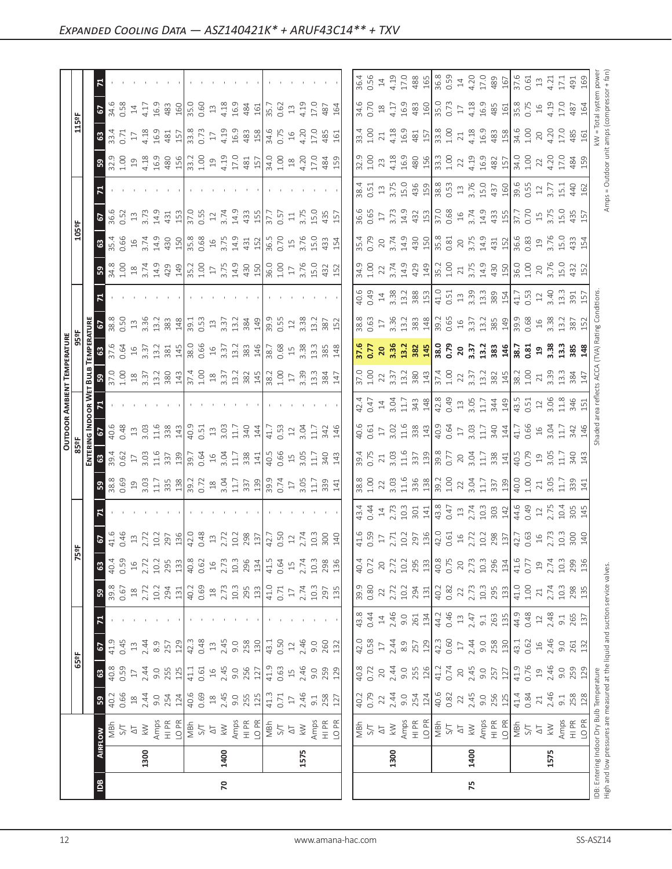|                |      |                                                                                                                            |                       |                 |        |                                           |                                                   |                 |                                                                                                                                                                                                                                                                                                               |                                                                                                                                                                                                                                                                                                               |                                                                                                                                                                                                                                                                                                               |                                                                                                                       |                                      |                                                 | <b>OUTDOOR AMBIENT TEMPERATURE</b>                |                                             |                                                                                                                                                                                                                                                                                      |                                                                                                                                                                                                                                                                                                         |                                                                                                                                                                                                                                                                                                                                                                                                                  |                          |                                                                                                                         |                                                                                                                                                                                                                                                                                   |                                                                                   |                                                                           |                                               |                                             |
|----------------|------|----------------------------------------------------------------------------------------------------------------------------|-----------------------|-----------------|--------|-------------------------------------------|---------------------------------------------------|-----------------|---------------------------------------------------------------------------------------------------------------------------------------------------------------------------------------------------------------------------------------------------------------------------------------------------------------|---------------------------------------------------------------------------------------------------------------------------------------------------------------------------------------------------------------------------------------------------------------------------------------------------------------|---------------------------------------------------------------------------------------------------------------------------------------------------------------------------------------------------------------------------------------------------------------------------------------------------------------|-----------------------------------------------------------------------------------------------------------------------|--------------------------------------|-------------------------------------------------|---------------------------------------------------|---------------------------------------------|--------------------------------------------------------------------------------------------------------------------------------------------------------------------------------------------------------------------------------------------------------------------------------------|---------------------------------------------------------------------------------------------------------------------------------------------------------------------------------------------------------------------------------------------------------------------------------------------------------|------------------------------------------------------------------------------------------------------------------------------------------------------------------------------------------------------------------------------------------------------------------------------------------------------------------------------------------------------------------------------------------------------------------|--------------------------|-------------------------------------------------------------------------------------------------------------------------|-----------------------------------------------------------------------------------------------------------------------------------------------------------------------------------------------------------------------------------------------------------------------------------|-----------------------------------------------------------------------------------|---------------------------------------------------------------------------|-----------------------------------------------|---------------------------------------------|
|                |      |                                                                                                                            |                       | 65°F            |        |                                           |                                                   |                 | 5ºF                                                                                                                                                                                                                                                                                                           |                                                                                                                                                                                                                                                                                                               |                                                                                                                                                                                                                                                                                                               | 85°F                                                                                                                  |                                      |                                                 |                                                   |                                             |                                                                                                                                                                                                                                                                                      |                                                                                                                                                                                                                                                                                                         |                                                                                                                                                                                                                                                                                                                                                                                                                  | 105°F                    |                                                                                                                         |                                                                                                                                                                                                                                                                                   |                                                                                   | 115°F                                                                     |                                               |                                             |
|                |      |                                                                                                                            |                       |                 |        |                                           |                                                   |                 |                                                                                                                                                                                                                                                                                                               |                                                                                                                                                                                                                                                                                                               |                                                                                                                                                                                                                                                                                                               | ENTERI                                                                                                                |                                      | NG INDOOR WET                                   | Buu                                               | <b>EMPERATURE</b>                           |                                                                                                                                                                                                                                                                                      |                                                                                                                                                                                                                                                                                                         |                                                                                                                                                                                                                                                                                                                                                                                                                  |                          |                                                                                                                         |                                                                                                                                                                                                                                                                                   |                                                                                   |                                                                           |                                               |                                             |
| $\overline{5}$ |      | <b>AIRFLOW</b>                                                                                                             | ${\tt S}$             | $\mathbbmss{3}$ | 2      | Σ,                                        | ${\tt S}$                                         | $\mathbbmss{3}$ | $\overline{c}$                                                                                                                                                                                                                                                                                                |                                                                                                                                                                                                                                                                                                               | ${\tt S}$                                                                                                                                                                                                                                                                                                     | $\mathbbmss{3}$                                                                                                       | 2                                    |                                                 |                                                   |                                             |                                                                                                                                                                                                                                                                                      |                                                                                                                                                                                                                                                                                                         | ၛၟ                                                                                                                                                                                                                                                                                                                                                                                                               | ${\tt G3}$               | 5                                                                                                                       |                                                                                                                                                                                                                                                                                   |                                                                                   | $\boldsymbol{\mathsf{s}}$                                                 | 2                                             |                                             |
|                |      | MBh                                                                                                                        | 40.2                  | 40.8            | 41.9   |                                           | 39.8                                              | 40.4            | 41.6<br>0.46                                                                                                                                                                                                                                                                                                  |                                                                                                                                                                                                                                                                                                               |                                                                                                                                                                                                                                                                                                               | 39.4                                                                                                                  | 40.6<br>0.48                         |                                                 | $\frac{1}{37.00}$                                 | 37.6<br>0.64                                | 38.8<br>0.50                                                                                                                                                                                                                                                                         |                                                                                                                                                                                                                                                                                                         |                                                                                                                                                                                                                                                                                                                                                                                                                  | 35.4<br>0.66             | 36.6                                                                                                                    |                                                                                                                                                                                                                                                                                   |                                                                                   | $33.4$<br>0.71                                                            | 34.6<br>0.58                                  |                                             |
|                |      | 5/7                                                                                                                        | 0.66                  | 0.59            | 0.45   |                                           | 0.67                                              | 0.59            |                                                                                                                                                                                                                                                                                                               |                                                                                                                                                                                                                                                                                                               |                                                                                                                                                                                                                                                                                                               | 0.62                                                                                                                  |                                      |                                                 |                                                   |                                             |                                                                                                                                                                                                                                                                                      |                                                                                                                                                                                                                                                                                                         |                                                                                                                                                                                                                                                                                                                                                                                                                  |                          | 0.52                                                                                                                    |                                                                                                                                                                                                                                                                                   |                                                                                   |                                                                           |                                               |                                             |
|                |      | $\overline{\Delta}$                                                                                                        | $\stackrel{\tt O}{=}$ | $\Box$          | $13$   |                                           | $^{28}$                                           | $\frac{16}{1}$  |                                                                                                                                                                                                                                                                                                               |                                                                                                                                                                                                                                                                                                               |                                                                                                                                                                                                                                                                                                               | $\frac{17}{3.03}$                                                                                                     | $13$<br>$3.03$<br>$11.6$             |                                                 | $\frac{18}{3.37}$                                 | $\frac{16}{3.37}$                           | $\frac{13}{3.36}$                                                                                                                                                                                                                                                                    |                                                                                                                                                                                                                                                                                                         |                                                                                                                                                                                                                                                                                                                                                                                                                  | $16$<br>3.74             | $\Xi$                                                                                                                   |                                                                                                                                                                                                                                                                                   |                                                                                   | $17\,$                                                                    | $\ensuremath{\mathop{\mathbf 1}\nolimits}$    |                                             |
|                | 1300 | $\lesssim$                                                                                                                 | 2.44                  | 2.44            | 2.44   |                                           | 2.72                                              | 2.72            |                                                                                                                                                                                                                                                                                                               |                                                                                                                                                                                                                                                                                                               |                                                                                                                                                                                                                                                                                                               |                                                                                                                       |                                      |                                                 |                                                   |                                             |                                                                                                                                                                                                                                                                                      |                                                                                                                                                                                                                                                                                                         |                                                                                                                                                                                                                                                                                                                                                                                                                  |                          | 3.73                                                                                                                    |                                                                                                                                                                                                                                                                                   |                                                                                   | 4.18                                                                      | 4.17                                          |                                             |
|                |      | Amps<br>HI PR                                                                                                              | 9.0                   | 9.0             | 8.9    |                                           | 10.2                                              | 10.2            |                                                                                                                                                                                                                                                                                                               |                                                                                                                                                                                                                                                                                                               |                                                                                                                                                                                                                                                                                                               |                                                                                                                       |                                      |                                                 |                                                   | 13.2                                        | 13.2                                                                                                                                                                                                                                                                                 |                                                                                                                                                                                                                                                                                                         |                                                                                                                                                                                                                                                                                                                                                                                                                  | 14.9                     | 14.9                                                                                                                    |                                                                                                                                                                                                                                                                                   |                                                                                   |                                                                           | 16.9<br>483                                   |                                             |
|                |      |                                                                                                                            | 254                   | 255             | 257    |                                           | 294                                               | 295             | $\begin{array}{c} 13 \\ 2.72 \\ 2.97 \\ 2.97 \\ 2.97 \\ 2.97 \\ 2.97 \\ 2.90 \\ 2.91 \\ 2.91 \\ 2.92 \\ 2.01 \\ 2.02 \\ 2.03 \\ 2.03 \\ 2.03 \\ 2.03 \\ 2.03 \\ 2.03 \\ 2.03 \\ 2.03 \\ 2.03 \\ 2.03 \\ 2.03 \\ 2.03 \\ 2.03 \\ 2.03 \\ 2.03 \\ 2.03 \\ 2.03 \\ 2.03 \\ 2.03 \\ 2.03 \\ 2.03 \\ 2.03 \\ 2.03$ |                                                                                                                                                                                                                                                                                                               | $38.8$<br>0.69<br>19<br>3.03<br>11<br>3.8<br>13<br>3                                                                                                                                                                                                                                                          | 337                                                                                                                   | 338                                  |                                                 | $\frac{380}{374}$<br>$\frac{14}{274}$             | 381                                         | 383                                                                                                                                                                                                                                                                                  |                                                                                                                                                                                                                                                                                                         |                                                                                                                                                                                                                                                                                                                                                                                                                  | 430                      | 431                                                                                                                     |                                                                                                                                                                                                                                                                                   |                                                                                   | 16.9<br>481<br>157                                                        |                                               |                                             |
|                |      | LO <sub>PR</sub>                                                                                                           | 124                   | 125             | 129    |                                           | 131                                               | 133             |                                                                                                                                                                                                                                                                                                               |                                                                                                                                                                                                                                                                                                               |                                                                                                                                                                                                                                                                                                               | 139                                                                                                                   | 143                                  |                                                 |                                                   | 145                                         | 148                                                                                                                                                                                                                                                                                  |                                                                                                                                                                                                                                                                                                         |                                                                                                                                                                                                                                                                                                                                                                                                                  | 150                      | 153                                                                                                                     |                                                                                                                                                                                                                                                                                   |                                                                                   |                                                                           | 160                                           |                                             |
|                |      | $\frac{1}{2}$                                                                                                              | 40.6                  | 41.1            | 42.3   |                                           | 40.2                                              | 40.8            |                                                                                                                                                                                                                                                                                                               |                                                                                                                                                                                                                                                                                                               |                                                                                                                                                                                                                                                                                                               | $\frac{39.7}{0.64}$                                                                                                   | $\frac{9}{40.51}$                    |                                                 |                                                   | 38.0                                        | 39.1                                                                                                                                                                                                                                                                                 |                                                                                                                                                                                                                                                                                                         |                                                                                                                                                                                                                                                                                                                                                                                                                  | $\frac{8}{35.88}$        | 37.0<br>0.55                                                                                                            |                                                                                                                                                                                                                                                                                   |                                                                                   | 33.8<br>0.73                                                              | $\frac{1}{35.0}$                              |                                             |
|                |      |                                                                                                                            | 0.69                  | 0.61            | 0.48   |                                           | 0.69                                              | 0.62            |                                                                                                                                                                                                                                                                                                               |                                                                                                                                                                                                                                                                                                               |                                                                                                                                                                                                                                                                                                               |                                                                                                                       |                                      |                                                 |                                                   | 0.66                                        | 0.53                                                                                                                                                                                                                                                                                 |                                                                                                                                                                                                                                                                                                         |                                                                                                                                                                                                                                                                                                                                                                                                                  |                          |                                                                                                                         |                                                                                                                                                                                                                                                                                   |                                                                                   |                                                                           | 0.60                                          |                                             |
|                |      | $\overline{\Delta}$                                                                                                        | $18$                  | $\frac{1}{6}$   | $\Xi$  |                                           | $\overset{\text{\tiny \textsf{SO}}}{\rightarrow}$ | $\frac{16}{1}$  |                                                                                                                                                                                                                                                                                                               |                                                                                                                                                                                                                                                                                                               |                                                                                                                                                                                                                                                                                                               |                                                                                                                       | $\Xi$                                |                                                 |                                                   | $\frac{16}{1}$                              | $13$                                                                                                                                                                                                                                                                                 |                                                                                                                                                                                                                                                                                                         |                                                                                                                                                                                                                                                                                                                                                                                                                  |                          |                                                                                                                         |                                                                                                                                                                                                                                                                                   |                                                                                   | $17\,$                                                                    | $13$                                          |                                             |
| 20             | 1400 | $\geqslant$                                                                                                                | 2.45                  | 2.45            | 2.45   |                                           | 2.73                                              | 2.73            |                                                                                                                                                                                                                                                                                                               |                                                                                                                                                                                                                                                                                                               |                                                                                                                                                                                                                                                                                                               |                                                                                                                       |                                      |                                                 |                                                   | 3.37                                        | 3.37                                                                                                                                                                                                                                                                                 |                                                                                                                                                                                                                                                                                                         |                                                                                                                                                                                                                                                                                                                                                                                                                  |                          | 3.74                                                                                                                    |                                                                                                                                                                                                                                                                                   |                                                                                   | 4.19                                                                      |                                               |                                             |
|                |      | Amps                                                                                                                       | 9.0                   | 9.0             | 9.0    |                                           | $10.3$                                            | $10.3$          |                                                                                                                                                                                                                                                                                                               |                                                                                                                                                                                                                                                                                                               |                                                                                                                                                                                                                                                                                                               | $16$<br>$3.04$<br>$11.7$                                                                                              | $3.03$<br>11.7                       |                                                 | $3.37$<br>$13.2$                                  | 13.2                                        | 13.2                                                                                                                                                                                                                                                                                 |                                                                                                                                                                                                                                                                                                         |                                                                                                                                                                                                                                                                                                                                                                                                                  | $16$<br>$3.75$<br>$14.9$ | 14.9                                                                                                                    |                                                                                                                                                                                                                                                                                   |                                                                                   | 16.9                                                                      | 4.18<br>16.9                                  |                                             |
|                |      | $\frac{\text{PR}}{\text{H}}$                                                                                               | 255                   | 256             | 258    |                                           | 295                                               | 296             | 298                                                                                                                                                                                                                                                                                                           |                                                                                                                                                                                                                                                                                                               | $\begin{bmatrix} 3 & 2 & 8 \\ 3 & 5 & 7 \\ 0 & 3 & 5 \\ 0 & 0 & 1 \end{bmatrix}$                                                                                                                                                                                                                              | $338$<br>141                                                                                                          | $340$<br>144                         |                                                 | 382<br>145                                        | 383<br>146                                  | 384                                                                                                                                                                                                                                                                                  |                                                                                                                                                                                                                                                                                                         |                                                                                                                                                                                                                                                                                                                                                                                                                  | 431<br>152               | 433<br>155                                                                                                              |                                                                                                                                                                                                                                                                                   |                                                                                   | 483<br>158                                                                | 484<br>161                                    |                                             |
|                |      | LO PR                                                                                                                      | 125                   | 127             | 130    |                                           | 133                                               | 134             |                                                                                                                                                                                                                                                                                                               |                                                                                                                                                                                                                                                                                                               |                                                                                                                                                                                                                                                                                                               |                                                                                                                       |                                      |                                                 |                                                   |                                             | 149                                                                                                                                                                                                                                                                                  |                                                                                                                                                                                                                                                                                                         |                                                                                                                                                                                                                                                                                                                                                                                                                  |                          |                                                                                                                         |                                                                                                                                                                                                                                                                                   |                                                                                   |                                                                           |                                               |                                             |
|                |      | MBh                                                                                                                        | 41.3                  | 41.9            | 43.1   |                                           | 41.0                                              | 41.5            |                                                                                                                                                                                                                                                                                                               |                                                                                                                                                                                                                                                                                                               | $\begin{array}{c} 9.9 \\ 0.74 \\ 0.74 \end{array}$                                                                                                                                                                                                                                                            |                                                                                                                       |                                      |                                                 | $38.2$<br>1.00                                    | 38.7                                        | 39.9                                                                                                                                                                                                                                                                                 |                                                                                                                                                                                                                                                                                                         |                                                                                                                                                                                                                                                                                                                                                                                                                  | 36.5                     | 37.7                                                                                                                    |                                                                                                                                                                                                                                                                                   |                                                                                   |                                                                           | 35.7                                          |                                             |
|                |      | 5/1                                                                                                                        | 0.71                  | 0.63            | 0.50   |                                           | 0.71                                              | 0.64            | $42.7$<br>0.50<br>12                                                                                                                                                                                                                                                                                          |                                                                                                                                                                                                                                                                                                               |                                                                                                                                                                                                                                                                                                               | $40.5$<br>0.66<br>15<br>3.05<br>11.7                                                                                  | $41.7$<br>0.53<br>12                 |                                                 |                                                   | 0.68                                        | 0.55                                                                                                                                                                                                                                                                                 |                                                                                                                                                                                                                                                                                                         |                                                                                                                                                                                                                                                                                                                                                                                                                  | 0.70                     | 0.57                                                                                                                    |                                                                                                                                                                                                                                                                                   | $34.0$<br>1.00<br>12<br>4.20<br>4.7.0                                             | 34.6<br>0.75                                                              | 0.62                                          |                                             |
|                |      | $\overline{\triangle}$                                                                                                     | $\Box$                | $\frac{15}{1}$  | 12     |                                           | $17\,$                                            | $\frac{15}{1}$  |                                                                                                                                                                                                                                                                                                               |                                                                                                                                                                                                                                                                                                               |                                                                                                                                                                                                                                                                                                               |                                                                                                                       |                                      |                                                 | $17\,$                                            | $15$                                        | $12$                                                                                                                                                                                                                                                                                 |                                                                                                                                                                                                                                                                                                         | $\overline{17}$                                                                                                                                                                                                                                                                                                                                                                                                  |                          | $\Xi$                                                                                                                   |                                                                                                                                                                                                                                                                                   |                                                                                   | $16$                                                                      | $13$                                          |                                             |
|                | 1575 | $\leq$                                                                                                                     | 2.46                  | 2.46            | 2.46   |                                           | 2.74                                              | 2.74            |                                                                                                                                                                                                                                                                                                               |                                                                                                                                                                                                                                                                                                               |                                                                                                                                                                                                                                                                                                               |                                                                                                                       |                                      |                                                 | 3.39                                              | 3.38                                        | 3.38                                                                                                                                                                                                                                                                                 |                                                                                                                                                                                                                                                                                                         |                                                                                                                                                                                                                                                                                                                                                                                                                  | 15<br>3.76               | 3.75                                                                                                                    |                                                                                                                                                                                                                                                                                   |                                                                                   | 4.20                                                                      | 4.19                                          |                                             |
|                |      | Amps                                                                                                                       | $\overline{5}$        | 9.0             | 9.0    |                                           | 10.3                                              | 10.3            | $2.74$<br>10.3                                                                                                                                                                                                                                                                                                |                                                                                                                                                                                                                                                                                                               | $3.17$<br>$3.33$<br>$41$                                                                                                                                                                                                                                                                                      |                                                                                                                       | $3.04$<br>11.7                       |                                                 | 13.3                                              | 13.3                                        | 13.2                                                                                                                                                                                                                                                                                 |                                                                                                                                                                                                                                                                                                         | 3.76<br>15.0<br>432<br>152                                                                                                                                                                                                                                                                                                                                                                                       | <b>15.0</b>              | 15.0                                                                                                                    |                                                                                                                                                                                                                                                                                   |                                                                                   | 17.0                                                                      | 17.0                                          |                                             |
|                |      | $\frac{PR}{T}$                                                                                                             | 258                   | 259             | 260    |                                           | 297                                               | 298             |                                                                                                                                                                                                                                                                                                               |                                                                                                                                                                                                                                                                                                               |                                                                                                                                                                                                                                                                                                               | 340                                                                                                                   |                                      |                                                 |                                                   |                                             |                                                                                                                                                                                                                                                                                      |                                                                                                                                                                                                                                                                                                         |                                                                                                                                                                                                                                                                                                                                                                                                                  |                          |                                                                                                                         |                                                                                                                                                                                                                                                                                   |                                                                                   |                                                                           | 487                                           |                                             |
|                |      | LO PR                                                                                                                      | 127                   | 129             | 132    |                                           | 135                                               | 136             | 300<br>140                                                                                                                                                                                                                                                                                                    |                                                                                                                                                                                                                                                                                                               |                                                                                                                                                                                                                                                                                                               | 143                                                                                                                   | 342<br>146                           |                                                 | $384$<br>147                                      | 385<br>148                                  | 387<br>152                                                                                                                                                                                                                                                                           |                                                                                                                                                                                                                                                                                                         |                                                                                                                                                                                                                                                                                                                                                                                                                  | 43.54                    | 435<br>157                                                                                                              |                                                                                                                                                                                                                                                                                   | 484<br>159                                                                        | 485<br>161                                                                | 164                                           |                                             |
|                |      |                                                                                                                            |                       |                 |        |                                           |                                                   |                 |                                                                                                                                                                                                                                                                                                               |                                                                                                                                                                                                                                                                                                               |                                                                                                                                                                                                                                                                                                               |                                                                                                                       |                                      |                                                 |                                                   |                                             |                                                                                                                                                                                                                                                                                      |                                                                                                                                                                                                                                                                                                         |                                                                                                                                                                                                                                                                                                                                                                                                                  |                          |                                                                                                                         |                                                                                                                                                                                                                                                                                   |                                                                                   |                                                                           |                                               |                                             |
|                |      |                                                                                                                            | 40.2                  | 40.8            | 42.0   | 43.8                                      | 39.9                                              | 40.4            |                                                                                                                                                                                                                                                                                                               | 43.4                                                                                                                                                                                                                                                                                                          | 38.8                                                                                                                                                                                                                                                                                                          | 39.4                                                                                                                  | 40.6                                 |                                                 |                                                   | 37.6                                        | 38.8                                                                                                                                                                                                                                                                                 | 40.6                                                                                                                                                                                                                                                                                                    | 34.9                                                                                                                                                                                                                                                                                                                                                                                                             |                          |                                                                                                                         |                                                                                                                                                                                                                                                                                   | 32.9                                                                              | 33.4                                                                      | 34.6                                          | 36.4                                        |
|                |      | NS<br>N                                                                                                                    | 0.79                  | 0.72            | 0.58   | 0.44                                      | 0.80                                              | 0.72            |                                                                                                                                                                                                                                                                                                               | 0.44                                                                                                                                                                                                                                                                                                          | 1.00                                                                                                                                                                                                                                                                                                          | 0.75                                                                                                                  | 0.61                                 | 42.47<br>0.47                                   | 37.0<br>1.00                                      | 0.77                                        | 0.63                                                                                                                                                                                                                                                                                 |                                                                                                                                                                                                                                                                                                         | 1.00                                                                                                                                                                                                                                                                                                                                                                                                             | 35.4<br>0.79             |                                                                                                                         |                                                                                                                                                                                                                                                                                   | 1.00                                                                              |                                                                           | 0.70                                          | 0.56                                        |
|                |      | $\overline{\sim}$                                                                                                          | 22                    | 20              | $\Box$ | $14\,$                                    | 22                                                | 20              | 41.6<br>0.59<br>17                                                                                                                                                                                                                                                                                            | $14\,$                                                                                                                                                                                                                                                                                                        | 22                                                                                                                                                                                                                                                                                                            |                                                                                                                       | $\overline{17}$                      |                                                 | 22                                                | 20                                          | $\overline{17}$                                                                                                                                                                                                                                                                      |                                                                                                                                                                                                                                                                                                         | 22                                                                                                                                                                                                                                                                                                                                                                                                               | $20$                     | 36.6<br>0.65<br>17                                                                                                      |                                                                                                                                                                                                                                                                                   | 23                                                                                | $1.00$<br>$21$                                                            | $^{28}$                                       | $14\,$                                      |
|                | 1300 | $\lesssim$                                                                                                                 | 2.44                  | 2.44            | 2.44   | 2.46                                      | 2.72                                              | 2.72            | 2.71                                                                                                                                                                                                                                                                                                          |                                                                                                                                                                                                                                                                                                               |                                                                                                                                                                                                                                                                                                               |                                                                                                                       |                                      |                                                 |                                                   |                                             |                                                                                                                                                                                                                                                                                      |                                                                                                                                                                                                                                                                                                         |                                                                                                                                                                                                                                                                                                                                                                                                                  |                          |                                                                                                                         |                                                                                                                                                                                                                                                                                   |                                                                                   |                                                                           |                                               |                                             |
|                |      | Amps                                                                                                                       | 9.0                   | 9.0             | 8.9    | 9.0                                       | 10.2                                              | 10.2            |                                                                                                                                                                                                                                                                                                               |                                                                                                                                                                                                                                                                                                               |                                                                                                                                                                                                                                                                                                               |                                                                                                                       |                                      |                                                 |                                                   |                                             |                                                                                                                                                                                                                                                                                      |                                                                                                                                                                                                                                                                                                         |                                                                                                                                                                                                                                                                                                                                                                                                                  |                          | $3.73$<br>$14.9$                                                                                                        |                                                                                                                                                                                                                                                                                   |                                                                                   |                                                                           | $4.17$<br>16.9                                | 4.19<br>17.0                                |
|                |      | HI PR                                                                                                                      | 254                   | 255             | 257    | 261                                       | 294                                               | 295             |                                                                                                                                                                                                                                                                                                               |                                                                                                                                                                                                                                                                                                               |                                                                                                                                                                                                                                                                                                               |                                                                                                                       |                                      |                                                 |                                                   |                                             |                                                                                                                                                                                                                                                                                      |                                                                                                                                                                                                                                                                                                         |                                                                                                                                                                                                                                                                                                                                                                                                                  |                          |                                                                                                                         |                                                                                                                                                                                                                                                                                   |                                                                                   |                                                                           |                                               |                                             |
|                |      | LO <sub>PR</sub>                                                                                                           | 124                   | 126             | 129    | 134                                       | 131                                               | 133             |                                                                                                                                                                                                                                                                                                               | $\begin{array}{c} 2.73 \\ 2.93 \\ 1.93 \\ 2.41 \\ 2.52 \\ 2.53 \\ 2.54 \\ 2.55 \\ 2.53 \\ 2.54 \\ 2.53 \\ 2.54 \\ 2.53 \\ 2.54 \\ 2.55 \\ 2.55 \\ 2.55 \\ 2.55 \\ 2.55 \\ 2.55 \\ 2.55 \\ 2.55 \\ 2.55 \\ 2.55 \\ 2.55 \\ 2.55 \\ 2.55 \\ 2.55 \\ 2.55 \\ 2.55 \\ 2.55 \\ 2.55 \\ 2.55 \\ 2.55 \\ 2.55 \\ 2.$ | $\begin{array}{c} 3.03 \\ 1.16 \\ 1.37 \\ 1.48 \\ 1.59 \\ 1.60 \\ 1.70 \\ 1.70 \\ 1.71 \\ 1.71 \\ 1.71 \\ 1.71 \\ 1.71 \\ 1.72 \\ 1.73 \\ 1.74 \\ 1.75 \\ 1.77 \\ 1.79 \\ 1.71 \\ 1.71 \\ 1.72 \\ 1.73 \\ 1.74 \\ 1.75 \\ 1.77 \\ 1.79 \\ 1.73 \\ 1.75 \\ 1.77 \\ 1.79 \\ 1.79 \\ 1.73 \\ 1.73 \\ 1.73 \\ 1.$ | $\begin{array}{c}\n 21 \\  3.03 \\  \hline\n 11.6 \\  \hline\n 337 \\  \hline\n 1398 \\  \hline\n 0.77\n \end{array}$ | $3.02$<br>$11.6$<br>$33.3$<br>$14.3$ | $14.7$ $3.13$ $48$                              | $3.37$<br>$13.2$<br>$380$<br>$14$                 | $3.36$<br>$13.2$<br>$82$<br>$145$           | $3.36$<br>$13.2$<br>$383$<br>$148$                                                                                                                                                                                                                                                   | $\begin{array}{l} 2.7 \\ 0.7 \\ 2.8 \\ 0.3 \\ 0.4 \\ 0.5 \\ \end{array}$                                                                                                                                                                                                                                | $\frac{74.9}{14.29}$ $\frac{9}{16}$ $\frac{1}{16}$ $\frac{1}{16}$ $\frac{2}{16}$ $\frac{1}{16}$ $\frac{2}{16}$                                                                                                                                                                                                                                                                                                   |                          | 432<br>153                                                                                                              | $\begin{array}{cccccccccc} 38.51 & 0.51 & 0.51 & 0.52 & 0.53 & 0.54 & 0.55 & 0.57 & 0.57 & 0.57 & 0.57 & 0.57 & 0.57 & 0.57 & 0.57 & 0.57 & 0.57 & 0.57 & 0.57 & 0.57 & 0.57 & 0.57 & 0.57 & 0.57 & 0.57 & 0.57 & 0.57 & 0.57 & 0.57 & 0.57 & 0.57 & 0.57 & 0.57 & 0.57 & 0.57 &$ | $4.38$<br>$4.80$<br>$4.80$                                                        | $4.18$<br>$16.9$<br>$42 \frac{1}{10}$<br>$3.3$<br>$3.0$<br>$1.0$<br>$2.1$ | 483                                           | 488                                         |
|                |      | MBh                                                                                                                        | 40.6                  | 41.2            | 42.3   | 44.2                                      | 40.2                                              | 40.8            |                                                                                                                                                                                                                                                                                                               |                                                                                                                                                                                                                                                                                                               |                                                                                                                                                                                                                                                                                                               |                                                                                                                       |                                      |                                                 |                                                   |                                             |                                                                                                                                                                                                                                                                                      |                                                                                                                                                                                                                                                                                                         |                                                                                                                                                                                                                                                                                                                                                                                                                  |                          |                                                                                                                         |                                                                                                                                                                                                                                                                                   |                                                                                   |                                                                           | $35.0$<br>0.73                                |                                             |
|                |      | 5/7                                                                                                                        | 0.82                  | 0.74            | 0.60   | 0.46                                      | 0.82                                              | 0.75            |                                                                                                                                                                                                                                                                                                               |                                                                                                                                                                                                                                                                                                               |                                                                                                                                                                                                                                                                                                               |                                                                                                                       | $\frac{40.9}{0.64}$                  |                                                 |                                                   | $\frac{80}{38.0}$                           |                                                                                                                                                                                                                                                                                      |                                                                                                                                                                                                                                                                                                         |                                                                                                                                                                                                                                                                                                                                                                                                                  |                          |                                                                                                                         |                                                                                                                                                                                                                                                                                   |                                                                                   |                                                                           |                                               | 36.8<br>0.59                                |
|                |      | $\overline{\Delta}$                                                                                                        | $22\,$                | $20$            | $\Box$ | $\ensuremath{\mathop{\mathbb{Z}}}\xspace$ | 22                                                | 20              |                                                                                                                                                                                                                                                                                                               |                                                                                                                                                                                                                                                                                                               |                                                                                                                                                                                                                                                                                                               |                                                                                                                       |                                      |                                                 |                                                   |                                             |                                                                                                                                                                                                                                                                                      |                                                                                                                                                                                                                                                                                                         |                                                                                                                                                                                                                                                                                                                                                                                                                  |                          |                                                                                                                         |                                                                                                                                                                                                                                                                                   |                                                                                   |                                                                           | $17\,$                                        | $\ensuremath{\mathop{\mathbf{1}}\nolimits}$ |
| 75             | 1400 | $\geqslant$                                                                                                                | 2.45                  | 2.45            | 2.44   | 2.47                                      | 2.73                                              | 2.73            |                                                                                                                                                                                                                                                                                                               |                                                                                                                                                                                                                                                                                                               |                                                                                                                                                                                                                                                                                                               |                                                                                                                       | $3.03$<br>11.7                       | $42.8$<br>0.49<br>0.3<br>0.5<br>1.7<br>3<br>4.9 |                                                   | $20$<br>$3.37$<br>$13.3$<br>$383$<br>$146$  |                                                                                                                                                                                                                                                                                      |                                                                                                                                                                                                                                                                                                         |                                                                                                                                                                                                                                                                                                                                                                                                                  |                          |                                                                                                                         |                                                                                                                                                                                                                                                                                   | $\begin{array}{c} 33.3 \\ 33.0 \\ 1.00 \\ 2.0 \\ 4.19 \\ 4.82 \\ 4.5 \end{array}$ |                                                                           |                                               | 4.20<br>17.0<br>489<br>167                  |
|                |      | Amps                                                                                                                       | 9.0                   | 9.0             | 9.0    | 9.1                                       |                                                   | $10.3$          |                                                                                                                                                                                                                                                                                                               |                                                                                                                                                                                                                                                                                                               |                                                                                                                                                                                                                                                                                                               |                                                                                                                       |                                      |                                                 |                                                   |                                             |                                                                                                                                                                                                                                                                                      |                                                                                                                                                                                                                                                                                                         |                                                                                                                                                                                                                                                                                                                                                                                                                  |                          |                                                                                                                         |                                                                                                                                                                                                                                                                                   |                                                                                   |                                                                           |                                               |                                             |
|                |      | HI PR                                                                                                                      | 256                   | 257             | 258    | 263                                       | 295                                               | 296             |                                                                                                                                                                                                                                                                                                               |                                                                                                                                                                                                                                                                                                               |                                                                                                                                                                                                                                                                                                               |                                                                                                                       | 340<br>144                           |                                                 |                                                   |                                             |                                                                                                                                                                                                                                                                                      |                                                                                                                                                                                                                                                                                                         |                                                                                                                                                                                                                                                                                                                                                                                                                  |                          |                                                                                                                         |                                                                                                                                                                                                                                                                                   |                                                                                   |                                                                           |                                               |                                             |
|                |      | LO PR                                                                                                                      | 125                   | 127             | 130    | 135                                       | 133                                               | 134             |                                                                                                                                                                                                                                                                                                               |                                                                                                                                                                                                                                                                                                               |                                                                                                                                                                                                                                                                                                               |                                                                                                                       |                                      |                                                 |                                                   |                                             |                                                                                                                                                                                                                                                                                      |                                                                                                                                                                                                                                                                                                         |                                                                                                                                                                                                                                                                                                                                                                                                                  |                          |                                                                                                                         |                                                                                                                                                                                                                                                                                   |                                                                                   |                                                                           |                                               |                                             |
|                |      | NBh                                                                                                                        | 41.4                  | 41.9            | 43.1   | 44.9                                      | 41.0                                              | 41.6            |                                                                                                                                                                                                                                                                                                               | $44.6$<br>0.49<br>12<br>2.75                                                                                                                                                                                                                                                                                  |                                                                                                                                                                                                                                                                                                               | $20$<br>$3.04$<br>$1.7$<br>$3.8$<br>$4$<br>$4$<br>$9$<br>$9$<br>$0.79$                                                | 41.7<br>0.66                         | 43.5<br>0.51                                    |                                                   | $\begin{array}{c} 28.7 \\ 38.2 \end{array}$ | $\begin{array}{c} 39.36 & 60.56 \\ 39.66 & 60.56 \\ 39.66 & 39.56 \\ 39.66 & 39.56 \\ 39.66 & 39.56 \\ 30.66 & 39.56 \\ 30.66 & 39.56 \\ 30.66 & 39.56 \\ 30.66 & 39.56 \\ 30.66 & 39.56 \\ 30.66 & 39.56 \\ 31.66 & 39.56 \\ 32.66 & 39.56 \\ 33.66 & 39.56 \\ 34.66 & 39.56 \\ 35$ | $\begin{array}{ccc} 1.7 & 0.5 & 0.7 \\ 0.5 & 0.2 & 0.4 \\ 0.5 & 0.4 & 0.5 \\ 0 & 0.4 & 0.6 \\ 0 & 0.6 & 0.7 \\ 0 & 0.6 & 0.7 \\ 0 & 0.7 & 0.8 \\ 0 & 0.7 & 0.8 \\ 0 & 0.8 & 0.7 \\ 0 & 0.8 & 0.7 \\ 0 & 0.8 & 0.7 \\ 0 & 0.8 & 0.8 \\ 0 & 0.8 & 0.7 \\ 0 & 0.8 & 0.7 \\ 0 & 0.8 & 0.7 \\ 0 & 0.8 & 0.7$ | $\begin{array}{c}\n 21 \\  \hline\n 3,75 \\  \hline\n 4,79 \\  \hline\n 5,76 \\  \hline\n 6,76 \\  \hline\n 7,76 \\  \hline\n 8,76 \\  \hline\n 9,76 \\  \hline\n 1,76 \\  \hline\n 1,76 \\  \hline\n 1,76 \\  \hline\n 1,76 \\  \hline\n 1,76 \\  \hline\n 1,76 \\  \hline\n 1,76 \\  \hline\n 1,76 \\  \hline\n 1,76 \\  \hline\n 1,76 \\  \hline\n 1,76 \\  \hline\n 1,76 \\  \hline\n 1,76 \\  \hline\n 1,7$ |                          | $37.0$<br>0.68<br>1.7<br>1.4<br>1.7<br>1.7<br>1.7<br>1.7<br>1.7<br>1.7<br>0.7<br>0.7<br>0.7<br>0.7<br>0.7<br>0.7<br>1.8 |                                                                                                                                                                                                                                                                                   | $\frac{34.0}{1.00}$                                                               | $4.18$<br>$16.9$<br>$48$<br>$18$<br>$14.6$<br>$1.00$                      | $4.18$<br>$16.9$<br>$485$<br>$15.8$<br>$5.75$ | 37.6<br>0.61                                |
|                |      | 5/7                                                                                                                        | 0.84                  | 0.76            | 0.62   | 0.48                                      | $1.00$                                            | 0.77            |                                                                                                                                                                                                                                                                                                               |                                                                                                                                                                                                                                                                                                               |                                                                                                                                                                                                                                                                                                               |                                                                                                                       |                                      |                                                 |                                                   |                                             |                                                                                                                                                                                                                                                                                      |                                                                                                                                                                                                                                                                                                         |                                                                                                                                                                                                                                                                                                                                                                                                                  |                          |                                                                                                                         |                                                                                                                                                                                                                                                                                   |                                                                                   |                                                                           |                                               |                                             |
|                |      | $\overline{\triangle}$                                                                                                     | $\geq 1$              | $\overline{19}$ | $\Xi$  |                                           | $21\,$                                            | $\overline{5}$  |                                                                                                                                                                                                                                                                                                               |                                                                                                                                                                                                                                                                                                               | $21$<br>$3.05$                                                                                                                                                                                                                                                                                                | $\frac{19}{3.05}$                                                                                                     | 16<br>3.04                           |                                                 | 21<br>3.39                                        | $3.\overline{3}$                            |                                                                                                                                                                                                                                                                                      |                                                                                                                                                                                                                                                                                                         |                                                                                                                                                                                                                                                                                                                                                                                                                  | $\frac{19}{3.76}$        | $15$<br>$3.75$                                                                                                          |                                                                                                                                                                                                                                                                                   | 22                                                                                | $20$                                                                      | $\frac{1}{6}$                                 | $13\,$                                      |
|                | 1575 | $\gtrapprox$                                                                                                               | 2.46                  | 2.46            | 2.46   | 2.48                                      | 2.74                                              | 2.74            |                                                                                                                                                                                                                                                                                                               |                                                                                                                                                                                                                                                                                                               |                                                                                                                                                                                                                                                                                                               |                                                                                                                       |                                      |                                                 |                                                   |                                             |                                                                                                                                                                                                                                                                                      |                                                                                                                                                                                                                                                                                                         |                                                                                                                                                                                                                                                                                                                                                                                                                  |                          |                                                                                                                         |                                                                                                                                                                                                                                                                                   | 4.20                                                                              | 4.20                                                                      | 4.19                                          | 4.21                                        |
|                |      | Amps                                                                                                                       | 9.1                   | 9.0             | 9.0    | $-9.1$                                    | 10.3                                              | 10.3            |                                                                                                                                                                                                                                                                                                               |                                                                                                                                                                                                                                                                                                               | 11.7                                                                                                                                                                                                                                                                                                          | 11.7                                                                                                                  | 11.7                                 | $12.06$<br>$3.06$<br>$1.346$                    | $\frac{13.3}{384}$                                | 13.385                                      | 13.2                                                                                                                                                                                                                                                                                 | $13.3$<br>$391$                                                                                                                                                                                                                                                                                         | 15.0                                                                                                                                                                                                                                                                                                                                                                                                             | $-5.0$                   |                                                                                                                         | $\overline{5.1}$                                                                                                                                                                                                                                                                  | 17.0                                                                              | 17.0<br>485                                                               | 17.0<br>487                                   | 17.1                                        |
|                |      | HI PR                                                                                                                      | 258                   | 259             | 261    | 265                                       | 298                                               | 299             |                                                                                                                                                                                                                                                                                                               | 10.4<br>305<br>145                                                                                                                                                                                                                                                                                            | 339                                                                                                                                                                                                                                                                                                           | 340                                                                                                                   | 342                                  |                                                 |                                                   |                                             | 387<br>152                                                                                                                                                                                                                                                                           |                                                                                                                                                                                                                                                                                                         | 432<br>152                                                                                                                                                                                                                                                                                                                                                                                                       | 유 25<br>154              | 15.0<br>435<br>157                                                                                                      | 440<br>162                                                                                                                                                                                                                                                                        | 484<br>159                                                                        |                                                                           |                                               | 191                                         |
|                |      | LO <sub>PR</sub>                                                                                                           | 128                   | 129             | 132    | 137                                       | 135                                               | 136             |                                                                                                                                                                                                                                                                                                               |                                                                                                                                                                                                                                                                                                               | 141                                                                                                                                                                                                                                                                                                           | 143                                                                                                                   | 146                                  | 151                                             | 14                                                | 348                                         |                                                                                                                                                                                                                                                                                      | $\overline{57}$                                                                                                                                                                                                                                                                                         |                                                                                                                                                                                                                                                                                                                                                                                                                  |                          |                                                                                                                         |                                                                                                                                                                                                                                                                                   |                                                                                   | 161                                                                       | 164                                           | 169                                         |
|                |      | High and low pressures are measured at the liquid and suction service valves.<br>IDB: Entering Indoor Dry Bulb Temperature |                       |                 |        |                                           |                                                   |                 |                                                                                                                                                                                                                                                                                                               |                                                                                                                                                                                                                                                                                                               |                                                                                                                                                                                                                                                                                                               |                                                                                                                       |                                      |                                                 | shaded area reflects ACCA (TVA) Rating Conditions |                                             |                                                                                                                                                                                                                                                                                      |                                                                                                                                                                                                                                                                                                         |                                                                                                                                                                                                                                                                                                                                                                                                                  |                          |                                                                                                                         |                                                                                                                                                                                                                                                                                   |                                                                                   | Amps = Outdoor unit amps (compressor + fan<br>kW = Total system           |                                               | powe                                        |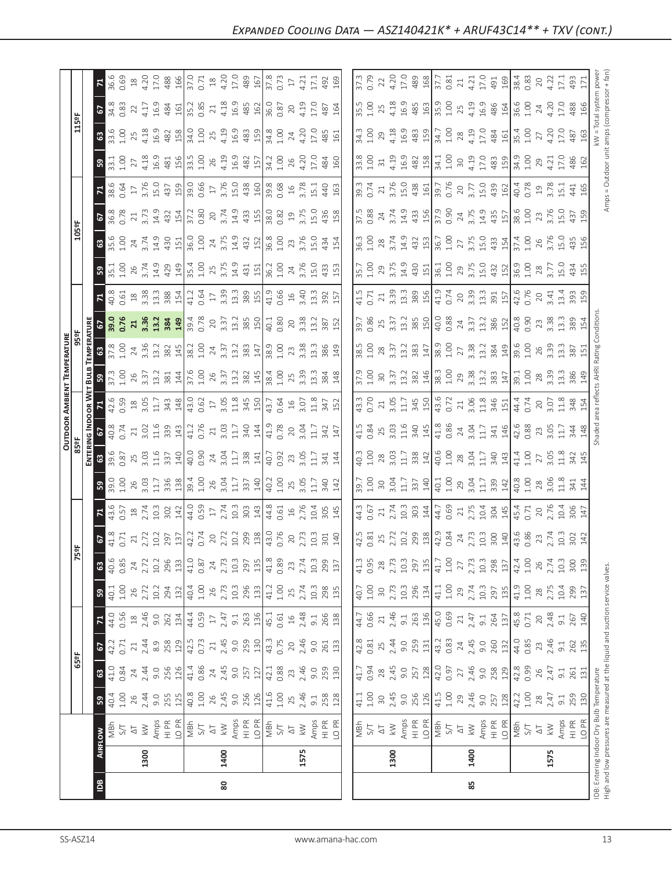|    |      |                                                                                                                            |                  |                 |            |                   |            |                           |                                      |                      |                                     |                        |                          |                   | <b>OUTDOOR AMBIENT TEMPERATURE</b> |                                                                            |                       |                                                                                                                                                                                                                                                                                                               |                           |                        |              |                            |                                            |                    |                  |                   |
|----|------|----------------------------------------------------------------------------------------------------------------------------|------------------|-----------------|------------|-------------------|------------|---------------------------|--------------------------------------|----------------------|-------------------------------------|------------------------|--------------------------|-------------------|------------------------------------|----------------------------------------------------------------------------|-----------------------|---------------------------------------------------------------------------------------------------------------------------------------------------------------------------------------------------------------------------------------------------------------------------------------------------------------|---------------------------|------------------------|--------------|----------------------------|--------------------------------------------|--------------------|------------------|-------------------|
|    |      |                                                                                                                            |                  | 65°F            |            |                   |            |                           | 5°F                                  |                      |                                     | 85 <sup>e</sup> F      |                          |                   |                                    |                                                                            |                       |                                                                                                                                                                                                                                                                                                               |                           | 105°F                  |              |                            |                                            | 115°F              |                  |                   |
|    |      |                                                                                                                            |                  |                 |            |                   |            |                           |                                      |                      |                                     |                        | ENTERING INDOOR WET BULB |                   |                                    | <b>TEMPERATURE</b>                                                         |                       |                                                                                                                                                                                                                                                                                                               |                           |                        |              |                            |                                            |                    |                  |                   |
| ≌o |      | <b>AIRFLOW</b>                                                                                                             | ${\tt S3}$       | $\mathbbmss{3}$ | 2          | $\mathbf{z}$      | ${\tt S}$  | $\boldsymbol{\mathbb{S}}$ | 5                                    | 5                    | S.                                  | $\mathbbmss{3}$        | 5                        |                   | 59                                 | $\boldsymbol{\mathbb{S}}$                                                  |                       |                                                                                                                                                                                                                                                                                                               | 59                        | $\boldsymbol{3}$       | 5            |                            | ន                                          | $\boldsymbol{c_3}$ | 2                | K,                |
|    |      | MBh                                                                                                                        | 40.4             | 41.0            | 42.2       | 44.0              | 40.1       | 40.6                      | $\frac{41.8}{0.71}$                  | 43.6                 | 39.0                                | 39.6                   | 40.8                     | 42.6              | 37.3<br>1.00                       | 37.8<br>1.00                                                               | 39.0<br>0.76          | 40.8<br>0.61                                                                                                                                                                                                                                                                                                  | 35.1<br>1.00              | 35.6<br>1.00           | 36.8<br>0.78 | 38.64                      | 33.1                                       | 33.6<br>1.00       | 34.8<br>0.83     | 36.6              |
|    |      | 5/1                                                                                                                        | 1.00             | 0.84            | 0.71       | 0.56              | $1.00$     | 0.85                      |                                      | 0.57                 | 001                                 | 0.87                   | 0.74                     | 0.59              |                                    |                                                                            |                       |                                                                                                                                                                                                                                                                                                               |                           |                        |              |                            | $\frac{8}{1}$                              |                    |                  | 0.69              |
|    |      | $\overline{\triangle}$                                                                                                     | $26$<br>2.44     | $24\,$          | $\gtrsim$  | $^{28}$           | 26         | 24                        | 2.72                                 | $\frac{18}{2.74}$    | 26<br>3.03<br>11.7<br>336           | $25$<br>3.03           | $\frac{21}{3.02}$        | $18$<br>3.05      | 26<br>3.37                         | 24<br>3.36                                                                 | $\overline{21}$       | $18$<br>3.38                                                                                                                                                                                                                                                                                                  | 26                        | $24\,$                 | 21           | $17$<br>3.76               | 27                                         | 25                 | 22               | $^{28}$           |
|    | 1300 | $\lesssim$                                                                                                                 |                  | 2.44            | 2.44       | 2.46              | 2.72       | 2.72                      |                                      |                      |                                     |                        |                          |                   |                                    |                                                                            | 3.36                  |                                                                                                                                                                                                                                                                                                               | 3.74                      | 3.74                   | 3.73         |                            | 4.18                                       | 4.18               | 4.17             | 4.20              |
|    |      | Amps<br>HI PR                                                                                                              | 9.0              | 9.0             | 8.9        | 9.0               | 10.2       | 10.2                      | 10.2<br>297                          | 10.3                 |                                     | 11.6                   | 11.6                     | 11.7              | 13.2                               | 13.2                                                                       | 13.2                  |                                                                                                                                                                                                                                                                                                               | 14.9                      | 14.9                   | 14.9         | <b>15.0</b>                | 16.9                                       | 16.9               | 16.9             | 17.0              |
|    |      | LO PR                                                                                                                      | 255<br>125       | 256<br>126      | 258<br>129 | 262<br>134        | 294<br>132 | 296<br>133                |                                      | 302<br>142           |                                     | $\frac{140}{2}$<br>337 | 339<br>143               | 343<br>148        | 381                                | 382                                                                        | 384<br>$\frac{49}{2}$ | $\frac{3}{3}$ $\frac{3}{5}$ $\frac{15}{4}$                                                                                                                                                                                                                                                                    | 429                       | 430<br>$\frac{151}{2}$ | 432<br>154   | 437                        | 156<br>481                                 | 158<br>482         | 484<br>161       | 488<br>166        |
|    |      |                                                                                                                            | 40.8             | 41.4            | 42.5       | 44.4              | 40.4       | 41.0                      | $\frac{137}{42.2}$                   | 44.0                 | $\frac{138}{39.4}$<br>1.00          |                        |                          | 43.0              | $\frac{144}{37.6}$                 | $\frac{145}{38.2}$                                                         |                       | 41.2                                                                                                                                                                                                                                                                                                          | $\frac{149}{35.4}$        | 36.0                   | 37.2         | $\frac{159}{39.0}$         | 33.5                                       | 34.0               | 35.2             | 37.0              |
|    |      | $\frac{1}{2}$                                                                                                              | 1.00             | 0.86            | 0.73       | 0.59              | 1.00       | 0.87                      |                                      | 0.59                 |                                     | 40.0<br>0.90           | 41.2                     |                   |                                    |                                                                            | 39.4<br>0.78          |                                                                                                                                                                                                                                                                                                               | 1.00                      | 1.00                   | 0.80         |                            | 1.00                                       | 1.00               | 0.85             | 0.71              |
|    |      | $\overline{\vartriangleleft}$                                                                                              | 26               | $\overline{24}$ | $\geq 1$   | $\overline{17}$   | 26         | $24\,$                    | $20$                                 | $\overline{\Box}$    |                                     | 24                     | $\sqrt{21}$              | $0.62$<br>17      | 26                                 | 24                                                                         | 20                    |                                                                                                                                                                                                                                                                                                               | 25                        | 24                     | 20           | $17\,$                     | 26                                         | 25                 | 21               | $^{28}$           |
| 80 | 1400 | $\lesssim$                                                                                                                 | 2.45             | 2.45            | 2.45       | 2.47              | 2.73       | 2.73                      |                                      |                      | 3.04                                | 3.04                   | 3.03                     | 3.05              |                                    |                                                                            | 3.37                  |                                                                                                                                                                                                                                                                                                               | 3.75                      | 3.75                   | 3.74         |                            | 4.19                                       | 4.19               | 4.18             | 4.20              |
|    |      | Amps                                                                                                                       | 9.0              | 9.0             | 9.0        | 9.1               | 10.3       | $10.3$                    | 2.72<br>10.2                         | $2.74$<br>10.3       | 11.7                                | 11.7                   | 11.7                     | 11.8              | $3.37$<br>13.2                     | $3.37$<br>13.2                                                             | 13.2                  | $0.64$<br>17<br>3.3, 3, 3, 85<br>3, 45<br>19                                                                                                                                                                                                                                                                  | 14.9                      | 14.9                   | 14.9         | 3.76<br>15.0               | 16.9                                       | 16.9               | 16.9             | 17.0              |
|    |      | HI PR                                                                                                                      | 256              | 257             | 259        | 263               | 296        |                           |                                      | 303                  |                                     |                        |                          |                   |                                    | 383                                                                        |                       |                                                                                                                                                                                                                                                                                                               |                           |                        |              |                            | 482                                        | 483                | 485              | 489               |
|    |      | LO PR                                                                                                                      | 126              | 127             | 130        | 136               | 133        | 297<br>135                | 299                                  | 143                  | $\frac{337}{140}$                   | $\frac{33}{41}$        | $\frac{144}{ }$          | 345               | $\frac{382}{145}$                  | 147                                                                        | 385<br>150            |                                                                                                                                                                                                                                                                                                               | 431                       | 432                    | 433          | 438<br>160                 | 157                                        | 159                | 162              | 167               |
|    |      |                                                                                                                            | 41.6             | 42.1            | 43.3       | 45.1              | 41.2       | $41.8$                    | $\frac{1}{43.0}$                     | 44.8                 |                                     | 40.7                   | 41.9                     | 43.7              | 38.4                               | 38.9                                                                       |                       |                                                                                                                                                                                                                                                                                                               | 36.2                      | 36.8                   | 38.0         |                            | 34.2                                       | 34.8               | 36.0             | 37.8              |
|    |      | 5/7                                                                                                                        | 1.00             | 0.88            | 0.75       | 0.61              | $1.00$     | 0.89                      |                                      |                      | $40.2$<br>$1.00$<br>$2.5$<br>$3.05$ | 0.92                   | 0.78                     | 0.64              | 1.00                               | 1.00                                                                       | 40.1<br>0.80          | $41.9$<br>0.66<br>16                                                                                                                                                                                                                                                                                          | 1.00                      | 1.00                   | 0.82         | 39.8<br>0.68               | 1.00                                       | 1.00               | 0.87             | 0.73              |
|    |      | $\overline{\triangle}$                                                                                                     | 25               | 23              | 20         | $16$              | 25         | 23                        | 20                                   |                      |                                     | 23                     | 20                       |                   | 25                                 | 23                                                                         |                       |                                                                                                                                                                                                                                                                                                               | 24                        | 23                     |              |                            | 26                                         | 24                 | 20               | $17\,$            |
|    | 1575 | $\lesssim$                                                                                                                 | 2.46             | 2.46            | 2.46       | 2.48              | 2.74       | 2.74                      | 2.73                                 | 0.61<br>16<br>2.76   |                                     | 3.05                   | 3.04                     | $\frac{16}{3.07}$ | 3.39                               | 3.38                                                                       | 20<br>3.38            | 3.40                                                                                                                                                                                                                                                                                                          | 3.76                      | 3.76                   | $19$ 3.75    | $16$<br>$3.78$             | 4.20                                       | 4.20               | 4.19             | 4.21              |
|    |      | Amps                                                                                                                       | 9.1              | 9.0             | 9.0        | 9.1               | 10.3       | 10.3                      | 10.3                                 | 10.4                 | 11.7                                | Ë                      | $\Xi$                    | 11.8              | 13.3                               | 13.3                                                                       | 13.2                  | 13.3                                                                                                                                                                                                                                                                                                          | 15.0                      | 15.0                   | L5.0         | $\overline{51}$            | <b>17.0</b>                                | 0.71               | 17.0             | $\overline{17.1}$ |
|    |      | HI PR                                                                                                                      | 258              | 259             |            |                   | 298        | 299                       | 301                                  | 305                  | 340                                 | 341                    | 342                      | 347               | 384                                | 386                                                                        |                       |                                                                                                                                                                                                                                                                                                               | 433                       | 434                    | 436          | 440                        | 484                                        | 485                | 487              | 492               |
|    |      | LO PR                                                                                                                      | 128              | 130             | 261<br>133 | 266<br>138        | 135        | 137                       | 140                                  | 145                  |                                     | 144                    | 147                      | 152               | 148                                | 149                                                                        | 387<br>152            | 392<br>157                                                                                                                                                                                                                                                                                                    | 153                       | 154                    | 158          | 163                        | 160                                        | 161                | 164              | 169               |
|    |      |                                                                                                                            |                  |                 |            |                   |            |                           |                                      |                      | 142                                 |                        |                          |                   |                                    |                                                                            |                       |                                                                                                                                                                                                                                                                                                               |                           |                        |              |                            |                                            |                    |                  |                   |
|    |      |                                                                                                                            | 41.1             | 41.7            | 42.8       | 44.7              | 40.7       | 41.3                      | 42.5                                 | 44.3                 | 39.7                                | 40.3                   | 41.5                     | 43.3              | 37.9                               | 38.5                                                                       | 39.7                  | 41.5                                                                                                                                                                                                                                                                                                          | 35.7                      |                        | 37.5         |                            | 33.8                                       | 34.3               | 35.5             |                   |
|    |      | NBh<br>S/T                                                                                                                 | 1.00             | 0.94            | 0.81       | 0.66              | 1.00       | 0.95                      | 0.81                                 | 0.67                 | 001                                 | 1.00                   | 0.84                     | 0.70              | 1.00                               | 1.00                                                                       | 0.86                  | 0.71                                                                                                                                                                                                                                                                                                          | 1.00                      | 36.3<br>1.00           |              | 39.3<br>0.74               | 1.00                                       | 1.00               | 1.00             | 37.3<br>0.79      |
|    |      |                                                                                                                            |                  | $28$            | 25         | $21\,$            | $30\,$     | $28$                      |                                      | $\sqrt{2}1$          |                                     | $28$                   | 25                       | $\gtrsim$         | $30\,$                             | $28$                                                                       | 25                    | $21\,$                                                                                                                                                                                                                                                                                                        | 29                        |                        |              | $\gtrsim$                  | $\overline{31}$                            | 29                 | 25               | 22                |
|    | 1300 | $\frac{\Delta}{\Delta}$                                                                                                    | $30$<br>2.45     |                 | 2.44       |                   | 2.73       | 2.73                      |                                      | 2.74                 |                                     | 3.03                   | 3.03                     |                   | 3.37                               |                                                                            |                       |                                                                                                                                                                                                                                                                                                               | 3.75                      | $28$<br>3.74           | $24$<br>3.74 |                            | 4.19                                       |                    |                  | 4.20              |
|    |      |                                                                                                                            | 9.0              | $2.45$<br>9.0   | 9.0        | $2.46$<br>9.1     | 10.3       | $10.3$                    |                                      |                      | $304$<br>$3.04$                     | 11.7                   | 11.6                     | $3.05$<br>11.7    | 13.2                               | 3.37<br>13.2                                                               |                       |                                                                                                                                                                                                                                                                                                               | 14.9                      |                        | 14.9         |                            | 16.9                                       | $4.18$<br>16.9     | $4.18$<br>$16.9$ | 17.0              |
|    |      | Amps<br>HI PR                                                                                                              | 256              |                 |            |                   | 296        | 297                       |                                      | $10.3$<br>$303$      |                                     |                        |                          |                   |                                    |                                                                            |                       |                                                                                                                                                                                                                                                                                                               |                           |                        |              |                            |                                            |                    | 485              | 489               |
|    |      | LO PR                                                                                                                      | 126              | 257<br>128      | 259<br>131 | <b>263</b><br>136 | 134        | 135                       | $2.72$<br>$2.72$<br>$2.99$<br>$1.38$ | 144                  | 337<br>140                          | 338<br>142             | 345<br>145               | 345<br>150        | 382<br>146                         | 383<br>147                                                                 | 3.37<br>13.2<br>150   |                                                                                                                                                                                                                                                                                                               | 430<br>151                | 14.9<br>432<br>153     | 433<br>156   | 3.76<br>15.0<br>438<br>161 | 482                                        | 483<br>159         | 163              | 168               |
|    |      |                                                                                                                            |                  |                 | 43.2       |                   | 41.1       | 41.7                      |                                      |                      |                                     |                        |                          |                   |                                    |                                                                            |                       |                                                                                                                                                                                                                                                                                                               |                           |                        |              |                            |                                            |                    |                  |                   |
|    |      | NBh<br>S/T                                                                                                                 | $41.5$<br>$1.00$ | 42.0<br>0.97    | 0.83       | 45.0<br>0.69      | $1.00$     | $1.00$                    | 42.9<br>0.84                         | 44.7<br>0.69<br>2.75 | $40.1$<br>$1.00$<br>$29$<br>$3.04$  | 40.6<br>1.00           | 41.8<br>0.86             | 43.6<br>0.72      | $38.3$<br>$1.00$                   | $\begin{array}{c} 38.9 \\ 30.00 \\ 27 \\ 33.38 \\ 13.2 \\ 384 \end{array}$ | 40.0<br>0.88          | $\begin{array}{c} 3.33 \\ 3.33 \\ 3.84 \\ 5.74 \\ 6.74 \\ 7.75 \\ 8.9 \\ 7.75 \\ 7.75 \\ 7.75 \\ 7.75 \\ 7.75 \\ 7.75 \\ 7.75 \\ 7.75 \\ 7.75 \\ 7.75 \\ 7.75 \\ 7.75 \\ 7.75 \\ 7.75 \\ 7.75 \\ 7.75 \\ 7.75 \\ 7.75 \\ 7.75 \\ 7.75 \\ 7.75 \\ 7.75 \\ 7.75 \\ 7.75 \\ 7.75 \\ 7.75 \\ 7.75 \\ 7.75 \\ 7.7$ | 36.1<br>1.00              | $36.7$<br>$1.00$       | 37.9<br>0.90 | 39.7<br>0.76               | 34.1<br>1.00                               | 34.7<br>1.00       | 35.9<br>1.00     | 37.7              |
|    |      | $\overline{\triangle}$                                                                                                     | 29               | $27\,$          | $24\,$     | $\geq 1$          | 29         | 27                        |                                      |                      |                                     |                        |                          |                   |                                    |                                                                            |                       |                                                                                                                                                                                                                                                                                                               |                           |                        |              |                            | $30$                                       | 28                 | 25               | $21\,$            |
| 85 | 1400 | $\leqslant$                                                                                                                | 2.46             | 2.46            | 2.45       | 2.47              | 2.74       | 2.73                      | 2.73                                 |                      |                                     | $28$<br>3.04           | $\frac{24}{3.04}$        | $21$<br>3.06      | 29<br>3.38                         |                                                                            | 24<br>3.37            |                                                                                                                                                                                                                                                                                                               | 29<br>3.75<br>15.0<br>432 | 27<br>3.75             | 24<br>3.75   | $rac{20}{3.77}$            | 4.19                                       | 4.19               |                  | 4.21              |
|    |      |                                                                                                                            | 9.0              | 9.0             | 9.0        | 9.1               | $10.3$     | $10.3$                    |                                      | 10.4                 | 11.7                                | 11.7                   | 11.7                     | $11.8$            |                                    |                                                                            |                       |                                                                                                                                                                                                                                                                                                               |                           |                        | 14.9<br>435  | 15.0<br>439                | 17.0                                       | 17.0               | $4.19$<br>16.9   | 17.0              |
|    |      | Amps<br>HI PR                                                                                                              | 257              | 258             | 260        | 264               | 297        | 298                       | 10.3<br>300                          | 304                  | 339                                 | 340                    | 341                      | $rac{346}{151}$   | 13.2<br>383                        |                                                                            | 13.2<br>386           |                                                                                                                                                                                                                                                                                                               |                           | 15.0<br>433<br>154     |              |                            | 483                                        | 484                | 486              | 491               |
|    |      | LO PR                                                                                                                      | 128              | 129             | 132        | 137               | 135        | 137                       | $\frac{140}{2}$                      | 145                  | 142                                 | 143                    | 146                      |                   | 147                                | $\frac{149}{2}$                                                            | 152                   |                                                                                                                                                                                                                                                                                                               | 152                       |                        | 157          | 162                        | 159                                        | 161                | 164              | 169               |
|    |      | $\frac{1}{4}$                                                                                                              | 42.2             | 42.8            | 44.0       | 45.8              | 41.9       | 42.4                      | $\frac{6}{43.6}$                     | 45.4                 | 40.8                                | 41.4                   | 42.6                     | 44.4              | 39.1                               | 39.6                                                                       | 40.8                  | 42.6                                                                                                                                                                                                                                                                                                          | $\frac{36.9}{ }$          | 37.4                   | 38.6         | 40.4                       | 34.9                                       | 35.4               | 36.6             | 38.4              |
|    |      |                                                                                                                            | $1.00$           | 0.99            | 0.85       | 0.71              | 1.00       | $1.00\,$                  | 0.86                                 | 0.71                 | 1.00                                | 1.00                   | 0.88                     | 0.74              | 1.00                               | 1.00                                                                       | 0.90                  | 0.76                                                                                                                                                                                                                                                                                                          | 1.00                      | 1.00                   | 1.00         | 0.78                       | 1.00                                       | 1.00               | 1.00             | 0.83              |
|    |      | $\overline{\mathcal{L}}$                                                                                                   | $28$             | 26              | 23         | 20                | $28$       | 26                        | 23                                   | 20                   | 28                                  | 27                     | 23                       | $20\,$            | $28$                               | 26                                                                         | 23                    | $20$                                                                                                                                                                                                                                                                                                          | 28                        | 26                     | 23           | 19                         | 29                                         | 27                 | 24               | $20$              |
|    | 1575 | $\lesssim$                                                                                                                 | 2.47             | 2.47            | 2.46       | 2.48              | 2.75       | 2.74                      | $2.74$<br>$10.3$                     | 2.76                 | 3.06                                | 3.05                   | 3.05                     | 3.07              | 3.39                               | 3.39                                                                       | 3.38                  | 3.41                                                                                                                                                                                                                                                                                                          | 3.77                      | 3.76                   | 3.76         | 3.78                       | 4.21                                       | 4.20               | 4.20             | 4.22              |
|    |      | Amps                                                                                                                       | 9.1              | 9.1             | 9.1        | 9.1               | 10.4       | 10.3                      |                                      | 10.4                 | 11.8                                | 11.8                   | Ë                        | 11.8              | 13.3                               | 13.3                                                                       | 13.3                  | 13.4                                                                                                                                                                                                                                                                                                          | 5.0                       | 5.0                    | $-5.0$       | $\frac{1}{2}$              | 0.71                                       | 17.0               | 17.0             | $\overline{17.1}$ |
|    |      | HI PR                                                                                                                      | 259              | 261             | 262<br>135 | 267               | 299        | 300                       | 302                                  | 306                  | 341                                 | 342<br>145             | 344                      | 348               | 386                                | 387                                                                        | 389                   | 393<br>159                                                                                                                                                                                                                                                                                                    | 434<br>155                | 435<br>156             | 437<br>159   | 441<br>165                 | 486<br>162                                 | 487                | 488              | 493               |
|    |      | LO <sub>PR</sub>                                                                                                           | 130              | 131             |            | 140               | 137        | 139                       | 142                                  | 147                  | 144                                 |                        |                          |                   |                                    |                                                                            |                       |                                                                                                                                                                                                                                                                                                               |                           |                        |              |                            |                                            | 163                | 166              | 171               |
|    |      | High and low pressures are measured at the liquid and suction service valves.<br>IDB: Entering Indoor Dry Bulb Temperature |                  |                 |            |                   |            |                           |                                      |                      |                                     |                        | haded area reflects AHRI |                   |                                    | Rating Condition                                                           |                       |                                                                                                                                                                                                                                                                                                               |                           |                        |              |                            | Amps = Outdoor unit amps (compressor + fan | kW = Total system  |                  | powe              |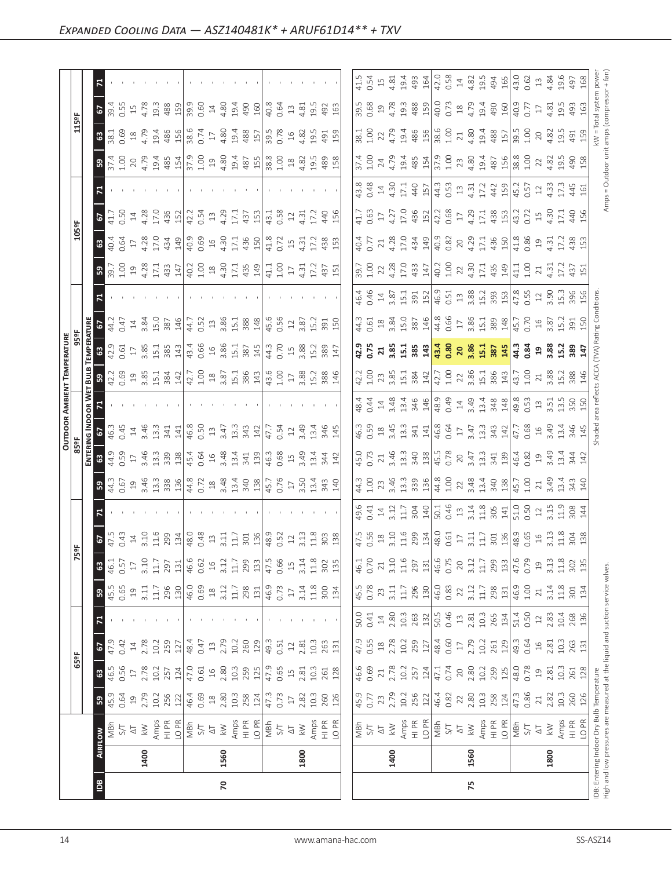|                |      |                                                                                                                            |                 |                 |                 |            |                 |                 |                                                                          |                                   |                                                                                              |                                                             | <b>OUTDOOR AMBIENT TEMPERATURE</b>                |                                                                                        |                            |                            |                                                      |                                                                                                                                                                                                                                                                                                                                       |                                    |                                           |                            |                                 |                                                    |                                                           |                                             |     |
|----------------|------|----------------------------------------------------------------------------------------------------------------------------|-----------------|-----------------|-----------------|------------|-----------------|-----------------|--------------------------------------------------------------------------|-----------------------------------|----------------------------------------------------------------------------------------------|-------------------------------------------------------------|---------------------------------------------------|----------------------------------------------------------------------------------------|----------------------------|----------------------------|------------------------------------------------------|---------------------------------------------------------------------------------------------------------------------------------------------------------------------------------------------------------------------------------------------------------------------------------------------------------------------------------------|------------------------------------|-------------------------------------------|----------------------------|---------------------------------|----------------------------------------------------|-----------------------------------------------------------|---------------------------------------------|-----|
|                |      |                                                                                                                            |                 | 65°F            |                 |            |                 |                 | 5ºF                                                                      |                                   |                                                                                              | 85°F                                                        |                                                   |                                                                                        |                            |                            |                                                      |                                                                                                                                                                                                                                                                                                                                       |                                    | 105°F                                     |                            |                                 |                                                    | 115°F                                                     |                                             |     |
|                |      |                                                                                                                            |                 |                 |                 |            |                 |                 |                                                                          |                                   |                                                                                              | ENTERI                                                      | <b>NG INDOOR WET</b>                              |                                                                                        | BULB                       | <b>EMPERATURE</b>          |                                                      |                                                                                                                                                                                                                                                                                                                                       |                                    |                                           |                            |                                 |                                                    |                                                           |                                             |     |
| $\overline{5}$ |      | <b>AIRFLOW</b>                                                                                                             | 59              | $\mathbbmss{3}$ | 2               | 71         | 59              | $\mathbbmss{3}$ | 2                                                                        |                                   | ္တ                                                                                           | $\mathbbmss{3}$                                             | 67                                                |                                                                                        |                            |                            | <sub>c</sub>                                         |                                                                                                                                                                                                                                                                                                                                       | ន $ z $                            | $\mathbbmss{3}$                           | 5                          |                                 | 59                                                 | $\frac{3}{2}$                                             | 2                                           |     |
|                |      | MBh                                                                                                                        | 45.9            | 46.5            | 47.9            |            | 45.5            | 46.1            | $\frac{1}{47.3}$                                                         |                                   | 44.3<br>0.67                                                                                 | $^{44}$                                                     |                                                   |                                                                                        | 42.2<br>0.69               | $42.9$<br>$0.61$           | 44.2                                                 |                                                                                                                                                                                                                                                                                                                                       |                                    | 40.4                                      | 41.7                       |                                 | $37.4$<br>1.00                                     |                                                           | 39.4<br>0.55                                |     |
|                |      | 5/7                                                                                                                        | 0.64            | 0.56            | 0.42            |            | 0.65            | 0.57            |                                                                          |                                   |                                                                                              | 0.59                                                        | 0.45                                              |                                                                                        |                            |                            | 0.47                                                 |                                                                                                                                                                                                                                                                                                                                       | $\frac{1}{39.7}$                   | 0.64                                      | <b>D.50</b>                |                                 |                                                    | 0.69                                                      |                                             |     |
|                |      | $\overline{\triangle}$                                                                                                     | $\overline{19}$ | $\Box$          | $14$            |            | $\overline{19}$ | $\overline{17}$ | $\frac{14}{3.10}$                                                        |                                   | $19\n3.46$                                                                                   | $\overline{\Box}$                                           | $\overline{1}4$                                   |                                                                                        | 19<br>3.85                 | $\overline{\mathbb{L}}$    | $\ensuremath{\mathop{\mathop{\mathbf{1}}}\nolimits}$ |                                                                                                                                                                                                                                                                                                                                       | $19^{4.28}$                        | $\overline{\mathbb{L}}$                   |                            |                                 | 20<br>4.79                                         | 4.79                                                      | $15$                                        |     |
|                | 1400 | $\gtrapprox$                                                                                                               | 2.79            | 2.78            | 2.78            |            | 3.11            | 3.10            |                                                                          |                                   |                                                                                              | 3.46                                                        | 3.46                                              |                                                                                        |                            | 3.85                       | 3.84                                                 |                                                                                                                                                                                                                                                                                                                                       |                                    | 4.28                                      | 4.28                       |                                 |                                                    |                                                           | 4.78                                        |     |
|                |      | Amps<br>HI PR                                                                                                              | 10.2            | 10.2            | 10.2            |            | 11.7            | $11.7\,$        | 11.6<br>299                                                              |                                   |                                                                                              | 13.3                                                        | 13.3                                              |                                                                                        | 15.1                       | 15.1                       | 15.0                                                 |                                                                                                                                                                                                                                                                                                                                       | 17.1<br>433                        | 17.0                                      | 17.0                       |                                 |                                                    | 19.4                                                      | 19.3                                        |     |
|                |      |                                                                                                                            | 256             | 257             | 259             |            | 296             | 297             |                                                                          |                                   | $\frac{3}{3}$ $\frac{3}{2}$                                                                  | 339                                                         | 341                                               |                                                                                        | 384                        | 385                        | 387                                                  |                                                                                                                                                                                                                                                                                                                                       |                                    | 434                                       | 436                        |                                 | $\frac{19.4}{485}$                                 | 486                                                       | 488                                         |     |
|                |      | LO PR                                                                                                                      | 122             | 124             | 127             |            | 130             | 131             | 134                                                                      |                                   |                                                                                              | 138                                                         | 141                                               |                                                                                        | 142                        | 143                        | 146                                                  |                                                                                                                                                                                                                                                                                                                                       | 147                                | 149                                       | 152                        |                                 |                                                    | 156                                                       | 159                                         |     |
|                |      | $\frac{1}{2}$                                                                                                              | 46.4            | 47.0            | 48.4            |            | 46.0            | 46.6            | 48.0                                                                     |                                   | $44.8$<br>0.72<br>18                                                                         | 45.4                                                        | 46.8                                              |                                                                                        | 42.7                       | 43.4                       | 44.7                                                 |                                                                                                                                                                                                                                                                                                                                       | $40.2$<br>1.00                     | 40.9                                      | 42.2                       |                                 | $\begin{array}{c} 27.9 \\ 1.00 \\ 1.9 \end{array}$ | 38.6                                                      | 39.9                                        |     |
|                |      |                                                                                                                            | 0.69            | 0.61            | 0.47            |            | 0.69            | 0.62            | 0.48                                                                     |                                   |                                                                                              | 0.64                                                        | 0.50                                              |                                                                                        | 1.00                       | 0.66                       | 0.52                                                 |                                                                                                                                                                                                                                                                                                                                       |                                    | 0.69                                      | 0.54                       |                                 |                                                    | 0.74                                                      | 0.60                                        |     |
|                |      | $\overline{\triangle}$                                                                                                     | $^{28}$         | $16$            | $13$            |            | $\frac{8}{10}$  | $\frac{16}{1}$  | $13$                                                                     |                                   |                                                                                              | $16$                                                        | $\Xi$                                             |                                                                                        | $^{28}$                    | $16$                       | $13$                                                 |                                                                                                                                                                                                                                                                                                                                       | $\frac{8}{10}$                     | $16$                                      | $\Xi$                      |                                 |                                                    | $17\,$                                                    | $14\,$                                      |     |
| 20             | 1560 | $\geqslant$                                                                                                                | 2.80            | 2.80            | 2.79            |            | 3.12            | 3.12            | 3.11                                                                     |                                   |                                                                                              | 3.48                                                        | 3.47                                              |                                                                                        | 3.87                       | 3.86                       | 3.86                                                 |                                                                                                                                                                                                                                                                                                                                       | 4.30                               | 4.30                                      | 4.29                       |                                 | 4.80                                               | 4.80                                                      | 4.80                                        |     |
|                |      | Amps                                                                                                                       | 10.3            | 10.3            | 10.2            |            | $11.7\,$        | $11.7\,$        | 11.7                                                                     |                                   |                                                                                              | 13.4                                                        | 13.3                                              |                                                                                        | 15.1                       | 15.1                       | 15.1                                                 |                                                                                                                                                                                                                                                                                                                                       | 17.1                               | 17.1                                      | 17.1                       |                                 | 19.4                                               | 19.4                                                      | 19.4                                        |     |
|                |      | HI PR                                                                                                                      | 258             | 259             | 260             |            | 298             | 299             | 301                                                                      |                                   | 3.48<br>13.40<br>1340                                                                        | 341                                                         | 343                                               |                                                                                        | 386<br>143                 | 387                        | 388                                                  |                                                                                                                                                                                                                                                                                                                                       | 435                                | 436                                       | 437                        |                                 | 487<br>155                                         | 488<br>157                                                | 490                                         |     |
|                |      | LO PR                                                                                                                      | 124             | 125             | 129             |            | 131             | 133             | 136                                                                      |                                   |                                                                                              | 139                                                         | 142                                               |                                                                                        |                            | 145                        | 148                                                  |                                                                                                                                                                                                                                                                                                                                       | 149                                | 150                                       | 153                        |                                 |                                                    |                                                           | 160                                         |     |
|                |      | MBh                                                                                                                        | 47.3            | 47.9            | 49.3            |            | 46.9            | 47.5            | 48.9                                                                     |                                   |                                                                                              | 46.3                                                        | 47.7                                              |                                                                                        | $\frac{43.6}{4}$           | 44.3                       | 45.6                                                 |                                                                                                                                                                                                                                                                                                                                       | 41.1                               | 41.8                                      | 43.1                       |                                 |                                                    | 39.5                                                      | 40.8                                        |     |
|                |      | 5/1                                                                                                                        | 0.73            | 0.65            | 0.51            |            | 0.73            | 0.66            |                                                                          |                                   | 45.7<br>0.76                                                                                 | 0.68                                                        | 0.54                                              |                                                                                        | 1.00                       | 0.70                       | 0.56                                                 |                                                                                                                                                                                                                                                                                                                                       | 1.00                               | 0.72                                      | 0.58                       |                                 | 38.8<br>1.00                                       | 0.78                                                      | 0.64                                        |     |
|                |      | $\overline{\triangle}$                                                                                                     | $\Box$          | $\overline{15}$ | $12$            |            | $\Box$          | $\frac{15}{1}$  | 0.52                                                                     |                                   | $\overline{17}$                                                                              | $15$                                                        | $12$                                              |                                                                                        | $17\,$                     | $\overline{15}$            | $12$                                                 |                                                                                                                                                                                                                                                                                                                                       | $\Box$                             | $15$                                      | $12\,$                     |                                 |                                                    |                                                           | $13$                                        |     |
|                | 1800 | $\geq$                                                                                                                     | 2.82            | 2.81            | 2.81            |            | 3.14            | 3.14            | 3.13                                                                     |                                   | 3.50                                                                                         | 3.49                                                        | 3.49                                              |                                                                                        | 3.88                       | 3.88                       | 3.87                                                 |                                                                                                                                                                                                                                                                                                                                       |                                    | 4.31                                      | 4.31                       |                                 | $\begin{array}{c} 18 \\ 4.82 \end{array}$          | $16^{4.82}_{4.82}$                                        | 4.81                                        |     |
|                |      | Amps                                                                                                                       | 10.3            | 10.3            | 10.3            |            | $11.8$          | $11.8$          | 11.8                                                                     |                                   |                                                                                              | 13.4                                                        | 13.4                                              |                                                                                        | 15.2                       | 15.2                       | 15.2                                                 |                                                                                                                                                                                                                                                                                                                                       | $4.31$<br>$17.2$                   | 17.2                                      | 17.2                       |                                 | 19.5                                               | 19.5                                                      | 19.5                                        |     |
|                |      | $\frac{PR}{T}$                                                                                                             | 260             | 261             | 263             |            | 300             | 302             | 303                                                                      |                                   | 13.4<br>343                                                                                  | 344                                                         | 346                                               |                                                                                        | 388                        | 389                        | 391                                                  |                                                                                                                                                                                                                                                                                                                                       | 437                                | 438                                       | 440                        |                                 | 489                                                | 491                                                       | 492                                         |     |
|                |      | LO <sub>PR</sub>                                                                                                           | 126             | 128             | 131             |            | 134             | 135             | 138                                                                      |                                   | 140                                                                                          | 142                                                         | 145                                               |                                                                                        | 146                        | 147                        | 150                                                  |                                                                                                                                                                                                                                                                                                                                       | 151                                | 153                                       | 156                        |                                 | 158                                                | 159                                                       | 163                                         |     |
|                |      |                                                                                                                            |                 |                 |                 |            |                 |                 |                                                                          |                                   |                                                                                              |                                                             |                                                   |                                                                                        |                            |                            |                                                      |                                                                                                                                                                                                                                                                                                                                       |                                    |                                           |                            |                                 |                                                    |                                                           |                                             |     |
|                |      |                                                                                                                            | 45.9            | 46.6            | 47.9            | 50.0       | 45.5            | 46.1            | 47.5                                                                     | 49.6                              | 44.3                                                                                         | 45.0                                                        | 46.3                                              | 48.4                                                                                   | 42.2                       | 42.9                       | 44.3                                                 | 46.4                                                                                                                                                                                                                                                                                                                                  | 39.7                               | 40.4                                      | 41.7                       |                                 | 37.4                                               | 38.1                                                      | 41.5<br>39.5                                |     |
|                |      | NBN<br>S/T                                                                                                                 | 0.77            | 0.69            | 0.55            | 0.41       | 0.78            | 0.70            | 0.56                                                                     | 0.41                              | 1.00                                                                                         | 0.73                                                        | 0.59                                              | 0.44                                                                                   | 1.00                       | 0.75                       | 0.61                                                 | 0.46                                                                                                                                                                                                                                                                                                                                  | 1.00                               | 0.77                                      | 0.63                       |                                 | 1.00                                               | 1.00                                                      | 0.54<br>0.68                                |     |
|                |      | $\overline{\triangle}$                                                                                                     | 23              | 21              | $\frac{8}{18}$  | $14\,$     | 23              | 21              | $^{28}$                                                                  | $14$                              | 23                                                                                           | 21                                                          | $\frac{8}{10}$                                    | $14\,$                                                                                 | 23                         | $\overline{21}$            | $^{28}$                                              |                                                                                                                                                                                                                                                                                                                                       | 22                                 | 21                                        | $17\,$                     |                                 | 24                                                 | 22                                                        | $15$<br>19                                  |     |
|                | 1400 | $\lesssim$                                                                                                                 | 2.79            | 2.78            | 2.78            | 2.80       | 3.11            | 3.10            | 3.10                                                                     | 3.12                              | 3.46                                                                                         | 3.46                                                        |                                                   |                                                                                        |                            | 3.85                       | 3.84                                                 |                                                                                                                                                                                                                                                                                                                                       |                                    |                                           | 4.27                       | $2,38$<br>$14,30$<br>$17,1$     | 4.79                                               | 4.79                                                      | 4.81                                        |     |
|                |      | Amps                                                                                                                       | 10.2            | 10.2            | 10.2            | $10.3$     | $11.7\,$        | $11.6$          | 11.6                                                                     | 11.7                              |                                                                                              | 13.3                                                        | $3.45$<br>$13.3$                                  |                                                                                        | 3.85<br>15.1<br>384<br>142 |                            |                                                      |                                                                                                                                                                                                                                                                                                                                       |                                    |                                           | 17.0                       |                                 |                                                    |                                                           | 19.4                                        |     |
|                |      | $H1$ PR                                                                                                                    | 256             | 257             | 259             | 263        | 296             | 297             |                                                                          | 304                               |                                                                                              |                                                             | 341                                               |                                                                                        |                            |                            |                                                      |                                                                                                                                                                                                                                                                                                                                       |                                    |                                           |                            | 440                             |                                                    |                                                           | 493                                         |     |
|                |      | LO <sub>PR</sub>                                                                                                           | 122             | 124             | 127             | 132        | 130             | 131             | $\begin{array}{c c}\n 299 \\  134 \\  0.61 \\  0.61 \\  17\n\end{array}$ | 140                               | $13.39$<br>$13.56$                                                                           | 340<br>138                                                  | 141                                               | 3.48<br>13.4<br>346<br>146                                                             |                            | 15.1<br>38 5<br>143        | 15.0<br>387<br>146                                   | $14.87$<br>$3.51$<br>$3.51$<br>$152$                                                                                                                                                                                                                                                                                                  | 4.28<br>17.0<br>433<br>147         | 4.28<br>17.0<br>434<br>149                | 436<br>152                 | 157                             | 19.4<br>485<br>154                                 | 19.4<br>486<br>156                                        | 164<br>$4.78$<br>$19.3$<br>$488$<br>$159$   |     |
|                |      | MBh                                                                                                                        | 46.4            | 47.1            | 48.4            | 50.5       | 46.0            | 46.6            |                                                                          |                                   |                                                                                              | 45.5<br>0.78                                                | 46.8<br>0.64                                      |                                                                                        | 42.7                       | 43.4                       | 44.8                                                 |                                                                                                                                                                                                                                                                                                                                       |                                    |                                           | 42.2                       |                                 |                                                    | 38.6<br>1.00                                              | 42.0<br>0.58<br>40.0<br>0.73                |     |
|                |      | 5/7                                                                                                                        | 0.82            | 0.74            | 0.60            | 0.46       | 0.83            | 0.75            |                                                                          | 50.1<br>0.46                      |                                                                                              |                                                             |                                                   | 48.9<br>0.49                                                                           | 1.00                       |                            | 0.66                                                 |                                                                                                                                                                                                                                                                                                                                       | 40.2<br>1.00                       | 40.9<br>0.82                              | 0.68                       | $44.3$<br>0.53<br>4.31<br>4.7.2 | $37.9$<br>1.00<br>23<br>4.80                       |                                                           |                                             |     |
|                |      | $\overline{\Delta}$                                                                                                        | 22              | $20$            | $\overline{17}$ | $\Xi$      | 22              | 20              |                                                                          | $\Xi$                             |                                                                                              |                                                             | $17\,$                                            |                                                                                        | 22                         |                            | $\overline{\mathbb{L}}$                              |                                                                                                                                                                                                                                                                                                                                       |                                    |                                           | $\overline{\mathbb{L}}$    |                                 |                                                    |                                                           | $\ensuremath{\mathop{\mathbf{1}}}\xspace 4$ |     |
| 75             | 1560 | $\geqslant$                                                                                                                | 2.80            | 2.80            | 2.79            | 2.81       | 3.12            | 3.12            |                                                                          |                                   |                                                                                              |                                                             |                                                   |                                                                                        |                            |                            |                                                      |                                                                                                                                                                                                                                                                                                                                       |                                    |                                           |                            |                                 |                                                    |                                                           | $4.79$<br>$4.90$<br>$490$                   |     |
|                |      | Amps                                                                                                                       | $10.3$          | 10.2            | 10.2            | $10.3$     | 11.7            | $11.7\,$        |                                                                          |                                   |                                                                                              |                                                             |                                                   |                                                                                        |                            |                            |                                                      |                                                                                                                                                                                                                                                                                                                                       |                                    |                                           |                            |                                 |                                                    |                                                           |                                             |     |
|                |      | HI PR                                                                                                                      | 258             | 259             | 261             | 265        | 298             | 299             | $3.11$<br>$1.7$<br>$301$<br>$136$                                        | $3.14$<br>$1.8$<br>$305$<br>$141$ | $\begin{array}{c} 44.8 \\ 1.00 \\ 2.2 \\ 3.48 \\ 1.34 \\ 4.9 \\ 3.49 \\ 1.38 \\ \end{array}$ | $\begin{array}{c} 20 \\ 3.47 \\ 13.3 \\ 341 \\ \end{array}$ | 3.47<br>13.3<br>3.42                              | $\begin{array}{c} 14 \\ 3 \\ 4 \\ 9 \\ 13 \\ 4 \\ 8 \\ 14 \\ 8 \\ 14 \\ 1 \end{array}$ | 3.86<br>15.1<br>386<br>143 | $20,86$<br>$35,38$<br>$14$ | 3.86<br>15.1<br>389<br>148                           | $\begin{bmatrix} 4 & 6 & 0 \\ 0 & 5 & 1 \\ 0 & 1 & 3 \\ 3 & 8 & 2 \\ 1 & 5 & 3 \\ 1 & 2 & 3 \\ 3 & 4 & 5 \\ 1 & 3 & 6 \\ 1 & 3 & 6 \\ 1 & 3 & 6 \\ 1 & 3 & 6 \\ 1 & 3 & 6 \\ 1 & 3 & 6 \\ 1 & 3 & 6 \\ 1 & 3 & 6 \\ 1 & 3 & 6 \\ 1 & 3 & 6 \\ 1 & 3 & 6 \\ 1 & 3 & 6 \\ 1 & 3 & 6 \\ 1 & 3 & 6 \\ 1 & 3 & 6 \\ 1 & 3 & 6 \\ 1 & 3 & $ | $22$<br>4.30<br>4.7.1<br>435<br>42 | $20$<br>4.29<br>17.1<br>436<br>150        | 4.29<br>17.1<br>438<br>153 | 442<br>159                      | 19.4<br>487<br>156                                 | $71$<br>$4.80$<br>$4.88$<br>$4.88$<br>$4.57$              | $4.82$<br>$19.5$<br>$494$<br>$165$          |     |
|                |      | LO PR                                                                                                                      | 124             | 125             | 129             | 134        | 131             | 133             |                                                                          |                                   |                                                                                              |                                                             |                                                   |                                                                                        |                            |                            |                                                      |                                                                                                                                                                                                                                                                                                                                       |                                    |                                           |                            |                                 |                                                    |                                                           | 160                                         |     |
|                |      | NBh                                                                                                                        | 47.3            | 48.0            | 49.3            | 51.4       | 46.9            | 47.6            | $\frac{9}{48.65}$                                                        | 51.0<br>0.50                      | 45.7<br>1.00                                                                                 | 46.4<br>0.82                                                | 47.7<br>0.68                                      | 49.8<br>0.53                                                                           | 43.7<br>1.00               | 44.3<br>0.84               | 45.7<br>0.70                                         | $47.8$<br>0.55<br>3.90<br>3.90                                                                                                                                                                                                                                                                                                        | 41.1<br>1.00                       | 41.8<br>0.86                              | 43.2<br>0.72               | 45.2<br>0.57                    | 38.8<br>1.00                                       | $39.5$<br>$1.00$                                          | 43.0<br>0.62<br>40.9<br>0.77                |     |
|                |      | $5/1$                                                                                                                      | 0.86            | 0.78            | 0.64            | 0.50       | $1.00$          | 0.79            |                                                                          |                                   |                                                                                              |                                                             |                                                   |                                                                                        |                            |                            |                                                      |                                                                                                                                                                                                                                                                                                                                       |                                    |                                           |                            |                                 |                                                    |                                                           |                                             |     |
|                |      | $\Delta \top$                                                                                                              | $21\,$          | 19              | $\frac{16}{1}$  | $12$       | $\geq$          | 19              | $16$                                                                     | $12$ 3.15                         | $21$<br>3.49                                                                                 | $\Xi$                                                       | $16$                                              | $\begin{array}{c} 13 \\ 3.51 \end{array}$                                              | $\frac{21}{3.88}$          | $\mathbf{5}$               | 16<br>3.87                                           |                                                                                                                                                                                                                                                                                                                                       | $21\,$                             | 194.31                                    | $15$<br>$4.30$             | $12^{4.33}$                     | 22                                                 | $20$                                                      | $\Xi$<br>$17\,$                             |     |
|                | 1800 | $\geq$                                                                                                                     | 2.82            | 2.81            | 2.81            | 2.83       | 3.14            | 3.13            | 3.13                                                                     |                                   |                                                                                              | 3.49                                                        | 3.49                                              |                                                                                        |                            | 3.88                       |                                                      |                                                                                                                                                                                                                                                                                                                                       | 4.31                               |                                           |                            |                                 | 4.82                                               | 4.82                                                      | 4.84<br>19.6                                |     |
|                |      | Amps                                                                                                                       | 10.3            | 10.3            | 10.3            | 10.4       | 11.8            | $11.8$          | 11.8                                                                     | 11.9                              | 13.4                                                                                         | 13.4                                                        | 13.4                                              | 13.5                                                                                   | 15.2<br>388                | $\frac{5}{2}$              | L5.2                                                 | 15.3                                                                                                                                                                                                                                                                                                                                  | 17.2                               | 17.2                                      | $\overline{C}$             | 17.3                            | $-5$                                               | 19.5                                                      | $4.81$<br>$19.5$<br>$493$                   |     |
|                |      | LO PR<br>$\frac{\beta}{\pi}$                                                                                               | 260<br>126      | 128<br>261      | 263<br>131      | 268<br>136 | 134<br>301      | 135<br>302      | $304$<br>$138$                                                           | $308$<br>144                      | $343$                                                                                        | 344<br>142                                                  | 346<br>145                                        | 350<br>150                                                                             | 146                        | 389<br>크                   | 391<br>150                                           | 396                                                                                                                                                                                                                                                                                                                                   | 151<br>437                         | $\begin{array}{c} 438 \\ 153 \end{array}$ | 440<br>156                 | 445<br>161                      | 490<br>158                                         | 491<br>159                                                | 497<br>163                                  | 168 |
|                |      |                                                                                                                            |                 |                 |                 |            |                 |                 |                                                                          |                                   |                                                                                              |                                                             |                                                   |                                                                                        |                            |                            |                                                      |                                                                                                                                                                                                                                                                                                                                       |                                    |                                           |                            |                                 |                                                    |                                                           |                                             |     |
|                |      | High and low pressures are measured at the liquid and suction service valves.<br>IDB: Entering Indoor Dry Bulb Temperature |                 |                 |                 |            |                 |                 |                                                                          |                                   |                                                                                              |                                                             | Shaded area reflects ACCA (TVA) Rating Conditions |                                                                                        |                            |                            |                                                      |                                                                                                                                                                                                                                                                                                                                       |                                    |                                           |                            |                                 |                                                    | kW = Total system powe<br>= Outdoor unit amps (compressor |                                             |     |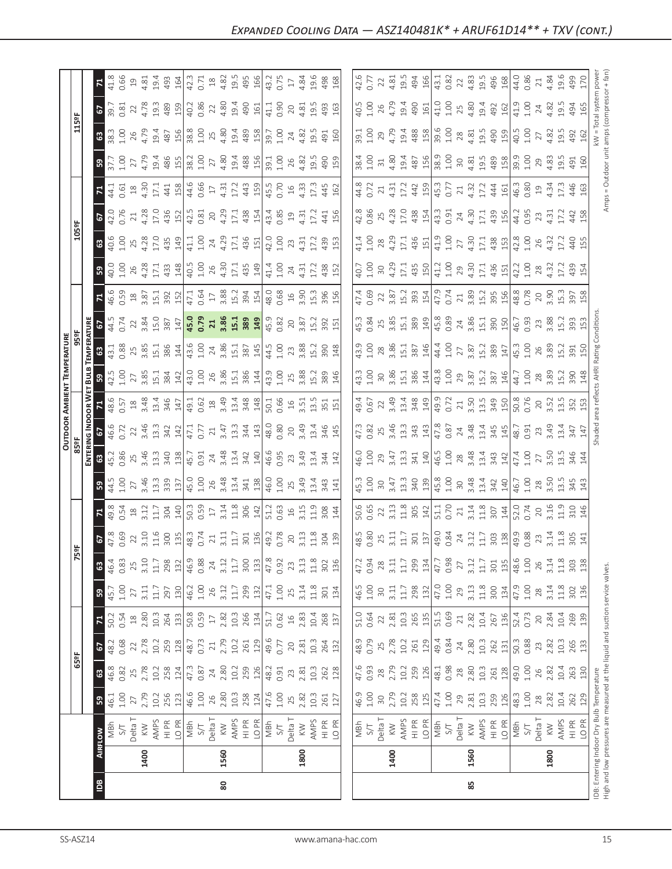|                |      |                                                                                                                            |              |              |              |                |              |                           |                     |              |                          |                          |                          |                                                   | <b>OUTDOOR AMBIENT TEMPERATURE</b> |                           |                                   |                                                                                   |                    |              |                 |                 |                                             |                        |                           |                 |
|----------------|------|----------------------------------------------------------------------------------------------------------------------------|--------------|--------------|--------------|----------------|--------------|---------------------------|---------------------|--------------|--------------------------|--------------------------|--------------------------|---------------------------------------------------|------------------------------------|---------------------------|-----------------------------------|-----------------------------------------------------------------------------------|--------------------|--------------|-----------------|-----------------|---------------------------------------------|------------------------|---------------------------|-----------------|
|                |      |                                                                                                                            |              | 65°F         |              |                |              | 5°F                       |                     |              |                          | 85ºF                     |                          |                                                   |                                    | 95°F                      |                                   |                                                                                   |                    | 105°F        |                 |                 |                                             | 115°F                  |                           |                 |
|                |      |                                                                                                                            |              |              |              |                |              |                           |                     |              |                          |                          | ENTERING INDOOR WET      |                                                   | BuuB                               | TEMPERATURE               |                                   |                                                                                   |                    |              |                 |                 |                                             |                        |                           |                 |
| $\overline{5}$ |      | <b>AIRFLOW</b>                                                                                                             | ${\tt S}$    | ශී           | 67           | $\mathbf{r}$   | ${\tt S}$    | $\boldsymbol{\mathsf{s}}$ | $\mathbf{c}$        | 71           | 59                       | $\mathbbmss{3}$          | 2                        |                                                   | ${\tt S}$                          | $\boldsymbol{\mathbb{S}}$ | 5                                 | $\mathbf{z}$                                                                      | 59                 | $\mathbf{G}$ | 2               | K,              | 59                                          | $\boldsymbol{3}$       | 2                         | $\mathbf{z}$    |
|                |      | MBh                                                                                                                        | 1.00<br>46.1 | 46.8<br>0.82 | 48.2<br>0.68 | 0.54<br>50.2   | 45.7         | 46.4<br>0.83              | $\frac{47.8}{0.69}$ | 49.8<br>0.54 | 44.5<br>1.00             | 0.86<br>45.2             | 46.6<br>0.72             | 48.6<br>0.57                                      | $\frac{42.5}{1.00}$                | 0.88<br>43.1              | 44.5<br>0.74                      | 46.6<br>0.59                                                                      | 40.0<br>1.00       | 1.00<br>40.6 | 42.0<br>0.76    | 44.1<br>0.61    | 1.00<br>37.7                                | 38.3<br>1.00           | 0.81<br>$\overline{59.7}$ | 41.8<br>0.66    |
|                |      | Delta T<br>S/T                                                                                                             | 27           | 25           | 22           | 18             | $1.00$<br>27 | 25                        |                     | $^{28}$      | 27                       |                          |                          |                                                   |                                    |                           | 22                                |                                                                                   |                    |              | $\gtrsim$       |                 | 27                                          | 26                     | 22                        | $\overline{19}$ |
|                | 1400 | $\leqslant$                                                                                                                | 2.79         | 2.78         | 2.78         | 2.80           | 3.11         | 3.10                      | $\frac{22}{3.10}$   | 3.12         | 3.46                     | 25<br>3.46               | 22<br>3.46               | $18$<br>3.48                                      | 27<br>3.85                         | 25<br>3.85                | 3.84                              | $18$<br>$3.87$                                                                    | 26<br>4.28         | 25<br>4.28   | 4.28            | $18$<br>4.30    | 4.79                                        | 4.79                   | 4.78                      | 4.81            |
|                |      | <b>AMPS</b>                                                                                                                | 10.2         | 10.2         | 10.2         | 10.3           | 11.7         | $11.7\,$                  | 11.6                | 11.7         | 13.3                     | 13.3                     | 13.3                     |                                                   | 15.1                               |                           | 15.0                              |                                                                                   | 17.1               | 17.0         | 17.0            | 17.1            | 19.4                                        | 19.4                   | 19.3                      | 19.4            |
|                |      | $\frac{P}{E}$                                                                                                              | 256          | 258          | 259          | 264            | 297          | 298                       | 300                 | 304          | 339                      | 340<br>138               | 342<br>142               | 13.4<br>346<br>147                                | 384                                | 15.1<br>386               | 387                               | 15.1<br>392                                                                       | 433                | 435          | 436             | 441             | 486                                         | 487                    | 489                       | 493             |
|                |      | LO PR                                                                                                                      | 123          | 124          | 128          | 133            | 130          | 132                       | 135                 | 140          | 137                      |                          |                          |                                                   | 142                                | 144                       | 147                               | 152                                                                               | 148                | 149          | 152             | 158             | 155                                         | 156                    | 159                       | 164             |
|                |      | MBh                                                                                                                        | 46.6         | 47.3         | 48.7         | 50.8           | 46.2         | 46.9                      | 48.3<br>0.74        | 50.3<br>0.59 | 45.0                     | 45.7                     | 47.1                     | 49.1<br>0.62                                      | 43.0                               | 43.6                      | 45.0<br>0.79                      | 47.1                                                                              | 40.5               | 41.1         | 42.5            | 44.6            | 38.2                                        | 38.8                   | 40.2                      | 42.3            |
|                |      | 5/1                                                                                                                        | 1.00         | 0.87         | 0.73         | 0.59           | $1.00$       | 0.88                      |                     |              | 1.00                     | 0.91                     | 0.77                     |                                                   | 1.00                               | $1.00$                    |                                   | 0.64                                                                              | 1.00               | 1.00         | 0.81            | 0.66            | 1.00                                        | 1.00                   | 0.86                      | 0.71            |
|                |      | Delta T                                                                                                                    | 26           | 24           | 21           | $\Box$         | 26           | 24                        | 21                  | $17\,$       | 26                       | 24                       | $21\,$                   | $\overset{\text{\tiny \textsf{SO}}}{\rightarrow}$ | 26                                 | 24                        | 21                                | $17\,$                                                                            | 26                 | 24           | 20              | $17\,$          | 27                                          | 25                     | 22                        | $^{28}$         |
| 80             | 1560 | $\leqslant$                                                                                                                | 2.80         | 2.80         | 2.79         | 2.82           | 3.12         | 3.12                      | 3.11                | 3.14         | 3.48                     | 3.48                     | 3.47                     | 3.49                                              | 3.86                               | 3.86<br>15.1              | 3.86                              | $3.88$<br>15.2                                                                    | 4.30               | 4.29         | 4.29            | 4.31            | 4.80                                        | 4.80                   | 4.80                      | 4.82            |
|                |      | AMPS                                                                                                                       | $10.3$       | 10.2         | 10.2         | 10.3           | $11.7\,$     | $11.7\,$                  | 11.7                | 11.8         | 13.4                     | 13.4                     | 13.3                     | 13.4                                              | 15.1                               |                           | 15.1                              |                                                                                   | 17.1               | 17.1         | 17.1            | 17.2            | 19.4                                        | 19.4                   | 19.4                      | 19.5            |
|                |      | $\frac{R}{I}$                                                                                                              | 258          | 259          | 261          | 266            | 299          | 300                       | $\frac{301}{136}$   | 306          | $\frac{341}{138}$        | $\frac{34}{40}$          | $\frac{343}{4}$          | $348$<br>148                                      | 386                                | $\frac{387}{145}$         | 389<br>149                        | 394<br>154                                                                        | 435                | 436<br>151   | 438<br>154      | 443             | 488<br>156                                  | 489                    | 490                       | 495             |
|                |      | LO PR                                                                                                                      | 124          | 126          | 129          | 134            | 132          | 133                       |                     | 142          |                          |                          |                          |                                                   | 144                                |                           |                                   |                                                                                   | 149                |              |                 | 159             |                                             | 158                    | 161                       | 166             |
|                |      | MBh                                                                                                                        | 47.6         | 48.2         | 49.6         | 51.7           | 47.1         | 47.8                      | 49.2                | 51.2         |                          |                          | 48.0                     | 50.1                                              | 43.9                               | 44.5                      | 45.9                              | 48.0                                                                              | 41.4               | 42.0         | 43.4            | 45.5            | 39.1                                        | 39.7                   | 41.1                      | 43.2            |
|                |      | <b>S/T</b>                                                                                                                 | 1.00         | 0.91         | 0.77         | 0.62           | $1.00$       | 0.92                      | 0.78                | 0.63         | 46.0<br>1.00             | 46.6<br>0.95             | 0.80                     | 0.66                                              | 1.00                               | 1.00                      | 0.82                              | 0.68                                                                              | 1.00               | 1.00         | 0.85            | 0.70            | 1.00                                        | 1.00                   | 0.90                      | 0.75            |
|                |      | Delta T                                                                                                                    | 25           | 23           | 20           | $\frac{16}{2}$ | 25           | 23                        | 20                  | $16$         | 25                       | 23                       | $20$                     |                                                   | 25                                 | 23                        | 20                                | $16$                                                                              | 24                 | 23           | $\overline{1}9$ | $\frac{16}{1}$  | 26                                          | 24                     | 20                        | $\Box$          |
|                | 1800 | $\lesssim$                                                                                                                 | 2.82         | 2.81         | 2.81         | 2.83           | 3.14         | 3.13                      | 3.13                | 3.15         | 3.49                     | 3.49                     | 3.49                     | $16$<br>3.51                                      | 3.88                               | 3.88                      | 3.87                              | 3.90                                                                              | 4.31               | 4.31         | 4.31            | 4.33            | 4.82                                        | 4.82                   | 4.81                      | 4.84            |
|                |      | AMPS                                                                                                                       | 10.3         | 10.3         | 10.3         | 10.4           | 11.8         | $11.8$                    | 11.8                | 11.9         | 13.4                     | 13.4                     | 13.4                     | 13.5                                              | 15.2                               | 15.2                      | 15.2                              | 15.3                                                                              | 17.2               | 17.2         | 17.2            | 17.3            | 19.5                                        | 19.5                   | 19.5                      | 19.6            |
|                |      | HI PR                                                                                                                      | 261          | 262          | 264          | 268            | 301          | 302                       | 304                 | 308          | 343                      | 344                      | 346                      |                                                   | 389                                | 390                       | 392                               |                                                                                   | 438                | 439          | 441             | 445             | 490                                         | 491                    | 493                       | 498             |
|                |      | LO PR                                                                                                                      | 127          | 128          | 132          | 137            | 134          | 136                       | 139                 | 144          | 141                      | 142                      | 145                      | $\frac{351}{151}$                                 | 146                                | 148                       | 151                               | 396<br>156                                                                        | 152                | 153          | 156             | 162             | 159                                         | 160                    | 163                       | 168             |
|                |      |                                                                                                                            |              |              |              |                |              |                           |                     |              |                          |                          |                          |                                                   |                                    |                           |                                   |                                                                                   |                    |              |                 |                 |                                             |                        |                           |                 |
|                |      | MBh                                                                                                                        | 46.9         | 47.6         | 48.9         | 51.0           | 46.5         | 47.2                      | 48.5                | 50.6         | 45.3                     | 46.0                     | 47.3                     | 49.4                                              | 43.3                               | 43.9                      | 45.3                              | 47.4                                                                              | 40.7               | 41.4         | 42.8            |                 | 38.4                                        | 39.1                   | 40.5                      | 42.6            |
|                |      | 5/1                                                                                                                        | 1.00         | 0.93         | 0.79         | 0.64           | 1.00         | 0.94                      | 0.80                | 0.65         | 001                      | 1.00                     | 0.82                     | 0.67                                              | 1.00                               | 1.00                      | 0.84                              | 0.69                                                                              | 1.00               | 1.00         | 0.86            | 44.8<br>0.72    | 1.00                                        | 1.00                   | 1.00                      | 0.77            |
|                |      | Delta T                                                                                                                    | 30           | $28$         | 25           | $\overline{2}$ | 30           | 28                        |                     | 22           |                          |                          |                          |                                                   | $_{\rm 30}$                        |                           | 25                                |                                                                                   | 30                 | $28$         |                 | $21\,$          | $\overline{31}$                             | 29                     | 26                        | 22              |
|                | 1400 | $\leqslant$                                                                                                                | 2.79         | 2.79         | 2.78         | 2.81           | 3.11         | 3.11                      | $25$<br>3.11        | 3.13         | $30$<br>3.47             | 29<br>3.47               | 25<br>3.46               | $22$<br>3.49                                      |                                    |                           |                                   |                                                                                   | 4.29               | 4.29         | 25<br>4.28      |                 | 4.80                                        | 4.79                   | 4.79                      | 4.81            |
|                |      | AMPS                                                                                                                       | 10.2         | 10.2         | 10.2         | $10.3$         | 11.7         | 11.7                      | 11.7                | 11.8         | 13.3                     | 13.3                     | 13.3                     | 13.4<br>348<br>149                                | 3.86<br>15.1<br>386                | 28<br>3.86<br>15.1        | $3.\overline{8}5.1$               | $22$<br>$3.87$<br>$15.2$<br>$393$<br>$154$                                        | 17.1               | 17.1         | 17.0            | 4.31<br>17.2    | 19.4                                        | 19.4                   | 19.4                      | 19.5            |
|                |      | $\frac{\text{d} \tilde{\textbf{r}}}{\text{d} \tilde{\textbf{r}}}$                                                          | 258          | 259          | 261          | 265            | 298          | 299                       | $\frac{301}{137}$   | 305          |                          |                          | $343$<br>143             |                                                   |                                    | 387<br>146                | 389<br>149                        |                                                                                   |                    | 436          | 438<br>154      | 442<br>159      | 487                                         |                        | 490                       | 494             |
|                |      | LO <sub>PR</sub>                                                                                                           | 125          | 126          | 129          | 135            | 132          | 134                       |                     | 142          | 340<br>139               | 341<br>140               |                          |                                                   | 144                                |                           |                                   |                                                                                   | 435<br>150         | 151          |                 |                 | 156                                         | 488<br>158             | 161                       | 166             |
|                |      | NBh                                                                                                                        | 47.4         | 48.1         | 49.4         | 51.5           | 47.0         | 47.7                      | 49.0<br>0.84        | 51.1<br>0.70 |                          |                          | 47.8<br>0.87             | 49.9<br>0.72                                      | 43.8<br>1.00                       | 44.4<br>1.00              | 45.8<br>0.89                      | 47.9<br>0.74                                                                      | 41.2<br>1.00       | 41.9         | 43.3<br>0.91    | 45.3<br>0.77    |                                             | $39.6$<br>$1.00$       | 41.0<br>1.00              | 43.1            |
|                |      | $S/\top$                                                                                                                   | $1.00$       | 0.98         | 0.84         | 0.69           | $1.00$       | 0.98                      |                     |              | $45.8$<br>$1.00$<br>$30$ | $46.5$<br>$1.00$<br>$28$ |                          |                                                   |                                    |                           |                                   |                                                                                   |                    | 1.00         |                 |                 | 38.9<br>1.00                                |                        |                           | 0.82            |
|                |      | Delta T                                                                                                                    | 29           | $28$         | $24\,$       | $\geq 1$       | 29           | 27                        | 24                  | $\mathbf{C}$ |                          |                          | $24\,$                   | $21$<br>3.50                                      | 29<br>3.87                         | $27\,$                    |                                   |                                                                                   | 29<br>4.30         | 27           | $24\,$          | $\gtrsim$       | $30$<br>4.81                                | $28$                   | 25                        | 22              |
| 85             | 1560 | $\leqslant$                                                                                                                | 2.81         | 2.80         | 2.80         | 2.82           | 3.13         | 3.12                      | 3.12                | 3.14         | 3.48                     | 3.48                     | 3.48                     |                                                   |                                    | 3.87<br>15.2<br>389       | $24$<br>$3.86$<br>$15.1$<br>$390$ |                                                                                   |                    | 4.30         | 4.30            | 4.32            |                                             | 4.81                   | 4.80                      | 4.83<br>19.5    |
|                |      | AMPS                                                                                                                       | 10.3         | 10.3         | 10.3         | 10.4           | $11.8\,$     | $11.7\,$                  | 11.7                | 11.8         | 13.4                     | 13.4                     | 13.4                     | 13.5                                              | 15.2                               |                           |                                   |                                                                                   |                    | 17.1         | 17.1            | 17.2            | 19.5                                        | 19.5                   | 19.4                      |                 |
|                |      | HI PR                                                                                                                      | 259          | 261          | 262          | 267            | 300          | 301                       | 303                 | 307          | $rac{34}{40}$            | 343                      | 345                      | 349<br>150                                        | 387                                |                           |                                   |                                                                                   | 17.1<br>436<br>151 | 438<br>153   | 439             | 444             | 489                                         | 490                    | 492                       | 496             |
|                |      | LO <sub>PR</sub>                                                                                                           | 126          | 128          | 131          | 136            | 134          | 135                       | $\frac{28}{49.9}$   | 144          |                          | 142                      |                          |                                                   | 146                                | 147                       | 150                               |                                                                                   |                    |              | 156             | 161             | 158                                         | 159                    | 162                       |                 |
|                |      | NBh                                                                                                                        | 48.3         | 49.0         | 50.3         | 52.4           | 47.9         | 48.6                      |                     | 52.0         | 46.7                     | 47.4                     | 48.7                     | 50.8<br>0.76                                      | 44.7                               | $\sqrt{45.3}$             | 46.7                              | $\begin{array}{c}\n 21 \\  3.89 \\  15.2 \\  395 \\  48.8 \\  0.78\n \end{array}$ | 42.2               | 42.8         | 44.2            | 46.3            | 39.9                                        | 40.5                   | 41.9                      | 44.0            |
|                |      | $5/1$                                                                                                                      | $1.00$       | $1.00$       | 0.88         | 0.73           | $1.00$       | $1.00\,$                  | 0.88                | 0.74         | 1.00                     | 1.00                     | 0.91                     |                                                   | 1.00                               | 1.00                      | 0.93                              |                                                                                   | 1.00               | 1.00         | 0.95            | 0.80            | 1.00                                        | 1.00                   | 001                       | 0.86            |
|                |      | Delta T                                                                                                                    | $28$         | 26           | 23           | 20             | 28           | 26                        | 23                  | 20           | $28$                     | $\overline{27}$          | 23                       | $20\,$                                            | $28$                               | 26                        | 23                                | 20                                                                                | $28$               | 26           | 23              | $\overline{19}$ | 29                                          | 27                     | 24                        | 21              |
|                | 1800 | $\leqslant$                                                                                                                | 2.82         | 2.82         | 2.82         | 2.84           | 3.14         | 3.14                      | 3.14                | 3.16         | 3.50                     | 3.50                     | 3.49                     | 3.52                                              | 3.89                               | 3.89                      | 3.88                              | 3.90                                                                              | 4.32               | 4.32         | 4.31            | 4.34            | 4.83                                        | 4.82                   | 4.82                      | 4.84            |
|                |      | AMPS                                                                                                                       | 10.4         | 10.4         | $10.3$       | 10.4           | $11.8$       | $11.8$                    | $\frac{8}{11}$      | 11.9         | 13.5                     | 13.5                     | 13.4                     | 13.5                                              | 15.2                               | 15.2                      | 15.2                              | 15.3                                                                              | 17.2               |              |                 | 17.3            | 19.5                                        | $-5$                   | 19.5                      | 19.6            |
|                |      | $\frac{\text{d} \Sigma}{\text{d} \Sigma}$                                                                                  | 262          | 263          | 265          | 269            | 302          | 303                       | 305                 | 310          | 345                      | 346                      | 347                      | 352                                               | 390                                | 391                       | 393                               | 397                                                                               | 439                | 440          | 442<br>158      | 446<br>163      | 491                                         | 492                    | 494                       | 499             |
|                |      | LO PR                                                                                                                      | 129          | 130          | 133          | 139            | 136          | 138                       | 141                 | 146          | 143                      | 144                      |                          |                                                   |                                    |                           |                                   |                                                                                   | 154                | 155          |                 |                 | 160                                         | 162                    | 165                       | 170             |
|                |      | High and low pressures are measured at the liquid and suction service valves.<br>IDB: Entering Indoor Dry Bulb Temperature |              |              |              |                |              |                           |                     |              |                          |                          | haded area reflects AHRI |                                                   |                                    | Rating Condition:         |                                   |                                                                                   |                    |              |                 |                 | Amps = Outdoor unit amps (compressor + fan) | kW = Total system powe |                           |                 |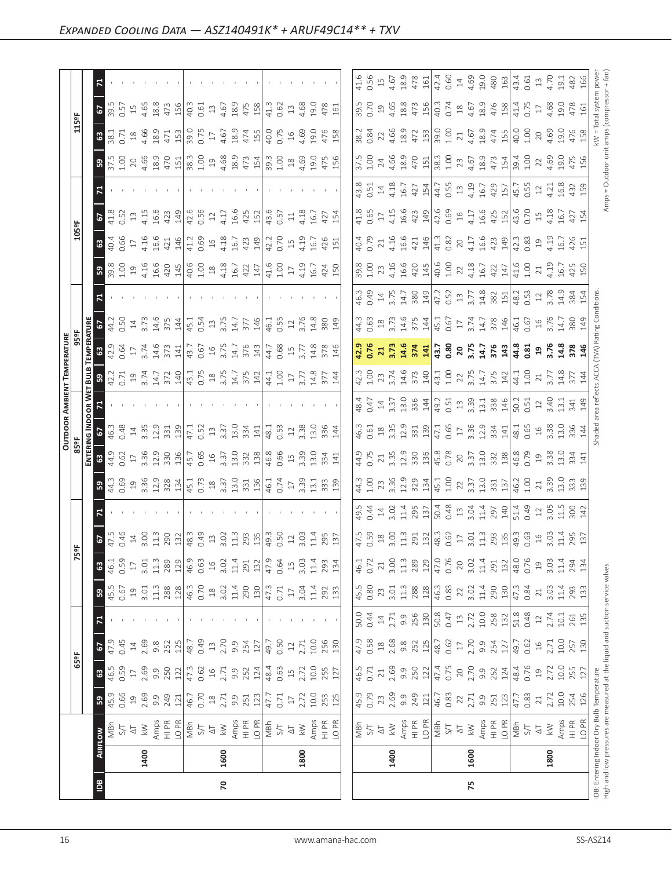|                |      |                                                                                                                            |            |                 |                                                      |                                           |                                         |                 |                                                                   |                                                          |                                                                                  |                                                                     | <b>OUTDOOR AMBIENT TEMPERATURE</b>                |                                    |                     |                             |                           |                                                                                                   |                                                                                      |                                    |                                                                     |                                               |                                                                                                                                                                                                                                                                                                                                 |                                                                                                      |                                                                    |                                             |
|----------------|------|----------------------------------------------------------------------------------------------------------------------------|------------|-----------------|------------------------------------------------------|-------------------------------------------|-----------------------------------------|-----------------|-------------------------------------------------------------------|----------------------------------------------------------|----------------------------------------------------------------------------------|---------------------------------------------------------------------|---------------------------------------------------|------------------------------------|---------------------|-----------------------------|---------------------------|---------------------------------------------------------------------------------------------------|--------------------------------------------------------------------------------------|------------------------------------|---------------------------------------------------------------------|-----------------------------------------------|---------------------------------------------------------------------------------------------------------------------------------------------------------------------------------------------------------------------------------------------------------------------------------------------------------------------------------|------------------------------------------------------------------------------------------------------|--------------------------------------------------------------------|---------------------------------------------|
|                |      |                                                                                                                            |            | 65°F            |                                                      |                                           |                                         |                 | '5ºF                                                              |                                                          |                                                                                  | 85°F                                                                |                                                   |                                    |                     | 95°F                        |                           |                                                                                                   |                                                                                      | 105°F                              |                                                                     |                                               |                                                                                                                                                                                                                                                                                                                                 | 115°F                                                                                                |                                                                    |                                             |
|                |      |                                                                                                                            |            |                 |                                                      |                                           |                                         |                 |                                                                   |                                                          |                                                                                  |                                                                     | ENTERING INDOOR WET                               |                                    | Вu                  | <b>EMPERATURE</b>           |                           |                                                                                                   |                                                                                      |                                    |                                                                     |                                               |                                                                                                                                                                                                                                                                                                                                 |                                                                                                      |                                                                    |                                             |
| $\overline{5}$ |      | <b>AIRFLOW</b>                                                                                                             | 59         | $\mathbbmss{3}$ | 2                                                    | 71                                        | ${\tt S}$                               | $\mathbbmss{3}$ | 57                                                                |                                                          | ${\tt S}$                                                                        | $\mathbbmss{3}$                                                     | 67                                                |                                    | ${\tt S}$           | $\mathbb{S}^3$              | 6                         |                                                                                                   | ၛၟ                                                                                   | $\mathbf{G}$                       | 5                                                                   |                                               | 53                                                                                                                                                                                                                                                                                                                              | $\frac{3}{2}$                                                                                        | 2                                                                  |                                             |
|                |      | MBh                                                                                                                        | 45.9       | 46.5            | 47.9                                                 |                                           | 45.5                                    | 46.1            |                                                                   |                                                          | 44.3<br>0.69                                                                     | 44.9                                                                | 46.3<br>0.48                                      |                                    | 42.2                | 42.9                        | 44.2                      |                                                                                                   |                                                                                      | 40.4                               | 41.8                                                                |                                               |                                                                                                                                                                                                                                                                                                                                 | $\frac{1}{38.1}$                                                                                     | $\frac{39}{3}$                                                     |                                             |
|                |      | 5/1                                                                                                                        | 0.66       | 0.59            | 0.45                                                 |                                           | 0.67                                    | 0.59            | 0.46                                                              |                                                          |                                                                                  | 0.62                                                                |                                                   |                                    | 0.71                | 0.64                        | <b>D.50</b>               |                                                                                                   |                                                                                      | 0.66                               | 0.52                                                                |                                               |                                                                                                                                                                                                                                                                                                                                 |                                                                                                      | 0.57                                                               |                                             |
|                |      | $\overline{\sim}$                                                                                                          | $\Xi$      | $\Box$          | $\ensuremath{\mathop{\mathop{\mathbf{1}}}\nolimits}$ |                                           | $\Xi$                                   | $\Box$          | $\frac{14}{3.00}$                                                 |                                                          |                                                                                  | $17$<br>3.36                                                        | $14$<br>3.35                                      |                                    | $19$<br>$3.74$      | $\overline{17}$             | $14$<br>3.73              |                                                                                                   | $39.8$<br>1.00<br>1.9<br>4.16                                                        | $17\,$                             | $13$                                                                |                                               |                                                                                                                                                                                                                                                                                                                                 | $18 \n4.66$                                                                                          | $15$                                                               |                                             |
|                | 1400 | $\gtrapprox$                                                                                                               | 2.69       | 2.69            | 2.69                                                 |                                           | 3.01                                    | 3.01            |                                                                   |                                                          |                                                                                  |                                                                     |                                                   |                                    |                     | 3.74                        |                           |                                                                                                   |                                                                                      | 4.16                               | 4.15                                                                |                                               |                                                                                                                                                                                                                                                                                                                                 |                                                                                                      | 4.65                                                               |                                             |
|                |      | Amps<br>HI PR                                                                                                              | 9.9        | 9.9             | 9.8                                                  |                                           | $11.3\,$                                | $11.3$          |                                                                   |                                                          |                                                                                  | 12.9                                                                | 12.9                                              |                                    | 14.7                | 14.6                        | 14.6                      |                                                                                                   | 16.6<br>420                                                                          | 16.6                               | 16.6                                                                |                                               |                                                                                                                                                                                                                                                                                                                                 | 18.9                                                                                                 | 18.8                                                               |                                             |
|                |      |                                                                                                                            | 249        | 250             | 252                                                  |                                           | 288                                     | 289             | $\frac{13}{290}$                                                  |                                                          | $\begin{array}{c} 19 \\ 3.36 \\ 12.9 \\ 328 \\ 15.1 \\ 45.1 \\ 0.73 \end{array}$ | 330                                                                 | 331                                               |                                    | 372                 | 373                         | 375                       |                                                                                                   |                                                                                      | 421                                | 423                                                                 |                                               | $\frac{1}{3}$ , $\frac{1}{3}$ , $\frac{1}{3}$ , $\frac{1}{3}$ , $\frac{1}{3}$ , $\frac{1}{3}$ , $\frac{1}{3}$ , $\frac{1}{3}$ , $\frac{1}{3}$ , $\frac{1}{3}$ , $\frac{1}{3}$ , $\frac{1}{3}$ , $\frac{1}{3}$ , $\frac{1}{3}$ , $\frac{1}{3}$ , $\frac{1}{3}$ , $\frac{1}{3}$ , $\frac{1}{3}$ , $\frac{1}{3}$ , $\frac{1}{3}$ , | 471                                                                                                  | 473                                                                |                                             |
|                |      | LO <sub>PR</sub>                                                                                                           | 121        | 122             | 125                                                  |                                           | 128                                     | 129             |                                                                   |                                                          |                                                                                  | 136                                                                 | 139                                               |                                    | 140                 | 141                         | 144                       |                                                                                                   | 145                                                                                  | 146                                | 149                                                                 |                                               |                                                                                                                                                                                                                                                                                                                                 | 153                                                                                                  | 156                                                                |                                             |
|                |      | MBh                                                                                                                        | 46.7       | 47.3            | 48.7                                                 |                                           | 46.3                                    | 46.9            | 48.3                                                              |                                                          |                                                                                  | 45.7                                                                | 47.1                                              |                                    | 43.1<br>0.75        | 43.7                        | 45.1                      |                                                                                                   | $40.6$<br>$1.00$<br>$18$                                                             | 41.2                               | 42.6                                                                |                                               |                                                                                                                                                                                                                                                                                                                                 | 39.0<br>0.75                                                                                         | 40.3                                                               |                                             |
|                |      | 5/7                                                                                                                        | 0.70       | 0.62            | 0.49                                                 |                                           | 0.70                                    | 0.63            | 0.49                                                              |                                                          |                                                                                  | 0.65                                                                | 0.52                                              |                                    |                     | 0.67                        | 0.54                      |                                                                                                   |                                                                                      | 0.69                               | 0.56                                                                |                                               |                                                                                                                                                                                                                                                                                                                                 |                                                                                                      | 0.61                                                               |                                             |
|                |      | $\overline{\triangle}$                                                                                                     | $^{28}$    | $16$            | $\Xi$                                                |                                           | $\overset{\text{\tiny \textsf{QQ}}}{=}$ | $\frac{16}{1}$  | $\Xi$                                                             |                                                          | $\overset{\text{\tiny \textsf{SO}}}{\rightarrow}$                                | $16$                                                                | $13$                                              |                                    | $^{28}$             | $\frac{1}{6}$               | $\Xi$                     |                                                                                                   |                                                                                      | $16$                               | $12$                                                                |                                               |                                                                                                                                                                                                                                                                                                                                 | $17\,$                                                                                               | $13$                                                               |                                             |
| 20             | 1600 | $\lesssim$                                                                                                                 | 2.71       | 2.71            | 2.70                                                 |                                           | 3.02                                    | 3.02            | 3.02                                                              |                                                          |                                                                                  | 3.37                                                                | 3.37                                              |                                    | 3.75                | 3.75                        | 3.75                      |                                                                                                   | 4.18                                                                                 | 4.18                               | 4.17                                                                |                                               |                                                                                                                                                                                                                                                                                                                                 | 4.67                                                                                                 | 4.67                                                               |                                             |
|                |      | Amps                                                                                                                       | 9.9        | 9.9             | 9.9                                                  |                                           | $11.4\,$                                | $11.4\,$        | 11.3                                                              |                                                          |                                                                                  | 13.0                                                                | 13.0                                              |                                    | 14.7                | 14.7                        | 14.7                      |                                                                                                   | 16.7                                                                                 | 16.7                               | 16.6                                                                |                                               |                                                                                                                                                                                                                                                                                                                                 | 18.9                                                                                                 | 18.9                                                               |                                             |
|                |      | $\frac{P}{I}$                                                                                                              | 251        | 252             | 254                                                  |                                           | 290                                     | 291             | 293<br>135                                                        |                                                          | $\begin{array}{c} 3.37 \\ 1.31 \\ 3.31 \\ 1.56 \end{array}$                      | 332<br>138                                                          | 334                                               |                                    | 375<br>142          | 376<br>143                  | 377                       |                                                                                                   | 422                                                                                  | 423                                | 425                                                                 |                                               | 473                                                                                                                                                                                                                                                                                                                             | 474<br>155                                                                                           | 475<br>158                                                         |                                             |
|                |      | LO PR                                                                                                                      | 123        | 124             | 127                                                  |                                           | 130                                     | 132             |                                                                   |                                                          |                                                                                  |                                                                     | 141                                               |                                    |                     |                             | 146                       |                                                                                                   | 147                                                                                  | 149                                | 152                                                                 |                                               |                                                                                                                                                                                                                                                                                                                                 |                                                                                                      |                                                                    |                                             |
|                |      | MBh                                                                                                                        | 47.7       | 48.4            | 49.7                                                 |                                           |                                         | 47.9            | 49.3                                                              |                                                          |                                                                                  | 46.8                                                                | 48.1                                              |                                    | 44.1                | 44.7                        | 46.1                      |                                                                                                   |                                                                                      | 42.2                               | 43.6                                                                |                                               |                                                                                                                                                                                                                                                                                                                                 | 40.0                                                                                                 | 41.3                                                               |                                             |
|                |      | 5/1                                                                                                                        | 0.71       | 0.63            | 0.50                                                 |                                           | 47.3<br>0.71                            | 0.64            |                                                                   |                                                          | 46.1<br>0.74                                                                     | 0.66                                                                | 0.53                                              |                                    | 1.00                | 0.68                        | 0.55                      |                                                                                                   | 41.6<br>1.00                                                                         | 0.70                               | 0.57                                                                |                                               |                                                                                                                                                                                                                                                                                                                                 | 0.75                                                                                                 | 0.62                                                               |                                             |
|                |      | $\overline{\triangle}$                                                                                                     | $\Box$     | $15$            | $12$                                                 |                                           | $17\,$                                  | $\overline{15}$ | 0.50                                                              |                                                          | $\Gamma$                                                                         | $15$                                                                | $12$                                              |                                    | $\overline{17}$     | $15$                        | $12\,$                    |                                                                                                   | $17\,$                                                                               | 15                                 | $\Box$                                                              |                                               |                                                                                                                                                                                                                                                                                                                                 | $16$                                                                                                 | $13$                                                               |                                             |
|                | 1800 | $\geq$                                                                                                                     | 2.72       | 2.72            | 2.71                                                 |                                           | 3.04                                    | 3.03            | 3.03                                                              |                                                          | 3.39                                                                             |                                                                     |                                                   |                                    | 3.77                | 3.77                        | 3.76                      |                                                                                                   | 4.19                                                                                 | 4.19                               | 4.18                                                                |                                               |                                                                                                                                                                                                                                                                                                                                 |                                                                                                      | 4.68                                                               |                                             |
|                |      | Amps                                                                                                                       | $10.0$     | 10.0            | 10.0                                                 |                                           | 11.4                                    | 11.4            | 11.4                                                              |                                                          | 13.1                                                                             | 3.39<br>13.0<br>334                                                 | $3.\overline{3}0$<br>13.0                         |                                    | 14.8                |                             | 14.8                      |                                                                                                   | 16.7                                                                                 | 16.7                               | 16.7                                                                |                                               |                                                                                                                                                                                                                                                                                                                                 | $4.69$<br>19.0                                                                                       | 19.0                                                               |                                             |
|                |      | $\frac{PR}{T}$                                                                                                             | 253        | 255             | 256                                                  |                                           | 292                                     | 293             | 295                                                               |                                                          | 333                                                                              |                                                                     | 336                                               |                                    | 377                 | 14.8<br>378                 | 380                       |                                                                                                   |                                                                                      | 426                                | 427                                                                 |                                               |                                                                                                                                                                                                                                                                                                                                 | 476                                                                                                  | 478                                                                |                                             |
|                |      | LO <sub>PR</sub>                                                                                                           | 125        | 127             | 130                                                  |                                           | 133                                     | 134             | 137                                                               |                                                          | 139                                                                              | 141                                                                 | $\frac{1}{4}$                                     |                                    | 144                 | 146                         | 149                       |                                                                                                   | 424<br>150                                                                           | 151                                | 154                                                                 |                                               | $\begin{bmatrix} 0.01 & 0.01 & 0.01 & 0.01 & 0.01 & 0.01 & 0.01 & 0.01 & 0.01 & 0.01 & 0.01 & 0.01 & 0.01 & 0.01 & 0.01 & 0.01 & 0.01 & 0.01 & 0.01 & 0.01 & 0.01 & 0.01 & 0.01 & 0.01 & 0.01 & 0.01 & 0.01 & 0.01 & 0.01 & 0.01 & 0.01 & 0.01 & 0.01 & 0.01 & 0.01 & 0.0$                                                      | 158                                                                                                  | 161                                                                |                                             |
|                |      |                                                                                                                            |            |                 |                                                      |                                           |                                         |                 |                                                                   |                                                          |                                                                                  |                                                                     |                                                   |                                    |                     |                             |                           |                                                                                                   |                                                                                      |                                    |                                                                     |                                               |                                                                                                                                                                                                                                                                                                                                 |                                                                                                      |                                                                    |                                             |
|                |      | NBh                                                                                                                        | 45.9       | 46.5            | 47.9                                                 | 50.0                                      | 45.5                                    | 46.1            | 47.5                                                              | 49.5                                                     | 44.3                                                                             | 44.9                                                                | 46.3                                              | 48.4                               | 42.3                | 42.9                        | 44.3                      | 46.3                                                                                              | 39.8                                                                                 |                                    | 41.8                                                                |                                               | 37.5                                                                                                                                                                                                                                                                                                                            | 38.2                                                                                                 | 39.5                                                               | 41.6                                        |
|                |      | $5/1$                                                                                                                      | 0.79       | 0.71            | 0.58                                                 | 0.44                                      | 0.80                                    | 0.72            | 0.59                                                              | 0.44                                                     | 1.00                                                                             | 0.75                                                                | 0.61                                              | 0.47                               | 1.00                | 0.76                        | 0.63                      | 0.49                                                                                              | $\frac{8}{1}$                                                                        | 40.4<br>0.79                       | 0.65                                                                |                                               | 1.00                                                                                                                                                                                                                                                                                                                            | 0.84                                                                                                 | 0.70                                                               | 0.56                                        |
|                |      | $\overline{\triangle}$                                                                                                     | 23         | $21\,$          | $^{26}$                                              | $14\,$                                    | 23                                      | 21              | $^{28}$                                                           | $14\,$                                                   | 23                                                                               | 21                                                                  | $\ensuremath{\mathop{\boxtimes}\limits^{\infty}}$ | $14\,$                             | 23                  | $\overline{21}$             | $^{28}$                   |                                                                                                   | 23                                                                                   | 21                                 | $17\,$                                                              |                                               | 24                                                                                                                                                                                                                                                                                                                              |                                                                                                      | 19                                                                 | $15$                                        |
|                | 1400 | $\leqslant$                                                                                                                | 2.69       | 2.69            | 2.68                                                 | 2.71                                      | 3.01                                    | 3.00            | 3.00                                                              | 3.02                                                     |                                                                                  |                                                                     |                                                   |                                    |                     |                             |                           |                                                                                                   |                                                                                      | 4.16                               |                                                                     |                                               |                                                                                                                                                                                                                                                                                                                                 |                                                                                                      |                                                                    |                                             |
|                |      | Amps                                                                                                                       | 9.9        | 9.9             | 9.8                                                  | 9.9                                       | $11.3$                                  | $11.3\,$        | 11.3                                                              | 11.4                                                     |                                                                                  | 3.35<br>12.9                                                        | $3.35$<br>12.9                                    | $3.37$<br>$13.0$<br>$336$<br>$144$ | 3.74<br>14.6<br>373 | 3.73<br>14.6<br>141         | 3.73<br>14.6<br>375<br>14 | $\begin{array}{c} 14 \\ 3.75 \\ 14.7 \\ 380 \\ 149 \\ \end{array}$                                | 4.16<br>16.6<br>420<br>145                                                           | 16.6<br>421<br>146                 | 4.15<br>16.6                                                        | $43.8$<br>0.51<br>4.18<br>4.18                | 4.66<br>18.9                                                                                                                                                                                                                                                                                                                    | $22$<br>4.66<br>18.9                                                                                 | $4.65$<br>$4.88$<br>$4.73$<br>$156$                                | $4.67$<br>$18.9$<br>$478$                   |
|                |      | $\frac{PR}{T}$                                                                                                             | 249        | 250             | 252                                                  | 256                                       | 288                                     | 289             |                                                                   | 295<br>137                                               |                                                                                  | 330<br>136                                                          | 331<br>139                                        |                                    |                     |                             |                           |                                                                                                   |                                                                                      |                                    | 423<br>149                                                          |                                               | 470                                                                                                                                                                                                                                                                                                                             | 472<br>153                                                                                           |                                                                    |                                             |
|                |      | LO <sub>PR</sub>                                                                                                           | 121        | 122             | 125                                                  | 130                                       | 128                                     | 129             | $\begin{array}{c c} 291 \\ 132 \\ 48.3 \\ 0.62 \\ 17 \end{array}$ |                                                          | $3.36$<br>$12.9$<br>$329$                                                        |                                                                     |                                                   |                                    |                     |                             |                           |                                                                                                   |                                                                                      |                                    |                                                                     | 427<br>154                                    |                                                                                                                                                                                                                                                                                                                                 |                                                                                                      |                                                                    | 161                                         |
|                |      | MBh                                                                                                                        | 46.7       | 47.4            | 48.7                                                 | 50.8                                      | 46.3<br>0.83                            | 47.0            |                                                                   | 50.48                                                    | $45.1$<br>$1.00$                                                                 | 45.8<br>0.78                                                        |                                                   |                                    |                     | 43.7<br>0.80                | 45.1                      |                                                                                                   |                                                                                      | 41.3<br>0.82                       | $42.6$<br>0.69                                                      |                                               |                                                                                                                                                                                                                                                                                                                                 | $\frac{90}{0.00}$                                                                                    | 40.3<br>0.74                                                       | 42.4<br>0.60                                |
|                |      | 5/7                                                                                                                        | 0.83       | 0.75            | 0.62                                                 | 0.47                                      |                                         | 0.76            |                                                                   |                                                          |                                                                                  |                                                                     |                                                   |                                    |                     |                             | 0.67                      |                                                                                                   |                                                                                      |                                    |                                                                     |                                               |                                                                                                                                                                                                                                                                                                                                 |                                                                                                      |                                                                    |                                             |
|                |      | $\overline{\Delta}$                                                                                                        | 22         | $20$            | $\Box$                                               | $\ensuremath{\mathop{\mathbb{Z}}}\xspace$ | 22                                      | 20              |                                                                   |                                                          |                                                                                  |                                                                     |                                                   |                                    |                     |                             |                           |                                                                                                   |                                                                                      | 20                                 |                                                                     |                                               |                                                                                                                                                                                                                                                                                                                                 | $21\,$                                                                                               |                                                                    | $\ensuremath{\mathop{\mathbf{1}}}\xspace 4$ |
| 75             | 1600 | $\gtrapprox$                                                                                                               | 2.71       | 2.70            | 2.70                                                 | 2.72                                      | $3.02$<br>11.4                          | 3.02            |                                                                   |                                                          |                                                                                  |                                                                     |                                                   |                                    |                     |                             | 3.74                      |                                                                                                   |                                                                                      |                                    |                                                                     |                                               |                                                                                                                                                                                                                                                                                                                                 |                                                                                                      |                                                                    |                                             |
|                |      | Amps<br>HI PR                                                                                                              | 9.9        | 9.9             | 9.9                                                  | 10.0                                      |                                         | $11.4\,$        |                                                                   |                                                          |                                                                                  |                                                                     |                                                   |                                    |                     |                             |                           |                                                                                                   |                                                                                      |                                    |                                                                     |                                               |                                                                                                                                                                                                                                                                                                                                 |                                                                                                      |                                                                    |                                             |
|                |      |                                                                                                                            | 251        | 252             | 254                                                  | 258<br>132                                | 290                                     | 291             | $3.01$<br>$1.3$<br>$293$<br>$135$                                 | $\begin{array}{c} 13 \\ 3.04 \\ 11.4 \\ 297 \end{array}$ | $\begin{array}{c} 22 \\ 3.37 \\ 13.0 \\ 331 \\ 317 \\ \end{array}$               | $\begin{array}{c} 20 \\ 3.37 \\ 13.0 \\ 33.2 \\ \hline \end{array}$ | $47.1$<br>0.65<br>17 3,334<br>3.334<br>141        |                                    |                     | 20<br>3.75<br>3.76<br>3.743 | 14.7<br>378<br>146        | $47.2$<br>$0.52$<br>$1.7$<br>$0.5$<br>$0.7$<br>$0.3$<br>$0.5$<br>$0.5$<br>$0.5$<br>$0.5$<br>$0.5$ | $\begin{array}{c} 1.00 \\ 1.00 \\ 2.2 \\ 3.18 \\ 4.18 \\ 4.2 \\ 14.7 \\ \end{array}$ | $4.17$<br>$16.6$<br>$423$<br>$149$ | $\begin{array}{c} 16 \\ 4.17 \\ 16.6 \\ 4.25 \\ \hline \end{array}$ | $44.7$<br>0.55<br>0.53<br>4.19<br>4.29<br>157 |                                                                                                                                                                                                                                                                                                                                 | $4.67$<br>$4.8.9$<br>$474$<br>$155$                                                                  | $\begin{array}{c} 18 \\ 4.67 \\ 18.9 \\ 476 \\ \hline \end{array}$ | $4.69$<br>$4.9.0$<br>$480$<br>$163$         |
|                |      | LO PR                                                                                                                      | 123        | 124             | 127                                                  |                                           | 130                                     | 132             |                                                                   |                                                          |                                                                                  |                                                                     |                                                   |                                    |                     |                             |                           |                                                                                                   |                                                                                      |                                    |                                                                     |                                               |                                                                                                                                                                                                                                                                                                                                 |                                                                                                      |                                                                    |                                             |
|                |      | NBh                                                                                                                        | 47.7       | 48.4            | 49.7                                                 | 51.8                                      | 47.3                                    | 48.0            | $\frac{3}{9}$ 33                                                  | 51.4<br>0.49                                             | 46.2<br>1.00                                                                     | 46.8<br>0.79                                                        | 48.1<br>0.65                                      | 50.2<br>0.51                       | 44.1<br>1.00        | 44.8<br>0.81                | 46.1<br>0.67              | $\frac{1}{48.3}$<br>0.53<br>3.78                                                                  | $41.6$<br>$1.00$                                                                     | 42.3<br>0.83                       | 43.6<br>0.70                                                        | 45.7<br>0.55                                  | $39.4$<br>1.00                                                                                                                                                                                                                                                                                                                  | 40.0<br>1.00                                                                                         | 41.4<br>0.75                                                       | $\frac{43.4}{0.61}$                         |
|                |      | $5/7$                                                                                                                      | 0.83       | 0.76            | 0.62                                                 | 0.48                                      | 0.84                                    | 0.76            |                                                                   |                                                          |                                                                                  |                                                                     |                                                   |                                    |                     |                             |                           |                                                                                                   |                                                                                      |                                    |                                                                     |                                               |                                                                                                                                                                                                                                                                                                                                 |                                                                                                      |                                                                    |                                             |
|                |      | $\overline{\mathbb{Q}}$                                                                                                    | $\geq 1$   | $\mathfrak{Q}$  | $\Xi$                                                |                                           | 21                                      | $\overline{c}$  | $16$                                                              | $\frac{12}{3.05}$                                        | $21$<br>3.39                                                                     | $\Xi$                                                               | 16<br>3.38                                        | $12$<br>3.40                       | $\mathbf{21}$       | 3.76                        | $16$<br>$3.76$            |                                                                                                   | $21\,$                                                                               | $\overline{19}$                    | $15$                                                                |                                               | 22                                                                                                                                                                                                                                                                                                                              | 20                                                                                                   | $\overline{17}$                                                    | $13$<br>4.70                                |
|                | 1800 | $\lesssim$                                                                                                                 | 2.72       | 2.72            | 2.71                                                 | 2.74                                      | 3.03                                    | 3.03            | 3.03                                                              |                                                          |                                                                                  | 3.38                                                                |                                                   |                                    | 3.77                |                             |                           |                                                                                                   | 4.19                                                                                 | 4.19                               | 4.18                                                                | 4.21                                          | 4.69                                                                                                                                                                                                                                                                                                                            | 4.69                                                                                                 |                                                                    |                                             |
|                |      | Amps                                                                                                                       | $10.0\,$   | 10.0            | 10.0                                                 | 10.1                                      | 11.4                                    | 11.4            |                                                                   | 11.5                                                     | 13.0                                                                             | 13.0                                                                | 13.0                                              | 13.1                               | 14.8                | 3.8                         | 14.7                      | 14.9                                                                                              | 16.7                                                                                 | 16.7                               | 16.7                                                                | 16.8                                          | 19.0                                                                                                                                                                                                                                                                                                                            | 19.0                                                                                                 | 4.68<br>19.0<br>478                                                | 19.1                                        |
|                |      | $\frac{R}{H}$<br>LO <sub>PR</sub>                                                                                          | 254<br>126 | 255<br>127      | 257                                                  | 135<br>261                                | 293                                     | 294<br>134      | 11.4<br>295<br>137                                                | 300<br>142                                               | 333<br>139                                                                       | 334<br>141                                                          | 336<br>144                                        | 341                                | 144<br>377          | 378<br>46                   | 149<br>380                | 384                                                                                               | 425<br>150                                                                           | 426<br>151                         | 427<br>154                                                          | 432<br>159                                    | 475<br>156                                                                                                                                                                                                                                                                                                                      | 158<br>476                                                                                           | 161                                                                | 166<br>482                                  |
|                |      |                                                                                                                            |            |                 | 130                                                  |                                           | 133                                     |                 |                                                                   |                                                          |                                                                                  |                                                                     |                                                   | $\frac{9}{4}$                      |                     |                             |                           |                                                                                                   |                                                                                      |                                    |                                                                     |                                               |                                                                                                                                                                                                                                                                                                                                 |                                                                                                      |                                                                    |                                             |
|                |      | High and low pressures are measured at the liquid and suction service valves.<br>IDB: Entering Indoor Dry Bulb Temperature |            |                 |                                                      |                                           |                                         |                 |                                                                   |                                                          |                                                                                  |                                                                     |                                                   | shaded area reflects ACCA          |                     |                             | (TVA) Rating Conditions   |                                                                                                   |                                                                                      |                                    |                                                                     |                                               |                                                                                                                                                                                                                                                                                                                                 | Amps = Outdoor unit amps (compressor<br><w =="" system<="" th="" total=""><th></th><th>powe</th></w> |                                                                    | powe                                        |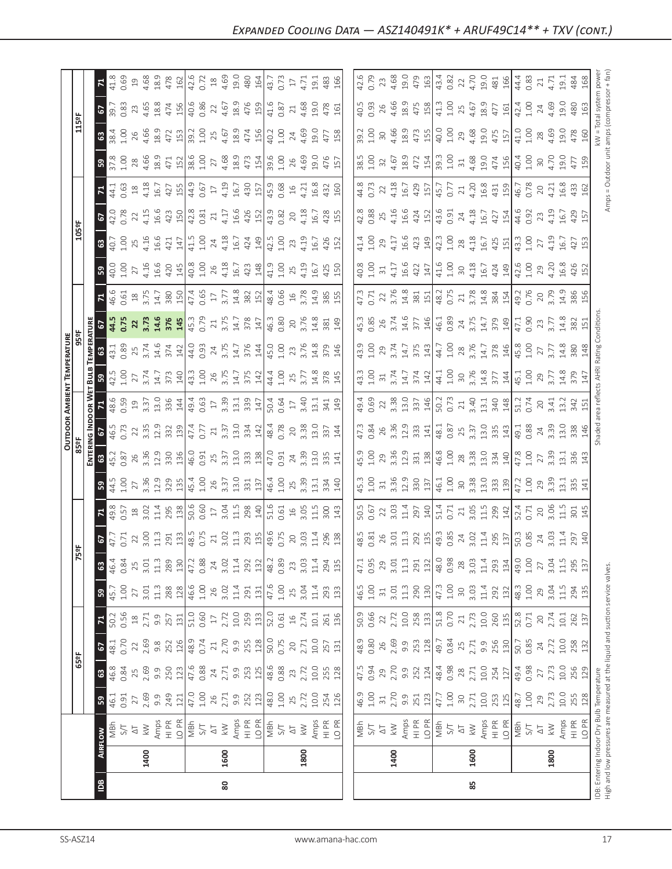|                                                                               |                |                                    |                  |                  |                          |                                                   |              |                 |                                            |                                                                   |                                                                                      |                                                                             |                                                                         |                                                             | <b>OUTDOOR AMBIENT TEMPERATURE</b> |                                              |                    |                                                                      |                    |                    |                   |                               |                                            |                |                |                     |
|-------------------------------------------------------------------------------|----------------|------------------------------------|------------------|------------------|--------------------------|---------------------------------------------------|--------------|-----------------|--------------------------------------------|-------------------------------------------------------------------|--------------------------------------------------------------------------------------|-----------------------------------------------------------------------------|-------------------------------------------------------------------------|-------------------------------------------------------------|------------------------------------|----------------------------------------------|--------------------|----------------------------------------------------------------------|--------------------|--------------------|-------------------|-------------------------------|--------------------------------------------|----------------|----------------|---------------------|
|                                                                               |                |                                    |                  | 65°F             |                          |                                                   |              |                 | 5º                                         |                                                                   |                                                                                      | 85°F                                                                        |                                                                         |                                                             |                                    |                                              |                    |                                                                      |                    | 105°F              |                   |                               |                                            | 115°F          |                |                     |
|                                                                               |                |                                    |                  |                  |                          |                                                   |              |                 |                                            |                                                                   |                                                                                      | ENTEI                                                                       |                                                                         | <b>VG INDOOR WET</b>                                        | BuuB                               |                                              |                    |                                                                      |                    |                    |                   |                               |                                            |                |                |                     |
| $\overline{B}$                                                                | <b>AIRFLOW</b> |                                    | ${\tt S9}$       | $\mathbbmss{3}$  | $\boldsymbol{e}$         | $\mathbf{z}$                                      | ${\tt S}$    | $\mathbbmss{3}$ | $\mathbf{c}$                               | $\mathbf{z}$                                                      | ္တ                                                                                   | $\mathbb{S}^3$                                                              | 67                                                                      |                                                             |                                    | ${\tt G3}$                                   |                    |                                                                      | ន                  | ${\tt G3}$         | 2                 | 5                             | ន                                          | 63             | 67             | $\mathbf{z}$        |
|                                                                               |                | MBh<br>5/7                         | 46.1<br>0.91     | 46.8<br>0.84     | 48.1<br>0.70             | 0.56<br>50.2                                      | 1.00<br>45.7 | 0.84<br>46.4    | 47.7<br>0.71                               | $49.8$<br>0.57<br>18<br>3.02                                      | 44.5<br>1.00                                                                         | 45.2<br>0.87                                                                | 46.5<br>0.73                                                            | 48.6<br>0.59                                                | $32.5$<br>$42.5$                   | 43.1<br>0.89                                 | 44.5<br>0.75       | 46.6<br>0.61                                                         | 40.0<br>1.00       | 1.00<br>40.7       | 42.0              | 0.63<br>44.1                  | $37.8$<br>1.00                             | 38.4<br>1.00   | 0.83<br>39.7   | 41.8<br>0.69        |
|                                                                               |                | $\overline{\circ}$                 |                  |                  | $22\,$                   | $\overset{\text{\tiny \textsf{SO}}}{\rightarrow}$ | 27           |                 |                                            |                                                                   |                                                                                      |                                                                             |                                                                         |                                                             |                                    |                                              |                    |                                                                      | $27\,$             |                    |                   |                               |                                            | 26             | 23             |                     |
|                                                                               | 1400           | $\lesssim$                         | 27<br>2.69       | 25<br>2.69       | 2.69                     | 2.71                                              | 3.01         | $25$<br>3.01    | $\frac{22}{3.00}$                          |                                                                   | 27<br>3.36                                                                           | 26<br>3.36                                                                  | 22<br>3.35                                                              | $19$<br>$3.37$                                              | $\frac{27}{3.74}$                  | $25$<br>3.74                                 | 22<br>3.73         | $18$<br>$3.75$                                                       | 4.16               | 25<br>4.16         | $22$<br>4.15      | $\frac{18}{4.18}$             | 28<br>4.66                                 | 4.66           | 4.65           | $19$<br>4.68        |
|                                                                               |                |                                    | 9.9              | 9.9              | $9.\overline{8}$         | 9.9                                               | 11.3         | $11.3$          | 11.3                                       |                                                                   |                                                                                      |                                                                             | 12.9                                                                    | 13.0                                                        |                                    |                                              |                    |                                                                      | 16.6               | 16.6               | 16.6              | 16.7                          | 18.9                                       | 18.9           | 18.8           | 18.9                |
|                                                                               |                | Amps<br>HIPR<br><u>IOPR</u><br>S/T | 249              | 250              | 252                      | 257                                               | 288          | 289             | 291                                        | $\frac{11.4}{295}$ $\frac{80}{19}$ $\frac{60}{60}$ $\frac{6}{17}$ | $\begin{array}{c c}\n 12.9 & 131 \\  329 & 151 \\  45.0 & 26 \\  3.37\n \end{array}$ | 12.9<br>330<br>136                                                          | $\begin{array}{c} 33 \\ 21 \end{array}$                                 | 336<br>144                                                  | 14.7<br>373                        | 14.6<br>374                                  | 14.6<br>376        | $\frac{14.7}{380}$ $\frac{15}{47.4}$ $\frac{65}{45}$ $\frac{17}{47}$ | 420                | 421                | 423               | 427                           | 471                                        | 472            | 474            | 478                 |
|                                                                               |                |                                    | 121              |                  | 126                      | 131                                               | 128          | 130             | $\frac{133}{48.5}$<br>0.75                 |                                                                   |                                                                                      |                                                                             |                                                                         |                                                             | 140                                | 142                                          | $\frac{145}{45.3}$ |                                                                      | 145                | 147                | 150               | 155                           | 152                                        | 153            | 156            | 162                 |
|                                                                               |                |                                    | $\sqrt{47.0}$    | $\frac{47.6}{ }$ | $\frac{6}{3}$            | $\frac{510}{5}$                                   | 46.6         | 47.2            |                                            |                                                                   |                                                                                      | 46.0<br>0.91<br>25<br>3.37                                                  | $\frac{1}{47.4}$                                                        | $49.4$<br>0.63<br>17                                        | $43.\overline{3}$                  | 44.0<br>0.93                                 |                    |                                                                      | 40.8               | 41.5               | 42.8              | 44.9                          | 38.6                                       | 39.2           | 40.6           | 42.6                |
|                                                                               |                |                                    | 1.00             | 0.88             | 0.74                     | 0.60                                              | 1.00         | 0.88            |                                            |                                                                   |                                                                                      |                                                                             | 0.77                                                                    |                                                             | $1.00$<br>$26$                     |                                              |                    |                                                                      | 1.00               | 1.00               | 0.81              | 0.67                          | 1.00                                       | 1.00           | 0.86           | 0.72                |
|                                                                               |                | $\Delta \top$                      | 26               | 24               | $21\,$                   | $\Box$                                            | 26           | 24              |                                            |                                                                   |                                                                                      |                                                                             | 21                                                                      |                                                             |                                    |                                              | 21                 |                                                                      | 26                 | 24                 | 21                |                               | $\overline{27}$                            | 25             | $\overline{2}$ | $18 \n4.69$         |
| 80                                                                            | 1600           | $\lesssim$                         | 2.71             | 2.71             | 2.70                     | 2.72                                              | 3.02         | 3.02            |                                            | 3.04                                                              |                                                                                      |                                                                             | 3.37                                                                    |                                                             |                                    | 24<br>3.75                                   | 3.75               | 3.77                                                                 | 4.18               | 4.18               | 4.17              | 4.19                          | 4.68                                       | 4.67           | 4.67           |                     |
|                                                                               |                | Amps<br>H PR<br><u>IO</u> PR       | 9.9              | 9.9              | 9.9                      | 10.0                                              | $11.4\,$     | $11.4\,$        | $3.02$<br>11.3                             | 11.5                                                              | 13.0                                                                                 | 13.0                                                                        | 13.0                                                                    | $3.39$<br>$13.1$                                            | $3.75$<br>14.7                     | 14.7                                         | 14.7               | 14.8                                                                 | 16.7               | 16.7               | 16.6              | 16.7                          | 18.9                                       | 18.9           | 18.9           | 19.0                |
|                                                                               |                |                                    | 252              |                  | 255                      | 259<br>133                                        | 291          | 292             | 293<br>135                                 | 298                                                               | $331$<br>$137$                                                                       | 333<br>138                                                                  |                                                                         | 339<br>147                                                  | 375                                | 376                                          | 378                | 382<br>152                                                           | 423                | 424                | 426               | 430<br>157                    | 473                                        |                | 476            | 480                 |
|                                                                               |                |                                    | 123              | 253<br>125       | 128                      |                                                   | 131          | $132\,$         |                                            | 140                                                               |                                                                                      |                                                                             | 334<br>142                                                              |                                                             | 142                                | 144                                          | 147                |                                                                      | 148                | 149                | 152               |                               | 154                                        | 474<br>156     | 159            | 164                 |
|                                                                               |                |                                    | 48.0             | 48.6             | 50.0                     | 52.0                                              | 47.6         | 48.2            | 49.6                                       | 51.6                                                              | 46.4<br>1.00                                                                         |                                                                             |                                                                         | 50.4                                                        | 44.4                               | 45.0                                         | 46.3               |                                                                      | 41.9               | 42.5               | 43.9              | 45.9                          | 39.6                                       | 40.2           | 41.6           | 43.7                |
|                                                                               |                | $\frac{L}{2}$                      | $1.00$           | 0.88             | 0.75                     | 0.61                                              | $1.00$       | 0.89            |                                            |                                                                   |                                                                                      |                                                                             | 48.4<br>0.78                                                            | 0.64                                                        | 1.00                               | 1.00                                         | 0.80               |                                                                      | 1.00               | 1.00               | 0.82              | 0.68                          | 1.00                                       | 001            | 0.87           | 0.73                |
|                                                                               |                | $\overline{\triangle}$             | 25               | $23$             | 20                       | $16$                                              | 25           | 23              | 20                                         |                                                                   |                                                                                      |                                                                             |                                                                         | $\overline{\mathbb{L}}$                                     |                                    |                                              |                    |                                                                      | 25                 | 23                 | 20                | $16$                          | 26                                         | 24             | 21             | $17\,$              |
|                                                                               | 1800           | $\leqslant$                        | 2.72             | 2.72             | 2.71                     | 2.74                                              | 3.04         | 3.03            | 3.03                                       | 0.61<br>16<br>3.05                                                | 25<br>3.39                                                                           | $47.0$<br>0.91<br>24<br>3.39                                                | 20<br>3.38                                                              | 3.40                                                        | $rac{25}{3.77}$                    | 23<br>3.76                                   | 20<br>3.76         | $48.4$<br>0.66<br>16<br>3.78                                         | 4.19               | 4.19               | 4.18              | 4.21                          | 4.69                                       | 4.69           | 4.68           | 4.71                |
|                                                                               |                | Amps                               | 10.0             | 10.0             | 10.0                     | 10.1                                              | 11.4         | 11.4            | 11.4                                       | 11.5                                                              | $\overline{13.1}$                                                                    | 13.0                                                                        |                                                                         | 13.1                                                        | 14.8                               | 14.8                                         | 14.8               | 14.9                                                                 | 16.7               | 16.7               | 16.7              | 16.8                          | 0.61                                       | 0.61           | 0.61           | 19.1                |
|                                                                               |                | HI PR                              | 254              | 255              | 257                      | 261                                               | 293          | 294             | 296                                        | 300                                                               | 334                                                                                  | 335                                                                         | 13.0<br>337                                                             | 341                                                         | 378                                | 379                                          | 381                |                                                                      | 425                | 426                | 428               | 432                           | 476                                        | 477            | 478            | 483                 |
|                                                                               |                | LO PR                              | 126              | 128              | 131                      | 136                                               | 133          | 135             | 138                                        | 143                                                               | 140                                                                                  | 141                                                                         | 144                                                                     | 149                                                         | 145                                | 146                                          | 149                | 385<br>155                                                           | 150                | 152                | 155               | 160                           | 157                                        | 158            | 161            | 166                 |
|                                                                               |                |                                    |                  |                  |                          |                                                   |              |                 |                                            |                                                                   |                                                                                      |                                                                             |                                                                         |                                                             |                                    |                                              |                    |                                                                      |                    |                    |                   |                               |                                            |                |                |                     |
|                                                                               |                |                                    | 46.9             | 47.5             | 48.9                     | 50.9                                              | 46.5         | 47.1            | 48.5                                       | 50.5                                                              | 45.3                                                                                 | 45.9                                                                        | 47.3                                                                    |                                                             | 43.3                               | 43.9                                         | 45.3               | 47.3                                                                 | 40.8               | 41.4               | 42.8              |                               | 38.5                                       | 39.2           |                |                     |
|                                                                               |                | NBh<br>S/T                         | 1.00             | 0.94             | 0.80                     | 0.66                                              | 1.00         | 0.95            | 0.81                                       | 0.67                                                              | 1.00                                                                                 | 1.00                                                                        | 0.84                                                                    | 49.4<br>0.69                                                | 1.00                               | 1.00                                         |                    | 0.71                                                                 | 1.00               | 1.00               | 0.88              | 44.8<br>0.73                  | 001                                        | 1.00           | 40.5<br>0.93   | 42.6<br>0.79        |
|                                                                               |                | $\Delta \mathsf{T}$                |                  | 29               |                          |                                                   | $31$         | 29              |                                            | 22                                                                | $\approx$                                                                            | 29                                                                          |                                                                         |                                                             | $\approx 1$                        |                                              |                    |                                                                      | $\overline{31}$    |                    |                   | 22                            | 32                                         | $30$           | 26             |                     |
|                                                                               | 1400           | $\gtrapprox$                       | $31$<br>$2.70$   | 2.70             |                          | 2.72                                              | 3.01         | 3.01            |                                            |                                                                   | 3.36                                                                                 | 3.36                                                                        | 26<br>3.36                                                              |                                                             |                                    |                                              | 26<br>3.74         |                                                                      | 4.17               | $29$<br>4.17       | $25$<br>4.16      |                               | 4.67                                       | 4.66           | 4.66           | $23$<br>4.68        |
|                                                                               |                |                                    | 9.9              | 9.9              | $260$<br>$2.69$<br>$9.9$ | 10.0<br>258<br>133                                | 11.3         | $11.3$          | $26$<br>$3.01$<br>$11.3$                   |                                                                   | 12.9                                                                                 | 12.9                                                                        | 12.9                                                                    | 22<br>3.38<br>13.0<br>337<br>146                            | 3.74<br>14.7<br>374<br>142         | $29$<br>$3.74$<br>$3.75$<br>$3.73$<br>$3.43$ |                    |                                                                      | 16.6<br>422<br>147 | 16.6<br>423<br>149 | 16.6              | 4.18<br>16.7<br>429<br>157    | 18.9                                       | 18.9           | 18.9           | 19.0                |
|                                                                               |                | Amps<br>HI PR                      | 251<br>123       | 252<br>124       | 253<br>128               |                                                   | 290          | 291             |                                            |                                                                   |                                                                                      |                                                                             |                                                                         |                                                             |                                    |                                              |                    |                                                                      |                    |                    |                   |                               | 472                                        |                |                | 479                 |
|                                                                               |                | LO PR                              |                  |                  |                          |                                                   | 130          | 132             | $292$<br>$\frac{13}{49}$<br>$\frac{3}{85}$ | $\begin{array}{c} 3.03 \\ 1.14 \\ 297 \\ \hline \end{array}$      | 330<br>137                                                                           | $\begin{array}{c} 331 \\ 331 \\ 46.8 \\ 1.00 \\ 2.8 \\ 3.38 \\ \end{array}$ | $\begin{array}{c} 333 \\ 141 \\ 48.7 \\ 0.87 \\ 25 \\ 3.37 \end{array}$ |                                                             |                                    |                                              | 14.6<br>377<br>146 |                                                                      |                    |                    | 424<br>152        |                               | 154                                        | 473<br>155     | 475<br>158     | 163                 |
|                                                                               |                | NBH<br>S/T                         | $47.7$<br>1.00   | 48.4<br>0.98     | 49.7                     | 51.8<br>0.70                                      | 47.3         | 48.0            |                                            | 51.4<br>0.71                                                      | $46.1$<br>$1.00$<br>$3.38$<br>$3.38$                                                 |                                                                             |                                                                         | $\frac{2}{50}$ $\frac{2}{5}$                                | 44.1<br>1.00                       | 44.7<br>1.00                                 | 46.1<br>0.89       |                                                                      | 41.6<br>1.00       | 42.3<br>1.00       | $\frac{16}{43.6}$ | $\sqrt{45.7}$<br>0.77<br>4.20 | $39.3$<br>$1.00$                           | 40.0<br>1.00   | 41.3           | $\frac{43.4}{0.82}$ |
|                                                                               |                |                                    |                  |                  | 0.84                     |                                                   | $1.00$       | 0.98            |                                            |                                                                   |                                                                                      |                                                                             |                                                                         |                                                             |                                    |                                              |                    |                                                                      |                    |                    |                   |                               |                                            |                | 1.00           |                     |
|                                                                               |                | $\overline{\Delta}$                | $\infty$         | $28$             | 25<br>2.71               | $\geq 1$                                          | $30\,$       | 28              | $24$<br>3.02                               | $\gtrsim$                                                         |                                                                                      |                                                                             |                                                                         |                                                             |                                    |                                              | 24<br>3.75         |                                                                      | $30$<br>4.18       | $28$<br>4.18       | $24$<br>4.18      |                               | $31$<br>4.68                               | 29             | 25             | $22\,$              |
| 85                                                                            | 1600           | $\lesssim$                         | $2.71$<br>$10.0$ | 2.71             |                          | 2.73                                              | 3.03         | 3.03            |                                            | 3.05                                                              |                                                                                      |                                                                             |                                                                         |                                                             | $3.76$<br>$3.76$                   | 28<br>3.76<br>14.7                           |                    |                                                                      |                    |                    |                   |                               |                                            | 4.68           | 4.67           | 4.70                |
|                                                                               |                | Amps<br>HI PR                      |                  | $10.0$           | 9.9                      | $10.0$                                            | 11.4         | $11.4\,$        | 11.4<br>295                                | 11.5<br>299                                                       |                                                                                      |                                                                             | 13.0                                                                    |                                                             |                                    |                                              | 14.7               |                                                                      | 16.7<br>424        | 16.7<br>425        | 16.7              |                               | 19.0                                       | 19.0           | 18.9           | 19.0                |
|                                                                               |                |                                    | 253              | 254              | 256                      | 260                                               | 292          | 293             |                                            |                                                                   | 13.0<br>333<br>139                                                                   | $13.0$<br>$334$<br>$140$                                                    | 335                                                                     | $\begin{array}{c} 21 \\ 3.40 \\ 13.1 \\ 340 \\ \end{array}$ | 377                                | 378                                          | 379                |                                                                      |                    |                    | 427               | 16.8<br>431<br>159            | 474                                        | 475            | 477            | 481                 |
|                                                                               |                | LO PR                              | 125              | 127              | 130                      | 135                                               | 132          | 134             | 137                                        | 142                                                               |                                                                                      |                                                                             | 143                                                                     |                                                             | 144                                | 146                                          | 149                |                                                                      | 149                | 151                | 154               |                               | 156                                        | 157            | 161            | 166                 |
|                                                                               |                | $\frac{1}{2}$                      | 48.7             | 49.4             | 50.7                     | 52.8                                              | 48.3         | 49.0            | $\frac{30.3}{0.85}$                        | $52.4$<br>0.71                                                    | 47.2<br>1.00                                                                         | 47.8                                                                        | 49.1                                                                    | 51.2                                                        | 45.1                               | 45.8                                         | 47.1               | 49.2<br>0.76                                                         | 42.6               | 43.3               | 44.6              | 46.7                          | 40.4                                       | 41.0           | 42.4           | 44.4                |
|                                                                               |                |                                    | 1.00             | 0.98             | 0.85                     | 0.71                                              | $1.00$       | $1.00$          |                                            |                                                                   |                                                                                      | 1.00                                                                        | 0.88                                                                    | 0.74                                                        | 1.00                               | 1.00                                         | 0.90               |                                                                      | 1.00               | 001                | 0.92              | 0.78                          | 001                                        | 001            | 1.00           | 0.83                |
|                                                                               |                | $\overline{\mathcal{L}}$           | 29               | 27               | $24\,$                   | 20                                                | 29           | 27              |                                            | 20                                                                | 29                                                                                   | $\overline{27}$                                                             | 24                                                                      | $20\,$                                                      | 29                                 | 27                                           | 23                 | 20                                                                   | 29                 | 27                 | 23                | 20                            | 30                                         | $28$           | 24             | 21                  |
|                                                                               | 1800           | $\lesssim$                         | 2.73             | 2.73             | 2.72                     | 2.74                                              | 3.04         | 3.04            | 3.03                                       | 3.06                                                              | 3.39                                                                                 | 3.39                                                                        | 3.39                                                                    | 3.41                                                        | 3.77                               | 3.77                                         | 3.77               | 3.79                                                                 | 4.20               | 4.19               | 4.19              | 4.21                          | 4.70                                       | 4.69           | 4.69           | 4.71                |
|                                                                               |                | Amps                               | $10.0$           | 10.0             | 10.0                     | 10.1                                              | 11.5         | 11.5            | 11.4                                       | $\Xi$                                                             | $\frac{1}{2}$                                                                        | $\frac{1}{2}$                                                               | 13.0                                                                    | 13.7                                                        | 14.8                               | 14.8                                         | 14.8               | 14.9                                                                 | 16.8               | $\overline{6}$     | $\overline{6}$    | 16.8                          | 0.61                                       | 0.61           | 19.0           | $\overline{19}$     |
|                                                                               |                | HI PR                              | 255              | 256<br>129       | 258<br>132               | 262<br>137                                        | 294<br>135   | 295<br>137      | 297                                        | 301                                                               | 335                                                                                  | 336                                                                         | 338                                                                     | 342                                                         |                                    | 380                                          | 382<br>151         | 386<br>156                                                           | 426<br>152         | 427<br>153         | 429<br>157        | 433<br>162                    | 477<br>159                                 | 478<br>160     | 480            | 484                 |
|                                                                               |                | LO <sub>PR</sub>                   | 128              |                  |                          |                                                   |              |                 | 140                                        | 145                                                               | 141                                                                                  | 143                                                                         |                                                                         |                                                             |                                    |                                              |                    |                                                                      |                    |                    |                   |                               |                                            |                |                | 168                 |
| IDB: Entering Indoor Dry Bulb Temperature                                     |                |                                    |                  |                  |                          |                                                   |              |                 |                                            |                                                                   |                                                                                      |                                                                             | shaded                                                                  | rea reflects AHRI                                           |                                    | Rating Condition:                            |                    |                                                                      |                    |                    |                   |                               |                                            | = Total system |                | power               |
| High and low pressures are measured at the liquid and suction service valves. |                |                                    |                  |                  |                          |                                                   |              |                 |                                            |                                                                   |                                                                                      |                                                                             |                                                                         |                                                             |                                    |                                              |                    |                                                                      |                    |                    |                   |                               | Amps = Outdoor unit amps (compressor + fan |                |                |                     |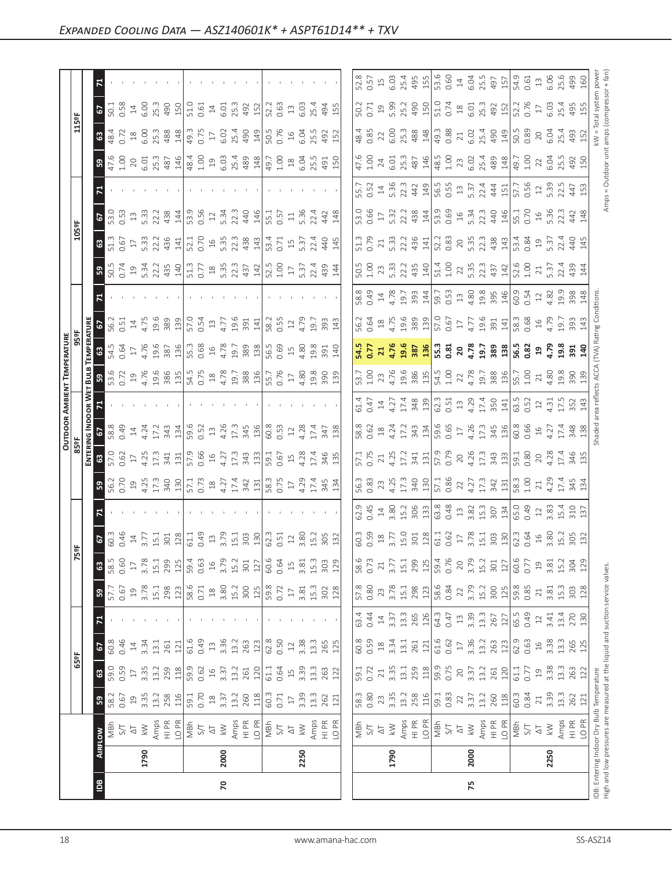|                |      |                                                                                                                            |                 |                 |                |        |                                           |                         |                                                                                                                                                                                                                                                                                                                                 |                                                                                             |                                                                                                                                                                                                                                                                           |                                                                                                                                |                                           |                          | <b>OUTDOOR AMBIENT TEMPERATURE</b>                                                                |                                                                                                                                                                                                                                                                                                                     |                                                                              |             |                                                                                                                                                                                                                                                                                                               |                                                                                                                                                                                                                                                                                                     |                                                                                                                                                                                                                                                                            |                                                                                                                                                         |                                                                                                                                                                                                                                                                                                                                                      |                                                                    |                                                                                                                                                                                                                                                                                         |
|----------------|------|----------------------------------------------------------------------------------------------------------------------------|-----------------|-----------------|----------------|--------|-------------------------------------------|-------------------------|---------------------------------------------------------------------------------------------------------------------------------------------------------------------------------------------------------------------------------------------------------------------------------------------------------------------------------|---------------------------------------------------------------------------------------------|---------------------------------------------------------------------------------------------------------------------------------------------------------------------------------------------------------------------------------------------------------------------------|--------------------------------------------------------------------------------------------------------------------------------|-------------------------------------------|--------------------------|---------------------------------------------------------------------------------------------------|---------------------------------------------------------------------------------------------------------------------------------------------------------------------------------------------------------------------------------------------------------------------------------------------------------------------|------------------------------------------------------------------------------|-------------|---------------------------------------------------------------------------------------------------------------------------------------------------------------------------------------------------------------------------------------------------------------------------------------------------------------|-----------------------------------------------------------------------------------------------------------------------------------------------------------------------------------------------------------------------------------------------------------------------------------------------------|----------------------------------------------------------------------------------------------------------------------------------------------------------------------------------------------------------------------------------------------------------------------------|---------------------------------------------------------------------------------------------------------------------------------------------------------|------------------------------------------------------------------------------------------------------------------------------------------------------------------------------------------------------------------------------------------------------------------------------------------------------------------------------------------------------|--------------------------------------------------------------------|-----------------------------------------------------------------------------------------------------------------------------------------------------------------------------------------------------------------------------------------------------------------------------------------|
|                |      |                                                                                                                            |                 | 65°F            |                |        |                                           |                         | 5°F                                                                                                                                                                                                                                                                                                                             |                                                                                             |                                                                                                                                                                                                                                                                           | 85°F                                                                                                                           |                                           |                          |                                                                                                   |                                                                                                                                                                                                                                                                                                                     |                                                                              |             |                                                                                                                                                                                                                                                                                                               | 105°F                                                                                                                                                                                                                                                                                               |                                                                                                                                                                                                                                                                            |                                                                                                                                                         | 115°F                                                                                                                                                                                                                                                                                                                                                |                                                                    |                                                                                                                                                                                                                                                                                         |
|                |      |                                                                                                                            |                 |                 |                |        |                                           |                         |                                                                                                                                                                                                                                                                                                                                 |                                                                                             |                                                                                                                                                                                                                                                                           | ENTERI                                                                                                                         | NG INDOOR W                               |                          |                                                                                                   |                                                                                                                                                                                                                                                                                                                     |                                                                              |             |                                                                                                                                                                                                                                                                                                               |                                                                                                                                                                                                                                                                                                     |                                                                                                                                                                                                                                                                            |                                                                                                                                                         |                                                                                                                                                                                                                                                                                                                                                      |                                                                    |                                                                                                                                                                                                                                                                                         |
| $\overline{a}$ |      | <b>AIRFLOW</b>                                                                                                             | 59              | $\mathbbmss{3}$ | <sub>2</sub>   |        | ${\tt S}$                                 | $\mathbbmss{3}$         | $rac{6}{60}$<br>$rac{3}{4}$<br>$rac{4}{4}$<br>$rac{4}{3}$                                                                                                                                                                                                                                                                       |                                                                                             | ន $\vert$                                                                                                                                                                                                                                                                 | $\mathbbmss{3}$                                                                                                                | $\frac{67}{586}$                          |                          | <b>53.6</b><br>53.6                                                                               |                                                                                                                                                                                                                                                                                                                     |                                                                              |             | 3.54                                                                                                                                                                                                                                                                                                          | ${\tt G3}$                                                                                                                                                                                                                                                                                          | 57                                                                                                                                                                                                                                                                         |                                                                                                                                                         | $rac{63}{48.4}$                                                                                                                                                                                                                                                                                                                                      | $\frac{5}{2}$                                                      |                                                                                                                                                                                                                                                                                         |
|                |      | MBh                                                                                                                        | 58.2            | 59.0            | 60.8           |        | 57.7<br>0.67                              | 58.5                    |                                                                                                                                                                                                                                                                                                                                 |                                                                                             |                                                                                                                                                                                                                                                                           | 57.0<br>0.62                                                                                                                   |                                           |                          |                                                                                                   | 54.5<br>0.64                                                                                                                                                                                                                                                                                                        | 56.2                                                                         |             |                                                                                                                                                                                                                                                                                                               | $\frac{51.3}{0.67}$                                                                                                                                                                                                                                                                                 |                                                                                                                                                                                                                                                                            |                                                                                                                                                         |                                                                                                                                                                                                                                                                                                                                                      | 50.1                                                               |                                                                                                                                                                                                                                                                                         |
|                |      | 5/7                                                                                                                        | 0.67            | 0.59            | 0.46           |        |                                           | 0.60                    |                                                                                                                                                                                                                                                                                                                                 |                                                                                             |                                                                                                                                                                                                                                                                           |                                                                                                                                | 0.49                                      |                          |                                                                                                   |                                                                                                                                                                                                                                                                                                                     | 0.51                                                                         |             |                                                                                                                                                                                                                                                                                                               |                                                                                                                                                                                                                                                                                                     | $\frac{1}{53.53}$                                                                                                                                                                                                                                                          |                                                                                                                                                         |                                                                                                                                                                                                                                                                                                                                                      | 0.58                                                               |                                                                                                                                                                                                                                                                                         |
|                |      | $\overline{\circ}$                                                                                                         | $\overline{19}$ | $\Box$          | $14$           |        | $^{29}$                                   | $17\,$                  |                                                                                                                                                                                                                                                                                                                                 |                                                                                             |                                                                                                                                                                                                                                                                           | $17$<br>4.25                                                                                                                   |                                           |                          |                                                                                                   | $17$<br>4.76                                                                                                                                                                                                                                                                                                        | 14.75                                                                        |             |                                                                                                                                                                                                                                                                                                               | $\overline{17}$                                                                                                                                                                                                                                                                                     | 13 <sub>5.33</sub>                                                                                                                                                                                                                                                         |                                                                                                                                                         |                                                                                                                                                                                                                                                                                                                                                      |                                                                    |                                                                                                                                                                                                                                                                                         |
|                | 1790 | $\gtrapprox$                                                                                                               | 3.35            | 3.35            | 3.34           |        | 3.78                                      | 3.78                    |                                                                                                                                                                                                                                                                                                                                 |                                                                                             |                                                                                                                                                                                                                                                                           |                                                                                                                                |                                           |                          |                                                                                                   |                                                                                                                                                                                                                                                                                                                     |                                                                              |             |                                                                                                                                                                                                                                                                                                               | 5.33                                                                                                                                                                                                                                                                                                |                                                                                                                                                                                                                                                                            |                                                                                                                                                         |                                                                                                                                                                                                                                                                                                                                                      | $14_{\odot}$                                                       |                                                                                                                                                                                                                                                                                         |
|                |      |                                                                                                                            | 13.2            | 13.2            | 13.1           |        | 15.1                                      | 15.1                    |                                                                                                                                                                                                                                                                                                                                 |                                                                                             |                                                                                                                                                                                                                                                                           |                                                                                                                                | $14.24$<br>$17.2$<br>$17.3$               |                          |                                                                                                   | 19.6                                                                                                                                                                                                                                                                                                                | 19.6                                                                         |             |                                                                                                                                                                                                                                                                                                               | 22.2                                                                                                                                                                                                                                                                                                | 22.2                                                                                                                                                                                                                                                                       |                                                                                                                                                         | 18<br>6.00<br>488                                                                                                                                                                                                                                                                                                                                    |                                                                    |                                                                                                                                                                                                                                                                                         |
|                |      | Amps<br>HI PR                                                                                                              | 258             | 259             | 261            |        | 298                                       | 299                     | $15.1$ 301                                                                                                                                                                                                                                                                                                                      |                                                                                             |                                                                                                                                                                                                                                                                           | $17.3$<br>$341$<br>$131$                                                                                                       |                                           |                          | $\begin{array}{c}\n 19 \\  4.76 \\  19.6 \\  386 \\  387 \\  151 \\  54.5 \\  0.75\n \end{array}$ | 387                                                                                                                                                                                                                                                                                                                 | 389                                                                          |             | $\begin{array}{c}\n 23.736 \\  25.7374 \\  25.7474 \\  25.7574 \\  25.7574 \\  25.7574 \\  25.7574 \\  25.7574 \\  25.7574 \\  25.7574 \\  25.7574 \\  25.7574 \\  25.7574 \\  25.7574 \\  25.7574 \\  25.7574 \\  25.7574 \\  25.7574 \\  25.7574 \\  25.7574 \\  25.7574 \\  25.7574 \\  25.7574 \\  25.75$ | 436                                                                                                                                                                                                                                                                                                 | 438                                                                                                                                                                                                                                                                        | $47.00$<br>$1.00$ $0.01$ $0.03$<br>$0.01$ $0.03$ $0.03$<br>$0.01$ $0.03$ $0.03$<br>$0.04$ $0.03$ $0.04$<br>$0.04$ $0.04$ $0.04$<br>$0.04$ $0.04$ $0.04$ |                                                                                                                                                                                                                                                                                                                                                      | 25.3<br>490<br>150                                                 |                                                                                                                                                                                                                                                                                         |
|                |      | LO PR                                                                                                                      | 116             | 118             | 121            |        | 123                                       | 125                     |                                                                                                                                                                                                                                                                                                                                 |                                                                                             |                                                                                                                                                                                                                                                                           |                                                                                                                                | 134                                       |                          |                                                                                                   | 136                                                                                                                                                                                                                                                                                                                 | 139                                                                          |             |                                                                                                                                                                                                                                                                                                               | 141                                                                                                                                                                                                                                                                                                 | 144                                                                                                                                                                                                                                                                        |                                                                                                                                                         | 148                                                                                                                                                                                                                                                                                                                                                  |                                                                    |                                                                                                                                                                                                                                                                                         |
|                |      | $\frac{1}{2}$                                                                                                              | 59.1            | 59.9            | 61.6           |        | 58.6                                      | 59.4                    |                                                                                                                                                                                                                                                                                                                                 |                                                                                             |                                                                                                                                                                                                                                                                           | 57.9<br>0.66<br>16                                                                                                             | 59.6<br>0.52                              |                          |                                                                                                   | 55.3<br>0.68                                                                                                                                                                                                                                                                                                        | 57.0                                                                         |             |                                                                                                                                                                                                                                                                                                               | 52.1                                                                                                                                                                                                                                                                                                | 53.9<br>0.56                                                                                                                                                                                                                                                               |                                                                                                                                                         | 49.3<br>0.75                                                                                                                                                                                                                                                                                                                                         | 51.0                                                               |                                                                                                                                                                                                                                                                                         |
|                |      |                                                                                                                            | 0.70            | 0.62            | 0.49           |        | 0.71                                      | 0.63                    |                                                                                                                                                                                                                                                                                                                                 |                                                                                             |                                                                                                                                                                                                                                                                           |                                                                                                                                |                                           |                          |                                                                                                   |                                                                                                                                                                                                                                                                                                                     | 0.54                                                                         |             |                                                                                                                                                                                                                                                                                                               | 0.70                                                                                                                                                                                                                                                                                                |                                                                                                                                                                                                                                                                            |                                                                                                                                                         |                                                                                                                                                                                                                                                                                                                                                      | $0.61$<br>$14$<br>$6.01$                                           |                                                                                                                                                                                                                                                                                         |
|                |      | $\overline{\mathcal{L}}$                                                                                                   | $^{28}$         | $16$            | $13$           |        | $\stackrel{\textstyle\circ}{\mathcal{A}}$ | $16$                    |                                                                                                                                                                                                                                                                                                                                 |                                                                                             |                                                                                                                                                                                                                                                                           |                                                                                                                                | $\ensuremath{\mathop{\mathbb{Z}}}\xspace$ |                          | $^{28}$                                                                                           | $16$                                                                                                                                                                                                                                                                                                                | $13$                                                                         |             |                                                                                                                                                                                                                                                                                                               | $16$                                                                                                                                                                                                                                                                                                | $\ensuremath{\mathsf{12}}$                                                                                                                                                                                                                                                 |                                                                                                                                                         | $17\,$                                                                                                                                                                                                                                                                                                                                               |                                                                    |                                                                                                                                                                                                                                                                                         |
| 20             | 2000 | $\geqslant$                                                                                                                | 3.37            | 3.37            | 3.36           |        | 3.80                                      | 3.79                    |                                                                                                                                                                                                                                                                                                                                 |                                                                                             |                                                                                                                                                                                                                                                                           |                                                                                                                                |                                           |                          |                                                                                                   | 4.78                                                                                                                                                                                                                                                                                                                | 4.77                                                                         |             |                                                                                                                                                                                                                                                                                                               | 5.35                                                                                                                                                                                                                                                                                                | 5.34                                                                                                                                                                                                                                                                       |                                                                                                                                                         | 6.02                                                                                                                                                                                                                                                                                                                                                 |                                                                    |                                                                                                                                                                                                                                                                                         |
|                |      |                                                                                                                            | 13.2            | 13.2            | 13.2           |        | 15.2                                      | 15.2                    |                                                                                                                                                                                                                                                                                                                                 |                                                                                             |                                                                                                                                                                                                                                                                           | $4.27$<br>17.3                                                                                                                 | 4.26                                      |                          |                                                                                                   |                                                                                                                                                                                                                                                                                                                     | 19.6                                                                         |             |                                                                                                                                                                                                                                                                                                               | 22.3                                                                                                                                                                                                                                                                                                | 22.3                                                                                                                                                                                                                                                                       |                                                                                                                                                         |                                                                                                                                                                                                                                                                                                                                                      | 25.3                                                               |                                                                                                                                                                                                                                                                                         |
|                |      | Amps<br>HI PR<br>LO PR                                                                                                     | 260             | 261             | 263            |        | 300                                       | 301                     | 61.1<br>0.49<br>13,79<br>15.1<br>303                                                                                                                                                                                                                                                                                            |                                                                                             |                                                                                                                                                                                                                                                                           | $343$<br>133                                                                                                                   | 345<br>136                                |                          | 4.78<br>19.7<br>388<br>136                                                                        | $19.7$<br>$389$<br>$138$                                                                                                                                                                                                                                                                                            | 391                                                                          |             |                                                                                                                                                                                                                                                                                                               | 438<br>143                                                                                                                                                                                                                                                                                          | 440                                                                                                                                                                                                                                                                        |                                                                                                                                                         | 25.4<br>490<br>149                                                                                                                                                                                                                                                                                                                                   | 492<br>152                                                         |                                                                                                                                                                                                                                                                                         |
|                |      |                                                                                                                            | 118             | 120             | 123            |        | 125                                       | 127                     |                                                                                                                                                                                                                                                                                                                                 |                                                                                             |                                                                                                                                                                                                                                                                           |                                                                                                                                |                                           |                          |                                                                                                   |                                                                                                                                                                                                                                                                                                                     | 141                                                                          |             |                                                                                                                                                                                                                                                                                                               |                                                                                                                                                                                                                                                                                                     | 146                                                                                                                                                                                                                                                                        |                                                                                                                                                         |                                                                                                                                                                                                                                                                                                                                                      |                                                                    |                                                                                                                                                                                                                                                                                         |
|                |      |                                                                                                                            | 60.3            | 61.1            | 62.8           |        | 59.8                                      | 60.6                    |                                                                                                                                                                                                                                                                                                                                 |                                                                                             |                                                                                                                                                                                                                                                                           |                                                                                                                                |                                           |                          |                                                                                                   | 56.5                                                                                                                                                                                                                                                                                                                | 58.2                                                                         |             |                                                                                                                                                                                                                                                                                                               | 53.4                                                                                                                                                                                                                                                                                                | 55.1                                                                                                                                                                                                                                                                       | $\sqrt{9.5}$ 8 8 8 5 5 5 5 5 5 5 5 5 7 6 5 7 6 7 9 7 5 0                                                                                                | 50.5                                                                                                                                                                                                                                                                                                                                                 | 52.2                                                               |                                                                                                                                                                                                                                                                                         |
|                |      | $\frac{1}{2}$<br>S/T                                                                                                       | 0.71            | 0.64            | 0.50           |        | 0.72                                      | 0.64                    | $62.3$<br>0.51<br>12                                                                                                                                                                                                                                                                                                            |                                                                                             |                                                                                                                                                                                                                                                                           | 59.1<br>0.67<br>4.28                                                                                                           | $60.8$<br>0.53<br>12                      |                          | 55.7<br>0.76                                                                                      | 0.69                                                                                                                                                                                                                                                                                                                | 0.55                                                                         |             | 52.5<br>1.00<br>17                                                                                                                                                                                                                                                                                            | 0.71                                                                                                                                                                                                                                                                                                | 0.57                                                                                                                                                                                                                                                                       |                                                                                                                                                         | 0.76                                                                                                                                                                                                                                                                                                                                                 | 0.63                                                               |                                                                                                                                                                                                                                                                                         |
|                |      | $\overline{\triangle}$                                                                                                     | $\Box$          | $\overline{15}$ | $12$           |        | $17\,$                                    | $\overline{\mathbb{L}}$ |                                                                                                                                                                                                                                                                                                                                 |                                                                                             |                                                                                                                                                                                                                                                                           |                                                                                                                                |                                           |                          | $\Gamma$                                                                                          | $15$                                                                                                                                                                                                                                                                                                                | $12\,$                                                                       |             |                                                                                                                                                                                                                                                                                                               |                                                                                                                                                                                                                                                                                                     | $\Xi$                                                                                                                                                                                                                                                                      |                                                                                                                                                         | $16$                                                                                                                                                                                                                                                                                                                                                 | $13\,$                                                             |                                                                                                                                                                                                                                                                                         |
|                | 2250 | $\gtrapprox$                                                                                                               | 3.39            | 3.39            | 3.38           |        | 3.81                                      | 3.81                    |                                                                                                                                                                                                                                                                                                                                 |                                                                                             | 4.29                                                                                                                                                                                                                                                                      |                                                                                                                                |                                           |                          |                                                                                                   | 4.80                                                                                                                                                                                                                                                                                                                | 4.79                                                                         |             |                                                                                                                                                                                                                                                                                                               | $15$<br>5.37                                                                                                                                                                                                                                                                                        | 5.36                                                                                                                                                                                                                                                                       |                                                                                                                                                         |                                                                                                                                                                                                                                                                                                                                                      | 6.03                                                               |                                                                                                                                                                                                                                                                                         |
|                |      | Amps                                                                                                                       | 13.3            | 13.3            | 13.3           |        | 15.3                                      | 15.3                    |                                                                                                                                                                                                                                                                                                                                 |                                                                                             |                                                                                                                                                                                                                                                                           |                                                                                                                                |                                           |                          |                                                                                                   | 19.8                                                                                                                                                                                                                                                                                                                | 19.7                                                                         |             |                                                                                                                                                                                                                                                                                                               | 22.4                                                                                                                                                                                                                                                                                                | 22.4                                                                                                                                                                                                                                                                       |                                                                                                                                                         | 6.04<br>25.5                                                                                                                                                                                                                                                                                                                                         | 25.4                                                               |                                                                                                                                                                                                                                                                                         |
|                |      |                                                                                                                            | 262             | 263             | 265            |        | 302                                       | 303                     | 3.80<br>15.2<br>305                                                                                                                                                                                                                                                                                                             |                                                                                             | 17.4<br>345                                                                                                                                                                                                                                                               | 17.4<br>346<br>135                                                                                                             | 4.28<br>17.4<br>347<br>138                |                          | $4.80$<br>$19.8$<br>$390$<br>$139$                                                                | 391                                                                                                                                                                                                                                                                                                                 | 393                                                                          |             | 5.37<br>22.4<br>439                                                                                                                                                                                                                                                                                           | 440                                                                                                                                                                                                                                                                                                 | 442                                                                                                                                                                                                                                                                        |                                                                                                                                                         | 492                                                                                                                                                                                                                                                                                                                                                  |                                                                    |                                                                                                                                                                                                                                                                                         |
|                |      | H PR<br>LO PR                                                                                                              | 121             | 122             | 125            |        | 128                                       | 129                     | 132                                                                                                                                                                                                                                                                                                                             |                                                                                             | 134                                                                                                                                                                                                                                                                       |                                                                                                                                |                                           |                          |                                                                                                   | $\frac{1}{4}$                                                                                                                                                                                                                                                                                                       | 143                                                                          |             | 144                                                                                                                                                                                                                                                                                                           | 145                                                                                                                                                                                                                                                                                                 | 148                                                                                                                                                                                                                                                                        |                                                                                                                                                         | 152                                                                                                                                                                                                                                                                                                                                                  | 494<br>155                                                         |                                                                                                                                                                                                                                                                                         |
|                |      |                                                                                                                            |                 |                 |                |        |                                           |                         |                                                                                                                                                                                                                                                                                                                                 |                                                                                             |                                                                                                                                                                                                                                                                           |                                                                                                                                |                                           |                          |                                                                                                   |                                                                                                                                                                                                                                                                                                                     |                                                                              |             |                                                                                                                                                                                                                                                                                                               |                                                                                                                                                                                                                                                                                                     |                                                                                                                                                                                                                                                                            |                                                                                                                                                         |                                                                                                                                                                                                                                                                                                                                                      |                                                                    |                                                                                                                                                                                                                                                                                         |
|                |      |                                                                                                                            | 58.3            | 59.1            | 60.8           | 63.4   | 57.8                                      | 58.6                    |                                                                                                                                                                                                                                                                                                                                 |                                                                                             |                                                                                                                                                                                                                                                                           | 57.1                                                                                                                           | $-8.8$                                    |                          | 53.7                                                                                              |                                                                                                                                                                                                                                                                                                                     | 56.2                                                                         | 58.8        |                                                                                                                                                                                                                                                                                                               |                                                                                                                                                                                                                                                                                                     |                                                                                                                                                                                                                                                                            | 47.6                                                                                                                                                    |                                                                                                                                                                                                                                                                                                                                                      |                                                                    | 52.8                                                                                                                                                                                                                                                                                    |
|                |      | Hg<br>S/T                                                                                                                  | 0.80            | 0.72            | 0.59           | 0.44   | 0.80                                      | 0.73                    |                                                                                                                                                                                                                                                                                                                                 | 0.45                                                                                        | 56.3<br>0.83                                                                                                                                                                                                                                                              | 0.75                                                                                                                           | 0.62                                      |                          | 1.00                                                                                              | 54.5<br>0.77                                                                                                                                                                                                                                                                                                        | 0.64                                                                         | 0.49        | $50.5$<br>1.00                                                                                                                                                                                                                                                                                                | 0.79                                                                                                                                                                                                                                                                                                |                                                                                                                                                                                                                                                                            | 1.00                                                                                                                                                    | $48.4$<br>0.85                                                                                                                                                                                                                                                                                                                                       | 50.71                                                              |                                                                                                                                                                                                                                                                                         |
|                |      | $\overline{\Delta}$                                                                                                        | 23              | 21              | $^{28}$        | $14\,$ | 23                                        | 21                      |                                                                                                                                                                                                                                                                                                                                 | $14\,$                                                                                      | 23                                                                                                                                                                                                                                                                        | 21                                                                                                                             |                                           |                          | 23                                                                                                | $\overline{21}$                                                                                                                                                                                                                                                                                                     |                                                                              |             | 23                                                                                                                                                                                                                                                                                                            | 21                                                                                                                                                                                                                                                                                                  |                                                                                                                                                                                                                                                                            | 24                                                                                                                                                      |                                                                                                                                                                                                                                                                                                                                                      |                                                                    | 0.57                                                                                                                                                                                                                                                                                    |
|                | 1790 | $\lesssim$                                                                                                                 | 3.35            | 3.35            | 3.34           | 3.37   |                                           | 3.77                    |                                                                                                                                                                                                                                                                                                                                 |                                                                                             |                                                                                                                                                                                                                                                                           |                                                                                                                                |                                           |                          |                                                                                                   |                                                                                                                                                                                                                                                                                                                     |                                                                              |             |                                                                                                                                                                                                                                                                                                               |                                                                                                                                                                                                                                                                                                     |                                                                                                                                                                                                                                                                            |                                                                                                                                                         |                                                                                                                                                                                                                                                                                                                                                      |                                                                    |                                                                                                                                                                                                                                                                                         |
|                |      |                                                                                                                            | 13.2            | 13.1            | 13.1           | 13.3   | $3.78$<br>15.1                            | 15.1                    |                                                                                                                                                                                                                                                                                                                                 |                                                                                             |                                                                                                                                                                                                                                                                           |                                                                                                                                |                                           |                          |                                                                                                   |                                                                                                                                                                                                                                                                                                                     |                                                                              |             |                                                                                                                                                                                                                                                                                                               |                                                                                                                                                                                                                                                                                                     |                                                                                                                                                                                                                                                                            |                                                                                                                                                         |                                                                                                                                                                                                                                                                                                                                                      |                                                                    |                                                                                                                                                                                                                                                                                         |
|                |      | Amps<br>HI PR                                                                                                              | 258             | 259             | 261            | 265    | 298                                       | 299                     |                                                                                                                                                                                                                                                                                                                                 |                                                                                             |                                                                                                                                                                                                                                                                           |                                                                                                                                |                                           |                          |                                                                                                   |                                                                                                                                                                                                                                                                                                                     |                                                                              |             |                                                                                                                                                                                                                                                                                                               |                                                                                                                                                                                                                                                                                                     |                                                                                                                                                                                                                                                                            |                                                                                                                                                         |                                                                                                                                                                                                                                                                                                                                                      |                                                                    |                                                                                                                                                                                                                                                                                         |
|                |      | LO <sub>PR</sub>                                                                                                           | 116             | 118             | 121            | 126    | 123                                       | 125                     | $\frac{33}{25}$ $\frac{33}{25}$ $\frac{33}{25}$ $\frac{33}{25}$ $\frac{33}{25}$ $\frac{33}{25}$ $\frac{33}{25}$ $\frac{33}{25}$ $\frac{33}{25}$ $\frac{33}{25}$ $\frac{33}{25}$ $\frac{33}{25}$ $\frac{33}{25}$ $\frac{33}{25}$ $\frac{33}{25}$ $\frac{33}{25}$ $\frac{33}{25}$ $\frac{33}{25}$ $\frac{3$                       | 3.80<br>15.2<br>306<br>13.                                                                  | $\begin{array}{cccc}\n4.73 & 0.000 & 0.000 & 0.000 & 0.000 & 0.000 & 0.000 & 0.000 & 0.000 & 0.000 & 0.000 & 0.000 & 0.000 & 0.000 & 0.000 & 0.000 & 0.000 & 0.000 & 0.000 & 0.000 & 0.000 & 0.000 & 0.000 & 0.000 & 0.000 & 0.000 & 0.000 & 0.000 & 0.000 & 0.000 & 0.0$ | $4.25$<br>$1.27$<br>$1.37$<br>$1.37$<br>$1.37$<br>$1.37$<br>$1.37$<br>$1.37$<br>$1.37$<br>$1.37$<br>$1.37$<br>$1.37$<br>$1.37$ |                                           |                          | $4.76$<br>$9.86$<br>$9.87$<br>$9.81$<br>$9.78$<br>$9.78$<br>$9.78$<br>$9.88$<br>$1.96$            | $\frac{1}{2}$ $\frac{1}{3}$ $\frac{1}{3}$ $\frac{1}{3}$ $\frac{1}{3}$ $\frac{1}{3}$ $\frac{1}{3}$ $\frac{1}{3}$ $\frac{1}{3}$ $\frac{1}{3}$ $\frac{1}{2}$ $\frac{1}{3}$ $\frac{1}{2}$ $\frac{1}{3}$ $\frac{1}{3}$ $\frac{1}{3}$ $\frac{1}{3}$ $\frac{1}{3}$ $\frac{1}{3}$ $\frac{1}{2}$ $\frac{1}{3}$ $\frac{1}{2}$ | $18$<br>$4.75$<br>$19.9$<br>$389$<br>$13$                                    |             |                                                                                                                                                                                                                                                                                                               | $\begin{array}{c} 33.36 \\ 25.24 \\ 35.36 \\ 47.36 \\ 58.36 \\ 69.36 \\ 79.36 \\ 79.36 \\ 79.36 \\ 79.36 \\ 79.36 \\ 79.36 \\ 79.36 \\ 74.36 \\ 75.36 \\ 79.36 \\ 79.36 \\ 79.36 \\ 79.36 \\ 79.36 \\ 79.36 \\ 79.36 \\ 79.36 \\ 79.36 \\ 79.36 \\ 79.36 \\ 79.36 \\ 79.36 \\ 79.36 \\ 79.36 \\ 79$ | $\begin{array}{c} 53.66 & 52.7 & 32.7 & 32.8 & 41.7 & 52.7 & 52.7 & 52.7 & 52.7 & 52.7 & 52.7 & 52.7 & 52.7 & 52.7 & 52.7 & 52.7 & 52.7 & 52.7 & 52.7 & 52.7 & 52.7 & 52.7 & 52.7 & 52.7 & 52.7 & 52.7 & 52.7 & 52.7 & 52.7 & 52.7 & 52.7 & 52.7 & 52.7 & 52.7 & 52.7 & 5$ | $6.03$<br>$25.3$<br>$25.3$<br>$48.5$<br>$48.5$<br>$48.5$<br>$48.5$<br>$48.5$<br>$48.4$<br>$48.5$                                                        | $\begin{array}{c}\n 225 \\  25.3 \\  6.03 \\  7.3 \\  8.4 \\  9.5 \\  10.8 \\  11 \\  12.5 \\  13.5 \\  14.5 \\  15.0 \\  16.0 \\  17.5 \\  18.5 \\  19.5 \\  15.0 \\  15.0 \\  16.0 \\  17.5 \\  18.9 \\  19.5 \\  13.5 \\  15.0 \\  16.0 \\  18.0 \\  19.5 \\  19.5 \\  19.5 \\  19.5 \\  19.5 \\  19.5 \\  19.5 \\  19.5 \\  19.5 \\  19.5 \\  1$ | $\begin{array}{c} 19 \\ 5.99 \\ 25.2 \\ 490 \\ \hline \end{array}$ | $\begin{array}{c} 0.03\\ 0.5,4\\ 495\\ 13,6\\ 0.60\\ 24,5\\ 0.60\\ 45,7\\ 0.60\\ 497\\ 10\\ 0.60\\ 497\\ 1\\ 0.7\\ 2\\ 0.7\\ 2\\ 0.7\\ 2\\ 0.7\\ 2\\ 0.7\\ 2\\ 0.7\\ 2\\ 0.7\\ 2\\ 0.7\\ 2\\ 0.7\\ 2\\ 0.7\\ 2\\ 0.7\\ 2\\ 0.7\\ 2\\ 0.7\\ 2\\ 0.7\\ 2\\ 0.7\\ 2\\ 0.7\\ 2\\ 0.7\\ 2\\$ |
|                |      | MBh                                                                                                                        | 59.1<br>0.83    | 59.9<br>0.75    | 61.6           | 64.3   | 58.6<br>0.84                              | 59.4                    |                                                                                                                                                                                                                                                                                                                                 | $\begin{array}{ l } \hline 63.8 & 21.8 \\ 63.4 & 23.8 \\ 33.6 & 35.7 \\ \hline \end{array}$ |                                                                                                                                                                                                                                                                           |                                                                                                                                |                                           |                          |                                                                                                   |                                                                                                                                                                                                                                                                                                                     | $\begin{array}{c} 57.0 \\ 0.67 \\ 1.77 \\ 4.9 \\ 9.1 \\ 14.1 \\ \end{array}$ |             |                                                                                                                                                                                                                                                                                                               |                                                                                                                                                                                                                                                                                                     |                                                                                                                                                                                                                                                                            |                                                                                                                                                         |                                                                                                                                                                                                                                                                                                                                                      | 51.0<br>0.74                                                       |                                                                                                                                                                                                                                                                                         |
|                |      | 5/7                                                                                                                        |                 |                 | 0.62           | 0.47   |                                           | 0.76                    |                                                                                                                                                                                                                                                                                                                                 |                                                                                             |                                                                                                                                                                                                                                                                           |                                                                                                                                |                                           |                          |                                                                                                   |                                                                                                                                                                                                                                                                                                                     |                                                                              |             |                                                                                                                                                                                                                                                                                                               |                                                                                                                                                                                                                                                                                                     |                                                                                                                                                                                                                                                                            |                                                                                                                                                         |                                                                                                                                                                                                                                                                                                                                                      |                                                                    |                                                                                                                                                                                                                                                                                         |
|                |      | $\overline{\Delta}$                                                                                                        | 22              | $20$            | $\Box$         | $13$   | 22                                        | 20                      |                                                                                                                                                                                                                                                                                                                                 |                                                                                             |                                                                                                                                                                                                                                                                           |                                                                                                                                |                                           |                          |                                                                                                   |                                                                                                                                                                                                                                                                                                                     |                                                                              |             |                                                                                                                                                                                                                                                                                                               |                                                                                                                                                                                                                                                                                                     |                                                                                                                                                                                                                                                                            |                                                                                                                                                         |                                                                                                                                                                                                                                                                                                                                                      |                                                                    |                                                                                                                                                                                                                                                                                         |
| 75             | 2000 | $\lesssim$                                                                                                                 | 3.37            | 3.37            | 3.36           | 3.39   | 3.79<br>15.2<br>300                       | 3.79                    |                                                                                                                                                                                                                                                                                                                                 |                                                                                             |                                                                                                                                                                                                                                                                           |                                                                                                                                |                                           |                          |                                                                                                   |                                                                                                                                                                                                                                                                                                                     |                                                                              |             |                                                                                                                                                                                                                                                                                                               |                                                                                                                                                                                                                                                                                                     |                                                                                                                                                                                                                                                                            |                                                                                                                                                         |                                                                                                                                                                                                                                                                                                                                                      |                                                                    |                                                                                                                                                                                                                                                                                         |
|                |      | Amps<br>HI PR                                                                                                              | 13.2            | 13.2            | 13.2           | 13.3   |                                           | 15.2                    |                                                                                                                                                                                                                                                                                                                                 |                                                                                             |                                                                                                                                                                                                                                                                           |                                                                                                                                |                                           |                          |                                                                                                   |                                                                                                                                                                                                                                                                                                                     |                                                                              |             |                                                                                                                                                                                                                                                                                                               |                                                                                                                                                                                                                                                                                                     |                                                                                                                                                                                                                                                                            |                                                                                                                                                         |                                                                                                                                                                                                                                                                                                                                                      |                                                                    |                                                                                                                                                                                                                                                                                         |
|                |      |                                                                                                                            | 260             | 261             | 263            | 267    |                                           | 301                     |                                                                                                                                                                                                                                                                                                                                 |                                                                                             |                                                                                                                                                                                                                                                                           |                                                                                                                                |                                           |                          |                                                                                                   |                                                                                                                                                                                                                                                                                                                     |                                                                              |             |                                                                                                                                                                                                                                                                                                               |                                                                                                                                                                                                                                                                                                     |                                                                                                                                                                                                                                                                            |                                                                                                                                                         |                                                                                                                                                                                                                                                                                                                                                      | $\begin{array}{c} 18 \\ 6.01 \\ 2.5 \\ 492 \\ 15 \end{array}$      |                                                                                                                                                                                                                                                                                         |
|                |      | LO PR                                                                                                                      | 118             | 120             | 123            | 127    | 125                                       | 127                     |                                                                                                                                                                                                                                                                                                                                 |                                                                                             |                                                                                                                                                                                                                                                                           |                                                                                                                                |                                           |                          |                                                                                                   |                                                                                                                                                                                                                                                                                                                     |                                                                              |             |                                                                                                                                                                                                                                                                                                               |                                                                                                                                                                                                                                                                                                     |                                                                                                                                                                                                                                                                            |                                                                                                                                                         |                                                                                                                                                                                                                                                                                                                                                      |                                                                    |                                                                                                                                                                                                                                                                                         |
|                |      | T/S<br>NBh                                                                                                                 | 60.3            | 61.1            | 62.9           | 65.5   | 59.85                                     | 60.6                    |                                                                                                                                                                                                                                                                                                                                 | $\begin{bmatrix} 0 & 0 & 0 \\ 0 & 0 & 0 \\ 0 & 0 & 0 \end{bmatrix}$ 3.83                    |                                                                                                                                                                                                                                                                           | $\frac{59.1}{0.80}$                                                                                                            | 60.8<br>0.66                              |                          | 55.7<br>1.00                                                                                      |                                                                                                                                                                                                                                                                                                                     | 58.3<br>0.68<br>4.79                                                         |             |                                                                                                                                                                                                                                                                                                               | $\frac{53.4}{0.84}$                                                                                                                                                                                                                                                                                 |                                                                                                                                                                                                                                                                            | 49.7<br>1.00                                                                                                                                            |                                                                                                                                                                                                                                                                                                                                                      | 52.2<br>0.76                                                       | 54.9<br>0.61<br>0.85.6<br>6.06                                                                                                                                                                                                                                                          |
|                |      |                                                                                                                            | 0.84            | 0.77            | 0.63           | 0.49   |                                           | 0.77                    |                                                                                                                                                                                                                                                                                                                                 |                                                                                             |                                                                                                                                                                                                                                                                           |                                                                                                                                |                                           |                          |                                                                                                   |                                                                                                                                                                                                                                                                                                                     |                                                                              |             |                                                                                                                                                                                                                                                                                                               |                                                                                                                                                                                                                                                                                                     |                                                                                                                                                                                                                                                                            |                                                                                                                                                         |                                                                                                                                                                                                                                                                                                                                                      |                                                                    |                                                                                                                                                                                                                                                                                         |
|                |      | $\overline{\circlearrowright}$                                                                                             | $21\,$          | 19              | $\mathfrak{A}$ |        | $21\,$                                    | $\frac{1}{2}$           |                                                                                                                                                                                                                                                                                                                                 |                                                                                             | 21<br>4.29                                                                                                                                                                                                                                                                | 20<br>4.28                                                                                                                     | $16$                                      |                          |                                                                                                   | $19^{4.79}$                                                                                                                                                                                                                                                                                                         |                                                                              |             |                                                                                                                                                                                                                                                                                                               |                                                                                                                                                                                                                                                                                                     |                                                                                                                                                                                                                                                                            | $\frac{22}{6.04}$                                                                                                                                       | $\frac{20}{6.04}$                                                                                                                                                                                                                                                                                                                                    | $\overline{\Box}$                                                  |                                                                                                                                                                                                                                                                                         |
|                | 2250 | $\lesssim$                                                                                                                 | 3.39            | 3.38            | 3.38           | 3.41   | 3.81                                      | 3.81                    |                                                                                                                                                                                                                                                                                                                                 |                                                                                             |                                                                                                                                                                                                                                                                           |                                                                                                                                | 4.27                                      |                          |                                                                                                   |                                                                                                                                                                                                                                                                                                                     |                                                                              |             |                                                                                                                                                                                                                                                                                                               |                                                                                                                                                                                                                                                                                                     |                                                                                                                                                                                                                                                                            |                                                                                                                                                         |                                                                                                                                                                                                                                                                                                                                                      |                                                                    |                                                                                                                                                                                                                                                                                         |
|                |      | Amps                                                                                                                       | 13.3            | 13.3            | 13.3           | 13.4   | 15.3                                      | 15.2                    | $\frac{8}{3}$ , $\frac{1}{3}$ , $\frac{3}{3}$ , $\frac{5}{3}$ , $\frac{1}{3}$ , $\frac{1}{6}$ , $\frac{3}{6}$ , $\frac{4}{3}$ , $\frac{5}{3}$ , $\frac{3}{3}$ , $\frac{5}{3}$ , $\frac{3}{3}$ , $\frac{3}{3}$ , $\frac{3}{3}$ , $\frac{3}{3}$ , $\frac{3}{3}$ , $\frac{3}{3}$ , $\frac{3}{3}$ , $\frac{3}{3}$ , $\frac{3}{3}$ , | 15.4                                                                                        | 17.4<br>345<br>134                                                                                                                                                                                                                                                        | $17.4$<br>346                                                                                                                  | 17.4                                      | $12$<br>$4.31$<br>$17.5$ | $71$ $4.80$ $8.9$ $8.9$ $139$                                                                     | 0.8                                                                                                                                                                                                                                                                                                                 | 19.7<br>393                                                                  | 19.9<br>398 | $23.4$<br>439                                                                                                                                                                                                                                                                                                 | 22.4                                                                                                                                                                                                                                                                                                | 2.3                                                                                                                                                                                                                                                                        | 25.5                                                                                                                                                    | 25.4<br>493                                                                                                                                                                                                                                                                                                                                          | 03<br>25.4<br>495<br>15                                            |                                                                                                                                                                                                                                                                                         |
|                |      | $\frac{R}{I}$                                                                                                              | 262             | 263             | 265            | 270    | 303                                       | 304                     |                                                                                                                                                                                                                                                                                                                                 | 310<br>137                                                                                  |                                                                                                                                                                                                                                                                           |                                                                                                                                | 348                                       | 352                      |                                                                                                   | 391                                                                                                                                                                                                                                                                                                                 |                                                                              |             |                                                                                                                                                                                                                                                                                                               | 445                                                                                                                                                                                                                                                                                                 | 442<br>148                                                                                                                                                                                                                                                                 | 492<br>150                                                                                                                                              |                                                                                                                                                                                                                                                                                                                                                      |                                                                    | $490$<br>$160$                                                                                                                                                                                                                                                                          |
|                |      | LO PR                                                                                                                      | 121             | 122             | 125            | 130    | 128                                       | 129                     |                                                                                                                                                                                                                                                                                                                                 |                                                                                             |                                                                                                                                                                                                                                                                           |                                                                                                                                | 138                                       | 143                      |                                                                                                   | $\overline{a}$                                                                                                                                                                                                                                                                                                      | 143                                                                          |             |                                                                                                                                                                                                                                                                                                               |                                                                                                                                                                                                                                                                                                     |                                                                                                                                                                                                                                                                            |                                                                                                                                                         | 152                                                                                                                                                                                                                                                                                                                                                  |                                                                    |                                                                                                                                                                                                                                                                                         |
|                |      | High and low pressures are measured at the liquid and suction service valves.<br>IDB: Entering Indoor Dry Bulb Temperature |                 |                 |                |        |                                           |                         |                                                                                                                                                                                                                                                                                                                                 |                                                                                             |                                                                                                                                                                                                                                                                           |                                                                                                                                |                                           |                          | shaded area reflects ACCA (TVA) Rating Conditions                                                 |                                                                                                                                                                                                                                                                                                                     |                                                                              |             |                                                                                                                                                                                                                                                                                                               |                                                                                                                                                                                                                                                                                                     |                                                                                                                                                                                                                                                                            | = Outdoor unit amps (compressor                                                                                                                         | <w =="" powe<="" system="" th="" total=""><th></th><th></th></w>                                                                                                                                                                                                                                                                                     |                                                                    |                                                                                                                                                                                                                                                                                         |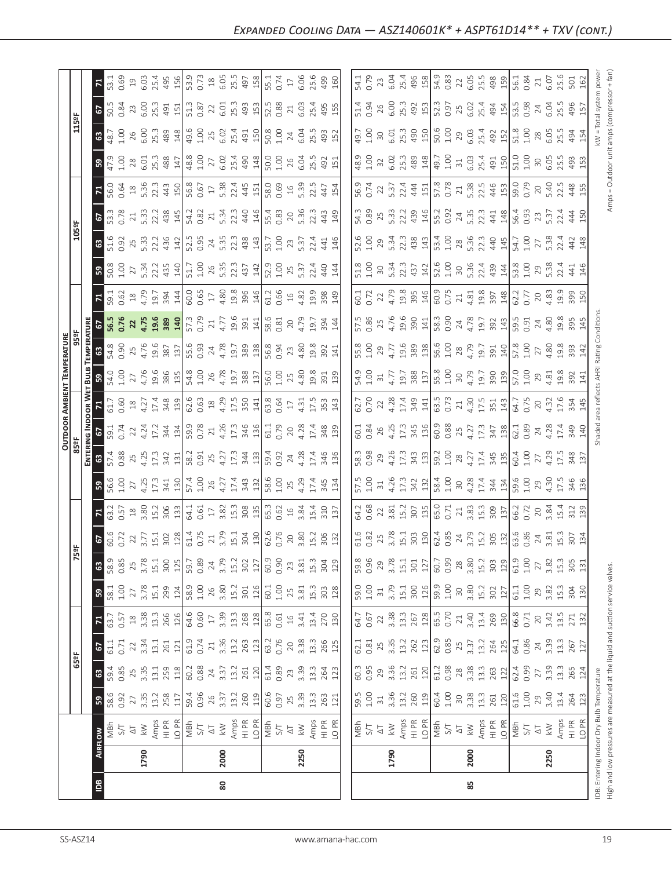|                |      |                                                                                                                                                                                                                                                                                                                     |                                                                                    |                                                                                                               |                                  |                                                                                  |                            |                                                                           |                                    |                    |                                   |                                                                                 |                                       |                                                                        | <b>OUTDOOR AMBIENT TEMPERATURE</b>                                                           |                                   |                                                                    |                                                                                     |                           |                                                             |                           |                                                                                  |                                                                                         |                                                                  |                           |                                                                                                                                                                                                                                                                              |
|----------------|------|---------------------------------------------------------------------------------------------------------------------------------------------------------------------------------------------------------------------------------------------------------------------------------------------------------------------|------------------------------------------------------------------------------------|---------------------------------------------------------------------------------------------------------------|----------------------------------|----------------------------------------------------------------------------------|----------------------------|---------------------------------------------------------------------------|------------------------------------|--------------------|-----------------------------------|---------------------------------------------------------------------------------|---------------------------------------|------------------------------------------------------------------------|----------------------------------------------------------------------------------------------|-----------------------------------|--------------------------------------------------------------------|-------------------------------------------------------------------------------------|---------------------------|-------------------------------------------------------------|---------------------------|----------------------------------------------------------------------------------|-----------------------------------------------------------------------------------------|------------------------------------------------------------------|---------------------------|------------------------------------------------------------------------------------------------------------------------------------------------------------------------------------------------------------------------------------------------------------------------------|
|                |      |                                                                                                                                                                                                                                                                                                                     |                                                                                    | 65°F                                                                                                          |                                  |                                                                                  |                            |                                                                           | 5ºF                                |                    |                                   | 85°F                                                                            |                                       |                                                                        |                                                                                              | 95 <sup>e</sup> F                 |                                                                    |                                                                                     |                           | 105°F                                                       |                           |                                                                                  |                                                                                         | 115°F                                                            |                           |                                                                                                                                                                                                                                                                              |
|                |      |                                                                                                                                                                                                                                                                                                                     |                                                                                    |                                                                                                               |                                  |                                                                                  |                            |                                                                           |                                    |                    |                                   |                                                                                 |                                       | ENTERING INDOOR WET                                                    | <b>Buus</b>                                                                                  | <b>TEMPERATURE</b>                |                                                                    |                                                                                     |                           |                                                             |                           |                                                                                  |                                                                                         |                                                                  |                           |                                                                                                                                                                                                                                                                              |
| $\overline{5}$ |      | <b>AIRFLOW</b>                                                                                                                                                                                                                                                                                                      | $5^{\circ}$                                                                        | $\boldsymbol{\mathbb{S}}$                                                                                     | 2                                | $\mathbf{z}$                                                                     | $\mathbf{B}$               | $\boldsymbol{\mathsf{3}}$                                                 |                                    | 71                 |                                   | $\mathbbmss{3}$                                                                 | 5                                     |                                                                        | ${\tt S}$                                                                                    | $\frac{3}{2}$                     | 67<br>56.5<br>0.76                                                 |                                                                                     | <b>50.8</b><br>50.8       | $\mathbf{G}$                                                | <b>67</b><br>53.3<br>0.78 |                                                                                  | ၛၟ                                                                                      | $\frac{3}{2}$                                                    |                           | K,                                                                                                                                                                                                                                                                           |
|                |      |                                                                                                                                                                                                                                                                                                                     | 58.6<br>0.92                                                                       | 59.4<br>0.85                                                                                                  | 61.1                             | 63.7                                                                             | 58.1                       | 58.9                                                                      | 67<br>60.6<br>0.72                 | 63.2               | $36.6$<br>$56.0$<br>$27$          | 57.4<br>0.88                                                                    | 59.1<br>0.74                          | 61.7<br>0.60                                                           | 54.0<br>1.00                                                                                 | 54.8<br>0.90                      |                                                                    | 59.1<br>0.62                                                                        |                           | 51.6<br>0.92                                                |                           | 56.0<br>0.64                                                                     | 47.9<br>1.00                                                                            | 48.7                                                             | <b>67</b><br>50.5<br>0.84 | 53.1<br>0.69                                                                                                                                                                                                                                                                 |
|                |      |                                                                                                                                                                                                                                                                                                                     |                                                                                    |                                                                                                               | 0.71                             | 0.57                                                                             | 1.00                       | 0.85                                                                      |                                    | 0.57               |                                   |                                                                                 |                                       |                                                                        |                                                                                              |                                   |                                                                    |                                                                                     |                           |                                                             |                           |                                                                                  |                                                                                         | 1.00                                                             |                           |                                                                                                                                                                                                                                                                              |
|                |      |                                                                                                                                                                                                                                                                                                                     | 27<br>3.35                                                                         | 25<br>3.35                                                                                                    | 22                               | $18$<br>3.38                                                                     | 27                         | 25                                                                        | $\frac{22}{3.77}$                  | $\frac{18}{3.80}$  |                                   | 25<br>4.25                                                                      | $22$<br>4.24                          | $18$<br>4.27                                                           | 27<br>4.76                                                                                   | 25<br>4.76                        | 22<br>4.75                                                         | $18$<br>4.79                                                                        | 27                        | 25.33                                                       | $\frac{21}{5.33}$         | $18$<br>5.36                                                                     |                                                                                         | $26$<br>$6.00$                                                   | 23                        | $19$<br>$6.03$                                                                                                                                                                                                                                                               |
|                | 1790 |                                                                                                                                                                                                                                                                                                                     |                                                                                    |                                                                                                               | 3.34                             |                                                                                  | 3.78                       | 3.78                                                                      |                                    |                    | 4.25                              |                                                                                 |                                       |                                                                        |                                                                                              |                                   |                                                                    |                                                                                     | 5.34                      |                                                             |                           |                                                                                  |                                                                                         |                                                                  | 6.00                      |                                                                                                                                                                                                                                                                              |
|                |      |                                                                                                                                                                                                                                                                                                                     |                                                                                    |                                                                                                               | 13.1<br>261                      | 13.3                                                                             | 15.1<br>299                | 15.1                                                                      | 15.1                               | 15.2               | 17.3                              | $17.3$                                                                          | 17.2                                  | 17.4                                                                   |                                                                                              |                                   |                                                                    | 19.7<br>394                                                                         | 22.2<br>435               |                                                             | 22.2<br>438               | 22.3                                                                             | 28<br>G.O.I<br>25.3<br>488                                                              | 25.3                                                             | 25.3                      | 25.4                                                                                                                                                                                                                                                                         |
|                |      | $\frac{1}{2}$ $\frac{1}{2}$ $\frac{1}{2}$ $\frac{1}{2}$ $\frac{1}{2}$ $\frac{1}{2}$ $\frac{1}{2}$ $\frac{1}{2}$ $\frac{1}{2}$ $\frac{1}{2}$ $\frac{1}{2}$ $\frac{1}{2}$ $\frac{1}{2}$ $\frac{1}{2}$ $\frac{1}{2}$ $\frac{1}{2}$ $\frac{1}{2}$ $\frac{1}{2}$ $\frac{1}{2}$ $\frac{1}{2}$ $\frac{1}{2}$ $\frac{1}{2}$ | 13.2<br>258<br>117                                                                 | $\begin{array}{c}\n 13.1 \\  259 \\  \hline\n 110 \\  \hline\n 0.88 \\  0.33 \\  \hline\n 13.2\n \end{array}$ |                                  | 266<br>126                                                                       |                            | 300                                                                       | 302                                | 306                | 341                               | 342                                                                             | 344<br>134                            | 348                                                                    | 19.6<br>386<br>135                                                                           | 19.6<br>387<br>137                | $\frac{19.6}{389}$                                                 |                                                                                     |                           | $22.2$<br>$436$<br>$142$<br>$52.5$                          |                           | 443                                                                              |                                                                                         | 489                                                              | 491                       | 495                                                                                                                                                                                                                                                                          |
|                |      |                                                                                                                                                                                                                                                                                                                     |                                                                                    |                                                                                                               |                                  |                                                                                  |                            | 125                                                                       | 128                                | 133                | 130                               | 131                                                                             |                                       |                                                                        |                                                                                              |                                   |                                                                    | $\frac{144}{4}$                                                                     | 140                       |                                                             | 145                       | $\frac{150}{1}$                                                                  | 147                                                                                     | 148                                                              | 151                       | 156                                                                                                                                                                                                                                                                          |
|                |      |                                                                                                                                                                                                                                                                                                                     | 59.4<br>0.96<br>26                                                                 |                                                                                                               | $\frac{121}{61.9}$               | 64.6<br>0.60<br>17                                                               | $\frac{124}{58.9}$         | 59.7                                                                      | 61.4                               | 64.1               | 57.4                              | 58.2<br>0.91                                                                    | 59.9<br>0.78                          | 62.6<br>0.63                                                           | 54.8<br>1.00                                                                                 | 55.6                              |                                                                    | 60.0<br>0.65<br>17                                                                  | 51.7                      |                                                             | 54.2                      | 56.8                                                                             | 48.8                                                                                    | 49.6                                                             | 51.3                      | 53.9                                                                                                                                                                                                                                                                         |
|                |      |                                                                                                                                                                                                                                                                                                                     |                                                                                    |                                                                                                               |                                  |                                                                                  | $1.00$                     | 0.89                                                                      | 0.75                               | 0.61               | $1.00$<br>$26$                    |                                                                                 |                                       |                                                                        |                                                                                              |                                   | 0.79                                                               |                                                                                     | 1.00                      | 0.95                                                        | 0.82                      | 0.67                                                                             | 1.00                                                                                    | 1.00                                                             | 0.87                      | 0.73                                                                                                                                                                                                                                                                         |
|                |      |                                                                                                                                                                                                                                                                                                                     |                                                                                    |                                                                                                               | $\sqrt{21}$                      |                                                                                  | 26                         | $24\,$                                                                    | 21                                 | $17\,$             |                                   | 25                                                                              | $\sqrt{21}$                           | $^{28}$                                                                | 26                                                                                           |                                   | $\sqrt{2}1$                                                        |                                                                                     | 26                        |                                                             | 21                        | $17\,$                                                                           | 27                                                                                      | 25                                                               | 22                        | $\overset{\text{\tiny \textsf{QQ}}}{\rightarrow}$                                                                                                                                                                                                                            |
| 80             | 2000 |                                                                                                                                                                                                                                                                                                                     |                                                                                    |                                                                                                               |                                  |                                                                                  | 3.80                       | 3.79                                                                      | 3.79                               | 3.82               | 4.27                              | 4.27                                                                            | 4.26                                  |                                                                        | 4.78                                                                                         | $24$<br>4.78                      | 4.77                                                               |                                                                                     | 5.35                      | $24$<br>5.35                                                | 5.34                      | 5.38                                                                             | 6.02                                                                                    | 6.02                                                             | 6.01                      | 6.05                                                                                                                                                                                                                                                                         |
|                |      |                                                                                                                                                                                                                                                                                                                     | $3.37$<br>$13.2$                                                                   |                                                                                                               | $3.36$<br>13.2                   |                                                                                  | 15.2                       | 15.2                                                                      | 15.1                               | 15.3               | 17.4                              | 17.3                                                                            | 17.3                                  |                                                                        |                                                                                              |                                   |                                                                    | $4.80$<br>$19.8$<br>$396$                                                           | 22.3                      |                                                             | 22.3                      |                                                                                  | 25.4                                                                                    | 25.4                                                             | 25.3                      | 25.5                                                                                                                                                                                                                                                                         |
|                |      |                                                                                                                                                                                                                                                                                                                     |                                                                                    |                                                                                                               |                                  |                                                                                  |                            | $302$                                                                     |                                    |                    | 343                               |                                                                                 |                                       |                                                                        |                                                                                              |                                   |                                                                    |                                                                                     | 437                       | $22.\overline{3}$<br>$43.\overline{3}$<br>$14.\overline{3}$ | 440                       |                                                                                  | 490                                                                                     | 491                                                              | 493                       |                                                                                                                                                                                                                                                                              |
|                |      |                                                                                                                                                                                                                                                                                                                     |                                                                                    |                                                                                                               |                                  |                                                                                  | $\frac{301}{126}$          | 127                                                                       |                                    |                    |                                   |                                                                                 |                                       |                                                                        |                                                                                              |                                   |                                                                    |                                                                                     | $\frac{142}{2}$           |                                                             |                           |                                                                                  | 148                                                                                     | 150                                                              | 153                       |                                                                                                                                                                                                                                                                              |
|                |      |                                                                                                                                                                                                                                                                                                                     | $\frac{260}{1106}$ $\frac{6}{5}$ $\frac{5}{7}$ $\frac{3}{3}$                       | 261<br>120<br>61.4<br>0.89                                                                                    | $\frac{263}{123}$                | 3.39<br>13.3<br>268<br>128<br>65.8<br>0.61                                       | $\overline{60.1}$          | 60.9                                                                      | $\frac{304}{130}$<br>$\frac{6}{6}$ | $\frac{308}{153}$  | $\frac{132}{58.6}$                | $\frac{343}{1394}$<br>$\frac{393}{4}$<br>$\frac{393}{4}$                        | 346<br>136<br>61.1<br>0.79            | $4.29$<br>$17.5$<br>$350$<br>$141$<br>$63.4$<br>$17$<br>$4.3$<br>$4.3$ | $\begin{array}{c}\n 19.7 \\  388 \\  \hline\n 19.0 \\  56.0 \\  \hline\n 1.00\n \end{array}$ | $19.7$<br>$389$<br>$186$<br>$564$ | $\begin{array}{c} 19.6 \\ 39.1 \\ 141 \\ 58.6 \\ 0.81 \end{array}$ | $\frac{146}{61.2}$                                                                  |                           | $\overline{53.7}$                                           | $\frac{146}{5.4}$         | 22.4<br>445<br>150.69<br>58.0                                                    |                                                                                         | 50.8                                                             | 52.5                      | 497<br>158<br>55.1<br>0.74                                                                                                                                                                                                                                                   |
|                |      |                                                                                                                                                                                                                                                                                                                     |                                                                                    |                                                                                                               | 0.76                             |                                                                                  | 1.00                       | 0.90                                                                      |                                    |                    |                                   |                                                                                 |                                       |                                                                        |                                                                                              |                                   |                                                                    |                                                                                     | 52.9<br>1.00              | 1.00                                                        |                           |                                                                                  | 50.0<br>1.00                                                                            | 1.00                                                             | 0.88                      |                                                                                                                                                                                                                                                                              |
|                |      |                                                                                                                                                                                                                                                                                                                     |                                                                                    | 23                                                                                                            | $20$                             | $16$                                                                             | 25                         | 23                                                                        | $20$                               | $0.62$<br>16       |                                   |                                                                                 | 20                                    |                                                                        |                                                                                              |                                   | 20                                                                 |                                                                                     | 25                        | 23                                                          | 20                        |                                                                                  | 26                                                                                      | 24                                                               | $\gtrsim$                 | $\overline{17}$                                                                                                                                                                                                                                                              |
|                | 2250 | $\lesssim$                                                                                                                                                                                                                                                                                                          |                                                                                    | 3.39                                                                                                          | 3.38                             | 3.41                                                                             | 3.81                       | 3.81                                                                      | 3.80                               | 3.84               | 4.29                              | 4.28                                                                            | 4.28                                  |                                                                        | $25$<br>4.80                                                                                 | $23$<br>4.80                      | 4.79                                                               |                                                                                     | 5.37                      | 5.37                                                        | 5.36                      | $16$<br>5.39                                                                     | 6.O4                                                                                    | 6.04                                                             | 6.03                      | 6.06                                                                                                                                                                                                                                                                         |
|                |      |                                                                                                                                                                                                                                                                                                                     |                                                                                    | 13.3                                                                                                          | 13.3                             | 13.4                                                                             | 15.3                       | 15.3                                                                      | 15.2                               | L5.4               | 17.4                              | 17.4                                                                            | 17.4                                  | 17.5                                                                   | 19.8                                                                                         | 19.8                              | 19.7                                                               | $16$<br>$4.82$<br>$19.9$                                                            | 22.4                      | 22.4                                                        | 22.3                      | 2.5                                                                              | 25.5                                                                                    | 25.5                                                             | 25.4                      | 25.6                                                                                                                                                                                                                                                                         |
|                |      | Amps<br>HI PR<br>LO PR                                                                                                                                                                                                                                                                                              | $\frac{33}{263}$                                                                   | 264                                                                                                           |                                  | 270                                                                              |                            |                                                                           | 306                                | 310                | 345                               | 346                                                                             | 348                                   | 353                                                                    | 391                                                                                          | 392                               | 394                                                                | 398                                                                                 | 440                       | 441                                                         | 443                       | 447                                                                              | 492                                                                                     | 493                                                              | 495                       | 499                                                                                                                                                                                                                                                                          |
|                |      |                                                                                                                                                                                                                                                                                                                     |                                                                                    | 123                                                                                                           | 266<br>125                       | <b>130</b>                                                                       | 303<br>128                 | $304$<br>$129$                                                            | 132                                | 137                | 134                               | 136                                                                             | 139                                   | 143                                                                    | 139                                                                                          | 141                               | 144                                                                | 149                                                                                 | $\frac{14}{4}$            | 146                                                         | 149                       | Ŀý                                                                               | 151                                                                                     | 152                                                              | 155                       | 160                                                                                                                                                                                                                                                                          |
|                |      |                                                                                                                                                                                                                                                                                                                     |                                                                                    |                                                                                                               |                                  |                                                                                  |                            |                                                                           |                                    |                    |                                   |                                                                                 |                                       |                                                                        |                                                                                              |                                   |                                                                    |                                                                                     |                           |                                                             |                           |                                                                                  |                                                                                         |                                                                  |                           |                                                                                                                                                                                                                                                                              |
|                |      |                                                                                                                                                                                                                                                                                                                     |                                                                                    |                                                                                                               |                                  |                                                                                  |                            | 59.8                                                                      | 61.6                               | 54.2               | 57.5                              |                                                                                 |                                       |                                                                        | 54.9                                                                                         | 55.8                              | 57.5                                                               |                                                                                     |                           |                                                             | 54.3                      |                                                                                  |                                                                                         | 49.7                                                             |                           |                                                                                                                                                                                                                                                                              |
|                |      |                                                                                                                                                                                                                                                                                                                     | 59.5<br>1.00                                                                       | 60.3<br>0.95                                                                                                  | $62.1$<br>$0.81$                 |                                                                                  | 59.0<br>1.00               | 0.96                                                                      |                                    |                    | 001                               | 58.3<br>0.98                                                                    | 60.34                                 | 62.7<br>0.70                                                           | 1.00                                                                                         | 1.00                              | 0.86                                                               | 60.1<br>0.72                                                                        | 51.8<br>1.00              | 52.6<br>1.00                                                | 0.89                      | 56.9<br>0.74                                                                     | 48.9<br>1.00                                                                            | 1.00                                                             | 51.4<br>0.94              | 54.1<br>0.79                                                                                                                                                                                                                                                                 |
|                |      | MBh<br>S/T<br>Amps<br>Amps<br>E<br>D<br>D<br>R                                                                                                                                                                                                                                                                      |                                                                                    |                                                                                                               |                                  | $64.7$<br>$0.67$<br>$2$<br>$3$<br>$3$<br>$3$<br>$3$<br>$5$<br>$2$<br>$2$<br>$12$ | $\Xi$                      | 29                                                                        | 0.82<br>25<br>3.78                 | 0.68               | $\overline{31}$                   |                                                                                 |                                       |                                                                        | $\overline{31}$                                                                              |                                   |                                                                    |                                                                                     | $\rm ^{50}$               | 29                                                          |                           |                                                                                  |                                                                                         | 30                                                               |                           | 23                                                                                                                                                                                                                                                                           |
|                |      |                                                                                                                                                                                                                                                                                                                     |                                                                                    |                                                                                                               |                                  |                                                                                  |                            |                                                                           |                                    | 22<br>3.81         |                                   | 29<br>4.26                                                                      | 26<br>4.25                            |                                                                        | 4.77                                                                                         | 29<br>4.77                        |                                                                    |                                                                                     |                           |                                                             | 25<br>5.33                |                                                                                  |                                                                                         |                                                                  |                           |                                                                                                                                                                                                                                                                              |
|                | 1790 |                                                                                                                                                                                                                                                                                                                     |                                                                                    |                                                                                                               |                                  |                                                                                  |                            | $3.78$<br>15.1                                                            |                                    |                    | 4.26                              |                                                                                 |                                       |                                                                        |                                                                                              |                                   |                                                                    |                                                                                     | 5.34<br>22.3              |                                                             |                           |                                                                                  |                                                                                         | 6.01<br>25.3                                                     | 26<br>6.00<br>25.3        |                                                                                                                                                                                                                                                                              |
|                |      |                                                                                                                                                                                                                                                                                                                     | $\begin{array}{c} 31 \\ 31 \\ 32 \\ 131 \\ 260 \\ 19 \end{array}$                  | 29<br>3.36<br>13.2<br>120                                                                                     | 25<br>3.35<br>13.2<br>262<br>123 |                                                                                  | 3.79<br>15.1<br>300<br>126 |                                                                           | 15.1<br>303<br>130                 | 15.2<br>307<br>135 | 17.3                              | $\frac{17.3}{34.3}$                                                             | $\frac{17.3}{345}$ $\frac{136}{60.9}$ | $\begin{array}{c} 22 \\ 4.28 \\ 17.4 \\ 349 \end{array}$               | $\frac{19.7}{388}$                                                                           | $19.6$<br>$389$<br>$13$           | 25<br>4.76<br>19.6<br>390                                          | 22<br>4.79<br>19.8<br>395<br>146                                                    |                           | 5.34<br>22.3<br>438<br>143                                  | 22.2<br>439               | $\begin{array}{c}\n 22 \\  5.37 \\  22.4 \\  444 \\  \hline\n 151\n \end{array}$ | $\begin{array}{c} 32 \\ 6.02 \\ 25.3 \\ 48 \\ \hline \end{array}$                       |                                                                  |                           |                                                                                                                                                                                                                                                                              |
|                |      |                                                                                                                                                                                                                                                                                                                     |                                                                                    |                                                                                                               |                                  |                                                                                  |                            | 301                                                                       |                                    |                    | 342                               |                                                                                 |                                       |                                                                        |                                                                                              |                                   |                                                                    |                                                                                     | 437                       |                                                             |                           |                                                                                  |                                                                                         | 490                                                              | 492                       |                                                                                                                                                                                                                                                                              |
|                |      |                                                                                                                                                                                                                                                                                                                     |                                                                                    |                                                                                                               |                                  |                                                                                  |                            | 127                                                                       |                                    |                    | 132                               |                                                                                 |                                       |                                                                        |                                                                                              |                                   |                                                                    |                                                                                     | 142                       |                                                             | 146                       |                                                                                  |                                                                                         |                                                                  | 153                       |                                                                                                                                                                                                                                                                              |
|                |      |                                                                                                                                                                                                                                                                                                                     |                                                                                    | 61.2<br>0.98                                                                                                  | 62.9<br>0.85                     | 65.5<br>0.70                                                                     | $59.9$<br>1.00             | 60.7                                                                      |                                    | 65.0<br>0.71       |                                   |                                                                                 |                                       | 63.5<br>0.73                                                           |                                                                                              |                                   |                                                                    |                                                                                     | 52.6                      |                                                             | 55.2<br>0.92              |                                                                                  |                                                                                         |                                                                  | 52.3<br>0.97              |                                                                                                                                                                                                                                                                              |
|                |      |                                                                                                                                                                                                                                                                                                                     |                                                                                    |                                                                                                               |                                  |                                                                                  |                            |                                                                           | $62.4$<br>0.85<br>3.79             |                    | $\frac{58.4}{1.00}$<br>30<br>4.28 | $\begin{array}{ c c }\n 3.2 & 2.5 \\  1.00 & 2.57 \\  2.8 & 4.27\n \end{array}$ |                                       |                                                                        | $\begin{array}{c} 5.8 \\ 1.00 \\ 3.79 \\ 4.79 \end{array}$                                   | 56.6<br>1.00<br>28<br>4.79        | $\begin{bmatrix} 58.3 \\ 0.90 \\ 24 \\ 4.78 \end{bmatrix}$         |                                                                                     |                           |                                                             |                           |                                                                                  |                                                                                         | $\begin{array}{c} 50.6 \\ 1.00 \\ 2.9 \\ 6.03 \end{array}$       |                           |                                                                                                                                                                                                                                                                              |
|                |      |                                                                                                                                                                                                                                                                                                                     |                                                                                    | 28<br>3.38                                                                                                    |                                  | $21$<br>3.40                                                                     |                            |                                                                           |                                    | $\frac{21}{3.83}$  |                                   |                                                                                 | $25$<br>4.27                          | $21$<br>4.30                                                           |                                                                                              |                                   |                                                                    |                                                                                     |                           |                                                             | 24<br>5.35                |                                                                                  |                                                                                         |                                                                  | 25<br>6.02                |                                                                                                                                                                                                                                                                              |
| 85             | 2000 |                                                                                                                                                                                                                                                                                                                     |                                                                                    |                                                                                                               |                                  |                                                                                  |                            |                                                                           |                                    |                    |                                   |                                                                                 |                                       |                                                                        |                                                                                              |                                   |                                                                    |                                                                                     | 30<br>5.36<br>5.24<br>439 |                                                             |                           |                                                                                  |                                                                                         |                                                                  |                           |                                                                                                                                                                                                                                                                              |
|                |      |                                                                                                                                                                                                                                                                                                                     |                                                                                    |                                                                                                               |                                  |                                                                                  |                            |                                                                           |                                    |                    | 17.4                              | 17.4                                                                            |                                       |                                                                        |                                                                                              |                                   |                                                                    |                                                                                     |                           |                                                             |                           |                                                                                  |                                                                                         | 25.4                                                             | 25.4                      |                                                                                                                                                                                                                                                                              |
|                |      | NBh<br>S/T<br>S/T<br>Amps<br>Ampr<br>D<br>D<br>P<br>R                                                                                                                                                                                                                                                               | $\begin{array}{c} 60.4 \\ 1.00 \\ 3.0 \\ 3.3 \\ 13.3 \\ 261 \\ 120 \\ \end{array}$ | $\begin{array}{c}\n 13.3 \\  263 \\  \hline\n 121 \\  \hline\n 62.9 \\  \hline\n 0.99\n \end{array}$          | 25<br>3.37<br>13.2<br>264<br>125 | 13.4<br>269<br>130                                                               | 302<br>127                 | $\begin{array}{c c}\n 28 & 2 \\  3.80 & 15.2 \\  303 & 229\n \end{array}$ | 15.2<br>305<br>132                 | 15.3<br>309<br>137 | $34$<br>$134$                     | 345                                                                             | $\frac{17.3}{347}$                    | $17.5$<br>$351$<br>$143$                                               | 19.7<br>390<br>139                                                                           | 19.7<br>391<br>140                | 19.7<br>392<br>143                                                 | $\begin{array}{c} 60.9 \\ 0.75 \\ 2.1 \\ 4.81 \\ 19.8 \\ 397 \\ 148 \\ \end{array}$ |                           | 53.4<br>1.00<br>2.8<br>5.3,5<br>44<br>44<br>14<br>1         | 22.3<br>441<br>148        | 57.8<br>0.78<br>5.38<br>22.5<br>446<br>153                                       | $\sqrt{49.7}$<br>$\sqrt{3}$<br>$\sqrt{3}$<br>$\sqrt{3}$<br>$\sqrt{491}$<br>$\sqrt{491}$ | 492                                                              | 494<br>154                | $\begin{array}{cccccccccc} 0.04 & 0.000 & 0.000 & 0.000 & 0.000 & 0.000 & 0.000 & 0.000 & 0.000 & 0.000 & 0.000 & 0.000 & 0.000 & 0.000 & 0.000 & 0.000 & 0.000 & 0.000 & 0.000 & 0.000 & 0.000 & 0.000 & 0.000 & 0.000 & 0.000 & 0.000 & 0.000 & 0.000 & 0.000 & 0.000 & 0$ |
|                |      |                                                                                                                                                                                                                                                                                                                     |                                                                                    |                                                                                                               |                                  |                                                                                  |                            |                                                                           |                                    |                    |                                   | 135                                                                             |                                       |                                                                        |                                                                                              |                                   |                                                                    |                                                                                     | 144                       |                                                             |                           |                                                                                  |                                                                                         | 152                                                              |                           |                                                                                                                                                                                                                                                                              |
|                |      | 흥수선종                                                                                                                                                                                                                                                                                                                | 61.6<br>1.00<br>29                                                                 |                                                                                                               | 64.1<br>0.86                     | 66.8<br>0.71                                                                     | 61.1                       | 61.9                                                                      | 63.6                               | 66.2               | 59.6<br>1.00                      | 60.4<br>1.00                                                                    | 62.1<br>0.89                          | 64.7<br>0.75                                                           | 57.0                                                                                         | 57.8                              | $\frac{59.5}{0.91}$                                                | 62.2                                                                                | 53.8<br>1.00              | 54.7                                                        | 56.4                      | 59.0                                                                             | 51.0                                                                                    | 51.8                                                             | 53.5                      | 56.1<br>0.84                                                                                                                                                                                                                                                                 |
|                |      |                                                                                                                                                                                                                                                                                                                     |                                                                                    |                                                                                                               |                                  |                                                                                  | $1.00$                     | $1.00$                                                                    | 0.86                               | 0.72               |                                   |                                                                                 |                                       |                                                                        | 1.00                                                                                         | 1.00                              |                                                                    | 0.77                                                                                |                           | 1.00                                                        | 0.93                      | 0.79                                                                             | 1.00                                                                                    | 1.00                                                             | 0.98                      |                                                                                                                                                                                                                                                                              |
|                |      |                                                                                                                                                                                                                                                                                                                     |                                                                                    | 27                                                                                                            | $\overline{24}$                  | 20                                                                               | 29                         | 27                                                                        | 24                                 | $\geqslant$        | 29                                | $\overline{27}$                                                                 | 24                                    | $20$                                                                   | 29                                                                                           | 27                                |                                                                    | 20                                                                                  | 29                        | 27                                                          | 23                        | 20                                                                               | 30                                                                                      | $28$                                                             | 24                        | 21                                                                                                                                                                                                                                                                           |
|                | 2250 |                                                                                                                                                                                                                                                                                                                     | 3.40                                                                               | 3.39                                                                                                          | $3.39$<br>$13.3$                 | $3.42$<br>13.5                                                                   | $3.82$<br>15.3             | 3.82                                                                      | 3.81                               | 3.84               | 4.30                              | 4.29                                                                            | 4.28                                  | 4.32                                                                   | 4.81                                                                                         | 4.80                              | 4.80<br>19.8                                                       | 4.83<br>19.9                                                                        | 5.38                      | 5.38                                                        | 5.37                      | 5.40                                                                             | 6.05<br>25.5                                                                            | 6.05                                                             | 6.04                      | 6.07                                                                                                                                                                                                                                                                         |
|                |      | Amps                                                                                                                                                                                                                                                                                                                | 13.4                                                                               | 13.3                                                                                                          |                                  |                                                                                  |                            | 15.3                                                                      | 15.3                               | 15.4               | 17.5                              | 17.5                                                                            | 17.4                                  | 17.6                                                                   | 19.8                                                                                         | 19.8                              |                                                                    |                                                                                     | 22.4                      | 22.4                                                        | 22.4                      | 2.5                                                                              |                                                                                         | 25.5                                                             | 25.5                      | 25.6                                                                                                                                                                                                                                                                         |
|                |      | HI PR<br>LO PR                                                                                                                                                                                                                                                                                                      | 264                                                                                | 265                                                                                                           | 267<br>127                       | 271<br>132                                                                       | 304<br>130                 | 305                                                                       | $\frac{307}{134}$                  | 312<br>139         | 346<br>136                        | 348<br>137                                                                      | 349                                   | 354                                                                    | 392                                                                                          | 393                               | 395                                                                | 399<br>150                                                                          | 441                       | 442                                                         | 444<br>150                | 448<br>155                                                                       | 493<br>153                                                                              | 494<br>154                                                       | 496<br>157                | 501                                                                                                                                                                                                                                                                          |
|                |      |                                                                                                                                                                                                                                                                                                                     | 123                                                                                | 124                                                                                                           |                                  |                                                                                  |                            |                                                                           |                                    |                    |                                   |                                                                                 | 140                                   |                                                                        |                                                                                              |                                   |                                                                    |                                                                                     | 146                       |                                                             |                           |                                                                                  |                                                                                         |                                                                  |                           | 162                                                                                                                                                                                                                                                                          |
|                |      | IDB: Entering Indoor Dry Bulb Temperature                                                                                                                                                                                                                                                                           |                                                                                    |                                                                                                               |                                  |                                                                                  |                            |                                                                           |                                    |                    |                                   |                                                                                 | shaded                                |                                                                        | area reflects AHRI Rating Conditions                                                         |                                   |                                                                    |                                                                                     |                           |                                                             |                           |                                                                                  |                                                                                         | <w =="" powe<="" system="" th="" total=""><th></th><th></th></w> |                           |                                                                                                                                                                                                                                                                              |
|                |      | High and low pressures are measured at the liquid and suction service valves.                                                                                                                                                                                                                                       |                                                                                    |                                                                                                               |                                  |                                                                                  |                            |                                                                           |                                    |                    |                                   |                                                                                 |                                       |                                                                        |                                                                                              |                                   |                                                                    |                                                                                     |                           |                                                             |                           |                                                                                  | Amps = Outdoor unit amps (compressor + fan)                                             |                                                                  |                           |                                                                                                                                                                                                                                                                              |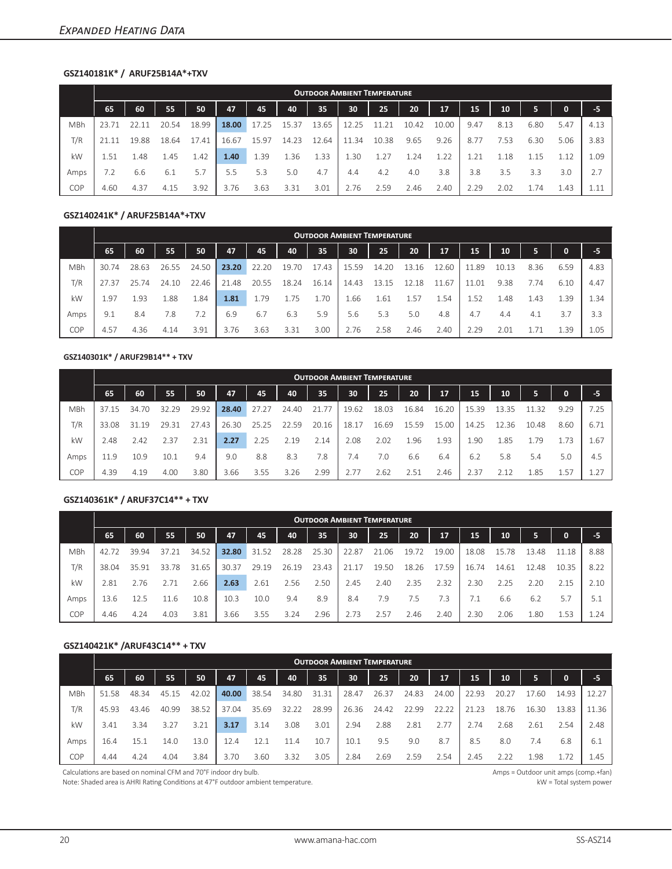#### **GSZ140181K\* / ARUF25B14A\*+TXV**

|            |       |       |       |       |       |       |       | <b>OUTDOOR AMBIENT TEMPERATURE</b> |       |       |       |       |      |      |      |      |      |
|------------|-------|-------|-------|-------|-------|-------|-------|------------------------------------|-------|-------|-------|-------|------|------|------|------|------|
|            | 65    | 60    | 55    | 50    | 47    | 45    | 40    | 35                                 | 30    | 25    | 20    | 17    | 15   | 10   | 5    | 0    | -5   |
| <b>MBh</b> | 23.71 |       | 20.54 | 18.99 | 18.00 | 17.25 | 15.37 | L3.65                              | 12.25 | . 21  | 10.42 | 10.00 | 9.47 | 8.13 | 6.80 | 5.47 | 4.13 |
| T/R        |       | 19.88 | 18.64 | 17.41 | 16.67 | 15.97 | 14.23 | 12.64                              | 11.34 | 10.38 | 9.65  | 9.26  | 8.77 | 7.53 | 6.30 | 5.06 | 3.83 |
| kW         | 1.51  | 1.48  | 1.45  | 1.42  | 1.40  | 1.39  | 1.36  | 1.33                               | 1.30  | 1.27  | 1.24  | 1.22  | 21.ء | 1.18 | 1.15 | 1.12 | 1.09 |
| Amps       | 7.2   | 6.6   | 6.1   | 5.7   | 5.5   | 5.3   | 5.0   | 4.7                                | 4.4   | 4.2   | 4.0   | 3.8   | 3.8  | 3.5  | 3.3  | 3.0  | 2.7  |
| COP        | 4.60  | 4.37  | 4.15  | 3.92  | 3.76  | 3.63  | 3.31  | 3.01                               | 2.76  | 2.59  | 2.46  | 2.40  | 2.29 | 2.02 | 1.74 | 1.43 | 1.11 |

#### **GSZ140241K\* / ARUF25B14A\*+TXV**

|            |       |       |       |       |       |       |       |       | <b>OUTDOOR AMBIENT TEMPERATURE</b> |       |       |       |       |       |      |      |      |
|------------|-------|-------|-------|-------|-------|-------|-------|-------|------------------------------------|-------|-------|-------|-------|-------|------|------|------|
|            | 65    | 60    | 55    | 50    | 47    | 45    | 40    | 35    | 30                                 | 25    | 20    | 17    | 15    | 10    | Б    | 0    | $-5$ |
| <b>MBh</b> | 30.74 | 28.63 | 26.55 | 24.50 | 23.20 | 22.20 | 19.70 | 17.43 | 15.59                              | 14.20 | L3.16 | 12.60 | 11.89 | 10.13 | 8.36 | 6.59 | 4.83 |
| T/R        | 27.37 | 25.74 | 24.10 | 22.46 | .48   | 20.55 | 18.24 | 16.14 | 14.43                              | 13.15 | .2.18 | 11.67 | 11.01 | 9.38  | 7.74 | 6.10 | 4.47 |
| kW         | 1.97  | 1.93  | 1.88  | 1.84  | 1.81  | 1.79  | 1.75  | 1.70  | .66                                | 1.61  | 1.57  | 54ء   | 1.52  | 1.48  | 1.43 | 1.39 | 1.34 |
| Amps       | 9.1   | 8.4   | 7.8   | 7.2   | 6.9   | 6.7   | 6.3   | 5.9   | 5.6                                | 5.3   | 5.0   | 4.8   | 4.7   | 4.4   | 4.1  | 3.7  | 3.3  |
| COP        | 4.57  | 4.36  | 4.14  | 3.91  | 3.76  | 3.63  | 3.31  | 3.00  | 2.76                               | 2.58  | 2.46  | 2.40  | 2.29  | 2.01  |      | 1.39 | 1.05 |

#### **GSZ140301K\* / ARUF29B14\*\* + TXV**

|      |       |          |       |       |       |       |       |       | <b>OUTDOOR AMBIENT TEMPERATURE</b> |       |       |       |       |       |           |             |      |
|------|-------|----------|-------|-------|-------|-------|-------|-------|------------------------------------|-------|-------|-------|-------|-------|-----------|-------------|------|
|      | 65    | 60       | 55    | 50    | 47    | 45    | 40    | 35    | 30                                 | 25    | 20    | 17    | 15    | 10    | 5         | $\mathbf 0$ | -5   |
| MBh  | 37.15 | 34.70    | 32.29 | 29.92 | 28.40 | 27.27 | 24.40 | 21.77 | 19.62                              | 18.03 | 16.84 | 16.20 | 15.39 | 13.35 | .32<br>11 | 9.29        | 7.25 |
| T/R  | 33.08 | 31<br>19 | 29.31 | 27.43 | 26.30 | 25.25 | 22.59 | 20.16 | 18.17                              | 16.69 | 15.59 | 15.00 | 14.25 | 12.36 | 10.48     | 8.60        | 6.71 |
| kW   | 2.48  | 2.42     | 2.37  | 2.31  | 2.27  | 2.25  | 2.19  | 2.14  | 2.08                               | 2.02  | L.96  | 1.93  | .90   | 1.85  | 1.79      | 1.73        | 1.67 |
| Amps | 11.9  | 10.9     | 10.1  | 9.4   | 9.0   | 8.8   | 8.3   | 7.8   | $\sqrt{4}$                         | 7.0   | 6.6   | 6.4   | 6.2   | 5.8   | 5.4       | 5.0         | 4.5  |
| COP  | 4.39  | 4.19     | 4.00  | 3.80  | 3.66  | 3.55  | 3.26  | 2.99  | 2.77                               | 2.62  | 2.51  | 2.46  | ∠.37  | 2.1   | 1.85      | 1.57        | 1.27 |

#### **GSZ140361K\* / ARUF37C14\*\* + TXV**

|            |       |       |       |       |       |       |       |       | <b>OUTDOOR AMBIENT TEMPERATURE</b> |       |       |       |       |       |       |       |      |
|------------|-------|-------|-------|-------|-------|-------|-------|-------|------------------------------------|-------|-------|-------|-------|-------|-------|-------|------|
|            | 65    | 60    | 55    | 50    | 47    | 45    | 40    | 35    | 30                                 | 25    | 20    | 17    | 15    | 10    | 5     | 0     | -5.  |
| <b>MBh</b> | 42.72 | 39.94 | 37.21 | 34.52 | 32.80 | 31.52 | 28.28 | 25.30 | 22.87                              | 21.06 | 19.72 | 19.00 | 18.08 | 15.78 | 13.48 | 11.18 | 8.88 |
| T/R        | 38.04 | 35.91 | 33.78 | 31.65 | 30.37 | 29.19 | 26.19 | 23.43 | 21.17                              | 19.50 | 18.26 | 17.59 | 16.74 | 14.61 | 2.48  | 10.35 | 8.22 |
| kW         | 2.81  | 2.76  |       | 2.66  | 2.63  | 2.61  | 2.56  | 2.50  | 2.45                               | 2.40  | 2.35  | 2.32  | 2.30  | 2.25  | 2.20  | 2.15  | 2.10 |
| Amps       | 13.6  | 12.5  | 11.6  | 10.8  | 10.3  | 10.0  | 9.4   | 8.9   | 8.4                                | 7.9   | 7.5   | 7.3   | 7.1   | 6.6   | 6.2   | 5.7   | 5.1  |
| <b>COP</b> | 4.46  | 4.24  | 4.03  | 3.81  | 3.66  | 3.55  | 3.24  | 2.96  | 2.73                               | 2.57  | 2.46  | 2.40  | 2.30  | 2.06  | 1.80  | 1.53  | 1.24 |

#### **GSZ140421K\* /ARUF43C14\*\* + TXV**

|      |       |       |       |       |       |       |       |       | <b>OUTDOOR AMBIENT TEMPERATURE</b> |       |       |       |       |       |       |             |       |
|------|-------|-------|-------|-------|-------|-------|-------|-------|------------------------------------|-------|-------|-------|-------|-------|-------|-------------|-------|
|      | 65    | 60    | 55    | 50    | 47    | 45    | 40    | 35    | 30                                 | 25    | 20    | 17    | 15    | 10    | 5     | $\mathbf 0$ | -5    |
| MBh  | 51.58 | 48.34 | 45.15 | 42.02 | 40.00 | 38.54 | 34.80 | 31.31 | 28.47                              | 26.37 | 24.83 | 24.00 | 22.93 | 20.2  | 17.60 | 14.93       | 12.27 |
| T/R  | 45.93 | 43.46 | 40.99 | 38.52 | 37.04 | 35.69 | 32.22 | 28.99 | 26.36                              | 24.42 | 22.99 | 22.22 | 21.23 | 18.76 | 16.30 | 13.83       | 11.36 |
| kW   | 3.41  | 3.34  | 3.27  | 3.21  | 3.17  | 3.14  | 3.08  | 3.01  | 2.94                               | 2.88  | 2.81  | 2.77  | 2.74  | 2.68  | 2.61  | 2.54        | 2.48  |
| Amps | 16.4  | 15.   | 14.0  | 13.0  | 12.4  | 12.1  | 11.4  | 10.7  | 10.1                               | 9.5   | 9.0   | 8.7   | 8.5   | 8.0   | 7.4   | 6.8         | 6.1   |
| COP  | 4.44  | 4.24  | 4.04  | 3.84  | 3.70  | 3.60  | 3.32  | 3.05  | 2.84                               | 2.69  | 2.59  | 2.54  | 2.45  | 2.22  | 1.98  | 1.72        | 1.45  |

Calculations are based on nominal CFM and 70°F indoor dry bulb. Amps = Outdoor unit amps (comp.+fan)

Note: Shaded area is AHRI Rating Conditions at 47°F outdoor ambient temperature. kW = Total system power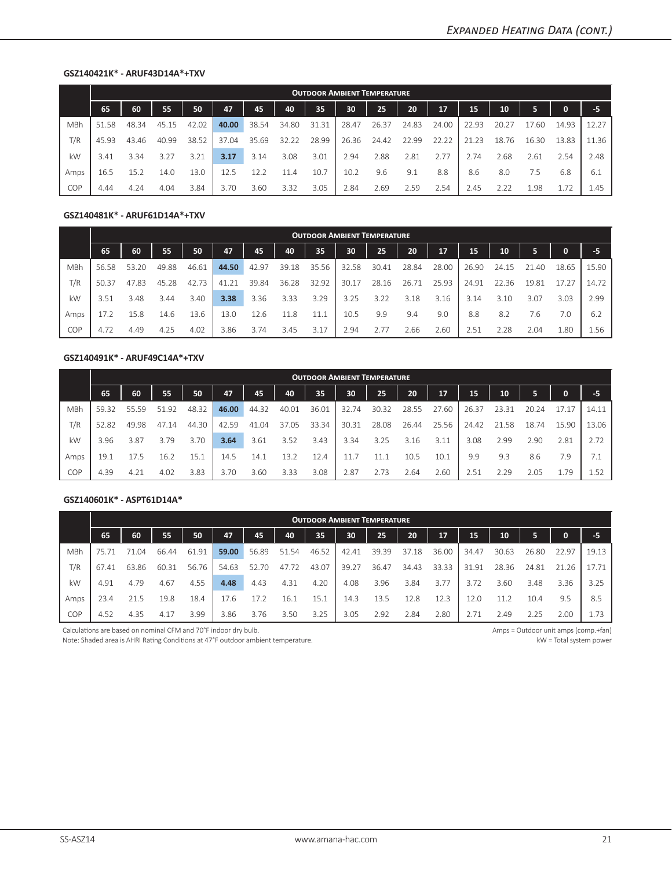#### **GSZ140421K\* - ARUF43D14A\*+TXV**

|      | <b>OUTDOOR AMBIENT TEMPERATURE</b> |       |       |       |       |       |       |       |       |       |       |       |       |       |       |       |       |
|------|------------------------------------|-------|-------|-------|-------|-------|-------|-------|-------|-------|-------|-------|-------|-------|-------|-------|-------|
|      | 65                                 | 60    | 55    | 50    | 47    | 45    | 40    | 35    | 30    | 25    | 20    | 17    | 15    | 10    | 5     | 0     | $-5$  |
| MBh  | 51.58                              | 48.34 | 45.15 | 42.02 | 40.00 | 38.54 | 34.80 | 31.31 | 28.47 | 26.37 | 24.83 | 24.00 | 22.93 | 20.27 | 17.60 | 14.93 | 12.27 |
| T/R  | 45.93                              | 43.46 | 40.99 | 38.52 | 37.04 | 35.69 | 32.22 | 28.99 | 26.36 | 24.42 | 22.99 | 22.22 | 21.23 | 18.76 | 16.30 | 13.83 | 11.36 |
| kW   | 3.41                               | 3.34  | 3.27  | 3.21  | 3.17  | 3.14  | 3.08  | 3.01  | 2.94  | 2.88  | 2.81  | 2.77  | 2.74  | 2.68  | 2.61  | 2.54  | 2.48  |
| Amps | 16.5                               | 15.2  | 14.0  | 13.0  | 12.5  | 12.2  | 11.4  | 10.7  | 10.2  | 9.6   | 9.1   | 8.8   | 8.6   | 8.0   | 7.5   | 6.8   | 6.1   |
| COP  | 4.44                               | 4.24  | 4.04  | 3.84  | 3.70  | 3.60  | 3.32  | 3.05  | 2.84  | 2.69  | 2.59  | 2.54  | 2.45  | 2.22  | 1.98  | 1.72  | 1.45  |

#### **GSZ140481K\* - ARUF61D14A\*+TXV**

|      | <b>OUTDOOR AMBIENT TEMPERATURE</b> |       |       |       |       |       |       |       |       |       |       |       |       |       |       |       |       |
|------|------------------------------------|-------|-------|-------|-------|-------|-------|-------|-------|-------|-------|-------|-------|-------|-------|-------|-------|
|      | 65                                 | 60    | 55    | 50    | 47    | 45    | 40    | 35    | 30    | 25    | 20    | 17    | 15    | 10    | 5     | 0     | -5    |
| MBh  | 56.58                              | 53.20 | 49.88 | 46.61 | 44.50 | 42.97 | 39.18 | 35.56 | 32.58 | 30.41 | 28.84 | 28.00 | 26.90 | 24.15 | 21.40 | 18.65 | 15.90 |
| T/R  | 50.37                              | 47.83 | 45.28 | 42.73 | 41.21 | 39.84 | 36.28 | 32.92 | 30.17 | 28.16 | 26.71 | 25.93 | 24.91 | 22.36 | 19.81 | 17.27 | 14.72 |
| kW   | 3.51                               | 3.48  | 3.44  | 3.40  | 3.38  | 3.36  | 3.33  | 3.29  | 3.25  | 3.22  | 3.18  | 3.16  | 3.14  | 3.10  | 3.07  | 3.03  | 2.99  |
| Amps | 17.2                               | 15.8  | 14.6  | 13.6  | 13.0  | 12.6  | 11.8  | 11.1  | 10.5  | 9.9   | 9.4   | 9.0   | 8.8   | 8.2   | 7.6   | 7.0   | 6.2   |
| COP  | 4.72                               | 4.49  | 4.25  | 4.02  | 3.86  | 3.74  | 3.45  | 3.17  | 2.94  | 2.77  | 2.66  | 2.60  | 2.51  | 2.28  | 2.04  | 1.80  | 1.56  |

#### **GSZ140491K\* - ARUF49C14A\*+TXV**

|            | <b>OUTDOOR AMBIENT TEMPERATURE</b> |       |       |       |       |       |       |       |       |       |       |       |       |           |           |       |       |
|------------|------------------------------------|-------|-------|-------|-------|-------|-------|-------|-------|-------|-------|-------|-------|-----------|-----------|-------|-------|
|            | 65                                 | 60    | 55    | 50    | 47    | 45    | 40    | 35    | 30    | 25    | 20    | 17    | 15    | 10        | 5         | 0     | -5    |
| <b>MBh</b> | 59.32                              | 55.59 | 51.92 | 48.32 | 46.00 | 44.32 | 40.01 | 36.01 | 32.74 | 30.32 | 28.55 | 27.60 | 26.37 | 23.31     | 20.<br>24 | 17.17 | 14.11 |
| T/R        | 52.82                              | 49.98 | 47.14 | 44.30 | 42.59 | 41.04 | 37.05 | 33.34 | 30.31 | 28.08 | 26.44 | 25.56 | 24.42 | 21<br>-58 | 74<br>18. | 15.90 | 13.06 |
| kW         | 3.96                               | 3.87  | 3.79  | 3.70  | 3.64  | 3.61  | 3.52  | 3.43  | 3.34  | 3.25  | 3.16  | 3.11  | 3.08  | 2.99      | 2.90      | 2.81  | 2.72  |
| Amps       | 19.1                               | 17.5  | 16.2  | 15.1  | 14.5  | 14.1  | 13.2  | 12.4  | 11.7  | 11 1  | 10.5  | 10.1  | 9.9   | 9.3       | 8.6       | 7.9   | 7.1   |
| COP        | 4.39                               | 4.21  | 4.02  | 3.83  | 3.70  | 3.60  | 3.33  | 3.08  | 2.87  | 2.73  | 2.64  | 2.60  | 2.51  | 2.29      | 2.05      | 1.79  | 1.52  |

#### **GSZ140601K\* - ASPT61D14A\***

|            |       | <b>OUTDOOR AMBIENT TEMPERATURE</b> |       |       |       |       |       |       |       |       |       |       |       |       |       |       |       |
|------------|-------|------------------------------------|-------|-------|-------|-------|-------|-------|-------|-------|-------|-------|-------|-------|-------|-------|-------|
|            | 65    | 60                                 | 55    | 50    | 47    | 45    | 40    | 35    | 30    | 25    | 20    | 17    | 15    | 10    | 5     | 0     | $-5$  |
| <b>MBh</b> |       | .04                                | 66.44 | 61.91 | 59.00 | 56.89 | 51.54 | 46.52 | 42.41 | 39.39 | 37.18 | 36.00 | 34.47 | 30.63 | 26.80 | 22.97 | 19.13 |
| T/R        | 67.41 | 63.86                              | 60.31 | 56.76 | 54.63 | 52.70 | 47.72 | 43.07 | 39.27 | 36.47 | 34.43 | 33.33 | 31.91 | 28.36 | 24.81 | 21.26 | 17.71 |
| kW         | 4.91  | 4.79                               | 4.67  | 4.55  | 4.48  | 4.43  | 4.31  | 4.20  | 4.08  | 3.96  | 3.84  | 3.77  | 3.72  | 3.60  | 3.48  | 3.36  | 3.25  |
| Amps       | 23.4  | 21.5                               | 19.8  | 18.4  | 17.6  | 17.2  | 16.1  | 15.1  | 14.3  | 13.5  | 12.8  | 12.3  | 12.0  | 11.2  | 10.4  | 9.5   | 8.5   |
| COP        | 4.52  | 4.35                               |       | 3.99  | 3.86  | 3.76  | 3.50  | 3.25  | 3.05  | 2.92  | 2.84  | 2.80  | 2.71  | 2.49  | 2.25  | 2.00  | 1.73  |

Calculations are based on nominal CFM and 70°F indoor dry bulb. Amps = Outdoor unit amps (comp.+fan)

Note: Shaded area is AHRI Rating Conditions at 47°F outdoor ambient temperature. 
<br>
Note: Shaded area is AHRI Rating Conditions at 47°F outdoor ambient temperature.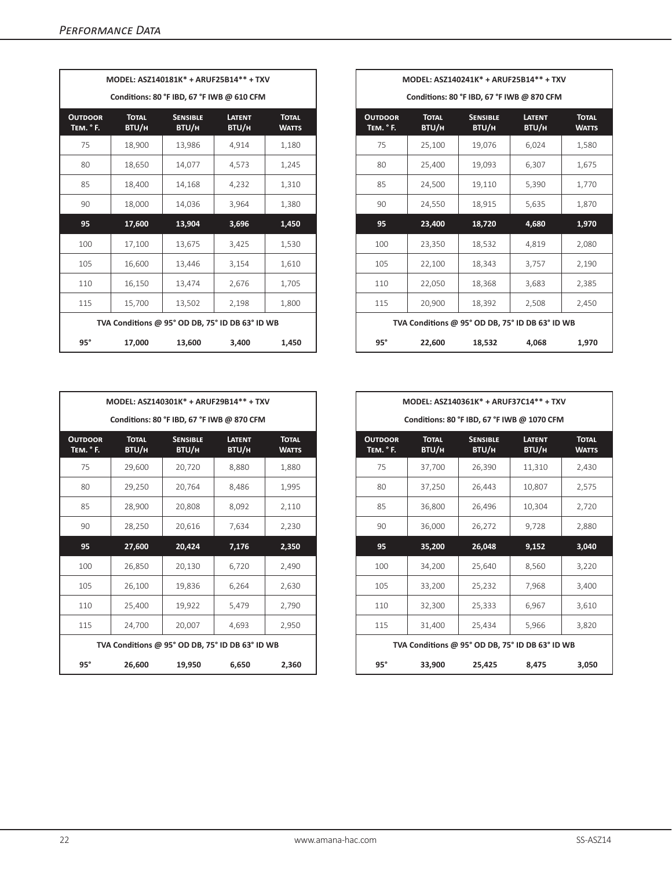|                            | MODEL: ASZ140181K* + ARUF25B14** + TXV |                                                 |                        |                              |  |  |  |
|----------------------------|----------------------------------------|-------------------------------------------------|------------------------|------------------------------|--|--|--|
|                            |                                        | Conditions: 80 °F IBD, 67 °F IWB @ 610 CFM      |                        |                              |  |  |  |
| <b>OUTDOOR</b><br>TEM. °F. | <b>TOTAL</b><br>BTU/H                  | <b>SENSIBLE</b><br>BTU/H                        | <b>LATENT</b><br>BTU/H | <b>TOTAL</b><br><b>WATTS</b> |  |  |  |
| 75                         | 18,900                                 | 13,986                                          | 4,914                  | 1,180                        |  |  |  |
| 80                         | 18,650                                 | 14,077                                          | 4,573                  | 1,245                        |  |  |  |
| 85                         | 18,400                                 | 14,168                                          | 4,232                  | 1,310                        |  |  |  |
| 90                         | 18,000                                 | 14,036                                          | 3,964                  | 1,380                        |  |  |  |
| 95                         | 17,600                                 | 13,904                                          | 3,696                  | 1,450                        |  |  |  |
| 100                        | 17,100                                 | 13,675                                          | 3,425                  | 1,530                        |  |  |  |
|                            |                                        |                                                 |                        |                              |  |  |  |
| 105                        | 16,600                                 | 13,446                                          | 3,154                  | 1,610                        |  |  |  |
| 110                        | 16,150                                 | 13,474                                          | 2,676                  | 1,705                        |  |  |  |
| 115                        | 15,700                                 | 13,502                                          | 2,198                  | 1,800                        |  |  |  |
|                            |                                        | TVA Conditions @ 95° OD DB, 75° ID DB 63° ID WB |                        |                              |  |  |  |

|                         |                       | MODEL: ASZ140181K* + ARUF25B14** + TXV          |                        |                              |                            | MODEL: ASZ140241K* + ARUF25B14** + TXV          |                          |                        |                              |
|-------------------------|-----------------------|-------------------------------------------------|------------------------|------------------------------|----------------------------|-------------------------------------------------|--------------------------|------------------------|------------------------------|
|                         |                       | Conditions: 80 °F IBD, 67 °F IWB @ 610 CFM      |                        |                              |                            | Conditions: 80 °F IBD, 67 °F IWB @ 870 CFM      |                          |                        |                              |
| <b>TDOOR</b><br>м. ° F. | <b>TOTAL</b><br>BTU/H | <b>SENSIBLE</b><br>BTU/H                        | <b>LATENT</b><br>BTU/H | <b>TOTAL</b><br><b>WATTS</b> | <b>OUTDOOR</b><br>TEM. °F. | <b>TOTAL</b><br>BTU/H                           | <b>SENSIBLE</b><br>BTU/H | <b>LATENT</b><br>BTU/H | <b>TOTAL</b><br><b>WATTS</b> |
| 75                      | 18,900                | 13,986                                          | 4,914                  | 1,180                        | 75                         | 25,100                                          | 19,076                   | 6,024                  | 1,580                        |
| 80                      | 18,650                | 14,077                                          | 4,573                  | 1,245                        | 80                         | 25,400                                          | 19,093                   | 6,307                  | 1,675                        |
| 85                      | 18,400                | 14,168                                          | 4,232                  | 1,310                        | 85                         | 24,500                                          | 19,110                   | 5,390                  | 1,770                        |
| 90                      | 18,000                | 14,036                                          | 3,964                  | 1,380                        | 90                         | 24,550                                          | 18,915                   | 5,635                  | 1,870                        |
| 95                      | 17,600                | 13,904                                          | 3,696                  | 1,450                        | 95                         | 23,400                                          | 18,720                   | 4,680                  | 1,970                        |
| 100                     | 17,100                | 13,675                                          | 3,425                  | 1,530                        | 100                        | 23,350                                          | 18,532                   | 4,819                  | 2,080                        |
| 105                     | 16,600                | 13,446                                          | 3,154                  | 1,610                        | 105                        | 22,100                                          | 18,343                   | 3,757                  | 2,190                        |
| 110                     | 16,150                | 13,474                                          | 2,676                  | 1,705                        | 110                        | 22,050                                          | 18,368                   | 3,683                  | 2,385                        |
| 115                     | 15,700                | 13,502                                          | 2,198                  | 1,800                        | 115                        | 20,900                                          | 18,392                   | 2,508                  | 2,450                        |
|                         |                       | TVA Conditions @ 95° OD DB, 75° ID DB 63° ID WB |                        |                              |                            | TVA Conditions @ 95° OD DB, 75° ID DB 63° ID WB |                          |                        |                              |
| $95^\circ$              | 17,000                | 13,600                                          | 3,400                  | 1,450                        | $95^\circ$                 | 22,600                                          | 18,532                   | 4,068                  | 1,970                        |

|                         | MODEL: ASZ140301K* + ARUF29B14** + TXV |                                                 |                        |                              |  |
|-------------------------|----------------------------------------|-------------------------------------------------|------------------------|------------------------------|--|
|                         |                                        | Conditions: 80 °F IBD, 67 °F IWB @ 870 CFM      |                        |                              |  |
| <b>TDOOR</b><br>м. ° F. | <b>TOTAL</b><br>BTU/H                  | <b>SENSIBLE</b><br>BTU/H                        | <b>LATENT</b><br>BTU/H | <b>TOTAL</b><br><b>WATTS</b> |  |
| 75                      | 29,600                                 | 20,720                                          | 8,880                  | 1,880                        |  |
| 80                      | 29,250                                 | 20.764                                          | 8,486                  | 1,995                        |  |
| 85                      | 28.900                                 | 20.808                                          | 8,092                  | 2,110                        |  |
| 90                      | 28,250                                 | 20,616                                          | 7,634                  | 2,230                        |  |
| 95                      | 27,600                                 | 20,424                                          | 7,176                  | 2,350                        |  |
| 100                     | 26,850                                 | 20,130                                          | 6,720                  | 2,490                        |  |
| 105                     | 26,100                                 | 19,836                                          | 6,264                  | 2,630                        |  |
| 110                     | 25,400                                 | 19,922                                          | 5,479                  | 2,790                        |  |
| 115                     | 24,700                                 | 20,007                                          | 4,693                  | 2,950                        |  |
|                         |                                        | TVA Conditions @ 95° OD DB, 75° ID DB 63° ID WB |                        |                              |  |
| $95^\circ$              | 26,600                                 | 19,950                                          | 6,650                  | 2,360                        |  |

| MODEL: ASZ140301K* + ARUF29B14** + TXV     |                                                 |                          |                        |                              |  |  |  |  |  |  |
|--------------------------------------------|-------------------------------------------------|--------------------------|------------------------|------------------------------|--|--|--|--|--|--|
| Conditions: 80 °F IBD, 67 °F IWB @ 870 CFM |                                                 |                          |                        |                              |  |  |  |  |  |  |
| <b>OUTDOOR</b><br>TEM. °F.                 | <b>TOTAL</b><br>BTU/H                           | <b>SENSIBLE</b><br>BTU/H | <b>LATENT</b><br>BTU/H | <b>TOTAL</b><br><b>WATTS</b> |  |  |  |  |  |  |
| 75                                         | 29,600                                          | 20,720                   | 8,880                  | 1,880                        |  |  |  |  |  |  |
| 80                                         | 29,250                                          | 20,764                   | 8,486                  | 1,995                        |  |  |  |  |  |  |
| 85                                         | 28,900                                          | 20,808                   | 8,092                  | 2,110                        |  |  |  |  |  |  |
| 90                                         | 28,250                                          | 20,616                   | 7,634                  | 2,230                        |  |  |  |  |  |  |
| 95                                         | 27,600                                          | 20,424                   | 7,176                  | 2,350                        |  |  |  |  |  |  |
| 100                                        | 26,850                                          | 20,130                   | 6,720                  | 2,490                        |  |  |  |  |  |  |
| 105                                        | 26,100                                          | 19,836                   | 6,264                  | 2,630                        |  |  |  |  |  |  |
| 110                                        | 25,400                                          | 19,922                   | 5,479                  | 2,790                        |  |  |  |  |  |  |
| 115                                        | 24,700                                          | 20,007                   | 4,693                  | 2,950                        |  |  |  |  |  |  |
|                                            | TVA Conditions @ 95° OD DB, 75° ID DB 63° ID WB |                          |                        |                              |  |  |  |  |  |  |
| $95^\circ$                                 | 26,600                                          | 19,950                   | 6,650                  | 2,360                        |  |  |  |  |  |  |

r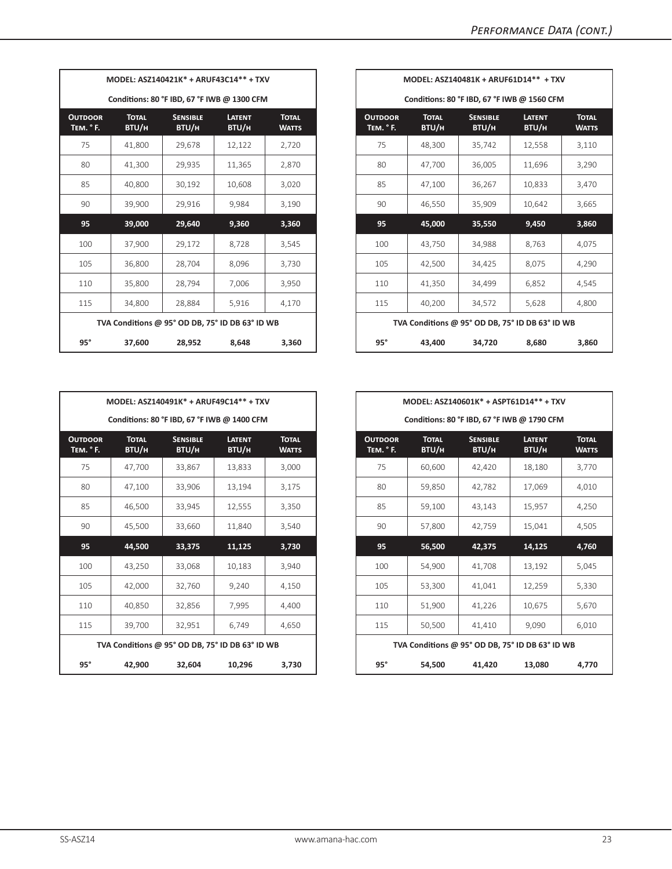| MODEL: ASZ140421K* + ARUF43C14** + TXV      |                       |                                                 |                        |                              |  |  |  |  |  |  |
|---------------------------------------------|-----------------------|-------------------------------------------------|------------------------|------------------------------|--|--|--|--|--|--|
| Conditions: 80 °F IBD, 67 °F IWB @ 1300 CFM |                       |                                                 |                        |                              |  |  |  |  |  |  |
| <b>OUTDOOR</b><br>TEM. °F.                  | <b>TOTAL</b><br>BTU/H | <b>SENSIBLE</b><br>BTU/H                        | <b>LATENT</b><br>BTU/H | <b>TOTAL</b><br><b>WATTS</b> |  |  |  |  |  |  |
| 75                                          | 41,800                | 29,678                                          | 12,122                 | 2,720                        |  |  |  |  |  |  |
| 80                                          | 41,300                | 29,935                                          | 11,365                 | 2,870                        |  |  |  |  |  |  |
| 85                                          | 40,800                | 30,192                                          | 10,608                 | 3,020                        |  |  |  |  |  |  |
| 90                                          | 39,900                | 29,916                                          | 9,984                  | 3,190                        |  |  |  |  |  |  |
| 95                                          | 39,000                | 29,640                                          | 9,360                  | 3,360                        |  |  |  |  |  |  |
| 100                                         | 37,900                | 29,172                                          | 8,728                  | 3,545                        |  |  |  |  |  |  |
| 105                                         | 36,800                | 28,704                                          | 8,096                  | 3,730                        |  |  |  |  |  |  |
| 110                                         | 35,800                | 28,794                                          | 7,006                  | 3,950                        |  |  |  |  |  |  |
| 115<br>34,800<br>5,916<br>4,170<br>28,884   |                       |                                                 |                        |                              |  |  |  |  |  |  |
|                                             |                       |                                                 |                        |                              |  |  |  |  |  |  |
|                                             |                       | TVA Conditions @ 95° OD DB, 75° ID DB 63° ID WB |                        |                              |  |  |  |  |  |  |

|                         |                                                 | Conditions: 80 °F IBD, 67 °F IWB @ 1300 CFM |                        |                              |  |  |  |
|-------------------------|-------------------------------------------------|---------------------------------------------|------------------------|------------------------------|--|--|--|
| <b>TDOOR</b><br>м. ° F. | <b>TOTAL</b><br>BTU/H                           | <b>SENSIBLE</b><br>BTU/H                    | <b>LATENT</b><br>BTU/H | <b>TOTAL</b><br><b>WATTS</b> |  |  |  |
| 75                      | 41,800                                          | 29,678                                      | 12,122                 | 2,720                        |  |  |  |
| 80                      | 41,300                                          | 29,935                                      | 11,365                 | 2,870                        |  |  |  |
| 85                      | 40,800                                          | 30,192                                      | 10,608                 | 3,020                        |  |  |  |
| 90                      | 39,900                                          | 29,916                                      | 9,984                  | 3,190                        |  |  |  |
| 95                      | 39,000                                          | 29,640                                      | 9,360                  | 3,360                        |  |  |  |
| 100                     | 37,900                                          | 29,172                                      | 8,728                  | 3,545                        |  |  |  |
| 105                     | 36,800                                          | 28,704                                      | 8,096                  | 3,730                        |  |  |  |
| 110                     | 35,800                                          | 28.794                                      | 7,006                  | 3,950                        |  |  |  |
| 115                     | 34,800                                          | 28,884                                      | 5,916                  | 4,170                        |  |  |  |
|                         | TVA Conditions @ 95° OD DB, 75° ID DB 63° ID WB |                                             |                        |                              |  |  |  |
| $95^\circ$              | 37,600                                          | 28,952                                      | 8,648                  | 3,360                        |  |  |  |

**MODEL: ASZ140481K + ARUF61D14\*\* + TXV** 

|                         |                       | MODEL: ASZ140491K* + ARUF49C14** + TXV          |                        |                              | MODEL: ASZ140601K* + ASPT61D14** + TXV |                            |                       |                                                 |                        |                              |
|-------------------------|-----------------------|-------------------------------------------------|------------------------|------------------------------|----------------------------------------|----------------------------|-----------------------|-------------------------------------------------|------------------------|------------------------------|
|                         |                       | Conditions: 80 °F IBD, 67 °F IWB @ 1400 CFM     |                        |                              |                                        |                            |                       | Conditions: 80 °F IBD, 67 °F IWB @ 1790 CFM     |                        |                              |
| <b>TDOOR</b><br>м. ° F. | <b>TOTAL</b><br>BTU/H | <b>SENSIBLE</b><br>BTU/H                        | <b>LATENT</b><br>BTU/H | <b>TOTAL</b><br><b>WATTS</b> |                                        | <b>OUTDOOR</b><br>TEM. °F. | <b>TOTAL</b><br>BTU/H | <b>SENSIBLE</b><br>BTU/H                        | <b>LATENT</b><br>BTU/H | <b>TOTAL</b><br><b>WATTS</b> |
| 75                      | 47,700                | 33,867                                          | 13,833                 | 3,000                        |                                        | 75                         | 60,600                | 42,420                                          | 18,180                 | 3,770                        |
| 80                      | 47,100                | 33,906                                          | 13,194                 | 3,175                        |                                        | 80                         | 59,850                | 42,782                                          | 17,069                 | 4,010                        |
| 85                      | 46,500                | 33,945                                          | 12,555                 | 3,350                        |                                        | 85                         | 59,100                | 43,143                                          | 15,957                 | 4,250                        |
| 90                      | 45,500                | 33,660                                          | 11,840                 | 3,540                        |                                        | 90                         | 57.800                | 42,759                                          | 15,041                 | 4,505                        |
| 95                      | 44,500                | 33,375                                          | 11,125                 | 3,730                        |                                        | 95                         | 56,500                | 42,375                                          | 14,125                 | 4,760                        |
| 100                     | 43,250                | 33,068                                          | 10,183                 | 3,940                        |                                        | 100                        | 54,900                | 41,708                                          | 13,192                 | 5,045                        |
| 105                     | 42.000                | 32.760                                          | 9,240                  | 4,150                        |                                        | 105                        | 53.300                | 41.041                                          | 12,259                 | 5,330                        |
| 110                     | 40.850                | 32,856                                          | 7,995                  | 4,400                        |                                        | 110                        | 51,900                | 41,226                                          | 10,675                 | 5,670                        |
| 115                     | 39,700                | 32,951                                          | 6,749                  | 4,650                        |                                        | 115                        | 50,500                | 41,410                                          | 9,090                  | 6,010                        |
|                         |                       | TVA Conditions @ 95° OD DB, 75° ID DB 63° ID WB |                        |                              |                                        |                            |                       | TVA Conditions @ 95° OD DB, 75° ID DB 63° ID WB |                        |                              |
| $95^\circ$              | 42,900                | 32,604                                          | 10,296                 | 3,730                        |                                        | $95^\circ$                 | 54,500                | 41,420                                          | 13,080                 | 4,770                        |
|                         |                       |                                                 |                        |                              |                                        |                            |                       |                                                 |                        |                              |

| MODEL: ASZ140491K* + ARUF49C14** + TXV      |                                                 |                          |                        |                              |  |  |  |  |  |  |  |
|---------------------------------------------|-------------------------------------------------|--------------------------|------------------------|------------------------------|--|--|--|--|--|--|--|
| Conditions: 80 °F IBD, 67 °F IWB @ 1400 CFM |                                                 |                          |                        |                              |  |  |  |  |  |  |  |
| <b>OUTDOOR</b><br>TEM. °F.                  | <b>TOTAL</b><br>BTU/H                           | <b>SENSIBLE</b><br>BTU/H | <b>LATENT</b><br>BTU/H | <b>TOTAL</b><br><b>WATTS</b> |  |  |  |  |  |  |  |
| 75                                          | 47,700                                          | 33,867                   | 13,833                 | 3,000                        |  |  |  |  |  |  |  |
| 80                                          | 47,100                                          | 33,906                   | 13,194                 | 3,175                        |  |  |  |  |  |  |  |
| 85                                          | 46,500                                          | 33,945                   | 12,555                 | 3,350                        |  |  |  |  |  |  |  |
| 90                                          | 45,500                                          | 33,660                   | 11,840                 | 3,540                        |  |  |  |  |  |  |  |
| 95                                          | 44,500                                          | 33,375                   | 11,125                 | 3,730                        |  |  |  |  |  |  |  |
| 100                                         | 43,250                                          | 33,068                   | 10,183                 | 3,940                        |  |  |  |  |  |  |  |
| 105                                         | 42,000                                          | 32,760                   | 9,240                  | 4,150                        |  |  |  |  |  |  |  |
| 110                                         | 40,850                                          | 32,856                   | 7,995                  | 4,400                        |  |  |  |  |  |  |  |
| 115                                         | 39,700                                          | 32,951                   | 6,749                  | 4,650                        |  |  |  |  |  |  |  |
|                                             | TVA Conditions @ 95° OD DB, 75° ID DB 63° ID WB |                          |                        |                              |  |  |  |  |  |  |  |
| $95^\circ$                                  | 42,900                                          | 32,604                   | 10,296                 | 3,730                        |  |  |  |  |  |  |  |

г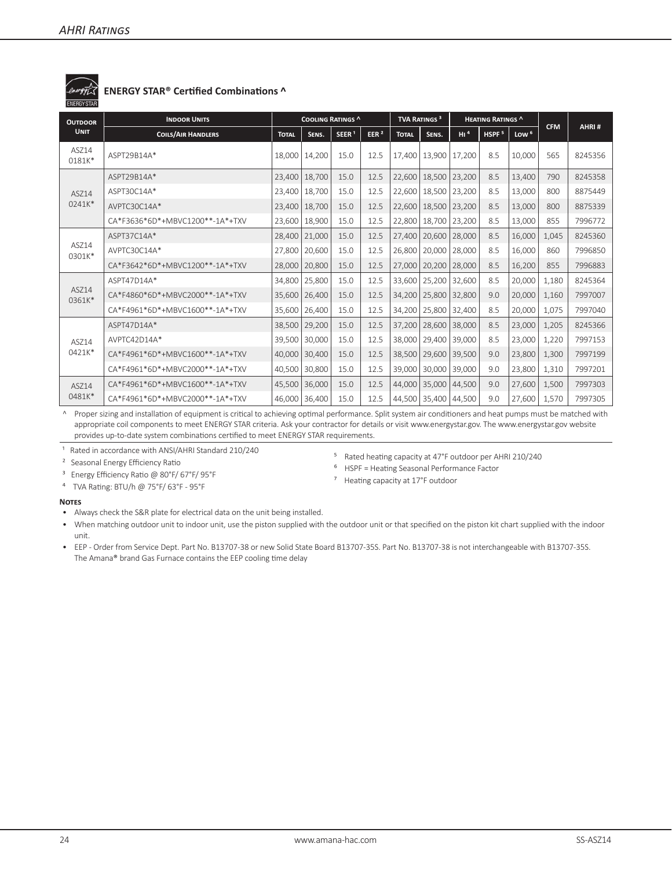| <b>OUTDOOR</b>  | <b>INDOOR UNITS</b>             |              | COOLING RATINGS ^ |                   |                  | <b>TVA RATINGS<sup>3</sup></b> |        |                 | <b>HEATING RATINGS ^</b> |                  | <b>CFM</b> | AHRI#   |
|-----------------|---------------------------------|--------------|-------------------|-------------------|------------------|--------------------------------|--------|-----------------|--------------------------|------------------|------------|---------|
| <b>UNIT</b>     | <b>COILS/AIR HANDLERS</b>       | <b>TOTAL</b> | SENS.             | SEER <sup>1</sup> | EER <sup>2</sup> | <b>TOTAL</b>                   | SENS.  | H1 <sup>4</sup> | HSPF <sup>5</sup>        | Low <sup>6</sup> |            |         |
| ASZ14<br>0181K* | ASPT29B14A*                     | 18,000       | 14,200            | 15.0              | 12.5             | 17,400                         | 13,900 | 17,200          | 8.5                      | 10,000           | 565        | 8245356 |
|                 | ASPT29B14A*                     | 23,400       | 18,700            | 15.0              | 12.5             | 22,600                         | 18,500 | 23,200          | 8.5                      | 13,400           | 790        | 8245358 |
| ASZ14           | ASPT30C14A*                     | 23,400       | 18,700            | 15.0              | 12.5             | 22,600                         | 18,500 | 23,200          | 8.5                      | 13,000           | 800        | 8875449 |
| 0241K*          | AVPTC30C14A*                    | 23,400       | 18,700            | 15.0              | 12.5             | 22,600                         | 18,500 | 23,200          | 8.5                      | 13,000           | 800        | 8875339 |
|                 | CA*F3636*6D*+MBVC1200**-1A*+TXV | 23,600       | 18,900            | 15.0              | 12.5             | 22,800                         | 18,700 | 23,200          | 8.5                      | 13,000           | 855        | 7996772 |
|                 | ASPT37C14A*                     | 28,400       | 21,000            | 15.0              | 12.5             | 27,400                         | 20,600 | 28,000          | 8.5                      | 16,000           | 1,045      | 8245360 |
| ASZ14<br>0301K* | AVPTC30C14A*                    | 27,800       | 20,600            | 15.0              | 12.5             | 26,800                         | 20,000 | 28,000          | 8.5                      | 16,000           | 860        | 7996850 |
|                 | CA*F3642*6D*+MBVC1200**-1A*+TXV | 28,000       | 20,800            | 15.0              | 12.5             | 27,000                         | 20,200 | 28,000          | 8.5                      | 16,200           | 855        | 7996883 |
|                 | ASPT47D14A*                     | 34,800       | 25,800            | 15.0              | 12.5             | 33,600                         | 25,200 | 32,600          | 8.5                      | 20,000           | 1,180      | 8245364 |
| ASZ14<br>0361K* | CA*F4860*6D*+MBVC2000**-1A*+TXV | 35,600       | 26,400            | 15.0              | 12.5             | 34,200                         | 25,800 | 32,800          | 9.0                      | 20,000           | 1,160      | 7997007 |
|                 | CA*F4961*6D*+MBVC1600**-1A*+TXV | 35,600       | 26,400            | 15.0              | 12.5             | 34,200                         | 25,800 | 32,400          | 8.5                      | 20,000           | 1,075      | 7997040 |
|                 | ASPT47D14A*                     | 38,500       | 29,200            | 15.0              | 12.5             | 37,200                         | 28,600 | 38,000          | 8.5                      | 23,000           | 1,205      | 8245366 |
| ASZ14           | AVPTC42D14A*                    | 39,500       | 30,000            | 15.0              | 12.5             | 38,000                         | 29,400 | 39,000          | 8.5                      | 23,000           | 1,220      | 7997153 |
| 0421K*          | CA*F4961*6D*+MBVC1600**-1A*+TXV | 40,000       | 30,400            | 15.0              | 12.5             | 38,500                         | 29,600 | 39,500          | 9.0                      | 23,800           | 1,300      | 7997199 |
|                 | CA*F4961*6D*+MBVC2000**-1A*+TXV | 40,500       | 30,800            | 15.0              | 12.5             | 39,000                         | 30,000 | 39,000          | 9.0                      | 23,800           | 1,310      | 7997201 |
| AS714           | CA*F4961*6D*+MBVC1600**-1A*+TXV | 45,500       | 36,000            | 15.0              | 12.5             | 44,000                         | 35,000 | 44,500          | 9.0                      | 27,600           | 1,500      | 7997303 |
| 0481K*          | CA*F4961*6D*+MBVC2000**-1A*+TXV | 46,000       | 36,400            | 15.0              | 12.5             | 44,500                         | 35,400 | 44,500          | 9.0                      | 27,600           | 1,570      | 7997305 |

^ Proper sizing and installation of equipment is critical to achieving optimal performance. Split system air conditioners and heat pumps must be matched with appropriate coil components to meet ENERGY STAR criteria. Ask your contractor for details or visit www.energystar.gov. The www.energystar.gov website provides up-to-date system combinations certified to meet ENERGY STAR requirements.

<sup>1</sup> Rated in accordance with ANSI/AHRI Standard 210/240

<sup>2</sup> Seasonal Energy Efficiency Ratio

- ³ Energy Efficiency Ratio @ 80°F/ 67°F/ 95°F
- ⁴ TVA Rating: BTU/h @ 75°F/ 63°F 95°F
- ⁵ Rated heating capacity at 47°F outdoor per AHRI 210/240
- ⁶ HSPF = Heating Seasonal Performance Factor

<sup>7</sup> Heating capacity at 17°F outdoor

- 
- **Notes**
- Always check the S&R plate for electrical data on the unit being installed.
- When matching outdoor unit to indoor unit, use the piston supplied with the outdoor unit or that specified on the piston kit chart supplied with the indoor unit.
- EEP Order from Service Dept. Part No. B13707-38 or new Solid State Board B13707-35S. Part No. B13707-38 is not interchangeable with B13707-35S. The Amana® brand Gas Furnace contains the EEP cooling time delay

## **ENERGY STAR® Certified Combinations ^**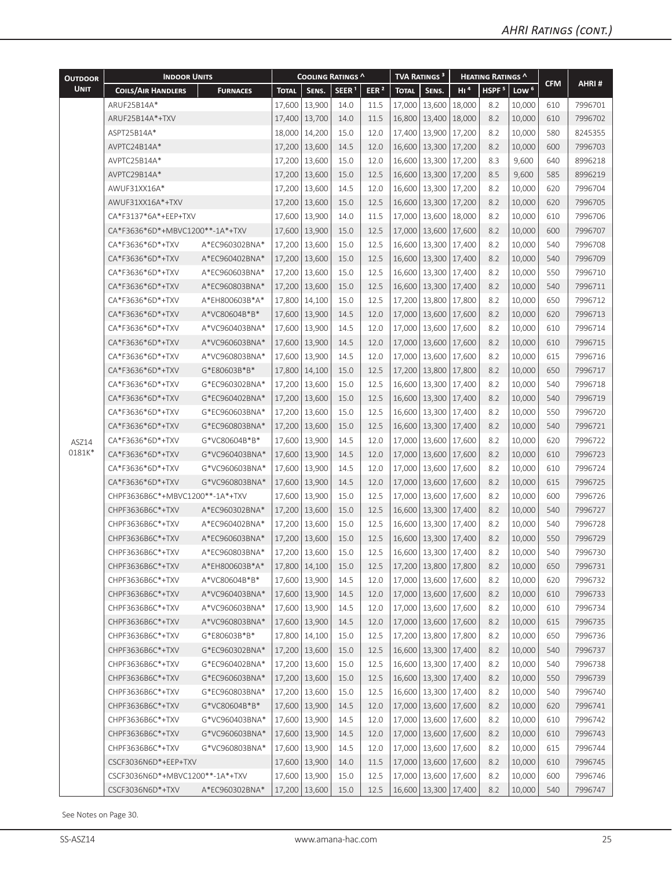| <b>OUTDOOR</b> | <b>INDOOR UNITS</b>             |                 |              |                 | <b>COOLING RATINGS ^</b> |                  |              | <b>TVA RATINGS<sup>3</sup></b> |                 | <b>HEATING RATINGS ^</b> |                  |            | AHRI#   |
|----------------|---------------------------------|-----------------|--------------|-----------------|--------------------------|------------------|--------------|--------------------------------|-----------------|--------------------------|------------------|------------|---------|
| <b>UNIT</b>    | <b>COILS/AIR HANDLERS</b>       | <b>FURNACES</b> | <b>TOTAL</b> | SENS.           | SEER <sup>1</sup>        | EER <sup>2</sup> | <b>TOTAL</b> | SENS.                          | H1 <sup>4</sup> | HSPF <sup>5</sup>        | Low <sup>6</sup> | <b>CFM</b> |         |
|                | ARUF25B14A*                     |                 | 17,600       | 13,900          | 14.0                     | 11.5             | 17,000       | 13,600                         | 18,000          | 8.2                      | 10,000           | 610        | 7996701 |
|                | ARUF25B14A*+TXV                 |                 |              | 17,400   13,700 | 14.0                     | 11.5             | 16,800       | 13,400                         | 18,000          | 8.2                      | 10,000           | 610        | 7996702 |
|                | ASPT25B14A*                     |                 | 18,000       | 14,200          | 15.0                     | 12.0             | 17,400       | 13,900                         | 17,200          | 8.2                      | 10,000           | 580        | 8245355 |
|                | AVPTC24B14A*                    |                 |              | 17,200   13,600 | 14.5                     | 12.0             | 16,600       | 13,300                         | 17,200          | 8.2                      | 10,000           | 600        | 7996703 |
|                | AVPTC25B14A*                    |                 | 17,200       | 13,600          | 15.0                     | 12.0             |              | 16,600   13,300   17,200       |                 | 8.3                      | 9,600            | 640        | 8996218 |
|                | AVPTC29B14A*                    |                 | 17,200       | 13,600          | 15.0                     | 12.5             | 16,600       | 13,300                         | 17,200          | 8.5                      | 9,600            | 585        | 8996219 |
|                | AWUF31XX16A*                    |                 | 17,200       | 13,600          | 14.5                     | 12.0             | 16,600       | 13,300                         | 17,200          | 8.2                      | 10,000           | 620        | 7996704 |
|                | AWUF31XX16A*+TXV                |                 |              | 17,200   13,600 | 15.0                     | 12.5             | 16,600       | 13,300                         | 17,200          | 8.2                      | 10,000           | 620        | 7996705 |
|                | CA*F3137*6A*+EEP+TXV            |                 |              | 17,600   13,900 | 14.0                     | 11.5             | 17,000       | 13,600                         | 18,000          | 8.2                      | 10,000           | 610        | 7996706 |
|                | CA*F3636*6D*+MBVC1200**-1A*+TXV |                 |              | 17,600   13,900 | 15.0                     | 12.5             | 17,000       | 13,600                         | 17,600          | 8.2                      | 10,000           | 600        | 7996707 |
|                | CA*F3636*6D*+TXV                | A*EC960302BNA*  | 17,200       | 13,600          | 15.0                     | 12.5             | 16,600       | 13,300                         | 17,400          | 8.2                      | 10,000           | 540        | 7996708 |
|                | CA*F3636*6D*+TXV                | A*EC960402BNA*  | 17,200       | 13,600          | 15.0                     | 12.5             | 16,600       | 13,300                         | 17,400          | 8.2                      | 10,000           | 540        | 7996709 |
|                | CA*F3636*6D*+TXV                | A*EC960603BNA*  | 17,200       | 13,600          | 15.0                     | 12.5             |              | 16,600   13,300   17,400       |                 | 8.2                      | 10,000           | 550        | 7996710 |
|                | CA*F3636*6D*+TXV                | A*EC960803BNA*  | 17,200       | 13,600          | 15.0                     | 12.5             |              | 16,600   13,300                | 17,400          | 8.2                      | 10,000           | 540        | 7996711 |
|                | CA*F3636*6D*+TXV                | A*EH800603B*A*  | 17,800       | 14,100          | 15.0                     | 12.5             | 17,200       | 13,800                         | 17,800          | 8.2                      | 10,000           | 650        | 7996712 |
|                | CA*F3636*6D*+TXV                | A*VC80604B*B*   | 17,600       | 13,900          | 14.5                     | 12.0             | 17,000       | 13,600                         | 17,600          | 8.2                      | 10,000           | 620        | 7996713 |
|                | CA*F3636*6D*+TXV                | A*VC960403BNA*  |              | 17,600   13,900 | 14.5                     | 12.0             |              | 17,000   13,600   17,600       |                 | 8.2                      | 10,000           | 610        | 7996714 |
|                | CA*F3636*6D*+TXV                | A*VC960603BNA*  |              | 17,600   13,900 | 14.5                     | 12.0             |              | 17,000   13,600                | 17,600          | 8.2                      | 10,000           | 610        | 7996715 |
|                | CA*F3636*6D*+TXV                | A*VC960803BNA*  | 17,600       | 13,900          | 14.5                     | 12.0             | 17,000       | 13,600                         | 17,600          | 8.2                      | 10,000           | 615        | 7996716 |
|                | CA*F3636*6D*+TXV                | G*E80603B*B*    | 17,800       | 14,100          | 15.0                     | 12.5             | 17,200       | 13,800                         | 17,800          | 8.2                      | 10,000           | 650        | 7996717 |
|                | CA*F3636*6D*+TXV                | G*EC960302BNA*  | 17,200       | 13,600          | 15.0                     | 12.5             |              | 16,600   13,300   17,400       |                 | 8.2                      | 10,000           | 540        | 7996718 |
|                | CA*F3636*6D*+TXV                | G*EC960402BNA*  | 17,200       | 13,600          | 15.0                     | 12.5             | 16,600       | 13,300                         | 17,400          | 8.2                      | 10,000           | 540        | 7996719 |
|                | CA*F3636*6D*+TXV                | G*EC960603BNA*  | 17,200       | 13,600          | 15.0                     | 12.5             | 16,600       | 13,300                         | 17,400          | 8.2                      | 10,000           | 550        | 7996720 |
|                | CA*F3636*6D*+TXV                | G*EC960803BNA*  | 17,200       | 13,600          | 15.0                     | 12.5             | 16,600       | 13,300                         | 17,400          | 8.2                      | 10,000           | 540        | 7996721 |
| ASZ14          | CA*F3636*6D*+TXV                | G*VC80604B*B*   | 17,600       | 13,900          | 14.5                     | 12.0             |              | 17,000   13,600                | 17,600          | 8.2                      | 10,000           | 620        | 7996722 |
| 0181K*         | CA*F3636*6D*+TXV                | G*VC960403BNA*  |              | 17,600   13,900 | 14.5                     | 12.0             | 17,000       | 13,600                         | 17,600          | 8.2                      | 10,000           | 610        | 7996723 |
|                | CA*F3636*6D*+TXV                | G*VC960603BNA*  | 17,600       | 13,900          | 14.5                     | 12.0             | 17,000       | 13,600                         | 17,600          | 8.2                      | 10,000           | 610        | 7996724 |
|                | CA*F3636*6D*+TXV                | G*VC960803BNA*  | 17,600       | 13,900          | 14.5                     | 12.0             | 17,000       | 13,600                         | 17,600          | 8.2                      | 10,000           | 615        | 7996725 |
|                | CHPF3636B6C*+MBVC1200**-1A*+TXV |                 |              | 17,600   13,900 | 15.0                     | 12.5             |              | 17,000   13,600   17,600       |                 | 8.2                      | 10,000           | 600        | 7996726 |
|                | CHPF3636B6C*+TXV                | A*EC960302BNA*  |              | 17,200   13,600 | 15.0                     | 12.5             |              | 16,600   13,300                | 17,400          | 8.2                      | 10,000           | 540        | 7996727 |
|                | CHPF3636B6C*+TXV                | A*EC960402BNA*  | 17,200       | 13,600          | 15.0                     | 12.5             |              | 16,600   13,300                | 17,400          | 8.2                      | 10,000           | 540        | 7996728 |
|                | CHPF3636B6C*+TXV                | A*EC960603BNA*  | 17,200       | 13,600          | 15.0                     | 12.5             | 16,600       | 13,300                         | 17,400          | 8.2                      | 10,000           | 550        | 7996729 |
|                | CHPF3636B6C*+TXV                | A*EC960803BNA*  | 17,200       | 13,600          | 15.0                     | 12.5             |              | 16,600   13,300   17,400       |                 | 8.2                      | 10,000           | 540        | 7996730 |
|                | CHPF3636B6C*+TXV                | A*EH800603B*A*  |              | 17,800 14,100   | 15.0                     | 12.5             |              | 17,200 13,800 17,800           |                 | 8.2                      | 10,000           | 650        | 7996731 |
|                | CHPF3636B6C*+TXV                | A*VC80604B*B*   |              | 17,600   13,900 | 14.5                     | 12.0             |              | 17,000   13,600   17,600       |                 | 8.2                      | 10,000           | 620        | 7996732 |
|                | CHPF3636B6C*+TXV                | A*VC960403BNA*  |              | 17,600   13,900 | 14.5                     | 12.0             |              | 17,000   13,600   17,600       |                 | 8.2                      | 10,000           | 610        | 7996733 |
|                | CHPF3636B6C*+TXV                | A*VC960603BNA*  |              | 17,600 13,900   | 14.5                     | 12.0             |              | 17,000 13,600 17,600           |                 | 8.2                      | 10,000           | 610        | 7996734 |
|                | CHPF3636B6C*+TXV                | A*VC960803BNA*  |              | 17,600   13,900 | 14.5                     | 12.0             |              | 17,000   13,600   17,600       |                 | 8.2                      | 10,000           | 615        | 7996735 |
|                | CHPF3636B6C*+TXV                | G*E80603B*B*    |              | 17,800 14,100   | 15.0                     | 12.5             |              | 17,200   13,800   17,800       |                 | 8.2                      | 10,000           | 650        | 7996736 |
|                | CHPF3636B6C*+TXV                | G*EC960302BNA*  |              | 17,200 13,600   | 15.0                     | 12.5             |              | 16,600   13,300   17,400       |                 | 8.2                      | 10,000           | 540        | 7996737 |
|                | CHPF3636B6C*+TXV                | G*EC960402BNA*  |              | 17,200 13,600   | 15.0                     | 12.5             |              | 16,600   13,300   17,400       |                 | 8.2                      | 10,000           | 540        | 7996738 |
|                | CHPF3636B6C*+TXV                | G*EC960603BNA*  |              | 17,200   13,600 | 15.0                     | 12.5             |              | 16,600   13,300   17,400       |                 | 8.2                      | 10,000           | 550        | 7996739 |
|                | CHPF3636B6C*+TXV                | G*EC960803BNA*  |              | 17,200   13,600 | 15.0                     | 12.5             |              | 16,600   13,300   17,400       |                 | 8.2                      | 10,000           | 540        | 7996740 |
|                | CHPF3636B6C*+TXV                | G*VC80604B*B*   |              | 17,600   13,900 | 14.5                     | 12.0             |              | 17,000   13,600   17,600       |                 | 8.2                      | 10,000           | 620        | 7996741 |
|                | CHPF3636B6C*+TXV                | G*VC960403BNA*  |              | 17,600   13,900 | 14.5                     | 12.0             |              | 17,000   13,600   17,600       |                 | 8.2                      | 10,000           | 610        | 7996742 |
|                | CHPF3636B6C*+TXV                | G*VC960603BNA*  |              | 17,600   13,900 | 14.5                     | 12.0             |              | 17,000   13,600   17,600       |                 | 8.2                      | 10,000           | 610        | 7996743 |
|                | CHPF3636B6C*+TXV                | G*VC960803BNA*  |              | 17,600   13,900 | 14.5                     | 12.0             |              | 17,000   13,600   17,600       |                 | 8.2                      | 10,000           | 615        | 7996744 |
|                | CSCF3036N6D*+EEP+TXV            |                 |              | 17,600 13,900   | 14.0                     | 11.5             |              | 17,000   13,600   17,600       |                 | 8.2                      | 10,000           | 610        | 7996745 |
|                | CSCF3036N6D*+MBVC1200**-1A*+TXV |                 |              | 17,600 13,900   | 15.0                     | 12.5             |              | 17,000   13,600   17,600       |                 | 8.2                      | 10,000           | 600        | 7996746 |
|                | CSCF3036N6D*+TXV                | A*EC960302BNA*  |              | 17,200   13,600 | 15.0                     | 12.5             |              | 16,600   13,300   17,400       |                 | 8.2                      | 10,000           | 540        | 7996747 |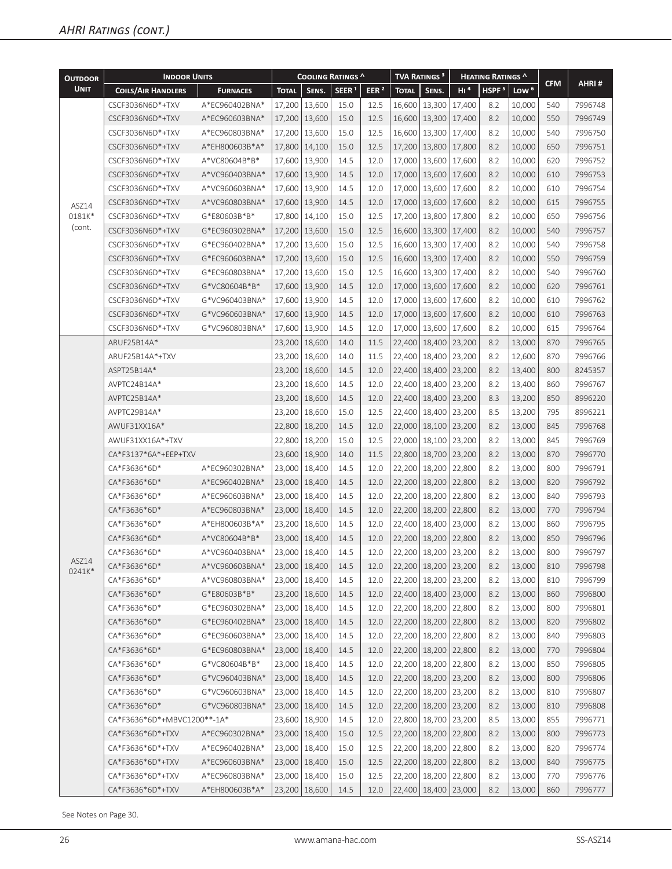| <b>OUTDOOR</b> | <b>INDOOR UNITS</b>         |                 |                 | <b>COOLING RATINGS ^</b> |                   |                  |              | <b>TVA RATINGS<sup>3</sup></b> |                 | <b>HEATING RATINGS ^</b> |                  |            |         |
|----------------|-----------------------------|-----------------|-----------------|--------------------------|-------------------|------------------|--------------|--------------------------------|-----------------|--------------------------|------------------|------------|---------|
| <b>UNIT</b>    | <b>COILS/AIR HANDLERS</b>   | <b>FURNACES</b> | <b>TOTAL</b>    | SENS.                    | SEER <sup>1</sup> | EER <sup>2</sup> | <b>TOTAL</b> | SENS.                          | H1 <sup>4</sup> | HSPF <sup>5</sup>        | Low <sup>6</sup> | <b>CFM</b> | AHRI#   |
|                | CSCF3036N6D*+TXV            | A*EC960402BNA*  | 17,200          | 13,600                   | 15.0              | 12.5             | 16,600       | 13,300 17,400                  |                 | 8.2                      | 10,000           | 540        | 7996748 |
|                | CSCF3036N6D*+TXV            | A*EC960603BNA*  | 17,200          | 13,600                   | 15.0              | 12.5             | 16,600       | 13,300   17,400                |                 | 8.2                      | 10,000           | 550        | 7996749 |
|                | CSCF3036N6D*+TXV            | A*EC960803BNA*  |                 | 17,200   13,600          | 15.0              | 12.5             | 16,600       | 13,300   17,400                |                 | 8.2                      | 10,000           | 540        | 7996750 |
|                | CSCF3036N6D*+TXV            | A*EH800603B*A*  |                 | 17,800   14,100          | 15.0              | 12.5             | 17,200       | 13,800                         | 17,800          | 8.2                      | 10,000           | 650        | 7996751 |
|                | CSCF3036N6D*+TXV            | A*VC80604B*B*   | 17,600          | 13,900                   | 14.5              | 12.0             | 17,000       | 13,600                         | 17,600          | 8.2                      | 10,000           | 620        | 7996752 |
|                | CSCF3036N6D*+TXV            | A*VC960403BNA*  | 17,600          | 13,900                   | 14.5              | 12.0             | 17,000       | 13,600                         | 17,600          | 8.2                      | 10,000           | 610        | 7996753 |
|                | CSCF3036N6D*+TXV            | A*VC960603BNA*  |                 | 17,600   13,900          | 14.5              | 12.0             | 17,000       | 13,600                         | 17,600          | 8.2                      | 10,000           | 610        | 7996754 |
| ASZ14          | CSCF3036N6D*+TXV            | A*VC960803BNA*  | 17,600          | 13,900                   | 14.5              | 12.0             | 17,000       | 13,600                         | 17,600          | 8.2                      | 10,000           | 615        | 7996755 |
| 0181K*         | CSCF3036N6D*+TXV            | G*E80603B*B*    | 17,800          | 14,100                   | 15.0              | 12.5             | 17,200       | 13,800                         | 17,800          | 8.2                      | 10,000           | 650        | 7996756 |
| (cont.         | CSCF3036N6D*+TXV            | G*EC960302BNA*  | 17,200          | 13,600                   | 15.0              | 12.5             | 16,600       | 13,300                         | 17,400          | 8.2                      | 10,000           | 540        | 7996757 |
|                | CSCF3036N6D*+TXV            | G*EC960402BNA*  | 17,200   13,600 |                          | 15.0              | 12.5             | 16,600       | 13,300   17,400                |                 | 8.2                      | 10,000           | 540        | 7996758 |
|                | CSCF3036N6D*+TXV            | G*EC960603BNA*  |                 | 17,200   13,600          | 15.0              | 12.5             | 16,600       | 13,300   17,400                |                 | 8.2                      | 10,000           | 550        | 7996759 |
|                | CSCF3036N6D*+TXV            | G*EC960803BNA*  |                 | 17,200   13,600          | 15.0              | 12.5             | 16,600       | 13,300   17,400                |                 | 8.2                      | 10,000           | 540        | 7996760 |
|                | CSCF3036N6D*+TXV            | G*VC80604B*B*   | 17,600          | 13,900                   | 14.5              | 12.0             | 17,000       | 13,600                         | 17,600          | 8.2                      | 10,000           | 620        | 7996761 |
|                | CSCF3036N6D*+TXV            | G*VC960403BNA*  | 17,600          | 13,900                   | 14.5              | 12.0             | 17,000       | 13,600                         | 17,600          | 8.2                      | 10,000           | 610        | 7996762 |
|                | CSCF3036N6D*+TXV            | G*VC960603BNA*  | 17,600          | 13,900                   | 14.5              | 12.0             | 17,000       | 13,600                         | 17,600          | 8.2                      | 10,000           | 610        | 7996763 |
|                | CSCF3036N6D*+TXV            | G*VC960803BNA*  | 17,600          | 13,900                   | 14.5              | 12.0             | 17,000       | 13,600                         | 17,600          | 8.2                      | 10,000           | 615        | 7996764 |
|                | ARUF25B14A*                 |                 | 23,200          | 18,600                   | 14.0              | 11.5             | 22,400       | 18,400   23,200                |                 | 8.2                      | 13,000           | 870        | 7996765 |
|                | ARUF25B14A*+TXV             |                 |                 | 23,200   18,600          | 14.0              | 11.5             | 22,400       | 18,400 23,200                  |                 | 8.2                      | 12,600           | 870        | 7996766 |
|                | ASPT25B14A*                 |                 |                 | 23,200   18,600          | 14.5              | 12.0             | 22,400       | 18,400   23,200                |                 | 8.2                      | 13,400           | 800        | 8245357 |
|                | AVPTC24B14A*                |                 |                 | 23,200   18,600          | 14.5              | 12.0             | 22,400       | 18,400                         | 23,200          | 8.2                      | 13,400           | 860        | 7996767 |
|                | AVPTC25B14A*                |                 | 23,200          | 18,600                   | 14.5              | 12.0             | 22,400       | 18,400                         | 23,200          | 8.3                      | 13,200           | 850        | 8996220 |
|                | AVPTC29B14A*                |                 | 23,200          | 18,600                   | 15.0              | 12.5             | 22,400       | 18,400                         | 23,200          | 8.5                      | 13,200           | 795        | 8996221 |
|                | AWUF31XX16A*                |                 | 22,800          | 18,200                   | 14.5              | 12.0             | 22,000       | 18,100   23,200                |                 | 8.2                      | 13,000           | 845        | 7996768 |
|                | AWUF31XX16A*+TXV            |                 | 22,800          | 18,200                   | 15.0              | 12.5             | 22,000       | 18,100                         | 23,200          | 8.2                      | 13,000           | 845        | 7996769 |
|                | CA*F3137*6A*+EEP+TXV        |                 | 23,600          | 18,900                   | 14.0              | 11.5             | 22,800       | 18,700                         | 23,200          | 8.2                      | 13,000           | 870        | 7996770 |
|                | CA*F3636*6D*                | A*EC960302BNA*  | 23,000   18,400 |                          | 14.5              | 12.0             | 22,200       | 18,200                         | 22,800          | 8.2                      | 13,000           | 800        | 7996791 |
|                | CA*F3636*6D*                | A*EC960402BNA*  |                 | 23,000   18,400          | 14.5              | 12.0             | 22,200       | 18,200   22,800                |                 | 8.2                      | 13,000           | 820        | 7996792 |
|                | CA*F3636*6D*                | A*EC960603BNA*  |                 | 23,000   18,400          | 14.5              | 12.0             | 22,200       | 18,200                         | 22,800          | 8.2                      | 13,000           | 840        | 7996793 |
|                | CA*F3636*6D*                | A*EC960803BNA*  | 23,000          | 18,400                   | 14.5              | 12.0             | 22,200       | 18,200                         | 22,800          | 8.2                      | 13,000           | 770        | 7996794 |
|                | CA*F3636*6D*                | A*EH800603B*A*  | 23,200          | 18,600                   | 14.5              | 12.0             | 22,400       | 18,400                         | 23,000          | 8.2                      | 13,000           | 860        | 7996795 |
|                | CA*F3636*6D*                | A*VC80604B*B*   | 23,000          | 18,400                   | 14.5              | 12.0             | 22,200       | 18,200                         | 22,800          | 8.2                      | 13,000           | 850        | 7996796 |
|                | CA*F3636*6D*                | A*VC960403BNA*  | 23,000          | 18,400                   | 14.5              | 12.0             | 22,200       | 18,200                         | 23,200          | 8.2                      | 13,000           | 800        | 7996797 |
| ASZ14          | CA*F3636*6D*                | A*VC960603BNA*  |                 | 23,000   18,400          | 14.5              | 12.0             |              | 22,200   18,200   23,200       |                 | 8.2                      | 13,000           | 810        | 7996798 |
| 0241K*         | CA*F3636*6D*                | A*VC960803BNA*  |                 | 23,000   18,400          | 14.5              | 12.0             |              | 22,200   18,200   23,200       |                 | 8.2                      | 13,000           | 810        | 7996799 |
|                | CA*F3636*6D*                | G*E80603B*B*    |                 | 23,200 18,600            | 14.5              | 12.0             |              | 22,400   18,400   23,000       |                 | 8.2                      | 13,000           | 860        | 7996800 |
|                | CA*F3636*6D*                | G*EC960302BNA*  |                 | 23,000 18,400            | 14.5              | 12.0             |              | 22,200   18,200   22,800       |                 | 8.2                      | 13,000           | 800        | 7996801 |
|                | CA*F3636*6D*                | G*EC960402BNA*  |                 | 23,000   18,400          | 14.5              | 12.0             |              | 22,200   18,200   22,800       |                 | 8.2                      | 13,000           | 820        | 7996802 |
|                | CA*F3636*6D*                | G*EC960603BNA*  | 23,000 18,400   |                          | 14.5              | 12.0             |              | 22,200   18,200   22,800       |                 | 8.2                      | 13,000           | 840        | 7996803 |
|                | CA*F3636*6D*                | G*EC960803BNA*  |                 | 23,000 18,400            | 14.5              | 12.0             |              | 22,200   18,200   22,800       |                 | 8.2                      | 13,000           | 770        | 7996804 |
|                | CA*F3636*6D*                | G*VC80604B*B*   |                 | 23,000   18,400          | 14.5              | 12.0             |              | 22,200   18,200   22,800       |                 | 8.2                      | 13,000           | 850        | 7996805 |
|                | CA*F3636*6D*                | G*VC960403BNA*  |                 | 23,000   18,400          | 14.5              | 12.0             |              | 22,200   18,200   23,200       |                 | 8.2                      | 13,000           | 800        | 7996806 |
|                | CA*F3636*6D*                | G*VC960603BNA*  | 23,000 18,400   |                          | 14.5              | 12.0             |              | 22,200   18,200   23,200       |                 | 8.2                      | 13,000           | 810        | 7996807 |
|                | CA*F3636*6D*                | G*VC960803BNA*  |                 | 23,000 18,400            | 14.5              | 12.0             |              | 22,200   18,200   23,200       |                 | 8.2                      | 13,000           | 810        | 7996808 |
|                | CA*F3636*6D*+MBVC1200**-1A* |                 |                 | 23,600   18,900          | 14.5              | 12.0             |              | 22,800   18,700   23,200       |                 | 8.5                      | 13,000           | 855        | 7996771 |
|                | CA*F3636*6D*+TXV            | A*EC960302BNA*  |                 | 23,000   18,400          | 15.0              | 12.5             |              | 22,200   18,200   22,800       |                 | 8.2                      | 13,000           | 800        | 7996773 |
|                | CA*F3636*6D*+TXV            | A*EC960402BNA*  | 23,000 18,400   |                          | 15.0              | 12.5             |              | 22,200   18,200   22,800       |                 | 8.2                      | 13,000           | 820        | 7996774 |
|                | CA*F3636*6D*+TXV            | A*EC960603BNA*  |                 | 23,000 18,400            | 15.0              | 12.5             |              | 22,200   18,200   22,800       |                 | 8.2                      | 13,000           | 840        | 7996775 |
|                | CA*F3636*6D*+TXV            | A*EC960803BNA*  | 23,000          | 18,400                   | 15.0              | 12.5             | 22,200       | 18,200                         | 22,800          | 8.2                      | 13,000           | 770        | 7996776 |
|                | CA*F3636*6D*+TXV            | A*EH800603B*A*  |                 | 23,200   18,600          | 14.5              | 12.0             |              | 22,400   18,400   23,000       |                 | 8.2                      | 13,000           | 860        | 7996777 |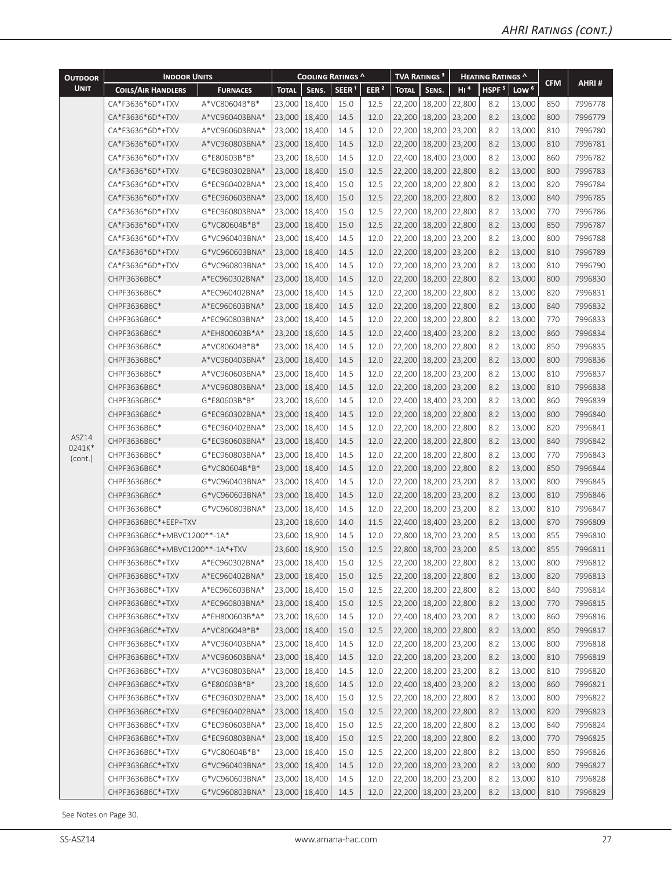| <b>OUTDOOR</b> | <b>INDOOR UNITS</b>             |                 |              |                 | <b>COOLING RATINGS ^</b> |                  |              | <b>TVA RATINGS<sup>3</sup></b> |                 | <b>HEATING RATINGS ^</b> |                  | <b>CFM</b> | AHRI#   |
|----------------|---------------------------------|-----------------|--------------|-----------------|--------------------------|------------------|--------------|--------------------------------|-----------------|--------------------------|------------------|------------|---------|
| <b>UNIT</b>    | <b>COILS/AIR HANDLERS</b>       | <b>FURNACES</b> | <b>TOTAL</b> | SENS.           | SEER <sup>1</sup>        | EER <sup>2</sup> | <b>TOTAL</b> | SENS.                          | H1 <sup>4</sup> | HSPF <sup>5</sup>        | Low <sup>6</sup> |            |         |
|                | CA*F3636*6D*+TXV                | A*VC80604B*B*   | 23,000       | 18,400          | 15.0                     | 12.5             |              | 22,200   18,200   22,800       |                 | 8.2                      | 13,000           | 850        | 7996778 |
|                | CA*F3636*6D*+TXV                | A*VC960403BNA*  | 23,000       | 18,400          | 14.5                     | 12.0             |              | 22,200   18,200   23,200       |                 | 8.2                      | 13,000           | 800        | 7996779 |
|                | CA*F3636*6D*+TXV                | A*VC960603BNA*  | 23,000       | 18,400          | 14.5                     | 12.0             | 22,200       | 18,200   23,200                |                 | 8.2                      | 13,000           | 810        | 7996780 |
|                | CA*F3636*6D*+TXV                | A*VC960803BNA*  | 23,000       | 18,400          | 14.5                     | 12.0             |              | 22,200   18,200   23,200       |                 | 8.2                      | 13,000           | 810        | 7996781 |
|                | CA*F3636*6D*+TXV                | G*E80603B*B*    | 23,200       | 18,600          | 14.5                     | 12.0             | 22,400       | 18,400                         | 23,000          | 8.2                      | 13,000           | 860        | 7996782 |
|                | CA*F3636*6D*+TXV                | G*EC960302BNA*  | 23,000       | 18,400          | 15.0                     | 12.5             | 22,200       | 18,200                         | 22,800          | 8.2                      | 13,000           | 800        | 7996783 |
|                | CA*F3636*6D*+TXV                | G*EC960402BNA*  | 23,000       | 18,400          | 15.0                     | 12.5             | 22,200       | 18,200                         | 22,800          | 8.2                      | 13,000           | 820        | 7996784 |
|                | CA*F3636*6D*+TXV                | G*EC960603BNA*  | 23,000       | 18,400          | 15.0                     | 12.5             | 22,200       | 18,200                         | 22,800          | 8.2                      | 13,000           | 840        | 7996785 |
|                | CA*F3636*6D*+TXV                | G*EC960803BNA*  | 23,000       | 18,400          | 15.0                     | 12.5             | 22,200       | 18,200                         | 22,800          | 8.2                      | 13,000           | 770        | 7996786 |
|                | CA*F3636*6D*+TXV                | G*VC80604B*B*   | 23,000       | 18,400          | 15.0                     | 12.5             | 22,200       | 18,200                         | 22,800          | 8.2                      | 13,000           | 850        | 7996787 |
|                | CA*F3636*6D*+TXV                | G*VC960403BNA*  | 23,000       | 18,400          | 14.5                     | 12.0             |              | 22,200   18,200   23,200       |                 | 8.2                      | 13,000           | 800        | 7996788 |
|                | CA*F3636*6D*+TXV                | G*VC960603BNA*  | 23,000       | 18,400          | 14.5                     | 12.0             |              | 22,200   18,200                | 23,200          | 8.2                      | 13,000           | 810        | 7996789 |
|                | CA*F3636*6D*+TXV                | G*VC960803BNA*  | 23,000       | 18,400          | 14.5                     | 12.0             | 22,200       | 18,200                         | 23,200          | 8.2                      | 13,000           | 810        | 7996790 |
|                | CHPF3636B6C*                    | A*EC960302BNA*  | 23,000       | 18,400          | 14.5                     | 12.0             |              | 22,200   18,200                | 22,800          | 8.2                      | 13,000           | 800        | 7996830 |
|                | CHPF3636B6C*                    | A*EC960402BNA*  | 23,000       | 18,400          | 14.5                     | 12.0             |              | 22,200   18,200                | 22,800          | 8.2                      | 13,000           | 820        | 7996831 |
|                | CHPF3636B6C*                    | A*EC960603BNA*  | 23,000       | 18,400          | 14.5                     | 12.0             |              | 22,200   18,200                | 22,800          | 8.2                      | 13,000           | 840        | 7996832 |
|                | CHPF3636B6C*                    | A*EC960803BNA*  | 23,000       | 18,400          | 14.5                     | 12.0             |              | 22,200   18,200                | 22,800          | 8.2                      | 13,000           | 770        | 7996833 |
|                | CHPF3636B6C*                    | A*EH800603B*A*  | 23,200       | 18,600          | 14.5                     | 12.0             |              | 22,400   18,400                | 23,200          | 8.2                      | 13,000           | 860        | 7996834 |
|                | CHPF3636B6C*                    | A*VC80604B*B*   | 23,000       | 18,400          | 14.5                     | 12.0             | 22,200       | 18,200                         | 22,800          | 8.2                      | 13,000           | 850        | 7996835 |
|                | CHPF3636B6C*                    | A*VC960403BNA*  | 23,000       | 18,400          | 14.5                     | 12.0             |              | 22,200   18,200   23,200       |                 | 8.2                      | 13,000           | 800        | 7996836 |
|                | CHPF3636B6C*                    | A*VC960603BNA*  | 23,000       | 18,400          | 14.5                     | 12.0             | 22,200       | 18,200                         | 23,200          | 8.2                      | 13,000           | 810        | 7996837 |
|                | CHPF3636B6C*                    | A*VC960803BNA*  | 23,000       | 18,400          | 14.5                     | 12.0             |              | 22,200   18,200   23,200       |                 | 8.2                      | 13,000           | 810        | 7996838 |
|                | CHPF3636B6C*                    | G*E80603B*B*    | 23,200       | 18,600          | 14.5                     | 12.0             | 22,400       | 18,400                         | 23,200          | 8.2                      | 13,000           | 860        | 7996839 |
|                | CHPF3636B6C*                    | G*EC960302BNA*  | 23,000       | 18,400          | 14.5                     | 12.0             |              | 22,200   18,200                | 22,800          | 8.2                      | 13,000           | 800        | 7996840 |
| ASZ14          | CHPF3636B6C*                    | G*EC960402BNA*  | 23,000       | 18,400          | 14.5                     | 12.0             | 22,200       | 18,200                         | 22,800          | 8.2                      | 13,000           | 820        | 7996841 |
| 0241K*         | CHPF3636B6C*                    | G*EC960603BNA*  | 23,000       | 18,400          | 14.5                     | 12.0             | 22,200       | 18,200                         | 22,800          | 8.2                      | 13,000           | 840        | 7996842 |
| $($ cont. $)$  | CHPF3636B6C*                    | G*EC960803BNA*  | 23,000       | 18,400          | 14.5                     | 12.0             | 22,200       | 18,200                         | 22,800          | 8.2                      | 13,000           | 770        | 7996843 |
|                | CHPF3636B6C*                    | G*VC80604B*B*   | 23,000       | 18,400          | 14.5                     | 12.0             | 22,200       | 18,200                         | 22,800          | 8.2                      | 13,000           | 850        | 7996844 |
|                | CHPF3636B6C*                    | G*VC960403BNA*  | 23,000       | 18,400          | 14.5                     | 12.0             | 22,200       | 18,200                         | 23,200          | 8.2                      | 13,000           | 800        | 7996845 |
|                | CHPF3636B6C*                    | G*VC960603BNA*  | 23,000       | 18,400          | 14.5                     | 12.0             |              | 22,200   18,200   23,200       |                 | 8.2                      | 13,000           | 810        | 7996846 |
|                | CHPF3636B6C*                    | G*VC960803BNA*  | 23,000       | 18,400          | 14.5                     | 12.0             |              | 22,200   18,200   23,200       |                 | 8.2                      | 13,000           | 810        | 7996847 |
|                | CHPF3636B6C*+EEP+TXV            |                 |              | 23,200   18,600 | 14.0                     | 11.5             |              | 22,400   18,400   23,200       |                 | 8.2                      | 13,000           | 870        | 7996809 |
|                | CHPF3636B6C*+MBVC1200**-1A*     |                 | 23,600       | 18,900          | 14.5                     | 12.0             | 22,800       | 18,700   23,200                |                 | 8.5                      | 13,000           | 855        | 7996810 |
|                | CHPF3636B6C*+MBVC1200**-1A*+TXV |                 |              | 23,600   18,900 | 15.0                     | 12.5             |              | 22,800   18,700   23,200       |                 | 8.5                      | 13,000           | 855        | 7996811 |
|                | CHPF3636B6C*+TXV                | A*EC960302BNA*  |              | 23,000 18,400   | 15.0                     | 12.5             |              | 22,200 18,200 22,800           |                 | 8.2                      | 13,000           | 800        | 7996812 |
|                | CHPF3636B6C*+TXV                | A*EC960402BNA*  |              | 23,000   18,400 | 15.0                     | 12.5             |              | 22,200   18,200   22,800       |                 | 8.2                      | 13,000           | 820        | 7996813 |
|                | CHPF3636B6C*+TXV                | A*EC960603BNA*  |              | 23,000 18,400   | 15.0                     | 12.5             |              | 22,200   18,200   22,800       |                 | 8.2                      | 13,000           | 840        | 7996814 |
|                | CHPF3636B6C*+TXV                | A*EC960803BNA*  |              | 23,000   18,400 | 15.0                     | 12.5             |              | 22,200   18,200   22,800       |                 | 8.2                      | 13,000           | 770        | 7996815 |
|                | CHPF3636B6C*+TXV                | A*EH800603B*A*  |              | 23,200 18,600   | 14.5                     | 12.0             |              | 22,400   18,400   23,200       |                 | 8.2                      | 13,000           | 860        | 7996816 |
|                | CHPF3636B6C*+TXV                | A*VC80604B*B*   |              | 23,000   18,400 | 15.0                     | 12.5             |              | 22,200   18,200   22,800       |                 | 8.2                      | 13,000           | 850        | 7996817 |
|                | CHPF3636B6C*+TXV                | A*VC960403BNA*  |              | 23,000 18,400   | 14.5                     | 12.0             |              | 22,200   18,200   23,200       |                 | 8.2                      | 13,000           | 800        | 7996818 |
|                | CHPF3636B6C*+TXV                | A*VC960603BNA*  |              | 23,000   18,400 | 14.5                     | 12.0             |              | 22,200   18,200   23,200       |                 | 8.2                      | 13,000           | 810        | 7996819 |
|                | CHPF3636B6C*+TXV                | A*VC960803BNA*  |              | 23,000 18,400   | 14.5                     | 12.0             |              | 22,200   18,200   23,200       |                 | 8.2                      | 13,000           | 810        | 7996820 |
|                | CHPF3636B6C*+TXV                | G*E80603B*B*    |              | 23,200 18,600   | 14.5                     | 12.0             |              | 22,400   18,400   23,200       |                 | 8.2                      | 13,000           | 860        | 7996821 |
|                | CHPF3636B6C*+TXV                | G*EC960302BNA*  |              | 23,000 18,400   | 15.0                     | 12.5             |              | 22,200   18,200   22,800       |                 | 8.2                      | 13,000           | 800        | 7996822 |
|                | CHPF3636B6C*+TXV                | G*EC960402BNA*  |              | 23,000   18,400 | 15.0                     | 12.5             |              | 22,200   18,200   22,800       |                 | 8.2                      | 13,000           | 820        | 7996823 |
|                | CHPF3636B6C*+TXV                | G*EC960603BNA*  |              | 23,000 18,400   | 15.0                     | 12.5             |              | 22,200   18,200   22,800       |                 | 8.2                      | 13,000           | 840        | 7996824 |
|                | CHPF3636B6C*+TXV                | G*EC960803BNA*  |              | 23,000   18,400 | 15.0                     | 12.5             |              | 22,200   18,200   22,800       |                 | 8.2                      | 13,000           | 770        | 7996825 |
|                | CHPF3636B6C*+TXV                | G*VC80604B*B*   |              | 23,000   18,400 | 15.0                     | 12.5             |              | 22,200   18,200   22,800       |                 | 8.2                      | 13,000           | 850        | 7996826 |
|                | CHPF3636B6C*+TXV                | G*VC960403BNA*  |              | 23,000   18,400 | 14.5                     | 12.0             |              | 22,200   18,200   23,200       |                 | 8.2                      | 13,000           | 800        | 7996827 |
|                | CHPF3636B6C*+TXV                | G*VC960603BNA*  |              | 23,000   18,400 | 14.5                     | 12.0             |              | 22,200   18,200   23,200       |                 | 8.2                      | 13,000           | 810        | 7996828 |
|                | CHPF3636B6C*+TXV                | G*VC960803BNA*  |              | 23,000   18,400 | 14.5                     | 12.0             |              | 22,200   18,200   23,200       |                 | 8.2                      | 13,000           | 810        | 7996829 |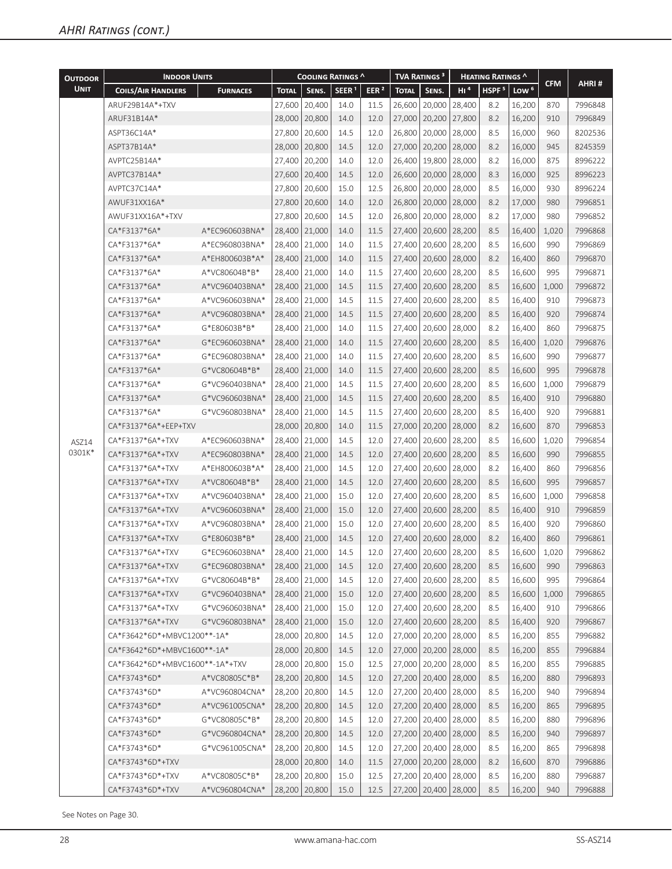| <b>OUTDOOR</b> | <b>INDOOR UNITS</b>             |                 |               | <b>COOLING RATINGS ^</b> |                   |                  |              | <b>TVA RATINGS<sup>3</sup></b> |                 | <b>HEATING RATINGS ^</b> |                  |            |         |
|----------------|---------------------------------|-----------------|---------------|--------------------------|-------------------|------------------|--------------|--------------------------------|-----------------|--------------------------|------------------|------------|---------|
| <b>UNIT</b>    | <b>COILS/AIR HANDLERS</b>       | <b>FURNACES</b> | <b>TOTAL</b>  | SENS.                    | SEER <sup>1</sup> | EER <sup>2</sup> | <b>TOTAL</b> | SENS.                          | H1 <sup>4</sup> | HSPF <sup>5</sup>        | Low <sup>6</sup> | <b>CFM</b> | AHRI#   |
|                | ARUF29B14A*+TXV                 |                 | 27,600        | 20,400                   | 14.0              | 11.5             | 26,600       | 20,000 28,400                  |                 | 8.2                      | 16,200           | 870        | 7996848 |
|                | ARUF31B14A*                     |                 | 28,000        | 20,800                   | 14.0              | 12.0             | 27,000       | 20,200   27,800                |                 | 8.2                      | 16,200           | 910        | 7996849 |
|                | ASPT36C14A*                     |                 | 27,800        | 20,600                   | 14.5              | 12.0             |              | 26,800   20,000   28,000       |                 | 8.5                      | 16,000           | 960        | 8202536 |
|                | ASPT37B14A*                     |                 | 28,000        | 20,800                   | 14.5              | 12.0             | 27,000       | 20,200                         | 28,000          | 8.2                      | 16,000           | 945        | 8245359 |
|                | AVPTC25B14A*                    |                 | 27,400        | 20,200                   | 14.0              | 12.0             | 26,400       | 19,800                         | 28,000          | 8.2                      | 16,000           | 875        | 8996222 |
|                | AVPTC37B14A*                    |                 | 27,600        | 20,400                   | 14.5              | 12.0             | 26,600       | 20,000                         | 28,000          | 8.3                      | 16,000           | 925        | 8996223 |
|                | AVPTC37C14A*                    |                 | 27,800        | 20,600                   | 15.0              | 12.5             | 26,800       | 20,000                         | 28,000          | 8.5                      | 16,000           | 930        | 8996224 |
|                | AWUF31XX16A*                    |                 | 27,800        | 20,600                   | 14.0              | 12.0             | 26,800       | 20,000                         | 28,000          | 8.2                      | 17,000           | 980        | 7996851 |
|                | AWUF31XX16A*+TXV                |                 | 27,800        | 20,600                   | 14.5              | 12.0             | 26,800       | 20,000                         | 28,000          | 8.2                      | 17,000           | 980        | 7996852 |
|                | CA*F3137*6A*                    | A*EC960603BNA*  | 28,400        | 21,000                   | 14.0              | 11.5             | 27,400       | 20,600                         | 28,200          | 8.5                      | 16,400           | 1,020      | 7996868 |
|                | CA*F3137*6A*                    | A*EC960803BNA*  | 28,400        | 21,000                   | 14.0              | 11.5             | 27,400       | 20,600   28,200                |                 | 8.5                      | 16,600           | 990        | 7996869 |
|                | CA*F3137*6A*                    | A*EH800603B*A*  | 28,400        | 21,000                   | 14.0              | 11.5             | 27,400       | 20,600                         | 28,000          | 8.2                      | 16,400           | 860        | 7996870 |
|                | CA*F3137*6A*                    | A*VC80604B*B*   | 28,400        | 21,000                   | 14.0              | 11.5             | 27,400       | 20,600                         | 28,200          | 8.5                      | 16,600           | 995        | 7996871 |
|                | CA*F3137*6A*                    | A*VC960403BNA*  | 28,400        | 21,000                   | 14.5              | 11.5             | 27,400       | 20,600                         | 28,200          | 8.5                      | 16,600           | 1,000      | 7996872 |
|                | CA*F3137*6A*                    | A*VC960603BNA*  | 28,400        | 21,000                   | 14.5              | 11.5             | 27,400       | 20,600                         | 28,200          | 8.5                      | 16,400           | 910        | 7996873 |
|                | CA*F3137*6A*                    | A*VC960803BNA*  | 28,400        | 21,000                   | 14.5              | 11.5             | 27,400       | 20,600                         | 28,200          | 8.5                      | 16,400           | 920        | 7996874 |
|                | CA*F3137*6A*                    | G*E80603B*B*    | 28,400        | 21,000                   | 14.0              | 11.5             | 27,400       | 20,600                         | 28,000          | 8.2                      | 16,400           | 860        | 7996875 |
|                | CA*F3137*6A*                    | G*EC960603BNA*  | 28,400        | 21,000                   | 14.0              | 11.5             | 27,400       | 20,600                         | 28,200          | 8.5                      | 16,400           | 1,020      | 7996876 |
|                | CA*F3137*6A*                    | G*EC960803BNA*  | 28,400        | 21,000                   | 14.0              | 11.5             |              | 27,400   20,600   28,200       |                 | 8.5                      | 16,600           | 990        | 7996877 |
|                | CA*F3137*6A*                    | G*VC80604B*B*   | 28,400        | 21,000                   | 14.0              | 11.5             | 27,400       | 20,600                         | 28,200          | 8.5                      | 16,600           | 995        | 7996878 |
|                | CA*F3137*6A*                    | G*VC960403BNA*  | 28,400        | 21,000                   | 14.5              | 11.5             | 27,400       | 20,600                         | 28,200          | 8.5                      | 16,600           | 1,000      | 7996879 |
|                | CA*F3137*6A*                    | G*VC960603BNA*  | 28,400        | 21,000                   | 14.5              | 11.5             | 27,400       | 20,600                         | 28,200          | 8.5                      | 16,400           | 910        | 7996880 |
|                | CA*F3137*6A*                    | G*VC960803BNA*  | 28,400        | 21,000                   | 14.5              | 11.5             | 27,400       | 20,600                         | 28,200          | 8.5                      | 16,400           | 920        | 7996881 |
|                | CA*F3137*6A*+EEP+TXV            |                 | 28,000        | 20,800                   | 14.0              | 11.5             | 27,000       | 20,200                         | 28,000          | 8.2                      | 16,600           | 870        | 7996853 |
| ASZ14          | CA*F3137*6A*+TXV                | A*EC960603BNA*  | 28,400        | 21,000                   | 14.5              | 12.0             | 27,400       | 20,600                         | 28,200          | 8.5                      | 16,600           | 1,020      | 7996854 |
| 0301K*         | CA*F3137*6A*+TXV                | A*EC960803BNA*  | 28,400        | 21,000                   | 14.5              | 12.0             | 27,400       | 20,600                         | 28,200          | 8.5                      | 16,600           | 990        | 7996855 |
|                | CA*F3137*6A*+TXV                | A*EH800603B*A*  | 28,400        | 21,000                   | 14.5              | 12.0             |              | 27,400   20,600   28,000       |                 | 8.2                      | 16,400           | 860        | 7996856 |
|                | CA*F3137*6A*+TXV                | A*VC80604B*B*   | 28,400        | 21,000                   | 14.5              | 12.0             | 27,400       | 20,600                         | 28,200          | 8.5                      | 16,600           | 995        | 7996857 |
|                | CA*F3137*6A*+TXV                | A*VC960403BNA*  | 28,400        | 21,000                   | 15.0              | 12.0             | 27,400       | 20,600                         | 28,200          | 8.5                      | 16,600           | 1,000      | 7996858 |
|                | CA*F3137*6A*+TXV                | A*VC960603BNA*  | 28,400        | 21,000                   | 15.0              | 12.0             | 27,400       | 20,600                         | 28,200          | 8.5                      | 16,400           | 910        | 7996859 |
|                | CA*F3137*6A*+TXV                | A*VC960803BNA*  | 28,400        | 21,000                   | 15.0              | 12.0             | 27,400       | 20,600                         | 28,200          | 8.5                      | 16,400           | 920        | 7996860 |
|                | CA*F3137*6A*+TXV                | G*F80603B*B*    | 28,400        | 21,000                   | 14.5              | 12.0             | 27,400       | 20,600                         | 28,000          | 8.2                      | 16,400           | 860        | 7996861 |
|                | CA*F3137*6A*+TXV                | G*EC960603BNA*  | 28,400        | 21,000                   | 14.5              | 12.0             | 27,400       | 20,600                         | 28,200          | 8.5                      | 16,600           | 1,020      | 7996862 |
|                | CA*F3137*6A*+TXV                | G*EC960803BNA*  |               | 28,400 21,000            | 14.5              | 12.0             |              | 27,400   20,600   28,200       |                 | 8.5                      | 16,600           | 990        | 7996863 |
|                | CA*F3137*6A*+TXV                | G*VC80604B*B*   |               | 28,400 21,000            | 14.5              | 12.0             |              | 27,400   20,600   28,200       |                 | 8.5                      | 16,600           | 995        | 7996864 |
|                | CA*F3137*6A*+TXV                | G*VC960403BNA*  |               | 28,400 21,000            | 15.0              | 12.0             |              | 27,400 20,600 28,200           |                 | 8.5                      | 16,600           | 1,000      | 7996865 |
|                | CA*F3137*6A*+TXV                | G*VC960603BNA*  |               | 28,400 21,000            | 15.0              | 12.0             |              | 27,400 20,600 28,200           |                 | 8.5                      | 16,400           | 910        | 7996866 |
|                | CA*F3137*6A*+TXV                | G*VC960803BNA*  |               | 28,400 21,000            | 15.0              | 12.0             |              | 27,400 20,600 28,200           |                 | 8.5                      | 16,400           | 920        | 7996867 |
|                | CA*F3642*6D*+MBVC1200**-1A*     |                 |               | 28,000 20,800            | 14.5              | 12.0             |              | 27,000 20,200 28,000           |                 | 8.5                      | 16,200           | 855        | 7996882 |
|                | CA*F3642*6D*+MBVC1600**-1A*     |                 |               | 28,000   20,800          | 14.5              | 12.0             |              | 27,000 20,200 28,000           |                 | 8.5                      | 16,200           | 855        | 7996884 |
|                | CA*F3642*6D*+MBVC1600**-1A*+TXV |                 |               | 28,000 20,800            | 15.0              | 12.5             |              | 27,000 20,200 28,000           |                 | 8.5                      | 16,200           | 855        | 7996885 |
|                | CA*F3743*6D*                    | A*VC80805C*B*   |               | 28,200 20,800            | 14.5              | 12.0             |              | 27,200 20,400 28,000           |                 | 8.5                      | 16,200           | 880        | 7996893 |
|                | CA*F3743*6D*                    | A*VC960804CNA*  |               | 28,200 20,800            | 14.5              | 12.0             |              | 27,200 20,400 28,000           |                 | 8.5                      | 16,200           | 940        | 7996894 |
|                | CA*F3743*6D*                    | A*VC961005CNA*  |               | 28,200 20,800            | 14.5              | 12.0             |              | 27,200 20,400 28,000           |                 | 8.5                      | 16,200           | 865        | 7996895 |
|                | CA*F3743*6D*                    | G*VC80805C*B*   |               | 28,200 20,800            | 14.5              | 12.0             |              | 27,200   20,400   28,000       |                 | 8.5                      | 16,200           | 880        | 7996896 |
|                | CA*F3743*6D*                    | G*VC960804CNA*  |               | 28,200 20,800            | 14.5              | 12.0             |              | 27,200   20,400   28,000       |                 | 8.5                      | 16,200           | 940        | 7996897 |
|                | CA*F3743*6D*                    | G*VC961005CNA*  |               | 28,200 20,800            | 14.5              | 12.0             |              | 27,200 20,400 28,000           |                 | 8.5                      | 16,200           | 865        | 7996898 |
|                | CA*F3743*6D*+TXV                |                 |               | 28,000 20,800            | 14.0              | 11.5             | 27,000       | 20,200 28,000                  |                 | 8.2                      | 16,600           | 870        | 7996886 |
|                | CA*F3743*6D*+TXV                | A*VC80805C*B*   | 28,200        | 20,800                   | 15.0              | 12.5             |              | 27,200   20,400   28,000       |                 | 8.5                      | 16,200           | 880        | 7996887 |
|                | CA*F3743*6D*+TXV                | A*VC960804CNA*  | 28,200 20,800 |                          | 15.0              | 12.5             |              | 27,200   20,400   28,000       |                 | 8.5                      | 16,200           | 940        | 7996888 |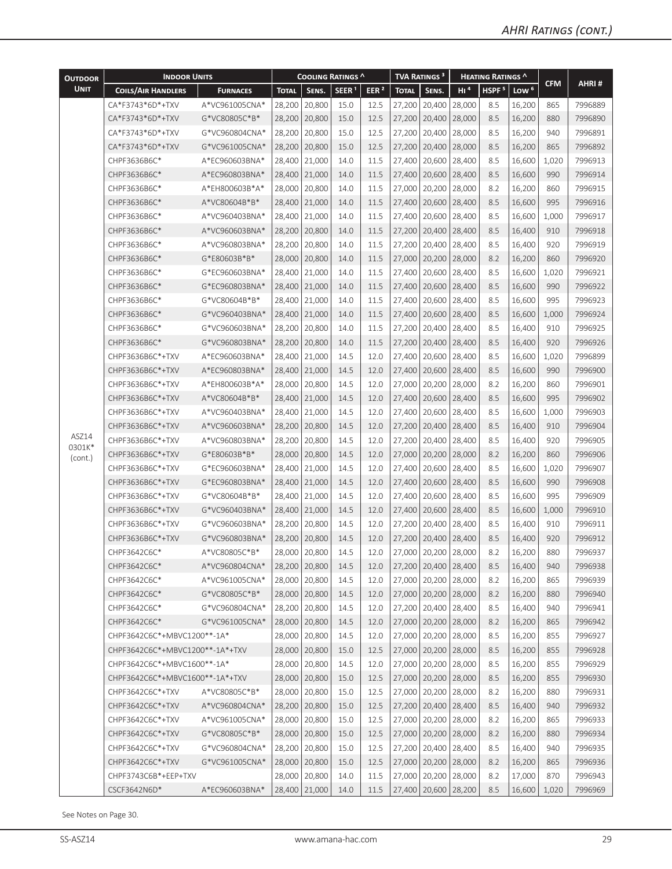| <b>OUTDOOR</b>    | <b>INDOOR UNITS</b>             |                 |              |                 | COOLING RATINGS ^ |         |              | <b>TVA RATINGS<sup>3</sup></b> |                 | <b>HEATING RATINGS ^</b> |                  |            |         |
|-------------------|---------------------------------|-----------------|--------------|-----------------|-------------------|---------|--------------|--------------------------------|-----------------|--------------------------|------------------|------------|---------|
| <b>UNIT</b>       | <b>COILS/AIR HANDLERS</b>       | <b>FURNACES</b> | <b>TOTAL</b> | SENS.           | SEER <sup>1</sup> | EER $2$ | <b>TOTAL</b> | SENS.                          | H1 <sup>4</sup> | HSPF <sup>5</sup>        | Low <sup>6</sup> | <b>CFM</b> | AHRI#   |
|                   | CA*F3743*6D*+TXV                | A*VC961005CNA*  | 28,200       | 20,800          | 15.0              | 12.5    | 27,200       | 20.400                         | 28,000          | 8.5                      | 16,200           | 865        | 7996889 |
|                   | CA*F3743*6D*+TXV                | G*VC80805C*B*   | 28,200       | 20,800          | 15.0              | 12.5    | 27,200       | 20,400                         | 28,000          | 8.5                      | 16,200           | 880        | 7996890 |
|                   | CA*F3743*6D*+TXV                | G*VC960804CNA*  | 28,200       | 20,800          | 15.0              | 12.5    |              | 27,200   20,400   28,000       |                 | 8.5                      | 16,200           | 940        | 7996891 |
|                   | CA*F3743*6D*+TXV                | G*VC961005CNA*  | 28,200       | 20,800          | 15.0              | 12.5    | 27,200       | 20,400                         | 28,000          | 8.5                      | 16,200           | 865        | 7996892 |
|                   | CHPF3636B6C*                    | A*EC960603BNA*  | 28,400       | 21,000          | 14.0              | 11.5    | 27,400       | 20,600                         | 28,400          | 8.5                      | 16,600           | 1,020      | 7996913 |
|                   | CHPF3636B6C*                    | A*EC960803BNA*  | 28,400       | 21,000          | 14.0              | 11.5    | 27,400       | 20,600                         | 28,400          | 8.5                      | 16,600           | 990        | 7996914 |
|                   | CHPF3636B6C*                    | A*EH800603B*A*  | 28,000       | 20,800          | 14.0              | 11.5    | 27,000       | 20,200                         | 28,000          | 8.2                      | 16,200           | 860        | 7996915 |
|                   | CHPF3636B6C*                    | A*VC80604B*B*   | 28,400       | 21,000          | 14.0              | 11.5    | 27,400       | 20,600                         | 28,400          | 8.5                      | 16,600           | 995        | 7996916 |
|                   | CHPF3636B6C*                    | A*VC960403BNA*  | 28,400       | 21,000          | 14.0              | 11.5    | 27,400       | 20,600                         | 28,400          | 8.5                      | 16,600           | 1,000      | 7996917 |
|                   | CHPF3636B6C*                    | A*VC960603BNA*  | 28,200       | 20,800          | 14.0              | 11.5    | 27,200       | 20,400                         | 28,400          | 8.5                      | 16,400           | 910        | 7996918 |
|                   | CHPF3636B6C*                    | A*VC960803BNA*  | 28,200       | 20,800          | 14.0              | 11.5    | 27,200       | 20,400                         | 28,400          | 8.5                      | 16,400           | 920        | 7996919 |
|                   | CHPF3636B6C*                    | G*E80603B*B*    | 28,000       | 20,800          | 14.0              | 11.5    |              | 27,000   20,200   28,000       |                 | 8.2                      | 16,200           | 860        | 7996920 |
|                   | CHPF3636B6C*                    | G*EC960603BNA*  | 28,400       | 21,000          | 14.0              | 11.5    | 27,400       | 20,600                         | 28,400          | 8.5                      | 16,600           | 1,020      | 7996921 |
|                   | CHPF3636B6C*                    | G*EC960803BNA*  | 28,400       | 21,000          | 14.0              | 11.5    | 27,400       | 20,600                         | 28,400          | 8.5                      | 16,600           | 990        | 7996922 |
|                   | CHPF3636B6C*                    | G*VC80604B*B*   | 28,400       | 21,000          | 14.0              | 11.5    | 27,400       | 20,600                         | 28,400          | 8.5                      | 16,600           | 995        | 7996923 |
|                   | CHPF3636B6C*                    | G*VC960403BNA*  | 28,400       | 21,000          | 14.0              | 11.5    | 27,400       | 20,600                         | 28,400          | 8.5                      | 16,600           | 1,000      | 7996924 |
|                   | CHPF3636B6C*                    | G*VC960603BNA*  | 28,200       | 20,800          | 14.0              | 11.5    | 27,200       | 20,400                         | 28,400          | 8.5                      | 16,400           | 910        | 7996925 |
|                   | CHPF3636B6C*                    | G*VC960803BNA*  | 28,200       | 20,800          | 14.0              | 11.5    | 27,200       | 20,400                         | 28,400          | 8.5                      | 16,400           | 920        | 7996926 |
|                   | CHPF3636B6C*+TXV                | A*EC960603BNA*  | 28,400       | 21,000          | 14.5              | 12.0    | 27,400       | 20,600                         | 28,400          | 8.5                      | 16,600           | 1,020      | 7996899 |
|                   | CHPF3636B6C*+TXV                | A*EC960803BNA*  | 28,400       | 21,000          | 14.5              | 12.0    | 27,400       | 20,600                         | 28,400          | 8.5                      | 16,600           | 990        | 7996900 |
|                   | CHPF3636B6C*+TXV                | A*EH800603B*A*  | 28,000       | 20,800          | 14.5              | 12.0    | 27,000       | 20,200                         | 28,000          | 8.2                      | 16,200           | 860        | 7996901 |
|                   | CHPF3636B6C*+TXV                | A*VC80604B*B*   | 28,400       | 21,000          | 14.5              | 12.0    | 27,400       | 20,600                         | 28,400          | 8.5                      | 16,600           | 995        | 7996902 |
|                   | CHPF3636B6C*+TXV                | A*VC960403BNA*  | 28,400       | 21,000          | 14.5              | 12.0    | 27,400       | 20,600                         | 28,400          | 8.5                      | 16,600           | 1,000      | 7996903 |
|                   | CHPF3636B6C*+TXV                | A*VC960603BNA*  | 28,200       | 20,800          | 14.5              | 12.0    | 27,200       | 20,400                         | 28,400          | 8.5                      | 16,400           | 910        | 7996904 |
| ASZ14             | CHPF3636B6C*+TXV                | A*VC960803BNA*  | 28,200       | 20,800          | 14.5              | 12.0    | 27,200       | 20,400                         | 28,400          | 8.5                      | 16,400           | 920        | 7996905 |
| 0301K*<br>(cont.) | CHPF3636B6C*+TXV                | G*E80603B*B*    | 28,000       | 20,800          | 14.5              | 12.0    | 27,000       | 20,200                         | 28,000          | 8.2                      | 16,200           | 860        | 7996906 |
|                   | CHPF3636B6C*+TXV                | G*EC960603BNA*  | 28,400       | 21,000          | 14.5              | 12.0    |              | 27,400   20,600                | 28,400          | 8.5                      | 16,600           | 1,020      | 7996907 |
|                   | CHPF3636B6C*+TXV                | G*EC960803BNA*  | 28,400       | 21,000          | 14.5              | 12.0    |              | 27,400   20,600                | 28,400          | 8.5                      | 16,600           | 990        | 7996908 |
|                   | CHPF3636B6C*+TXV                | G*VC80604B*B*   | 28,400       | 21,000          | 14.5              | 12.0    | 27,400       | 20,600                         | 28,400          | 8.5                      | 16,600           | 995        | 7996909 |
|                   | CHPF3636B6C*+TXV                | G*VC960403BNA*  | 28,400       | 21,000          | 14.5              | 12.0    | 27,400       | 20,600                         | 28,400          | 8.5                      | 16,600           | 1,000      | 7996910 |
|                   | CHPF3636B6C*+TXV                | G*VC960603BNA*  | 28,200       | 20,800          | 14.5              | 12.0    | 27,200       | 20,400                         | 28,400          | 8.5                      | 16,400           | 910        | 7996911 |
|                   | CHPF3636B6C*+TXV                | G*VC960803BNA*  | 28,200       | 20,800          | 14.5              | 12.0    | 27,200       | 20,400                         | 28,400          | 8.5                      | 16,400           | 920        | 7996912 |
|                   | CHPF3642C6C*                    | A*VC80805C*B*   | 28.000       | 20,800          | 14.5              | 12.0    | 27,000       | 20,200                         | 28,000          | 8.2                      | 16,200           | 880        | 7996937 |
|                   | CHPF3642C6C*                    | A*VC960804CNA*  |              | 28,200   20,800 | 14.5              | 12.0    |              | 27,200   20,400   28,400       |                 | 8.5                      | 16,400           | 940        | 7996938 |
|                   | CHPF3642C6C*                    | A*VC961005CNA*  |              | 28,000 20,800   | 14.5              | 12.0    |              | 27,000   20,200   28,000       |                 | 8.2                      | 16,200           | 865        | 7996939 |
|                   | CHPF3642C6C*                    | G*VC80805C*B*   |              | 28,000   20,800 | 14.5              | 12.0    |              | 27,000   20,200   28,000       |                 | 8.2                      | 16,200           | 880        | 7996940 |
|                   | CHPF3642C6C*                    | G*VC960804CNA*  |              | 28,200   20,800 | 14.5              | 12.0    |              | 27,200   20,400   28,400       |                 | 8.5                      | 16,400           | 940        | 7996941 |
|                   | CHPF3642C6C*                    | G*VC961005CNA*  |              | 28,000 20,800   | 14.5              | 12.0    |              | 27,000 20,200 28,000           |                 | 8.2                      | 16,200           | 865        | 7996942 |
|                   | CHPF3642C6C*+MBVC1200**-1A*     |                 |              | 28,000 20,800   | 14.5              | 12.0    |              | 27,000 20,200 28,000           |                 | 8.5                      | 16,200           | 855        | 7996927 |
|                   | CHPF3642C6C*+MBVC1200**-1A*+TXV |                 |              | 28,000   20,800 | 15.0              | 12.5    |              | 27,000 20,200 28,000           |                 | 8.5                      | 16,200           | 855        | 7996928 |
|                   | CHPF3642C6C*+MBVC1600**-1A*     |                 | 28,000       | 20,800          | 14.5              | 12.0    |              | 27,000 20,200 28,000           |                 | 8.5                      | 16,200           | 855        | 7996929 |
|                   | CHPF3642C6C*+MBVC1600**-1A*+TXV |                 |              | 28,000 20,800   | 15.0              | 12.5    |              | 27,000 20,200 28,000           |                 | 8.5                      | 16,200           | 855        | 7996930 |
|                   | CHPF3642C6C*+TXV                | A*VC80805C*B*   |              | 28,000   20,800 | 15.0              | 12.5    |              | 27,000   20,200   28,000       |                 | 8.2                      | 16,200           | 880        | 7996931 |
|                   | CHPF3642C6C*+TXV                | A*VC960804CNA*  |              | 28,200   20,800 | 15.0              | 12.5    |              | 27,200   20,400   28,400       |                 | 8.5                      | 16,400           | 940        | 7996932 |
|                   | CHPF3642C6C*+TXV                | A*VC961005CNA*  |              | 28,000   20,800 | 15.0              | 12.5    |              | 27,000   20,200   28,000       |                 | 8.2                      | 16,200           | 865        | 7996933 |
|                   | CHPF3642C6C*+TXV                | G*VC80805C*B*   | 28,000       | 20,800          | 15.0              | 12.5    |              | 27,000   20,200   28,000       |                 | 8.2                      | 16,200           | 880        | 7996934 |
|                   | CHPF3642C6C*+TXV                | G*VC960804CNA*  |              | 28,200 20,800   | 15.0              | 12.5    |              | 27,200   20,400   28,400       |                 | 8.5                      | 16,400           | 940        | 7996935 |
|                   | CHPF3642C6C*+TXV                | G*VC961005CNA*  |              | 28,000   20,800 | 15.0              | 12.5    |              | 27,000   20,200   28,000       |                 | 8.2                      | 16,200           | 865        | 7996936 |
|                   | CHPF3743C6B*+EEP+TXV            |                 |              | 28,000 20,800   | 14.0              | 11.5    |              | 27,000 20,200 28,000           |                 | 8.2                      | 17,000           | 870        | 7996943 |
|                   | CSCF3642N6D*                    | A*EC960603BNA*  |              | 28,400 21,000   | 14.0              | 11.5    |              | 27,400   20,600   28,200       |                 | 8.5                      | 16,600           | 1,020      | 7996969 |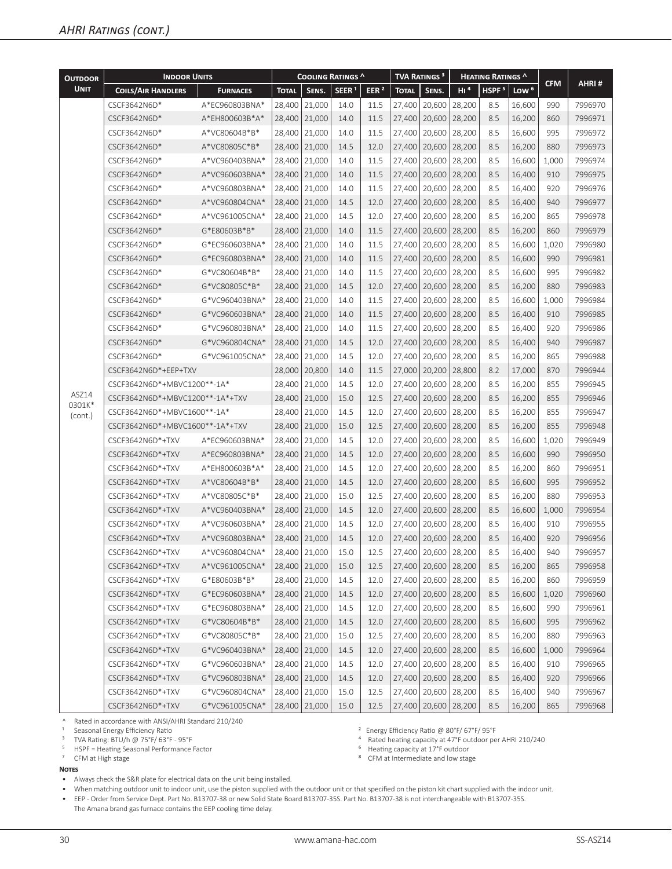| <b>OUTDOOR</b>    | <b>INDOOR UNITS</b>             |                 |              |               | <b>COOLING RATINGS ^</b> |                  |              | <b>TVA RATINGS<sup>3</sup></b> |                 | <b>HEATING RATINGS ^</b> |                  |            |         |
|-------------------|---------------------------------|-----------------|--------------|---------------|--------------------------|------------------|--------------|--------------------------------|-----------------|--------------------------|------------------|------------|---------|
| <b>UNIT</b>       | <b>COILS/AIR HANDLERS</b>       | <b>FURNACES</b> | <b>TOTAL</b> | SENS.         | SEER <sup>1</sup>        | EER <sup>2</sup> | <b>TOTAL</b> | SENS.                          | H1 <sup>4</sup> | HSPF <sup>5</sup>        | Low <sup>6</sup> | <b>CFM</b> | AHRI#   |
|                   | CSCF3642N6D*                    | A*FC960803BNA*  | 28.400       | 21,000        | 14.0                     | 11.5             | 27,400       | 20,600                         | 28,200          | 8.5                      | 16,600           | 990        | 7996970 |
|                   | CSCF3642N6D*                    | A*EH800603B*A*  | 28,400       | 21,000        | 14.0                     | 11.5             | 27,400       | 20,600                         | 28,200          | 8.5                      | 16,200           | 860        | 7996971 |
|                   | CSCF3642N6D*                    | A*VC80604B*B*   | 28,400       | 21,000        | 14.0                     | 11.5             | 27,400       | 20,600                         | 28,200          | 8.5                      | 16,600           | 995        | 7996972 |
|                   | CSCF3642N6D*                    | A*VC80805C*B*   | 28,400       | 21,000        | 14.5                     | 12.0             | 27,400       | 20,600                         | 28,200          | 8.5                      | 16,200           | 880        | 7996973 |
|                   | CSCF3642N6D*                    | A*VC960403BNA*  | 28,400       | 21,000        | 14.0                     | 11.5             | 27,400       | 20,600                         | 28,200          | 8.5                      | 16,600           | 1,000      | 7996974 |
|                   | CSCF3642N6D*                    | A*VC960603BNA*  | 28,400       | 21,000        | 14.0                     | 11.5             | 27,400       | 20,600                         | 28,200          | 8.5                      | 16,400           | 910        | 7996975 |
|                   | CSCF3642N6D*                    | A*VC960803BNA*  | 28,400       | 21,000        | 14.0                     | 11.5             | 27,400       | 20,600                         | 28,200          | 8.5                      | 16,400           | 920        | 7996976 |
|                   | CSCF3642N6D*                    | A*VC960804CNA*  | 28,400       | 21,000        | 14.5                     | 12.0             | 27,400       | 20,600                         | 28,200          | 8.5                      | 16,400           | 940        | 7996977 |
|                   | CSCF3642N6D*                    | A*VC961005CNA*  | 28,400       | 21,000        | 14.5                     | 12.0             | 27,400       | 20,600                         | 28,200          | 8.5                      | 16,200           | 865        | 7996978 |
|                   | CSCF3642N6D*                    | G*E80603B*B*    | 28,400       | 21,000        | 14.0                     | 11.5             | 27,400       | 20,600                         | 28,200          | 8.5                      | 16,200           | 860        | 7996979 |
|                   | CSCF3642N6D*                    | G*EC960603BNA*  | 28,400       | 21,000        | 14.0                     | 11.5             | 27,400       | 20,600                         | 28,200          | 8.5                      | 16,600           | 1,020      | 7996980 |
|                   | CSCF3642N6D*                    | G*EC960803BNA*  | 28,400       | 21,000        | 14.0                     | 11.5             | 27,400       | 20,600                         | 28,200          | 8.5                      | 16,600           | 990        | 7996981 |
|                   | CSCF3642N6D*                    | G*VC80604B*B*   | 28,400       | 21,000        | 14.0                     | 11.5             | 27,400       | 20,600                         | 28,200          | 8.5                      | 16,600           | 995        | 7996982 |
|                   | CSCF3642N6D*                    | G*VC80805C*B*   | 28,400       | 21,000        | 14.5                     | 12.0             | 27,400       | 20,600                         | 28,200          | 8.5                      | 16,200           | 880        | 7996983 |
|                   | CSCF3642N6D*                    | G*VC960403BNA*  | 28,400       | 21,000        | 14.0                     | 11.5             | 27,400       | 20.600                         | 28,200          | 8.5                      | 16,600           | 1,000      | 7996984 |
|                   | CSCF3642N6D*                    | G*VC960603BNA*  | 28,400       | 21,000        | 14.0                     | 11.5             | 27,400       | 20,600                         | 28,200          | 8.5                      | 16,400           | 910        | 7996985 |
|                   | CSCF3642N6D*                    | G*VC960803BNA*  | 28,400       | 21,000        | 14.0                     | 11.5             | 27,400       | 20.600                         | 28,200          | 8.5                      | 16,400           | 920        | 7996986 |
|                   | CSCF3642N6D*                    | G*VC960804CNA*  | 28,400       | 21,000        | 14.5                     | 12.0             | 27,400       | 20,600                         | 28,200          | 8.5                      | 16,400           | 940        | 7996987 |
|                   | CSCF3642N6D*                    | G*VC961005CNA*  | 28,400       | 21,000        | 14.5                     | 12.0             | 27,400       | 20.600                         | 28,200          | 8.5                      | 16,200           | 865        | 7996988 |
|                   | CSCF3642N6D*+EEP+TXV            |                 | 28,000       | 20,800        | 14.0                     | 11.5             | 27,000       | 20,200                         | 28,800          | 8.2                      | 17,000           | 870        | 7996944 |
|                   | CSCF3642N6D*+MBVC1200**-1A*     |                 | 28.400       | 21,000        | 14.5                     | 12.0             | 27,400       | 20,600                         | 28,200          | 8.5                      | 16,200           | 855        | 7996945 |
| ASZ14             | CSCF3642N6D*+MBVC1200**-1A*+TXV |                 | 28,400       | 21,000        | 15.0                     | 12.5             | 27,400       | 20,600                         | 28,200          | 8.5                      | 16,200           | 855        | 7996946 |
| 0301K*<br>(cont.) | CSCF3642N6D*+MBVC1600**-1A*     |                 | 28,400       | 21,000        | 14.5                     | 12.0             | 27,400       | 20,600                         | 28,200          | 8.5                      | 16,200           | 855        | 7996947 |
|                   | CSCF3642N6D*+MBVC1600**-1A*+TXV |                 | 28,400       | 21,000        | 15.0                     | 12.5             | 27,400       | 20,600                         | 28,200          | 8.5                      | 16,200           | 855        | 7996948 |
|                   | CSCF3642N6D*+TXV                | A*EC960603BNA*  | 28,400       | 21,000        | 14.5                     | 12.0             | 27,400       | 20,600                         | 28,200          | 8.5                      | 16,600           | 1,020      | 7996949 |
|                   | CSCF3642N6D*+TXV                | A*EC960803BNA*  | 28,400       | 21,000        | 14.5                     | 12.0             | 27,400       | 20,600                         | 28,200          | 8.5                      | 16,600           | 990        | 7996950 |
|                   | CSCF3642N6D*+TXV                | A*EH800603B*A*  | 28,400       | 21,000        | 14.5                     | 12.0             | 27,400       | 20,600                         | 28,200          | 8.5                      | 16,200           | 860        | 7996951 |
|                   | CSCF3642N6D*+TXV                | A*VC80604B*B*   | 28,400       | 21,000        | 14.5                     | 12.0             | 27,400       | 20,600                         | 28,200          | 8.5                      | 16,600           | 995        | 7996952 |
|                   | CSCF3642N6D*+TXV                | A*VC80805C*B*   | 28,400       | 21,000        | 15.0                     | 12.5             | 27,400       | 20,600                         | 28,200          | 8.5                      | 16,200           | 880        | 7996953 |
|                   | CSCF3642N6D*+TXV                | A*VC960403BNA*  | 28,400       | 21,000        | 14.5                     | 12.0             | 27,400       | 20,600                         | 28,200          | 8.5                      | 16,600           | 1,000      | 7996954 |
|                   | CSCF3642N6D*+TXV                | A*VC960603BNA*  | 28,400       | 21,000        | 14.5                     | 12.0             | 27,400       | 20,600                         | 28,200          | 8.5                      | 16,400           | 910        | 7996955 |
|                   | CSCF3642N6D*+TXV                | A*VC960803BNA*  | 28,400       | 21,000        | 14.5                     | 12.0             | 27,400       | 20,600                         | 28,200          | 8.5                      | 16,400           | 920        | 7996956 |
|                   | CSCF3642N6D*+TXV                | A*VC960804CNA*  | 28,400       | 21,000        | 15.0                     | 12.5             | 27,400       | 20,600                         | 28,200          | 8.5                      | 16,400           | 940        | 7996957 |
|                   | CSCF3642N6D*+TXV                | A*VC961005CNA*  |              | 28,400 21,000 | 15.0                     | 12.5             |              | 27,400 20,600 28,200           |                 | 8.5                      | 16,200           | 865        | 7996958 |
|                   | CSCF3642N6D*+TXV                | G*E80603B*B*    |              | 28,400 21,000 | 14.5                     | 12.0             |              | 27,400   20,600   28,200       |                 | 8.5                      | 16,200           | 860        | 7996959 |
|                   | CSCF3642N6D*+TXV                | G*EC960603BNA*  |              | 28,400 21,000 | 14.5                     | 12.0             |              | 27,400 20,600 28,200           |                 | 8.5                      | 16,600           | 1,020      | 7996960 |
|                   | CSCF3642N6D*+TXV                | G*EC960803BNA*  |              | 28,400 21,000 | 14.5                     | 12.0             |              | 27,400 20,600 28,200           |                 | 8.5                      | 16,600           | 990        | 7996961 |
|                   | CSCF3642N6D*+TXV                | G*VC80604B*B*   |              | 28,400 21,000 | 14.5                     | 12.0             |              | 27,400 20,600 28,200           |                 | 8.5                      | 16,600           | 995        | 7996962 |
|                   | CSCF3642N6D*+TXV                | G*VC80805C*B*   |              | 28,400 21,000 | 15.0                     | 12.5             |              | 27,400 20,600 28,200           |                 | 8.5                      | 16,200           | 880        | 7996963 |
|                   | CSCF3642N6D*+TXV                | G*VC960403BNA*  |              | 28,400 21,000 | 14.5                     | 12.0             |              | 27,400 20,600 28,200           |                 | 8.5                      | 16,600           | 1,000      | 7996964 |
|                   | CSCF3642N6D*+TXV                | G*VC960603BNA*  |              | 28,400 21,000 | 14.5                     | 12.0             |              | 27,400 20,600 28,200           |                 | 8.5                      | 16,400           | 910        | 7996965 |
|                   | CSCF3642N6D*+TXV                | G*VC960803BNA*  |              | 28,400 21,000 | 14.5                     | 12.0             |              | 27,400 20,600 28,200           |                 | 8.5                      | 16,400           | 920        | 7996966 |
|                   | CSCF3642N6D*+TXV                | G*VC960804CNA*  |              | 28,400 21,000 | 15.0                     | 12.5             |              | 27,400   20,600   28,200       |                 | 8.5                      | 16,400           | 940        | 7996967 |
|                   | CSCF3642N6D*+TXV                | G*VC961005CNA*  |              | 28,400 21,000 | 15.0                     | 12.5             |              | 27,400   20,600   28,200       |                 | 8.5                      | 16,200           | 865        | 7996968 |

^ Rated in accordance with ANSI/AHRI Standard 210/240

<sup>1</sup> Seasonal Energy Efficiency Ratio

 $\frac{3}{100}$  TVA Rating: BTU/h @ 75°F/ 63°F - 95°F

<sup>5</sup> HSPF = Heating Seasonal Performance Factor

CFM at High stage

² Energy Efficiency Ratio @ 80°F/ 67°F/ 95°F

⁴ Rated heating capacity at 47°F outdoor per AHRI 210/240

<sup>6</sup> Heating capacity at 17°F outdoor ⁸ CFM at Intermediate and low stage

**Notes**

• Always check the S&R plate for electrical data on the unit being installed.

• When matching outdoor unit to indoor unit, use the piston supplied with the outdoor unit or that specified on the piston kit chart supplied with the indoor unit.

• EEP - Order from Service Dept. Part No. B13707-38 or new Solid State Board B13707-35S. Part No. B13707-38 is not interchangeable with B13707-35S. The Amana brand gas furnace contains the EEP cooling time delay.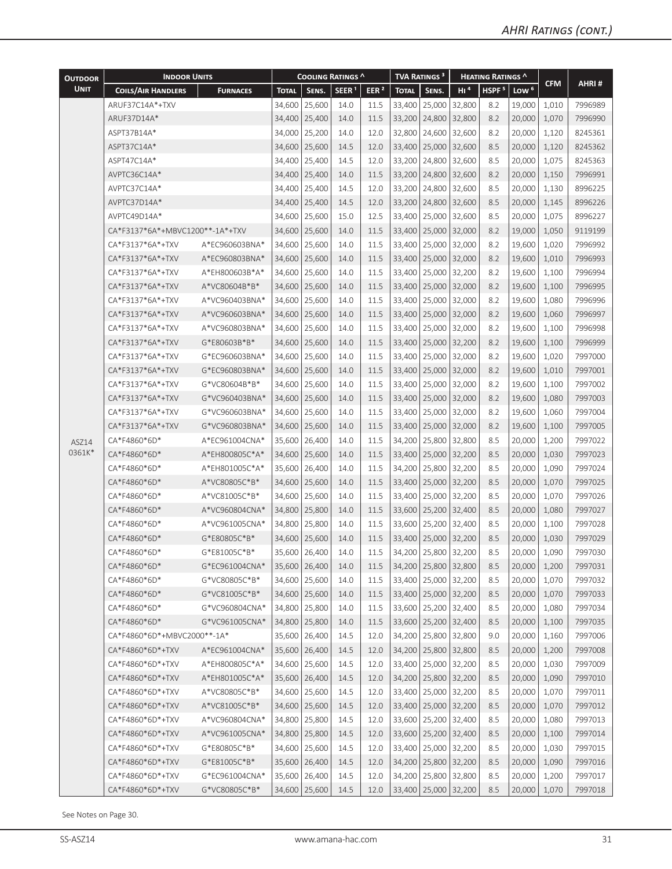| <b>OUTDOOR</b> | <b>INDOOR UNITS</b>             |                 |               | <b>COOLING RATINGS ^</b> |                   |                  |              | <b>TVA RATINGS<sup>3</sup></b> |                 | <b>HEATING RATINGS ^</b> |                  |            |         |
|----------------|---------------------------------|-----------------|---------------|--------------------------|-------------------|------------------|--------------|--------------------------------|-----------------|--------------------------|------------------|------------|---------|
| <b>UNIT</b>    | <b>COILS/AIR HANDLERS</b>       | <b>FURNACES</b> | <b>TOTAL</b>  | SENS.                    | SEER <sup>1</sup> | EER <sup>2</sup> | <b>TOTAL</b> | SENS.                          | H1 <sup>4</sup> | HSPF <sup>5</sup>        | Low <sup>6</sup> | <b>CFM</b> | AHRI#   |
|                | ARUF37C14A*+TXV                 |                 | 34,600        | 25,600                   | 14.0              | 11.5             | 33,400       | 25,000 32,800                  |                 | 8.2                      | 19,000           | 1,010      | 7996989 |
|                | ARUF37D14A*                     |                 | 34,400        | 25,400                   | 14.0              | 11.5             | 33,200       | 24,800                         | 32,800          | 8.2                      | 20,000           | 1,070      | 7996990 |
|                | ASPT37B14A*                     |                 | 34,000        | 25,200                   | 14.0              | 12.0             | 32,800       | 24,600                         | 32,600          | 8.2                      | 20,000           | 1,120      | 8245361 |
|                | ASPT37C14A*                     |                 | 34,600        | 25,600                   | 14.5              | 12.0             |              | 33,400   25,000   32,600       |                 | 8.5                      | 20,000           | 1,120      | 8245362 |
|                | ASPT47C14A*                     |                 | 34,400        | 25,400                   | 14.5              | 12.0             | 33,200       | 24,800 32,600                  |                 | 8.5                      | 20,000           | 1,075      | 8245363 |
|                | AVPTC36C14A*                    |                 | 34,400        | 25,400                   | 14.0              | 11.5             | 33,200       | 24,800                         | 32,600          | 8.2                      | 20,000           | 1,150      | 7996991 |
|                | AVPTC37C14A*                    |                 | 34,400        | 25,400                   | 14.5              | 12.0             | 33,200       | 24,800                         | 32,600          | 8.5                      | 20,000           | 1,130      | 8996225 |
|                | AVPTC37D14A*                    |                 | 34,400        | 25,400                   | 14.5              | 12.0             |              | 33,200   24,800   32,600       |                 | 8.5                      | 20,000           | 1,145      | 8996226 |
|                | AVPTC49D14A*                    |                 | 34,600        | 25,600                   | 15.0              | 12.5             | 33,400       | 25,000                         | 32,600          | 8.5                      | 20,000           | 1,075      | 8996227 |
|                | CA*F3137*6A*+MBVC1200**-1A*+TXV |                 | 34,600        | 25,600                   | 14.0              | 11.5             | 33,400       | 25,000                         | 32,000          | 8.2                      | 19,000           | 1,050      | 9119199 |
|                | CA*F3137*6A*+TXV                | A*EC960603BNA*  | 34,600        | 25,600                   | 14.0              | 11.5             | 33,400       | 25,000                         | 32,000          | 8.2                      | 19,600           | 1,020      | 7996992 |
|                | CA*F3137*6A*+TXV                | A*EC960803BNA*  | 34,600        | 25,600                   | 14.0              | 11.5             | 33,400       | 25,000 32,000                  |                 | 8.2                      | 19,600           | 1,010      | 7996993 |
|                | CA*F3137*6A*+TXV                | A*EH800603B*A*  | 34,600        | 25,600                   | 14.0              | 11.5             | 33,400       | 25,000 32,200                  |                 | 8.2                      | 19,600           | 1,100      | 7996994 |
|                | CA*F3137*6A*+TXV                | A*VC80604B*B*   | 34,600        | 25,600                   | 14.0              | 11.5             |              | 33,400   25,000   32,000       |                 | 8.2                      | 19,600           | 1,100      | 7996995 |
|                | CA*F3137*6A*+TXV                | A*VC960403BNA*  | 34,600        | 25,600                   | 14.0              | 11.5             | 33,400       | 25,000 32,000                  |                 | 8.2                      | 19,600           | 1,080      | 7996996 |
|                | CA*F3137*6A*+TXV                | A*VC960603BNA*  | 34,600        | 25,600                   | 14.0              | 11.5             |              | 33,400   25,000   32,000       |                 | 8.2                      | 19,600           | 1,060      | 7996997 |
|                | CA*F3137*6A*+TXV                | A*VC960803BNA*  | 34,600        | 25,600                   | 14.0              | 11.5             | 33,400       | 25,000                         | 32,000          | 8.2                      | 19,600           | 1,100      | 7996998 |
|                | CA*F3137*6A*+TXV                | G*E80603B*B*    | 34,600        | 25,600                   | 14.0              | 11.5             | 33,400       | 25,000 32,200                  |                 | 8.2                      | 19,600           | 1,100      | 7996999 |
|                | CA*F3137*6A*+TXV                | G*FC960603BNA*  | 34,600        | 25,600                   | 14.0              | 11.5             | 33,400       | 25,000                         | 32,000          | 8.2                      | 19,600           | 1,020      | 7997000 |
|                | CA*F3137*6A*+TXV                | G*EC960803BNA*  | 34,600        | 25,600                   | 14.0              | 11.5             | 33,400       | 25,000 32,000                  |                 | 8.2                      | 19,600           | 1,010      | 7997001 |
|                | CA*F3137*6A*+TXV                | G*VC80604B*B*   | 34,600        | 25,600                   | 14.0              | 11.5             | 33,400       | 25,000 32,000                  |                 | 8.2                      | 19,600           | 1,100      | 7997002 |
|                | CA*F3137*6A*+TXV                | G*VC960403BNA*  | 34,600        | 25,600                   | 14.0              | 11.5             | 33,400       | 25,000 32,000                  |                 | 8.2                      | 19,600           | 1,080      | 7997003 |
|                | CA*F3137*6A*+TXV                | G*VC960603BNA*  | 34,600        | 25,600                   | 14.0              | 11.5             | 33,400       | 25,000 32,000                  |                 | 8.2                      | 19,600           | 1,060      | 7997004 |
|                | CA*F3137*6A*+TXV                | G*VC960803BNA*  | 34,600        | 25,600                   | 14.0              | 11.5             | 33,400       | 25,000 32,000                  |                 | 8.2                      | 19,600           | 1,100      | 7997005 |
| ASZ14          | CA*F4860*6D*                    | A*EC961004CNA*  | 35,600        | 26,400                   | 14.0              | 11.5             | 34,200       | 25,800                         | 32,800          | 8.5                      | 20,000           | 1,200      | 7997022 |
| 0361K*         | CA*F4860*6D*                    | A*EH800805C*A*  | 34,600        | 25,600                   | 14.0              | 11.5             | 33,400       | 25,000 32,200                  |                 | 8.5                      | 20,000           | 1,030      | 7997023 |
|                | CA*F4860*6D*                    | A*EH801005C*A*  | 35,600        | 26,400                   | 14.0              | 11.5             | 34,200       |                                | 25,800 32,200   | 8.5                      | 20,000           | 1,090      | 7997024 |
|                | CA*F4860*6D*                    | A*VC80805C*B*   | 34,600        | 25,600                   | 14.0              | 11.5             |              | 33,400   25,000   32,200       |                 | 8.5                      | 20,000           | 1,070      | 7997025 |
|                | $CA*F4860*6D*$                  | A*VC81005C*B*   | 34,600        | 25,600                   | 14.0              | 11.5             | 33,400       | 25,000 32,200                  |                 | 8.5                      | 20,000           | 1,070      | 7997026 |
|                | CA*F4860*6D*                    | A*VC960804CNA*  | 34,800        | 25,800                   | 14.0              | 11.5             |              | 33,600   25,200   32,400       |                 | 8.5                      | 20,000           | 1,080      | 7997027 |
|                | CA*F4860*6D*                    | A*VC961005CNA*  | 34,800        | 25,800                   | 14.0              | 11.5             | 33,600       | 25,200 32,400                  |                 | 8.5                      | 20,000           | 1,100      | 7997028 |
|                | CA*F4860*6D*                    | G*E80805C*B*    | 34,600        | 25,600                   | 14.0              | 11.5             | 33,400       | 25,000 32,200                  |                 | 8.5                      | 20,000           | 1,030      | 7997029 |
|                | CA*F4860*6D*                    | G*E81005C*B*    | 35,600        | 26,400                   | 14.0              | 11.5             | 34,200       | 25,800                         | 32,200          | 8.5                      | 20,000           | 1,090      | 7997030 |
|                | CA*F4860*6D*                    | G*EC961004CNA*  |               | 35,600   26,400          | 14.0              | 11.5             |              | 34,200   25,800   32,800       |                 | 8.5                      | 20,000           | 1,200      | 7997031 |
|                | CA*F4860*6D*                    | G*VC80805C*B*   |               | 34,600 25,600            | 14.0              | 11.5             |              | 33,400   25,000   32,200       |                 | 8.5                      | 20,000           | 1,070      | 7997032 |
|                | CA*F4860*6D*                    | G*VC81005C*B*   |               | 34,600 25,600            | 14.0              | 11.5             |              | 33,400   25,000   32,200       |                 | 8.5                      | 20,000           | 1,070      | 7997033 |
|                | CA*F4860*6D*                    | G*VC960804CNA*  |               | 34,800 25,800            | 14.0              | 11.5             |              | 33,600   25,200   32,400       |                 | 8.5                      | 20,000           | 1,080      | 7997034 |
|                | CA*F4860*6D*                    | G*VC961005CNA*  |               | 34,800 25,800            | 14.0              | 11.5             |              | 33,600   25,200   32,400       |                 | 8.5                      | 20,000           | 1,100      | 7997035 |
|                | CA*F4860*6D*+MBVC2000**-1A*     |                 |               | 35,600   26,400          | 14.5              | 12.0             |              | 34,200   25,800   32,800       |                 | 9.0                      | 20,000           | 1,160      | 7997006 |
|                | CA*F4860*6D*+TXV                | A*EC961004CNA*  |               | 35,600   26,400          | 14.5              | 12.0             |              | 34,200   25,800   32,800       |                 | 8.5                      | 20,000           | 1,200      | 7997008 |
|                | CA*F4860*6D*+TXV                | A*EH800805C*A*  | 34,600 25,600 |                          | 14.5              | 12.0             |              | 33,400 25,000 32,200           |                 | 8.5                      | 20,000           | 1,030      | 7997009 |
|                | CA*F4860*6D*+TXV                | A*EH801005C*A*  |               | 35,600   26,400          | 14.5              | 12.0             |              | 34,200   25,800   32,200       |                 | 8.5                      | 20,000           | 1,090      | 7997010 |
|                | CA*F4860*6D*+TXV                | A*VC80805C*B*   |               | 34,600 25,600            | 14.5              | 12.0             |              | 33,400   25,000   32,200       |                 | 8.5                      | 20,000           | 1,070      | 7997011 |
|                | CA*F4860*6D*+TXV                | A*VC81005C*B*   |               | 34,600   25,600          | 14.5              | 12.0             |              | 33,400   25,000   32,200       |                 | 8.5                      | 20,000           | 1,070      | 7997012 |
|                | CA*F4860*6D*+TXV                | A*VC960804CNA*  |               | 34,800 25,800            | 14.5              | 12.0             |              | 33,600   25,200   32,400       |                 | 8.5                      | 20,000           | 1,080      | 7997013 |
|                | CA*F4860*6D*+TXV                | A*VC961005CNA*  |               | 34,800   25,800          | 14.5              | 12.0             |              | 33,600   25,200   32,400       |                 | 8.5                      | 20,000           | 1,100      | 7997014 |
|                | CA*F4860*6D*+TXV                | G*E80805C*B*    |               | 34,600 25,600            | 14.5              | 12.0             |              | 33,400   25,000   32,200       |                 | 8.5                      | 20,000           | 1,030      | 7997015 |
|                | CA*F4860*6D*+TXV                | G*E81005C*B*    |               | 35,600   26,400          | 14.5              | 12.0             |              | 34,200   25,800   32,200       |                 | 8.5                      | 20,000           | 1,090      | 7997016 |
|                | CA*F4860*6D*+TXV                | G*EC961004CNA*  |               | 35,600   26,400          | 14.5              | 12.0             |              | 34,200   25,800   32,800       |                 | 8.5                      | 20,000           | 1,200      | 7997017 |
|                | CA*F4860*6D*+TXV                | G*VC80805C*B*   |               | 34,600   25,600          | 14.5              | 12.0             |              | 33,400   25,000   32,200       |                 | 8.5                      | 20,000           | 1,070      | 7997018 |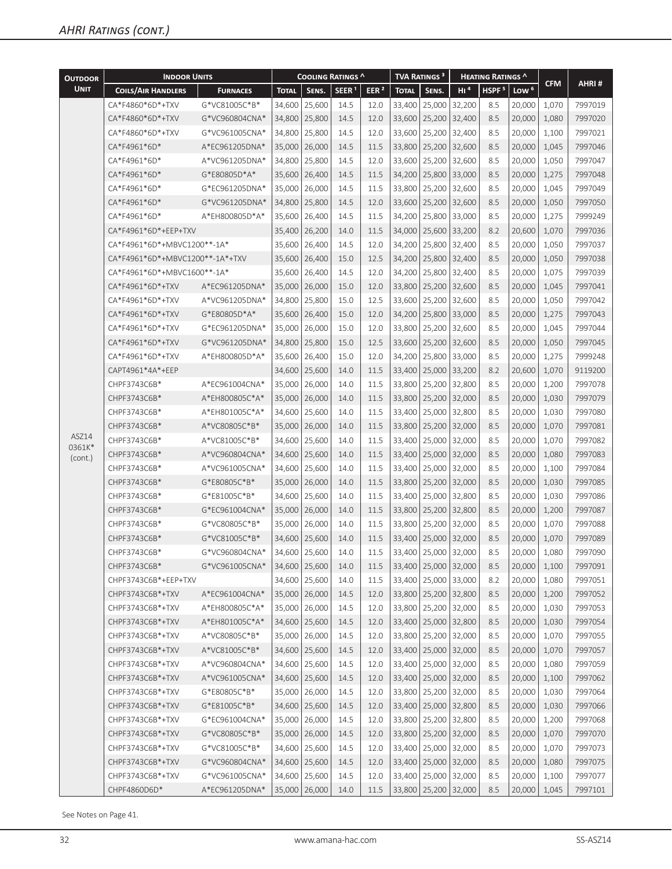| <b>OUTDOOR</b>  | <b>INDOOR UNITS</b>             |                 |               | <b>COOLING RATINGS ^</b> |                   |                  |              | <b>TVA RATINGS<sup>3</sup></b> |                 | <b>HEATING RATINGS ^</b> |                  |            |         |
|-----------------|---------------------------------|-----------------|---------------|--------------------------|-------------------|------------------|--------------|--------------------------------|-----------------|--------------------------|------------------|------------|---------|
| <b>UNIT</b>     | <b>COILS/AIR HANDLERS</b>       | <b>FURNACES</b> | <b>TOTAL</b>  | SENS.                    | SEER <sup>1</sup> | EER <sup>2</sup> | <b>TOTAL</b> | SENS.                          | H1 <sup>4</sup> | HSPF <sup>5</sup>        | Low <sup>6</sup> | <b>CFM</b> | AHRI#   |
|                 | CA*F4860*6D*+TXV                | G*VC81005C*B*   | 34,600        | 25,600                   | 14.5              | 12.0             | 33,400       | 25,000                         | 32,200          | 8.5                      | 20,000           | 1,070      | 7997019 |
|                 | CA*F4860*6D*+TXV                | G*VC960804CNA*  | 34,800        | 25,800                   | 14.5              | 12.0             | 33,600       | 25,200                         | 32,400          | 8.5                      | 20,000           | 1,080      | 7997020 |
|                 | CA*F4860*6D*+TXV                | G*VC961005CNA*  | 34,800        | 25,800                   | 14.5              | 12.0             | 33,600       | 25,200                         | 32,400          | 8.5                      | 20,000           | 1,100      | 7997021 |
|                 | CA*F4961*6D*                    | A*EC961205DNA*  | 35,000        | 26,000                   | 14.5              | 11.5             | 33,800       | 25,200                         | 32,600          | 8.5                      | 20,000           | 1,045      | 7997046 |
|                 | CA*F4961*6D*                    | A*VC961205DNA*  | 34,800        | 25,800                   | 14.5              | 12.0             | 33,600       | 25,200                         | 32,600          | 8.5                      | 20,000           | 1,050      | 7997047 |
|                 | CA*F4961*6D*                    | G*E80805D*A*    | 35,600        | 26,400                   | 14.5              | 11.5             | 34,200       | 25,800                         | 33,000          | 8.5                      | 20,000           | 1,275      | 7997048 |
|                 | CA*F4961*6D*                    | G*EC961205DNA*  | 35,000        | 26,000                   | 14.5              | 11.5             | 33,800       | 25,200                         | 32,600          | 8.5                      | 20,000           | 1,045      | 7997049 |
|                 | CA*F4961*6D*                    | G*VC961205DNA*  | 34,800        | 25,800                   | 14.5              | 12.0             | 33,600       | 25,200                         | 32,600          | 8.5                      | 20,000           | 1,050      | 7997050 |
|                 | CA*F4961*6D*                    | A*EH800805D*A*  | 35,600        | 26,400                   | 14.5              | 11.5             | 34,200       | 25,800                         | 33,000          | 8.5                      | 20,000           | 1,275      | 7999249 |
|                 | CA*F4961*6D*+EEP+TXV            |                 | 35,400        | 26,200                   | 14.0              | 11.5             | 34,000       | 25,600                         | 33,200          | 8.2                      | 20,600           | 1,070      | 7997036 |
|                 | CA*F4961*6D*+MBVC1200**-1A*     |                 | 35,600        | 26,400                   | 14.5              | 12.0             | 34,200       | 25,800                         | 32,400          | 8.5                      | 20,000           | 1,050      | 7997037 |
|                 | CA*F4961*6D*+MBVC1200**-1A*+TXV |                 | 35,600        | 26,400                   | 15.0              | 12.5             | 34,200       | 25,800                         | 32,400          | 8.5                      | 20,000           | 1,050      | 7997038 |
|                 | CA*F4961*6D*+MBVC1600**-1A*     |                 | 35,600        | 26,400                   | 14.5              | 12.0             | 34,200       | 25,800                         | 32,400          | 8.5                      | 20,000           | 1,075      | 7997039 |
|                 | CA*F4961*6D*+TXV                | A*EC961205DNA*  | 35,000        | 26,000                   | 15.0              | 12.0             | 33,800       | 25,200                         | 32,600          | 8.5                      | 20,000           | 1,045      | 7997041 |
|                 | CA*F4961*6D*+TXV                | A*VC961205DNA*  | 34,800        | 25,800                   | 15.0              | 12.5             | 33,600       | 25,200                         | 32,600          | 8.5                      | 20,000           | 1,050      | 7997042 |
|                 | CA*F4961*6D*+TXV                | G*E80805D*A*    | 35,600        | 26,400                   | 15.0              | 12.0             | 34,200       | 25,800                         | 33,000          | 8.5                      | 20,000           | 1,275      | 7997043 |
|                 | CA*F4961*6D*+TXV                | G*FC961205DNA*  | 35.000        | 26,000                   | 15.0              | 12.0             | 33,800       | 25,200                         | 32,600          | 8.5                      | 20,000           | 1,045      | 7997044 |
|                 | CA*F4961*6D*+TXV                | G*VC961205DNA*  | 34,800        | 25,800                   | 15.0              | 12.5             | 33,600       | 25,200                         | 32,600          | 8.5                      | 20,000           | 1,050      | 7997045 |
|                 | CA*F4961*6D*+TXV                | A*EH800805D*A*  | 35,600        | 26,400                   | 15.0              | 12.0             | 34,200       | 25,800                         | 33,000          | 8.5                      | 20,000           | 1,275      | 7999248 |
|                 | CAPT4961*4A*+EEP                |                 | 34,600        | 25,600                   | 14.0              | 11.5             | 33,400       | 25,000                         | 33,200          | 8.2                      | 20,600           | 1,070      | 9119200 |
|                 | CHPF3743C6B*                    | A*EC961004CNA*  | 35,000        | 26,000                   | 14.0              | 11.5             | 33,800       | 25,200                         | 32,800          | 8.5                      | 20,000           | 1,200      | 7997078 |
|                 | CHPF3743C6B*                    | A*EH800805C*A*  | 35,000        | 26,000                   | 14.0              | 11.5             | 33,800       | 25,200                         | 32,000          | 8.5                      | 20,000           | 1,030      | 7997079 |
|                 | CHPF3743C6B*                    | A*EH801005C*A*  | 34,600        | 25,600                   | 14.0              | 11.5             | 33,400       | 25,000                         | 32,800          | 8.5                      | 20,000           | 1,030      | 7997080 |
|                 | CHPF3743C6B*                    | A*VC80805C*B*   | 35,000        | 26,000                   | 14.0              | 11.5             | 33,800       | 25,200                         | 32,000          | 8.5                      | 20,000           | 1,070      | 7997081 |
| ASZ14<br>0361K* | CHPF3743C6B*                    | A*VC81005C*B*   | 34,600        | 25,600                   | 14.0              | 11.5             | 33,400       | 25,000                         | 32,000          | 8.5                      | 20,000           | 1,070      | 7997082 |
| (cont.)         | CHPF3743C6B*                    | A*VC960804CNA*  | 34,600        | 25,600                   | 14.0              | 11.5             | 33,400       | 25,000                         | 32,000          | 8.5                      | 20,000           | 1,080      | 7997083 |
|                 | CHPF3743C6B*                    | A*VC961005CNA*  | 34,600        | 25,600                   | 14.0              | 11.5             | 33,400       | 25,000                         | 32,000          | 8.5                      | 20,000           | 1,100      | 7997084 |
|                 | CHPF3743C6B*                    | G*E80805C*B*    | 35,000        | 26,000                   | 14.0              | 11.5             | 33,800       | 25,200                         | 32,000          | 8.5                      | 20,000           | 1,030      | 7997085 |
|                 | CHPF3743C6B*                    | G*E81005C*B*    | 34,600        | 25,600                   | 14.0              | 11.5             | 33,400       | 25,000                         | 32,800          | 8.5                      | 20,000           | 1,030      | 7997086 |
|                 | CHPF3743C6B*                    | G*EC961004CNA*  | 35,000        | 26,000                   | 14.0              | 11.5             | 33,800       | 25,200                         | 32,800          | 8.5                      | 20,000           | 1,200      | 7997087 |
|                 | CHPF3743C6B*                    | G*VC80805C*B*   | 35,000        | 26,000                   | 14.0              | 11.5             | 33,800       | 25,200                         | 32,000          | 8.5                      | 20,000           | 1,070      | 7997088 |
|                 | CHPF3743C6B*                    | G*VC81005C*B*   | 34,600        | 25,600                   | 14.0              | 11.5             | 33,400       | 25,000                         | 32,000          | 8.5                      | 20,000           | 1,070      | 7997089 |
|                 | CHPF3743C6B*                    | G*VC960804CNA*  | 34,600        | 25,600                   | 14.0              | 11.5             | 33,400       | 25,000                         | 32,000          | 8.5                      | 20,000           | 1,080      | 7997090 |
|                 | CHPF3743C6B*                    | G*VC961005CNA*  |               | 34,600   25,600          | 14.0              | 11.5             |              | 33,400 25,000 32,000           |                 | 8.5                      | 20,000           | 1,100      | 7997091 |
|                 | CHPF3743C6B*+EEP+TXV            |                 |               | 34,600 25,600            | 14.0              | 11.5             |              | 33,400   25,000   33,000       |                 | 8.2                      | 20,000           | 1,080      | 7997051 |
|                 | CHPF3743C6B*+TXV                | A*EC961004CNA*  |               | 35,000 26,000            | 14.5              | 12.0             |              | 33,800 25,200 32,800           |                 | 8.5                      | 20,000           | 1,200      | 7997052 |
|                 | CHPF3743C6B*+TXV                | A*EH800805C*A*  |               | 35,000 26,000            | 14.5              | 12.0             |              | 33,800 25,200 32,000           |                 | 8.5                      | 20,000           | 1,030      | 7997053 |
|                 | CHPF3743C6B*+TXV                | A*EH801005C*A*  | 34,600 25,600 |                          | 14.5              | 12.0             |              | 33,400 25,000 32,800           |                 | 8.5                      | 20,000           | 1,030      | 7997054 |
|                 | CHPF3743C6B*+TXV                | A*VC80805C*B*   | 35,000 26,000 |                          | 14.5              | 12.0             | 33,800       | 25,200 32,000                  |                 | 8.5                      | 20,000           | 1,070      | 7997055 |
|                 | CHPF3743C6B*+TXV                | A*VC81005C*B*   |               | 34,600 25,600            | 14.5              | 12.0             | 33,400       | 25,000 32,000                  |                 | 8.5                      | 20,000           | 1,070      | 7997057 |
|                 | CHPF3743C6B*+TXV                | A*VC960804CNA*  |               | 34,600   25,600          | 14.5              | 12.0             | 33,400       | 25,000 32,000                  |                 | 8.5                      | 20,000           | 1,080      | 7997059 |
|                 | CHPF3743C6B*+TXV                | A*VC961005CNA*  |               | 34,600 25,600            | 14.5              | 12.0             |              | 33,400 25,000 32,000           |                 | 8.5                      | 20,000           | 1,100      | 7997062 |
|                 | CHPF3743C6B*+TXV                | G*E80805C*B*    |               | 35,000 26,000            | 14.5              | 12.0             |              | 33,800 25,200 32,000           |                 | 8.5                      | 20,000           | 1,030      | 7997064 |
|                 | CHPF3743C6B*+TXV                | G*E81005C*B*    |               | 34,600   25,600          | 14.5              | 12.0             |              | 33,400   25,000   32,800       |                 | 8.5                      | 20,000           | 1,030      | 7997066 |
|                 | CHPF3743C6B*+TXV                | G*EC961004CNA*  |               | 35,000 26,000            | 14.5              | 12.0             |              | 33,800 25,200 32,800           |                 | 8.5                      | 20,000           | 1,200      | 7997068 |
|                 | CHPF3743C6B*+TXV                | G*VC80805C*B*   | 35,000 26,000 |                          | 14.5              | 12.0             |              | 33,800   25,200   32,000       |                 | 8.5                      | 20,000           | 1,070      | 7997070 |
|                 | CHPF3743C6B*+TXV                | G*VC81005C*B*   | 34,600 25,600 |                          | 14.5              | 12.0             |              | 33,400 25,000 32,000           |                 | 8.5                      | 20,000           | 1,070      | 7997073 |
|                 | CHPF3743C6B*+TXV                | G*VC960804CNA*  |               | 34,600 25,600            | 14.5              | 12.0             |              | 33,400   25,000   32,000       |                 | 8.5                      | 20,000           | 1,080      | 7997075 |
|                 | CHPF3743C6B*+TXV                | G*VC961005CNA*  |               | 34,600   25,600          | 14.5              | 12.0             | 33,400       | 25,000 32,000                  |                 | 8.5                      | 20,000           | 1,100      | 7997077 |
|                 | CHPF4860D6D*                    | A*EC961205DNA*  |               | 35,000 26,000            | 14.0              | 11.5             | 33,800       | 25,200                         | 32,000          | 8.5                      | 20,000           | 1,045      | 7997101 |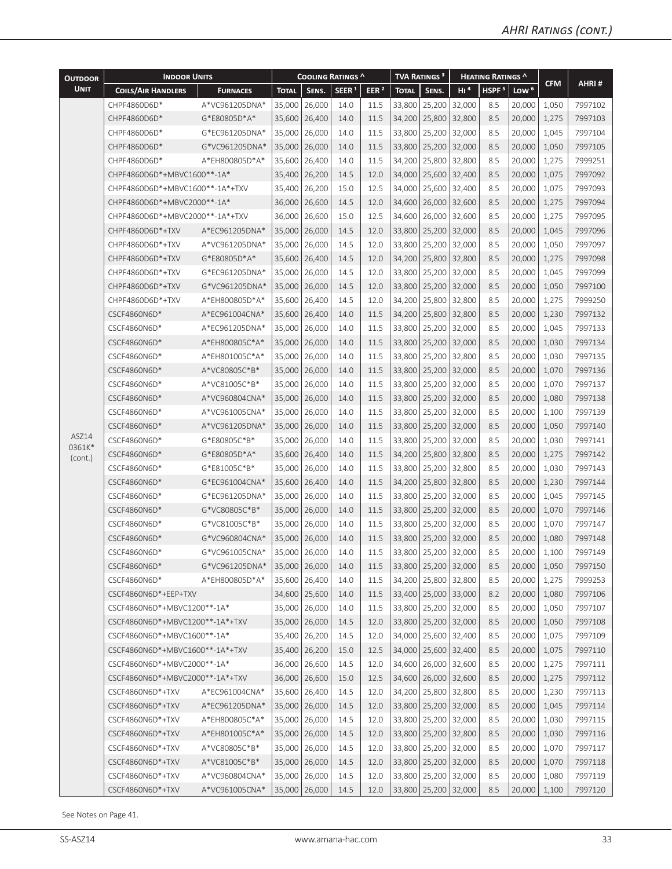| <b>OUTDOOR</b>  | <b>INDOOR UNITS</b>             |                 |              | <b>COOLING RATINGS ^</b> |                   |                  |              | <b>TVA RATINGS<sup>3</sup></b> |                 | <b>HEATING RATINGS ^</b> |                  | <b>CFM</b> | AHRI#   |
|-----------------|---------------------------------|-----------------|--------------|--------------------------|-------------------|------------------|--------------|--------------------------------|-----------------|--------------------------|------------------|------------|---------|
| <b>UNIT</b>     | <b>COILS/AIR HANDLERS</b>       | <b>FURNACES</b> | <b>TOTAL</b> | SENS.                    | SEER <sup>1</sup> | EER <sup>2</sup> | <b>TOTAL</b> | SENS.                          | H1 <sup>4</sup> | HSPF <sup>5</sup>        | Low <sup>6</sup> |            |         |
|                 | CHPF4860D6D*                    | A*VC961205DNA*  | 35,000       | 26,000                   | 14.0              | 11.5             | 33,800       | 25,200 32,000                  |                 | 8.5                      | 20,000           | 1,050      | 7997102 |
|                 | CHPF4860D6D*                    | G*E80805D*A*    | 35,600       | 26,400                   | 14.0              | 11.5             | 34,200       | 25,800 32,800                  |                 | 8.5                      | 20,000           | 1,275      | 7997103 |
|                 | CHPF4860D6D*                    | G*EC961205DNA*  | 35,000       | 26,000                   | 14.0              | 11.5             | 33,800       | 25,200                         | 32,000          | 8.5                      | 20,000           | 1,045      | 7997104 |
|                 | CHPF4860D6D*                    | G*VC961205DNA*  | 35,000       | 26,000                   | 14.0              | 11.5             | 33,800       | 25,200                         | 32,000          | 8.5                      | 20,000           | 1,050      | 7997105 |
|                 | CHPF4860D6D*                    | A*EH800805D*A*  | 35,600       | 26,400                   | 14.0              | 11.5             | 34,200       | 25,800                         | 32,800          | 8.5                      | 20,000           | 1,275      | 7999251 |
|                 | CHPF4860D6D*+MBVC1600**-1A*     |                 | 35,400       | 26,200                   | 14.5              | 12.0             | 34,000       | 25,600 32,400                  |                 | 8.5                      | 20,000           | 1,075      | 7997092 |
|                 | CHPF4860D6D*+MBVC1600**-1A*+TXV |                 | 35,400       | 26,200                   | 15.0              | 12.5             | 34,000       | 25,600                         | 32,400          | 8.5                      | 20,000           | 1,075      | 7997093 |
|                 | CHPF4860D6D*+MBVC2000**-1A*     |                 | 36,000       | 26,600                   | 14.5              | 12.0             | 34,600       | 26,000                         | 32,600          | 8.5                      | 20,000           | 1,275      | 7997094 |
|                 | CHPF4860D6D*+MBVC2000**-1A*+TXV |                 | 36,000       | 26,600                   | 15.0              | 12.5             | 34,600       | 26,000                         | 32,600          | 8.5                      | 20,000           | 1,275      | 7997095 |
|                 | CHPF4860D6D*+TXV                | A*EC961205DNA*  | 35,000       | 26,000                   | 14.5              | 12.0             |              | 33,800   25,200   32,000       |                 | 8.5                      | 20,000           | 1,045      | 7997096 |
|                 | CHPF4860D6D*+TXV                | A*VC961205DNA*  | 35,000       | 26,000                   | 14.5              | 12.0             | 33,800       | 25,200                         | 32,000          | 8.5                      | 20,000           | 1,050      | 7997097 |
|                 | CHPF4860D6D*+TXV                | G*E80805D*A*    | 35,600       | 26,400                   | 14.5              | 12.0             | 34,200       | 25,800                         | 32,800          | 8.5                      | 20,000           | 1,275      | 7997098 |
|                 | CHPF4860D6D*+TXV                | G*EC961205DNA*  | 35,000       | 26,000                   | 14.5              | 12.0             | 33,800       | 25,200                         | 32,000          | 8.5                      | 20,000           | 1,045      | 7997099 |
|                 | CHPF4860D6D*+TXV                | G*VC961205DNA*  | 35,000       | 26,000                   | 14.5              | 12.0             | 33,800       | 25,200 32,000                  |                 | 8.5                      | 20,000           | 1,050      | 7997100 |
|                 | CHPF4860D6D*+TXV                | A*EH800805D*A*  | 35,600       | 26,400                   | 14.5              | 12.0             | 34,200       | 25,800 32,800                  |                 | 8.5                      | 20,000           | 1,275      | 7999250 |
|                 | CSCF4860N6D*                    | A*EC961004CNA*  | 35,600       | 26,400                   | 14.0              | 11.5             | 34,200       | 25,800                         | 32,800          | 8.5                      | 20,000           | 1,230      | 7997132 |
|                 | CSCF4860N6D*                    | A*EC961205DNA*  | 35,000       | 26,000                   | 14.0              | 11.5             | 33,800       | 25,200                         | 32,000          | 8.5                      | 20,000           | 1,045      | 7997133 |
|                 | CSCF4860N6D*                    | A*EH800805C*A*  | 35,000       | 26,000                   | 14.0              | 11.5             |              | 33,800   25,200   32,000       |                 | 8.5                      | 20,000           | 1,030      | 7997134 |
|                 | CSCF4860N6D*                    | A*EH801005C*A*  | 35,000       | 26,000                   | 14.0              | 11.5             | 33,800       | 25,200                         | 32,800          | 8.5                      | 20,000           | 1,030      | 7997135 |
|                 | CSCF4860N6D*                    | A*VC80805C*B*   | 35,000       | 26,000                   | 14.0              | 11.5             | 33,800       | 25,200                         | 32,000          | 8.5                      | 20,000           | 1,070      | 7997136 |
|                 | CSCF4860N6D*                    | A*VC81005C*B*   | 35,000       | 26,000                   | 14.0              | 11.5             | 33,800       | 25,200                         | 32,000          | 8.5                      | 20,000           | 1,070      | 7997137 |
|                 | CSCF4860N6D*                    | A*VC960804CNA*  | 35,000       | 26,000                   | 14.0              | 11.5             | 33,800       | 25,200 32,000                  |                 | 8.5                      | 20,000           | 1,080      | 7997138 |
|                 | CSCF4860N6D*                    | A*VC961005CNA*  | 35,000       | 26,000                   | 14.0              | 11.5             | 33,800       | 25,200                         | 32,000          | 8.5                      | 20,000           | 1,100      | 7997139 |
|                 | CSCF4860N6D*                    | A*VC961205DNA*  | 35,000       | 26,000                   | 14.0              | 11.5             | 33,800       | 25,200                         | 32,000          | 8.5                      | 20,000           | 1,050      | 7997140 |
| ASZ14<br>0361K* | CSCF4860N6D*                    | G*E80805C*B*    | 35,000       | 26,000                   | 14.0              | 11.5             | 33,800       | 25,200                         | 32,000          | 8.5                      | 20,000           | 1,030      | 7997141 |
| (cont.)         | CSCF4860N6D*                    | G*E80805D*A*    | 35,600       | 26,400                   | 14.0              | 11.5             | 34,200       | 25,800 32,800                  |                 | 8.5                      | 20,000           | 1,275      | 7997142 |
|                 | CSCF4860N6D*                    | G*E81005C*B*    | 35,000       | 26,000                   | 14.0              | 11.5             | 33,800       | 25,200                         | 32,800          | 8.5                      | 20,000           | 1,030      | 7997143 |
|                 | CSCF4860N6D*                    | G*EC961004CNA*  | 35,600       | 26,400                   | 14.0              | 11.5             | 34,200       | 25,800                         | 32,800          | 8.5                      | 20,000           | 1,230      | 7997144 |
|                 | CSCF4860N6D*                    | G*EC961205DNA*  | 35,000       | 26,000                   | 14.0              | 11.5             | 33,800       | 25,200 32,000                  |                 | 8.5                      | 20,000           | 1,045      | 7997145 |
|                 | CSCF4860N6D*                    | G*VC80805C*B*   | 35,000       | 26,000                   | 14.0              | 11.5             |              | 33,800   25,200   32,000       |                 | 8.5                      | 20,000           | 1,070      | 7997146 |
|                 | CSCF4860N6D*                    | G*VC81005C*B*   | 35,000       | 26,000                   | 14.0              | 11.5             | 33,800       | 25,200 32,000                  |                 | 8.5                      | 20,000           | 1,070      | 7997147 |
|                 | CSCF4860N6D*                    | G*VC960804CNA*  | 35,000       | 26,000                   | 14.0              | 11.5             | 33,800       | 25,200                         | 32,000          | 8.5                      | 20,000           | 1,080      | 7997148 |
|                 | CSCF4860N6D*                    | G*VC961005CNA*  | 35,000       | 26,000                   | 14.0              | 11.5             | 33,800       | 25,200                         | 32,000          | 8.5                      | 20,000           | 1,100      | 7997149 |
|                 | CSCF4860N6D*                    | G*VC961205DNA*  |              | 35,000 26,000            | 14.0              | 11.5             |              | 33,800 25,200 32,000           |                 | 8.5                      | 20,000           | 1,050      | 7997150 |
|                 | CSCF4860N6D*                    | A*EH800805D*A*  |              | 35,600   26,400          | 14.0              | 11.5             |              | 34,200   25,800   32,800       |                 | 8.5                      | 20,000           | 1,275      | 7999253 |
|                 | CSCF4860N6D*+EEP+TXV            |                 |              | 34,600 25,600            | 14.0              | 11.5             |              | 33,400 25,000 33,000           |                 | 8.2                      | 20,000           | 1,080      | 7997106 |
|                 | CSCF4860N6D*+MBVC1200**-1A*     |                 |              | 35,000 26,000            | 14.0              | 11.5             |              | 33,800 25,200 32,000           |                 | 8.5                      | 20,000           | 1,050      | 7997107 |
|                 | CSCF4860N6D*+MBVC1200**-1A*+TXV |                 |              | 35,000 26,000            | 14.5              | 12.0             |              | 33,800   25,200   32,000       |                 | 8.5                      | 20,000           | 1,050      | 7997108 |
|                 | CSCF4860N6D*+MBVC1600**-1A*     |                 |              | 35,400 26,200            | 14.5              | 12.0             |              | 34,000   25,600   32,400       |                 | 8.5                      | 20,000           | 1,075      | 7997109 |
|                 | CSCF4860N6D*+MBVC1600**-1A*+TXV |                 |              | 35,400 26,200            | 15.0              | 12.5             |              | 34,000   25,600   32,400       |                 | 8.5                      | 20,000           | 1,075      | 7997110 |
|                 | CSCF4860N6D*+MBVC2000**-1A*     |                 |              | 36,000 26,600            | 14.5              | 12.0             |              | 34,600   26,000   32,600       |                 | 8.5                      | 20,000           | 1,275      | 7997111 |
|                 | CSCF4860N6D*+MBVC2000**-1A*+TXV |                 |              | 36,000   26,600          | 15.0              | 12.5             |              | 34,600   26,000   32,600       |                 | 8.5                      | 20,000           | 1,275      | 7997112 |
|                 | CSCF4860N6D*+TXV                | A*EC961004CNA*  |              | 35,600 26,400            | 14.5              | 12.0             |              | 34,200   25,800   32,800       |                 | 8.5                      | 20,000           | 1,230      | 7997113 |
|                 | CSCF4860N6D*+TXV                | A*EC961205DNA*  |              | 35,000 26,000            | 14.5              | 12.0             |              | 33,800   25,200   32,000       |                 | 8.5                      | 20,000           | 1,045      | 7997114 |
|                 | CSCF4860N6D*+TXV                | A*EH800805C*A*  |              | 35,000   26,000          | 14.5              | 12.0             |              | 33,800 25,200 32,000           |                 | 8.5                      | 20,000           | 1,030      | 7997115 |
|                 | CSCF4860N6D*+TXV                | A*EH801005C*A*  |              | 35,000 26,000            | 14.5              | 12.0             |              | 33,800   25,200   32,800       |                 | 8.5                      | 20,000           | 1,030      | 7997116 |
|                 | CSCF4860N6D*+TXV                | A*VC80805C*B*   |              | 35,000   26,000          | 14.5              | 12.0             |              | 33,800 25,200 32,000           |                 | 8.5                      | 20,000           | 1,070      | 7997117 |
|                 | CSCF4860N6D*+TXV                | A*VC81005C*B*   |              | 35,000   26,000          | 14.5              | 12.0             |              | 33,800 25,200 32,000           |                 | 8.5                      | 20,000           | 1,070      | 7997118 |
|                 | CSCF4860N6D*+TXV                | A*VC960804CNA*  |              | 35,000   26,000          | 14.5              | 12.0             |              | 33,800   25,200   32,000       |                 | 8.5                      | 20,000           | 1,080      | 7997119 |
|                 | CSCF4860N6D*+TXV                | A*VC961005CNA*  |              | 35,000   26,000          | 14.5              | 12.0             |              | 33,800   25,200   32,000       |                 | 8.5                      | 20,000           | 1,100      | 7997120 |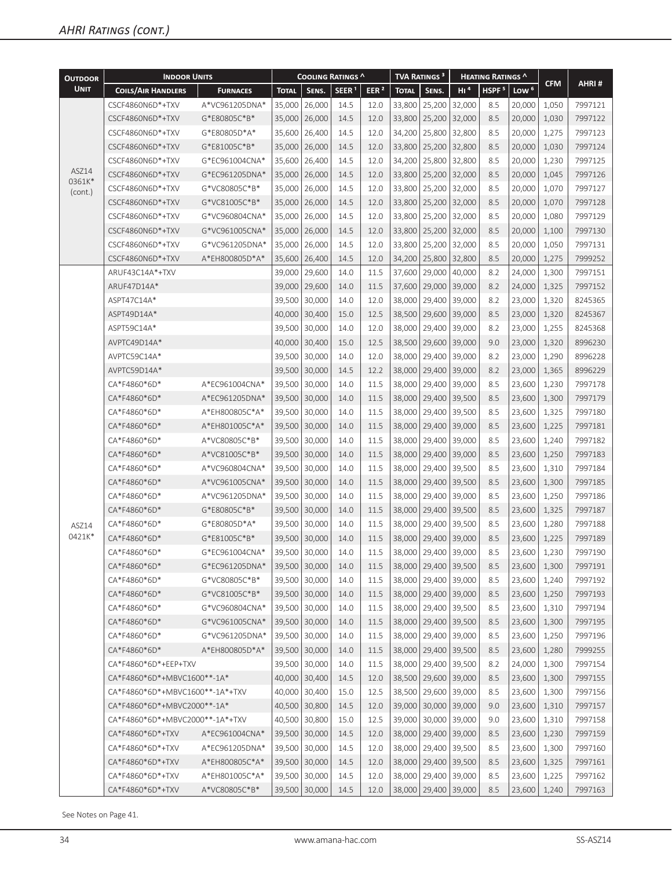| <b>OUTDOOR</b>    | <b>INDOOR UNITS</b>             |                 |              | <b>COOLING RATINGS ^</b> |                   |                  |              | TVA RATINGS <sup>3</sup> |                 | <b>HEATING RATINGS ^</b> |                  |            |         |
|-------------------|---------------------------------|-----------------|--------------|--------------------------|-------------------|------------------|--------------|--------------------------|-----------------|--------------------------|------------------|------------|---------|
| <b>UNIT</b>       | <b>COILS/AIR HANDLERS</b>       | <b>FURNACES</b> | <b>TOTAL</b> | SENS.                    | SEER <sup>1</sup> | EER <sup>2</sup> | <b>TOTAL</b> | SENS.                    | HI <sup>4</sup> | HSPF <sup>5</sup>        | Low <sup>6</sup> | <b>CFM</b> | AHRI#   |
|                   | CSCF4860N6D*+TXV                | A*VC961205DNA*  | 35,000       | 26,000                   | 14.5              | 12.0             | 33,800       | 25,200                   | 32,000          | 8.5                      | 20,000           | 1,050      | 7997121 |
|                   | CSCF4860N6D*+TXV                | G*E80805C*B*    | 35,000       | 26,000                   | 14.5              | 12.0             | 33,800       | 25,200                   | 32,000          | 8.5                      | 20,000           | 1,030      | 7997122 |
|                   | CSCF4860N6D*+TXV                | G*E80805D*A*    | 35,600       | 26,400                   | 14.5              | 12.0             | 34,200       | 25,800                   | 32,800          | 8.5                      | 20,000           | 1,275      | 7997123 |
|                   | CSCF4860N6D*+TXV                | G*E81005C*B*    | 35,000       | 26,000                   | 14.5              | 12.0             | 33,800       | 25,200                   | 32,800          | 8.5                      | 20,000           | 1,030      | 7997124 |
|                   | CSCF4860N6D*+TXV                | G*EC961004CNA*  | 35,600       | 26,400                   | 14.5              | 12.0             | 34,200       | 25,800                   | 32,800          | 8.5                      | 20,000           | 1,230      | 7997125 |
| ASZ14             | CSCF4860N6D*+TXV                | G*EC961205DNA*  | 35,000       | 26,000                   | 14.5              | 12.0             | 33,800       | 25,200                   | 32,000          | 8.5                      | 20,000           | 1,045      | 7997126 |
| 0361K*<br>(cont.) | CSCF4860N6D*+TXV                | G*VC80805C*B*   | 35,000       | 26,000                   | 14.5              | 12.0             | 33,800       | 25,200                   | 32,000          | 8.5                      | 20,000           | 1,070      | 7997127 |
|                   | CSCF4860N6D*+TXV                | G*VC81005C*B*   | 35,000       | 26,000                   | 14.5              | 12.0             | 33,800       | 25,200                   | 32,000          | 8.5                      | 20,000           | 1,070      | 7997128 |
|                   | CSCF4860N6D*+TXV                | G*VC960804CNA*  | 35,000       | 26,000                   | 14.5              | 12.0             | 33,800       | 25,200                   | 32,000          | 8.5                      | 20,000           | 1,080      | 7997129 |
|                   | CSCF4860N6D*+TXV                | G*VC961005CNA*  | 35,000       | 26,000                   | 14.5              | 12.0             | 33,800       | 25,200                   | 32,000          | 8.5                      | 20,000           | 1,100      | 7997130 |
|                   | CSCF4860N6D*+TXV                | G*VC961205DNA*  | 35,000       | 26,000                   | 14.5              | 12.0             | 33,800       | 25,200                   | 32,000          | 8.5                      | 20,000           | 1,050      | 7997131 |
|                   | CSCF4860N6D*+TXV                | A*EH800805D*A*  | 35,600       | 26,400                   | 14.5              | 12.0             | 34,200       | 25,800                   | 32,800          | 8.5                      | 20,000           | 1,275      | 7999252 |
|                   | ARUF43C14A*+TXV                 |                 | 39,000       | 29,600                   | 14.0              | 11.5             | 37,600       | 29,000                   | 40,000          | 8.2                      | 24,000           | 1,300      | 7997151 |
|                   | ARUF47D14A*                     |                 | 39,000       | 29,600                   | 14.0              | 11.5             | 37,600       | 29,000                   | 39,000          | 8.2                      | 24,000           | 1,325      | 7997152 |
|                   | ASPT47C14A*                     |                 | 39,500       | 30,000                   | 14.0              | 12.0             | 38,000       | 29,400                   | 39,000          | 8.2                      | 23,000           | 1,320      | 8245365 |
|                   | ASPT49D14A*                     |                 | 40,000       | 30,400                   | 15.0              | 12.5             | 38,500       | 29,600                   | 39,000          | 8.5                      | 23,000           | 1,320      | 8245367 |
|                   | ASPT59C14A*                     |                 | 39,500       | 30,000                   | 14.0              | 12.0             | 38,000       | 29,400                   | 39,000          | 8.2                      | 23,000           | 1,255      | 8245368 |
|                   | AVPTC49D14A*                    |                 | 40,000       | 30,400                   | 15.0              | 12.5             | 38,500       | 29,600                   | 39,000          | 9.0                      | 23,000           | 1,320      | 8996230 |
|                   | AVPTC59C14A*                    |                 | 39,500       | 30,000                   | 14.0              | 12.0             | 38,000       | 29,400                   | 39,000          | 8.2                      | 23,000           | 1,290      | 8996228 |
|                   | AVPTC59D14A*                    |                 | 39,500       | 30,000                   | 14.5              | 12.2             | 38,000       | 29,400                   | 39,000          | 8.2                      | 23,000           | 1,365      | 8996229 |
|                   | CA*F4860*6D*                    | A*EC961004CNA*  | 39,500       | 30,000                   | 14.0              | 11.5             | 38,000       | 29,400                   | 39,000          | 8.5                      | 23,600           | 1,230      | 7997178 |
|                   | CA*F4860*6D*                    | A*EC961205DNA*  | 39,500       | 30,000                   | 14.0              | 11.5             | 38,000       | 29,400                   | 39,500          | 8.5                      | 23,600           | 1,300      | 7997179 |
|                   | CA*F4860*6D*                    | A*EH800805C*A*  | 39,500       | 30,000                   | 14.0              | 11.5             | 38,000       | 29,400                   | 39,500          | 8.5                      | 23,600           | 1,325      | 7997180 |
|                   | CA*F4860*6D*                    | A*EH801005C*A*  | 39,500       | 30,000                   | 14.0              | 11.5             | 38,000       | 29,400                   | 39,000          | 8.5                      | 23,600           | 1,225      | 7997181 |
|                   | CA*F4860*6D*                    | A*VC80805C*B*   | 39,500       | 30,000                   | 14.0              | 11.5             | 38,000       | 29,400                   | 39,000          | 8.5                      | 23,600           | 1,240      | 7997182 |
|                   | CA*F4860*6D*                    | A*VC81005C*B*   | 39,500       | 30,000                   | 14.0              | 11.5             | 38,000       | 29,400                   | 39,000          | 8.5                      | 23,600           | 1,250      | 7997183 |
|                   | CA*F4860*6D*                    | A*VC960804CNA*  | 39,500       | 30,000                   | 14.0              | 11.5             | 38,000       | 29,400                   | 39,500          | 8.5                      | 23,600           | 1,310      | 7997184 |
|                   | CA*F4860*6D*                    | A*VC961005CNA*  | 39,500       | 30,000                   | 14.0              | 11.5             | 38,000       | 29,400                   | 39,500          | 8.5                      | 23,600           | 1,300      | 7997185 |
|                   | CA*F4860*6D*                    | A*VC961205DNA*  | 39,500       | 30,000                   | 14.0              | 11.5             | 38,000       | 29,400                   | 39,000          | 8.5                      | 23,600           | 1,250      | 7997186 |
|                   | CA*F4860*6D*                    | G*E80805C*B*    | 39,500       | 30,000                   | 14.0              | 11.5             | 38,000       | 29,400                   | 39,500          | 8.5                      | 23,600           | 1,325      | 7997187 |
| ASZ14             | CA*F4860*6D*                    | G*E80805D*A*    | 39,500       | 30,000                   | 14.0              | 11.5             | 38,000       | 29,400                   | 39,500          | 8.5                      | 23,600           | 1,280      | 7997188 |
| 0421K*            | CA*F4860*6D*                    | G*E81005C*B*    | 39,500       | 30,000                   | 14.0              | 11.5             | 38,000       | 29,400                   | 39,000          | 8.5                      | 23,600           | 1,225      | 7997189 |
|                   | CA*F4860*6D*                    | G*EC961004CNA*  | 39,500       | 30,000                   | 14.0              | 11.5             | 38,000       | 29,400                   | 39,000          | 8.5                      | 23,600           | 1,230      | 7997190 |
|                   | CA*F4860*6D*                    | G*EC961205DNA*  |              | 39,500 30,000            | 14.0              | 11.5             |              | 38,000   29,400   39,500 |                 | 8.5                      | 23,600           | 1,300      | 7997191 |
|                   | CA*F4860*6D*                    | G*VC80805C*B*   |              | 39,500 30,000            | 14.0              | 11.5             |              | 38,000   29,400   39,000 |                 | 8.5                      | 23,600           | 1,240      | 7997192 |
|                   | CA*F4860*6D*                    | G*VC81005C*B*   |              | 39,500 30,000            | 14.0              | 11.5             |              | 38,000 29,400 39,000     |                 | 8.5                      | 23,600           | 1,250      | 7997193 |
|                   | CA*F4860*6D*                    | G*VC960804CNA*  |              | 39,500 30,000            | 14.0              | 11.5             |              | 38,000   29,400   39,500 |                 | 8.5                      | 23,600           | 1,310      | 7997194 |
|                   | CA*F4860*6D*                    | G*VC961005CNA*  |              | 39,500 30,000            | 14.0              | 11.5             |              | 38,000   29,400   39,500 |                 | 8.5                      | 23,600           | 1,300      | 7997195 |
|                   | CA*F4860*6D*                    | G*VC961205DNA*  | 39,500       | 30,000                   | 14.0              | 11.5             | 38,000       | 29,400 39,000            |                 | 8.5                      | 23,600           | 1,250      | 7997196 |
|                   | CA*F4860*6D*                    | A*EH800805D*A*  | 39,500       | 30,000                   | 14.0              | 11.5             |              | 38,000   29,400   39,500 |                 | 8.5                      | 23,600           | 1,280      | 7999255 |
|                   | CA*F4860*6D*+EEP+TXV            |                 | 39,500       | 30,000                   | 14.0              | 11.5             |              | 38,000   29,400   39,500 |                 | 8.2                      | 24,000           | 1,300      | 7997154 |
|                   | CA*F4860*6D*+MBVC1600**-1A*     |                 |              | 40,000 30,400            | 14.5              | 12.0             |              | 38,500   29,600   39,000 |                 | 8.5                      | 23,600           | 1,300      | 7997155 |
|                   | CA*F4860*6D*+MBVC1600**-1A*+TXV |                 |              | 40,000 30,400            | 15.0              | 12.5             |              | 38,500   29,600   39,000 |                 | 8.5                      | 23,600           | 1,300      | 7997156 |
|                   | CA*F4860*6D*+MBVC2000**-1A*     |                 |              | 40,500 30,800            | 14.5              | 12.0             |              | 39,000 30,000 39,000     |                 | 9.0                      | 23,600           | 1,310      | 7997157 |
|                   | CA*F4860*6D*+MBVC2000**-1A*+TXV |                 |              | 40,500 30,800            | 15.0              | 12.5             |              | 39,000 30,000 39,000     |                 | 9.0                      | 23,600           | 1,310      | 7997158 |
|                   | CA*F4860*6D*+TXV                | A*EC961004CNA*  |              | 39,500 30,000            | 14.5              | 12.0             |              | 38,000   29,400   39,000 |                 | 8.5                      | 23,600           | 1,230      | 7997159 |
|                   | CA*F4860*6D*+TXV                | A*EC961205DNA*  | 39,500       | 30,000                   | 14.5              | 12.0             | 38,000       | 29,400 39,500            |                 | 8.5                      | 23,600           | 1,300      | 7997160 |
|                   | CA*F4860*6D*+TXV                | A*EH800805C*A*  |              | 39,500 30,000            | 14.5              | 12.0             |              | 38,000   29,400   39,500 |                 | 8.5                      | 23,600           | 1,325      | 7997161 |
|                   | CA*F4860*6D*+TXV                | A*EH801005C*A*  | 39,500       | 30,000                   | 14.5              | 12.0             | 38,000       | 29,400                   | 39,000          | 8.5                      | 23,600           | 1,225      | 7997162 |
|                   | CA*F4860*6D*+TXV                | A*VC80805C*B*   | 39,500       | 30,000                   | 14.5              | 12.0             | 38,000       | 29,400                   | 39,000          | 8.5                      | 23,600           | 1,240      | 7997163 |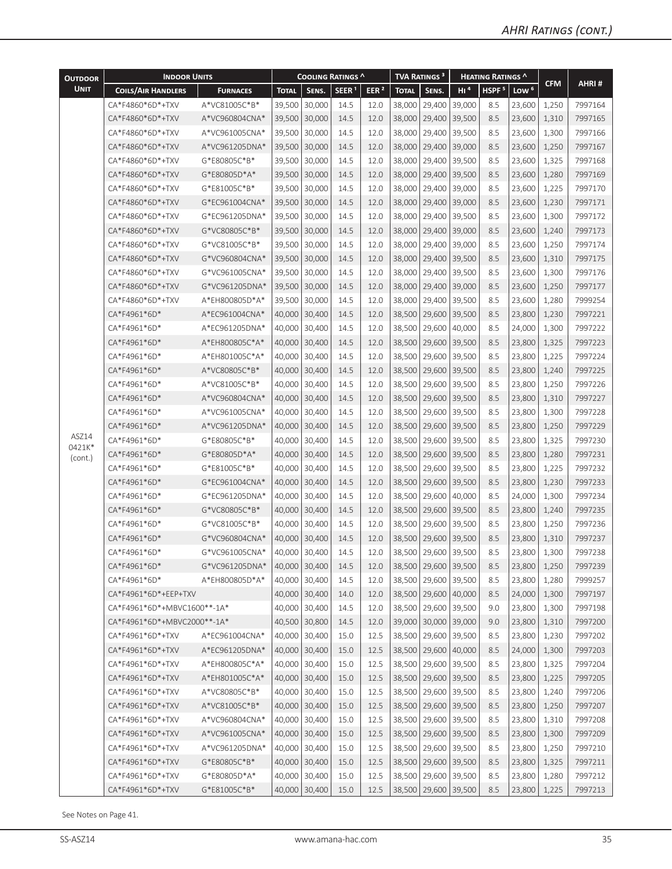| <b>OUTDOOR</b>  | <b>INDOOR UNITS</b>         |                 |              |               | <b>COOLING RATINGS ^</b> |                  |              | <b>TVA RATINGS<sup>3</sup></b> |                 | <b>HEATING RATINGS ^</b> |                  |            | AHRI#   |
|-----------------|-----------------------------|-----------------|--------------|---------------|--------------------------|------------------|--------------|--------------------------------|-----------------|--------------------------|------------------|------------|---------|
| <b>UNIT</b>     | <b>COILS/AIR HANDLERS</b>   | <b>FURNACES</b> | <b>TOTAL</b> | SENS.         | SEER <sup>1</sup>        | EER <sup>2</sup> | <b>TOTAL</b> | SENS.                          | H1 <sup>4</sup> | HSPF <sup>5</sup>        | Low <sup>6</sup> | <b>CFM</b> |         |
|                 | CA*F4860*6D*+TXV            | A*VC81005C*B*   | 39,500       | 30,000        | 14.5                     | 12.0             | 38,000       | 29,400                         | 39,000          | 8.5                      | 23,600           | 1,250      | 7997164 |
|                 | CA*F4860*6D*+TXV            | A*VC960804CNA*  | 39,500       | 30,000        | 14.5                     | 12.0             | 38,000       | 29,400                         | 39,500          | 8.5                      | 23,600           | 1,310      | 7997165 |
|                 | CA*F4860*6D*+TXV            | A*VC961005CNA*  | 39,500       | 30,000        | 14.5                     | 12.0             | 38,000       | 29,400                         | 39,500          | 8.5                      | 23,600           | 1,300      | 7997166 |
|                 | CA*F4860*6D*+TXV            | A*VC961205DNA*  | 39,500       | 30,000        | 14.5                     | 12.0             | 38,000       | 29,400                         | 39,000          | 8.5                      | 23,600           | 1,250      | 7997167 |
|                 | CA*F4860*6D*+TXV            | G*E80805C*B*    | 39,500       | 30,000        | 14.5                     | 12.0             | 38,000       | 29,400                         | 39,500          | 8.5                      | 23,600           | 1,325      | 7997168 |
|                 | CA*F4860*6D*+TXV            | G*E80805D*A*    | 39,500       | 30,000        | 14.5                     | 12.0             | 38,000       | 29,400                         | 39,500          | 8.5                      | 23,600           | 1,280      | 7997169 |
|                 | CA*F4860*6D*+TXV            | G*E81005C*B*    | 39,500       | 30,000        | 14.5                     | 12.0             | 38,000       | 29,400                         | 39,000          | 8.5                      | 23,600           | 1,225      | 7997170 |
|                 | CA*F4860*6D*+TXV            | G*EC961004CNA*  | 39,500       | 30,000        | 14.5                     | 12.0             | 38,000       | 29,400                         | 39,000          | 8.5                      | 23,600           | 1,230      | 7997171 |
|                 | CA*F4860*6D*+TXV            | G*EC961205DNA*  | 39,500       | 30,000        | 14.5                     | 12.0             | 38,000       | 29,400                         | 39,500          | 8.5                      | 23,600           | 1,300      | 7997172 |
|                 | CA*F4860*6D*+TXV            | G*VC80805C*B*   | 39,500       | 30,000        | 14.5                     | 12.0             | 38,000       | 29,400                         | 39,000          | 8.5                      | 23,600           | 1,240      | 7997173 |
|                 | CA*F4860*6D*+TXV            | G*VC81005C*B*   | 39,500       | 30,000        | 14.5                     | 12.0             | 38,000       | 29,400                         | 39,000          | 8.5                      | 23,600           | 1,250      | 7997174 |
|                 | CA*F4860*6D*+TXV            | G*VC960804CNA*  | 39,500       | 30,000        | 14.5                     | 12.0             | 38,000       | 29,400                         | 39,500          | 8.5                      | 23,600           | 1,310      | 7997175 |
|                 | CA*F4860*6D*+TXV            | G*VC961005CNA*  | 39,500       | 30,000        | 14.5                     | 12.0             | 38,000       | 29,400                         | 39,500          | 8.5                      | 23,600           | 1,300      | 7997176 |
|                 | CA*F4860*6D*+TXV            | G*VC961205DNA*  | 39,500       | 30,000        | 14.5                     | 12.0             | 38,000       | 29,400                         | 39,000          | 8.5                      | 23,600           | 1,250      | 7997177 |
|                 | CA*F4860*6D*+TXV            | A*EH800805D*A*  | 39,500       | 30,000        | 14.5                     | 12.0             | 38,000       | 29,400                         | 39,500          | 8.5                      | 23,600           | 1,280      | 7999254 |
|                 | CA*F4961*6D*                | A*EC961004CNA*  | 40,000       | 30,400        | 14.5                     | 12.0             | 38,500       | 29,600                         | 39,500          | 8.5                      | 23,800           | 1,230      | 7997221 |
|                 | CA*F4961*6D*                | A*EC961205DNA*  | 40,000       | 30,400        | 14.5                     | 12.0             | 38,500       | 29,600                         | 40,000          | 8.5                      | 24,000           | 1,300      | 7997222 |
|                 | CA*F4961*6D*                | A*EH800805C*A*  | 40,000       | 30,400        | 14.5                     | 12.0             | 38,500       | 29,600                         | 39,500          | 8.5                      | 23,800           | 1,325      | 7997223 |
|                 | CA*F4961*6D*                | A*EH801005C*A*  | 40,000       | 30,400        | 14.5                     | 12.0             | 38,500       | 29,600                         | 39,500          | 8.5                      | 23,800           | 1,225      | 7997224 |
|                 | CA*F4961*6D*                | A*VC80805C*B*   | 40,000       | 30,400        | 14.5                     | 12.0             | 38,500       | 29,600                         | 39,500          | 8.5                      | 23,800           | 1,240      | 7997225 |
|                 | CA*F4961*6D*                | A*VC81005C*B*   | 40,000       | 30,400        | 14.5                     | 12.0             | 38,500       | 29,600                         | 39,500          | 8.5                      | 23,800           | 1,250      | 7997226 |
|                 | CA*F4961*6D*                | A*VC960804CNA*  | 40,000       | 30,400        | 14.5                     | 12.0             | 38,500       | 29,600                         | 39,500          | 8.5                      | 23,800           | 1,310      | 7997227 |
|                 | CA*F4961*6D*                | A*VC961005CNA*  | 40,000       | 30,400        | 14.5                     | 12.0             | 38,500       | 29,600                         | 39,500          | 8.5                      | 23,800           | 1,300      | 7997228 |
|                 | CA*F4961*6D*                | A*VC961205DNA*  | 40,000       | 30,400        | 14.5                     | 12.0             | 38,500       | 29,600                         | 39,500          | 8.5                      | 23,800           | 1,250      | 7997229 |
| ASZ14<br>0421K* | CA*F4961*6D*                | G*E80805C*B*    | 40,000       | 30,400        | 14.5                     | 12.0             | 38,500       | 29,600                         | 39,500          | 8.5                      | 23,800           | 1,325      | 7997230 |
| (cont.)         | CA*F4961*6D*                | G*E80805D*A*    | 40,000       | 30,400        | 14.5                     | 12.0             | 38,500       | 29,600                         | 39,500          | 8.5                      | 23,800           | 1,280      | 7997231 |
|                 | CA*F4961*6D*                | G*E81005C*B*    | 40,000       | 30,400        | 14.5                     | 12.0             | 38,500       | 29,600                         | 39,500          | 8.5                      | 23,800           | 1,225      | 7997232 |
|                 | CA*F4961*6D*                | G*EC961004CNA*  | 40,000       | 30,400        | 14.5                     | 12.0             | 38,500       | 29,600                         | 39,500          | 8.5                      | 23,800           | 1,230      | 7997233 |
|                 | CA*F4961*6D*                | G*EC961205DNA*  | 40,000       | 30,400        | 14.5                     | 12.0             | 38,500       | 29,600                         | 40,000          | 8.5                      | 24,000           | 1,300      | 7997234 |
|                 | CA*F4961*6D*                | G*VC80805C*B*   |              | 40,000 30,400 | 14.5                     | 12.0             | 38,500       | 29,600                         | 39,500          | 8.5                      | 23,800           | 1,240      | 7997235 |
|                 | CA*F4961*6D*                | G*VC81005C*B*   |              | 40,000 30,400 | 14.5                     | 12.0             | 38,500       | 29,600                         | 39,500          | 8.5                      | 23,800           | 1,250      | 7997236 |
|                 | CA*F4961*6D*                | G*VC960804CNA*  | 40,000       | 30,400        | 14.5                     | 12.0             | 38,500       | 29,600                         | 39,500          | 8.5                      | 23,800           | 1,310      | 7997237 |
|                 | CA*F4961*6D*                | G*VC961005CNA*  | 40,000       | 30,400        | 14.5                     | 12.0             | 38,500       | 29,600                         | 39,500          | 8.5                      | 23,800           | 1,300      | 7997238 |
|                 | CA*F4961*6D*                | G*VC961205DNA*  |              | 40,000 30,400 | 14.5                     | 12.0             |              | 38,500 29,600 39,500           |                 | 8.5                      | 23,800           | 1,250      | 7997239 |
|                 | CA*F4961*6D*                | A*EH800805D*A*  |              | 40,000 30,400 | 14.5                     | 12.0             |              | 38,500   29,600   39,500       |                 | 8.5                      | 23,800           | 1,280      | 7999257 |
|                 | CA*F4961*6D*+EEP+TXV        |                 |              | 40,000 30,400 | 14.0                     | 12.0             |              | 38,500   29,600                | 40,000          | 8.5                      | 24,000           | 1,300      | 7997197 |
|                 | CA*F4961*6D*+MBVC1600**-1A* |                 |              | 40,000 30,400 | 14.5                     | 12.0             |              | 38,500 29,600 39,500           |                 | 9.0                      | 23,800           | 1,300      | 7997198 |
|                 | CA*F4961*6D*+MBVC2000**-1A* |                 |              | 40,500 30,800 | 14.5                     | 12.0             |              | 39,000 30,000 39,000           |                 | 9.0                      | 23,800           | 1,310      | 7997200 |
|                 | CA*F4961*6D*+TXV            | A*EC961004CNA*  |              | 40,000 30,400 | 15.0                     | 12.5             |              | 38,500   29,600   39,500       |                 | 8.5                      | 23,800           | 1,230      | 7997202 |
|                 | CA*F4961*6D*+TXV            | A*EC961205DNA*  |              | 40,000 30,400 | 15.0                     | 12.5             |              | 38,500 29,600                  | 40,000          | 8.5                      | 24,000           | 1,300      | 7997203 |
|                 | CA*F4961*6D*+TXV            | A*EH800805C*A*  |              | 40,000 30,400 | 15.0                     | 12.5             |              | 38,500 29,600 39,500           |                 | 8.5                      | 23,800           | 1,325      | 7997204 |
|                 | CA*F4961*6D*+TXV            | A*EH801005C*A*  |              | 40,000 30,400 | 15.0                     | 12.5             |              | 38,500   29,600   39,500       |                 | 8.5                      | 23,800           | 1,225      | 7997205 |
|                 | CA*F4961*6D*+TXV            | A*VC80805C*B*   |              | 40,000 30,400 | 15.0                     | 12.5             |              | 38,500   29,600   39,500       |                 | 8.5                      | 23,800           | 1,240      | 7997206 |
|                 | CA*F4961*6D*+TXV            | A*VC81005C*B*   |              | 40,000 30,400 | 15.0                     | 12.5             |              | 38,500   29,600                | 39,500          | 8.5                      | 23,800           | 1,250      | 7997207 |
|                 | CA*F4961*6D*+TXV            | A*VC960804CNA*  |              | 40,000 30,400 | 15.0                     | 12.5             |              | 38,500 29,600 39,500           |                 | 8.5                      | 23,800           | 1,310      | 7997208 |
|                 | CA*F4961*6D*+TXV            | A*VC961005CNA*  |              | 40,000 30,400 | 15.0                     | 12.5             |              | 38,500   29,600   39,500       |                 | 8.5                      | 23,800           | 1,300      | 7997209 |
|                 | CA*F4961*6D*+TXV            | A*VC961205DNA*  |              | 40,000 30,400 | 15.0                     | 12.5             |              | 38,500   29,600   39,500       |                 | 8.5                      | 23,800           | 1,250      | 7997210 |
|                 | CA*F4961*6D*+TXV            | G*E80805C*B*    |              | 40,000 30,400 | 15.0                     | 12.5             |              | 38,500   29,600                | 39,500          | 8.5                      | 23,800           | 1,325      | 7997211 |
|                 | CA*F4961*6D*+TXV            | G*E80805D*A*    |              | 40,000 30,400 | 15.0                     | 12.5             |              | 38,500   29,600   39,500       |                 | 8.5                      | 23,800           | 1,280      | 7997212 |
|                 | CA*F4961*6D*+TXV            | G*E81005C*B*    |              | 40,000 30,400 | 15.0                     | 12.5             |              | 38,500   29,600   39,500       |                 | 8.5                      | 23,800           | 1,225      | 7997213 |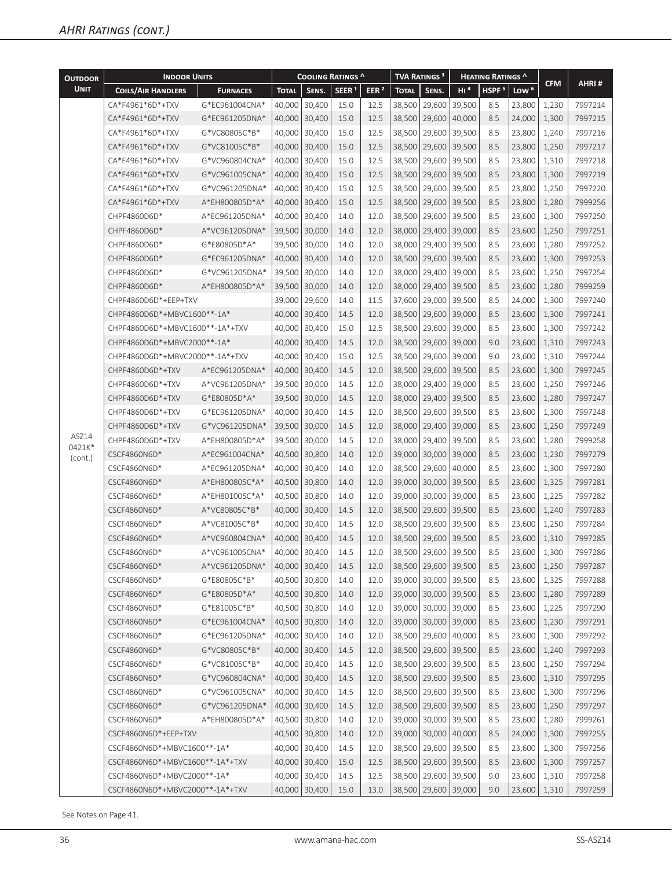| <b>OUTDOOR</b>  | <b>INDOOR UNITS</b>             |                 | <b>COOLING RATINGS ^</b> |               |                   | <b>TVA RATINGS<sup>3</sup></b> |              | <b>HEATING RATINGS ^</b> |                 |                   |                  |            |         |
|-----------------|---------------------------------|-----------------|--------------------------|---------------|-------------------|--------------------------------|--------------|--------------------------|-----------------|-------------------|------------------|------------|---------|
| <b>UNIT</b>     | <b>COILS/AIR HANDLERS</b>       | <b>FURNACES</b> | <b>TOTAL</b>             | SENS.         | SEER <sup>1</sup> | EER <sup>2</sup>               | <b>TOTAL</b> | SENS.                    | HI <sup>4</sup> | HSPF <sup>5</sup> | Low <sup>6</sup> | <b>CFM</b> | AHRI#   |
|                 | CA*F4961*6D*+TXV                | G*EC961004CNA*  | 40,000                   | 30,400        | 15.0              | 12.5                           | 38,500       | 29.600                   | 39,500          | 8.5               | 23,800           | 1,230      | 7997214 |
|                 | CA*F4961*6D*+TXV                | G*EC961205DNA*  | 40,000                   | 30,400        | 15.0              | 12.5                           | 38,500       | 29,600                   | 40,000          | 8.5               | 24,000           | 1,300      | 7997215 |
|                 | CA*F4961*6D*+TXV                | G*VC80805C*B*   | 40,000                   | 30,400        | 15.0              | 12.5                           | 38,500       | 29,600 39,500            |                 | 8.5               | 23,800           | 1,240      | 7997216 |
|                 | CA*F4961*6D*+TXV                | G*VC81005C*B*   | 40,000                   | 30,400        | 15.0              | 12.5                           | 38,500       | 29,600 39,500            |                 | 8.5               | 23,800           | 1,250      | 7997217 |
|                 | CA*F4961*6D*+TXV                | G*VC960804CNA*  | 40,000                   | 30,400        | 15.0              | 12.5                           | 38,500       | 29,600                   | 39,500          | 8.5               | 23,800           | 1,310      | 7997218 |
|                 | CA*F4961*6D*+TXV                | G*VC961005CNA*  | 40,000                   | 30,400        | 15.0              | 12.5                           | 38,500       | 29,600                   | 39,500          | 8.5               | 23,800           | 1,300      | 7997219 |
|                 | CA*F4961*6D*+TXV                | G*VC961205DNA*  | 40,000                   | 30,400        | 15.0              | 12.5                           | 38,500       | 29,600                   | 39,500          | 8.5               | 23,800           | 1,250      | 7997220 |
|                 | CA*F4961*6D*+TXV                | A*EH800805D*A*  | 40,000                   | 30,400        | 15.0              | 12.5                           | 38,500       | 29,600                   | 39,500          | 8.5               | 23,800           | 1,280      | 7999256 |
|                 | CHPF4860D6D*                    | A*EC961205DNA*  | 40,000                   | 30,400        | 14.0              | 12.0                           | 38,500       | 29,600                   | 39,500          | 8.5               | 23,600           | 1,300      | 7997250 |
|                 | CHPF4860D6D*                    | A*VC961205DNA*  | 39,500                   | 30,000        | 14.0              | 12.0                           | 38,000       | 29,400                   | 39,000          | 8.5               | 23,600           | 1,250      | 7997251 |
|                 | CHPF4860D6D*                    | G*E80805D*A*    | 39,500                   | 30,000        | 14.0              | 12.0                           | 38,000       | 29,400                   | 39,500          | 8.5               | 23,600           | 1,280      | 7997252 |
|                 | CHPF4860D6D*                    | G*EC961205DNA*  | 40,000                   | 30,400        | 14.0              | 12.0                           | 38,500       | 29,600                   | 39,500          | 8.5               | 23,600           | 1,300      | 7997253 |
|                 | CHPF4860D6D*                    | G*VC961205DNA*  | 39,500                   | 30,000        | 14.0              | 12.0                           | 38,000       | 29,400                   | 39,000          | 8.5               | 23,600           | 1,250      | 7997254 |
|                 | CHPF4860D6D*                    | A*EH800805D*A*  | 39,500                   | 30,000        | 14.0              | 12.0                           | 38,000       | 29,400                   | 39,500          | 8.5               | 23,600           | 1,280      | 7999259 |
|                 | CHPF4860D6D*+EEP+TXV            |                 | 39,000                   | 29,600        | 14.0              | 11.5                           | 37,600       | 29,000                   | 39,500          | 8.5               | 24,000           | 1,300      | 7997240 |
|                 | CHPF4860D6D*+MBVC1600**-1A*     |                 | 40,000                   | 30,400        | 14.5              | 12.0                           | 38,500       | 29,600                   | 39,000          | 8.5               | 23,600           | 1,300      | 7997241 |
|                 | CHPF4860D6D*+MBVC1600**-1A*+TXV |                 | 40,000                   | 30,400        | 15.0              | 12.5                           | 38,500       | 29,600                   | 39,000          | 8.5               | 23,600           | 1,300      | 7997242 |
|                 | CHPF4860D6D*+MBVC2000**-1A*     |                 | 40.000                   | 30,400        | 14.5              | 12.0                           | 38,500       | 29,600                   | 39,000          | 9.0               | 23,600           | 1,310      | 7997243 |
|                 | CHPF4860D6D*+MBVC2000**-1A*+TXV |                 | 40,000                   | 30,400        | 15.0              | 12.5                           | 38,500       | 29,600                   | 39,000          | 9.0               | 23,600           | 1,310      | 7997244 |
|                 | CHPF4860D6D*+TXV                | A*EC961205DNA*  | 40,000                   | 30,400        | 14.5              | 12.0                           | 38,500       | 29,600                   | 39,500          | 8.5               | 23,600           | 1,300      | 7997245 |
|                 | CHPF4860D6D*+TXV                | A*VC961205DNA*  | 39,500                   | 30,000        | 14.5              | 12.0                           | 38,000       | 29,400                   | 39,000          | 8.5               | 23,600           | 1,250      | 7997246 |
|                 | CHPF4860D6D*+TXV                | G*E80805D*A*    | 39,500                   | 30,000        | 14.5              | 12.0                           | 38,000       | 29,400                   | 39,500          | 8.5               | 23,600           | 1,280      | 7997247 |
|                 | CHPF4860D6D*+TXV                | G*EC961205DNA*  | 40,000                   | 30,400        | 14.5              | 12.0                           | 38,500       | 29,600                   | 39,500          | 8.5               | 23,600           | 1,300      | 7997248 |
|                 | CHPF4860D6D*+TXV                | G*VC961205DNA*  | 39,500                   | 30,000        | 14.5              | 12.0                           | 38,000       | 29,400                   | 39,000          | 8.5               | 23,600           | 1,250      | 7997249 |
| ASZ14<br>0421K* | CHPF4860D6D*+TXV                | A*EH800805D*A*  | 39,500                   | 30,000        | 14.5              | 12.0                           | 38,000       | 29,400                   | 39,500          | 8.5               | 23,600           | 1,280      | 7999258 |
| (cont.)         | CSCF4860N6D*                    | A*EC961004CNA*  | 40,500                   | 30,800        | 14.0              | 12.0                           | 39,000       | 30,000                   | 39,000          | 8.5               | 23,600           | 1,230      | 7997279 |
|                 | CSCF4860N6D*                    | A*EC961205DNA*  | 40,000                   | 30,400        | 14.0              | 12.0                           | 38,500       | 29,600                   | 40,000          | 8.5               | 23,600           | 1,300      | 7997280 |
|                 | CSCF4860N6D*                    | A*EH800805C*A*  | 40,500                   | 30,800        | 14.0              | 12.0                           | 39,000       | 30,000                   | 39,500          | 8.5               | 23,600           | 1,325      | 7997281 |
|                 | CSCF4860N6D*                    | A*EH801005C*A*  | 40,500                   | 30,800        | 14.0              | 12.0                           | 39,000       | 30,000                   | 39,000          | 8.5               | 23,600           | 1,225      | 7997282 |
|                 | CSCF4860N6D*                    | A*VC80805C*B*   | 40,000                   | 30,400        | 14.5              | 12.0                           | 38,500       | 29,600                   | 39,500          | 8.5               | 23,600           | 1,240      | 7997283 |
|                 | CSCF4860N6D*                    | A*VC81005C*B*   | 40,000                   | 30,400        | 14.5              | 12.0                           | 38,500       | 29,600                   | 39,500          | 8.5               | 23,600           | 1,250      | 7997284 |
|                 | CSCF4860N6D*                    | A*VC960804CNA*  | 40,000                   | 30,400        | 14.5              | 12.0                           | 38,500       | 29,600                   | 39,500          | 8.5               | 23,600           | 1,310      | 7997285 |
|                 | CSCF4860N6D*                    | A*VC961005CNA*  | 40.000                   | 30,400        | 14.5              | 12.0                           | 38,500       | 29,600                   | 39,500          | 8.5               | 23,600           | 1,300      | 7997286 |
|                 | CSCF4860N6D*                    | A*VC961205DNA*  |                          | 40,000 30,400 | 14.5              | 12.0                           |              | 38,500 29,600 39,500     |                 | 8.5               | 23,600           | 1,250      | 7997287 |
|                 | CSCF4860N6D*                    | G*E80805C*B*    |                          | 40,500 30,800 | 14.0              | 12.0                           |              | 39,000 30,000 39,500     |                 | 8.5               | 23,600           | 1,325      | 7997288 |
|                 | CSCF4860N6D*                    | G*E80805D*A*    |                          | 40,500 30,800 | 14.0              | 12.0                           |              | 39,000 30,000 39,500     |                 | 8.5               | 23,600           | 1,280      | 7997289 |
|                 | CSCF4860N6D*                    | G*E81005C*B*    |                          | 40,500 30,800 | 14.0              | 12.0                           |              | 39,000 30,000 39,000     |                 | 8.5               | 23,600           | 1,225      | 7997290 |
|                 | CSCF4860N6D*                    | G*EC961004CNA*  |                          | 40,500 30,800 | 14.0              | 12.0                           |              | 39,000 30,000 39,000     |                 | 8.5               | 23,600           | 1,230      | 7997291 |
|                 | CSCF4860N6D*                    | G*EC961205DNA*  | 40,000                   | 30,400        | 14.0              | 12.0                           | 38,500       | 29,600 40,000            |                 | 8.5               | 23,600           | 1,300      | 7997292 |
|                 | CSCF4860N6D*                    | G*VC80805C*B*   |                          | 40,000 30,400 | 14.5              | 12.0                           |              | 38,500 29,600 39,500     |                 | 8.5               | 23,600           | 1,240      | 7997293 |
|                 | CSCF4860N6D*                    | G*VC81005C*B*   |                          | 40,000 30,400 | 14.5              | 12.0                           | 38,500       | 29,600 39,500            |                 | 8.5               | 23,600           | 1,250      | 7997294 |
|                 | CSCF4860N6D*                    | G*VC960804CNA*  |                          | 40,000 30,400 | 14.5              | 12.0                           |              | 38,500 29,600 39,500     |                 | 8.5               | 23,600           | 1,310      | 7997295 |
|                 | CSCF4860N6D*                    | G*VC961005CNA*  |                          | 40,000 30,400 | 14.5              | 12.0                           |              | 38,500   29,600   39,500 |                 | 8.5               | 23,600           | 1,300      | 7997296 |
|                 | CSCF4860N6D*                    | G*VC961205DNA*  |                          | 40,000 30,400 | 14.5              | 12.0                           |              | 38,500   29,600   39,500 |                 | 8.5               | 23,600           | 1,250      | 7997297 |
|                 | CSCF4860N6D*                    | A*EH800805D*A*  |                          | 40,500 30,800 | 14.0              | 12.0                           |              | 39,000 30,000 39,500     |                 | 8.5               | 23,600           | 1,280      | 7999261 |
|                 | CSCF4860N6D*+EEP+TXV            |                 |                          | 40,500 30,800 | 14.0              | 12.0                           |              | 39,000 30,000 40,000     |                 | 8.5               | 24,000           | 1,300      | 7997255 |
|                 | CSCF4860N6D*+MBVC1600**-1A*     |                 | 40,000                   | 30,400        | 14.5              | 12.0                           | 38,500       | 29,600 39,500            |                 | 8.5               | 23,600           | 1,300      | 7997256 |
|                 | CSCF4860N6D*+MBVC1600**-1A*+TXV |                 |                          | 40,000 30,400 | 15.0              | 12.5                           |              | 38,500 29,600 39,500     |                 | 8.5               | 23,600           | 1,300      | 7997257 |
|                 | CSCF4860N6D*+MBVC2000**-1A*     |                 |                          | 40,000 30,400 | 14.5              | 12.5                           | 38,500       | 29,600                   | 39,500          | 9.0               | 23,600           | 1,310      | 7997258 |
|                 | CSCF4860N6D*+MBVC2000**-1A*+TXV |                 |                          | 40,000 30,400 | 15.0              | 13.0                           | 38,500       | 29,600   39,000          |                 | 9.0               | 23,600           | 1,310      | 7997259 |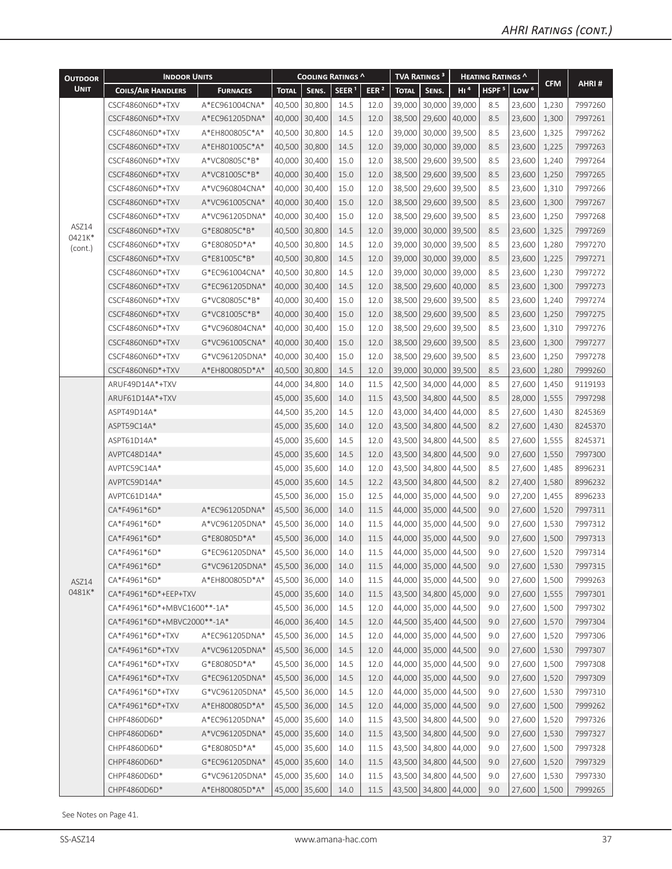| <b>OUTDOOR</b>                                | <b>INDOOR UNITS</b>         |                 |              | <b>COOLING RATINGS ^</b> |                   |                  |              | <b>TVA RATINGS<sup>3</sup></b> |                 | <b>HEATING RATINGS ^</b> |                  |                                                                                                                                                                                                                           |         |
|-----------------------------------------------|-----------------------------|-----------------|--------------|--------------------------|-------------------|------------------|--------------|--------------------------------|-----------------|--------------------------|------------------|---------------------------------------------------------------------------------------------------------------------------------------------------------------------------------------------------------------------------|---------|
| <b>UNIT</b>                                   | <b>COILS/AIR HANDLERS</b>   | <b>FURNACES</b> | <b>TOTAL</b> | SENS.                    | SEER <sup>1</sup> | EER <sup>2</sup> | <b>TOTAL</b> | SENS.                          | H1 <sup>4</sup> | HSPF <sup>5</sup>        | Low <sup>6</sup> |                                                                                                                                                                                                                           | AHRI#   |
|                                               | CSCF4860N6D*+TXV            | A*EC961004CNA*  | 40,500       | 30,800                   | 14.5              | 12.0             | 39,000       | 30,000                         | 39,000          | 8.5                      | 23,600           | 1,230                                                                                                                                                                                                                     | 7997260 |
|                                               | CSCF4860N6D*+TXV            | A*EC961205DNA*  |              | 40,000 30,400            | 14.5              | 12.0             | 38,500       | 29,600                         | 40,000          | 8.5                      | 23,600           | 1,300                                                                                                                                                                                                                     | 7997261 |
|                                               | CSCF4860N6D*+TXV            | A*EH800805C*A*  | 40,500       | 30,800                   | 14.5              | 12.0             | 39,000       | 30,000                         | 39,500          | 8.5                      | 23,600           | 1,325                                                                                                                                                                                                                     | 7997262 |
|                                               | CSCF4860N6D*+TXV            | A*EH801005C*A*  | 40,500       | 30,800                   | 14.5              | 12.0             | 39,000       | 30,000                         | 39,000          | 8.5                      | 23,600           | 1,225                                                                                                                                                                                                                     | 7997263 |
| ASZ14<br>0421K*<br>(cont.)<br>ASZ14<br>0481K* | CSCF4860N6D*+TXV            | A*VC80805C*B*   |              | 40,000 30,400            | 15.0              | 12.0             | 38,500       | 29,600                         | 39,500          | 8.5                      | 23,600           | 1,240                                                                                                                                                                                                                     | 7997264 |
|                                               | CSCF4860N6D*+TXV            | A*VC81005C*B*   | 40,000       | 30,400                   | 15.0              | 12.0             | 38,500       | 29,600                         | 39,500          | 8.5                      | 23,600           | 1,250                                                                                                                                                                                                                     | 7997265 |
|                                               | CSCF4860N6D*+TXV            | A*VC960804CNA*  | 40,000       | 30,400                   | 15.0              | 12.0             | 38,500       | 29,600                         | 39,500          | 8.5                      | 23,600           | 1,310                                                                                                                                                                                                                     | 7997266 |
|                                               | CSCF4860N6D*+TXV            | A*VC961005CNA*  |              | 40,000 30,400            | 15.0              | 12.0             | 38,500       | 29,600                         | 39,500          | 8.5                      | 23,600           | 1,300                                                                                                                                                                                                                     | 7997267 |
|                                               | CSCF4860N6D*+TXV            | A*VC961205DNA*  | 40,000       | 30,400                   | 15.0              | 12.0             | 38,500       | 29,600                         | 39,500          | 8.5                      | 23,600           | 1,250                                                                                                                                                                                                                     | 7997268 |
|                                               | CSCF4860N6D*+TXV            | G*E80805C*B*    | 40,500       | 30,800                   | 14.5              | 12.0             | 39,000       | 30,000                         | 39,500          | 8.5                      | 23,600           | 1,325                                                                                                                                                                                                                     | 7997269 |
|                                               | CSCF4860N6D*+TXV            | G*E80805D*A*    | 40,500       | 30,800                   | 14.5              | 12.0             | 39,000       | 30,000                         | 39,500          | 8.5                      | 23,600           | 1,280                                                                                                                                                                                                                     | 7997270 |
|                                               | CSCF4860N6D*+TXV            | G*E81005C*B*    | 40,500       | 30,800                   | 14.5              | 12.0             | 39,000       | 30,000                         | 39,000          | 8.5                      | 23,600           | 1,225                                                                                                                                                                                                                     | 7997271 |
|                                               | CSCF4860N6D*+TXV            | G*EC961004CNA*  |              | 40,500 30,800            | 14.5              | 12.0             | 39,000       | 30,000 39,000                  |                 | 8.5                      | 23,600           | 1,230                                                                                                                                                                                                                     | 7997272 |
|                                               | CSCF4860N6D*+TXV            | G*EC961205DNA*  |              | 40,000 30,400            | 14.5              | 12.0             | 38,500       | 29,600                         | 40,000          | 8.5                      | 23,600           | 1,300                                                                                                                                                                                                                     | 7997273 |
|                                               | CSCF4860N6D*+TXV            | G*VC80805C*B*   |              | 40,000 30,400            | 15.0              | 12.0             | 38,500       | 29,600                         | 39,500          | 8.5                      | 23,600           | 1,240                                                                                                                                                                                                                     | 7997274 |
|                                               | CSCF4860N6D*+TXV            | G*VC81005C*B*   |              | 40,000 30,400            | 15.0              | 12.0             | 38,500       | 29,600                         | 39,500          | 8.5                      | 23,600           | 1,250                                                                                                                                                                                                                     | 7997275 |
|                                               | CSCF4860N6D*+TXV            | G*VC960804CNA*  | 40,000       | 30,400                   | 15.0              | 12.0             | 38,500       | 29,600                         | 39,500          | 8.5                      | 23,600           | 1,310                                                                                                                                                                                                                     | 7997276 |
|                                               | CSCF4860N6D*+TXV            | G*VC961005CNA*  |              | 40,000 30,400            | 15.0              | 12.0             | 38,500       | 29,600                         | 39,500          | 8.5                      | 23,600           | 1,300                                                                                                                                                                                                                     | 7997277 |
|                                               | CSCF4860N6D*+TXV            | G*VC961205DNA*  | 40,000       | 30,400                   | 15.0              | 12.0             | 38,500       | 29,600                         | 39,500          | 8.5                      | 23,600           | 1,250                                                                                                                                                                                                                     | 7997278 |
|                                               | CSCF4860N6D*+TXV            | A*EH800805D*A*  | 40,500       | 30,800                   | 14.5              | 12.0             | 39,000       | 30,000                         | 39,500          | 8.5                      | 23,600           | 1,280                                                                                                                                                                                                                     | 7999260 |
|                                               | ARUF49D14A*+TXV             |                 |              | 44,000 34,800            | 14.0              | 11.5             |              | 42,500 34,000                  | 44,000          | 8.5                      | 27,600           | 1,450                                                                                                                                                                                                                     | 9119193 |
|                                               | ARUF61D14A*+TXV             |                 |              | 45,000 35,600            | 14.0              | 11.5             | 43,500       | 34,800                         | 44,500          | 8.5                      | 28,000           | 1,555                                                                                                                                                                                                                     | 7997298 |
|                                               | ASPT49D14A*                 |                 |              | 44,500 35,200            | 14.5              | 12.0             | 43,000       | 34,400                         | 44,000          | 8.5                      | 27,600           | 1,430                                                                                                                                                                                                                     | 8245369 |
|                                               | ASPT59C14A*                 |                 |              | 45,000 35,600            | 14.0              | 12.0             | 43,500       | 34,800                         | 44,500          | 8.2                      | 27,600           | 1,430                                                                                                                                                                                                                     | 8245370 |
|                                               | ASPT61D14A*                 |                 |              | 45,000 35,600            | 14.5              | 12.0             | 43,500       | 34,800                         | 44,500          | 8.5                      | 27,600           | 1,555                                                                                                                                                                                                                     | 8245371 |
|                                               | AVPTC48D14A*                |                 |              | 45,000 35,600            | 14.5              | 12.0             | 43,500       | 34,800                         | 44,500          | 9.0                      | 27,600           | 1,550                                                                                                                                                                                                                     | 7997300 |
|                                               | AVPTC59C14A*                |                 | 45,000       | 35,600                   | 14.0              | 12.0             | 43,500       | 34,800                         | 44,500          | 8.5                      | 27,600           | 1,485                                                                                                                                                                                                                     | 8996231 |
|                                               | AVPTC59D14A*                |                 |              | 45,000 35,600            | 14.5              | 12.2             | 43,500       | 34,800                         | 44,500          | 8.2                      | 27,400           | <b>CFM</b><br>1,580<br>1,455<br>1,520<br>1,530<br>1,500<br>1,520<br>1,530<br>1,500<br>1,555<br>1,500<br>1,570<br>1,520<br>1,530<br>1,500<br>1,520<br>1,530<br>1,500<br>1,520<br>1,530<br>1,500<br>1,520<br>1,530<br>1,500 | 8996232 |
|                                               | AVPTC61D14A*                |                 |              | 45,500 36,000            | 15.0              | 12.5             |              | 44,000   35,000   44,500       |                 | 9.0                      | 27,200           |                                                                                                                                                                                                                           | 8996233 |
|                                               | CA*F4961*6D*                | A*EC961205DNA*  |              | 45,500 36,000            | 14.0              | 11.5             | 44,000       | 35,000                         | 44,500          | 9.0                      | 27,600           |                                                                                                                                                                                                                           | 7997311 |
|                                               | CA*F4961*6D*                | A*VC961205DNA*  |              | 45,500 36,000            | 14.0              | 11.5             | 44,000       | 35,000                         | 44,500          | 9.0                      | 27,600           |                                                                                                                                                                                                                           | 7997312 |
|                                               | CA*F4961*6D*                | G*E80805D*A*    | 45,500       | 36,000                   | 14.0              | 11.5             | 44,000       | 35,000                         | 44,500          | 9.0                      | 27,600           |                                                                                                                                                                                                                           | 7997313 |
|                                               | CA*F4961*6D*                | G*EC961205DNA*  | 45,500       | 36,000                   | 14.0              | 11.5             | 44,000       | 35,000                         | 44,500          | 9.0                      | 27,600           |                                                                                                                                                                                                                           | 7997314 |
|                                               | CA*F4961*6D*                | G*VC961205DNA*  |              | 45,500 36,000            | 14.0              | 11.5             |              | 44,000 35,000 44,500           |                 | 9.0                      | 27,600           |                                                                                                                                                                                                                           | 7997315 |
|                                               | CA*F4961*6D*                | A*EH800805D*A*  |              | 45,500 36,000            | 14.0              | 11.5             |              | 44,000 35,000                  | 44,500          | 9.0                      | 27,600           |                                                                                                                                                                                                                           | 7999263 |
|                                               | CA*F4961*6D*+EEP+TXV        |                 |              | 45,000 35,600            | 14.0              | 11.5             |              | 43,500 34,800 45,000           |                 | 9.0                      | 27,600           |                                                                                                                                                                                                                           | 7997301 |
|                                               | CA*F4961*6D*+MBVC1600**-1A* |                 |              | 45,500 36,000            | 14.5              | 12.0             |              | 44,000 35,000 44,500           |                 | 9.0                      | 27,600           |                                                                                                                                                                                                                           | 7997302 |
|                                               | CA*F4961*6D*+MBVC2000**-1A* |                 |              | 46,000 36,400            | 14.5              | 12.0             |              | 44,500 35,400                  | 44,500          | 9.0                      | 27,600           |                                                                                                                                                                                                                           | 7997304 |
|                                               | CA*F4961*6D*+TXV            | A*EC961205DNA*  |              | 45,500 36,000            | 14.5              | 12.0             |              | 44,000 35,000 44,500           |                 | 9.0                      | 27,600           |                                                                                                                                                                                                                           | 7997306 |
|                                               | CA*F4961*6D*+TXV            | A*VC961205DNA*  |              | 45,500 36,000            | 14.5              | 12.0             |              | 44,000 35,000 44,500           |                 | 9.0                      | 27,600           |                                                                                                                                                                                                                           | 7997307 |
|                                               | CA*F4961*6D*+TXV            | G*E80805D*A*    |              | 45,500 36,000            | 14.5              | 12.0             |              | 44,000 35,000 44,500           |                 | 9.0                      | 27,600           |                                                                                                                                                                                                                           | 7997308 |
|                                               | CA*F4961*6D*+TXV            | G*EC961205DNA*  |              | 45,500 36,000            | 14.5              | 12.0             |              | 44,000 35,000                  | 44,500          | 9.0                      | 27,600           |                                                                                                                                                                                                                           | 7997309 |
|                                               | CA*F4961*6D*+TXV            | G*VC961205DNA*  |              | 45,500 36,000            | 14.5              | 12.0             |              | 44,000 35,000                  | 44,500          | 9.0                      | 27,600           |                                                                                                                                                                                                                           | 7997310 |
|                                               | CA*F4961*6D*+TXV            | A*EH800805D*A*  |              | 45,500 36,000            | 14.5              | 12.0             |              | 44,000 35,000 44,500           |                 | 9.0                      | 27,600           |                                                                                                                                                                                                                           | 7999262 |
|                                               | CHPF4860D6D*                | A*EC961205DNA*  |              | 45,000 35,600            | 14.0              | 11.5             |              | 43,500 34,800 44,500           |                 | 9.0                      | 27,600           |                                                                                                                                                                                                                           | 7997326 |
|                                               | CHPF4860D6D*                | A*VC961205DNA*  |              | 45,000 35,600            | 14.0              | 11.5             |              | 43,500   34,800                | 44,500          | 9.0                      | 27,600           |                                                                                                                                                                                                                           | 7997327 |
|                                               | CHPF4860D6D*                | G*E80805D*A*    |              | 45,000 35,600            | 14.0              | 11.5             |              | 43,500 34,800                  | 44,000          | 9.0                      | 27,600           |                                                                                                                                                                                                                           | 7997328 |
|                                               | CHPF4860D6D*                | G*EC961205DNA*  |              | 45,000 35,600            | 14.0              | 11.5             |              | 43,500   34,800   44,500       |                 | 9.0                      | 27,600           |                                                                                                                                                                                                                           | 7997329 |
|                                               | CHPF4860D6D*                | G*VC961205DNA*  |              | 45,000 35,600            | 14.0              | 11.5             | 43,500       | 34,800 44,500                  |                 | 9.0                      | 27,600           |                                                                                                                                                                                                                           | 7997330 |
|                                               | CHPF4860D6D*                | A*EH800805D*A*  |              | 45,000 35,600            | 14.0              | 11.5             |              | 43,500 34,800 44,000           |                 | 9.0                      | 27,600           |                                                                                                                                                                                                                           | 7999265 |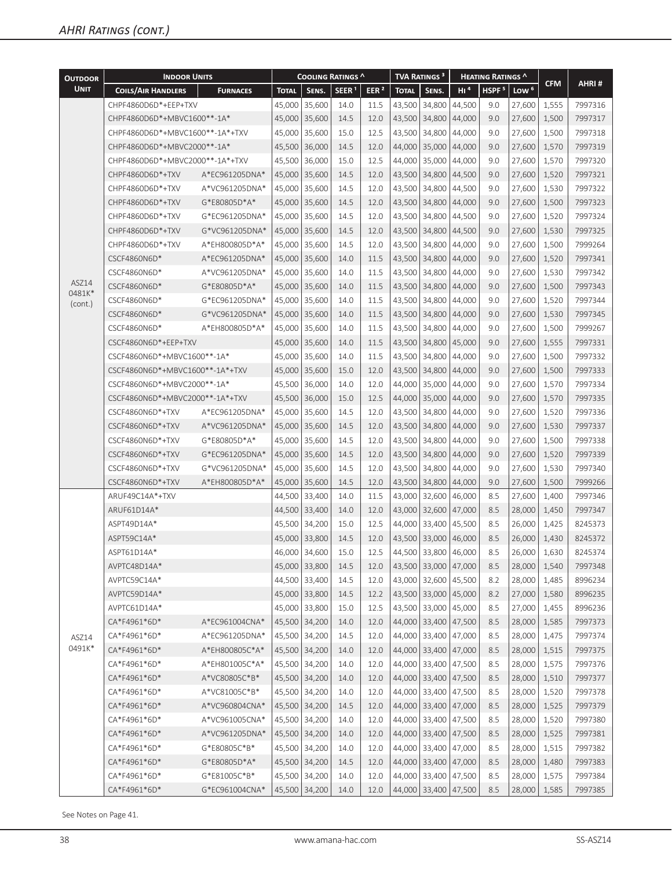| <b>OUTDOOR</b>    | <b>INDOOR UNITS</b>             |                 |              | <b>COOLING RATINGS ^</b> |                   |                  |              | TVA RATINGS <sup>3</sup> |                 | <b>HEATING RATINGS ^</b> |                  | <b>CFM</b><br>1,555<br>1,500<br>1,500<br>1,570<br>1,570<br>1,520<br>1,530<br>1,500<br>1,520<br>1,530<br>1,500<br>1,520<br>1,530<br>1,500<br>1,520<br>1,530<br>1,500<br>1,555<br>1,500<br>1,500<br>1,570<br>1,570<br>1,520<br>1,530<br>1,500<br>1,520<br>1,530<br>1,500<br>1,400<br>1,450<br>1,425<br>1,430<br>1,630<br>1,540<br>1,485<br>1,580<br>1,455<br>1,585<br>1,475<br>1,515<br>1,575<br>1,510<br>1,520<br>1,525<br>1,520<br>1,525<br>1,515 |         |
|-------------------|---------------------------------|-----------------|--------------|--------------------------|-------------------|------------------|--------------|--------------------------|-----------------|--------------------------|------------------|---------------------------------------------------------------------------------------------------------------------------------------------------------------------------------------------------------------------------------------------------------------------------------------------------------------------------------------------------------------------------------------------------------------------------------------------------|---------|
| <b>UNIT</b>       | <b>COILS/AIR HANDLERS</b>       | <b>FURNACES</b> | <b>TOTAL</b> | SENS.                    | SEER <sup>1</sup> | EER <sup>2</sup> | <b>TOTAL</b> | SENS.                    | H1 <sup>4</sup> | HSPF <sup>5</sup>        | Low <sup>6</sup> |                                                                                                                                                                                                                                                                                                                                                                                                                                                   | AHRI#   |
|                   | CHPF4860D6D*+EEP+TXV            |                 | 45,000       | 35,600                   | 14.0              | 11.5             | 43,500       | 34,800                   | 44,500          | 9.0                      | 27,600           |                                                                                                                                                                                                                                                                                                                                                                                                                                                   | 7997316 |
|                   | CHPF4860D6D*+MBVC1600**-1A*     |                 | 45,000       | 35,600                   | 14.5              | 12.0             |              | 43,500 34,800            | 44,000          | 9.0                      | 27,600           |                                                                                                                                                                                                                                                                                                                                                                                                                                                   | 7997317 |
|                   | CHPF4860D6D*+MBVC1600**-1A*+TXV |                 | 45,000       | 35,600                   | 15.0              | 12.5             | 43,500       | 34,800                   | 44,000          | 9.0                      | 27,600           |                                                                                                                                                                                                                                                                                                                                                                                                                                                   | 7997318 |
|                   | CHPF4860D6D*+MBVC2000**-1A*     |                 | 45,500       | 36,000                   | 14.5              | 12.0             |              | 44,000 35,000            | 44,000          | 9.0                      | 27,600           |                                                                                                                                                                                                                                                                                                                                                                                                                                                   | 7997319 |
|                   | CHPF4860D6D*+MBVC2000**-1A*+TXV |                 | 45,500       | 36,000                   | 15.0              | 12.5             | 44,000       | 35,000                   | 44,000          | 9.0                      | 27,600           |                                                                                                                                                                                                                                                                                                                                                                                                                                                   | 7997320 |
|                   | CHPF4860D6D*+TXV                | A*EC961205DNA*  | 45,000       | 35,600                   | 14.5              | 12.0             |              | 43,500 34,800            | 44,500          | 9.0                      | 27,600           |                                                                                                                                                                                                                                                                                                                                                                                                                                                   | 7997321 |
|                   | CHPF4860D6D*+TXV                | A*VC961205DNA*  | 45,000       | 35,600                   | 14.5              | 12.0             | 43,500       | 34,800                   | 44,500          | 9.0                      | 27,600           |                                                                                                                                                                                                                                                                                                                                                                                                                                                   | 7997322 |
|                   | CHPF4860D6D*+TXV                | G*E80805D*A*    | 45,000       | 35,600                   | 14.5              | 12.0             | 43,500       | 34,800                   | 44,000          | 9.0                      | 27,600           |                                                                                                                                                                                                                                                                                                                                                                                                                                                   | 7997323 |
|                   | CHPF4860D6D*+TXV                | G*EC961205DNA*  | 45,000       | 35,600                   | 14.5              | 12.0             | 43,500       | 34,800                   | 44,500          | 9.0                      | 27,600           |                                                                                                                                                                                                                                                                                                                                                                                                                                                   | 7997324 |
|                   | CHPF4860D6D*+TXV                | G*VC961205DNA*  | 45,000       | 35,600                   | 14.5              | 12.0             | 43,500       | 34,800                   | 44,500          | 9.0                      | 27,600           |                                                                                                                                                                                                                                                                                                                                                                                                                                                   | 7997325 |
|                   | CHPF4860D6D*+TXV                | A*EH800805D*A*  | 45,000       | 35,600                   | 14.5              | 12.0             | 43,500       | 34,800                   | 44,000          | 9.0                      | 27,600           |                                                                                                                                                                                                                                                                                                                                                                                                                                                   | 7999264 |
|                   | CSCF4860N6D*                    | A*EC961205DNA*  | 45,000       | 35,600                   | 14.0              | 11.5             |              | 43,500 34,800            | 44,000          | 9.0                      | 27,600           |                                                                                                                                                                                                                                                                                                                                                                                                                                                   | 7997341 |
|                   | CSCF4860N6D*                    | A*VC961205DNA*  | 45,000       | 35,600                   | 14.0              | 11.5             | 43,500       | 34,800                   | 44,000          | 9.0                      | 27,600           |                                                                                                                                                                                                                                                                                                                                                                                                                                                   | 7997342 |
| ASZ14             | CSCF4860N6D*                    | G*E80805D*A*    | 45,000       | 35,600                   | 14.0              | 11.5             |              | 43,500   34,800          | 44,000          | 9.0                      | 27,600           |                                                                                                                                                                                                                                                                                                                                                                                                                                                   | 7997343 |
| 0481K*<br>(cont.) | CSCF4860N6D*                    | G*EC961205DNA*  | 45,000       | 35,600                   | 14.0              | 11.5             | 43,500       | 34,800                   | 44,000          | 9.0                      | 27,600           |                                                                                                                                                                                                                                                                                                                                                                                                                                                   | 7997344 |
|                   | CSCF4860N6D*                    | G*VC961205DNA*  | 45,000       | 35,600                   | 14.0              | 11.5             | 43,500       | 34,800                   | 44,000          | 9.0                      | 27,600           |                                                                                                                                                                                                                                                                                                                                                                                                                                                   | 7997345 |
|                   | CSCF4860N6D*                    | A*EH800805D*A*  | 45,000       | 35,600                   | 14.0              | 11.5             | 43,500       | 34,800                   | 44,000          | 9.0                      | 27,600           |                                                                                                                                                                                                                                                                                                                                                                                                                                                   | 7999267 |
|                   | CSCF4860N6D*+EEP+TXV            |                 | 45,000       | 35,600                   | 14.0              | 11.5             | 43,500       | 34,800                   | 45,000          | 9.0                      | 27,600           |                                                                                                                                                                                                                                                                                                                                                                                                                                                   | 7997331 |
|                   | CSCF4860N6D*+MBVC1600**-1A*     |                 | 45.000       | 35,600                   | 14.0              | 11.5             | 43,500       | 34,800                   | 44,000          | 9.0                      | 27,600           |                                                                                                                                                                                                                                                                                                                                                                                                                                                   | 7997332 |
|                   | CSCF4860N6D*+MBVC1600**-1A*+TXV |                 | 45,000       | 35,600                   | 15.0              | 12.0             |              | 43,500 34,800            | 44,000          | 9.0                      | 27,600           |                                                                                                                                                                                                                                                                                                                                                                                                                                                   | 7997333 |
|                   | CSCF4860N6D*+MBVC2000**-1A*     |                 | 45,500       | 36,000                   | 14.0              | 12.0             | 44,000       | 35,000                   | 44,000          | 9.0                      | 27,600           |                                                                                                                                                                                                                                                                                                                                                                                                                                                   | 7997334 |
|                   | CSCF4860N6D*+MBVC2000**-1A*+TXV |                 | 45,500       | 36,000                   | 15.0              | 12.5             | 44,000       | 35,000                   | 44,000          | 9.0                      | 27,600           |                                                                                                                                                                                                                                                                                                                                                                                                                                                   | 7997335 |
|                   | CSCF4860N6D*+TXV                | A*EC961205DNA*  | 45,000       | 35,600                   | 14.5              | 12.0             | 43,500       | 34,800                   | 44,000          | 9.0                      | 27,600           |                                                                                                                                                                                                                                                                                                                                                                                                                                                   | 7997336 |
|                   | CSCF4860N6D*+TXV                | A*VC961205DNA*  | 45,000       | 35,600                   | 14.5              | 12.0             | 43,500       | 34,800                   | 44,000          | 9.0                      | 27,600           |                                                                                                                                                                                                                                                                                                                                                                                                                                                   | 7997337 |
|                   | CSCF4860N6D*+TXV                | G*E80805D*A*    | 45,000       | 35,600                   | 14.5              | 12.0             | 43,500       | 34,800                   | 44,000          | 9.0                      | 27,600           |                                                                                                                                                                                                                                                                                                                                                                                                                                                   | 7997338 |
|                   | CSCF4860N6D*+TXV                | G*EC961205DNA*  | 45,000       | 35,600                   | 14.5              | 12.0             | 43,500       | 34,800                   | 44,000          | 9.0                      | 27,600           |                                                                                                                                                                                                                                                                                                                                                                                                                                                   | 7997339 |
|                   | CSCF4860N6D*+TXV                | G*VC961205DNA*  | 45,000       | 35,600                   | 14.5              | 12.0             | 43,500       | 34,800                   | 44,000          | 9.0                      | 27,600           |                                                                                                                                                                                                                                                                                                                                                                                                                                                   | 7997340 |
|                   | CSCF4860N6D*+TXV                | A*EH800805D*A*  | 45,000       | 35,600                   | 14.5              | 12.0             |              | 43,500   34,800          | 44,000          | 9.0                      | 27,600           |                                                                                                                                                                                                                                                                                                                                                                                                                                                   | 7999266 |
|                   | ARUF49C14A*+TXV                 |                 | 44,500       | 33,400                   | 14.0              | 11.5             | 43,000       | 32,600                   | 46,000          | 8.5                      | 27,600           |                                                                                                                                                                                                                                                                                                                                                                                                                                                   | 7997346 |
|                   | ARUF61D14A*                     |                 | 44,500       | 33,400                   | 14.0              | 12.0             | 43,000       | 32,600                   | 47,000          | 8.5                      | 28,000           |                                                                                                                                                                                                                                                                                                                                                                                                                                                   | 7997347 |
|                   | ASPT49D14A*                     |                 | 45,500       | 34,200                   | 15.0              | 12.5             | 44,000       | 33,400                   | 45,500          | 8.5                      | 26,000           |                                                                                                                                                                                                                                                                                                                                                                                                                                                   | 8245373 |
|                   | ASPT59C14A*                     |                 | 45,000       | 33,800                   | 14.5              | 12.0             | 43,500       | 33,000                   | 46,000          | 8.5                      | 26,000           |                                                                                                                                                                                                                                                                                                                                                                                                                                                   | 8245372 |
|                   | ASPT61D14A*                     |                 | 46,000       | 34,600                   | 15.0              | 12.5             | 44,500       | 33,800                   | 46,000          | 8.5                      | 26,000           |                                                                                                                                                                                                                                                                                                                                                                                                                                                   | 8245374 |
|                   | AVPTC48D14A*                    |                 |              | 45,000 33,800            | 14.5              | 12.0             |              | 43,500 33,000 47,000     |                 | 8.5                      | 28,000           |                                                                                                                                                                                                                                                                                                                                                                                                                                                   | 7997348 |
|                   | AVPTC59C14A*                    |                 |              | 44,500 33,400            | 14.5              | 12.0             |              | 43,000 32,600 45,500     |                 | 8.2                      | 28,000           |                                                                                                                                                                                                                                                                                                                                                                                                                                                   | 8996234 |
|                   | AVPTC59D14A*                    |                 |              | 45,000 33,800            | 14.5              | 12.2             |              | 43,500 33,000 45,000     |                 | 8.2                      | 27,000           |                                                                                                                                                                                                                                                                                                                                                                                                                                                   | 8996235 |
|                   | AVPTC61D14A*                    |                 |              | 45,000 33,800            | 15.0              | 12.5             |              | 43,500 33,000 45,000     |                 | 8.5                      | 27,000           |                                                                                                                                                                                                                                                                                                                                                                                                                                                   | 8996236 |
|                   | CA*F4961*6D*                    | A*EC961004CNA*  |              | 45,500 34,200            | 14.0              | 12.0             |              | 44,000 33,400 47,500     |                 | 8.5                      | 28,000           |                                                                                                                                                                                                                                                                                                                                                                                                                                                   | 7997373 |
| AS714             | CA*F4961*6D*                    | A*EC961205DNA*  | 45,500       | 34,200                   | 14.5              | 12.0             |              | 44,000 33,400 47,000     |                 | 8.5                      | 28,000           |                                                                                                                                                                                                                                                                                                                                                                                                                                                   | 7997374 |
| 0491K*            | CA*F4961*6D*                    | A*EH800805C*A*  |              | 45,500 34,200            | 14.0              | 12.0             |              | 44,000 33,400 47,000     |                 | 8.5                      | 28,000           |                                                                                                                                                                                                                                                                                                                                                                                                                                                   | 7997375 |
|                   | CA*F4961*6D*                    | A*EH801005C*A*  |              | 45,500 34,200            | 14.0              | 12.0             |              | 44,000 33,400 47,500     |                 | 8.5                      | 28,000           |                                                                                                                                                                                                                                                                                                                                                                                                                                                   | 7997376 |
|                   | CA*F4961*6D*                    | A*VC80805C*B*   |              | 45,500 34,200            | 14.0              | 12.0             |              | 44,000 33,400 47,500     |                 | 8.5                      | 28,000           |                                                                                                                                                                                                                                                                                                                                                                                                                                                   | 7997377 |
|                   | CA*F4961*6D*                    | A*VC81005C*B*   |              | 45,500 34,200            | 14.0              | 12.0             |              | 44,000 33,400 47,500     |                 | 8.5                      | 28,000           |                                                                                                                                                                                                                                                                                                                                                                                                                                                   | 7997378 |
|                   | CA*F4961*6D*                    | A*VC960804CNA*  |              | 45,500 34,200            | 14.5              | 12.0             |              | 44,000 33,400 47,000     |                 | 8.5                      | 28,000           |                                                                                                                                                                                                                                                                                                                                                                                                                                                   | 7997379 |
|                   | CA*F4961*6D*                    | A*VC961005CNA*  |              | 45,500 34,200            | 14.0              | 12.0             |              | 44,000 33,400 47,500     |                 | 8.5                      | 28,000           |                                                                                                                                                                                                                                                                                                                                                                                                                                                   | 7997380 |
|                   | CA*F4961*6D*                    | A*VC961205DNA*  |              | 45,500 34,200            | 14.0              | 12.0             |              | 44,000 33,400 47,500     |                 | 8.5                      | 28,000           |                                                                                                                                                                                                                                                                                                                                                                                                                                                   | 7997381 |
|                   | CA*F4961*6D*                    | G*E80805C*B*    |              | 45,500 34,200            | 14.0              | 12.0             |              | 44,000 33,400 47,000     |                 | 8.5                      | 28,000           |                                                                                                                                                                                                                                                                                                                                                                                                                                                   | 7997382 |
|                   | CA*F4961*6D*                    | G*E80805D*A*    |              | 45,500 34,200            | 14.5              | 12.0             |              | 44,000 33,400 47,000     |                 | 8.5                      | 28,000           | 1,480                                                                                                                                                                                                                                                                                                                                                                                                                                             | 7997383 |
|                   | CA*F4961*6D*                    | G*E81005C*B*    |              | 45,500 34,200            | 14.0              | 12.0             |              | 44,000 33,400 47,500     |                 | 8.5                      | 28,000           | 1,575                                                                                                                                                                                                                                                                                                                                                                                                                                             | 7997384 |
|                   | CA*F4961*6D*                    | G*EC961004CNA*  |              | 45,500 34,200            | 14.0              | 12.0             |              | 44,000 33,400 47,500     |                 | 8.5                      | 28,000           | 1,585                                                                                                                                                                                                                                                                                                                                                                                                                                             | 7997385 |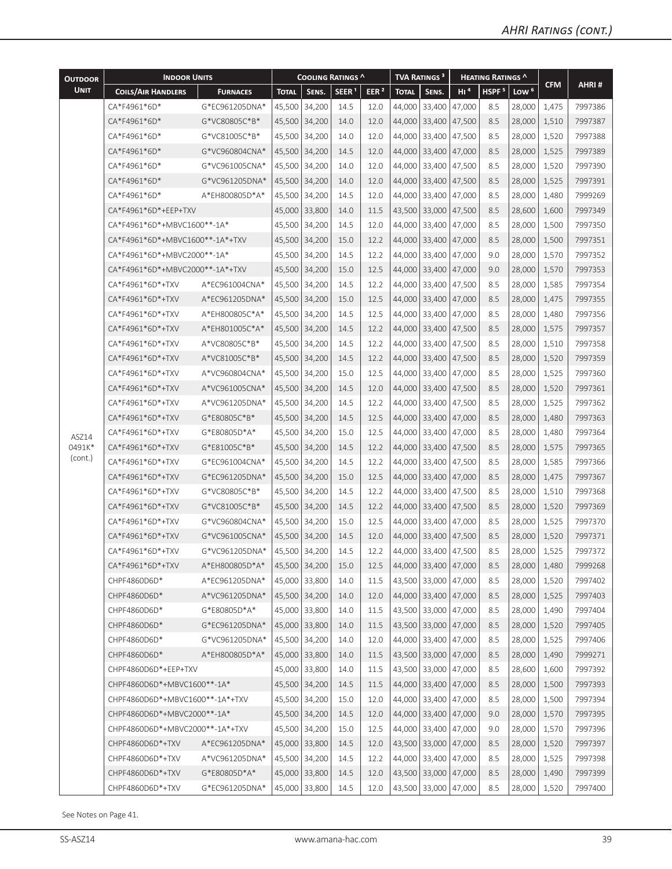| <b>OUTDOOR</b> | <b>INDOOR UNITS</b>             |                 |               | <b>COOLING RATINGS ^</b> |                   |                  |              | <b>TVA RATINGS<sup>3</sup></b> |                 | <b>HEATING RATINGS ^</b> |                  |            |         |
|----------------|---------------------------------|-----------------|---------------|--------------------------|-------------------|------------------|--------------|--------------------------------|-----------------|--------------------------|------------------|------------|---------|
| <b>UNIT</b>    | <b>COILS/AIR HANDLERS</b>       | <b>FURNACES</b> | <b>TOTAL</b>  | SENS.                    | SEER <sup>1</sup> | EER <sup>2</sup> | <b>TOTAL</b> | SENS.                          | H1 <sup>4</sup> | HSPF <sup>5</sup>        | Low <sup>6</sup> | <b>CFM</b> | AHRI#   |
|                | CA*F4961*6D*                    | G*EC961205DNA*  |               | 45,500 34,200            | 14.5              | 12.0             | 44,000       |                                | 33,400   47,000 | 8.5                      | 28,000           | 1,475      | 7997386 |
|                | CA*F4961*6D*                    | G*VC80805C*B*   |               | 45,500 34,200            | 14.0              | 12.0             | 44,000       | 33,400                         | 47,500          | 8.5                      | 28,000           | 1,510      | 7997387 |
|                | CA*F4961*6D*                    | G*VC81005C*B*   | 45,500        | 34,200                   | 14.0              | 12.0             | 44,000       |                                | 33,400 47,500   | 8.5                      | 28,000           | 1,520      | 7997388 |
|                | CA*F4961*6D*                    | G*VC960804CNA*  |               | 45,500 34,200            | 14.5              | 12.0             | 44,000       | 33,400                         | 47,000          | 8.5                      | 28,000           | 1,525      | 7997389 |
|                | CA*F4961*6D*                    | G*VC961005CNA*  | 45,500        | 34,200                   | 14.0              | 12.0             | 44,000       |                                | 33,400 47,500   | 8.5                      | 28,000           | 1,520      | 7997390 |
|                | CA*F4961*6D*                    | G*VC961205DNA*  |               | 45,500 34,200            | 14.0              | 12.0             | 44,000       | 33,400                         | 47,500          | 8.5                      | 28,000           | 1,525      | 7997391 |
|                | CA*F4961*6D*                    | A*EH800805D*A*  | 45,500        | 34,200                   | 14.5              | 12.0             | 44,000       |                                | 33,400 47,000   | 8.5                      | 28,000           | 1,480      | 7999269 |
|                | CA*F4961*6D*+EEP+TXV            |                 |               | 45,000 33,800            | 14.0              | 11.5             | 43,500       |                                | 33,000 47,500   | 8.5                      | 28,600           | 1,600      | 7997349 |
|                | CA*F4961*6D*+MBVC1600**-1A*     |                 | 45,500        | 34,200                   | 14.5              | 12.0             | 44,000       |                                | 33,400   47,000 | 8.5                      | 28,000           | 1,500      | 7997350 |
|                | CA*F4961*6D*+MBVC1600**-1A*+TXV |                 |               | 45,500 34,200            | 15.0              | 12.2             | 44,000       | 33,400                         | 47,000          | 8.5                      | 28,000           | 1,500      | 7997351 |
|                | CA*F4961*6D*+MBVC2000**-1A*     |                 | 45,500        | 34,200                   | 14.5              | 12.2             | 44,000       |                                | 33,400 47,000   | 9.0                      | 28,000           | 1,570      | 7997352 |
|                | CA*F4961*6D*+MBVC2000**-1A*+TXV |                 |               | 45,500 34,200            | 15.0              | 12.5             | 44,000       | 33,400                         | 47,000          | 9.0                      | 28,000           | 1,570      | 7997353 |
|                | CA*F4961*6D*+TXV                | A*EC961004CNA*  |               | 45,500 34,200            | 14.5              | 12.2             | 44,000       |                                | 33,400 47,500   | 8.5                      | 28,000           | 1,585      | 7997354 |
|                | CA*F4961*6D*+TXV                | A*EC961205DNA*  |               | 45,500 34,200            | 15.0              | 12.5             | 44,000       | 33,400                         | 47,000          | 8.5                      | 28,000           | 1,475      | 7997355 |
|                | CA*F4961*6D*+TXV                | A*EH800805C*A*  | 45,500        | 34,200                   | 14.5              | 12.5             | 44,000       |                                | 33,400 47,000   | 8.5                      | 28,000           | 1,480      | 7997356 |
|                | CA*F4961*6D*+TXV                | A*EH801005C*A*  |               | 45,500 34,200            | 14.5              | 12.2             | 44,000       |                                | 33,400   47,500 | 8.5                      | 28,000           | 1,575      | 7997357 |
|                | CA*F4961*6D*+TXV                | A*VC80805C*B*   | 45,500        | 34,200                   | 14.5              | 12.2             | 44,000       |                                | 33,400   47,500 | 8.5                      | 28,000           | 1,510      | 7997358 |
|                | CA*F4961*6D*+TXV                | A*VC81005C*B*   |               | 45,500 34,200            | 14.5              | 12.2             | 44,000       | 33,400                         | 47,500          | 8.5                      | 28,000           | 1,520      | 7997359 |
|                | CA*F4961*6D*+TXV                | A*VC960804CNA*  | 45,500        | 34,200                   | 15.0              | 12.5             | 44,000       | 33,400                         | 47,000          | 8.5                      | 28,000           | 1,525      | 7997360 |
|                | CA*F4961*6D*+TXV                | A*VC961005CNA*  |               | 45,500 34,200            | 14.5              | 12.0             | 44,000       | 33,400                         | 47,500          | 8.5                      | 28,000           | 1,520      | 7997361 |
|                | CA*F4961*6D*+TXV                | A*VC961205DNA*  | 45,500        | 34,200                   | 14.5              | 12.2             | 44,000       | 33,400                         | 47,500          | 8.5                      | 28,000           | 1,525      | 7997362 |
|                | CA*F4961*6D*+TXV                | G*E80805C*B*    |               | 45,500 34,200            | 14.5              | 12.5             | 44,000       | 33,400                         | 47,000          | 8.5                      | 28,000           | 1,480      | 7997363 |
| ASZ14          | CA*F4961*6D*+TXV                | G*E80805D*A*    | 45,500        | 34,200                   | 15.0              | 12.5             | 44,000       | 33,400                         | 47,000          | 8.5                      | 28,000           | 1,480      | 7997364 |
| 0491K*         | CA*F4961*6D*+TXV                | G*E81005C*B*    | 45,500 34,200 |                          | 14.5              | 12.2             | 44,000       |                                | 33,400   47,500 | 8.5                      | 28,000           | 1,575      | 7997365 |
| (cont.)        | CA*F4961*6D*+TXV                | G*EC961004CNA*  | 45,500        | 34,200                   | 14.5              | 12.2             | 44,000       | 33,400                         | 47,500          | 8.5                      | 28,000           | 1,585      | 7997366 |
|                | CA*F4961*6D*+TXV                | G*EC961205DNA*  |               | 45,500 34,200            | 15.0              | 12.5             | 44,000       | 33,400                         | 47,000          | 8.5                      | 28,000           | 1,475      | 7997367 |
|                | CA*F4961*6D*+TXV                | G*VC80805C*B*   | 45,500        | 34,200                   | 14.5              | 12.2             | 44,000       | 33,400                         | 47,500          | 8.5                      | 28,000           | 1,510      | 7997368 |
|                | CA*F4961*6D*+TXV                | G*VC81005C*B*   |               | 45,500 34,200            | 14.5              | 12.2             | 44,000       | 33,400                         | 47,500          | 8.5                      | 28,000           | 1,520      | 7997369 |
|                | CA*F4961*6D*+TXV                | G*VC960804CNA*  |               | 45,500 34,200            | 15.0              | 12.5             | 44,000       | 33,400                         | 47,000          | 8.5                      | 28,000           | 1,525      | 7997370 |
|                | CA*F4961*6D*+TXV                | G*VC961005CNA*  |               | 45,500 34,200            | 14.5              | 12.0             | 44,000       | 33,400                         | 47,500          | 8.5                      | 28,000           | 1,520      | 7997371 |
|                | CA*F4961*6D*+TXV                | G*VC961205DNA*  |               | 45,500 34,200            | 14.5              | 12.2             | 44,000       | 33,400 47,500                  |                 | 8.5                      | 28,000           | 1,525      | 7997372 |
|                | CA*F4961*6D*+TXV                | A*EH800805D*A*  |               | 45,500 34,200            | 15.0              | 12.5             |              | 44,000   33,400   47,000       |                 | 8.5                      | 28,000           | 1,480      | 7999268 |
|                | CHPF4860D6D*                    | A*EC961205DNA*  |               | 45,000 33,800            | 14.0              | 11.5             |              | 43,500   33,000   47,000       |                 | 8.5                      | 28,000           | 1,520      | 7997402 |
|                | CHPF4860D6D*                    | A*VC961205DNA*  |               | 45,500 34,200            | 14.0              | 12.0             |              | 44,000 33,400 47,000           |                 | 8.5                      | 28,000           | 1,525      | 7997403 |
|                | CHPF4860D6D*                    | G*E80805D*A*    |               | 45,000 33,800            | 14.0              | 11.5             |              | 43,500 33,000 47,000           |                 | 8.5                      | 28,000           | 1,490      | 7997404 |
|                | CHPF4860D6D*                    | G*EC961205DNA*  |               | 45,000 33,800            | 14.0              | 11.5             |              | 43,500 33,000 47,000           |                 | 8.5                      | 28,000           | 1,520      | 7997405 |
|                | CHPF4860D6D*                    | G*VC961205DNA*  |               | 45,500 34,200            | 14.0              | 12.0             |              | 44,000 33,400 47,000           |                 | 8.5                      | 28,000           | 1,525      | 7997406 |
|                | CHPF4860D6D*                    | A*EH800805D*A*  |               | 45,000 33,800            | 14.0              | 11.5             |              | 43,500 33,000 47,000           |                 | 8.5                      | 28,000           | 1,490      | 7999271 |
|                | CHPF4860D6D*+EEP+TXV            |                 |               | 45,000 33,800            | 14.0              | 11.5             |              | 43,500 33,000 47,000           |                 | 8.5                      | 28,600           | 1,600      | 7997392 |
|                | CHPF4860D6D*+MBVC1600**-1A*     |                 |               | 45,500 34,200            | 14.5              | 11.5             |              | 44,000 33,400 47,000           |                 | 8.5                      | 28,000           | 1,500      | 7997393 |
|                | CHPF4860D6D*+MBVC1600**-1A*+TXV |                 |               | 45,500 34,200            | 15.0              | 12.0             |              | 44,000 33,400 47,000           |                 | 8.5                      | 28,000           | 1,500      | 7997394 |
|                | CHPF4860D6D*+MBVC2000**-1A*     |                 |               | 45,500 34,200            | 14.5              | 12.0             |              | 44,000 33,400 47,000           |                 | 9.0                      | 28,000           | 1,570      | 7997395 |
|                | CHPF4860D6D*+MBVC2000**-1A*+TXV |                 |               | 45,500 34,200            | 15.0              | 12.5             |              | 44,000 33,400 47,000           |                 | 9.0                      | 28,000           | 1,570      | 7997396 |
|                | CHPF4860D6D*+TXV                | A*EC961205DNA*  |               | 45,000 33,800            | 14.5              | 12.0             |              | 43,500 33,000 47,000           |                 | 8.5                      | 28,000           | 1,520      | 7997397 |
|                | CHPF4860D6D*+TXV                | A*VC961205DNA*  |               | 45,500 34,200            | 14.5              | 12.2             |              | 44,000 33,400 47,000           |                 | 8.5                      | 28,000           | 1,525      | 7997398 |
|                | CHPF4860D6D*+TXV                | G*E80805D*A*    |               | 45,000 33,800            | 14.5              | 12.0             |              | 43,500 33,000 47,000           |                 | 8.5                      | 28,000           | 1,490      | 7997399 |
|                | CHPF4860D6D*+TXV                | G*EC961205DNA*  |               | 45,000 33,800            | 14.5              | 12.0             |              | 43,500 33,000 47,000           |                 | 8.5                      | 28,000           | 1,520      | 7997400 |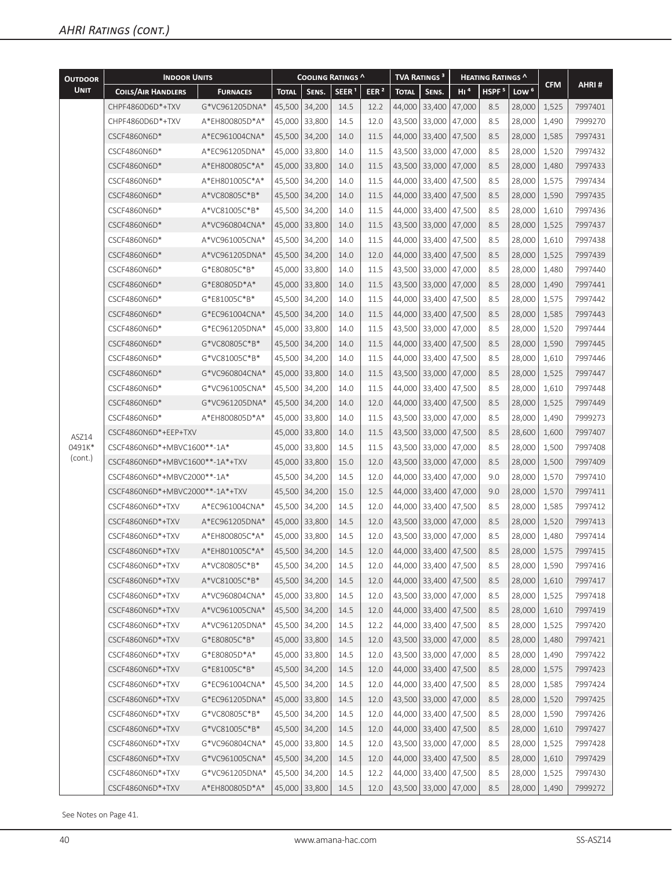| <b>OUTDOOR</b>    | <b>INDOOR UNITS</b>                  |                                 |               | <b>COOLING RATINGS ^</b>       |                   |                  |              | TVA RATINGS <sup>3</sup>                     |                 | <b>HEATING RATINGS ^</b> |                  | <b>CFM</b><br>1,525<br>1,490<br>1,585<br>1,520<br>1,480<br>1,575<br>1,590<br>1,610<br>1,525<br>1,610<br>1,525<br>1,480<br>1,490<br>1,575<br>1,585<br>1,520<br>1,590<br>1,610<br>1,525<br>1,610<br>1,525<br>1,490<br>1,600<br>1,500<br>1,500<br>1,570<br>1,570<br>1,585<br>1,520<br>1,480<br>1,575<br>1,590<br>1,610<br>1,525<br>1,610<br>1,525<br>1,480<br>1,490<br>1,575<br>1,585<br>1,520<br>1,590<br>1,610 |                    |
|-------------------|--------------------------------------|---------------------------------|---------------|--------------------------------|-------------------|------------------|--------------|----------------------------------------------|-----------------|--------------------------|------------------|---------------------------------------------------------------------------------------------------------------------------------------------------------------------------------------------------------------------------------------------------------------------------------------------------------------------------------------------------------------------------------------------------------------|--------------------|
| <b>UNIT</b>       | <b>COILS/AIR HANDLERS</b>            | <b>FURNACES</b>                 | <b>TOTAL</b>  | SENS.                          | SEER <sup>1</sup> | EER <sup>2</sup> | <b>TOTAL</b> | SENS.                                        | H1 <sup>4</sup> | HSPF <sup>5</sup>        | Low <sup>6</sup> |                                                                                                                                                                                                                                                                                                                                                                                                               | AHRI#              |
|                   | CHPF4860D6D*+TXV                     | G*VC961205DNA*                  | 45,500        | 34,200                         | 14.5              | 12.2             | 44,000       | 33,400 47,000                                |                 | 8.5                      | 28,000           |                                                                                                                                                                                                                                                                                                                                                                                                               | 7997401            |
|                   | CHPF4860D6D*+TXV                     | A*EH800805D*A*                  | 45,000        | 33,800                         | 14.5              | 12.0             | 43,500       | 33,000                                       | 47,000          | 8.5                      | 28,000           |                                                                                                                                                                                                                                                                                                                                                                                                               | 7999270            |
|                   | CSCF4860N6D*                         | A*EC961004CNA*                  | 45,500        | 34,200                         | 14.0              | 11.5             | 44,000       | 33,400                                       | 47,500          | 8.5                      | 28,000           |                                                                                                                                                                                                                                                                                                                                                                                                               | 7997431            |
|                   | CSCF4860N6D*                         | A*EC961205DNA*                  | 45,000        | 33,800                         | 14.0              | 11.5             | 43,500       | 33,000                                       | 47,000          | 8.5                      | 28,000           |                                                                                                                                                                                                                                                                                                                                                                                                               | 7997432            |
|                   | CSCF4860N6D*                         | A*EH800805C*A*                  | 45,000        | 33,800                         | 14.0              | 11.5             | 43,500       | 33,000 47,000                                |                 | 8.5                      | 28,000           |                                                                                                                                                                                                                                                                                                                                                                                                               | 7997433            |
|                   | CSCF4860N6D*                         | A*EH801005C*A*                  | 45,500        | 34,200                         | 14.0              | 11.5             | 44,000       | 33,400                                       | 47,500          | 8.5                      | 28,000           |                                                                                                                                                                                                                                                                                                                                                                                                               | 7997434            |
|                   | CSCF4860N6D*                         | A*VC80805C*B*                   | 45,500        | 34,200                         | 14.0              | 11.5             | 44,000       | 33,400                                       | 47,500          | 8.5                      | 28,000           |                                                                                                                                                                                                                                                                                                                                                                                                               | 7997435            |
|                   | CSCF4860N6D*                         | A*VC81005C*B*                   | 45,500        | 34,200                         | 14.0              | 11.5             | 44,000       | 33,400 47,500                                |                 | 8.5                      | 28,000           |                                                                                                                                                                                                                                                                                                                                                                                                               | 7997436            |
|                   | CSCF4860N6D*                         | A*VC960804CNA*                  | 45,000        | 33,800                         | 14.0              | 11.5             | 43,500       | 33,000 47,000                                |                 | 8.5                      | 28,000           |                                                                                                                                                                                                                                                                                                                                                                                                               | 7997437            |
|                   | CSCF4860N6D*                         | A*VC961005CNA*                  | 45,500        | 34,200                         | 14.0              | 11.5             | 44,000       | 33,400                                       | 47,500          | 8.5                      | 28,000           |                                                                                                                                                                                                                                                                                                                                                                                                               | 7997438            |
|                   | CSCF4860N6D*                         | A*VC961205DNA*                  | 45,500        | 34,200                         | 14.0              | 12.0             | 44,000       | 33,400                                       | 47,500          | 8.5                      | 28,000           |                                                                                                                                                                                                                                                                                                                                                                                                               | 7997439            |
|                   | CSCF4860N6D*                         | G*E80805C*B*                    | 45,000        | 33,800                         | 14.0              | 11.5             | 43,500       | 33,000 47,000                                |                 | 8.5                      | 28,000           |                                                                                                                                                                                                                                                                                                                                                                                                               | 7997440            |
|                   | CSCF4860N6D*                         | G*E80805D*A*                    | 45,000        | 33,800                         | 14.0              | 11.5             | 43,500       | 33,000 47,000                                |                 | 8.5                      | 28,000           |                                                                                                                                                                                                                                                                                                                                                                                                               | 7997441            |
|                   | CSCF4860N6D*                         | G*E81005C*B*                    | 45,500        | 34,200                         | 14.0              | 11.5             | 44,000       | 33,400                                       | 47,500          | 8.5                      | 28,000           |                                                                                                                                                                                                                                                                                                                                                                                                               | 7997442            |
|                   | CSCF4860N6D*                         | G*EC961004CNA*                  | 45,500        | 34,200                         | 14.0              | 11.5             | 44,000       | 33,400                                       | 47,500          | 8.5                      | 28,000           |                                                                                                                                                                                                                                                                                                                                                                                                               | 7997443            |
|                   | CSCF4860N6D*                         | G*EC961205DNA*                  | 45,000        | 33,800                         | 14.0              | 11.5             | 43,500       | 33,000                                       | 47,000          | 8.5                      | 28,000           |                                                                                                                                                                                                                                                                                                                                                                                                               | 7997444            |
|                   | CSCF4860N6D*                         | G*VC80805C*B*                   | 45,500        | 34,200                         | 14.0              | 11.5             | 44,000       | 33,400                                       | 47,500          | 8.5                      | 28,000           |                                                                                                                                                                                                                                                                                                                                                                                                               | 7997445            |
|                   | CSCF4860N6D*                         | G*VC81005C*B*                   | 45,500        | 34,200                         | 14.0              | 11.5             | 44,000       | 33,400                                       | 47,500          | 8.5                      | 28,000           |                                                                                                                                                                                                                                                                                                                                                                                                               | 7997446            |
|                   | CSCF4860N6D*                         | G*VC960804CNA*                  | 45,000        | 33,800                         | 14.0              | 11.5             | 43,500       | 33,000                                       | 47,000          | 8.5                      | 28,000           |                                                                                                                                                                                                                                                                                                                                                                                                               | 7997447            |
|                   | CSCF4860N6D*                         | G*VC961005CNA*                  | 45,500        | 34,200                         | 14.0              | 11.5             | 44,000       | 33,400 47,500                                |                 | 8.5                      | 28,000           |                                                                                                                                                                                                                                                                                                                                                                                                               | 7997448            |
|                   | CSCF4860N6D*                         | G*VC961205DNA*                  | 45,500        | 34,200                         | 14.0              | 12.0             | 44,000       | 33,400 47,500                                |                 | 8.5                      | 28,000           |                                                                                                                                                                                                                                                                                                                                                                                                               | 7997449            |
|                   | CSCF4860N6D*                         | A*EH800805D*A*                  | 45,000        | 33,800                         | 14.0              | 11.5             | 43,500       | 33,000                                       | 47,000          | 8.5                      | 28,000           |                                                                                                                                                                                                                                                                                                                                                                                                               | 7999273            |
| ASZ14             | CSCF4860N6D*+EEP+TXV                 |                                 | 45,000        | 33,800                         | 14.0              | 11.5             | 43,500       | 33,000                                       | 47,500          | 8.5                      | 28,600           |                                                                                                                                                                                                                                                                                                                                                                                                               | 7997407            |
| 0491K*<br>(cont.) | CSCF4860N6D*+MBVC1600**-1A*          |                                 | 45,000        | 33,800                         | 14.5              | 11.5             | 43,500       | 33,000                                       | 47,000          | 8.5                      | 28,000           |                                                                                                                                                                                                                                                                                                                                                                                                               | 7997408            |
|                   | CSCF4860N6D*+MBVC1600**-1A*+TXV      |                                 | 45,000        | 33,800                         | 15.0              | 12.0             | 43,500       | 33,000                                       | 47,000          | 8.5                      | 28,000           |                                                                                                                                                                                                                                                                                                                                                                                                               | 7997409            |
|                   | CSCF4860N6D*+MBVC2000**-1A*          |                                 | 45,500        | 34,200                         | 14.5              | 12.0             | 44,000       | 33,400                                       | 47,000          | 9.0                      | 28,000           |                                                                                                                                                                                                                                                                                                                                                                                                               | 7997410            |
|                   | CSCF4860N6D*+MBVC2000**-1A*+TXV      |                                 | 45,500        | 34,200                         | 15.0              | 12.5             | 44,000       | 33,400                                       | 47,000          | 9.0                      | 28,000           |                                                                                                                                                                                                                                                                                                                                                                                                               | 7997411            |
|                   | CSCF4860N6D*+TXV                     | A*EC961004CNA*                  | 45,500        | 34,200                         | 14.5              | 12.0             | 44,000       | 33,400                                       | 47,500          | 8.5                      | 28,000           |                                                                                                                                                                                                                                                                                                                                                                                                               | 7997412            |
|                   | CSCF4860N6D*+TXV                     | A*EC961205DNA*                  | 45,000        | 33,800                         | 14.5              | 12.0             | 43,500       | 33,000                                       | 47,000          | 8.5                      | 28,000           |                                                                                                                                                                                                                                                                                                                                                                                                               | 7997413            |
|                   | CSCF4860N6D*+TXV                     | A*EH800805C*A*                  | 45,000        | 33,800                         | 14.5              | 12.0             | 43,500       | 33,000                                       | 47,000          | 8.5                      | 28,000           |                                                                                                                                                                                                                                                                                                                                                                                                               | 7997414            |
|                   | CSCF4860N6D*+TXV                     | A*EH801005C*A*                  | 45,500        | 34,200                         | 14.5              | 12.0             | 44,000       | 33,400                                       | 47,500          | 8.5                      | 28,000           |                                                                                                                                                                                                                                                                                                                                                                                                               | 7997415            |
|                   | CSCF4860N6D*+TXV<br>CSCF4860N6D*+TXV | A*VC80805C*B*                   |               | 45,500 34,200                  | 14.5<br>14.5      | 12.0             |              | 44,000 33,400 47,500<br>44,000 33,400 47,500 |                 | 8.5<br>8.5               | 28,000           |                                                                                                                                                                                                                                                                                                                                                                                                               | 7997416            |
|                   | CSCF4860N6D*+TXV                     | A*VC81005C*B*<br>A*VC960804CNA* |               | 45,500 34,200<br>45,000 33,800 | 14.5              | 12.0<br>12.0     |              | 43,500 33,000 47,000                         |                 | 8.5                      | 28,000<br>28,000 |                                                                                                                                                                                                                                                                                                                                                                                                               | 7997417<br>7997418 |
|                   | CSCF4860N6D*+TXV                     | A*VC961005CNA*                  |               | 45,500 34,200                  | 14.5              | 12.0             |              | 44,000 33,400 47,500                         |                 | 8.5                      | 28,000           |                                                                                                                                                                                                                                                                                                                                                                                                               | 7997419            |
|                   | CSCF4860N6D*+TXV                     | A*VC961205DNA*                  |               | 45,500 34,200                  | 14.5              | 12.2             |              | 44,000 33,400 47,500                         |                 | 8.5                      | 28,000           |                                                                                                                                                                                                                                                                                                                                                                                                               | 7997420            |
|                   | CSCF4860N6D*+TXV                     | G*E80805C*B*                    |               | 45,000 33,800                  | 14.5              | 12.0             |              | 43,500 33,000 47,000                         |                 | 8.5                      | 28,000           |                                                                                                                                                                                                                                                                                                                                                                                                               | 7997421            |
|                   | CSCF4860N6D*+TXV                     | G*E80805D*A*                    |               | 45,000 33,800                  | 14.5              | 12.0             |              | 43,500 33,000 47,000                         |                 | 8.5                      | 28,000           |                                                                                                                                                                                                                                                                                                                                                                                                               | 7997422            |
|                   | CSCF4860N6D*+TXV                     | G*E81005C*B*                    |               | 45,500 34,200                  | 14.5              | 12.0             |              | 44,000 33,400 47,500                         |                 | 8.5                      | 28,000           |                                                                                                                                                                                                                                                                                                                                                                                                               | 7997423            |
|                   | CSCF4860N6D*+TXV                     | G*EC961004CNA*                  |               | 45,500 34,200                  | 14.5              | 12.0             |              | 44,000 33,400 47,500                         |                 | 8.5                      | 28,000           |                                                                                                                                                                                                                                                                                                                                                                                                               | 7997424            |
|                   | CSCF4860N6D*+TXV                     | G*EC961205DNA*                  |               | 45,000 33,800                  | 14.5              | 12.0             |              | 43,500 33,000 47,000                         |                 | 8.5                      | 28,000           |                                                                                                                                                                                                                                                                                                                                                                                                               | 7997425            |
|                   | CSCF4860N6D*+TXV                     | G*VC80805C*B*                   |               | 45,500 34,200                  | 14.5              | 12.0             |              | 44,000 33,400 47,500                         |                 | 8.5                      | 28,000           |                                                                                                                                                                                                                                                                                                                                                                                                               | 7997426            |
|                   | CSCF4860N6D*+TXV                     | G*VC81005C*B*                   |               | 45,500 34,200                  | 14.5              | 12.0             |              | 44,000 33,400 47,500                         |                 | 8.5                      | 28,000           |                                                                                                                                                                                                                                                                                                                                                                                                               | 7997427            |
|                   | CSCF4860N6D*+TXV                     | G*VC960804CNA*                  |               | 45,000 33,800                  | 14.5              | 12.0             |              | 43,500 33,000 47,000                         |                 | 8.5                      | 28,000           | 1,525                                                                                                                                                                                                                                                                                                                                                                                                         | 7997428            |
|                   | CSCF4860N6D*+TXV                     | G*VC961005CNA*                  |               | 45,500 34,200                  | 14.5              | 12.0             |              | 44,000 33,400 47,500                         |                 | 8.5                      | 28,000           | 1,610                                                                                                                                                                                                                                                                                                                                                                                                         | 7997429            |
|                   | CSCF4860N6D*+TXV                     | G*VC961205DNA*                  | 45,500 34,200 |                                | 14.5              | 12.2             |              | 44,000 33,400 47,500                         |                 | 8.5                      | 28,000           | 1,525                                                                                                                                                                                                                                                                                                                                                                                                         | 7997430            |
|                   | CSCF4860N6D*+TXV                     | A*EH800805D*A*                  | 45,000        | 33,800                         | 14.5              | 12.0             |              | 43,500 33,000 47,000                         |                 | 8.5                      | 28,000           | 1,490                                                                                                                                                                                                                                                                                                                                                                                                         | 7999272            |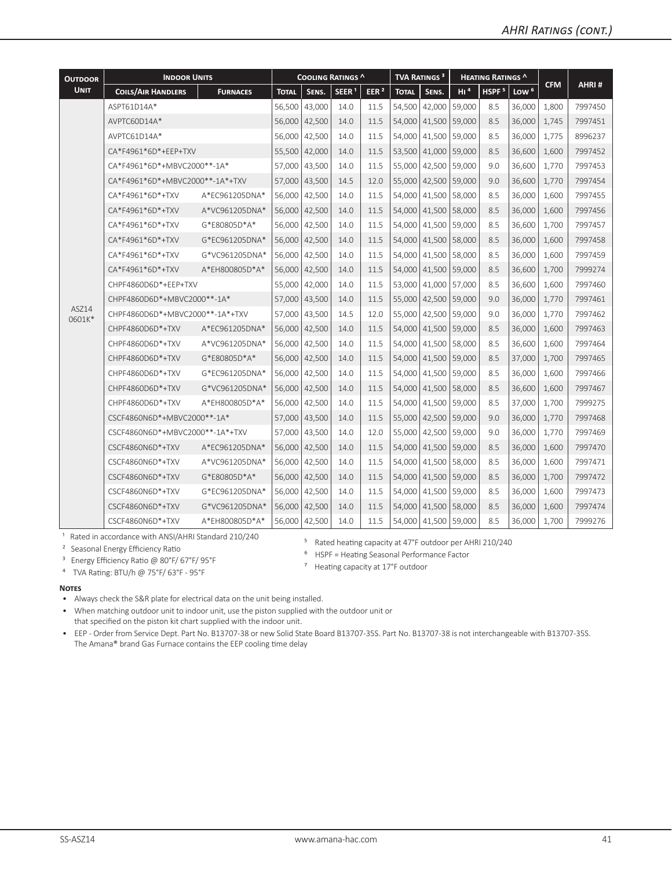| <b>OUTDOOR</b>  | <b>INDOOR UNITS</b>             |                 |              |               | <b>COOLING RATINGS ^</b> |         |              | <b>TVA RATINGS<sup>3</sup></b> |                 | <b>HEATING RATINGS ^</b> |                  |            |         |
|-----------------|---------------------------------|-----------------|--------------|---------------|--------------------------|---------|--------------|--------------------------------|-----------------|--------------------------|------------------|------------|---------|
| <b>UNIT</b>     | <b>COILS/AIR HANDLERS</b>       | <b>FURNACES</b> | <b>TOTAL</b> | SENS.         | SEER <sup>1</sup>        | EER $2$ | <b>TOTAL</b> | SENS.                          | H1 <sup>4</sup> | HSPF <sup>5</sup>        | Low <sup>6</sup> | <b>CFM</b> | AHRI#   |
|                 | ASPT61D14A*                     |                 | 56,500       | 43,000        | 14.0                     | 11.5    | 54,500       | 42,000                         | 59,000          | 8.5                      | 36,000           | 1,800      | 7997450 |
|                 | AVPTC60D14A*                    |                 | 56.000       | 42,500        | 14.0                     | 11.5    |              | 54,000   41,500   59,000       |                 | 8.5                      | 36,000           | 1.745      | 7997451 |
|                 | AVPTC61D14A*                    |                 | 56,000       | 42,500        | 14.0                     | 11.5    | 54,000       | 41,500                         | 159,000         | 8.5                      | 36,000           | 1,775      | 8996237 |
|                 | CA*F4961*6D*+EEP+TXV            |                 | 55,500       | 42,000        | 14.0                     | 11.5    | 53,500       | 41,000                         | 59,000          | 8.5                      | 36,600           | 1,600      | 7997452 |
|                 | CA*F4961*6D*+MBVC2000**-1A*     |                 | 57,000       | 43,500        | 14.0                     | 11.5    | 55,000       | 42,500 59,000                  |                 | 9.0                      | 36,600           | 1,770      | 7997453 |
|                 | CA*F4961*6D*+MBVC2000**-1A*+TXV |                 | 57,000       | 43,500        | 14.5                     | 12.0    | 55,000       | 42,500 59,000                  |                 | 9.0                      | 36,600           | 1,770      | 7997454 |
|                 | CA*F4961*6D*+TXV                | A*EC961205DNA*  | 56,000       | 42,500        | 14.0                     | 11.5    | 54,000       | 41,500                         | 58,000          | 8.5                      | 36,000           | 1,600      | 7997455 |
|                 | CA*F4961*6D*+TXV                | A*VC961205DNA*  | 56,000       | 42,500        | 14.0                     | 11.5    |              | 54,000   41,500   58,000       |                 | 8.5                      | 36,000           | 1,600      | 7997456 |
|                 | CA*F4961*6D*+TXV                | G*E80805D*A*    | 56,000       | 42,500        | 14.0                     | 11.5    | 54,000       | 41,500                         | 59,000          | 8.5                      | 36,600           | 1,700      | 7997457 |
|                 | CA*F4961*6D*+TXV                | G*EC961205DNA*  | 56,000       | 42,500        | 14.0                     | 11.5    | 54,000       | 41,500 58,000                  |                 | 8.5                      | 36,000           | 1,600      | 7997458 |
|                 | CA*F4961*6D*+TXV                | G*VC961205DNA*  | 56,000       | 42,500        | 14.0                     | 11.5    | 54,000       | 41,500                         | 58,000          | 8.5                      | 36,000           | 1,600      | 7997459 |
|                 | CA*F4961*6D*+TXV                | A*EH800805D*A*  | 56,000       | 42,500        | 14.0                     | 11.5    | 54,000       | 41,500 59,000                  |                 | 8.5                      | 36,600           | 1.700      | 7999274 |
|                 | CHPF4860D6D*+EEP+TXV            |                 | 55,000       | 42,000        | 14.0                     | 11.5    | 53,000       | 41,000 57,000                  |                 | 8.5                      | 36,600           | 1,600      | 7997460 |
|                 | CHPF4860D6D*+MBVC2000**-1A*     |                 | 57.000       | 43,500        | 14.0                     | 11.5    | 55,000       | 42,500                         | 59,000          | 9.0                      | 36.000           | 1,770      | 7997461 |
| ASZ14<br>0601K* | CHPF4860D6D*+MBVC2000**-1A*+TXV |                 |              | 57,000 43,500 | 14.5                     | 12.0    | 55,000       | 42,500 59,000                  |                 | 9.0                      | 36,000           | 1,770      | 7997462 |
|                 | CHPF4860D6D*+TXV                | A*EC961205DNA*  | 56,000       | 42,500        | 14.0                     | 11.5    | 54,000       | 41,500 59,000                  |                 | 8.5                      | 36,000           | 1,600      | 7997463 |
|                 | CHPF4860D6D*+TXV                | A*VC961205DNA*  | 56.000       | 42,500        | 14.0                     | 11.5    | 54.000       | 41,500 58,000                  |                 | 8.5                      | 36.600           | 1.600      | 7997464 |
|                 | CHPF4860D6D*+TXV                | G*E80805D*A*    | 56,000       | 42,500        | 14.0                     | 11.5    | 54,000       | 41,500 59,000                  |                 | 8.5                      | 37,000           | 1,700      | 7997465 |
|                 | CHPF4860D6D*+TXV                | G*EC961205DNA*  | 56,000       | 42,500        | 14.0                     | 11.5    | 54,000       | 41,500                         | 59,000          | 8.5                      | 36,000           | 1,600      | 7997466 |
|                 | CHPF4860D6D*+TXV                | G*VC961205DNA*  | 56.000       | 42,500        | 14.0                     | 11.5    | 54.000       | 41,500 58,000                  |                 | 8.5                      | 36,600           | 1.600      | 7997467 |
|                 | CHPF4860D6D*+TXV                | A*EH800805D*A*  | 56,000       | 42,500        | 14.0                     | 11.5    | 54,000       | 41,500 59,000                  |                 | 8.5                      | 37,000           | 1,700      | 7999275 |
|                 | CSCF4860N6D*+MBVC2000**-1A*     |                 | 57,000       | 43,500        | 14.0                     | 11.5    | 55,000       | 42,500                         | 59,000          | 9.0                      | 36,000           | 1,770      | 7997468 |
|                 | CSCF4860N6D*+MBVC2000**-1A*+TXV |                 | 57,000       | 43,500        | 14.0                     | 12.0    | 55,000       | 42,500 59,000                  |                 | 9.0                      | 36,000           | 1.770      | 7997469 |
|                 | CSCF4860N6D*+TXV                | A*EC961205DNA*  | 56,000       | 42,500        | 14.0                     | 11.5    | 54,000       | 41,500 59,000                  |                 | 8.5                      | 36,000           | 1,600      | 7997470 |
|                 | CSCF4860N6D*+TXV                | A*VC961205DNA*  | 56,000       | 42,500        | 14.0                     | 11.5    | 54,000       | 41,500 58,000                  |                 | 8.5                      | 36,000           | 1,600      | 7997471 |
|                 | CSCF4860N6D*+TXV                | G*E80805D*A*    | 56.000       | 42,500        | 14.0                     | 11.5    | 54,000       | 41,500 59,000                  |                 | 8.5                      | 36.000           | 1,700      | 7997472 |
|                 | CSCF4860N6D*+TXV                | G*EC961205DNA*  | 56,000       | 42,500        | 14.0                     | 11.5    | 54,000       | 41,500                         | 59,000          | 8.5                      | 36,000           | 1,600      | 7997473 |
|                 | CSCF4860N6D*+TXV                | G*VC961205DNA*  | 56,000       | 42,500        | 14.0                     | 11.5    | 54,000       | 41,500 58,000                  |                 | 8.5                      | 36,000           | 1,600      | 7997474 |
|                 | CSCF4860N6D*+TXV                | A*EH800805D*A*  | 56.000       | 42,500        | 14.0                     | 11.5    | 54,000       | 41,500 59,000                  |                 | 8.5                      | 36,000           | 1,700      | 7999276 |

<sup>1</sup> Rated in accordance with ANSI/AHRI Standard 210/240

<sup>2</sup> Seasonal Energy Efficiency Ratio

³ Energy Efficiency Ratio @ 80°F/ 67°F/ 95°F

⁵ Rated heating capacity at 47°F outdoor per AHRI 210/240 ⁶ HSPF = Heating Seasonal Performance Factor

⁷ Heating capacity at 17°F outdoor

⁴ TVA Rating: BTU/h @ 75°F/ 63°F - 95°F

**Notes** • Always check the S&R plate for electrical data on the unit being installed.

• When matching outdoor unit to indoor unit, use the piston supplied with the outdoor unit or that specified on the piston kit chart supplied with the indoor unit.

• EEP - Order from Service Dept. Part No. B13707-38 or new Solid State Board B13707-35S. Part No. B13707-38 is not interchangeable with B13707-35S. The Amana® brand Gas Furnace contains the EEP cooling time delay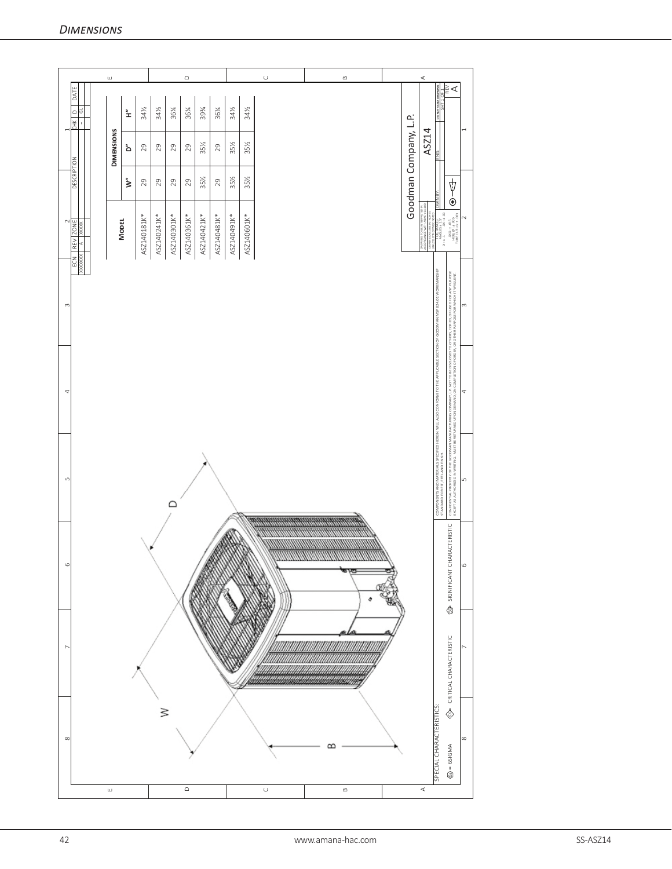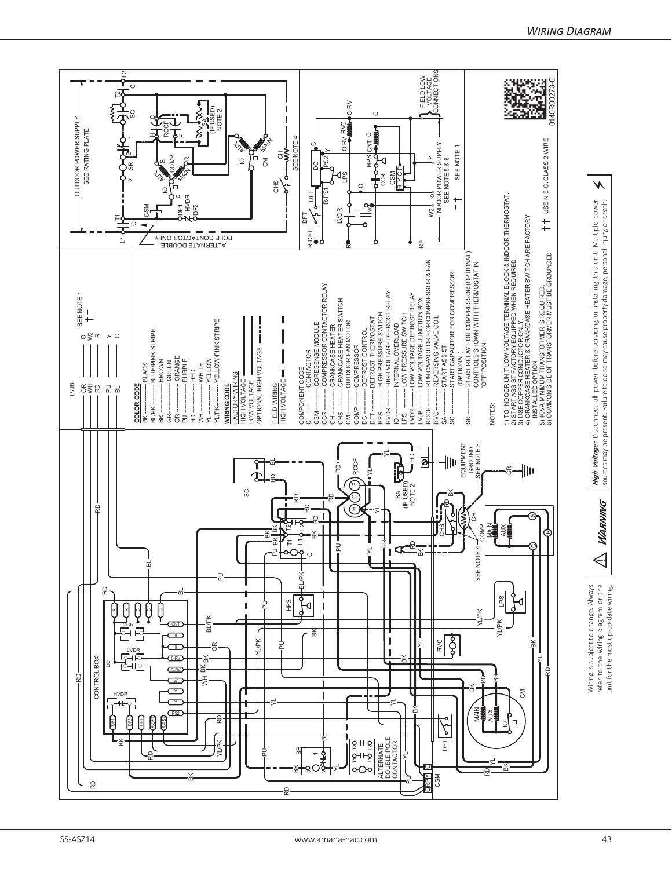